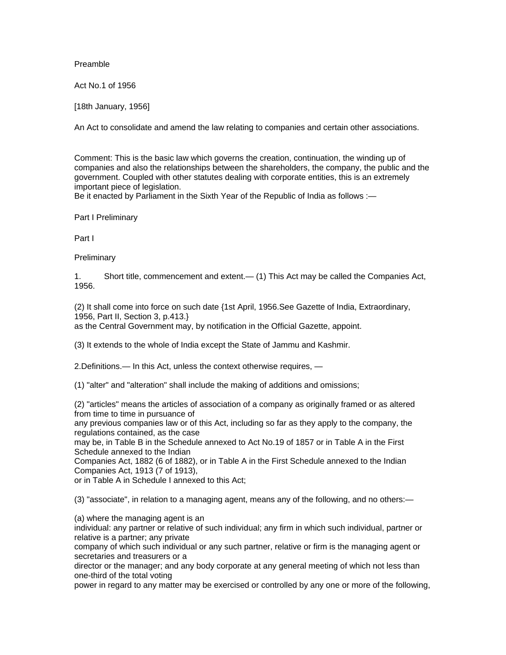# Preamble

Act No.1 of 1956

[18th January, 1956]

An Act to consolidate and amend the law relating to companies and certain other associations.

Comment: This is the basic law which governs the creation, continuation, the winding up of companies and also the relationships between the shareholders, the company, the public and the government. Coupled with other statutes dealing with corporate entities, this is an extremely important piece of legislation.

Be it enacted by Parliament in the Sixth Year of the Republic of India as follows :-

Part I Preliminary

Part I

**Preliminary** 

1. Short title, commencement and extent.— (1) This Act may be called the Companies Act, 1956.

(2) It shall come into force on such date {1st April, 1956.See Gazette of India, Extraordinary, 1956, Part II, Section 3, p.413.}

as the Central Government may, by notification in the Official Gazette, appoint.

(3) It extends to the whole of India except the State of Jammu and Kashmir.

2.Definitions.— In this Act, unless the context otherwise requires, —

(1) "alter" and "alteration" shall include the making of additions and omissions;

(2) "articles" means the articles of association of a company as originally framed or as altered from time to time in pursuance of

any previous companies law or of this Act, including so far as they apply to the company, the regulations contained, as the case

may be, in Table B in the Schedule annexed to Act No.19 of 1857 or in Table A in the First Schedule annexed to the Indian

Companies Act, 1882 (6 of 1882), or in Table A in the First Schedule annexed to the Indian Companies Act, 1913 (7 of 1913),

or in Table A in Schedule I annexed to this Act;

(3) "associate", in relation to a managing agent, means any of the following, and no others:—

(a) where the managing agent is an

individual: any partner or relative of such individual; any firm in which such individual, partner or relative is a partner; any private

company of which such individual or any such partner, relative or firm is the managing agent or secretaries and treasurers or a

director or the manager; and any body corporate at any general meeting of which not less than one-third of the total voting

power in regard to any matter may be exercised or controlled by any one or more of the following,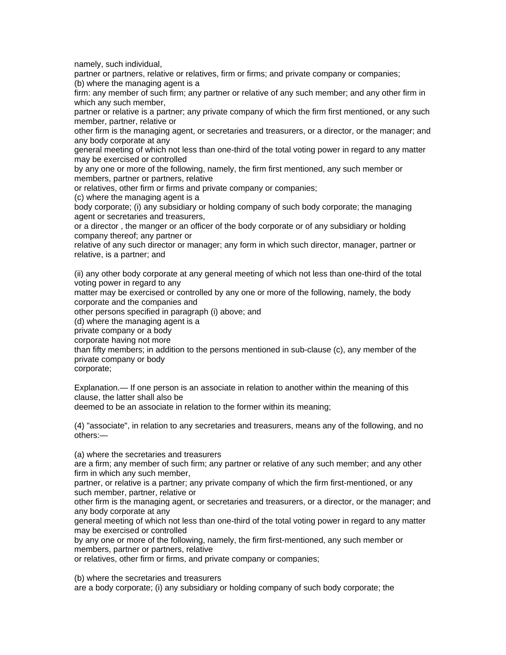namely, such individual,

partner or partners, relative or relatives, firm or firms; and private company or companies; (b) where the managing agent is a

firm: any member of such firm; any partner or relative of any such member; and any other firm in which any such member,

partner or relative is a partner; any private company of which the firm first mentioned, or any such member, partner, relative or

other firm is the managing agent, or secretaries and treasurers, or a director, or the manager; and any body corporate at any

general meeting of which not less than one-third of the total voting power in regard to any matter may be exercised or controlled

by any one or more of the following, namely, the firm first mentioned, any such member or members, partner or partners, relative

or relatives, other firm or firms and private company or companies;

(c) where the managing agent is a

body corporate; (i) any subsidiary or holding company of such body corporate; the managing agent or secretaries and treasurers,

or a director , the manger or an officer of the body corporate or of any subsidiary or holding company thereof; any partner or

relative of any such director or manager; any form in which such director, manager, partner or relative, is a partner; and

(ii) any other body corporate at any general meeting of which not less than one-third of the total voting power in regard to any

matter may be exercised or controlled by any one or more of the following, namely, the body corporate and the companies and

other persons specified in paragraph (i) above; and

(d) where the managing agent is a

private company or a body

corporate having not more

than fifty members; in addition to the persons mentioned in sub-clause (c), any member of the private company or body

corporate;

Explanation.— If one person is an associate in relation to another within the meaning of this clause, the latter shall also be

deemed to be an associate in relation to the former within its meaning;

(4) "associate", in relation to any secretaries and treasurers, means any of the following, and no others:—

(a) where the secretaries and treasurers

are a firm; any member of such firm; any partner or relative of any such member; and any other firm in which any such member,

partner, or relative is a partner; any private company of which the firm first-mentioned, or any such member, partner, relative or

other firm is the managing agent, or secretaries and treasurers, or a director, or the manager; and any body corporate at any

general meeting of which not less than one-third of the total voting power in regard to any matter may be exercised or controlled

by any one or more of the following, namely, the firm first-mentioned, any such member or members, partner or partners, relative

or relatives, other firm or firms, and private company or companies;

(b) where the secretaries and treasurers

are a body corporate; (i) any subsidiary or holding company of such body corporate; the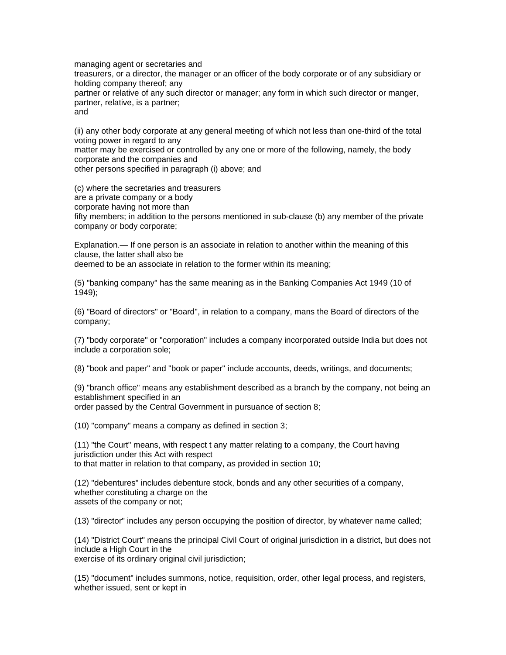managing agent or secretaries and treasurers, or a director, the manager or an officer of the body corporate or of any subsidiary or holding company thereof; any partner or relative of any such director or manager; any form in which such director or manger, partner, relative, is a partner; and

(ii) any other body corporate at any general meeting of which not less than one-third of the total voting power in regard to any matter may be exercised or controlled by any one or more of the following, namely, the body corporate and the companies and other persons specified in paragraph (i) above; and

(c) where the secretaries and treasurers are a private company or a body corporate having not more than fifty members; in addition to the persons mentioned in sub-clause (b) any member of the private company or body corporate;

Explanation.— If one person is an associate in relation to another within the meaning of this clause, the latter shall also be deemed to be an associate in relation to the former within its meaning;

(5) "banking company" has the same meaning as in the Banking Companies Act 1949 (10 of 1949);

(6) "Board of directors" or "Board", in relation to a company, mans the Board of directors of the company;

(7) "body corporate" or "corporation" includes a company incorporated outside India but does not include a corporation sole;

(8) "book and paper" and "book or paper" include accounts, deeds, writings, and documents;

(9) "branch office" means any establishment described as a branch by the company, not being an establishment specified in an order passed by the Central Government in pursuance of section 8;

(10) "company" means a company as defined in section 3;

(11) "the Court" means, with respect t any matter relating to a company, the Court having jurisdiction under this Act with respect to that matter in relation to that company, as provided in section 10;

(12) "debentures" includes debenture stock, bonds and any other securities of a company, whether constituting a charge on the assets of the company or not;

(13) "director" includes any person occupying the position of director, by whatever name called;

(14) "District Court" means the principal Civil Court of original jurisdiction in a district, but does not include a High Court in the

exercise of its ordinary original civil jurisdiction;

(15) "document" includes summons, notice, requisition, order, other legal process, and registers, whether issued, sent or kept in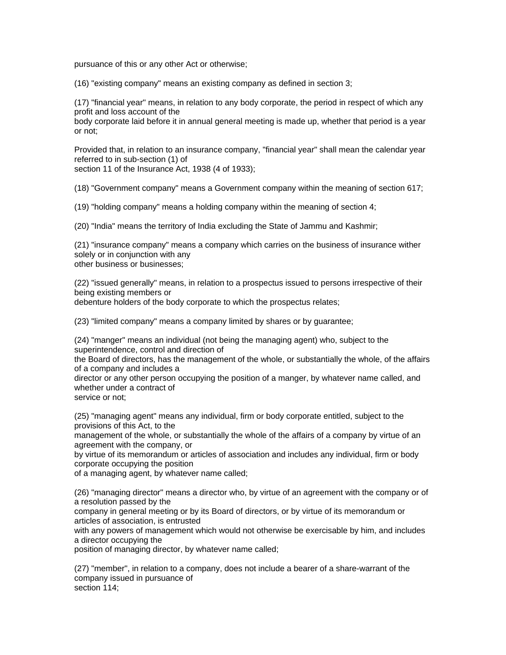pursuance of this or any other Act or otherwise;

(16) "existing company" means an existing company as defined in section 3;

(17) "financial year" means, in relation to any body corporate, the period in respect of which any profit and loss account of the

body corporate laid before it in annual general meeting is made up, whether that period is a year or not;

Provided that, in relation to an insurance company, "financial year" shall mean the calendar year referred to in sub-section (1) of

section 11 of the Insurance Act, 1938 (4 of 1933);

(18) "Government company" means a Government company within the meaning of section 617;

(19) "holding company" means a holding company within the meaning of section 4;

(20) "India" means the territory of India excluding the State of Jammu and Kashmir;

(21) "insurance company" means a company which carries on the business of insurance wither solely or in conjunction with any other business or businesses;

(22) "issued generally" means, in relation to a prospectus issued to persons irrespective of their being existing members or

debenture holders of the body corporate to which the prospectus relates;

(23) "limited company" means a company limited by shares or by guarantee;

(24) "manger" means an individual (not being the managing agent) who, subject to the superintendence, control and direction of

the Board of directors, has the management of the whole, or substantially the whole, of the affairs of a company and includes a

director or any other person occupying the position of a manger, by whatever name called, and whether under a contract of

service or not;

(25) "managing agent" means any individual, firm or body corporate entitled, subject to the provisions of this Act, to the

management of the whole, or substantially the whole of the affairs of a company by virtue of an agreement with the company, or

by virtue of its memorandum or articles of association and includes any individual, firm or body corporate occupying the position

of a managing agent, by whatever name called;

(26) "managing director" means a director who, by virtue of an agreement with the company or of a resolution passed by the

company in general meeting or by its Board of directors, or by virtue of its memorandum or articles of association, is entrusted

with any powers of management which would not otherwise be exercisable by him, and includes a director occupying the

position of managing director, by whatever name called;

(27) "member", in relation to a company, does not include a bearer of a share-warrant of the company issued in pursuance of section 114;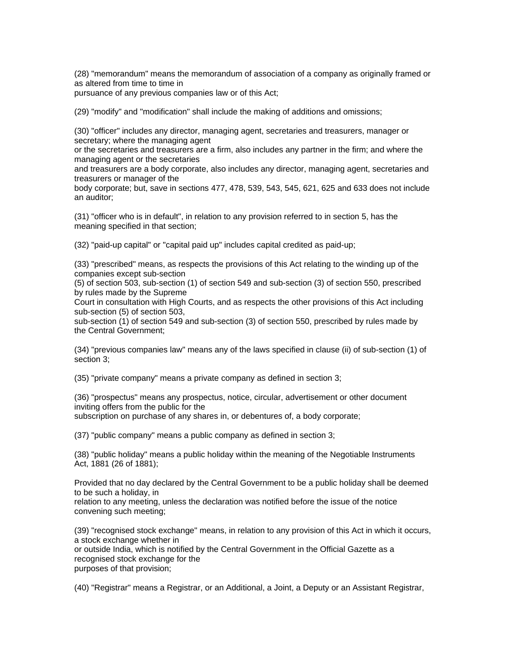(28) "memorandum" means the memorandum of association of a company as originally framed or as altered from time to time in

pursuance of any previous companies law or of this Act;

(29) "modify" and "modification" shall include the making of additions and omissions;

(30) "officer" includes any director, managing agent, secretaries and treasurers, manager or secretary; where the managing agent

or the secretaries and treasurers are a firm, also includes any partner in the firm; and where the managing agent or the secretaries

and treasurers are a body corporate, also includes any director, managing agent, secretaries and treasurers or manager of the

body corporate; but, save in sections 477, 478, 539, 543, 545, 621, 625 and 633 does not include an auditor;

(31) "officer who is in default", in relation to any provision referred to in section 5, has the meaning specified in that section;

(32) "paid-up capital" or "capital paid up" includes capital credited as paid-up;

(33) "prescribed" means, as respects the provisions of this Act relating to the winding up of the companies except sub-section

(5) of section 503, sub-section (1) of section 549 and sub-section (3) of section 550, prescribed by rules made by the Supreme

Court in consultation with High Courts, and as respects the other provisions of this Act including sub-section (5) of section 503,

sub-section (1) of section 549 and sub-section (3) of section 550, prescribed by rules made by the Central Government;

(34) "previous companies law" means any of the laws specified in clause (ii) of sub-section (1) of section 3;

(35) "private company" means a private company as defined in section 3;

(36) "prospectus" means any prospectus, notice, circular, advertisement or other document inviting offers from the public for the subscription on purchase of any shares in, or debentures of, a body corporate;

(37) "public company" means a public company as defined in section 3;

(38) "public holiday" means a public holiday within the meaning of the Negotiable Instruments Act, 1881 (26 of 1881);

Provided that no day declared by the Central Government to be a public holiday shall be deemed to be such a holiday, in

relation to any meeting, unless the declaration was notified before the issue of the notice convening such meeting;

(39) "recognised stock exchange" means, in relation to any provision of this Act in which it occurs, a stock exchange whether in

or outside India, which is notified by the Central Government in the Official Gazette as a recognised stock exchange for the

purposes of that provision;

(40) "Registrar" means a Registrar, or an Additional, a Joint, a Deputy or an Assistant Registrar,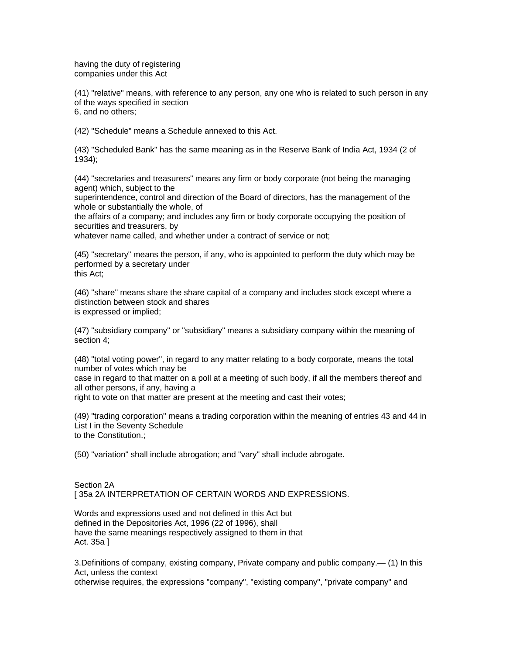having the duty of registering companies under this Act

(41) "relative" means, with reference to any person, any one who is related to such person in any of the ways specified in section 6, and no others;

(42) "Schedule" means a Schedule annexed to this Act.

(43) "Scheduled Bank" has the same meaning as in the Reserve Bank of India Act, 1934 (2 of 1934);

(44) "secretaries and treasurers" means any firm or body corporate (not being the managing agent) which, subject to the

superintendence, control and direction of the Board of directors, has the management of the whole or substantially the whole, of

the affairs of a company; and includes any firm or body corporate occupying the position of securities and treasurers, by

whatever name called, and whether under a contract of service or not;

(45) "secretary" means the person, if any, who is appointed to perform the duty which may be performed by a secretary under this Act;

(46) "share" means share the share capital of a company and includes stock except where a distinction between stock and shares is expressed or implied;

(47) "subsidiary company" or "subsidiary" means a subsidiary company within the meaning of section 4;

(48) "total voting power", in regard to any matter relating to a body corporate, means the total number of votes which may be

case in regard to that matter on a poll at a meeting of such body, if all the members thereof and all other persons, if any, having a

right to vote on that matter are present at the meeting and cast their votes;

(49) "trading corporation" means a trading corporation within the meaning of entries 43 and 44 in List I in the Seventy Schedule to the Constitution.;

(50) "variation" shall include abrogation; and "vary" shall include abrogate.

Section 2A [35a 2A INTERPRETATION OF CERTAIN WORDS AND EXPRESSIONS.

Words and expressions used and not defined in this Act but defined in the Depositories Act, 1996 (22 of 1996), shall have the same meanings respectively assigned to them in that Act. 35a ]

3.Definitions of company, existing company, Private company and public company.— (1) In this Act, unless the context

otherwise requires, the expressions "company", "existing company", "private company" and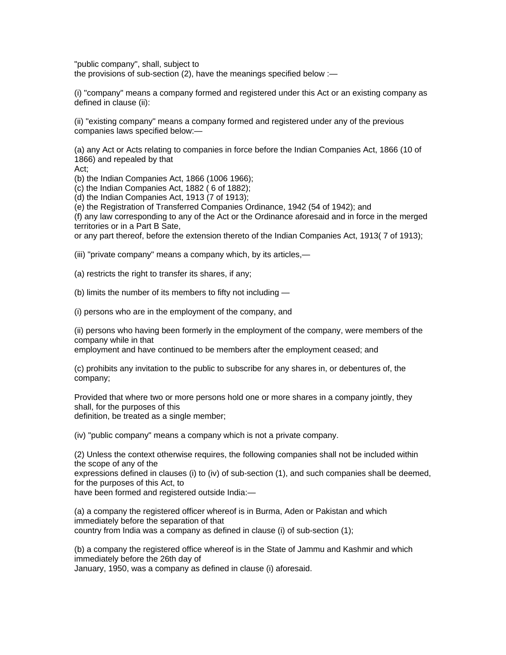"public company", shall, subject to

the provisions of sub-section (2), have the meanings specified below :—

(i) "company" means a company formed and registered under this Act or an existing company as defined in clause (ii):

(ii) "existing company" means a company formed and registered under any of the previous companies laws specified below:—

(a) any Act or Acts relating to companies in force before the Indian Companies Act, 1866 (10 of 1866) and repealed by that

Act;

(b) the Indian Companies Act, 1866 (1006 1966);

(c) the Indian Companies Act, 1882 ( 6 of 1882);

(d) the Indian Companies Act, 1913 (7 of 1913);

(e) the Registration of Transferred Companies Ordinance, 1942 (54 of 1942); and

(f) any law corresponding to any of the Act or the Ordinance aforesaid and in force in the merged territories or in a Part B Sate,

or any part thereof, before the extension thereto of the Indian Companies Act, 1913( 7 of 1913);

(iii) "private company" means a company which, by its articles,—

(a) restricts the right to transfer its shares, if any;

(b) limits the number of its members to fifty not including —

(i) persons who are in the employment of the company, and

(ii) persons who having been formerly in the employment of the company, were members of the company while in that

employment and have continued to be members after the employment ceased; and

(c) prohibits any invitation to the public to subscribe for any shares in, or debentures of, the company;

Provided that where two or more persons hold one or more shares in a company jointly, they shall, for the purposes of this definition, be treated as a single member;

(iv) "public company" means a company which is not a private company.

(2) Unless the context otherwise requires, the following companies shall not be included within the scope of any of the

expressions defined in clauses (i) to (iv) of sub-section (1), and such companies shall be deemed, for the purposes of this Act, to

have been formed and registered outside India:—

(a) a company the registered officer whereof is in Burma, Aden or Pakistan and which immediately before the separation of that country from India was a company as defined in clause (i) of sub-section (1);

(b) a company the registered office whereof is in the State of Jammu and Kashmir and which immediately before the 26th day of

January, 1950, was a company as defined in clause (i) aforesaid.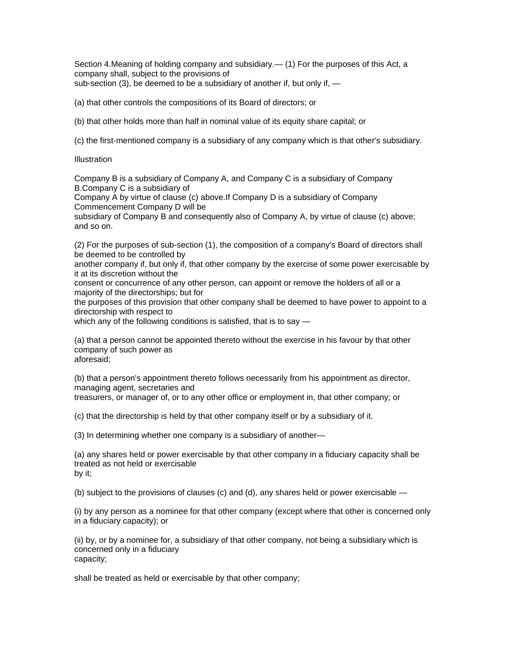Section 4.Meaning of holding company and subsidiary.— (1) For the purposes of this Act, a company shall, subject to the provisions of sub-section (3), be deemed to be a subsidiary of another if, but only if,  $-$ 

(a) that other controls the compositions of its Board of directors; or

(b) that other holds more than half in nominal value of its equity share capital; or

(c) the first-mentioned company is a subsidiary of any company which is that other's subsidiary.

Illustration

Company B is a subsidiary of Company A, and Company C is a subsidiary of Company B.Company C is a subsidiary of

Company A by virtue of clause (c) above.If Company D is a subsidiary of Company Commencement Company D will be

subsidiary of Company B and consequently also of Company A, by virtue of clause (c) above; and so on.

(2) For the purposes of sub-section (1), the composition of a company's Board of directors shall be deemed to be controlled by

another company if, but only if, that other company by the exercise of some power exercisable by it at its discretion without the

consent or concurrence of any other person, can appoint or remove the holders of all or a majority of the directorships; but for

the purposes of this provision that other company shall be deemed to have power to appoint to a directorship with respect to

which any of the following conditions is satisfied, that is to say -

(a) that a person cannot be appointed thereto without the exercise in his favour by that other company of such power as aforesaid;

(b) that a person's appointment thereto follows necessarily from his appointment as director, managing agent, secretaries and treasurers, or manager of, or to any other office or employment in, that other company; or

(c) that the directorship is held by that other company itself or by a subsidiary of it.

(3) In determining whether one company is a subsidiary of another—

(a) any shares held or power exercisable by that other company in a fiduciary capacity shall be treated as not held or exercisable by it;

(b) subject to the provisions of clauses (c) and (d), any shares held or power exercisable —

(i) by any person as a nominee for that other company (except where that other is concerned only in a fiduciary capacity); or

(ii) by, or by a nominee for, a subsidiary of that other company, not being a subsidiary which is concerned only in a fiduciary capacity;

shall be treated as held or exercisable by that other company;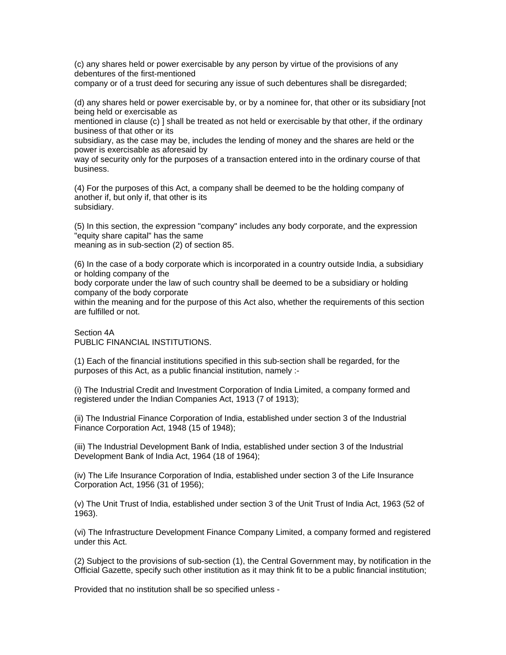(c) any shares held or power exercisable by any person by virtue of the provisions of any debentures of the first-mentioned

company or of a trust deed for securing any issue of such debentures shall be disregarded;

(d) any shares held or power exercisable by, or by a nominee for, that other or its subsidiary [not being held or exercisable as

mentioned in clause (c) ] shall be treated as not held or exercisable by that other, if the ordinary business of that other or its

subsidiary, as the case may be, includes the lending of money and the shares are held or the power is exercisable as aforesaid by

way of security only for the purposes of a transaction entered into in the ordinary course of that business.

(4) For the purposes of this Act, a company shall be deemed to be the holding company of another if, but only if, that other is its subsidiary.

(5) In this section, the expression "company" includes any body corporate, and the expression "equity share capital" has the same

meaning as in sub-section (2) of section 85.

(6) In the case of a body corporate which is incorporated in a country outside India, a subsidiary or holding company of the

body corporate under the law of such country shall be deemed to be a subsidiary or holding company of the body corporate

within the meaning and for the purpose of this Act also, whether the requirements of this section are fulfilled or not.

Section 4A PUBLIC FINANCIAL INSTITUTIONS.

(1) Each of the financial institutions specified in this sub-section shall be regarded, for the purposes of this Act, as a public financial institution, namely :-

(i) The Industrial Credit and Investment Corporation of India Limited, a company formed and registered under the Indian Companies Act, 1913 (7 of 1913);

(ii) The Industrial Finance Corporation of India, established under section 3 of the Industrial Finance Corporation Act, 1948 (15 of 1948);

(iii) The Industrial Development Bank of India, established under section 3 of the Industrial Development Bank of India Act, 1964 (18 of 1964);

(iv) The Life Insurance Corporation of India, established under section 3 of the Life Insurance Corporation Act, 1956 (31 of 1956);

(v) The Unit Trust of India, established under section 3 of the Unit Trust of India Act, 1963 (52 of 1963).

(vi) The Infrastructure Development Finance Company Limited, a company formed and registered under this Act.

(2) Subject to the provisions of sub-section (1), the Central Government may, by notification in the Official Gazette, specify such other institution as it may think fit to be a public financial institution;

Provided that no institution shall be so specified unless -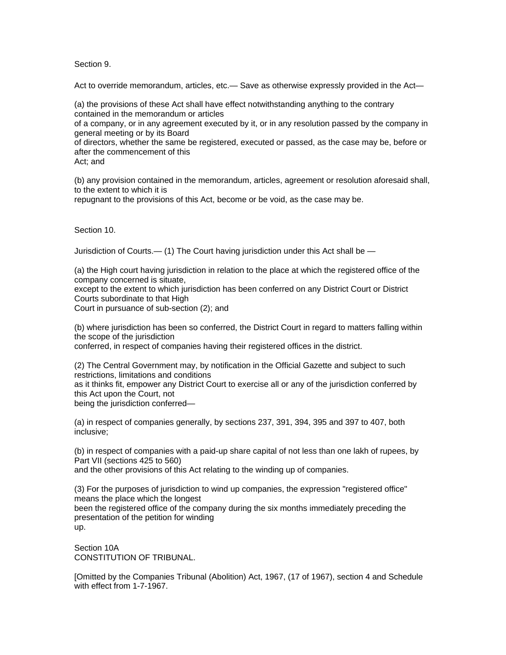Section 9.

Act to override memorandum, articles, etc.— Save as otherwise expressly provided in the Act—

(a) the provisions of these Act shall have effect notwithstanding anything to the contrary contained in the memorandum or articles

of a company, or in any agreement executed by it, or in any resolution passed by the company in general meeting or by its Board

of directors, whether the same be registered, executed or passed, as the case may be, before or after the commencement of this

Act; and

(b) any provision contained in the memorandum, articles, agreement or resolution aforesaid shall, to the extent to which it is

repugnant to the provisions of this Act, become or be void, as the case may be.

Section 10.

Jurisdiction of Courts.— (1) The Court having jurisdiction under this Act shall be —

(a) the High court having jurisdiction in relation to the place at which the registered office of the company concerned is situate,

except to the extent to which jurisdiction has been conferred on any District Court or District Courts subordinate to that High

Court in pursuance of sub-section (2); and

(b) where jurisdiction has been so conferred, the District Court in regard to matters falling within the scope of the jurisdiction

conferred, in respect of companies having their registered offices in the district.

(2) The Central Government may, by notification in the Official Gazette and subject to such restrictions, limitations and conditions

as it thinks fit, empower any District Court to exercise all or any of the jurisdiction conferred by this Act upon the Court, not

being the jurisdiction conferred—

(a) in respect of companies generally, by sections 237, 391, 394, 395 and 397 to 407, both inclusive;

(b) in respect of companies with a paid-up share capital of not less than one lakh of rupees, by Part VII (sections 425 to 560)

and the other provisions of this Act relating to the winding up of companies.

(3) For the purposes of jurisdiction to wind up companies, the expression "registered office" means the place which the longest

been the registered office of the company during the six months immediately preceding the presentation of the petition for winding

up.

Section 10A CONSTITUTION OF TRIBUNAL.

[Omitted by the Companies Tribunal (Abolition) Act, 1967, (17 of 1967), section 4 and Schedule with effect from 1-7-1967.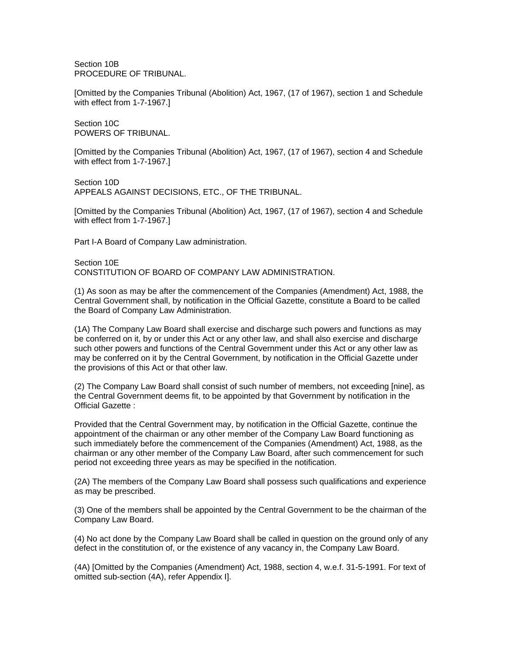Section 10B PROCEDURE OF TRIBUNAL.

[Omitted by the Companies Tribunal (Abolition) Act, 1967, (17 of 1967), section 1 and Schedule with effect from 1-7-1967.]

Section 10C POWERS OF TRIBUNAL.

[Omitted by the Companies Tribunal (Abolition) Act, 1967, (17 of 1967), section 4 and Schedule with effect from 1-7-1967.]

Section 10D APPEALS AGAINST DECISIONS, ETC., OF THE TRIBUNAL.

[Omitted by the Companies Tribunal (Abolition) Act, 1967, (17 of 1967), section 4 and Schedule with effect from 1-7-1967.]

Part I-A Board of Company Law administration.

### Section 10E CONSTITUTION OF BOARD OF COMPANY LAW ADMINISTRATION.

(1) As soon as may be after the commencement of the Companies (Amendment) Act, 1988, the Central Government shall, by notification in the Official Gazette, constitute a Board to be called the Board of Company Law Administration.

(1A) The Company Law Board shall exercise and discharge such powers and functions as may be conferred on it, by or under this Act or any other law, and shall also exercise and discharge such other powers and functions of the Central Government under this Act or any other law as may be conferred on it by the Central Government, by notification in the Official Gazette under the provisions of this Act or that other law.

(2) The Company Law Board shall consist of such number of members, not exceeding [nine], as the Central Government deems fit, to be appointed by that Government by notification in the Official Gazette :

Provided that the Central Government may, by notification in the Official Gazette, continue the appointment of the chairman or any other member of the Company Law Board functioning as such immediately before the commencement of the Companies (Amendment) Act, 1988, as the chairman or any other member of the Company Law Board, after such commencement for such period not exceeding three years as may be specified in the notification.

(2A) The members of the Company Law Board shall possess such qualifications and experience as may be prescribed.

(3) One of the members shall be appointed by the Central Government to be the chairman of the Company Law Board.

(4) No act done by the Company Law Board shall be called in question on the ground only of any defect in the constitution of, or the existence of any vacancy in, the Company Law Board.

(4A) [Omitted by the Companies (Amendment) Act, 1988, section 4, w.e.f. 31-5-1991. For text of omitted sub-section (4A), refer Appendix I].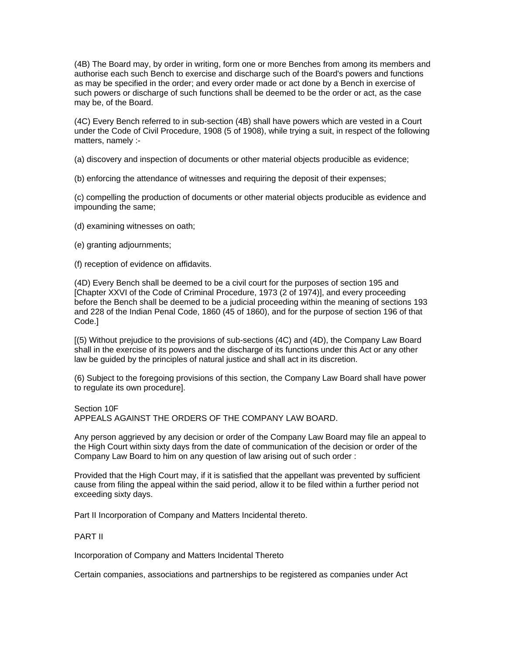(4B) The Board may, by order in writing, form one or more Benches from among its members and authorise each such Bench to exercise and discharge such of the Board's powers and functions as may be specified in the order; and every order made or act done by a Bench in exercise of such powers or discharge of such functions shall be deemed to be the order or act, as the case may be, of the Board.

(4C) Every Bench referred to in sub-section (4B) shall have powers which are vested in a Court under the Code of Civil Procedure, 1908 (5 of 1908), while trying a suit, in respect of the following matters, namely :-

(a) discovery and inspection of documents or other material objects producible as evidence;

(b) enforcing the attendance of witnesses and requiring the deposit of their expenses;

(c) compelling the production of documents or other material objects producible as evidence and impounding the same;

- (d) examining witnesses on oath;
- (e) granting adjournments;
- (f) reception of evidence on affidavits.

(4D) Every Bench shall be deemed to be a civil court for the purposes of section 195 and [Chapter XXVI of the Code of Criminal Procedure, 1973 (2 of 1974)], and every proceeding before the Bench shall be deemed to be a judicial proceeding within the meaning of sections 193 and 228 of the Indian Penal Code, 1860 (45 of 1860), and for the purpose of section 196 of that Code.]

[(5) Without prejudice to the provisions of sub-sections (4C) and (4D), the Company Law Board shall in the exercise of its powers and the discharge of its functions under this Act or any other law be guided by the principles of natural justice and shall act in its discretion.

(6) Subject to the foregoing provisions of this section, the Company Law Board shall have power to regulate its own procedure].

#### Section 10F

APPEALS AGAINST THE ORDERS OF THE COMPANY LAW BOARD.

Any person aggrieved by any decision or order of the Company Law Board may file an appeal to the High Court within sixty days from the date of communication of the decision or order of the Company Law Board to him on any question of law arising out of such order :

Provided that the High Court may, if it is satisfied that the appellant was prevented by sufficient cause from filing the appeal within the said period, allow it to be filed within a further period not exceeding sixty days.

Part II Incorporation of Company and Matters Incidental thereto.

### PART II

Incorporation of Company and Matters Incidental Thereto

Certain companies, associations and partnerships to be registered as companies under Act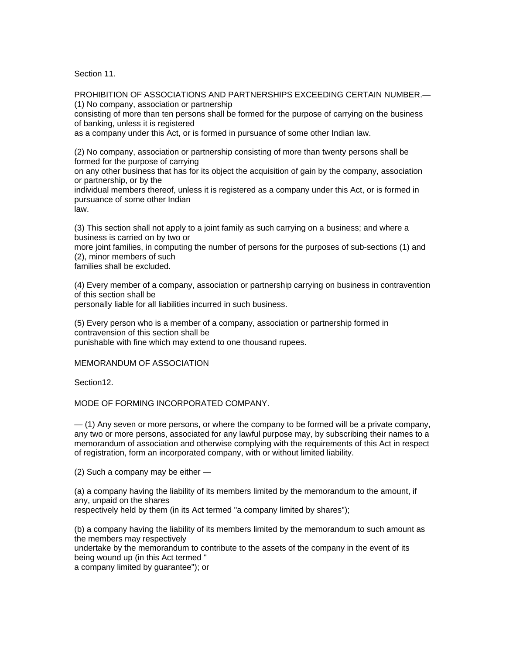Section 11.

PROHIBITION OF ASSOCIATIONS AND PARTNERSHIPS EXCEEDING CERTAIN NUMBER.— (1) No company, association or partnership

consisting of more than ten persons shall be formed for the purpose of carrying on the business of banking, unless it is registered

as a company under this Act, or is formed in pursuance of some other Indian law.

(2) No company, association or partnership consisting of more than twenty persons shall be formed for the purpose of carrying

on any other business that has for its object the acquisition of gain by the company, association or partnership, or by the

individual members thereof, unless it is registered as a company under this Act, or is formed in pursuance of some other Indian

law.

(3) This section shall not apply to a joint family as such carrying on a business; and where a business is carried on by two or

more joint families, in computing the number of persons for the purposes of sub-sections (1) and (2), minor members of such

families shall be excluded.

(4) Every member of a company, association or partnership carrying on business in contravention of this section shall be

personally liable for all liabilities incurred in such business.

(5) Every person who is a member of a company, association or partnership formed in contravension of this section shall be punishable with fine which may extend to one thousand rupees.

### MEMORANDUM OF ASSOCIATION

Section12.

MODE OF FORMING INCORPORATED COMPANY.

 $-$  (1) Any seven or more persons, or where the company to be formed will be a private company, any two or more persons, associated for any lawful purpose may, by subscribing their names to a memorandum of association and otherwise complying with the requirements of this Act in respect of registration, form an incorporated company, with or without limited liability.

(2) Such a company may be either —

(a) a company having the liability of its members limited by the memorandum to the amount, if any, unpaid on the shares respectively held by them (in its Act termed "a company limited by shares");

(b) a company having the liability of its members limited by the memorandum to such amount as the members may respectively

undertake by the memorandum to contribute to the assets of the company in the event of its being wound up (in this Act termed "

a company limited by guarantee"); or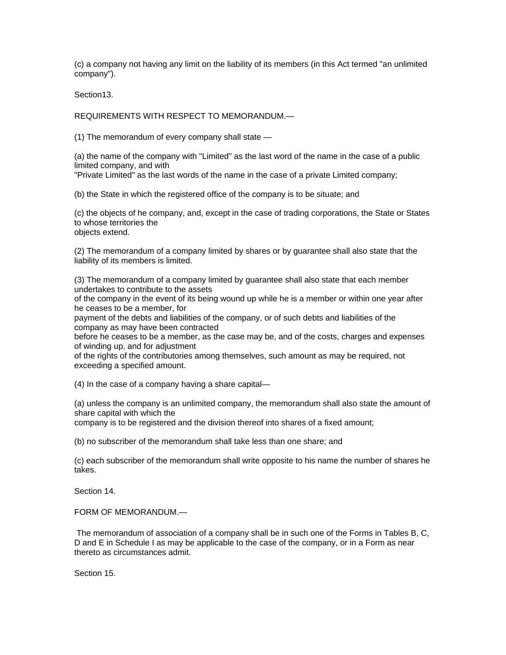(c) a company not having any limit on the liability of its members (in this Act termed "an unlimited company").

Section13.

REQUIREMENTS WITH RESPECT TO MEMORANDUM.—

(1) The memorandum of every company shall state —

(a) the name of the company with "Limited" as the last word of the name in the case of a public limited company, and with

"Private Limited" as the last words of the name in the case of a private Limited company;

(b) the State in which the registered office of the company is to be situate; and

(c) the objects of he company, and, except in the case of trading corporations, the State or States to whose territories the objects extend.

(2) The memorandum of a company limited by shares or by guarantee shall also state that the liability of its members is limited.

(3) The memorandum of a company limited by guarantee shall also state that each member undertakes to contribute to the assets

of the company in the event of its being wound up while he is a member or within one year after he ceases to be a member, for

payment of the debts and liabilities of the company, or of such debts and liabilities of the company as may have been contracted

before he ceases to be a member, as the case may be, and of the costs, charges and expenses of winding up, and for adjustment

of the rights of the contributories among themselves, such amount as may be required, not exceeding a specified amount.

(4) In the case of a company having a share capital—

(a) unless the company is an unlimited company, the memorandum shall also state the amount of share capital with which the

company is to be registered and the division thereof into shares of a fixed amount;

(b) no subscriber of the memorandum shall take less than one share; and

(c) each subscriber of the memorandum shall write opposite to his name the number of shares he takes.

Section 14.

FORM OF MEMORANDUM.—

 The memorandum of association of a company shall be in such one of the Forms in Tables B, C, D and E in Schedule I as may be applicable to the case of the company, or in a Form as near thereto as circumstances admit.

Section 15.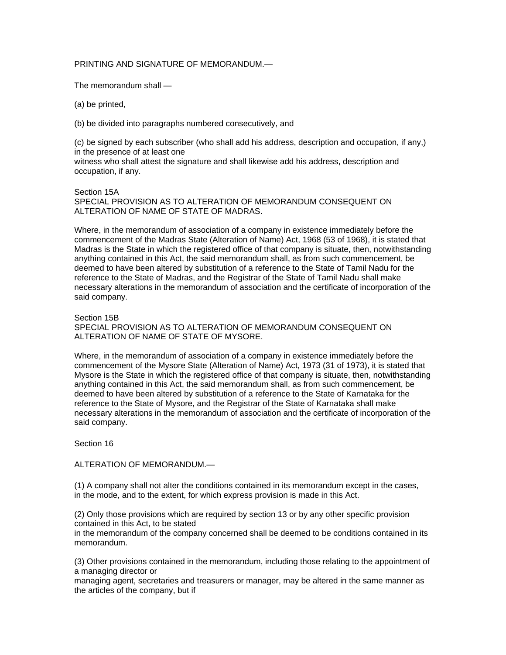# PRINTING AND SIGNATURE OF MEMORANDUM —

The memorandum shall —

(a) be printed,

(b) be divided into paragraphs numbered consecutively, and

(c) be signed by each subscriber (who shall add his address, description and occupation, if any,) in the presence of at least one

witness who shall attest the signature and shall likewise add his address, description and occupation, if any.

Section 15A SPECIAL PROVISION AS TO ALTERATION OF MEMORANDUM CONSEQUENT ON ALTERATION OF NAME OF STATE OF MADRAS.

Where, in the memorandum of association of a company in existence immediately before the commencement of the Madras State (Alteration of Name) Act, 1968 (53 of 1968), it is stated that Madras is the State in which the registered office of that company is situate, then, notwithstanding anything contained in this Act, the said memorandum shall, as from such commencement, be deemed to have been altered by substitution of a reference to the State of Tamil Nadu for the reference to the State of Madras, and the Registrar of the State of Tamil Nadu shall make necessary alterations in the memorandum of association and the certificate of incorporation of the said company.

Section 15B SPECIAL PROVISION AS TO ALTERATION OF MEMORANDUM CONSEQUENT ON ALTERATION OF NAME OF STATE OF MYSORE.

Where, in the memorandum of association of a company in existence immediately before the commencement of the Mysore State (Alteration of Name) Act, 1973 (31 of 1973), it is stated that Mysore is the State in which the registered office of that company is situate, then, notwithstanding anything contained in this Act, the said memorandum shall, as from such commencement, be deemed to have been altered by substitution of a reference to the State of Karnataka for the reference to the State of Mysore, and the Registrar of the State of Karnataka shall make necessary alterations in the memorandum of association and the certificate of incorporation of the said company.

Section 16

ALTERATION OF MEMORANDUM.—

(1) A company shall not alter the conditions contained in its memorandum except in the cases, in the mode, and to the extent, for which express provision is made in this Act.

(2) Only those provisions which are required by section 13 or by any other specific provision contained in this Act, to be stated

in the memorandum of the company concerned shall be deemed to be conditions contained in its memorandum.

(3) Other provisions contained in the memorandum, including those relating to the appointment of a managing director or

managing agent, secretaries and treasurers or manager, may be altered in the same manner as the articles of the company, but if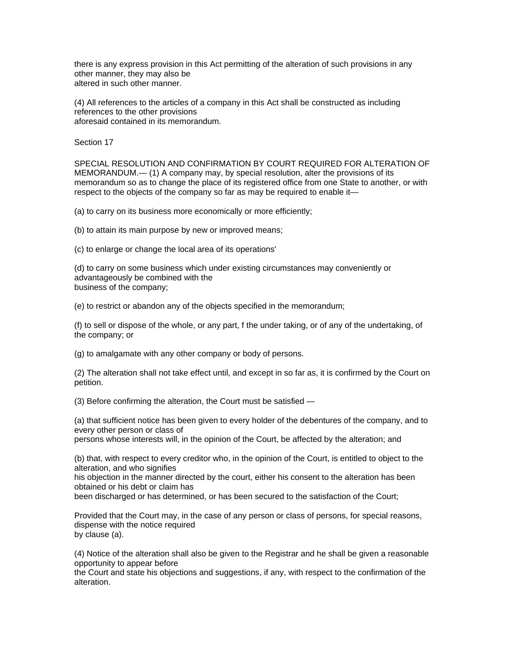there is any express provision in this Act permitting of the alteration of such provisions in any other manner, they may also be altered in such other manner.

(4) All references to the articles of a company in this Act shall be constructed as including references to the other provisions aforesaid contained in its memorandum.

Section 17

SPECIAL RESOLUTION AND CONFIRMATION BY COURT REQUIRED FOR ALTERATION OF MEMORANDUM.— (1) A company may, by special resolution, alter the provisions of its memorandum so as to change the place of its registered office from one State to another, or with respect to the objects of the company so far as may be required to enable it—

(a) to carry on its business more economically or more efficiently;

(b) to attain its main purpose by new or improved means;

(c) to enlarge or change the local area of its operations'

(d) to carry on some business which under existing circumstances may conveniently or advantageously be combined with the business of the company;

(e) to restrict or abandon any of the objects specified in the memorandum;

(f) to sell or dispose of the whole, or any part, f the under taking, or of any of the undertaking, of the company; or

(g) to amalgamate with any other company or body of persons.

(2) The alteration shall not take effect until, and except in so far as, it is confirmed by the Court on petition.

(3) Before confirming the alteration, the Court must be satisfied —

(a) that sufficient notice has been given to every holder of the debentures of the company, and to every other person or class of

persons whose interests will, in the opinion of the Court, be affected by the alteration; and

(b) that, with respect to every creditor who, in the opinion of the Court, is entitled to object to the alteration, and who signifies

his objection in the manner directed by the court, either his consent to the alteration has been obtained or his debt or claim has

been discharged or has determined, or has been secured to the satisfaction of the Court;

Provided that the Court may, in the case of any person or class of persons, for special reasons, dispense with the notice required by clause (a).

(4) Notice of the alteration shall also be given to the Registrar and he shall be given a reasonable opportunity to appear before

the Court and state his objections and suggestions, if any, with respect to the confirmation of the alteration.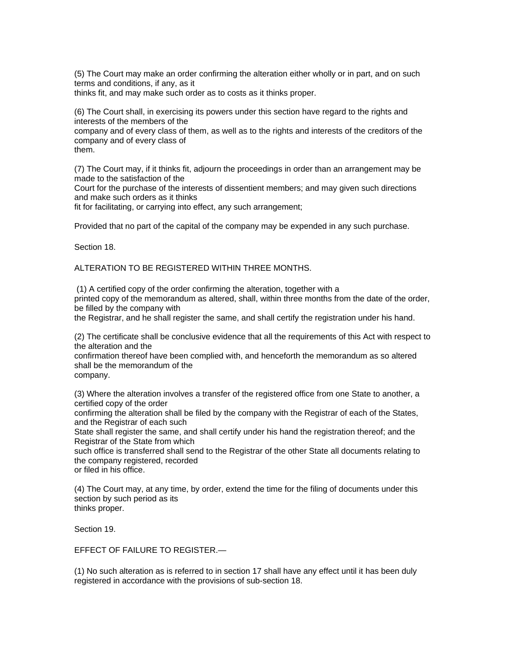(5) The Court may make an order confirming the alteration either wholly or in part, and on such terms and conditions, if any, as it

thinks fit, and may make such order as to costs as it thinks proper.

(6) The Court shall, in exercising its powers under this section have regard to the rights and interests of the members of the

company and of every class of them, as well as to the rights and interests of the creditors of the company and of every class of them.

(7) The Court may, if it thinks fit, adjourn the proceedings in order than an arrangement may be made to the satisfaction of the

Court for the purchase of the interests of dissentient members; and may given such directions and make such orders as it thinks

fit for facilitating, or carrying into effect, any such arrangement;

Provided that no part of the capital of the company may be expended in any such purchase.

Section 18.

ALTERATION TO BE REGISTERED WITHIN THREE MONTHS.

(1) A certified copy of the order confirming the alteration, together with a

printed copy of the memorandum as altered, shall, within three months from the date of the order, be filled by the company with

the Registrar, and he shall register the same, and shall certify the registration under his hand.

(2) The certificate shall be conclusive evidence that all the requirements of this Act with respect to the alteration and the

confirmation thereof have been complied with, and henceforth the memorandum as so altered shall be the memorandum of the

company.

(3) Where the alteration involves a transfer of the registered office from one State to another, a certified copy of the order

confirming the alteration shall be filed by the company with the Registrar of each of the States, and the Registrar of each such

State shall register the same, and shall certify under his hand the registration thereof; and the Registrar of the State from which

such office is transferred shall send to the Registrar of the other State all documents relating to the company registered, recorded

or filed in his office.

(4) The Court may, at any time, by order, extend the time for the filing of documents under this section by such period as its thinks proper.

Section 19.

EFFECT OF FAILURE TO REGISTER.—

(1) No such alteration as is referred to in section 17 shall have any effect until it has been duly registered in accordance with the provisions of sub-section 18.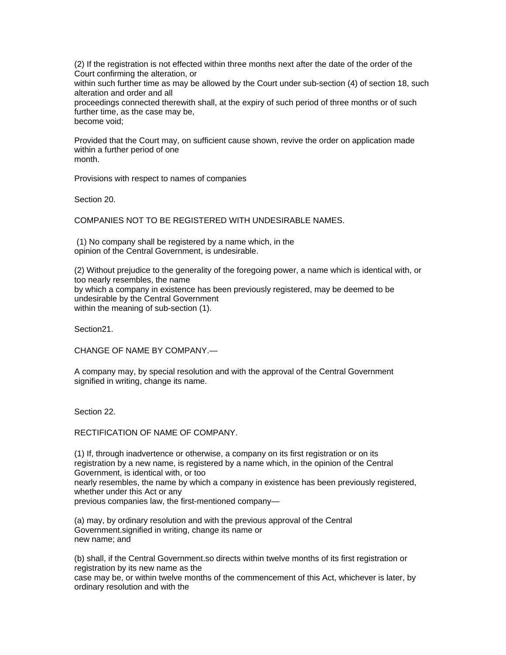(2) If the registration is not effected within three months next after the date of the order of the Court confirming the alteration, or

within such further time as may be allowed by the Court under sub-section (4) of section 18, such alteration and order and all

proceedings connected therewith shall, at the expiry of such period of three months or of such further time, as the case may be, become void;

Provided that the Court may, on sufficient cause shown, revive the order on application made within a further period of one month.

Provisions with respect to names of companies

Section 20.

COMPANIES NOT TO BE REGISTERED WITH UNDESIRABLE NAMES.

 (1) No company shall be registered by a name which, in the opinion of the Central Government, is undesirable.

(2) Without prejudice to the generality of the foregoing power, a name which is identical with, or too nearly resembles, the name by which a company in existence has been previously registered, may be deemed to be undesirable by the Central Government within the meaning of sub-section (1).

Section21.

CHANGE OF NAME BY COMPANY.—

A company may, by special resolution and with the approval of the Central Government signified in writing, change its name.

Section 22.

RECTIFICATION OF NAME OF COMPANY.

(1) If, through inadvertence or otherwise, a company on its first registration or on its registration by a new name, is registered by a name which, in the opinion of the Central Government, is identical with, or too nearly resembles, the name by which a company in existence has been previously registered,

whether under this Act or any

previous companies law, the first-mentioned company—

(a) may, by ordinary resolution and with the previous approval of the Central Government.signified in writing, change its name or new name; and

(b) shall, if the Central Government.so directs within twelve months of its first registration or registration by its new name as the

case may be, or within twelve months of the commencement of this Act, whichever is later, by ordinary resolution and with the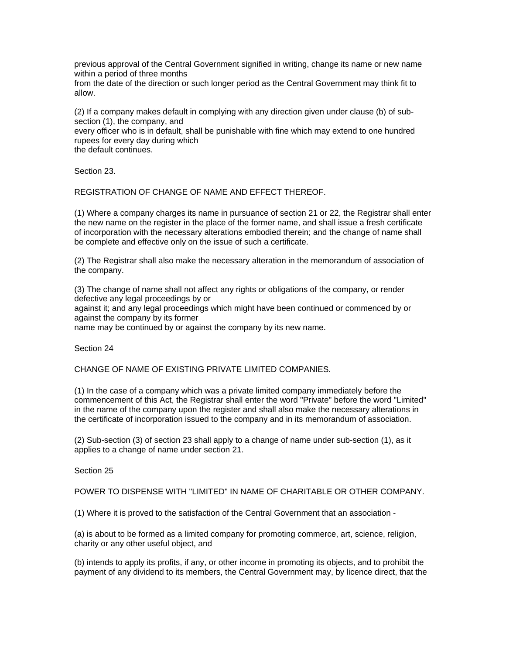previous approval of the Central Government signified in writing, change its name or new name within a period of three months

from the date of the direction or such longer period as the Central Government may think fit to allow.

(2) If a company makes default in complying with any direction given under clause (b) of subsection (1), the company, and

every officer who is in default, shall be punishable with fine which may extend to one hundred rupees for every day during which

the default continues.

Section 23.

REGISTRATION OF CHANGE OF NAME AND EFFECT THEREOF.

(1) Where a company charges its name in pursuance of section 21 or 22, the Registrar shall enter the new name on the register in the place of the former name, and shall issue a fresh certificate of incorporation with the necessary alterations embodied therein; and the change of name shall be complete and effective only on the issue of such a certificate.

(2) The Registrar shall also make the necessary alteration in the memorandum of association of the company.

(3) The change of name shall not affect any rights or obligations of the company, or render defective any legal proceedings by or

against it; and any legal proceedings which might have been continued or commenced by or against the company by its former

name may be continued by or against the company by its new name.

Section 24

CHANGE OF NAME OF EXISTING PRIVATE LIMITED COMPANIES.

(1) In the case of a company which was a private limited company immediately before the commencement of this Act, the Registrar shall enter the word "Private" before the word "Limited" in the name of the company upon the register and shall also make the necessary alterations in the certificate of incorporation issued to the company and in its memorandum of association.

(2) Sub-section (3) of section 23 shall apply to a change of name under sub-section (1), as it applies to a change of name under section 21.

Section 25

POWER TO DISPENSE WITH "LIMITED" IN NAME OF CHARITABLE OR OTHER COMPANY.

(1) Where it is proved to the satisfaction of the Central Government that an association -

(a) is about to be formed as a limited company for promoting commerce, art, science, religion, charity or any other useful object, and

(b) intends to apply its profits, if any, or other income in promoting its objects, and to prohibit the payment of any dividend to its members, the Central Government may, by licence direct, that the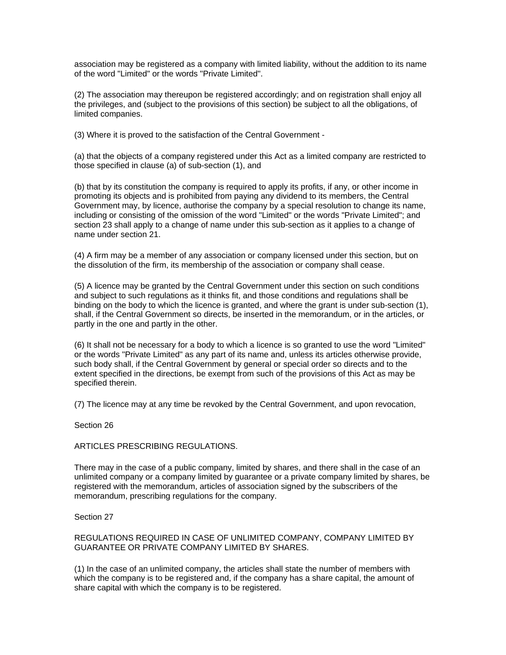association may be registered as a company with limited liability, without the addition to its name of the word "Limited" or the words "Private Limited".

(2) The association may thereupon be registered accordingly; and on registration shall enjoy all the privileges, and (subject to the provisions of this section) be subject to all the obligations, of limited companies.

(3) Where it is proved to the satisfaction of the Central Government -

(a) that the objects of a company registered under this Act as a limited company are restricted to those specified in clause (a) of sub-section (1), and

(b) that by its constitution the company is required to apply its profits, if any, or other income in promoting its objects and is prohibited from paying any dividend to its members, the Central Government may, by licence, authorise the company by a special resolution to change its name, including or consisting of the omission of the word "Limited" or the words "Private Limited"; and section 23 shall apply to a change of name under this sub-section as it applies to a change of name under section 21.

(4) A firm may be a member of any association or company licensed under this section, but on the dissolution of the firm, its membership of the association or company shall cease.

(5) A licence may be granted by the Central Government under this section on such conditions and subject to such regulations as it thinks fit, and those conditions and regulations shall be binding on the body to which the licence is granted, and where the grant is under sub-section (1), shall, if the Central Government so directs, be inserted in the memorandum, or in the articles, or partly in the one and partly in the other.

(6) It shall not be necessary for a body to which a licence is so granted to use the word "Limited" or the words "Private Limited" as any part of its name and, unless its articles otherwise provide, such body shall, if the Central Government by general or special order so directs and to the extent specified in the directions, be exempt from such of the provisions of this Act as may be specified therein.

(7) The licence may at any time be revoked by the Central Government, and upon revocation,

Section 26

ARTICLES PRESCRIBING REGULATIONS.

There may in the case of a public company, limited by shares, and there shall in the case of an unlimited company or a company limited by guarantee or a private company limited by shares, be registered with the memorandum, articles of association signed by the subscribers of the memorandum, prescribing regulations for the company.

Section 27

# REGULATIONS REQUIRED IN CASE OF UNLIMITED COMPANY, COMPANY LIMITED BY GUARANTEE OR PRIVATE COMPANY LIMITED BY SHARES.

(1) In the case of an unlimited company, the articles shall state the number of members with which the company is to be registered and, if the company has a share capital, the amount of share capital with which the company is to be registered.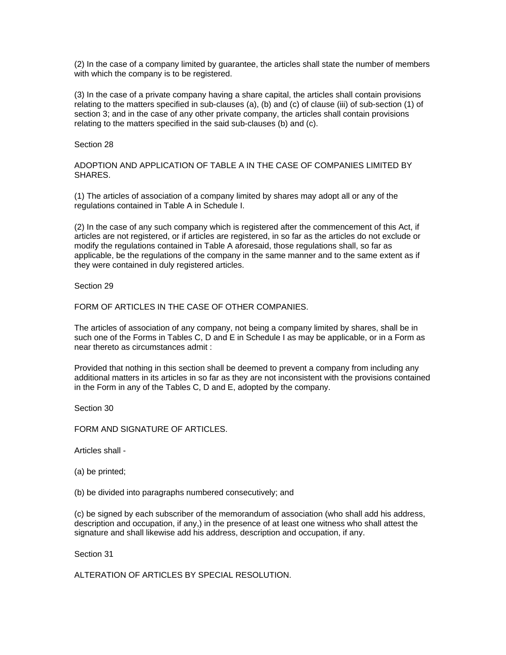(2) In the case of a company limited by guarantee, the articles shall state the number of members with which the company is to be registered.

(3) In the case of a private company having a share capital, the articles shall contain provisions relating to the matters specified in sub-clauses (a), (b) and (c) of clause (iii) of sub-section (1) of section 3; and in the case of any other private company, the articles shall contain provisions relating to the matters specified in the said sub-clauses (b) and (c).

Section 28

ADOPTION AND APPLICATION OF TABLE A IN THE CASE OF COMPANIES LIMITED BY SHARES.

(1) The articles of association of a company limited by shares may adopt all or any of the regulations contained in Table A in Schedule I.

(2) In the case of any such company which is registered after the commencement of this Act, if articles are not registered, or if articles are registered, in so far as the articles do not exclude or modify the regulations contained in Table A aforesaid, those regulations shall, so far as applicable, be the regulations of the company in the same manner and to the same extent as if they were contained in duly registered articles.

Section 29

FORM OF ARTICLES IN THE CASE OF OTHER COMPANIES.

The articles of association of any company, not being a company limited by shares, shall be in such one of the Forms in Tables C, D and E in Schedule I as may be applicable, or in a Form as near thereto as circumstances admit :

Provided that nothing in this section shall be deemed to prevent a company from including any additional matters in its articles in so far as they are not inconsistent with the provisions contained in the Form in any of the Tables C, D and E, adopted by the company.

Section 30

FORM AND SIGNATURE OF ARTICLES.

Articles shall -

(a) be printed;

(b) be divided into paragraphs numbered consecutively; and

(c) be signed by each subscriber of the memorandum of association (who shall add his address, description and occupation, if any,) in the presence of at least one witness who shall attest the signature and shall likewise add his address, description and occupation, if any.

Section 31

ALTERATION OF ARTICLES BY SPECIAL RESOLUTION.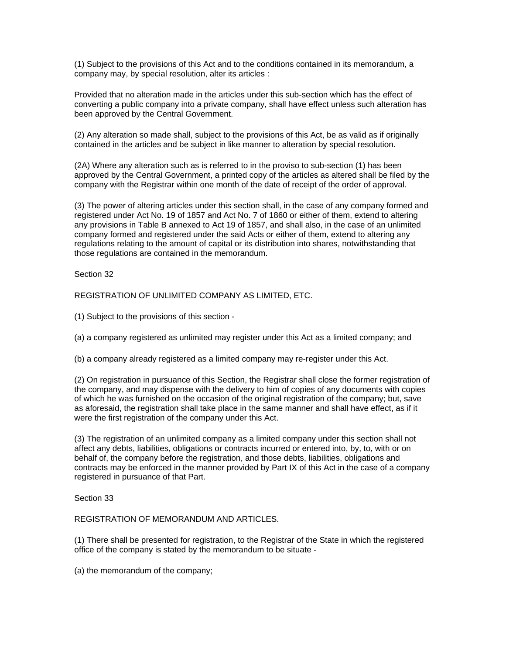(1) Subject to the provisions of this Act and to the conditions contained in its memorandum, a company may, by special resolution, alter its articles :

Provided that no alteration made in the articles under this sub-section which has the effect of converting a public company into a private company, shall have effect unless such alteration has been approved by the Central Government.

(2) Any alteration so made shall, subject to the provisions of this Act, be as valid as if originally contained in the articles and be subject in like manner to alteration by special resolution.

(2A) Where any alteration such as is referred to in the proviso to sub-section (1) has been approved by the Central Government, a printed copy of the articles as altered shall be filed by the company with the Registrar within one month of the date of receipt of the order of approval.

(3) The power of altering articles under this section shall, in the case of any company formed and registered under Act No. 19 of 1857 and Act No. 7 of 1860 or either of them, extend to altering any provisions in Table B annexed to Act 19 of 1857, and shall also, in the case of an unlimited company formed and registered under the said Acts or either of them, extend to altering any regulations relating to the amount of capital or its distribution into shares, notwithstanding that those regulations are contained in the memorandum.

Section 32

REGISTRATION OF UNLIMITED COMPANY AS LIMITED, ETC.

(1) Subject to the provisions of this section -

(a) a company registered as unlimited may register under this Act as a limited company; and

(b) a company already registered as a limited company may re-register under this Act.

(2) On registration in pursuance of this Section, the Registrar shall close the former registration of the company, and may dispense with the delivery to him of copies of any documents with copies of which he was furnished on the occasion of the original registration of the company; but, save as aforesaid, the registration shall take place in the same manner and shall have effect, as if it were the first registration of the company under this Act.

(3) The registration of an unlimited company as a limited company under this section shall not affect any debts, liabilities, obligations or contracts incurred or entered into, by, to, with or on behalf of, the company before the registration, and those debts, liabilities, obligations and contracts may be enforced in the manner provided by Part IX of this Act in the case of a company registered in pursuance of that Part.

Section 33

REGISTRATION OF MEMORANDUM AND ARTICLES.

(1) There shall be presented for registration, to the Registrar of the State in which the registered office of the company is stated by the memorandum to be situate -

(a) the memorandum of the company;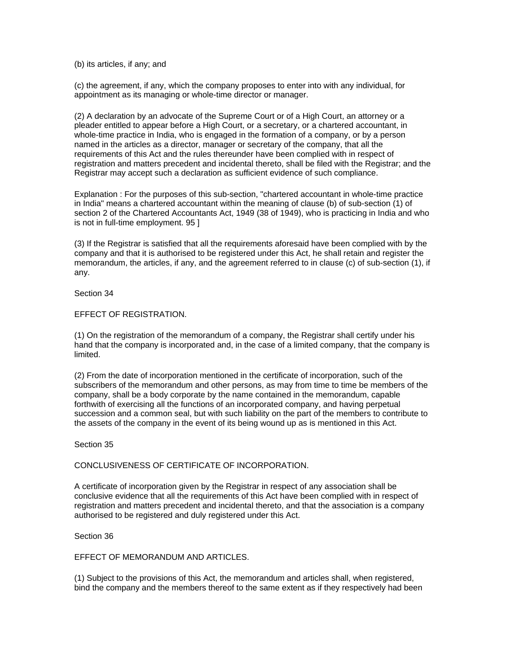(b) its articles, if any; and

(c) the agreement, if any, which the company proposes to enter into with any individual, for appointment as its managing or whole-time director or manager.

(2) A declaration by an advocate of the Supreme Court or of a High Court, an attorney or a pleader entitled to appear before a High Court, or a secretary, or a chartered accountant, in whole-time practice in India, who is engaged in the formation of a company, or by a person named in the articles as a director, manager or secretary of the company, that all the requirements of this Act and the rules thereunder have been complied with in respect of registration and matters precedent and incidental thereto, shall be filed with the Registrar; and the Registrar may accept such a declaration as sufficient evidence of such compliance.

Explanation : For the purposes of this sub-section, "chartered accountant in whole-time practice in India" means a chartered accountant within the meaning of clause (b) of sub-section (1) of section 2 of the Chartered Accountants Act, 1949 (38 of 1949), who is practicing in India and who is not in full-time employment. 95 ]

(3) If the Registrar is satisfied that all the requirements aforesaid have been complied with by the company and that it is authorised to be registered under this Act, he shall retain and register the memorandum, the articles, if any, and the agreement referred to in clause (c) of sub-section (1), if any.

Section 34

EFFECT OF REGISTRATION.

(1) On the registration of the memorandum of a company, the Registrar shall certify under his hand that the company is incorporated and, in the case of a limited company, that the company is limited.

(2) From the date of incorporation mentioned in the certificate of incorporation, such of the subscribers of the memorandum and other persons, as may from time to time be members of the company, shall be a body corporate by the name contained in the memorandum, capable forthwith of exercising all the functions of an incorporated company, and having perpetual succession and a common seal, but with such liability on the part of the members to contribute to the assets of the company in the event of its being wound up as is mentioned in this Act.

Section 35

#### CONCLUSIVENESS OF CERTIFICATE OF INCORPORATION.

A certificate of incorporation given by the Registrar in respect of any association shall be conclusive evidence that all the requirements of this Act have been complied with in respect of registration and matters precedent and incidental thereto, and that the association is a company authorised to be registered and duly registered under this Act.

Section 36

### EFFECT OF MEMORANDUM AND ARTICLES.

(1) Subject to the provisions of this Act, the memorandum and articles shall, when registered, bind the company and the members thereof to the same extent as if they respectively had been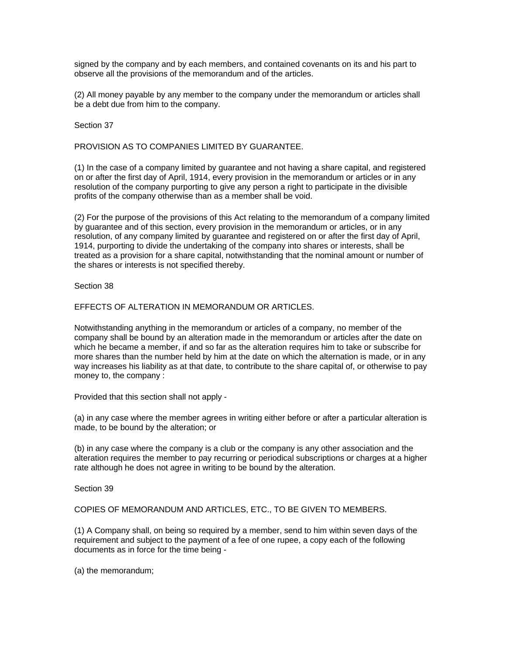signed by the company and by each members, and contained covenants on its and his part to observe all the provisions of the memorandum and of the articles.

(2) All money payable by any member to the company under the memorandum or articles shall be a debt due from him to the company.

#### Section 37

PROVISION AS TO COMPANIES LIMITED BY GUARANTEE.

(1) In the case of a company limited by guarantee and not having a share capital, and registered on or after the first day of April, 1914, every provision in the memorandum or articles or in any resolution of the company purporting to give any person a right to participate in the divisible profits of the company otherwise than as a member shall be void.

(2) For the purpose of the provisions of this Act relating to the memorandum of a company limited by guarantee and of this section, every provision in the memorandum or articles, or in any resolution, of any company limited by guarantee and registered on or after the first day of April, 1914, purporting to divide the undertaking of the company into shares or interests, shall be treated as a provision for a share capital, notwithstanding that the nominal amount or number of the shares or interests is not specified thereby.

Section 38

### EFFECTS OF ALTERATION IN MEMORANDUM OR ARTICLES.

Notwithstanding anything in the memorandum or articles of a company, no member of the company shall be bound by an alteration made in the memorandum or articles after the date on which he became a member, if and so far as the alteration requires him to take or subscribe for more shares than the number held by him at the date on which the alternation is made, or in any way increases his liability as at that date, to contribute to the share capital of, or otherwise to pay money to, the company :

Provided that this section shall not apply -

(a) in any case where the member agrees in writing either before or after a particular alteration is made, to be bound by the alteration; or

(b) in any case where the company is a club or the company is any other association and the alteration requires the member to pay recurring or periodical subscriptions or charges at a higher rate although he does not agree in writing to be bound by the alteration.

Section 39

COPIES OF MEMORANDUM AND ARTICLES, ETC., TO BE GIVEN TO MEMBERS.

(1) A Company shall, on being so required by a member, send to him within seven days of the requirement and subject to the payment of a fee of one rupee, a copy each of the following documents as in force for the time being -

(a) the memorandum;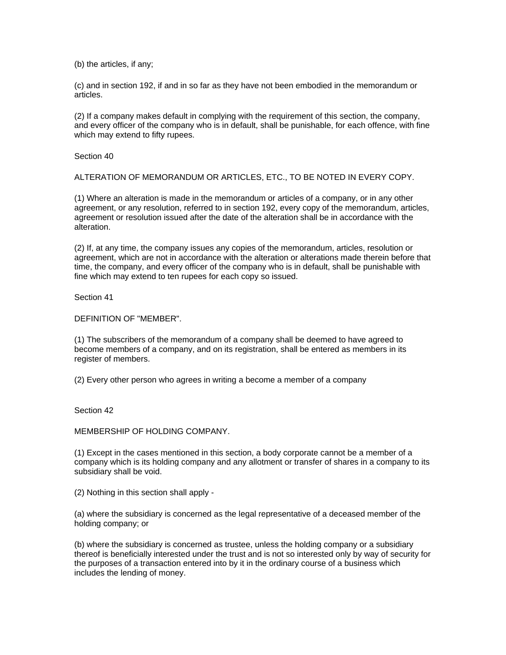(b) the articles, if any;

(c) and in section 192, if and in so far as they have not been embodied in the memorandum or articles.

(2) If a company makes default in complying with the requirement of this section, the company, and every officer of the company who is in default, shall be punishable, for each offence, with fine which may extend to fifty rupees.

Section 40

ALTERATION OF MEMORANDUM OR ARTICLES, ETC., TO BE NOTED IN EVERY COPY.

(1) Where an alteration is made in the memorandum or articles of a company, or in any other agreement, or any resolution, referred to in section 192, every copy of the memorandum, articles, agreement or resolution issued after the date of the alteration shall be in accordance with the alteration.

(2) If, at any time, the company issues any copies of the memorandum, articles, resolution or agreement, which are not in accordance with the alteration or alterations made therein before that time, the company, and every officer of the company who is in default, shall be punishable with fine which may extend to ten rupees for each copy so issued.

Section 41

DEFINITION OF "MEMBER".

(1) The subscribers of the memorandum of a company shall be deemed to have agreed to become members of a company, and on its registration, shall be entered as members in its register of members.

(2) Every other person who agrees in writing a become a member of a company

Section 42

MEMBERSHIP OF HOLDING COMPANY.

(1) Except in the cases mentioned in this section, a body corporate cannot be a member of a company which is its holding company and any allotment or transfer of shares in a company to its subsidiary shall be void.

(2) Nothing in this section shall apply -

(a) where the subsidiary is concerned as the legal representative of a deceased member of the holding company; or

(b) where the subsidiary is concerned as trustee, unless the holding company or a subsidiary thereof is beneficially interested under the trust and is not so interested only by way of security for the purposes of a transaction entered into by it in the ordinary course of a business which includes the lending of money.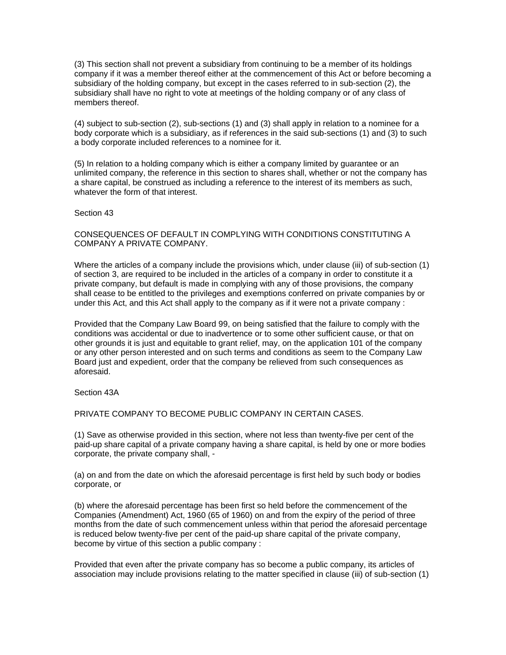(3) This section shall not prevent a subsidiary from continuing to be a member of its holdings company if it was a member thereof either at the commencement of this Act or before becoming a subsidiary of the holding company, but except in the cases referred to in sub-section (2), the subsidiary shall have no right to vote at meetings of the holding company or of any class of members thereof.

(4) subject to sub-section (2), sub-sections (1) and (3) shall apply in relation to a nominee for a body corporate which is a subsidiary, as if references in the said sub-sections (1) and (3) to such a body corporate included references to a nominee for it.

(5) In relation to a holding company which is either a company limited by guarantee or an unlimited company, the reference in this section to shares shall, whether or not the company has a share capital, be construed as including a reference to the interest of its members as such, whatever the form of that interest.

Section 43

# CONSEQUENCES OF DEFAULT IN COMPLYING WITH CONDITIONS CONSTITUTING A COMPANY A PRIVATE COMPANY.

Where the articles of a company include the provisions which, under clause (iii) of sub-section (1) of section 3, are required to be included in the articles of a company in order to constitute it a private company, but default is made in complying with any of those provisions, the company shall cease to be entitled to the privileges and exemptions conferred on private companies by or under this Act, and this Act shall apply to the company as if it were not a private company :

Provided that the Company Law Board 99, on being satisfied that the failure to comply with the conditions was accidental or due to inadvertence or to some other sufficient cause, or that on other grounds it is just and equitable to grant relief, may, on the application 101 of the company or any other person interested and on such terms and conditions as seem to the Company Law Board just and expedient, order that the company be relieved from such consequences as aforesaid.

Section 43A

# PRIVATE COMPANY TO BECOME PUBLIC COMPANY IN CERTAIN CASES.

(1) Save as otherwise provided in this section, where not less than twenty-five per cent of the paid-up share capital of a private company having a share capital, is held by one or more bodies corporate, the private company shall, -

(a) on and from the date on which the aforesaid percentage is first held by such body or bodies corporate, or

(b) where the aforesaid percentage has been first so held before the commencement of the Companies (Amendment) Act, 1960 (65 of 1960) on and from the expiry of the period of three months from the date of such commencement unless within that period the aforesaid percentage is reduced below twenty-five per cent of the paid-up share capital of the private company, become by virtue of this section a public company :

Provided that even after the private company has so become a public company, its articles of association may include provisions relating to the matter specified in clause (iii) of sub-section (1)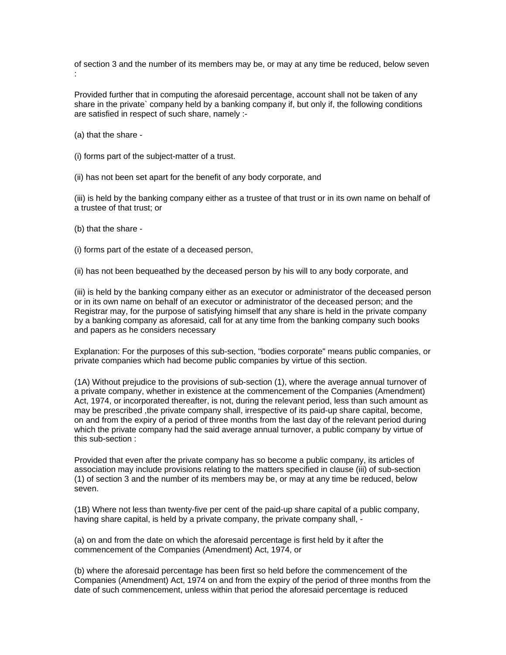of section 3 and the number of its members may be, or may at any time be reduced, below seven :

Provided further that in computing the aforesaid percentage, account shall not be taken of any share in the private` company held by a banking company if, but only if, the following conditions are satisfied in respect of such share, namely :-

(a) that the share -

- (i) forms part of the subject-matter of a trust.
- (ii) has not been set apart for the benefit of any body corporate, and

(iii) is held by the banking company either as a trustee of that trust or in its own name on behalf of a trustee of that trust; or

- (b) that the share -
- (i) forms part of the estate of a deceased person,

(ii) has not been bequeathed by the deceased person by his will to any body corporate, and

(iii) is held by the banking company either as an executor or administrator of the deceased person or in its own name on behalf of an executor or administrator of the deceased person; and the Registrar may, for the purpose of satisfying himself that any share is held in the private company by a banking company as aforesaid, call for at any time from the banking company such books and papers as he considers necessary

Explanation: For the purposes of this sub-section, "bodies corporate" means public companies, or private companies which had become public companies by virtue of this section.

(1A) Without prejudice to the provisions of sub-section (1), where the average annual turnover of a private company, whether in existence at the commencement of the Companies (Amendment) Act, 1974, or incorporated thereafter, is not, during the relevant period, less than such amount as may be prescribed ,the private company shall, irrespective of its paid-up share capital, become, on and from the expiry of a period of three months from the last day of the relevant period during which the private company had the said average annual turnover, a public company by virtue of this sub-section :

Provided that even after the private company has so become a public company, its articles of association may include provisions relating to the matters specified in clause (iii) of sub-section (1) of section 3 and the number of its members may be, or may at any time be reduced, below seven.

(1B) Where not less than twenty-five per cent of the paid-up share capital of a public company, having share capital, is held by a private company, the private company shall, -

(a) on and from the date on which the aforesaid percentage is first held by it after the commencement of the Companies (Amendment) Act, 1974, or

(b) where the aforesaid percentage has been first so held before the commencement of the Companies (Amendment) Act, 1974 on and from the expiry of the period of three months from the date of such commencement, unless within that period the aforesaid percentage is reduced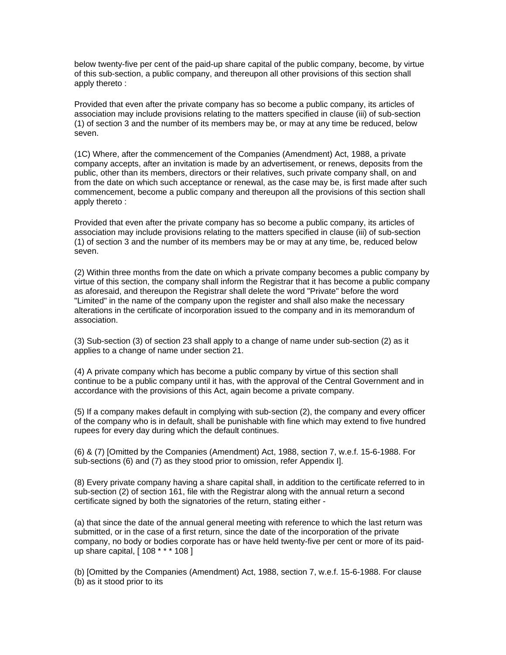below twenty-five per cent of the paid-up share capital of the public company, become, by virtue of this sub-section, a public company, and thereupon all other provisions of this section shall apply thereto :

Provided that even after the private company has so become a public company, its articles of association may include provisions relating to the matters specified in clause (iii) of sub-section (1) of section 3 and the number of its members may be, or may at any time be reduced, below seven.

(1C) Where, after the commencement of the Companies (Amendment) Act, 1988, a private company accepts, after an invitation is made by an advertisement, or renews, deposits from the public, other than its members, directors or their relatives, such private company shall, on and from the date on which such acceptance or renewal, as the case may be, is first made after such commencement, become a public company and thereupon all the provisions of this section shall apply thereto :

Provided that even after the private company has so become a public company, its articles of association may include provisions relating to the matters specified in clause (iii) of sub-section (1) of section 3 and the number of its members may be or may at any time, be, reduced below seven.

(2) Within three months from the date on which a private company becomes a public company by virtue of this section, the company shall inform the Registrar that it has become a public company as aforesaid, and thereupon the Registrar shall delete the word "Private" before the word "Limited" in the name of the company upon the register and shall also make the necessary alterations in the certificate of incorporation issued to the company and in its memorandum of association.

(3) Sub-section (3) of section 23 shall apply to a change of name under sub-section (2) as it applies to a change of name under section 21.

(4) A private company which has become a public company by virtue of this section shall continue to be a public company until it has, with the approval of the Central Government and in accordance with the provisions of this Act, again become a private company.

(5) If a company makes default in complying with sub-section (2), the company and every officer of the company who is in default, shall be punishable with fine which may extend to five hundred rupees for every day during which the default continues.

(6) & (7) [Omitted by the Companies (Amendment) Act, 1988, section 7, w.e.f. 15-6-1988. For sub-sections (6) and (7) as they stood prior to omission, refer Appendix I].

(8) Every private company having a share capital shall, in addition to the certificate referred to in sub-section (2) of section 161, file with the Registrar along with the annual return a second certificate signed by both the signatories of the return, stating either -

(a) that since the date of the annual general meeting with reference to which the last return was submitted, or in the case of a first return, since the date of the incorporation of the private company, no body or bodies corporate has or have held twenty-five per cent or more of its paidup share capital, [ 108 \* \* \* 108 ]

(b) [Omitted by the Companies (Amendment) Act, 1988, section 7, w.e.f. 15-6-1988. For clause (b) as it stood prior to its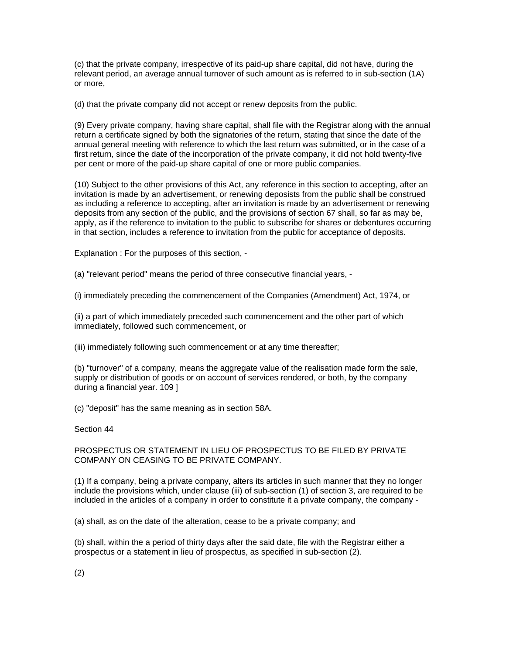(c) that the private company, irrespective of its paid-up share capital, did not have, during the relevant period, an average annual turnover of such amount as is referred to in sub-section (1A) or more,

(d) that the private company did not accept or renew deposits from the public.

(9) Every private company, having share capital, shall file with the Registrar along with the annual return a certificate signed by both the signatories of the return, stating that since the date of the annual general meeting with reference to which the last return was submitted, or in the case of a first return, since the date of the incorporation of the private company, it did not hold twenty-five per cent or more of the paid-up share capital of one or more public companies.

(10) Subject to the other provisions of this Act, any reference in this section to accepting, after an invitation is made by an advertisement, or renewing deposists from the public shall be construed as including a reference to accepting, after an invitation is made by an advertisement or renewing deposits from any section of the public, and the provisions of section 67 shall, so far as may be, apply, as if the reference to invitation to the public to subscribe for shares or debentures occurring in that section, includes a reference to invitation from the public for acceptance of deposits.

Explanation : For the purposes of this section, -

(a) "relevant period" means the period of three consecutive financial years, -

(i) immediately preceding the commencement of the Companies (Amendment) Act, 1974, or

(ii) a part of which immediately preceded such commencement and the other part of which immediately, followed such commencement, or

(iii) immediately following such commencement or at any time thereafter;

(b) "turnover" of a company, means the aggregate value of the realisation made form the sale, supply or distribution of goods or on account of services rendered, or both, by the company during a financial year. 109 ]

(c) "deposit" has the same meaning as in section 58A.

### Section 44

## PROSPECTUS OR STATEMENT IN LIEU OF PROSPECTUS TO BE FILED BY PRIVATE COMPANY ON CEASING TO BE PRIVATE COMPANY.

(1) If a company, being a private company, alters its articles in such manner that they no longer include the provisions which, under clause (iii) of sub-section (1) of section 3, are required to be included in the articles of a company in order to constitute it a private company, the company -

(a) shall, as on the date of the alteration, cease to be a private company; and

(b) shall, within the a period of thirty days after the said date, file with the Registrar either a prospectus or a statement in lieu of prospectus, as specified in sub-section (2).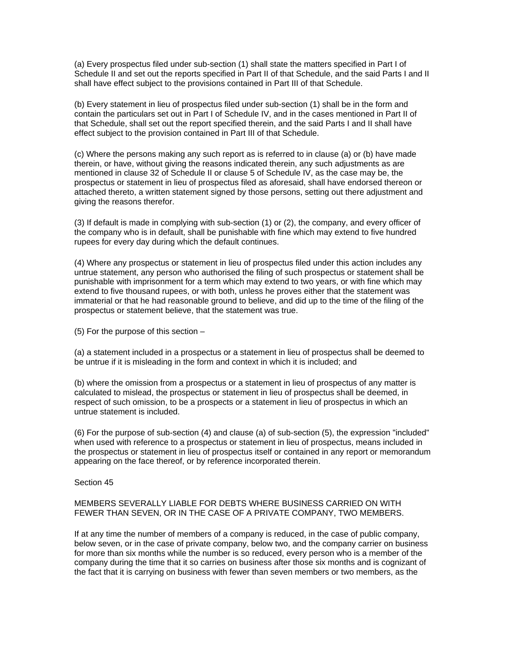(a) Every prospectus filed under sub-section (1) shall state the matters specified in Part I of Schedule II and set out the reports specified in Part II of that Schedule, and the said Parts I and II shall have effect subject to the provisions contained in Part III of that Schedule.

(b) Every statement in lieu of prospectus filed under sub-section (1) shall be in the form and contain the particulars set out in Part I of Schedule IV, and in the cases mentioned in Part II of that Schedule, shall set out the report specified therein, and the said Parts I and II shall have effect subject to the provision contained in Part III of that Schedule.

(c) Where the persons making any such report as is referred to in clause (a) or (b) have made therein, or have, without giving the reasons indicated therein, any such adjustments as are mentioned in clause 32 of Schedule II or clause 5 of Schedule IV, as the case may be, the prospectus or statement in lieu of prospectus filed as aforesaid, shall have endorsed thereon or attached thereto, a written statement signed by those persons, setting out there adjustment and giving the reasons therefor.

(3) If default is made in complying with sub-section (1) or (2), the company, and every officer of the company who is in default, shall be punishable with fine which may extend to five hundred rupees for every day during which the default continues.

(4) Where any prospectus or statement in lieu of prospectus filed under this action includes any untrue statement, any person who authorised the filing of such prospectus or statement shall be punishable with imprisonment for a term which may extend to two years, or with fine which may extend to five thousand rupees, or with both, unless he proves either that the statement was immaterial or that he had reasonable ground to believe, and did up to the time of the filing of the prospectus or statement believe, that the statement was true.

(5) For the purpose of this section –

(a) a statement included in a prospectus or a statement in lieu of prospectus shall be deemed to be untrue if it is misleading in the form and context in which it is included; and

(b) where the omission from a prospectus or a statement in lieu of prospectus of any matter is calculated to mislead, the prospectus or statement in lieu of prospectus shall be deemed, in respect of such omission, to be a prospects or a statement in lieu of prospectus in which an untrue statement is included.

(6) For the purpose of sub-section (4) and clause (a) of sub-section (5), the expression "included" when used with reference to a prospectus or statement in lieu of prospectus, means included in the prospectus or statement in lieu of prospectus itself or contained in any report or memorandum appearing on the face thereof, or by reference incorporated therein.

Section 45

# MEMBERS SEVERALLY LIABLE FOR DEBTS WHERE BUSINESS CARRIED ON WITH FEWER THAN SEVEN, OR IN THE CASE OF A PRIVATE COMPANY, TWO MEMBERS.

If at any time the number of members of a company is reduced, in the case of public company, below seven, or in the case of private company, below two, and the company carrier on business for more than six months while the number is so reduced, every person who is a member of the company during the time that it so carries on business after those six months and is cognizant of the fact that it is carrying on business with fewer than seven members or two members, as the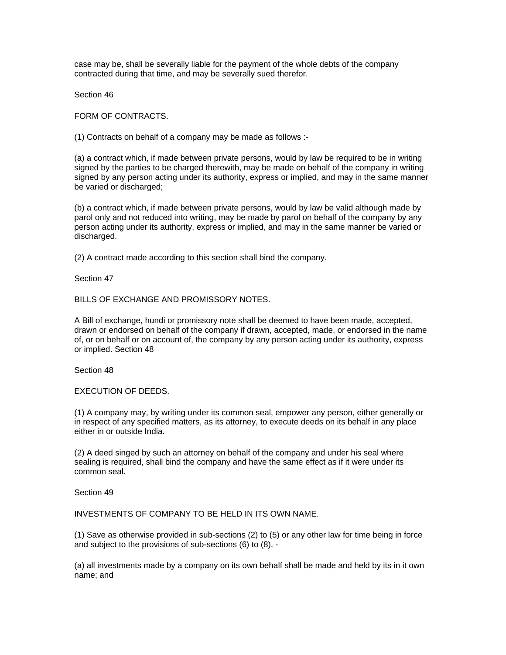case may be, shall be severally liable for the payment of the whole debts of the company contracted during that time, and may be severally sued therefor.

Section 46

FORM OF CONTRACTS.

(1) Contracts on behalf of a company may be made as follows :-

(a) a contract which, if made between private persons, would by law be required to be in writing signed by the parties to be charged therewith, may be made on behalf of the company in writing signed by any person acting under its authority, express or implied, and may in the same manner be varied or discharged;

(b) a contract which, if made between private persons, would by law be valid although made by parol only and not reduced into writing, may be made by parol on behalf of the company by any person acting under its authority, express or implied, and may in the same manner be varied or discharged.

(2) A contract made according to this section shall bind the company.

Section 47

BILLS OF EXCHANGE AND PROMISSORY NOTES.

A Bill of exchange, hundi or promissory note shall be deemed to have been made, accepted, drawn or endorsed on behalf of the company if drawn, accepted, made, or endorsed in the name of, or on behalf or on account of, the company by any person acting under its authority, express or implied. Section 48

Section 48

EXECUTION OF DEEDS.

(1) A company may, by writing under its common seal, empower any person, either generally or in respect of any specified matters, as its attorney, to execute deeds on its behalf in any place either in or outside India.

(2) A deed singed by such an attorney on behalf of the company and under his seal where sealing is required, shall bind the company and have the same effect as if it were under its common seal.

Section 49

INVESTMENTS OF COMPANY TO BE HELD IN ITS OWN NAME.

(1) Save as otherwise provided in sub-sections (2) to (5) or any other law for time being in force and subject to the provisions of sub-sections (6) to (8), -

(a) all investments made by a company on its own behalf shall be made and held by its in it own name; and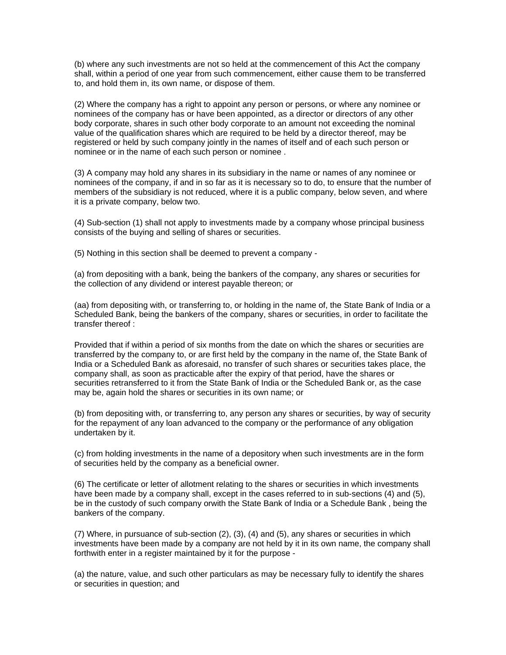(b) where any such investments are not so held at the commencement of this Act the company shall, within a period of one year from such commencement, either cause them to be transferred to, and hold them in, its own name, or dispose of them.

(2) Where the company has a right to appoint any person or persons, or where any nominee or nominees of the company has or have been appointed, as a director or directors of any other body corporate, shares in such other body corporate to an amount not exceeding the nominal value of the qualification shares which are required to be held by a director thereof, may be registered or held by such company jointly in the names of itself and of each such person or nominee or in the name of each such person or nominee .

(3) A company may hold any shares in its subsidiary in the name or names of any nominee or nominees of the company, if and in so far as it is necessary so to do, to ensure that the number of members of the subsidiary is not reduced, where it is a public company, below seven, and where it is a private company, below two.

(4) Sub-section (1) shall not apply to investments made by a company whose principal business consists of the buying and selling of shares or securities.

(5) Nothing in this section shall be deemed to prevent a company -

(a) from depositing with a bank, being the bankers of the company, any shares or securities for the collection of any dividend or interest payable thereon; or

(aa) from depositing with, or transferring to, or holding in the name of, the State Bank of India or a Scheduled Bank, being the bankers of the company, shares or securities, in order to facilitate the transfer thereof :

Provided that if within a period of six months from the date on which the shares or securities are transferred by the company to, or are first held by the company in the name of, the State Bank of India or a Scheduled Bank as aforesaid, no transfer of such shares or securities takes place, the company shall, as soon as practicable after the expiry of that period, have the shares or securities retransferred to it from the State Bank of India or the Scheduled Bank or, as the case may be, again hold the shares or securities in its own name; or

(b) from depositing with, or transferring to, any person any shares or securities, by way of security for the repayment of any loan advanced to the company or the performance of any obligation undertaken by it.

(c) from holding investments in the name of a depository when such investments are in the form of securities held by the company as a beneficial owner.

(6) The certificate or letter of allotment relating to the shares or securities in which investments have been made by a company shall, except in the cases referred to in sub-sections (4) and (5), be in the custody of such company orwith the State Bank of India or a Schedule Bank , being the bankers of the company.

(7) Where, in pursuance of sub-section (2), (3), (4) and (5), any shares or securities in which investments have been made by a company are not held by it in its own name, the company shall forthwith enter in a register maintained by it for the purpose -

(a) the nature, value, and such other particulars as may be necessary fully to identify the shares or securities in question; and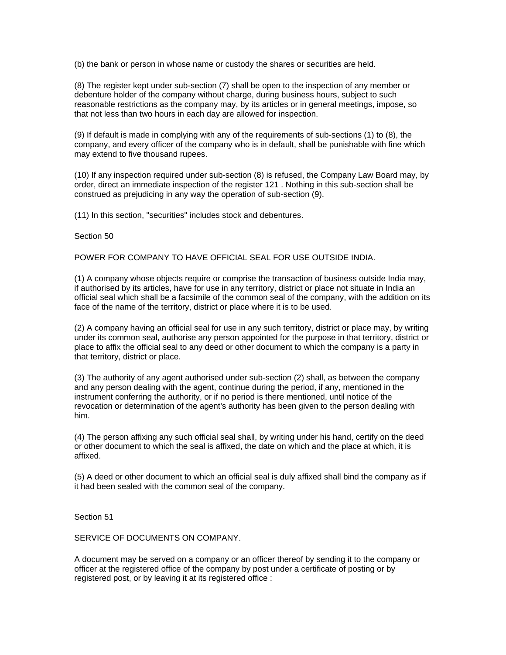(b) the bank or person in whose name or custody the shares or securities are held.

(8) The register kept under sub-section (7) shall be open to the inspection of any member or debenture holder of the company without charge, during business hours, subject to such reasonable restrictions as the company may, by its articles or in general meetings, impose, so that not less than two hours in each day are allowed for inspection.

(9) If default is made in complying with any of the requirements of sub-sections (1) to (8), the company, and every officer of the company who is in default, shall be punishable with fine which may extend to five thousand rupees.

(10) If any inspection required under sub-section (8) is refused, the Company Law Board may, by order, direct an immediate inspection of the register 121 . Nothing in this sub-section shall be construed as prejudicing in any way the operation of sub-section (9).

(11) In this section, "securities" includes stock and debentures.

Section 50

POWER FOR COMPANY TO HAVE OFFICIAL SEAL FOR USE OUTSIDE INDIA.

(1) A company whose objects require or comprise the transaction of business outside India may, if authorised by its articles, have for use in any territory, district or place not situate in India an official seal which shall be a facsimile of the common seal of the company, with the addition on its face of the name of the territory, district or place where it is to be used.

(2) A company having an official seal for use in any such territory, district or place may, by writing under its common seal, authorise any person appointed for the purpose in that territory, district or place to affix the official seal to any deed or other document to which the company is a party in that territory, district or place.

(3) The authority of any agent authorised under sub-section (2) shall, as between the company and any person dealing with the agent, continue during the period, if any, mentioned in the instrument conferring the authority, or if no period is there mentioned, until notice of the revocation or determination of the agent's authority has been given to the person dealing with him.

(4) The person affixing any such official seal shall, by writing under his hand, certify on the deed or other document to which the seal is affixed, the date on which and the place at which, it is affixed.

(5) A deed or other document to which an official seal is duly affixed shall bind the company as if it had been sealed with the common seal of the company.

Section 51

SERVICE OF DOCUMENTS ON COMPANY.

A document may be served on a company or an officer thereof by sending it to the company or officer at the registered office of the company by post under a certificate of posting or by registered post, or by leaving it at its registered office :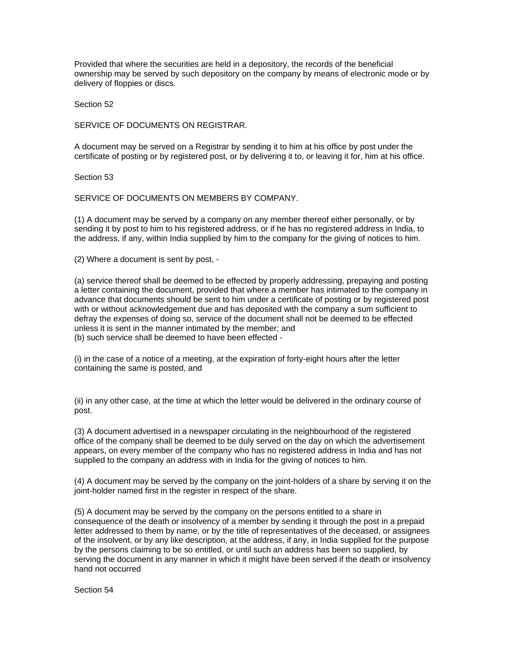Provided that where the securities are held in a depository, the records of the beneficial ownership may be served by such depository on the company by means of electronic mode or by delivery of floppies or discs.

Section 52

SERVICE OF DOCUMENTS ON REGISTRAR.

A document may be served on a Registrar by sending it to him at his office by post under the certificate of posting or by registered post, or by delivering it to, or leaving it for, him at his office.

Section 53

SERVICE OF DOCUMENTS ON MEMBERS BY COMPANY.

(1) A document may be served by a company on any member thereof either personally, or by sending it by post to him to his registered address, or if he has no registered address in India, to the address, if any, within India supplied by him to the company for the giving of notices to him.

(2) Where a document is sent by post, -

(a) service thereof shall be deemed to be effected by properly addressing, prepaying and posting a letter containing the document, provided that where a member has intimated to the company in advance that documents should be sent to him under a certificate of posting or by registered post with or without acknowledgement due and has deposited with the company a sum sufficient to defray the expenses of doing so, service of the document shall not be deemed to be effected unless it is sent in the manner intimated by the member; and (b) such service shall be deemed to have been effected -

(i) in the case of a notice of a meeting, at the expiration of forty-eight hours after the letter containing the same is posted, and

(ii) in any other case, at the time at which the letter would be delivered in the ordinary course of post.

(3) A document advertised in a newspaper circulating in the neighbourhood of the registered office of the company shall be deemed to be duly served on the day on which the advertisement appears, on every member of the company who has no registered address in India and has not supplied to the company an address with in India for the giving of notices to him.

(4) A document may be served by the company on the joint-holders of a share by serving it on the joint-holder named first in the register in respect of the share.

(5) A document may be served by the company on the persons entitled to a share in consequence of the death or insolvency of a member by sending it through the post in a prepaid letter addressed to them by name, or by the title of representatives of the deceased, or assignees of the insolvent, or by any like description, at the address, if any, in India supplied for the purpose by the persons claiming to be so entitled, or until such an address has been so supplied, by serving the document in any manner in which it might have been served if the death or insolvency hand not occurred

Section 54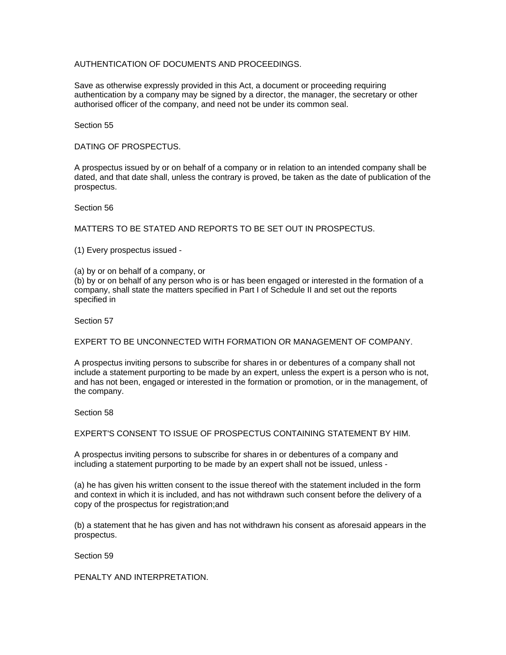# AUTHENTICATION OF DOCUMENTS AND PROCEEDINGS.

Save as otherwise expressly provided in this Act, a document or proceeding requiring authentication by a company may be signed by a director, the manager, the secretary or other authorised officer of the company, and need not be under its common seal.

Section 55

DATING OF PROSPECTUS.

A prospectus issued by or on behalf of a company or in relation to an intended company shall be dated, and that date shall, unless the contrary is proved, be taken as the date of publication of the prospectus.

Section 56

MATTERS TO BE STATED AND REPORTS TO BE SET OUT IN PROSPECTUS.

(1) Every prospectus issued -

(a) by or on behalf of a company, or

(b) by or on behalf of any person who is or has been engaged or interested in the formation of a company, shall state the matters specified in Part I of Schedule II and set out the reports specified in

Section 57

EXPERT TO BE UNCONNECTED WITH FORMATION OR MANAGEMENT OF COMPANY.

A prospectus inviting persons to subscribe for shares in or debentures of a company shall not include a statement purporting to be made by an expert, unless the expert is a person who is not, and has not been, engaged or interested in the formation or promotion, or in the management, of the company.

Section 58

EXPERT'S CONSENT TO ISSUE OF PROSPECTUS CONTAINING STATEMENT BY HIM.

A prospectus inviting persons to subscribe for shares in or debentures of a company and including a statement purporting to be made by an expert shall not be issued, unless -

(a) he has given his written consent to the issue thereof with the statement included in the form and context in which it is included, and has not withdrawn such consent before the delivery of a copy of the prospectus for registration;and

(b) a statement that he has given and has not withdrawn his consent as aforesaid appears in the prospectus.

Section 59

PENALTY AND INTERPRETATION.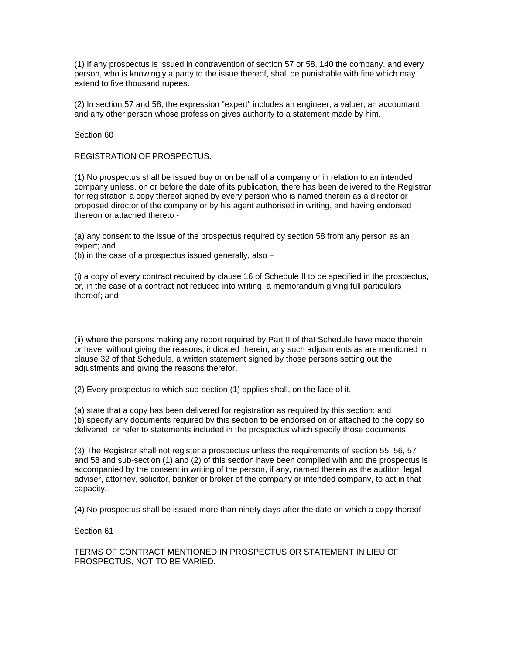(1) If any prospectus is issued in contravention of section 57 or 58, 140 the company, and every person, who is knowingly a party to the issue thereof, shall be punishable with fine which may extend to five thousand rupees.

(2) In section 57 and 58, the expression "expert" includes an engineer, a valuer, an accountant and any other person whose profession gives authority to a statement made by him.

Section 60

REGISTRATION OF PROSPECTUS.

(1) No prospectus shall be issued buy or on behalf of a company or in relation to an intended company unless, on or before the date of its publication, there has been delivered to the Registrar for registration a copy thereof signed by every person who is named therein as a director or proposed director of the company or by his agent authorised in writing, and having endorsed thereon or attached thereto -

(a) any consent to the issue of the prospectus required by section 58 from any person as an expert; and

(b) in the case of a prospectus issued generally, also –

(i) a copy of every contract required by clause 16 of Schedule II to be specified in the prospectus, or, in the case of a contract not reduced into writing, a memorandum giving full particulars thereof; and

(ii) where the persons making any report required by Part II of that Schedule have made therein, or have, without giving the reasons, indicated therein, any such adjustments as are mentioned in clause 32 of that Schedule, a written statement signed by those persons setting out the adjustments and giving the reasons therefor.

(2) Every prospectus to which sub-section (1) applies shall, on the face of it, -

(a) state that a copy has been delivered for registration as required by this section; and (b) specify any documents required by this section to be endorsed on or attached to the copy so delivered, or refer to statements included in the prospectus which specify those documents.

(3) The Registrar shall not register a prospectus unless the requirements of section 55, 56, 57 and 58 and sub-section (1) and (2) of this section have been complied with and the prospectus is accompanied by the consent in writing of the person, if any, named therein as the auditor, legal adviser, attorney, solicitor, banker or broker of the company or intended company, to act in that capacity.

(4) No prospectus shall be issued more than ninety days after the date on which a copy thereof

Section 61

TERMS OF CONTRACT MENTIONED IN PROSPECTUS OR STATEMENT IN LIEU OF PROSPECTUS, NOT TO BE VARIED.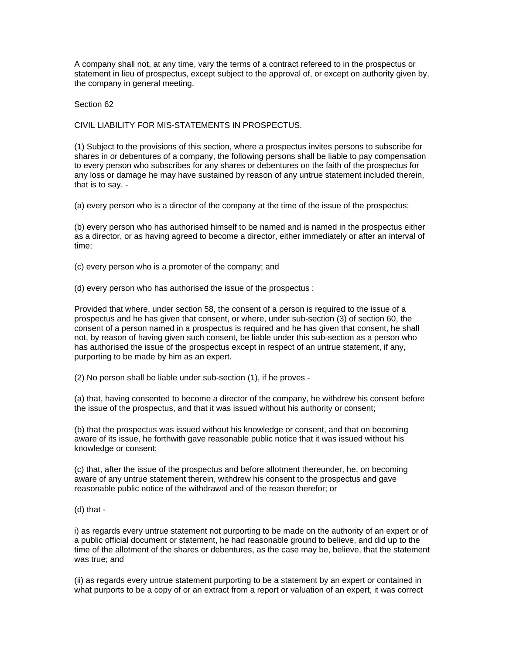A company shall not, at any time, vary the terms of a contract refereed to in the prospectus or statement in lieu of prospectus, except subject to the approval of, or except on authority given by, the company in general meeting.

#### Section 62

CIVIL LIABILITY FOR MIS-STATEMENTS IN PROSPECTUS.

(1) Subject to the provisions of this section, where a prospectus invites persons to subscribe for shares in or debentures of a company, the following persons shall be liable to pay compensation to every person who subscribes for any shares or debentures on the faith of the prospectus for any loss or damage he may have sustained by reason of any untrue statement included therein, that is to say. -

(a) every person who is a director of the company at the time of the issue of the prospectus;

(b) every person who has authorised himself to be named and is named in the prospectus either as a director, or as having agreed to become a director, either immediately or after an interval of time;

(c) every person who is a promoter of the company; and

(d) every person who has authorised the issue of the prospectus :

Provided that where, under section 58, the consent of a person is required to the issue of a prospectus and he has given that consent, or where, under sub-section (3) of section 60, the consent of a person named in a prospectus is required and he has given that consent, he shall not, by reason of having given such consent, be liable under this sub-section as a person who has authorised the issue of the prospectus except in respect of an untrue statement, if any, purporting to be made by him as an expert.

(2) No person shall be liable under sub-section (1), if he proves -

(a) that, having consented to become a director of the company, he withdrew his consent before the issue of the prospectus, and that it was issued without his authority or consent;

(b) that the prospectus was issued without his knowledge or consent, and that on becoming aware of its issue, he forthwith gave reasonable public notice that it was issued without his knowledge or consent;

(c) that, after the issue of the prospectus and before allotment thereunder, he, on becoming aware of any untrue statement therein, withdrew his consent to the prospectus and gave reasonable public notice of the withdrawal and of the reason therefor; or

(d) that -

i) as regards every untrue statement not purporting to be made on the authority of an expert or of a public official document or statement, he had reasonable ground to believe, and did up to the time of the allotment of the shares or debentures, as the case may be, believe, that the statement was true; and

(ii) as regards every untrue statement purporting to be a statement by an expert or contained in what purports to be a copy of or an extract from a report or valuation of an expert, it was correct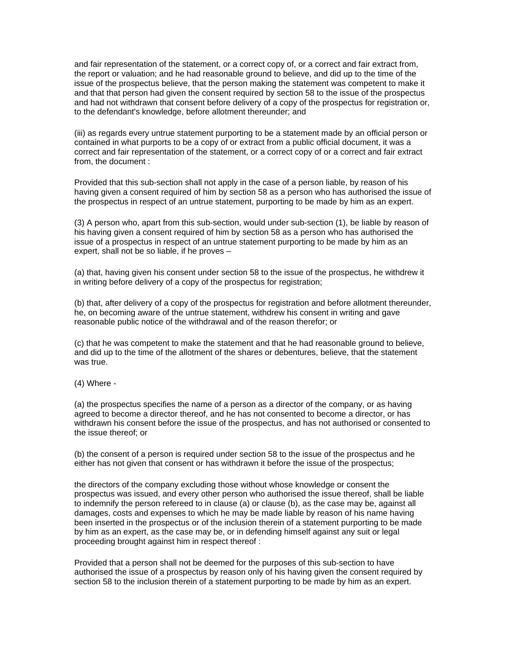and fair representation of the statement, or a correct copy of, or a correct and fair extract from, the report or valuation; and he had reasonable ground to believe, and did up to the time of the issue of the prospectus believe, that the person making the statement was competent to make it and that that person had given the consent required by section 58 to the issue of the prospectus and had not withdrawn that consent before delivery of a copy of the prospectus for registration or, to the defendant's knowledge, before allotment thereunder; and

(iii) as regards every untrue statement purporting to be a statement made by an official person or contained in what purports to be a copy of or extract from a public official document, it was a correct and fair representation of the statement, or a correct copy of or a correct and fair extract from, the document :

Provided that this sub-section shall not apply in the case of a person liable, by reason of his having given a consent required of him by section 58 as a person who has authorised the issue of the prospectus in respect of an untrue statement, purporting to be made by him as an expert.

(3) A person who, apart from this sub-section, would under sub-section (1), be liable by reason of his having given a consent required of him by section 58 as a person who has authorised the issue of a prospectus in respect of an untrue statement purporting to be made by him as an expert, shall not be so liable, if he proves –

(a) that, having given his consent under section 58 to the issue of the prospectus, he withdrew it in writing before delivery of a copy of the prospectus for registration;

(b) that, after delivery of a copy of the prospectus for registration and before allotment thereunder, he, on becoming aware of the untrue statement, withdrew his consent in writing and gave reasonable public notice of the withdrawal and of the reason therefor; or

(c) that he was competent to make the statement and that he had reasonable ground to believe, and did up to the time of the allotment of the shares or debentures, believe, that the statement was true.

(4) Where -

(a) the prospectus specifies the name of a person as a director of the company, or as having agreed to become a director thereof, and he has not consented to become a director, or has withdrawn his consent before the issue of the prospectus, and has not authorised or consented to the issue thereof; or

(b) the consent of a person is required under section 58 to the issue of the prospectus and he either has not given that consent or has withdrawn it before the issue of the prospectus;

the directors of the company excluding those without whose knowledge or consent the prospectus was issued, and every other person who authorised the issue thereof, shall be liable to indemnify the person refereed to in clause (a) or clause (b), as the case may be, against all damages, costs and expenses to which he may be made liable by reason of his name having been inserted in the prospectus or of the inclusion therein of a statement purporting to be made by him as an expert, as the case may be, or in defending himself against any suit or legal proceeding brought against him in respect thereof :

Provided that a person shall not be deemed for the purposes of this sub-section to have authorised the issue of a prospectus by reason only of his having given the consent required by section 58 to the inclusion therein of a statement purporting to be made by him as an expert.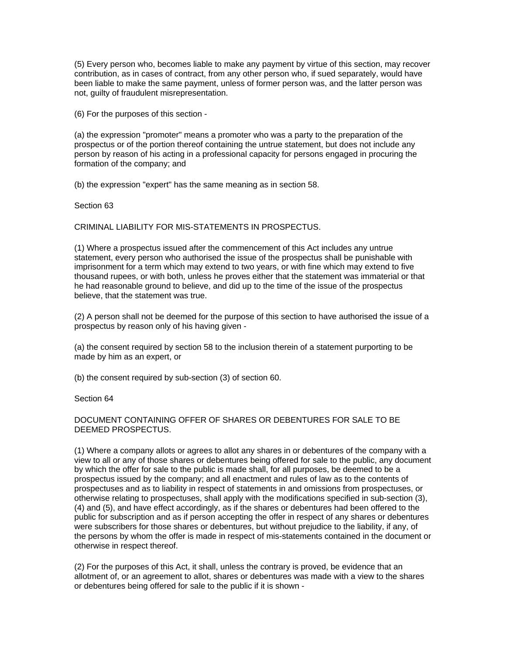(5) Every person who, becomes liable to make any payment by virtue of this section, may recover contribution, as in cases of contract, from any other person who, if sued separately, would have been liable to make the same payment, unless of former person was, and the latter person was not, guilty of fraudulent misrepresentation.

(6) For the purposes of this section -

(a) the expression "promoter" means a promoter who was a party to the preparation of the prospectus or of the portion thereof containing the untrue statement, but does not include any person by reason of his acting in a professional capacity for persons engaged in procuring the formation of the company; and

(b) the expression "expert" has the same meaning as in section 58.

Section 63

CRIMINAL LIABILITY FOR MIS-STATEMENTS IN PROSPECTUS.

(1) Where a prospectus issued after the commencement of this Act includes any untrue statement, every person who authorised the issue of the prospectus shall be punishable with imprisonment for a term which may extend to two years, or with fine which may extend to five thousand rupees, or with both, unless he proves either that the statement was immaterial or that he had reasonable ground to believe, and did up to the time of the issue of the prospectus believe, that the statement was true.

(2) A person shall not be deemed for the purpose of this section to have authorised the issue of a prospectus by reason only of his having given -

(a) the consent required by section 58 to the inclusion therein of a statement purporting to be made by him as an expert, or

(b) the consent required by sub-section (3) of section 60.

Section 64

## DOCUMENT CONTAINING OFFER OF SHARES OR DEBENTURES FOR SALE TO BE DEEMED PROSPECTUS.

(1) Where a company allots or agrees to allot any shares in or debentures of the company with a view to all or any of those shares or debentures being offered for sale to the public, any document by which the offer for sale to the public is made shall, for all purposes, be deemed to be a prospectus issued by the company; and all enactment and rules of law as to the contents of prospectuses and as to liability in respect of statements in and omissions from prospectuses, or otherwise relating to prospectuses, shall apply with the modifications specified in sub-section (3), (4) and (5), and have effect accordingly, as if the shares or debentures had been offered to the public for subscription and as if person accepting the offer in respect of any shares or debentures were subscribers for those shares or debentures, but without prejudice to the liability, if any, of the persons by whom the offer is made in respect of mis-statements contained in the document or otherwise in respect thereof.

(2) For the purposes of this Act, it shall, unless the contrary is proved, be evidence that an allotment of, or an agreement to allot, shares or debentures was made with a view to the shares or debentures being offered for sale to the public if it is shown -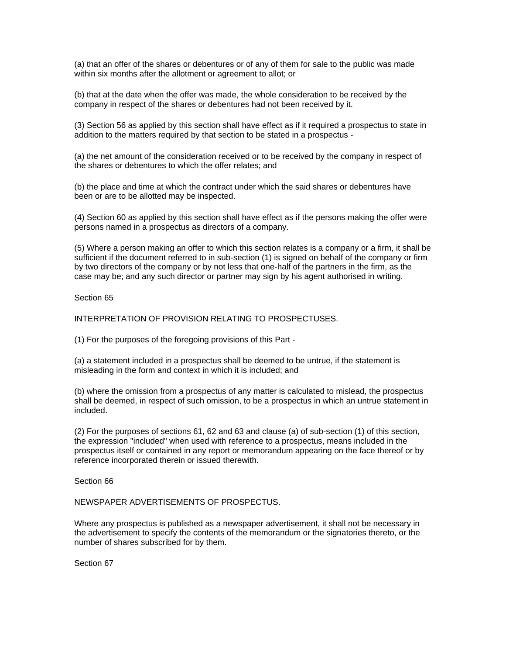(a) that an offer of the shares or debentures or of any of them for sale to the public was made within six months after the allotment or agreement to allot; or

(b) that at the date when the offer was made, the whole consideration to be received by the company in respect of the shares or debentures had not been received by it.

(3) Section 56 as applied by this section shall have effect as if it required a prospectus to state in addition to the matters required by that section to be stated in a prospectus -

(a) the net amount of the consideration received or to be received by the company in respect of the shares or debentures to which the offer relates; and

(b) the place and time at which the contract under which the said shares or debentures have been or are to be allotted may be inspected.

(4) Section 60 as applied by this section shall have effect as if the persons making the offer were persons named in a prospectus as directors of a company.

(5) Where a person making an offer to which this section relates is a company or a firm, it shall be sufficient if the document referred to in sub-section (1) is signed on behalf of the company or firm by two directors of the company or by not less that one-half of the partners in the firm, as the case may be; and any such director or partner may sign by his agent authorised in writing.

Section 65

INTERPRETATION OF PROVISION RELATING TO PROSPECTUSES.

(1) For the purposes of the foregoing provisions of this Part -

(a) a statement included in a prospectus shall be deemed to be untrue, if the statement is misleading in the form and context in which it is included; and

(b) where the omission from a prospectus of any matter is calculated to mislead, the prospectus shall be deemed, in respect of such omission, to be a prospectus in which an untrue statement in included.

(2) For the purposes of sections 61, 62 and 63 and clause (a) of sub-section (1) of this section, the expression "included" when used with reference to a prospectus, means included in the prospectus itself or contained in any report or memorandum appearing on the face thereof or by reference incorporated therein or issued therewith.

Section 66

NEWSPAPER ADVERTISEMENTS OF PROSPECTUS.

Where any prospectus is published as a newspaper advertisement, it shall not be necessary in the advertisement to specify the contents of the memorandum or the signatories thereto, or the number of shares subscribed for by them.

Section 67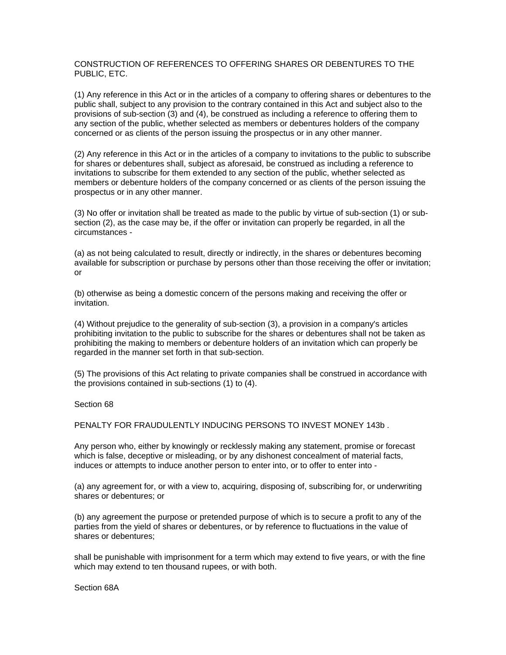# CONSTRUCTION OF REFERENCES TO OFFERING SHARES OR DEBENTURES TO THE PUBLIC, ETC.

(1) Any reference in this Act or in the articles of a company to offering shares or debentures to the public shall, subject to any provision to the contrary contained in this Act and subject also to the provisions of sub-section (3) and (4), be construed as including a reference to offering them to any section of the public, whether selected as members or debentures holders of the company concerned or as clients of the person issuing the prospectus or in any other manner.

(2) Any reference in this Act or in the articles of a company to invitations to the public to subscribe for shares or debentures shall, subject as aforesaid, be construed as including a reference to invitations to subscribe for them extended to any section of the public, whether selected as members or debenture holders of the company concerned or as clients of the person issuing the prospectus or in any other manner.

(3) No offer or invitation shall be treated as made to the public by virtue of sub-section (1) or subsection (2), as the case may be, if the offer or invitation can properly be regarded, in all the circumstances -

(a) as not being calculated to result, directly or indirectly, in the shares or debentures becoming available for subscription or purchase by persons other than those receiving the offer or invitation; or

(b) otherwise as being a domestic concern of the persons making and receiving the offer or invitation.

(4) Without prejudice to the generality of sub-section (3), a provision in a company's articles prohibiting invitation to the public to subscribe for the shares or debentures shall not be taken as prohibiting the making to members or debenture holders of an invitation which can properly be regarded in the manner set forth in that sub-section.

(5) The provisions of this Act relating to private companies shall be construed in accordance with the provisions contained in sub-sections (1) to (4).

Section 68

PENALTY FOR FRAUDULENTLY INDUCING PERSONS TO INVEST MONEY 143b .

Any person who, either by knowingly or recklessly making any statement, promise or forecast which is false, deceptive or misleading, or by any dishonest concealment of material facts, induces or attempts to induce another person to enter into, or to offer to enter into -

(a) any agreement for, or with a view to, acquiring, disposing of, subscribing for, or underwriting shares or debentures; or

(b) any agreement the purpose or pretended purpose of which is to secure a profit to any of the parties from the yield of shares or debentures, or by reference to fluctuations in the value of shares or debentures;

shall be punishable with imprisonment for a term which may extend to five years, or with the fine which may extend to ten thousand rupees, or with both.

Section 68A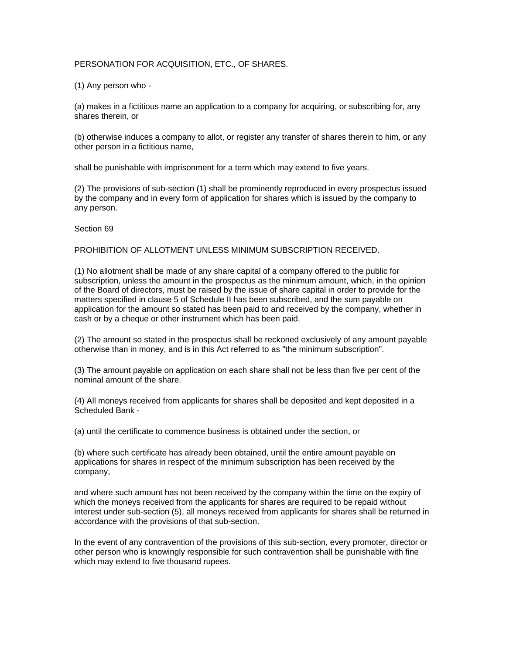# PERSONATION FOR ACQUISITION, ETC., OF SHARES.

(1) Any person who -

(a) makes in a fictitious name an application to a company for acquiring, or subscribing for, any shares therein, or

(b) otherwise induces a company to allot, or register any transfer of shares therein to him, or any other person in a fictitious name,

shall be punishable with imprisonment for a term which may extend to five years.

(2) The provisions of sub-section (1) shall be prominently reproduced in every prospectus issued by the company and in every form of application for shares which is issued by the company to any person.

Section 69

## PROHIBITION OF ALLOTMENT UNLESS MINIMUM SUBSCRIPTION RECEIVED.

(1) No allotment shall be made of any share capital of a company offered to the public for subscription, unless the amount in the prospectus as the minimum amount, which, in the opinion of the Board of directors, must be raised by the issue of share capital in order to provide for the matters specified in clause 5 of Schedule II has been subscribed, and the sum payable on application for the amount so stated has been paid to and received by the company, whether in cash or by a cheque or other instrument which has been paid.

(2) The amount so stated in the prospectus shall be reckoned exclusively of any amount payable otherwise than in money, and is in this Act referred to as "the minimum subscription".

(3) The amount payable on application on each share shall not be less than five per cent of the nominal amount of the share.

(4) All moneys received from applicants for shares shall be deposited and kept deposited in a Scheduled Bank -

(a) until the certificate to commence business is obtained under the section, or

(b) where such certificate has already been obtained, until the entire amount payable on applications for shares in respect of the minimum subscription has been received by the company,

and where such amount has not been received by the company within the time on the expiry of which the moneys received from the applicants for shares are required to be repaid without interest under sub-section (5), all moneys received from applicants for shares shall be returned in accordance with the provisions of that sub-section.

In the event of any contravention of the provisions of this sub-section, every promoter, director or other person who is knowingly responsible for such contravention shall be punishable with fine which may extend to five thousand rupees.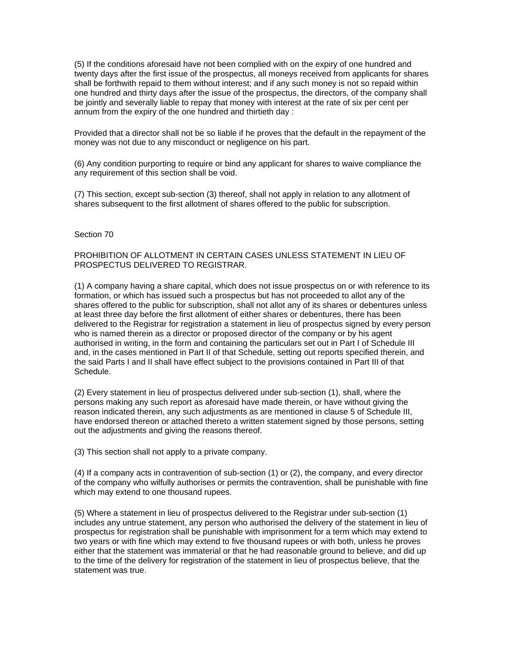(5) If the conditions aforesaid have not been complied with on the expiry of one hundred and twenty days after the first issue of the prospectus, all moneys received from applicants for shares shall be forthwith repaid to them without interest; and if any such money is not so repaid within one hundred and thirty days after the issue of the prospectus, the directors, of the company shall be jointly and severally liable to repay that money with interest at the rate of six per cent per annum from the expiry of the one hundred and thirtieth day :

Provided that a director shall not be so liable if he proves that the default in the repayment of the money was not due to any misconduct or negligence on his part.

(6) Any condition purporting to require or bind any applicant for shares to waive compliance the any requirement of this section shall be void.

(7) This section, except sub-section (3) thereof, shall not apply in relation to any allotment of shares subsequent to the first allotment of shares offered to the public for subscription.

#### Section 70

# PROHIBITION OF ALLOTMENT IN CERTAIN CASES UNLESS STATEMENT IN LIEU OF PROSPECTUS DELIVERED TO REGISTRAR.

(1) A company having a share capital, which does not issue prospectus on or with reference to its formation, or which has issued such a prospectus but has not proceeded to allot any of the shares offered to the public for subscription, shall not allot any of its shares or debentures unless at least three day before the first allotment of either shares or debentures, there has been delivered to the Registrar for registration a statement in lieu of prospectus signed by every person who is named therein as a director or proposed director of the company or by his agent authorised in writing, in the form and containing the particulars set out in Part I of Schedule III and, in the cases mentioned in Part II of that Schedule, setting out reports specified therein, and the said Parts I and II shall have effect subject to the provisions contained in Part III of that Schedule.

(2) Every statement in lieu of prospectus delivered under sub-section (1), shall, where the persons making any such report as aforesaid have made therein, or have without giving the reason indicated therein, any such adjustments as are mentioned in clause 5 of Schedule III, have endorsed thereon or attached thereto a written statement signed by those persons, setting out the adjustments and giving the reasons thereof.

(3) This section shall not apply to a private company.

(4) If a company acts in contravention of sub-section (1) or (2), the company, and every director of the company who wilfully authorises or permits the contravention, shall be punishable with fine which may extend to one thousand rupees.

(5) Where a statement in lieu of prospectus delivered to the Registrar under sub-section (1) includes any untrue statement, any person who authorised the delivery of the statement in lieu of prospectus for registration shall be punishable with imprisonment for a term which may extend to two years or with fine which may extend to five thousand rupees or with both, unless he proves either that the statement was immaterial or that he had reasonable ground to believe, and did up to the time of the delivery for registration of the statement in lieu of prospectus believe, that the statement was true.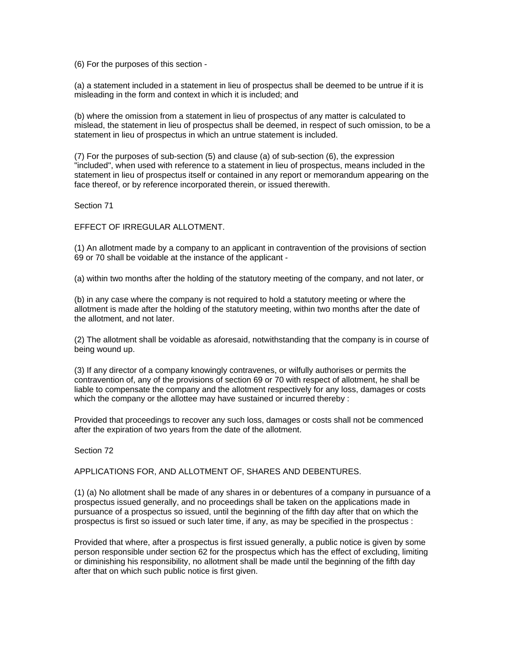(6) For the purposes of this section -

(a) a statement included in a statement in lieu of prospectus shall be deemed to be untrue if it is misleading in the form and context in which it is included; and

(b) where the omission from a statement in lieu of prospectus of any matter is calculated to mislead, the statement in lieu of prospectus shall be deemed, in respect of such omission, to be a statement in lieu of prospectus in which an untrue statement is included.

(7) For the purposes of sub-section (5) and clause (a) of sub-section (6), the expression "included", when used with reference to a statement in lieu of prospectus, means included in the statement in lieu of prospectus itself or contained in any report or memorandum appearing on the face thereof, or by reference incorporated therein, or issued therewith.

Section 71

EFFECT OF IRREGULAR ALLOTMENT.

(1) An allotment made by a company to an applicant in contravention of the provisions of section 69 or 70 shall be voidable at the instance of the applicant -

(a) within two months after the holding of the statutory meeting of the company, and not later, or

(b) in any case where the company is not required to hold a statutory meeting or where the allotment is made after the holding of the statutory meeting, within two months after the date of the allotment, and not later.

(2) The allotment shall be voidable as aforesaid, notwithstanding that the company is in course of being wound up.

(3) If any director of a company knowingly contravenes, or wilfully authorises or permits the contravention of, any of the provisions of section 69 or 70 with respect of allotment, he shall be liable to compensate the company and the allotment respectively for any loss, damages or costs which the company or the allottee may have sustained or incurred thereby :

Provided that proceedings to recover any such loss, damages or costs shall not be commenced after the expiration of two years from the date of the allotment.

Section 72

APPLICATIONS FOR, AND ALLOTMENT OF, SHARES AND DEBENTURES.

(1) (a) No allotment shall be made of any shares in or debentures of a company in pursuance of a prospectus issued generally, and no proceedings shall be taken on the applications made in pursuance of a prospectus so issued, until the beginning of the fifth day after that on which the prospectus is first so issued or such later time, if any, as may be specified in the prospectus :

Provided that where, after a prospectus is first issued generally, a public notice is given by some person responsible under section 62 for the prospectus which has the effect of excluding, limiting or diminishing his responsibility, no allotment shall be made until the beginning of the fifth day after that on which such public notice is first given.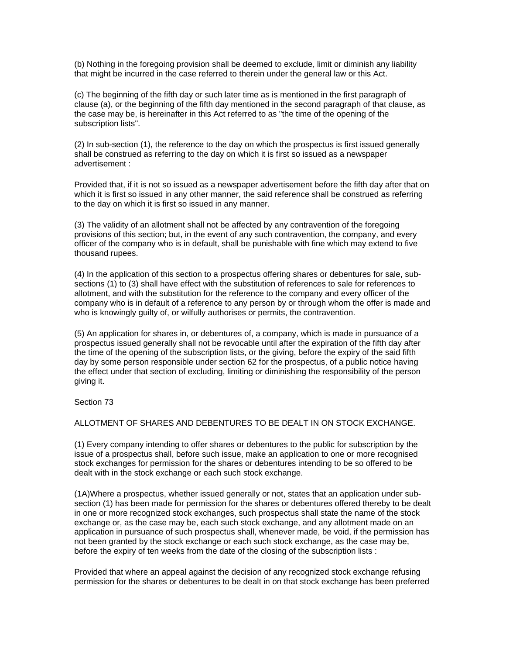(b) Nothing in the foregoing provision shall be deemed to exclude, limit or diminish any liability that might be incurred in the case referred to therein under the general law or this Act.

(c) The beginning of the fifth day or such later time as is mentioned in the first paragraph of clause (a), or the beginning of the fifth day mentioned in the second paragraph of that clause, as the case may be, is hereinafter in this Act referred to as "the time of the opening of the subscription lists".

(2) In sub-section (1), the reference to the day on which the prospectus is first issued generally shall be construed as referring to the day on which it is first so issued as a newspaper advertisement :

Provided that, if it is not so issued as a newspaper advertisement before the fifth day after that on which it is first so issued in any other manner, the said reference shall be construed as referring to the day on which it is first so issued in any manner.

(3) The validity of an allotment shall not be affected by any contravention of the foregoing provisions of this section; but, in the event of any such contravention, the company, and every officer of the company who is in default, shall be punishable with fine which may extend to five thousand rupees.

(4) In the application of this section to a prospectus offering shares or debentures for sale, subsections (1) to (3) shall have effect with the substitution of references to sale for references to allotment, and with the substitution for the reference to the company and every officer of the company who is in default of a reference to any person by or through whom the offer is made and who is knowingly guilty of, or wilfully authorises or permits, the contravention.

(5) An application for shares in, or debentures of, a company, which is made in pursuance of a prospectus issued generally shall not be revocable until after the expiration of the fifth day after the time of the opening of the subscription lists, or the giving, before the expiry of the said fifth day by some person responsible under section 62 for the prospectus, of a public notice having the effect under that section of excluding, limiting or diminishing the responsibility of the person giving it.

Section 73

ALLOTMENT OF SHARES AND DEBENTURES TO BE DEALT IN ON STOCK EXCHANGE.

(1) Every company intending to offer shares or debentures to the public for subscription by the issue of a prospectus shall, before such issue, make an application to one or more recognised stock exchanges for permission for the shares or debentures intending to be so offered to be dealt with in the stock exchange or each such stock exchange.

(1A)Where a prospectus, whether issued generally or not, states that an application under subsection (1) has been made for permission for the shares or debentures offered thereby to be dealt in one or more recognized stock exchanges, such prospectus shall state the name of the stock exchange or, as the case may be, each such stock exchange, and any allotment made on an application in pursuance of such prospectus shall, whenever made, be void, if the permission has not been granted by the stock exchange or each such stock exchange, as the case may be, before the expiry of ten weeks from the date of the closing of the subscription lists :

Provided that where an appeal against the decision of any recognized stock exchange refusing permission for the shares or debentures to be dealt in on that stock exchange has been preferred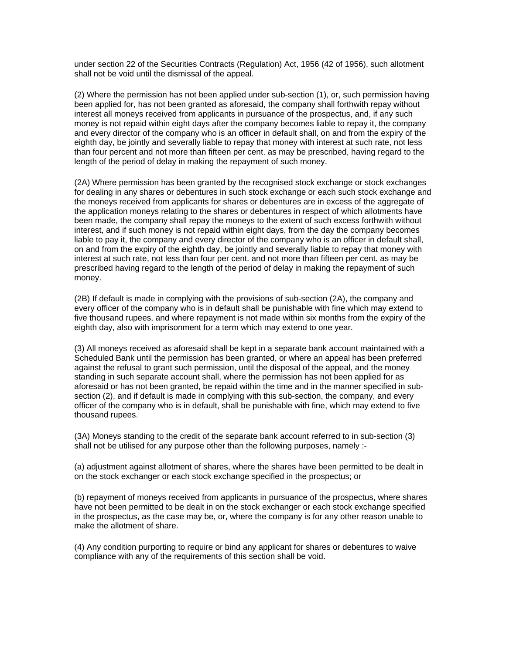under section 22 of the Securities Contracts (Regulation) Act, 1956 (42 of 1956), such allotment shall not be void until the dismissal of the appeal.

(2) Where the permission has not been applied under sub-section (1), or, such permission having been applied for, has not been granted as aforesaid, the company shall forthwith repay without interest all moneys received from applicants in pursuance of the prospectus, and, if any such money is not repaid within eight days after the company becomes liable to repay it, the company and every director of the company who is an officer in default shall, on and from the expiry of the eighth day, be jointly and severally liable to repay that money with interest at such rate, not less than four percent and not more than fifteen per cent. as may be prescribed, having regard to the length of the period of delay in making the repayment of such money.

(2A) Where permission has been granted by the recognised stock exchange or stock exchanges for dealing in any shares or debentures in such stock exchange or each such stock exchange and the moneys received from applicants for shares or debentures are in excess of the aggregate of the application moneys relating to the shares or debentures in respect of which allotments have been made, the company shall repay the moneys to the extent of such excess forthwith without interest, and if such money is not repaid within eight days, from the day the company becomes liable to pay it, the company and every director of the company who is an officer in default shall, on and from the expiry of the eighth day, be jointly and severally liable to repay that money with interest at such rate, not less than four per cent. and not more than fifteen per cent. as may be prescribed having regard to the length of the period of delay in making the repayment of such money.

(2B) If default is made in complying with the provisions of sub-section (2A), the company and every officer of the company who is in default shall be punishable with fine which may extend to five thousand rupees, and where repayment is not made within six months from the expiry of the eighth day, also with imprisonment for a term which may extend to one year.

(3) All moneys received as aforesaid shall be kept in a separate bank account maintained with a Scheduled Bank until the permission has been granted, or where an appeal has been preferred against the refusal to grant such permission, until the disposal of the appeal, and the money standing in such separate account shall, where the permission has not been applied for as aforesaid or has not been granted, be repaid within the time and in the manner specified in subsection (2), and if default is made in complying with this sub-section, the company, and every officer of the company who is in default, shall be punishable with fine, which may extend to five thousand rupees.

(3A) Moneys standing to the credit of the separate bank account referred to in sub-section (3) shall not be utilised for any purpose other than the following purposes, namely :-

(a) adjustment against allotment of shares, where the shares have been permitted to be dealt in on the stock exchanger or each stock exchange specified in the prospectus; or

(b) repayment of moneys received from applicants in pursuance of the prospectus, where shares have not been permitted to be dealt in on the stock exchanger or each stock exchange specified in the prospectus, as the case may be, or, where the company is for any other reason unable to make the allotment of share.

(4) Any condition purporting to require or bind any applicant for shares or debentures to waive compliance with any of the requirements of this section shall be void.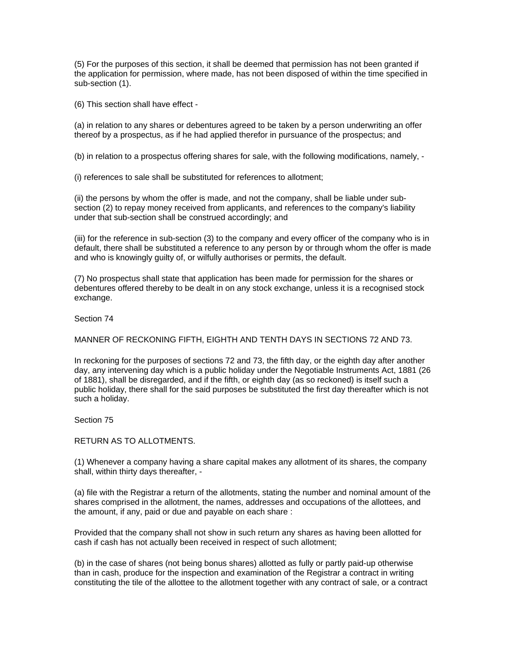(5) For the purposes of this section, it shall be deemed that permission has not been granted if the application for permission, where made, has not been disposed of within the time specified in sub-section (1).

(6) This section shall have effect -

(a) in relation to any shares or debentures agreed to be taken by a person underwriting an offer thereof by a prospectus, as if he had applied therefor in pursuance of the prospectus; and

(b) in relation to a prospectus offering shares for sale, with the following modifications, namely, -

(i) references to sale shall be substituted for references to allotment;

(ii) the persons by whom the offer is made, and not the company, shall be liable under subsection (2) to repay money received from applicants, and references to the company's liability under that sub-section shall be construed accordingly; and

(iii) for the reference in sub-section (3) to the company and every officer of the company who is in default, there shall be substituted a reference to any person by or through whom the offer is made and who is knowingly guilty of, or wilfully authorises or permits, the default.

(7) No prospectus shall state that application has been made for permission for the shares or debentures offered thereby to be dealt in on any stock exchange, unless it is a recognised stock exchange.

Section 74

MANNER OF RECKONING FIFTH, EIGHTH AND TENTH DAYS IN SECTIONS 72 AND 73.

In reckoning for the purposes of sections 72 and 73, the fifth day, or the eighth day after another day, any intervening day which is a public holiday under the Negotiable Instruments Act, 1881 (26 of 1881), shall be disregarded, and if the fifth, or eighth day (as so reckoned) is itself such a public holiday, there shall for the said purposes be substituted the first day thereafter which is not such a holiday.

Section 75

RETURN AS TO ALLOTMENTS.

(1) Whenever a company having a share capital makes any allotment of its shares, the company shall, within thirty days thereafter, -

(a) file with the Registrar a return of the allotments, stating the number and nominal amount of the shares comprised in the allotment, the names, addresses and occupations of the allottees, and the amount, if any, paid or due and payable on each share :

Provided that the company shall not show in such return any shares as having been allotted for cash if cash has not actually been received in respect of such allotment;

(b) in the case of shares (not being bonus shares) allotted as fully or partly paid-up otherwise than in cash, produce for the inspection and examination of the Registrar a contract in writing constituting the tile of the allottee to the allotment together with any contract of sale, or a contract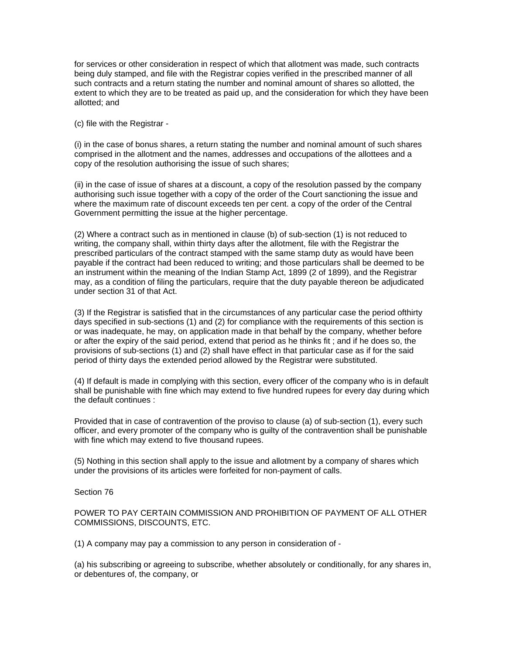for services or other consideration in respect of which that allotment was made, such contracts being duly stamped, and file with the Registrar copies verified in the prescribed manner of all such contracts and a return stating the number and nominal amount of shares so allotted, the extent to which they are to be treated as paid up, and the consideration for which they have been allotted; and

(c) file with the Registrar -

(i) in the case of bonus shares, a return stating the number and nominal amount of such shares comprised in the allotment and the names, addresses and occupations of the allottees and a copy of the resolution authorising the issue of such shares;

(ii) in the case of issue of shares at a discount, a copy of the resolution passed by the company authorising such issue together with a copy of the order of the Court sanctioning the issue and where the maximum rate of discount exceeds ten per cent. a copy of the order of the Central Government permitting the issue at the higher percentage.

(2) Where a contract such as in mentioned in clause (b) of sub-section (1) is not reduced to writing, the company shall, within thirty days after the allotment, file with the Registrar the prescribed particulars of the contract stamped with the same stamp duty as would have been payable if the contract had been reduced to writing; and those particulars shall be deemed to be an instrument within the meaning of the Indian Stamp Act, 1899 (2 of 1899), and the Registrar may, as a condition of filing the particulars, require that the duty payable thereon be adjudicated under section 31 of that Act.

(3) If the Registrar is satisfied that in the circumstances of any particular case the period ofthirty days specified in sub-sections (1) and (2) for compliance with the requirements of this section is or was inadequate, he may, on application made in that behalf by the company, whether before or after the expiry of the said period, extend that period as he thinks fit ; and if he does so, the provisions of sub-sections (1) and (2) shall have effect in that particular case as if for the said period of thirty days the extended period allowed by the Registrar were substituted.

(4) If default is made in complying with this section, every officer of the company who is in default shall be punishable with fine which may extend to five hundred rupees for every day during which the default continues :

Provided that in case of contravention of the proviso to clause (a) of sub-section (1), every such officer, and every promoter of the company who is guilty of the contravention shall be punishable with fine which may extend to five thousand rupees.

(5) Nothing in this section shall apply to the issue and allotment by a company of shares which under the provisions of its articles were forfeited for non-payment of calls.

Section 76

POWER TO PAY CERTAIN COMMISSION AND PROHIBITION OF PAYMENT OF ALL OTHER COMMISSIONS, DISCOUNTS, ETC.

(1) A company may pay a commission to any person in consideration of -

(a) his subscribing or agreeing to subscribe, whether absolutely or conditionally, for any shares in, or debentures of, the company, or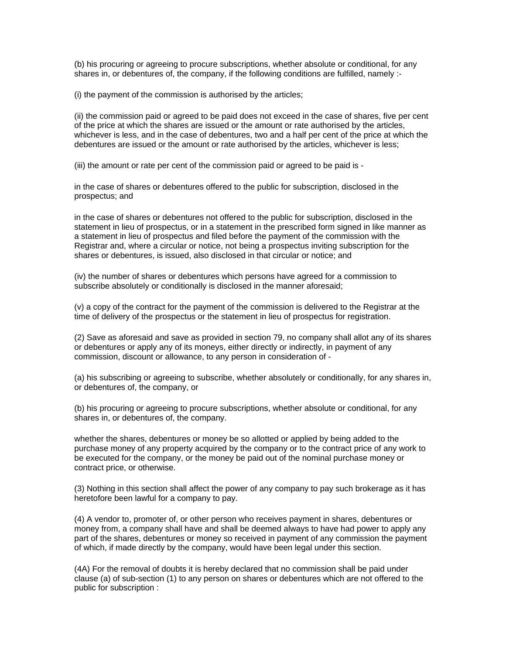(b) his procuring or agreeing to procure subscriptions, whether absolute or conditional, for any shares in, or debentures of, the company, if the following conditions are fulfilled, namely :-

(i) the payment of the commission is authorised by the articles;

(ii) the commission paid or agreed to be paid does not exceed in the case of shares, five per cent of the price at which the shares are issued or the amount or rate authorised by the articles, whichever is less, and in the case of debentures, two and a half per cent of the price at which the debentures are issued or the amount or rate authorised by the articles, whichever is less;

(iii) the amount or rate per cent of the commission paid or agreed to be paid is -

in the case of shares or debentures offered to the public for subscription, disclosed in the prospectus; and

in the case of shares or debentures not offered to the public for subscription, disclosed in the statement in lieu of prospectus, or in a statement in the prescribed form signed in like manner as a statement in lieu of prospectus and filed before the payment of the commission with the Registrar and, where a circular or notice, not being a prospectus inviting subscription for the shares or debentures, is issued, also disclosed in that circular or notice; and

(iv) the number of shares or debentures which persons have agreed for a commission to subscribe absolutely or conditionally is disclosed in the manner aforesaid;

(v) a copy of the contract for the payment of the commission is delivered to the Registrar at the time of delivery of the prospectus or the statement in lieu of prospectus for registration.

(2) Save as aforesaid and save as provided in section 79, no company shall allot any of its shares or debentures or apply any of its moneys, either directly or indirectly, in payment of any commission, discount or allowance, to any person in consideration of -

(a) his subscribing or agreeing to subscribe, whether absolutely or conditionally, for any shares in, or debentures of, the company, or

(b) his procuring or agreeing to procure subscriptions, whether absolute or conditional, for any shares in, or debentures of, the company.

whether the shares, debentures or money be so allotted or applied by being added to the purchase money of any property acquired by the company or to the contract price of any work to be executed for the company, or the money be paid out of the nominal purchase money or contract price, or otherwise.

(3) Nothing in this section shall affect the power of any company to pay such brokerage as it has heretofore been lawful for a company to pay.

(4) A vendor to, promoter of, or other person who receives payment in shares, debentures or money from, a company shall have and shall be deemed always to have had power to apply any part of the shares, debentures or money so received in payment of any commission the payment of which, if made directly by the company, would have been legal under this section.

(4A) For the removal of doubts it is hereby declared that no commission shall be paid under clause (a) of sub-section (1) to any person on shares or debentures which are not offered to the public for subscription :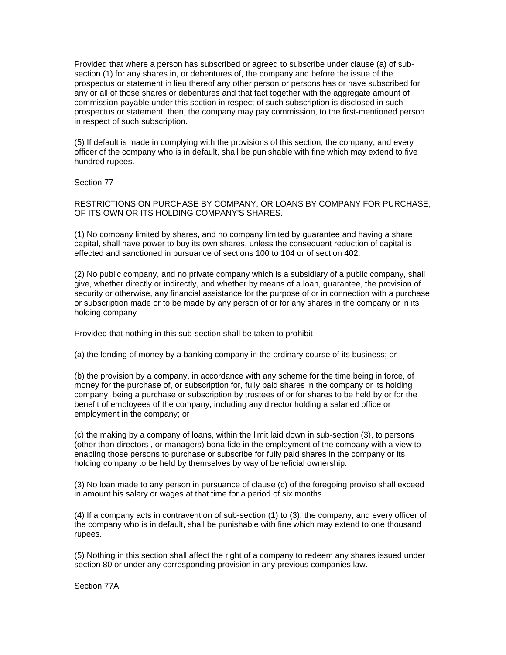Provided that where a person has subscribed or agreed to subscribe under clause (a) of subsection (1) for any shares in, or debentures of, the company and before the issue of the prospectus or statement in lieu thereof any other person or persons has or have subscribed for any or all of those shares or debentures and that fact together with the aggregate amount of commission payable under this section in respect of such subscription is disclosed in such prospectus or statement, then, the company may pay commission, to the first-mentioned person in respect of such subscription.

(5) If default is made in complying with the provisions of this section, the company, and every officer of the company who is in default, shall be punishable with fine which may extend to five hundred rupees.

Section 77

RESTRICTIONS ON PURCHASE BY COMPANY, OR LOANS BY COMPANY FOR PURCHASE, OF ITS OWN OR ITS HOLDING COMPANY'S SHARES.

(1) No company limited by shares, and no company limited by guarantee and having a share capital, shall have power to buy its own shares, unless the consequent reduction of capital is effected and sanctioned in pursuance of sections 100 to 104 or of section 402.

(2) No public company, and no private company which is a subsidiary of a public company, shall give, whether directly or indirectly, and whether by means of a loan, guarantee, the provision of security or otherwise, any financial assistance for the purpose of or in connection with a purchase or subscription made or to be made by any person of or for any shares in the company or in its holding company :

Provided that nothing in this sub-section shall be taken to prohibit -

(a) the lending of money by a banking company in the ordinary course of its business; or

(b) the provision by a company, in accordance with any scheme for the time being in force, of money for the purchase of, or subscription for, fully paid shares in the company or its holding company, being a purchase or subscription by trustees of or for shares to be held by or for the benefit of employees of the company, including any director holding a salaried office or employment in the company; or

(c) the making by a company of loans, within the limit laid down in sub-section (3), to persons (other than directors , or managers) bona fide in the employment of the company with a view to enabling those persons to purchase or subscribe for fully paid shares in the company or its holding company to be held by themselves by way of beneficial ownership.

(3) No loan made to any person in pursuance of clause (c) of the foregoing proviso shall exceed in amount his salary or wages at that time for a period of six months.

(4) If a company acts in contravention of sub-section (1) to (3), the company, and every officer of the company who is in default, shall be punishable with fine which may extend to one thousand rupees.

(5) Nothing in this section shall affect the right of a company to redeem any shares issued under section 80 or under any corresponding provision in any previous companies law.

Section 77A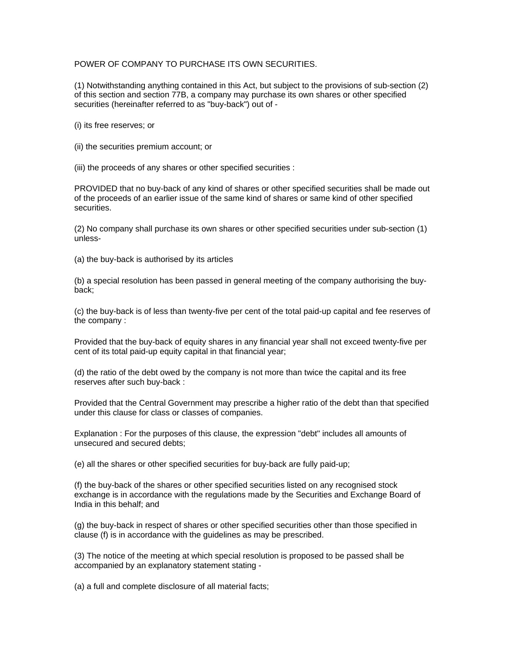# POWER OF COMPANY TO PURCHASE ITS OWN SECURITIES.

(1) Notwithstanding anything contained in this Act, but subject to the provisions of sub-section (2) of this section and section 77B, a company may purchase its own shares or other specified securities (hereinafter referred to as "buy-back") out of -

(i) its free reserves; or

(ii) the securities premium account; or

(iii) the proceeds of any shares or other specified securities :

PROVIDED that no buy-back of any kind of shares or other specified securities shall be made out of the proceeds of an earlier issue of the same kind of shares or same kind of other specified securities.

(2) No company shall purchase its own shares or other specified securities under sub-section (1) unless-

(a) the buy-back is authorised by its articles

(b) a special resolution has been passed in general meeting of the company authorising the buyback;

(c) the buy-back is of less than twenty-five per cent of the total paid-up capital and fee reserves of the company :

Provided that the buy-back of equity shares in any financial year shall not exceed twenty-five per cent of its total paid-up equity capital in that financial year;

(d) the ratio of the debt owed by the company is not more than twice the capital and its free reserves after such buy-back :

Provided that the Central Government may prescribe a higher ratio of the debt than that specified under this clause for class or classes of companies.

Explanation : For the purposes of this clause, the expression "debt" includes all amounts of unsecured and secured debts;

(e) all the shares or other specified securities for buy-back are fully paid-up;

(f) the buy-back of the shares or other specified securities listed on any recognised stock exchange is in accordance with the regulations made by the Securities and Exchange Board of India in this behalf; and

(g) the buy-back in respect of shares or other specified securities other than those specified in clause (f) is in accordance with the guidelines as may be prescribed.

(3) The notice of the meeting at which special resolution is proposed to be passed shall be accompanied by an explanatory statement stating -

(a) a full and complete disclosure of all material facts;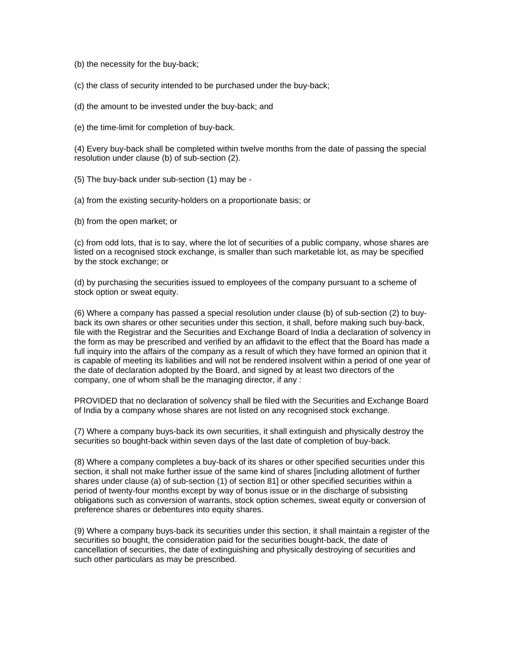(b) the necessity for the buy-back;

(c) the class of security intended to be purchased under the buy-back;

(d) the amount to be invested under the buy-back; and

(e) the time-limit for completion of buy-back.

(4) Every buy-back shall be completed within twelve months from the date of passing the special resolution under clause (b) of sub-section (2).

(5) The buy-back under sub-section (1) may be -

- (a) from the existing security-holders on a proportionate basis; or
- (b) from the open market; or

(c) from odd lots, that is to say, where the lot of securities of a public company, whose shares are listed on a recognised stock exchange, is smaller than such marketable lot, as may be specified by the stock exchange; or

(d) by purchasing the securities issued to employees of the company pursuant to a scheme of stock option or sweat equity.

(6) Where a company has passed a special resolution under clause (b) of sub-section (2) to buyback its own shares or other securities under this section, it shall, before making such buy-back, file with the Registrar and the Securities and Exchange Board of India a declaration of solvency in the form as may be prescribed and verified by an affidavit to the effect that the Board has made a full inquiry into the affairs of the company as a result of which they have formed an opinion that it is capable of meeting its liabilities and will not be rendered insolvent within a period of one year of the date of declaration adopted by the Board, and signed by at least two directors of the company, one of whom shall be the managing director, if any :

PROVIDED that no declaration of solvency shall be filed with the Securities and Exchange Board of India by a company whose shares are not listed on any recognised stock exchange.

(7) Where a company buys-back its own securities, it shall extinguish and physically destroy the securities so bought-back within seven days of the last date of completion of buy-back.

(8) Where a company completes a buy-back of its shares or other specified securities under this section, it shall not make further issue of the same kind of shares [including allotment of further shares under clause (a) of sub-section (1) of section 81] or other specified securities within a period of twenty-four months except by way of bonus issue or in the discharge of subsisting obligations such as conversion of warrants, stock option schemes, sweat equity or conversion of preference shares or debentures into equity shares.

(9) Where a company buys-back its securities under this section, it shall maintain a register of the securities so bought, the consideration paid for the securities bought-back, the date of cancellation of securities, the date of extinguishing and physically destroying of securities and such other particulars as may be prescribed.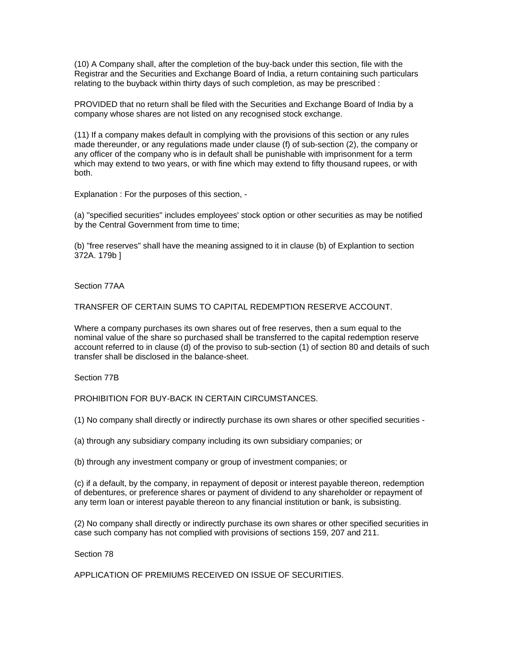(10) A Company shall, after the completion of the buy-back under this section, file with the Registrar and the Securities and Exchange Board of India, a return containing such particulars relating to the buyback within thirty days of such completion, as may be prescribed :

PROVIDED that no return shall be filed with the Securities and Exchange Board of India by a company whose shares are not listed on any recognised stock exchange.

(11) If a company makes default in complying with the provisions of this section or any rules made thereunder, or any regulations made under clause (f) of sub-section (2), the company or any officer of the company who is in default shall be punishable with imprisonment for a term which may extend to two years, or with fine which may extend to fifty thousand rupees, or with both.

Explanation : For the purposes of this section, -

(a) "specified securities" includes employees' stock option or other securities as may be notified by the Central Government from time to time;

(b) "free reserves" shall have the meaning assigned to it in clause (b) of Explantion to section 372A. 179b ]

Section 77AA

TRANSFER OF CERTAIN SUMS TO CAPITAL REDEMPTION RESERVE ACCOUNT.

Where a company purchases its own shares out of free reserves, then a sum equal to the nominal value of the share so purchased shall be transferred to the capital redemption reserve account referred to in clause (d) of the proviso to sub-section (1) of section 80 and details of such transfer shall be disclosed in the balance-sheet.

Section 77B

PROHIBITION FOR BUY-BACK IN CERTAIN CIRCUMSTANCES.

(1) No company shall directly or indirectly purchase its own shares or other specified securities -

(a) through any subsidiary company including its own subsidiary companies; or

(b) through any investment company or group of investment companies; or

(c) if a default, by the company, in repayment of deposit or interest payable thereon, redemption of debentures, or preference shares or payment of dividend to any shareholder or repayment of any term loan or interest payable thereon to any financial institution or bank, is subsisting.

(2) No company shall directly or indirectly purchase its own shares or other specified securities in case such company has not complied with provisions of sections 159, 207 and 211.

Section 78

APPLICATION OF PREMIUMS RECEIVED ON ISSUE OF SECURITIES.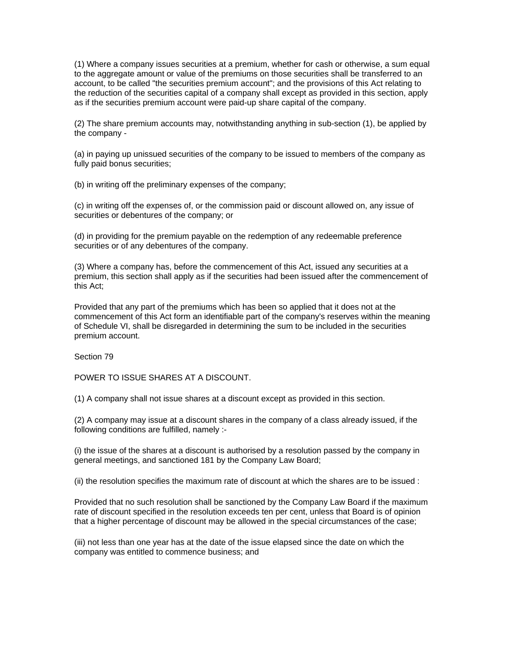(1) Where a company issues securities at a premium, whether for cash or otherwise, a sum equal to the aggregate amount or value of the premiums on those securities shall be transferred to an account, to be called "the securities premium account"; and the provisions of this Act relating to the reduction of the securities capital of a company shall except as provided in this section, apply as if the securities premium account were paid-up share capital of the company.

(2) The share premium accounts may, notwithstanding anything in sub-section (1), be applied by the company -

(a) in paying up unissued securities of the company to be issued to members of the company as fully paid bonus securities;

(b) in writing off the preliminary expenses of the company;

(c) in writing off the expenses of, or the commission paid or discount allowed on, any issue of securities or debentures of the company; or

(d) in providing for the premium payable on the redemption of any redeemable preference securities or of any debentures of the company.

(3) Where a company has, before the commencement of this Act, issued any securities at a premium, this section shall apply as if the securities had been issued after the commencement of this Act;

Provided that any part of the premiums which has been so applied that it does not at the commencement of this Act form an identifiable part of the company's reserves within the meaning of Schedule VI, shall be disregarded in determining the sum to be included in the securities premium account.

Section 79

POWER TO ISSUE SHARES AT A DISCOUNT.

(1) A company shall not issue shares at a discount except as provided in this section.

(2) A company may issue at a discount shares in the company of a class already issued, if the following conditions are fulfilled, namely :-

(i) the issue of the shares at a discount is authorised by a resolution passed by the company in general meetings, and sanctioned 181 by the Company Law Board;

(ii) the resolution specifies the maximum rate of discount at which the shares are to be issued :

Provided that no such resolution shall be sanctioned by the Company Law Board if the maximum rate of discount specified in the resolution exceeds ten per cent, unless that Board is of opinion that a higher percentage of discount may be allowed in the special circumstances of the case;

(iii) not less than one year has at the date of the issue elapsed since the date on which the company was entitled to commence business; and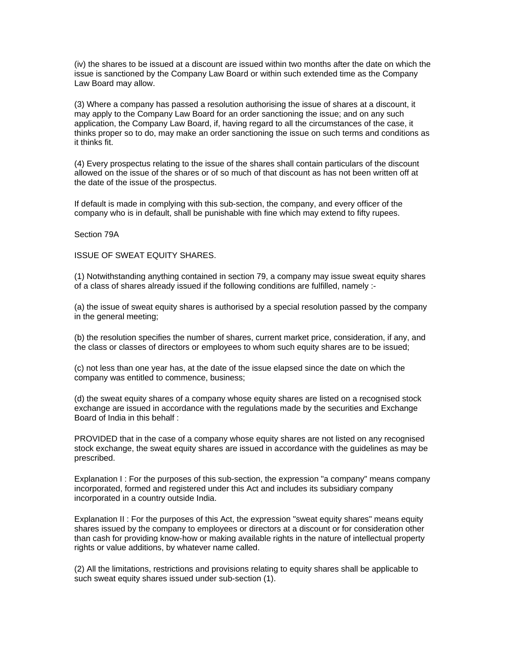(iv) the shares to be issued at a discount are issued within two months after the date on which the issue is sanctioned by the Company Law Board or within such extended time as the Company Law Board may allow.

(3) Where a company has passed a resolution authorising the issue of shares at a discount, it may apply to the Company Law Board for an order sanctioning the issue; and on any such application, the Company Law Board, if, having regard to all the circumstances of the case, it thinks proper so to do, may make an order sanctioning the issue on such terms and conditions as it thinks fit.

(4) Every prospectus relating to the issue of the shares shall contain particulars of the discount allowed on the issue of the shares or of so much of that discount as has not been written off at the date of the issue of the prospectus.

If default is made in complying with this sub-section, the company, and every officer of the company who is in default, shall be punishable with fine which may extend to fifty rupees.

Section 79A

ISSUE OF SWEAT EQUITY SHARES.

(1) Notwithstanding anything contained in section 79, a company may issue sweat equity shares of a class of shares already issued if the following conditions are fulfilled, namely :-

(a) the issue of sweat equity shares is authorised by a special resolution passed by the company in the general meeting;

(b) the resolution specifies the number of shares, current market price, consideration, if any, and the class or classes of directors or employees to whom such equity shares are to be issued;

(c) not less than one year has, at the date of the issue elapsed since the date on which the company was entitled to commence, business;

(d) the sweat equity shares of a company whose equity shares are listed on a recognised stock exchange are issued in accordance with the regulations made by the securities and Exchange Board of India in this behalf :

PROVIDED that in the case of a company whose equity shares are not listed on any recognised stock exchange, the sweat equity shares are issued in accordance with the guidelines as may be prescribed.

Explanation I: For the purposes of this sub-section, the expression "a company" means company incorporated, formed and registered under this Act and includes its subsidiary company incorporated in a country outside India.

Explanation II : For the purposes of this Act, the expression "sweat equity shares" means equity shares issued by the company to employees or directors at a discount or for consideration other than cash for providing know-how or making available rights in the nature of intellectual property rights or value additions, by whatever name called.

(2) All the limitations, restrictions and provisions relating to equity shares shall be applicable to such sweat equity shares issued under sub-section (1).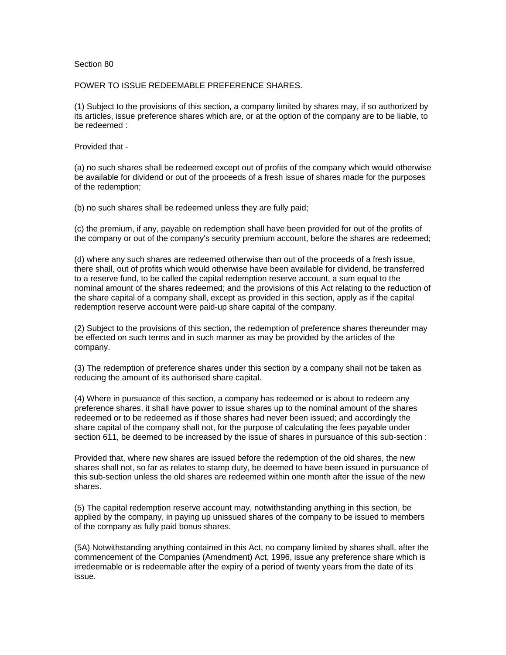## Section 80

POWER TO ISSUE REDEEMABLE PREFERENCE SHARES.

(1) Subject to the provisions of this section, a company limited by shares may, if so authorized by its articles, issue preference shares which are, or at the option of the company are to be liable, to be redeemed :

Provided that -

(a) no such shares shall be redeemed except out of profits of the company which would otherwise be available for dividend or out of the proceeds of a fresh issue of shares made for the purposes of the redemption;

(b) no such shares shall be redeemed unless they are fully paid;

(c) the premium, if any, payable on redemption shall have been provided for out of the profits of the company or out of the company's security premium account, before the shares are redeemed;

(d) where any such shares are redeemed otherwise than out of the proceeds of a fresh issue, there shall, out of profits which would otherwise have been available for dividend, be transferred to a reserve fund, to be called the capital redemption reserve account, a sum equal to the nominal amount of the shares redeemed; and the provisions of this Act relating to the reduction of the share capital of a company shall, except as provided in this section, apply as if the capital redemption reserve account were paid-up share capital of the company.

(2) Subject to the provisions of this section, the redemption of preference shares thereunder may be effected on such terms and in such manner as may be provided by the articles of the company.

(3) The redemption of preference shares under this section by a company shall not be taken as reducing the amount of its authorised share capital.

(4) Where in pursuance of this section, a company has redeemed or is about to redeem any preference shares, it shall have power to issue shares up to the nominal amount of the shares redeemed or to be redeemed as if those shares had never been issued; and accordingly the share capital of the company shall not, for the purpose of calculating the fees payable under section 611, be deemed to be increased by the issue of shares in pursuance of this sub-section :

Provided that, where new shares are issued before the redemption of the old shares, the new shares shall not, so far as relates to stamp duty, be deemed to have been issued in pursuance of this sub-section unless the old shares are redeemed within one month after the issue of the new shares.

(5) The capital redemption reserve account may, notwithstanding anything in this section, be applied by the company, in paying up unissued shares of the company to be issued to members of the company as fully paid bonus shares.

(5A) Notwithstanding anything contained in this Act, no company limited by shares shall, after the commencement of the Companies (Amendment) Act, 1996, issue any preference share which is irredeemable or is redeemable after the expiry of a period of twenty years from the date of its issue.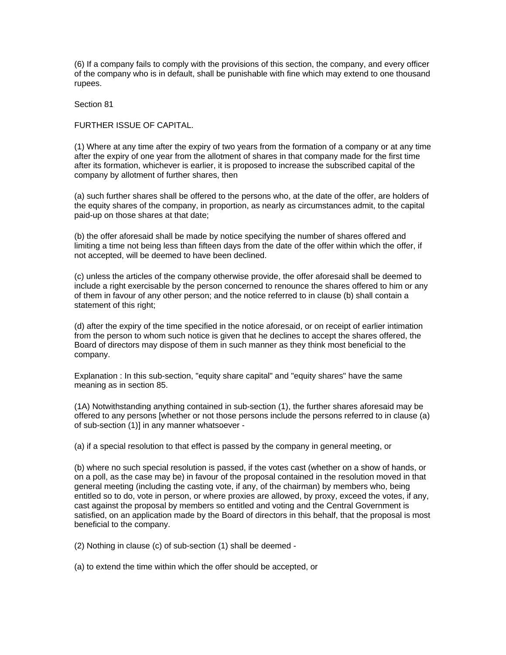(6) If a company fails to comply with the provisions of this section, the company, and every officer of the company who is in default, shall be punishable with fine which may extend to one thousand rupees.

Section 81

FURTHER ISSUE OF CAPITAL.

(1) Where at any time after the expiry of two years from the formation of a company or at any time after the expiry of one year from the allotment of shares in that company made for the first time after its formation, whichever is earlier, it is proposed to increase the subscribed capital of the company by allotment of further shares, then

(a) such further shares shall be offered to the persons who, at the date of the offer, are holders of the equity shares of the company, in proportion, as nearly as circumstances admit, to the capital paid-up on those shares at that date;

(b) the offer aforesaid shall be made by notice specifying the number of shares offered and limiting a time not being less than fifteen days from the date of the offer within which the offer, if not accepted, will be deemed to have been declined.

(c) unless the articles of the company otherwise provide, the offer aforesaid shall be deemed to include a right exercisable by the person concerned to renounce the shares offered to him or any of them in favour of any other person; and the notice referred to in clause (b) shall contain a statement of this right;

(d) after the expiry of the time specified in the notice aforesaid, or on receipt of earlier intimation from the person to whom such notice is given that he declines to accept the shares offered, the Board of directors may dispose of them in such manner as they think most beneficial to the company.

Explanation : In this sub-section, "equity share capital" and "equity shares" have the same meaning as in section 85.

(1A) Notwithstanding anything contained in sub-section (1), the further shares aforesaid may be offered to any persons [whether or not those persons include the persons referred to in clause (a) of sub-section (1)] in any manner whatsoever -

(a) if a special resolution to that effect is passed by the company in general meeting, or

(b) where no such special resolution is passed, if the votes cast (whether on a show of hands, or on a poll, as the case may be) in favour of the proposal contained in the resolution moved in that general meeting (including the casting vote, if any, of the chairman) by members who, being entitled so to do, vote in person, or where proxies are allowed, by proxy, exceed the votes, if any, cast against the proposal by members so entitled and voting and the Central Government is satisfied, on an application made by the Board of directors in this behalf, that the proposal is most beneficial to the company.

(2) Nothing in clause (c) of sub-section (1) shall be deemed -

(a) to extend the time within which the offer should be accepted, or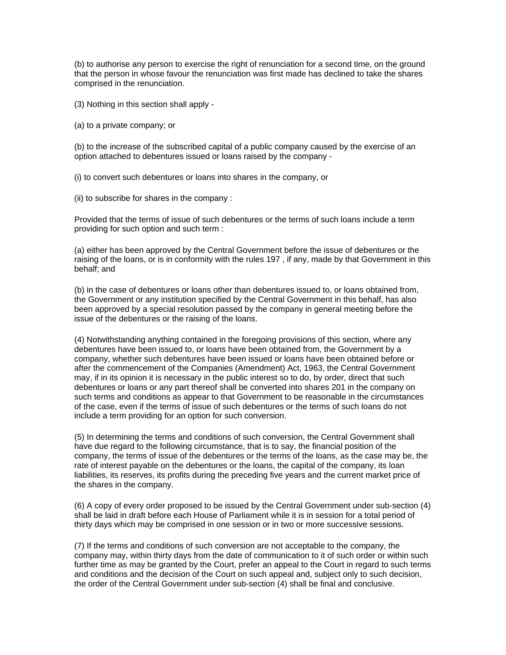(b) to authorise any person to exercise the right of renunciation for a second time, on the ground that the person in whose favour the renunciation was first made has declined to take the shares comprised in the renunciation.

(3) Nothing in this section shall apply -

(a) to a private company; or

(b) to the increase of the subscribed capital of a public company caused by the exercise of an option attached to debentures issued or loans raised by the company -

(i) to convert such debentures or loans into shares in the company, or

(ii) to subscribe for shares in the company :

Provided that the terms of issue of such debentures or the terms of such loans include a term providing for such option and such term :

(a) either has been approved by the Central Government before the issue of debentures or the raising of the loans, or is in conformity with the rules 197 , if any, made by that Government in this behalf; and

(b) in the case of debentures or loans other than debentures issued to, or loans obtained from, the Government or any institution specified by the Central Government in this behalf, has also been approved by a special resolution passed by the company in general meeting before the issue of the debentures or the raising of the loans.

(4) Notwithstanding anything contained in the foregoing provisions of this section, where any debentures have been issued to, or loans have been obtained from, the Government by a company, whether such debentures have been issued or loans have been obtained before or after the commencement of the Companies (Amendment) Act, 1963, the Central Government may, if in its opinion it is necessary in the public interest so to do, by order, direct that such debentures or loans or any part thereof shall be converted into shares 201 in the company on such terms and conditions as appear to that Government to be reasonable in the circumstances of the case, even if the terms of issue of such debentures or the terms of such loans do not include a term providing for an option for such conversion.

(5) In determining the terms and conditions of such conversion, the Central Government shall have due regard to the following circumstance, that is to say, the financial position of the company, the terms of issue of the debentures or the terms of the loans, as the case may be, the rate of interest payable on the debentures or the loans, the capital of the company, its loan liabilities, its reserves, its profits during the preceding five years and the current market price of the shares in the company.

(6) A copy of every order proposed to be issued by the Central Government under sub-section (4) shall be laid in draft before each House of Parliament while it is in session for a total period of thirty days which may be comprised in one session or in two or more successive sessions.

(7) If the terms and conditions of such conversion are not acceptable to the company, the company may, within thirty days from the date of communication to it of such order or within such further time as may be granted by the Court, prefer an appeal to the Court in regard to such terms and conditions and the decision of the Court on such appeal and, subject only to such decision, the order of the Central Government under sub-section (4) shall be final and conclusive.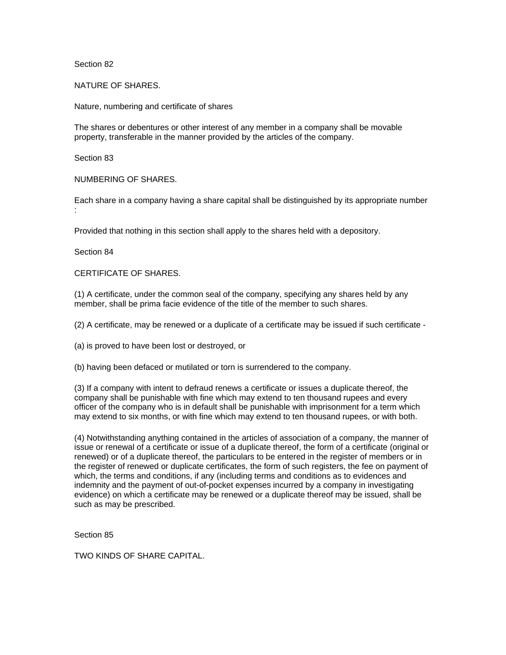Section 82

NATURE OF SHARES.

Nature, numbering and certificate of shares

The shares or debentures or other interest of any member in a company shall be movable property, transferable in the manner provided by the articles of the company.

Section 83

NUMBERING OF SHARES.

Each share in a company having a share capital shall be distinguished by its appropriate number :

Provided that nothing in this section shall apply to the shares held with a depository.

Section 84

CERTIFICATE OF SHARES.

(1) A certificate, under the common seal of the company, specifying any shares held by any member, shall be prima facie evidence of the title of the member to such shares.

(2) A certificate, may be renewed or a duplicate of a certificate may be issued if such certificate -

(a) is proved to have been lost or destroyed, or

(b) having been defaced or mutilated or torn is surrendered to the company.

(3) If a company with intent to defraud renews a certificate or issues a duplicate thereof, the company shall be punishable with fine which may extend to ten thousand rupees and every officer of the company who is in default shall be punishable with imprisonment for a term which may extend to six months, or with fine which may extend to ten thousand rupees, or with both.

(4) Notwithstanding anything contained in the articles of association of a company, the manner of issue or renewal of a certificate or issue of a duplicate thereof, the form of a certificate (original or renewed) or of a duplicate thereof, the particulars to be entered in the register of members or in the register of renewed or duplicate certificates, the form of such registers, the fee on payment of which, the terms and conditions, if any (including terms and conditions as to evidences and indemnity and the payment of out-of-pocket expenses incurred by a company in investigating evidence) on which a certificate may be renewed or a duplicate thereof may be issued, shall be such as may be prescribed.

Section 85

TWO KINDS OF SHARE CAPITAL.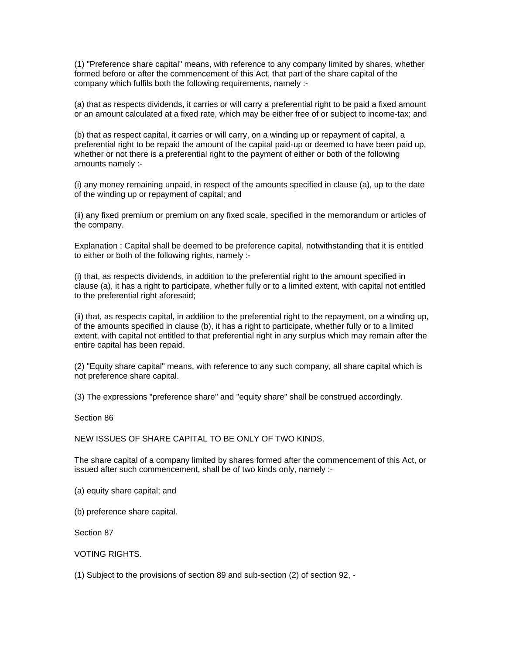(1) "Preference share capital" means, with reference to any company limited by shares, whether formed before or after the commencement of this Act, that part of the share capital of the company which fulfils both the following requirements, namely :-

(a) that as respects dividends, it carries or will carry a preferential right to be paid a fixed amount or an amount calculated at a fixed rate, which may be either free of or subject to income-tax; and

(b) that as respect capital, it carries or will carry, on a winding up or repayment of capital, a preferential right to be repaid the amount of the capital paid-up or deemed to have been paid up, whether or not there is a preferential right to the payment of either or both of the following amounts namely :-

(i) any money remaining unpaid, in respect of the amounts specified in clause (a), up to the date of the winding up or repayment of capital; and

(ii) any fixed premium or premium on any fixed scale, specified in the memorandum or articles of the company.

Explanation : Capital shall be deemed to be preference capital, notwithstanding that it is entitled to either or both of the following rights, namely :-

(i) that, as respects dividends, in addition to the preferential right to the amount specified in clause (a), it has a right to participate, whether fully or to a limited extent, with capital not entitled to the preferential right aforesaid;

(ii) that, as respects capital, in addition to the preferential right to the repayment, on a winding up, of the amounts specified in clause (b), it has a right to participate, whether fully or to a limited extent, with capital not entitled to that preferential right in any surplus which may remain after the entire capital has been repaid.

(2) "Equity share capital" means, with reference to any such company, all share capital which is not preference share capital.

(3) The expressions "preference share" and "equity share" shall be construed accordingly.

Section 86

NEW ISSUES OF SHARE CAPITAL TO BE ONLY OF TWO KINDS.

The share capital of a company limited by shares formed after the commencement of this Act, or issued after such commencement, shall be of two kinds only, namely :-

(a) equity share capital; and

(b) preference share capital.

Section 87

VOTING RIGHTS.

(1) Subject to the provisions of section 89 and sub-section (2) of section 92, -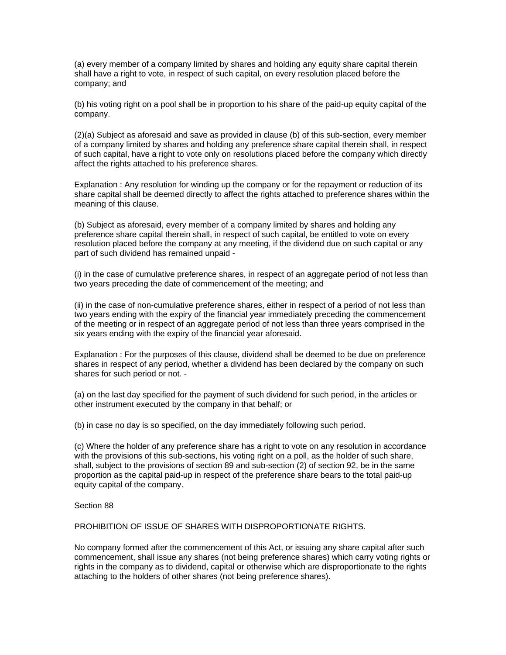(a) every member of a company limited by shares and holding any equity share capital therein shall have a right to vote, in respect of such capital, on every resolution placed before the company; and

(b) his voting right on a pool shall be in proportion to his share of the paid-up equity capital of the company.

(2)(a) Subject as aforesaid and save as provided in clause (b) of this sub-section, every member of a company limited by shares and holding any preference share capital therein shall, in respect of such capital, have a right to vote only on resolutions placed before the company which directly affect the rights attached to his preference shares.

Explanation : Any resolution for winding up the company or for the repayment or reduction of its share capital shall be deemed directly to affect the rights attached to preference shares within the meaning of this clause.

(b) Subject as aforesaid, every member of a company limited by shares and holding any preference share capital therein shall, in respect of such capital, be entitled to vote on every resolution placed before the company at any meeting, if the dividend due on such capital or any part of such dividend has remained unpaid -

(i) in the case of cumulative preference shares, in respect of an aggregate period of not less than two years preceding the date of commencement of the meeting; and

(ii) in the case of non-cumulative preference shares, either in respect of a period of not less than two years ending with the expiry of the financial year immediately preceding the commencement of the meeting or in respect of an aggregate period of not less than three years comprised in the six years ending with the expiry of the financial year aforesaid.

Explanation : For the purposes of this clause, dividend shall be deemed to be due on preference shares in respect of any period, whether a dividend has been declared by the company on such shares for such period or not. -

(a) on the last day specified for the payment of such dividend for such period, in the articles or other instrument executed by the company in that behalf; or

(b) in case no day is so specified, on the day immediately following such period.

(c) Where the holder of any preference share has a right to vote on any resolution in accordance with the provisions of this sub-sections, his voting right on a poll, as the holder of such share, shall, subject to the provisions of section 89 and sub-section (2) of section 92, be in the same proportion as the capital paid-up in respect of the preference share bears to the total paid-up equity capital of the company.

#### Section 88

#### PROHIBITION OF ISSUE OF SHARES WITH DISPROPORTIONATE RIGHTS.

No company formed after the commencement of this Act, or issuing any share capital after such commencement, shall issue any shares (not being preference shares) which carry voting rights or rights in the company as to dividend, capital or otherwise which are disproportionate to the rights attaching to the holders of other shares (not being preference shares).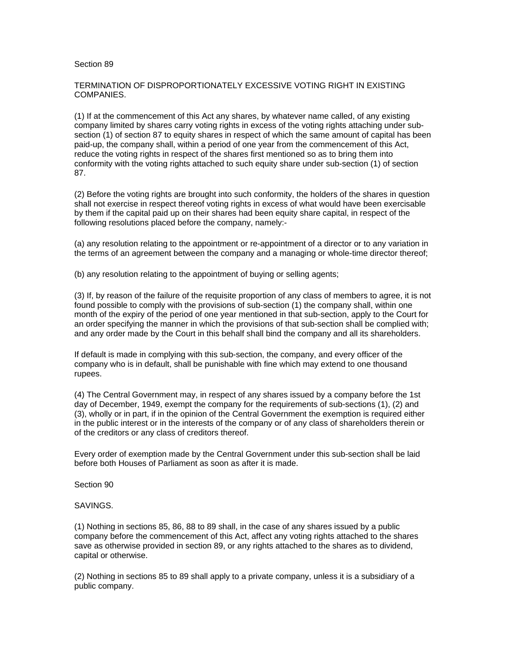#### Section 89

## TERMINATION OF DISPROPORTIONATELY EXCESSIVE VOTING RIGHT IN EXISTING COMPANIES.

(1) If at the commencement of this Act any shares, by whatever name called, of any existing company limited by shares carry voting rights in excess of the voting rights attaching under subsection (1) of section 87 to equity shares in respect of which the same amount of capital has been paid-up, the company shall, within a period of one year from the commencement of this Act, reduce the voting rights in respect of the shares first mentioned so as to bring them into conformity with the voting rights attached to such equity share under sub-section (1) of section 87.

(2) Before the voting rights are brought into such conformity, the holders of the shares in question shall not exercise in respect thereof voting rights in excess of what would have been exercisable by them if the capital paid up on their shares had been equity share capital, in respect of the following resolutions placed before the company, namely:-

(a) any resolution relating to the appointment or re-appointment of a director or to any variation in the terms of an agreement between the company and a managing or whole-time director thereof;

(b) any resolution relating to the appointment of buying or selling agents;

(3) If, by reason of the failure of the requisite proportion of any class of members to agree, it is not found possible to comply with the provisions of sub-section (1) the company shall, within one month of the expiry of the period of one year mentioned in that sub-section, apply to the Court for an order specifying the manner in which the provisions of that sub-section shall be complied with; and any order made by the Court in this behalf shall bind the company and all its shareholders.

If default is made in complying with this sub-section, the company, and every officer of the company who is in default, shall be punishable with fine which may extend to one thousand rupees.

(4) The Central Government may, in respect of any shares issued by a company before the 1st day of December, 1949, exempt the company for the requirements of sub-sections (1), (2) and (3), wholly or in part, if in the opinion of the Central Government the exemption is required either in the public interest or in the interests of the company or of any class of shareholders therein or of the creditors or any class of creditors thereof.

Every order of exemption made by the Central Government under this sub-section shall be laid before both Houses of Parliament as soon as after it is made.

Section 90

## SAVINGS.

(1) Nothing in sections 85, 86, 88 to 89 shall, in the case of any shares issued by a public company before the commencement of this Act, affect any voting rights attached to the shares save as otherwise provided in section 89, or any rights attached to the shares as to dividend, capital or otherwise.

(2) Nothing in sections 85 to 89 shall apply to a private company, unless it is a subsidiary of a public company.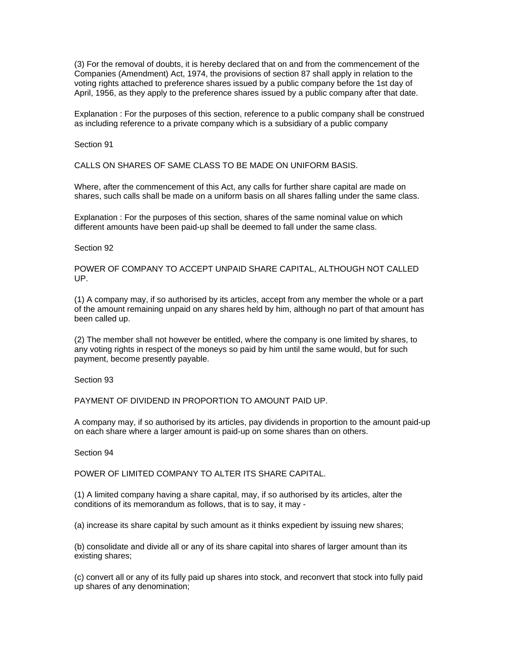(3) For the removal of doubts, it is hereby declared that on and from the commencement of the Companies (Amendment) Act, 1974, the provisions of section 87 shall apply in relation to the voting rights attached to preference shares issued by a public company before the 1st day of April, 1956, as they apply to the preference shares issued by a public company after that date.

Explanation : For the purposes of this section, reference to a public company shall be construed as including reference to a private company which is a subsidiary of a public company

Section 91

CALLS ON SHARES OF SAME CLASS TO BE MADE ON UNIFORM BASIS.

Where, after the commencement of this Act, any calls for further share capital are made on shares, such calls shall be made on a uniform basis on all shares falling under the same class.

Explanation : For the purposes of this section, shares of the same nominal value on which different amounts have been paid-up shall be deemed to fall under the same class.

#### Section 92

POWER OF COMPANY TO ACCEPT UNPAID SHARE CAPITAL, ALTHOUGH NOT CALLED UP.

(1) A company may, if so authorised by its articles, accept from any member the whole or a part of the amount remaining unpaid on any shares held by him, although no part of that amount has been called up.

(2) The member shall not however be entitled, where the company is one limited by shares, to any voting rights in respect of the moneys so paid by him until the same would, but for such payment, become presently payable.

Section 93

PAYMENT OF DIVIDEND IN PROPORTION TO AMOUNT PAID UP.

A company may, if so authorised by its articles, pay dividends in proportion to the amount paid-up on each share where a larger amount is paid-up on some shares than on others.

#### Section 94

POWER OF LIMITED COMPANY TO ALTER ITS SHARE CAPITAL.

(1) A limited company having a share capital, may, if so authorised by its articles, alter the conditions of its memorandum as follows, that is to say, it may -

(a) increase its share capital by such amount as it thinks expedient by issuing new shares;

(b) consolidate and divide all or any of its share capital into shares of larger amount than its existing shares;

(c) convert all or any of its fully paid up shares into stock, and reconvert that stock into fully paid up shares of any denomination;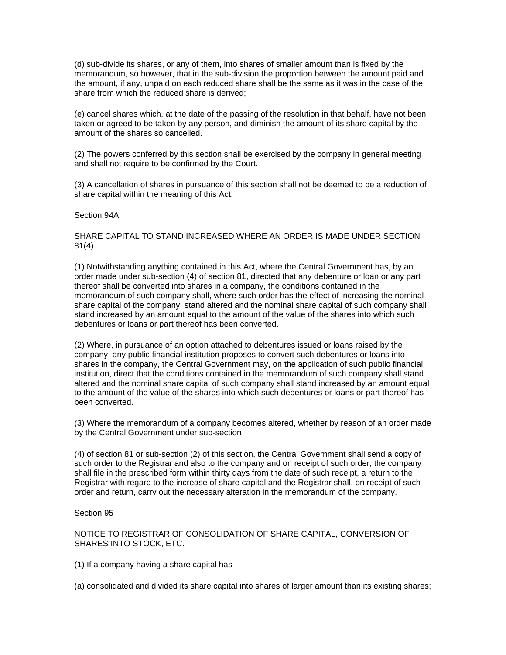(d) sub-divide its shares, or any of them, into shares of smaller amount than is fixed by the memorandum, so however, that in the sub-division the proportion between the amount paid and the amount, if any, unpaid on each reduced share shall be the same as it was in the case of the share from which the reduced share is derived;

(e) cancel shares which, at the date of the passing of the resolution in that behalf, have not been taken or agreed to be taken by any person, and diminish the amount of its share capital by the amount of the shares so cancelled.

(2) The powers conferred by this section shall be exercised by the company in general meeting and shall not require to be confirmed by the Court.

(3) A cancellation of shares in pursuance of this section shall not be deemed to be a reduction of share capital within the meaning of this Act.

Section 94A

# SHARE CAPITAL TO STAND INCREASED WHERE AN ORDER IS MADE UNDER SECTION 81(4).

(1) Notwithstanding anything contained in this Act, where the Central Government has, by an order made under sub-section (4) of section 81, directed that any debenture or loan or any part thereof shall be converted into shares in a company, the conditions contained in the memorandum of such company shall, where such order has the effect of increasing the nominal share capital of the company, stand altered and the nominal share capital of such company shall stand increased by an amount equal to the amount of the value of the shares into which such debentures or loans or part thereof has been converted.

(2) Where, in pursuance of an option attached to debentures issued or loans raised by the company, any public financial institution proposes to convert such debentures or loans into shares in the company, the Central Government may, on the application of such public financial institution, direct that the conditions contained in the memorandum of such company shall stand altered and the nominal share capital of such company shall stand increased by an amount equal to the amount of the value of the shares into which such debentures or loans or part thereof has been converted.

(3) Where the memorandum of a company becomes altered, whether by reason of an order made by the Central Government under sub-section

(4) of section 81 or sub-section (2) of this section, the Central Government shall send a copy of such order to the Registrar and also to the company and on receipt of such order, the company shall file in the prescribed form within thirty days from the date of such receipt, a return to the Registrar with regard to the increase of share capital and the Registrar shall, on receipt of such order and return, carry out the necessary alteration in the memorandum of the company.

## Section 95

NOTICE TO REGISTRAR OF CONSOLIDATION OF SHARE CAPITAL, CONVERSION OF SHARES INTO STOCK, ETC.

(1) If a company having a share capital has -

(a) consolidated and divided its share capital into shares of larger amount than its existing shares;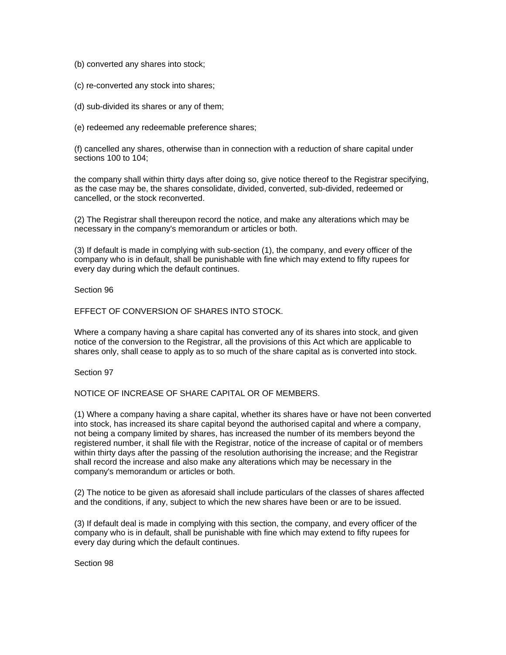- (b) converted any shares into stock;
- (c) re-converted any stock into shares;
- (d) sub-divided its shares or any of them;
- (e) redeemed any redeemable preference shares;

(f) cancelled any shares, otherwise than in connection with a reduction of share capital under sections 100 to 104;

the company shall within thirty days after doing so, give notice thereof to the Registrar specifying, as the case may be, the shares consolidate, divided, converted, sub-divided, redeemed or cancelled, or the stock reconverted.

(2) The Registrar shall thereupon record the notice, and make any alterations which may be necessary in the company's memorandum or articles or both.

(3) If default is made in complying with sub-section (1), the company, and every officer of the company who is in default, shall be punishable with fine which may extend to fifty rupees for every day during which the default continues.

Section 96

EFFECT OF CONVERSION OF SHARES INTO STOCK.

Where a company having a share capital has converted any of its shares into stock, and given notice of the conversion to the Registrar, all the provisions of this Act which are applicable to shares only, shall cease to apply as to so much of the share capital as is converted into stock.

Section 97

NOTICE OF INCREASE OF SHARE CAPITAL OR OF MEMBERS.

(1) Where a company having a share capital, whether its shares have or have not been converted into stock, has increased its share capital beyond the authorised capital and where a company, not being a company limited by shares, has increased the number of its members beyond the registered number, it shall file with the Registrar, notice of the increase of capital or of members within thirty days after the passing of the resolution authorising the increase; and the Registrar shall record the increase and also make any alterations which may be necessary in the company's memorandum or articles or both.

(2) The notice to be given as aforesaid shall include particulars of the classes of shares affected and the conditions, if any, subject to which the new shares have been or are to be issued.

(3) If default deal is made in complying with this section, the company, and every officer of the company who is in default, shall be punishable with fine which may extend to fifty rupees for every day during which the default continues.

Section 98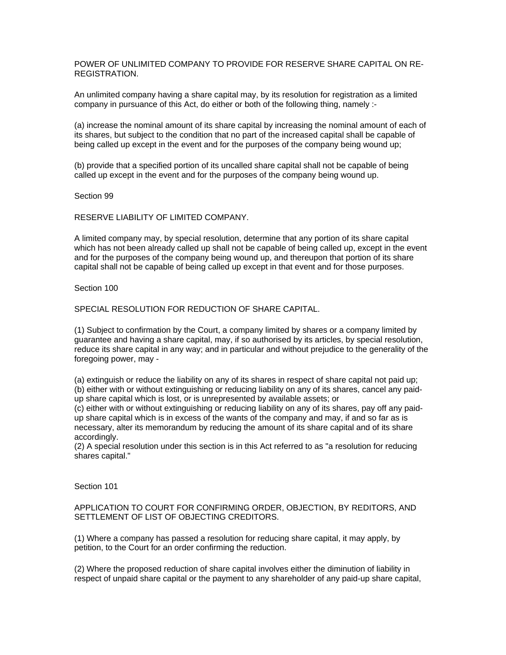# POWER OF UNLIMITED COMPANY TO PROVIDE FOR RESERVE SHARE CAPITAL ON RE-REGISTRATION.

An unlimited company having a share capital may, by its resolution for registration as a limited company in pursuance of this Act, do either or both of the following thing, namely :-

(a) increase the nominal amount of its share capital by increasing the nominal amount of each of its shares, but subject to the condition that no part of the increased capital shall be capable of being called up except in the event and for the purposes of the company being wound up;

(b) provide that a specified portion of its uncalled share capital shall not be capable of being called up except in the event and for the purposes of the company being wound up.

Section 99

RESERVE LIABILITY OF LIMITED COMPANY.

A limited company may, by special resolution, determine that any portion of its share capital which has not been already called up shall not be capable of being called up, except in the event and for the purposes of the company being wound up, and thereupon that portion of its share capital shall not be capable of being called up except in that event and for those purposes.

Section 100

SPECIAL RESOLUTION FOR REDUCTION OF SHARE CAPITAL.

(1) Subject to confirmation by the Court, a company limited by shares or a company limited by guarantee and having a share capital, may, if so authorised by its articles, by special resolution, reduce its share capital in any way; and in particular and without prejudice to the generality of the foregoing power, may -

(a) extinguish or reduce the liability on any of its shares in respect of share capital not paid up; (b) either with or without extinguishing or reducing liability on any of its shares, cancel any paidup share capital which is lost, or is unrepresented by available assets; or

(c) either with or without extinguishing or reducing liability on any of its shares, pay off any paidup share capital which is in excess of the wants of the company and may, if and so far as is necessary, alter its memorandum by reducing the amount of its share capital and of its share accordingly.

(2) A special resolution under this section is in this Act referred to as "a resolution for reducing shares capital."

Section 101

APPLICATION TO COURT FOR CONFIRMING ORDER, OBJECTION, BY REDITORS, AND SETTLEMENT OF LIST OF OBJECTING CREDITORS.

(1) Where a company has passed a resolution for reducing share capital, it may apply, by petition, to the Court for an order confirming the reduction.

(2) Where the proposed reduction of share capital involves either the diminution of liability in respect of unpaid share capital or the payment to any shareholder of any paid-up share capital,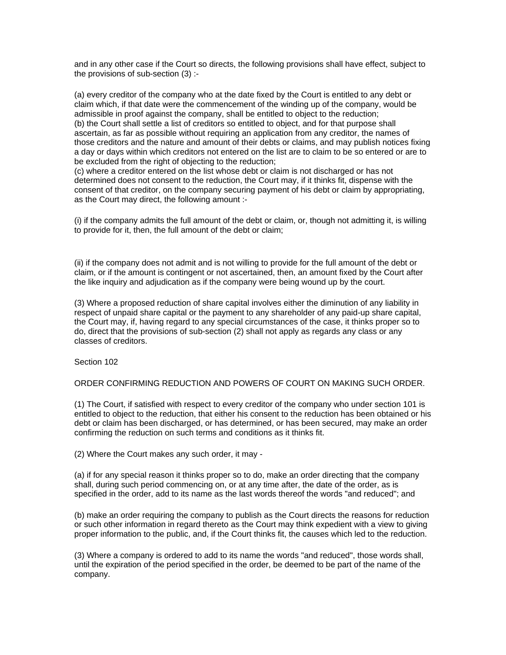and in any other case if the Court so directs, the following provisions shall have effect, subject to the provisions of sub-section (3) :-

(a) every creditor of the company who at the date fixed by the Court is entitled to any debt or claim which, if that date were the commencement of the winding up of the company, would be admissible in proof against the company, shall be entitled to object to the reduction; (b) the Court shall settle a list of creditors so entitled to object, and for that purpose shall ascertain, as far as possible without requiring an application from any creditor, the names of those creditors and the nature and amount of their debts or claims, and may publish notices fixing a day or days within which creditors not entered on the list are to claim to be so entered or are to be excluded from the right of objecting to the reduction:

(c) where a creditor entered on the list whose debt or claim is not discharged or has not determined does not consent to the reduction, the Court may, if it thinks fit, dispense with the consent of that creditor, on the company securing payment of his debt or claim by appropriating, as the Court may direct, the following amount :-

(i) if the company admits the full amount of the debt or claim, or, though not admitting it, is willing to provide for it, then, the full amount of the debt or claim;

(ii) if the company does not admit and is not willing to provide for the full amount of the debt or claim, or if the amount is contingent or not ascertained, then, an amount fixed by the Court after the like inquiry and adjudication as if the company were being wound up by the court.

(3) Where a proposed reduction of share capital involves either the diminution of any liability in respect of unpaid share capital or the payment to any shareholder of any paid-up share capital, the Court may, if, having regard to any special circumstances of the case, it thinks proper so to do, direct that the provisions of sub-section (2) shall not apply as regards any class or any classes of creditors.

Section 102

ORDER CONFIRMING REDUCTION AND POWERS OF COURT ON MAKING SUCH ORDER.

(1) The Court, if satisfied with respect to every creditor of the company who under section 101 is entitled to object to the reduction, that either his consent to the reduction has been obtained or his debt or claim has been discharged, or has determined, or has been secured, may make an order confirming the reduction on such terms and conditions as it thinks fit.

(2) Where the Court makes any such order, it may -

(a) if for any special reason it thinks proper so to do, make an order directing that the company shall, during such period commencing on, or at any time after, the date of the order, as is specified in the order, add to its name as the last words thereof the words "and reduced"; and

(b) make an order requiring the company to publish as the Court directs the reasons for reduction or such other information in regard thereto as the Court may think expedient with a view to giving proper information to the public, and, if the Court thinks fit, the causes which led to the reduction.

(3) Where a company is ordered to add to its name the words "and reduced", those words shall, until the expiration of the period specified in the order, be deemed to be part of the name of the company.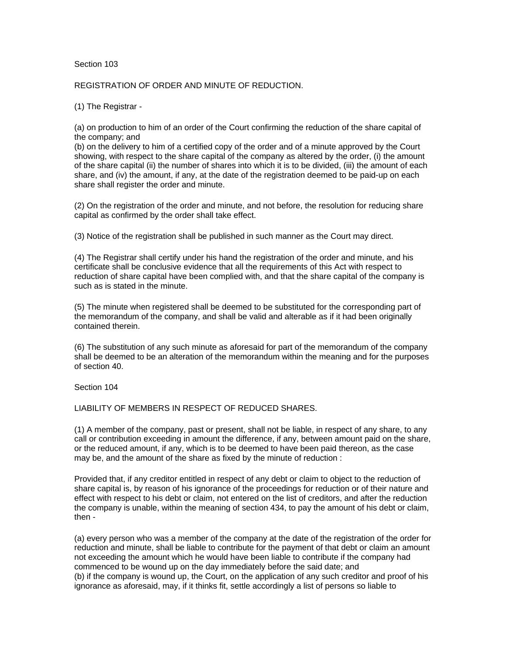## Section 103

REGISTRATION OF ORDER AND MINUTE OF REDUCTION.

(1) The Registrar -

(a) on production to him of an order of the Court confirming the reduction of the share capital of the company; and

(b) on the delivery to him of a certified copy of the order and of a minute approved by the Court showing, with respect to the share capital of the company as altered by the order, (i) the amount of the share capital (ii) the number of shares into which it is to be divided, (iii) the amount of each share, and (iv) the amount, if any, at the date of the registration deemed to be paid-up on each share shall register the order and minute.

(2) On the registration of the order and minute, and not before, the resolution for reducing share capital as confirmed by the order shall take effect.

(3) Notice of the registration shall be published in such manner as the Court may direct.

(4) The Registrar shall certify under his hand the registration of the order and minute, and his certificate shall be conclusive evidence that all the requirements of this Act with respect to reduction of share capital have been complied with, and that the share capital of the company is such as is stated in the minute.

(5) The minute when registered shall be deemed to be substituted for the corresponding part of the memorandum of the company, and shall be valid and alterable as if it had been originally contained therein.

(6) The substitution of any such minute as aforesaid for part of the memorandum of the company shall be deemed to be an alteration of the memorandum within the meaning and for the purposes of section 40.

Section 104

LIABILITY OF MEMBERS IN RESPECT OF REDUCED SHARES.

(1) A member of the company, past or present, shall not be liable, in respect of any share, to any call or contribution exceeding in amount the difference, if any, between amount paid on the share, or the reduced amount, if any, which is to be deemed to have been paid thereon, as the case may be, and the amount of the share as fixed by the minute of reduction :

Provided that, if any creditor entitled in respect of any debt or claim to object to the reduction of share capital is, by reason of his ignorance of the proceedings for reduction or of their nature and effect with respect to his debt or claim, not entered on the list of creditors, and after the reduction the company is unable, within the meaning of section 434, to pay the amount of his debt or claim, then -

(a) every person who was a member of the company at the date of the registration of the order for reduction and minute, shall be liable to contribute for the payment of that debt or claim an amount not exceeding the amount which he would have been liable to contribute if the company had commenced to be wound up on the day immediately before the said date; and (b) if the company is wound up, the Court, on the application of any such creditor and proof of his ignorance as aforesaid, may, if it thinks fit, settle accordingly a list of persons so liable to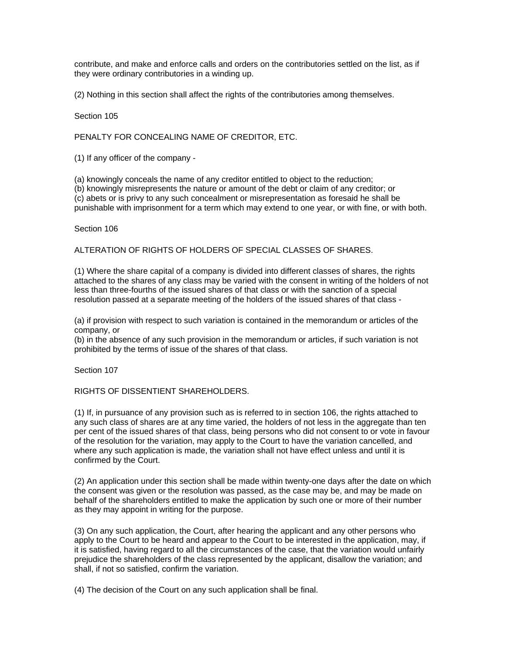contribute, and make and enforce calls and orders on the contributories settled on the list, as if they were ordinary contributories in a winding up.

(2) Nothing in this section shall affect the rights of the contributories among themselves.

Section 105

PENALTY FOR CONCEALING NAME OF CREDITOR, ETC.

(1) If any officer of the company -

(a) knowingly conceals the name of any creditor entitled to object to the reduction;

(b) knowingly misrepresents the nature or amount of the debt or claim of any creditor; or

(c) abets or is privy to any such concealment or misrepresentation as foresaid he shall be punishable with imprisonment for a term which may extend to one year, or with fine, or with both.

Section 106

ALTERATION OF RIGHTS OF HOLDERS OF SPECIAL CLASSES OF SHARES.

(1) Where the share capital of a company is divided into different classes of shares, the rights attached to the shares of any class may be varied with the consent in writing of the holders of not less than three-fourths of the issued shares of that class or with the sanction of a special resolution passed at a separate meeting of the holders of the issued shares of that class -

(a) if provision with respect to such variation is contained in the memorandum or articles of the company, or

(b) in the absence of any such provision in the memorandum or articles, if such variation is not prohibited by the terms of issue of the shares of that class.

Section 107

RIGHTS OF DISSENTIENT SHAREHOLDERS.

(1) If, in pursuance of any provision such as is referred to in section 106, the rights attached to any such class of shares are at any time varied, the holders of not less in the aggregate than ten per cent of the issued shares of that class, being persons who did not consent to or vote in favour of the resolution for the variation, may apply to the Court to have the variation cancelled, and where any such application is made, the variation shall not have effect unless and until it is confirmed by the Court.

(2) An application under this section shall be made within twenty-one days after the date on which the consent was given or the resolution was passed, as the case may be, and may be made on behalf of the shareholders entitled to make the application by such one or more of their number as they may appoint in writing for the purpose.

(3) On any such application, the Court, after hearing the applicant and any other persons who apply to the Court to be heard and appear to the Court to be interested in the application, may, if it is satisfied, having regard to all the circumstances of the case, that the variation would unfairly prejudice the shareholders of the class represented by the applicant, disallow the variation; and shall, if not so satisfied, confirm the variation.

(4) The decision of the Court on any such application shall be final.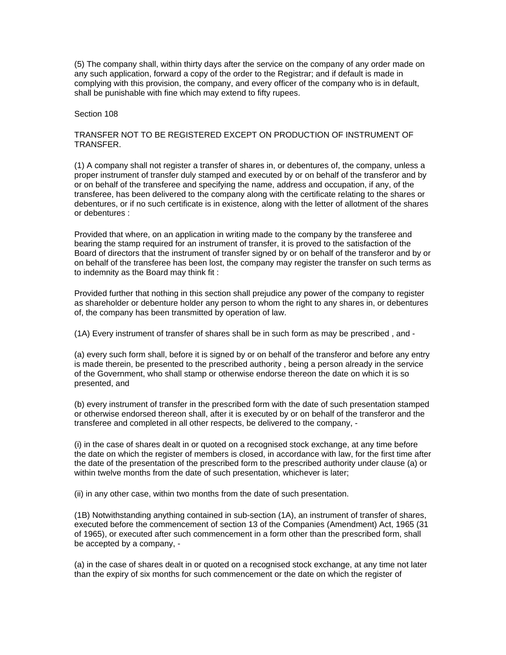(5) The company shall, within thirty days after the service on the company of any order made on any such application, forward a copy of the order to the Registrar; and if default is made in complying with this provision, the company, and every officer of the company who is in default, shall be punishable with fine which may extend to fifty rupees.

Section 108

## TRANSFER NOT TO BE REGISTERED EXCEPT ON PRODUCTION OF INSTRUMENT OF TRANSFER.

(1) A company shall not register a transfer of shares in, or debentures of, the company, unless a proper instrument of transfer duly stamped and executed by or on behalf of the transferor and by or on behalf of the transferee and specifying the name, address and occupation, if any, of the transferee, has been delivered to the company along with the certificate relating to the shares or debentures, or if no such certificate is in existence, along with the letter of allotment of the shares or debentures :

Provided that where, on an application in writing made to the company by the transferee and bearing the stamp required for an instrument of transfer, it is proved to the satisfaction of the Board of directors that the instrument of transfer signed by or on behalf of the transferor and by or on behalf of the transferee has been lost, the company may register the transfer on such terms as to indemnity as the Board may think fit :

Provided further that nothing in this section shall prejudice any power of the company to register as shareholder or debenture holder any person to whom the right to any shares in, or debentures of, the company has been transmitted by operation of law.

(1A) Every instrument of transfer of shares shall be in such form as may be prescribed , and -

(a) every such form shall, before it is signed by or on behalf of the transferor and before any entry is made therein, be presented to the prescribed authority , being a person already in the service of the Government, who shall stamp or otherwise endorse thereon the date on which it is so presented, and

(b) every instrument of transfer in the prescribed form with the date of such presentation stamped or otherwise endorsed thereon shall, after it is executed by or on behalf of the transferor and the transferee and completed in all other respects, be delivered to the company, -

(i) in the case of shares dealt in or quoted on a recognised stock exchange, at any time before the date on which the register of members is closed, in accordance with law, for the first time after the date of the presentation of the prescribed form to the prescribed authority under clause (a) or within twelve months from the date of such presentation, whichever is later;

(ii) in any other case, within two months from the date of such presentation.

(1B) Notwithstanding anything contained in sub-section (1A), an instrument of transfer of shares, executed before the commencement of section 13 of the Companies (Amendment) Act, 1965 (31 of 1965), or executed after such commencement in a form other than the prescribed form, shall be accepted by a company, -

(a) in the case of shares dealt in or quoted on a recognised stock exchange, at any time not later than the expiry of six months for such commencement or the date on which the register of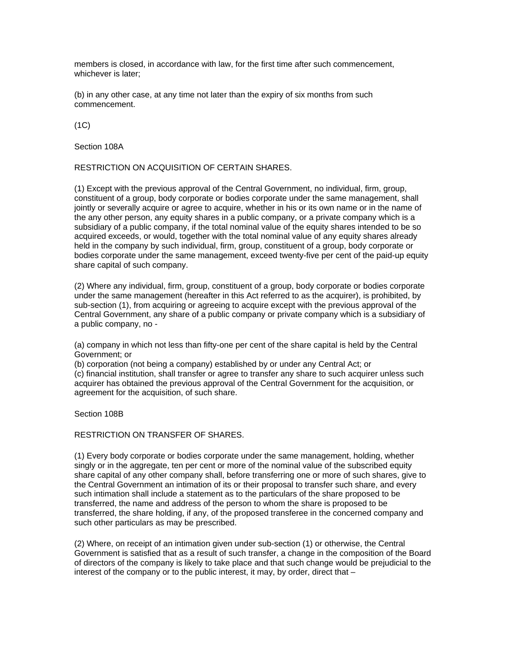members is closed, in accordance with law, for the first time after such commencement, whichever is later;

(b) in any other case, at any time not later than the expiry of six months from such commencement.

 $(1C)$ 

Section 108A

## RESTRICTION ON ACQUISITION OF CERTAIN SHARES.

(1) Except with the previous approval of the Central Government, no individual, firm, group, constituent of a group, body corporate or bodies corporate under the same management, shall jointly or severally acquire or agree to acquire, whether in his or its own name or in the name of the any other person, any equity shares in a public company, or a private company which is a subsidiary of a public company, if the total nominal value of the equity shares intended to be so acquired exceeds, or would, together with the total nominal value of any equity shares already held in the company by such individual, firm, group, constituent of a group, body corporate or bodies corporate under the same management, exceed twenty-five per cent of the paid-up equity share capital of such company.

(2) Where any individual, firm, group, constituent of a group, body corporate or bodies corporate under the same management (hereafter in this Act referred to as the acquirer), is prohibited, by sub-section (1), from acquiring or agreeing to acquire except with the previous approval of the Central Government, any share of a public company or private company which is a subsidiary of a public company, no -

(a) company in which not less than fifty-one per cent of the share capital is held by the Central Government; or

(b) corporation (not being a company) established by or under any Central Act; or (c) financial institution, shall transfer or agree to transfer any share to such acquirer unless such acquirer has obtained the previous approval of the Central Government for the acquisition, or agreement for the acquisition, of such share.

Section 108B

#### RESTRICTION ON TRANSFER OF SHARES.

(1) Every body corporate or bodies corporate under the same management, holding, whether singly or in the aggregate, ten per cent or more of the nominal value of the subscribed equity share capital of any other company shall, before transferring one or more of such shares, give to the Central Government an intimation of its or their proposal to transfer such share, and every such intimation shall include a statement as to the particulars of the share proposed to be transferred, the name and address of the person to whom the share is proposed to be transferred, the share holding, if any, of the proposed transferee in the concerned company and such other particulars as may be prescribed.

(2) Where, on receipt of an intimation given under sub-section (1) or otherwise, the Central Government is satisfied that as a result of such transfer, a change in the composition of the Board of directors of the company is likely to take place and that such change would be prejudicial to the interest of the company or to the public interest, it may, by order, direct that –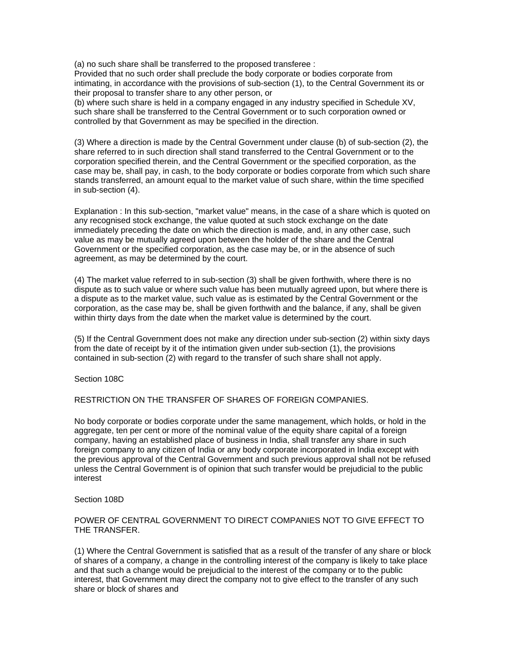(a) no such share shall be transferred to the proposed transferee :

Provided that no such order shall preclude the body corporate or bodies corporate from intimating, in accordance with the provisions of sub-section (1), to the Central Government its or their proposal to transfer share to any other person, or

(b) where such share is held in a company engaged in any industry specified in Schedule XV, such share shall be transferred to the Central Government or to such corporation owned or controlled by that Government as may be specified in the direction.

(3) Where a direction is made by the Central Government under clause (b) of sub-section (2), the share referred to in such direction shall stand transferred to the Central Government or to the corporation specified therein, and the Central Government or the specified corporation, as the case may be, shall pay, in cash, to the body corporate or bodies corporate from which such share stands transferred, an amount equal to the market value of such share, within the time specified in sub-section (4).

Explanation : In this sub-section, "market value" means, in the case of a share which is quoted on any recognised stock exchange, the value quoted at such stock exchange on the date immediately preceding the date on which the direction is made, and, in any other case, such value as may be mutually agreed upon between the holder of the share and the Central Government or the specified corporation, as the case may be, or in the absence of such agreement, as may be determined by the court.

(4) The market value referred to in sub-section (3) shall be given forthwith, where there is no dispute as to such value or where such value has been mutually agreed upon, but where there is a dispute as to the market value, such value as is estimated by the Central Government or the corporation, as the case may be, shall be given forthwith and the balance, if any, shall be given within thirty days from the date when the market value is determined by the court.

(5) If the Central Government does not make any direction under sub-section (2) within sixty days from the date of receipt by it of the intimation given under sub-section (1), the provisions contained in sub-section (2) with regard to the transfer of such share shall not apply.

Section 108C

RESTRICTION ON THE TRANSFER OF SHARES OF FOREIGN COMPANIES.

No body corporate or bodies corporate under the same management, which holds, or hold in the aggregate, ten per cent or more of the nominal value of the equity share capital of a foreign company, having an established place of business in India, shall transfer any share in such foreign company to any citizen of India or any body corporate incorporated in India except with the previous approval of the Central Government and such previous approval shall not be refused unless the Central Government is of opinion that such transfer would be prejudicial to the public interest

Section 108D

# POWER OF CENTRAL GOVERNMENT TO DIRECT COMPANIES NOT TO GIVE EFFECT TO THE TRANSFER.

(1) Where the Central Government is satisfied that as a result of the transfer of any share or block of shares of a company, a change in the controlling interest of the company is likely to take place and that such a change would be prejudicial to the interest of the company or to the public interest, that Government may direct the company not to give effect to the transfer of any such share or block of shares and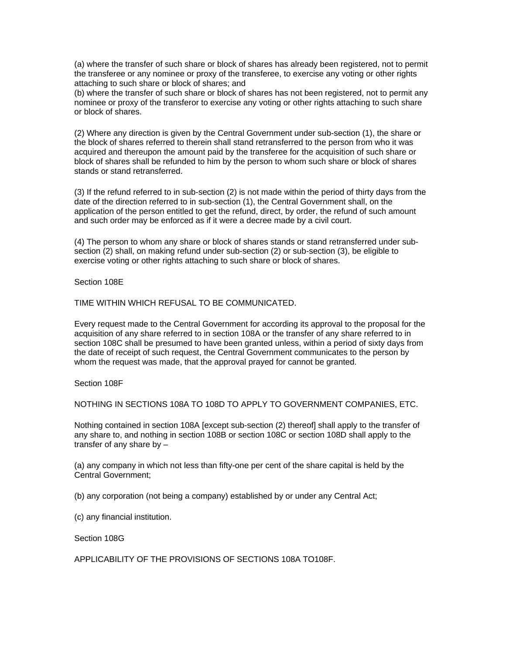(a) where the transfer of such share or block of shares has already been registered, not to permit the transferee or any nominee or proxy of the transferee, to exercise any voting or other rights attaching to such share or block of shares; and

(b) where the transfer of such share or block of shares has not been registered, not to permit any nominee or proxy of the transferor to exercise any voting or other rights attaching to such share or block of shares.

(2) Where any direction is given by the Central Government under sub-section (1), the share or the block of shares referred to therein shall stand retransferred to the person from who it was acquired and thereupon the amount paid by the transferee for the acquisition of such share or block of shares shall be refunded to him by the person to whom such share or block of shares stands or stand retransferred.

(3) If the refund referred to in sub-section (2) is not made within the period of thirty days from the date of the direction referred to in sub-section (1), the Central Government shall, on the application of the person entitled to get the refund, direct, by order, the refund of such amount and such order may be enforced as if it were a decree made by a civil court.

(4) The person to whom any share or block of shares stands or stand retransferred under subsection (2) shall, on making refund under sub-section (2) or sub-section (3), be eligible to exercise voting or other rights attaching to such share or block of shares.

Section 108E

TIME WITHIN WHICH REFUSAL TO BE COMMUNICATED.

Every request made to the Central Government for according its approval to the proposal for the acquisition of any share referred to in section 108A or the transfer of any share referred to in section 108C shall be presumed to have been granted unless, within a period of sixty days from the date of receipt of such request, the Central Government communicates to the person by whom the request was made, that the approval prayed for cannot be granted.

Section 108F

NOTHING IN SECTIONS 108A TO 108D TO APPLY TO GOVERNMENT COMPANIES, ETC.

Nothing contained in section 108A [except sub-section (2) thereof] shall apply to the transfer of any share to, and nothing in section 108B or section 108C or section 108D shall apply to the transfer of any share by –

(a) any company in which not less than fifty-one per cent of the share capital is held by the Central Government;

(b) any corporation (not being a company) established by or under any Central Act;

(c) any financial institution.

Section 108G

APPLICABILITY OF THE PROVISIONS OF SECTIONS 108A TO108F.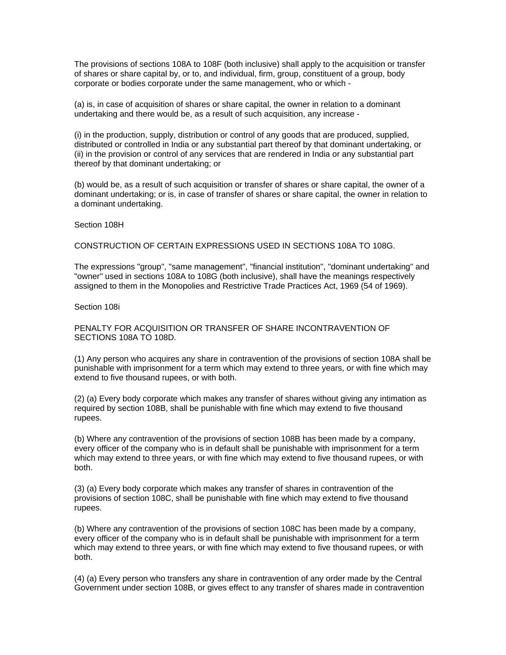The provisions of sections 108A to 108F (both inclusive) shall apply to the acquisition or transfer of shares or share capital by, or to, and individual, firm, group, constituent of a group, body corporate or bodies corporate under the same management, who or which -

(a) is, in case of acquisition of shares or share capital, the owner in relation to a dominant undertaking and there would be, as a result of such acquisition, any increase -

(i) in the production, supply, distribution or control of any goods that are produced, supplied, distributed or controlled in India or any substantial part thereof by that dominant undertaking, or (ii) in the provision or control of any services that are rendered in India or any substantial part thereof by that dominant undertaking; or

(b) would be, as a result of such acquisition or transfer of shares or share capital, the owner of a dominant undertaking; or is, in case of transfer of shares or share capital, the owner in relation to a dominant undertaking.

Section 108H

CONSTRUCTION OF CERTAIN EXPRESSIONS USED IN SECTIONS 108A TO 108G.

The expressions "group", "same management", "financial institution", "dominant undertaking" and "owner" used in sections 108A to 108G (both inclusive), shall have the meanings respectively assigned to them in the Monopolies and Restrictive Trade Practices Act, 1969 (54 of 1969).

Section 108i

# PENALTY FOR ACQUISITION OR TRANSFER OF SHARE INCONTRAVENTION OF SECTIONS 108A TO 108D.

(1) Any person who acquires any share in contravention of the provisions of section 108A shall be punishable with imprisonment for a term which may extend to three years, or with fine which may extend to five thousand rupees, or with both.

(2) (a) Every body corporate which makes any transfer of shares without giving any intimation as required by section 108B, shall be punishable with fine which may extend to five thousand rupees.

(b) Where any contravention of the provisions of section 108B has been made by a company, every officer of the company who is in default shall be punishable with imprisonment for a term which may extend to three years, or with fine which may extend to five thousand rupees, or with both.

(3) (a) Every body corporate which makes any transfer of shares in contravention of the provisions of section 108C, shall be punishable with fine which may extend to five thousand rupees.

(b) Where any contravention of the provisions of section 108C has been made by a company, every officer of the company who is in default shall be punishable with imprisonment for a term which may extend to three years, or with fine which may extend to five thousand rupees, or with both.

(4) (a) Every person who transfers any share in contravention of any order made by the Central Government under section 108B, or gives effect to any transfer of shares made in contravention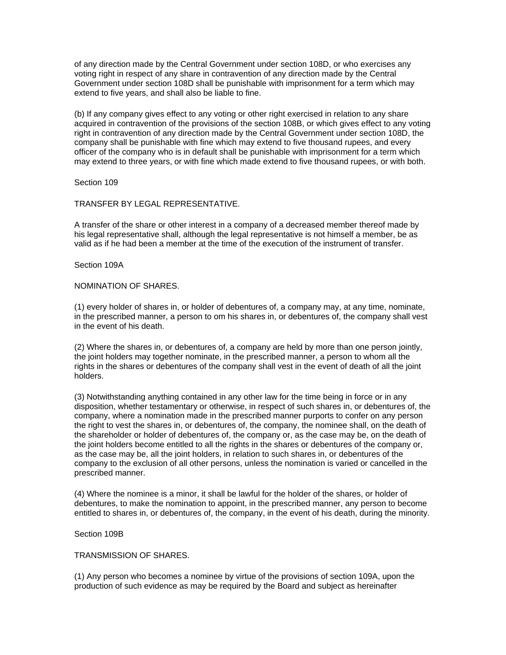of any direction made by the Central Government under section 108D, or who exercises any voting right in respect of any share in contravention of any direction made by the Central Government under section 108D shall be punishable with imprisonment for a term which may extend to five years, and shall also be liable to fine.

(b) If any company gives effect to any voting or other right exercised in relation to any share acquired in contravention of the provisions of the section 108B, or which gives effect to any voting right in contravention of any direction made by the Central Government under section 108D, the company shall be punishable with fine which may extend to five thousand rupees, and every officer of the company who is in default shall be punishable with imprisonment for a term which may extend to three years, or with fine which made extend to five thousand rupees, or with both.

Section 109

#### TRANSFER BY LEGAL REPRESENTATIVE.

A transfer of the share or other interest in a company of a decreased member thereof made by his legal representative shall, although the legal representative is not himself a member, be as valid as if he had been a member at the time of the execution of the instrument of transfer.

Section 109A

#### NOMINATION OF SHARES.

(1) every holder of shares in, or holder of debentures of, a company may, at any time, nominate, in the prescribed manner, a person to om his shares in, or debentures of, the company shall vest in the event of his death

(2) Where the shares in, or debentures of, a company are held by more than one person jointly, the joint holders may together nominate, in the prescribed manner, a person to whom all the rights in the shares or debentures of the company shall vest in the event of death of all the joint holders.

(3) Notwithstanding anything contained in any other law for the time being in force or in any disposition, whether testamentary or otherwise, in respect of such shares in, or debentures of, the company, where a nomination made in the prescribed manner purports to confer on any person the right to vest the shares in, or debentures of, the company, the nominee shall, on the death of the shareholder or holder of debentures of, the company or, as the case may be, on the death of the joint holders become entitled to all the rights in the shares or debentures of the company or, as the case may be, all the joint holders, in relation to such shares in, or debentures of the company to the exclusion of all other persons, unless the nomination is varied or cancelled in the prescribed manner.

(4) Where the nominee is a minor, it shall be lawful for the holder of the shares, or holder of debentures, to make the nomination to appoint, in the prescribed manner, any person to become entitled to shares in, or debentures of, the company, in the event of his death, during the minority.

Section 109B

TRANSMISSION OF SHARES.

(1) Any person who becomes a nominee by virtue of the provisions of section 109A, upon the production of such evidence as may be required by the Board and subject as hereinafter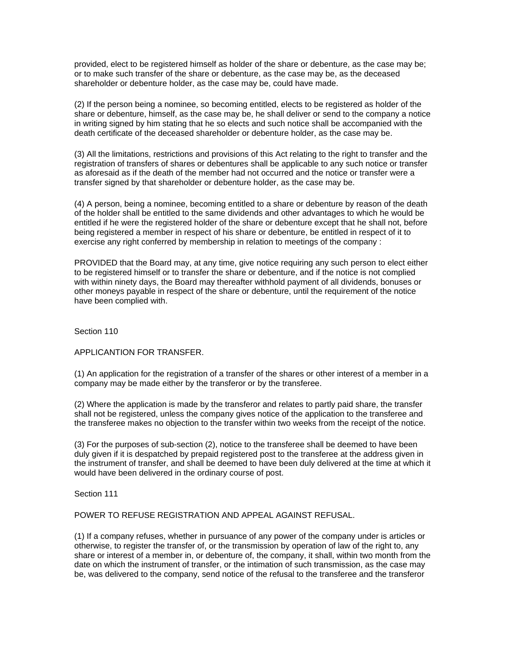provided, elect to be registered himself as holder of the share or debenture, as the case may be; or to make such transfer of the share or debenture, as the case may be, as the deceased shareholder or debenture holder, as the case may be, could have made.

(2) If the person being a nominee, so becoming entitled, elects to be registered as holder of the share or debenture, himself, as the case may be, he shall deliver or send to the company a notice in writing signed by him stating that he so elects and such notice shall be accompanied with the death certificate of the deceased shareholder or debenture holder, as the case may be.

(3) All the limitations, restrictions and provisions of this Act relating to the right to transfer and the registration of transfers of shares or debentures shall be applicable to any such notice or transfer as aforesaid as if the death of the member had not occurred and the notice or transfer were a transfer signed by that shareholder or debenture holder, as the case may be.

(4) A person, being a nominee, becoming entitled to a share or debenture by reason of the death of the holder shall be entitled to the same dividends and other advantages to which he would be entitled if he were the registered holder of the share or debenture except that he shall not, before being registered a member in respect of his share or debenture, be entitled in respect of it to exercise any right conferred by membership in relation to meetings of the company :

PROVIDED that the Board may, at any time, give notice requiring any such person to elect either to be registered himself or to transfer the share or debenture, and if the notice is not complied with within ninety days, the Board may thereafter withhold payment of all dividends, bonuses or other moneys payable in respect of the share or debenture, until the requirement of the notice have been complied with.

Section 110

APPLICANTION FOR TRANSFER.

(1) An application for the registration of a transfer of the shares or other interest of a member in a company may be made either by the transferor or by the transferee.

(2) Where the application is made by the transferor and relates to partly paid share, the transfer shall not be registered, unless the company gives notice of the application to the transferee and the transferee makes no objection to the transfer within two weeks from the receipt of the notice.

(3) For the purposes of sub-section (2), notice to the transferee shall be deemed to have been duly given if it is despatched by prepaid registered post to the transferee at the address given in the instrument of transfer, and shall be deemed to have been duly delivered at the time at which it would have been delivered in the ordinary course of post.

Section 111

POWER TO REFUSE REGISTRATION AND APPEAL AGAINST REFUSAL.

(1) If a company refuses, whether in pursuance of any power of the company under is articles or otherwise, to register the transfer of, or the transmission by operation of law of the right to, any share or interest of a member in, or debenture of, the company, it shall, within two month from the date on which the instrument of transfer, or the intimation of such transmission, as the case may be, was delivered to the company, send notice of the refusal to the transferee and the transferor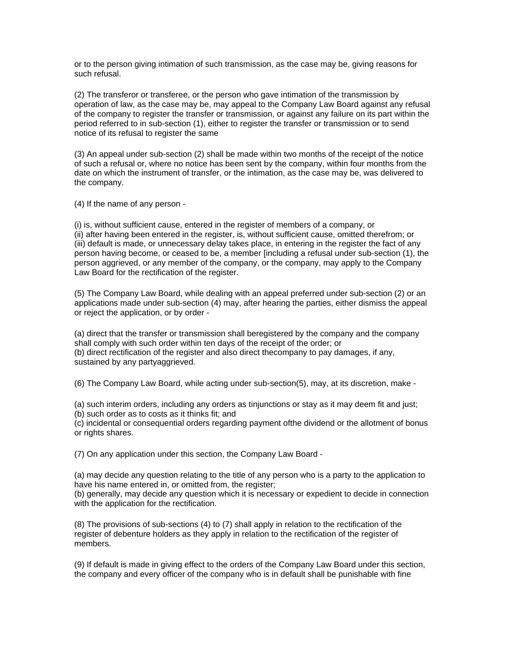or to the person giving intimation of such transmission, as the case may be, giving reasons for such refusal.

(2) The transferor or transferee, or the person who gave intimation of the transmission by operation of law, as the case may be, may appeal to the Company Law Board against any refusal of the company to register the transfer or transmission, or against any failure on its part within the period referred to in sub-section (1), either to register the transfer or transmission or to send notice of its refusal to register the same

(3) An appeal under sub-section (2) shall be made within two months of the receipt of the notice of such a refusal or, where no notice has been sent by the company, within four months from the date on which the instrument of transfer, or the intimation, as the case may be, was delivered to the company.

(4) If the name of any person -

(i) is, without sufficient cause, entered in the register of members of a company, or (ii) after having been entered in the register, is, without sufficient cause, omitted therefrom; or (iii) default is made, or unnecessary delay takes place, in entering in the register the fact of any person having become, or ceased to be, a member [including a refusal under sub-section (1), the person aggrieved, or any member of the company, or the company, may apply to the Company Law Board for the rectification of the register.

(5) The Company Law Board, while dealing with an appeal preferred under sub-section (2) or an applications made under sub-section (4) may, after hearing the parties, either dismiss the appeal or reject the application, or by order -

(a) direct that the transfer or transmission shall beregistered by the company and the company shall comply with such order within ten days of the receipt of the order; or (b) direct rectification of the register and also direct thecompany to pay damages, if any, sustained by any partyaggrieved.

(6) The Company Law Board, while acting under sub-section(5), may, at its discretion, make -

(a) such interim orders, including any orders as tinjunctions or stay as it may deem fit and just;

(b) such order as to costs as it thinks fit; and

(c) incidental or consequential orders regarding payment ofthe dividend or the allotment of bonus or rights shares.

(7) On any application under this section, the Company Law Board -

(a) may decide any question relating to the title of any person who is a party to the application to have his name entered in, or omitted from, the register;

(b) generally, may decide any question which it is necessary or expedient to decide in connection with the application for the rectification.

(8) The provisions of sub-sections (4) to (7) shall apply in relation to the rectification of the register of debenture holders as they apply in relation to the rectification of the register of members.

(9) If default is made in giving effect to the orders of the Company Law Board under this section, the company and every officer of the company who is in default shall be punishable with fine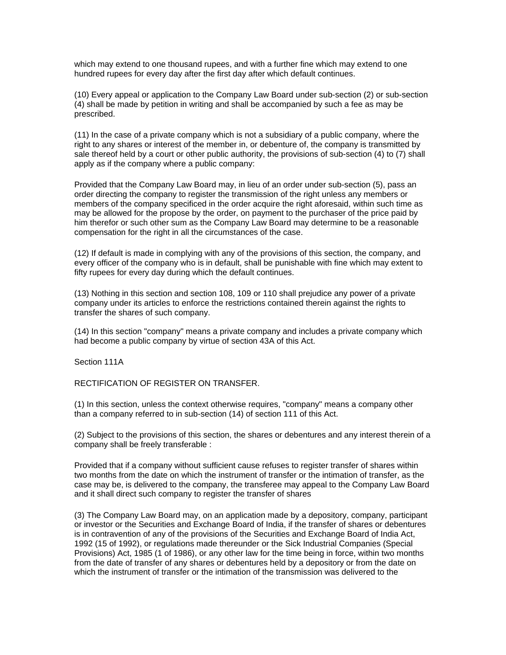which may extend to one thousand rupees, and with a further fine which may extend to one hundred rupees for every day after the first day after which default continues.

(10) Every appeal or application to the Company Law Board under sub-section (2) or sub-section (4) shall be made by petition in writing and shall be accompanied by such a fee as may be prescribed.

(11) In the case of a private company which is not a subsidiary of a public company, where the right to any shares or interest of the member in, or debenture of, the company is transmitted by sale thereof held by a court or other public authority, the provisions of sub-section (4) to (7) shall apply as if the company where a public company:

Provided that the Company Law Board may, in lieu of an order under sub-section (5), pass an order directing the company to register the transmission of the right unless any members or members of the company specificed in the order acquire the right aforesaid, within such time as may be allowed for the propose by the order, on payment to the purchaser of the price paid by him therefor or such other sum as the Company Law Board may determine to be a reasonable compensation for the right in all the circumstances of the case.

(12) If default is made in complying with any of the provisions of this section, the company, and every officer of the company who is in default, shall be punishable with fine which may extent to fifty rupees for every day during which the default continues.

(13) Nothing in this section and section 108, 109 or 110 shall prejudice any power of a private company under its articles to enforce the restrictions contained therein against the rights to transfer the shares of such company.

(14) In this section "company" means a private company and includes a private company which had become a public company by virtue of section 43A of this Act.

Section 111A

RECTIFICATION OF REGISTER ON TRANSFER.

(1) In this section, unless the context otherwise requires, "company" means a company other than a company referred to in sub-section (14) of section 111 of this Act.

(2) Subject to the provisions of this section, the shares or debentures and any interest therein of a company shall be freely transferable :

Provided that if a company without sufficient cause refuses to register transfer of shares within two months from the date on which the instrument of transfer or the intimation of transfer, as the case may be, is delivered to the company, the transferee may appeal to the Company Law Board and it shall direct such company to register the transfer of shares

(3) The Company Law Board may, on an application made by a depository, company, participant or investor or the Securities and Exchange Board of India, if the transfer of shares or debentures is in contravention of any of the provisions of the Securities and Exchange Board of India Act, 1992 (15 of 1992), or regulations made thereunder or the Sick Industrial Companies (Special Provisions) Act, 1985 (1 of 1986), or any other law for the time being in force, within two months from the date of transfer of any shares or debentures held by a depository or from the date on which the instrument of transfer or the intimation of the transmission was delivered to the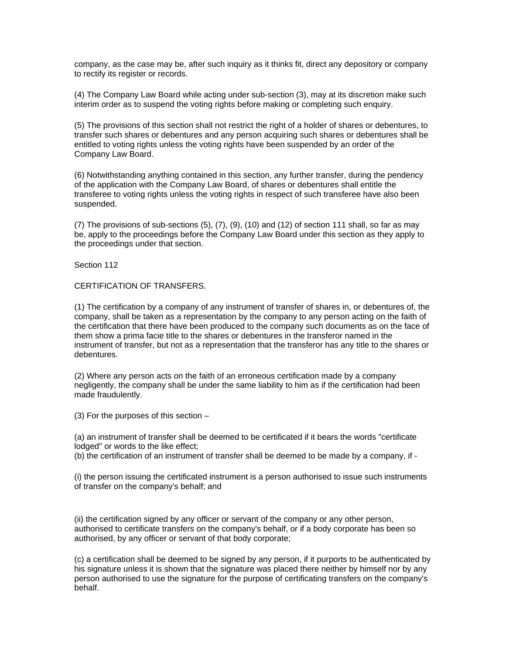company, as the case may be, after such inquiry as it thinks fit, direct any depository or company to rectify its register or records.

(4) The Company Law Board while acting under sub-section (3), may at its discretion make such interim order as to suspend the voting rights before making or completing such enquiry.

(5) The provisions of this section shall not restrict the right of a holder of shares or debentures, to transfer such shares or debentures and any person acquiring such shares or debentures shall be entitled to voting rights unless the voting rights have been suspended by an order of the Company Law Board.

(6) Notwithstanding anything contained in this section, any further transfer, during the pendency of the application with the Company Law Board, of shares or debentures shall entitle the transferee to voting rights unless the voting rights in respect of such transferee have also been suspended.

(7) The provisions of sub-sections (5), (7), (9), (10) and (12) of section 111 shall, so far as may be, apply to the proceedings before the Company Law Board under this section as they apply to the proceedings under that section.

Section 112

#### CERTIFICATION OF TRANSFERS.

(1) The certification by a company of any instrument of transfer of shares in, or debentures of, the company, shall be taken as a representation by the company to any person acting on the faith of the certification that there have been produced to the company such documents as on the face of them show a prima facie title to the shares or debentures in the transferor named in the instrument of transfer, but not as a representation that the transferor has any title to the shares or debentures.

(2) Where any person acts on the faith of an erroneous certification made by a company negligently, the company shall be under the same liability to him as if the certification had been made fraudulently.

(3) For the purposes of this section –

(a) an instrument of transfer shall be deemed to be certificated if it bears the words "certificate lodged" or words to the like effect;

(b) the certification of an instrument of transfer shall be deemed to be made by a company, if -

(i) the person issuing the certificated instrument is a person authorised to issue such instruments of transfer on the company's behalf; and

(ii) the certification signed by any officer or servant of the company or any other person, authorised to certificate transfers on the company's behalf, or if a body corporate has been so authorised, by any officer or servant of that body corporate;

(c) a certification shall be deemed to be signed by any person, if it purports to be authenticated by his signature unless it is shown that the signature was placed there neither by himself nor by any person authorised to use the signature for the purpose of certificating transfers on the company's behalf.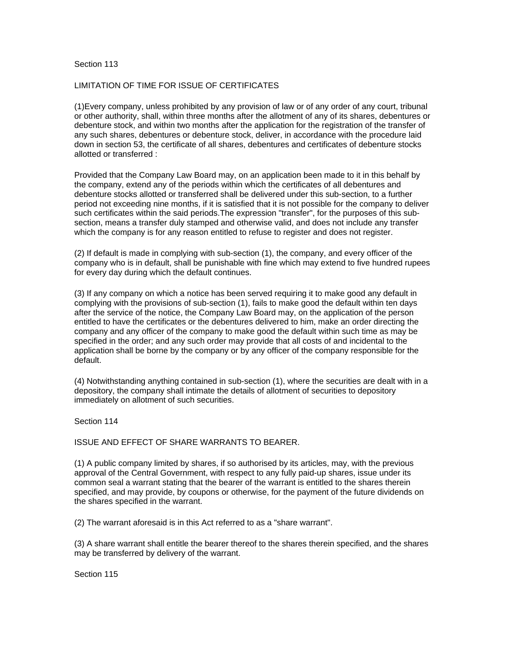# Section 113

## LIMITATION OF TIME FOR ISSUE OF CERTIFICATES

(1)Every company, unless prohibited by any provision of law or of any order of any court, tribunal or other authority, shall, within three months after the allotment of any of its shares, debentures or debenture stock, and within two months after the application for the registration of the transfer of any such shares, debentures or debenture stock, deliver, in accordance with the procedure laid down in section 53, the certificate of all shares, debentures and certificates of debenture stocks allotted or transferred :

Provided that the Company Law Board may, on an application been made to it in this behalf by the company, extend any of the periods within which the certificates of all debentures and debenture stocks allotted or transferred shall be delivered under this sub-section, to a further period not exceeding nine months, if it is satisfied that it is not possible for the company to deliver such certificates within the said periods.The expression "transfer", for the purposes of this subsection, means a transfer duly stamped and otherwise valid, and does not include any transfer which the company is for any reason entitled to refuse to register and does not register.

(2) If default is made in complying with sub-section (1), the company, and every officer of the company who is in default, shall be punishable with fine which may extend to five hundred rupees for every day during which the default continues.

(3) If any company on which a notice has been served requiring it to make good any default in complying with the provisions of sub-section (1), fails to make good the default within ten days after the service of the notice, the Company Law Board may, on the application of the person entitled to have the certificates or the debentures delivered to him, make an order directing the company and any officer of the company to make good the default within such time as may be specified in the order; and any such order may provide that all costs of and incidental to the application shall be borne by the company or by any officer of the company responsible for the default.

(4) Notwithstanding anything contained in sub-section (1), where the securities are dealt with in a depository, the company shall intimate the details of allotment of securities to depository immediately on allotment of such securities.

Section 114

ISSUE AND EFFECT OF SHARE WARRANTS TO BEARER.

(1) A public company limited by shares, if so authorised by its articles, may, with the previous approval of the Central Government, with respect to any fully paid-up shares, issue under its common seal a warrant stating that the bearer of the warrant is entitled to the shares therein specified, and may provide, by coupons or otherwise, for the payment of the future dividends on the shares specified in the warrant.

(2) The warrant aforesaid is in this Act referred to as a "share warrant".

(3) A share warrant shall entitle the bearer thereof to the shares therein specified, and the shares may be transferred by delivery of the warrant.

Section 115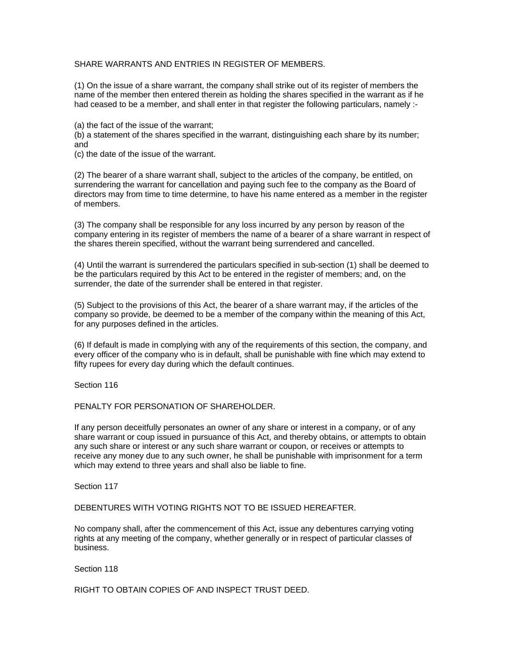# SHARE WARRANTS AND ENTRIES IN REGISTER OF MEMBERS.

(1) On the issue of a share warrant, the company shall strike out of its register of members the name of the member then entered therein as holding the shares specified in the warrant as if he had ceased to be a member, and shall enter in that register the following particulars, namely :-

(a) the fact of the issue of the warrant;

(b) a statement of the shares specified in the warrant, distinguishing each share by its number; and

(c) the date of the issue of the warrant.

(2) The bearer of a share warrant shall, subject to the articles of the company, be entitled, on surrendering the warrant for cancellation and paying such fee to the company as the Board of directors may from time to time determine, to have his name entered as a member in the register of members.

(3) The company shall be responsible for any loss incurred by any person by reason of the company entering in its register of members the name of a bearer of a share warrant in respect of the shares therein specified, without the warrant being surrendered and cancelled.

(4) Until the warrant is surrendered the particulars specified in sub-section (1) shall be deemed to be the particulars required by this Act to be entered in the register of members; and, on the surrender, the date of the surrender shall be entered in that register.

(5) Subject to the provisions of this Act, the bearer of a share warrant may, if the articles of the company so provide, be deemed to be a member of the company within the meaning of this Act, for any purposes defined in the articles.

(6) If default is made in complying with any of the requirements of this section, the company, and every officer of the company who is in default, shall be punishable with fine which may extend to fifty rupees for every day during which the default continues.

Section 116

PENALTY FOR PERSONATION OF SHAREHOLDER.

If any person deceitfully personates an owner of any share or interest in a company, or of any share warrant or coup issued in pursuance of this Act, and thereby obtains, or attempts to obtain any such share or interest or any such share warrant or coupon, or receives or attempts to receive any money due to any such owner, he shall be punishable with imprisonment for a term which may extend to three years and shall also be liable to fine.

Section 117

DEBENTURES WITH VOTING RIGHTS NOT TO BE ISSUED HEREAFTER.

No company shall, after the commencement of this Act, issue any debentures carrying voting rights at any meeting of the company, whether generally or in respect of particular classes of business.

Section 118

RIGHT TO OBTAIN COPIES OF AND INSPECT TRUST DEED.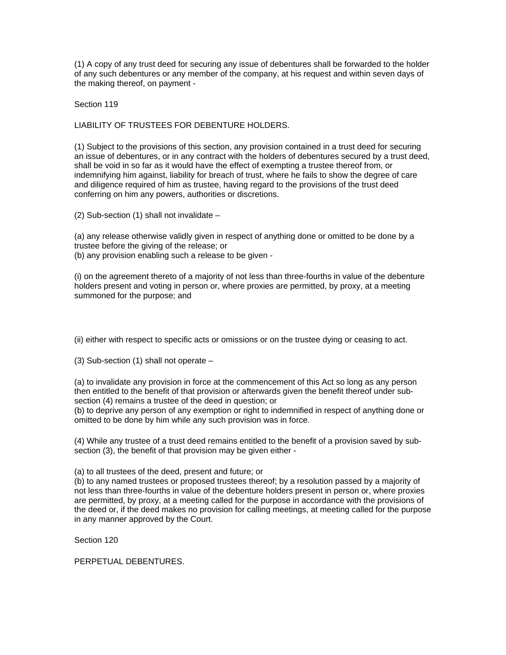(1) A copy of any trust deed for securing any issue of debentures shall be forwarded to the holder of any such debentures or any member of the company, at his request and within seven days of the making thereof, on payment -

Section 119

LIABILITY OF TRUSTEES FOR DEBENTURE HOLDERS.

(1) Subject to the provisions of this section, any provision contained in a trust deed for securing an issue of debentures, or in any contract with the holders of debentures secured by a trust deed, shall be void in so far as it would have the effect of exempting a trustee thereof from, or indemnifying him against, liability for breach of trust, where he fails to show the degree of care and diligence required of him as trustee, having regard to the provisions of the trust deed conferring on him any powers, authorities or discretions.

(2) Sub-section (1) shall not invalidate –

(a) any release otherwise validly given in respect of anything done or omitted to be done by a trustee before the giving of the release; or (b) any provision enabling such a release to be given -

(i) on the agreement thereto of a majority of not less than three-fourths in value of the debenture holders present and voting in person or, where proxies are permitted, by proxy, at a meeting summoned for the purpose; and

(ii) either with respect to specific acts or omissions or on the trustee dying or ceasing to act.

(3) Sub-section (1) shall not operate –

(a) to invalidate any provision in force at the commencement of this Act so long as any person then entitled to the benefit of that provision or afterwards given the benefit thereof under subsection (4) remains a trustee of the deed in question; or

(b) to deprive any person of any exemption or right to indemnified in respect of anything done or omitted to be done by him while any such provision was in force.

(4) While any trustee of a trust deed remains entitled to the benefit of a provision saved by subsection (3), the benefit of that provision may be given either -

(a) to all trustees of the deed, present and future; or

(b) to any named trustees or proposed trustees thereof; by a resolution passed by a majority of not less than three-fourths in value of the debenture holders present in person or, where proxies are permitted, by proxy, at a meeting called for the purpose in accordance with the provisions of the deed or, if the deed makes no provision for calling meetings, at meeting called for the purpose in any manner approved by the Court.

Section 120

PERPETUAL DEBENTURES.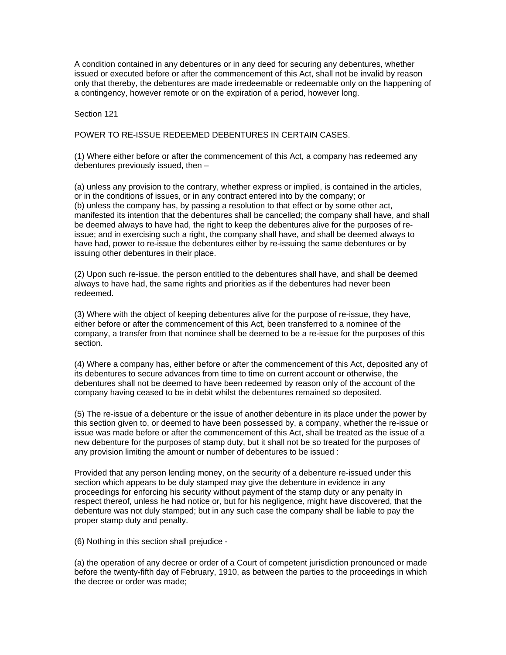A condition contained in any debentures or in any deed for securing any debentures, whether issued or executed before or after the commencement of this Act, shall not be invalid by reason only that thereby, the debentures are made irredeemable or redeemable only on the happening of a contingency, however remote or on the expiration of a period, however long.

Section 121

POWER TO RE-ISSUE REDEEMED DEBENTURES IN CERTAIN CASES.

(1) Where either before or after the commencement of this Act, a company has redeemed any debentures previously issued, then –

(a) unless any provision to the contrary, whether express or implied, is contained in the articles, or in the conditions of issues, or in any contract entered into by the company; or (b) unless the company has, by passing a resolution to that effect or by some other act, manifested its intention that the debentures shall be cancelled; the company shall have, and shall be deemed always to have had, the right to keep the debentures alive for the purposes of reissue; and in exercising such a right, the company shall have, and shall be deemed always to have had, power to re-issue the debentures either by re-issuing the same debentures or by issuing other debentures in their place.

(2) Upon such re-issue, the person entitled to the debentures shall have, and shall be deemed always to have had, the same rights and priorities as if the debentures had never been redeemed.

(3) Where with the object of keeping debentures alive for the purpose of re-issue, they have, either before or after the commencement of this Act, been transferred to a nominee of the company, a transfer from that nominee shall be deemed to be a re-issue for the purposes of this section.

(4) Where a company has, either before or after the commencement of this Act, deposited any of its debentures to secure advances from time to time on current account or otherwise, the debentures shall not be deemed to have been redeemed by reason only of the account of the company having ceased to be in debit whilst the debentures remained so deposited.

(5) The re-issue of a debenture or the issue of another debenture in its place under the power by this section given to, or deemed to have been possessed by, a company, whether the re-issue or issue was made before or after the commencement of this Act, shall be treated as the issue of a new debenture for the purposes of stamp duty, but it shall not be so treated for the purposes of any provision limiting the amount or number of debentures to be issued :

Provided that any person lending money, on the security of a debenture re-issued under this section which appears to be duly stamped may give the debenture in evidence in any proceedings for enforcing his security without payment of the stamp duty or any penalty in respect thereof, unless he had notice or, but for his negligence, might have discovered, that the debenture was not duly stamped; but in any such case the company shall be liable to pay the proper stamp duty and penalty.

(6) Nothing in this section shall prejudice -

(a) the operation of any decree or order of a Court of competent jurisdiction pronounced or made before the twenty-fifth day of February, 1910, as between the parties to the proceedings in which the decree or order was made;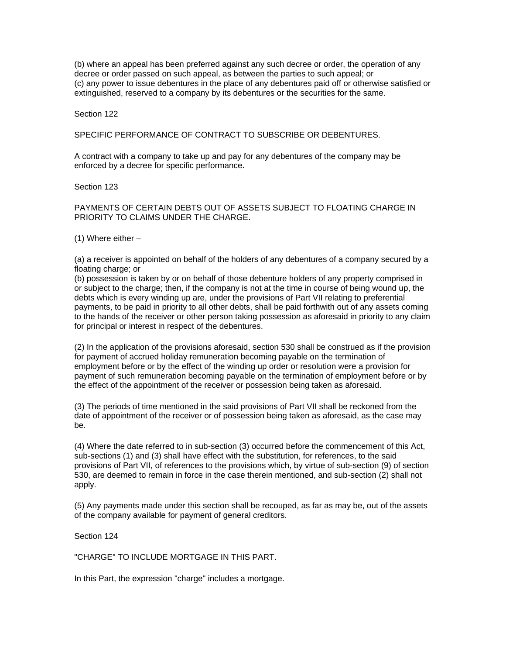(b) where an appeal has been preferred against any such decree or order, the operation of any decree or order passed on such appeal, as between the parties to such appeal; or (c) any power to issue debentures in the place of any debentures paid off or otherwise satisfied or extinguished, reserved to a company by its debentures or the securities for the same.

Section 122

SPECIFIC PERFORMANCE OF CONTRACT TO SUBSCRIBE OR DEBENTURES.

A contract with a company to take up and pay for any debentures of the company may be enforced by a decree for specific performance.

Section 123

## PAYMENTS OF CERTAIN DEBTS OUT OF ASSETS SUBJECT TO FLOATING CHARGE IN PRIORITY TO CLAIMS UNDER THE CHARGE.

(1) Where either –

(a) a receiver is appointed on behalf of the holders of any debentures of a company secured by a floating charge; or

(b) possession is taken by or on behalf of those debenture holders of any property comprised in or subject to the charge; then, if the company is not at the time in course of being wound up, the debts which is every winding up are, under the provisions of Part VII relating to preferential payments, to be paid in priority to all other debts, shall be paid forthwith out of any assets coming to the hands of the receiver or other person taking possession as aforesaid in priority to any claim for principal or interest in respect of the debentures.

(2) In the application of the provisions aforesaid, section 530 shall be construed as if the provision for payment of accrued holiday remuneration becoming payable on the termination of employment before or by the effect of the winding up order or resolution were a provision for payment of such remuneration becoming payable on the termination of employment before or by the effect of the appointment of the receiver or possession being taken as aforesaid.

(3) The periods of time mentioned in the said provisions of Part VII shall be reckoned from the date of appointment of the receiver or of possession being taken as aforesaid, as the case may be.

(4) Where the date referred to in sub-section (3) occurred before the commencement of this Act, sub-sections (1) and (3) shall have effect with the substitution, for references, to the said provisions of Part VII, of references to the provisions which, by virtue of sub-section (9) of section 530, are deemed to remain in force in the case therein mentioned, and sub-section (2) shall not apply.

(5) Any payments made under this section shall be recouped, as far as may be, out of the assets of the company available for payment of general creditors.

Section 124

"CHARGE" TO INCLUDE MORTGAGE IN THIS PART.

In this Part, the expression "charge" includes a mortgage.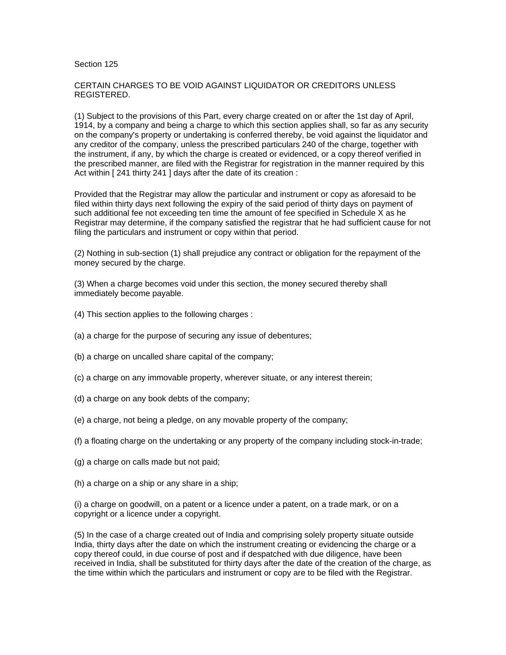#### Section 125

## CERTAIN CHARGES TO BE VOID AGAINST LIQUIDATOR OR CREDITORS UNLESS REGISTERED.

(1) Subject to the provisions of this Part, every charge created on or after the 1st day of April, 1914, by a company and being a charge to which this section applies shall, so far as any security on the company's property or undertaking is conferred thereby, be void against the liquidator and any creditor of the company, unless the prescribed particulars 240 of the charge, together with the instrument, if any, by which the charge is created or evidenced, or a copy thereof verified in the prescribed manner, are filed with the Registrar for registration in the manner required by this Act within [ 241 thirty 241 ] days after the date of its creation :

Provided that the Registrar may allow the particular and instrument or copy as aforesaid to be filed within thirty days next following the expiry of the said period of thirty days on payment of such additional fee not exceeding ten time the amount of fee specified in Schedule X as he Registrar may determine, if the company satisfied the registrar that he had sufficient cause for not filing the particulars and instrument or copy within that period.

(2) Nothing in sub-section (1) shall prejudice any contract or obligation for the repayment of the money secured by the charge.

(3) When a charge becomes void under this section, the money secured thereby shall immediately become payable.

- (4) This section applies to the following charges :
- (a) a charge for the purpose of securing any issue of debentures;
- (b) a charge on uncalled share capital of the company;
- (c) a charge on any immovable property, wherever situate, or any interest therein;
- (d) a charge on any book debts of the company;
- (e) a charge, not being a pledge, on any movable property of the company;
- (f) a floating charge on the undertaking or any property of the company including stock-in-trade;
- (g) a charge on calls made but not paid;
- (h) a charge on a ship or any share in a ship;

(i) a charge on goodwill, on a patent or a licence under a patent, on a trade mark, or on a copyright or a licence under a copyright.

(5) In the case of a charge created out of India and comprising solely property situate outside India, thirty days after the date on which the instrument creating or evidencing the charge or a copy thereof could, in due course of post and if despatched with due diligence, have been received in India, shall be substituted for thirty days after the date of the creation of the charge, as the time within which the particulars and instrument or copy are to be filed with the Registrar.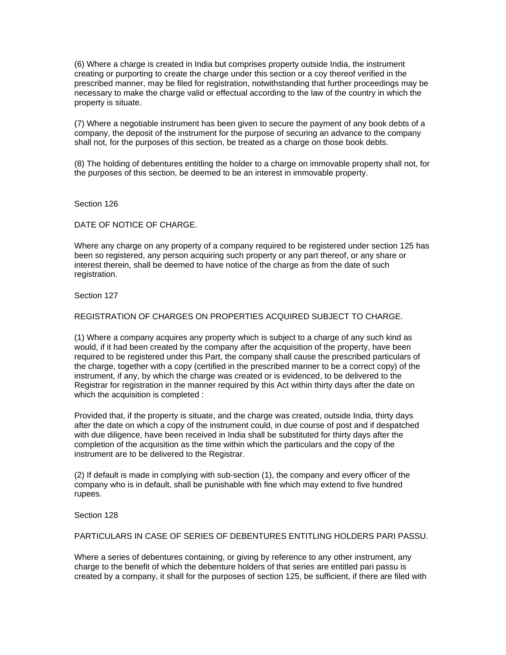(6) Where a charge is created in India but comprises property outside India, the instrument creating or purporting to create the charge under this section or a coy thereof verified in the prescribed manner, may be filed for registration, notwithstanding that further proceedings may be necessary to make the charge valid or effectual according to the law of the country in which the property is situate.

(7) Where a negotiable instrument has been given to secure the payment of any book debts of a company, the deposit of the instrument for the purpose of securing an advance to the company shall not, for the purposes of this section, be treated as a charge on those book debts.

(8) The holding of debentures entitling the holder to a charge on immovable property shall not, for the purposes of this section, be deemed to be an interest in immovable property.

Section 126

DATE OF NOTICE OF CHARGE.

Where any charge on any property of a company required to be registered under section 125 has been so registered, any person acquiring such property or any part thereof, or any share or interest therein, shall be deemed to have notice of the charge as from the date of such registration.

Section 127

REGISTRATION OF CHARGES ON PROPERTIES ACQUIRED SUBJECT TO CHARGE.

(1) Where a company acquires any property which is subject to a charge of any such kind as would, if it had been created by the company after the acquisition of the property, have been required to be registered under this Part, the company shall cause the prescribed particulars of the charge, together with a copy (certified in the prescribed manner to be a correct copy) of the instrument, if any, by which the charge was created or is evidenced, to be delivered to the Registrar for registration in the manner required by this Act within thirty days after the date on which the acquisition is completed :

Provided that, if the property is situate, and the charge was created, outside India, thirty days after the date on which a copy of the instrument could, in due course of post and if despatched with due diligence, have been received in India shall be substituted for thirty days after the completion of the acquisition as the time within which the particulars and the copy of the instrument are to be delivered to the Registrar.

(2) If default is made in complying with sub-section (1), the company and every officer of the company who is in default, shall be punishable with fine which may extend to five hundred rupees.

Section 128

PARTICULARS IN CASE OF SERIES OF DEBENTURES ENTITLING HOLDERS PARI PASSU.

Where a series of debentures containing, or giving by reference to any other instrument, any charge to the benefit of which the debenture holders of that series are entitled pari passu is created by a company, it shall for the purposes of section 125, be sufficient, if there are filed with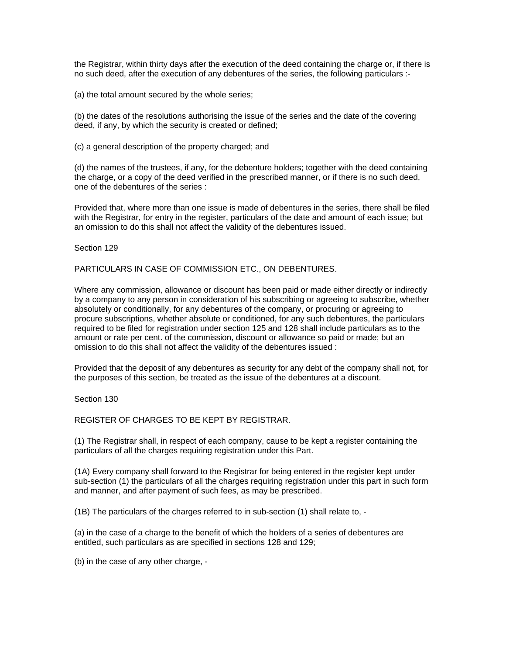the Registrar, within thirty days after the execution of the deed containing the charge or, if there is no such deed, after the execution of any debentures of the series, the following particulars :-

(a) the total amount secured by the whole series;

(b) the dates of the resolutions authorising the issue of the series and the date of the covering deed, if any, by which the security is created or defined;

(c) a general description of the property charged; and

(d) the names of the trustees, if any, for the debenture holders; together with the deed containing the charge, or a copy of the deed verified in the prescribed manner, or if there is no such deed, one of the debentures of the series :

Provided that, where more than one issue is made of debentures in the series, there shall be filed with the Registrar, for entry in the register, particulars of the date and amount of each issue; but an omission to do this shall not affect the validity of the debentures issued.

Section 129

PARTICULARS IN CASE OF COMMISSION ETC., ON DEBENTURES.

Where any commission, allowance or discount has been paid or made either directly or indirectly by a company to any person in consideration of his subscribing or agreeing to subscribe, whether absolutely or conditionally, for any debentures of the company, or procuring or agreeing to procure subscriptions, whether absolute or conditioned, for any such debentures, the particulars required to be filed for registration under section 125 and 128 shall include particulars as to the amount or rate per cent. of the commission, discount or allowance so paid or made; but an omission to do this shall not affect the validity of the debentures issued :

Provided that the deposit of any debentures as security for any debt of the company shall not, for the purposes of this section, be treated as the issue of the debentures at a discount.

Section 130

REGISTER OF CHARGES TO BE KEPT BY REGISTRAR.

(1) The Registrar shall, in respect of each company, cause to be kept a register containing the particulars of all the charges requiring registration under this Part.

(1A) Every company shall forward to the Registrar for being entered in the register kept under sub-section (1) the particulars of all the charges requiring registration under this part in such form and manner, and after payment of such fees, as may be prescribed.

(1B) The particulars of the charges referred to in sub-section (1) shall relate to, -

(a) in the case of a charge to the benefit of which the holders of a series of debentures are entitled, such particulars as are specified in sections 128 and 129;

(b) in the case of any other charge, -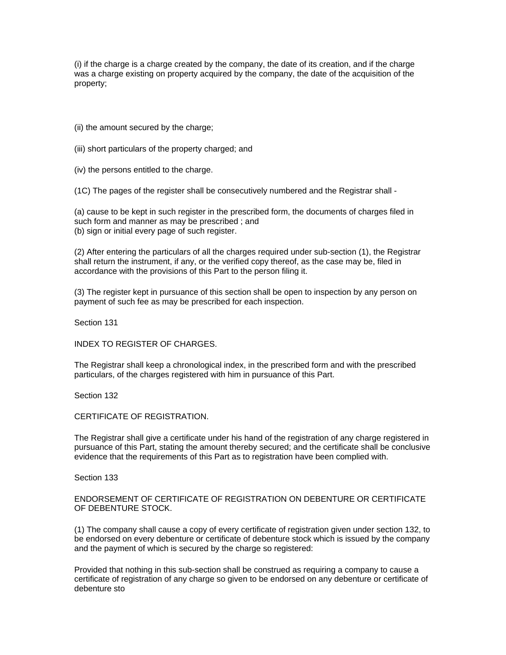(i) if the charge is a charge created by the company, the date of its creation, and if the charge was a charge existing on property acquired by the company, the date of the acquisition of the property;

(ii) the amount secured by the charge;

(iii) short particulars of the property charged; and

(iv) the persons entitled to the charge.

(1C) The pages of the register shall be consecutively numbered and the Registrar shall -

(a) cause to be kept in such register in the prescribed form, the documents of charges filed in such form and manner as may be prescribed ; and (b) sign or initial every page of such register.

(2) After entering the particulars of all the charges required under sub-section (1), the Registrar shall return the instrument, if any, or the verified copy thereof, as the case may be, filed in accordance with the provisions of this Part to the person filing it.

(3) The register kept in pursuance of this section shall be open to inspection by any person on payment of such fee as may be prescribed for each inspection.

Section 131

INDEX TO REGISTER OF CHARGES.

The Registrar shall keep a chronological index, in the prescribed form and with the prescribed particulars, of the charges registered with him in pursuance of this Part.

Section 132

CERTIFICATE OF REGISTRATION.

The Registrar shall give a certificate under his hand of the registration of any charge registered in pursuance of this Part, stating the amount thereby secured; and the certificate shall be conclusive evidence that the requirements of this Part as to registration have been complied with.

Section 133

ENDORSEMENT OF CERTIFICATE OF REGISTRATION ON DEBENTURE OR CERTIFICATE OF DEBENTURE STOCK.

(1) The company shall cause a copy of every certificate of registration given under section 132, to be endorsed on every debenture or certificate of debenture stock which is issued by the company and the payment of which is secured by the charge so registered:

Provided that nothing in this sub-section shall be construed as requiring a company to cause a certificate of registration of any charge so given to be endorsed on any debenture or certificate of debenture sto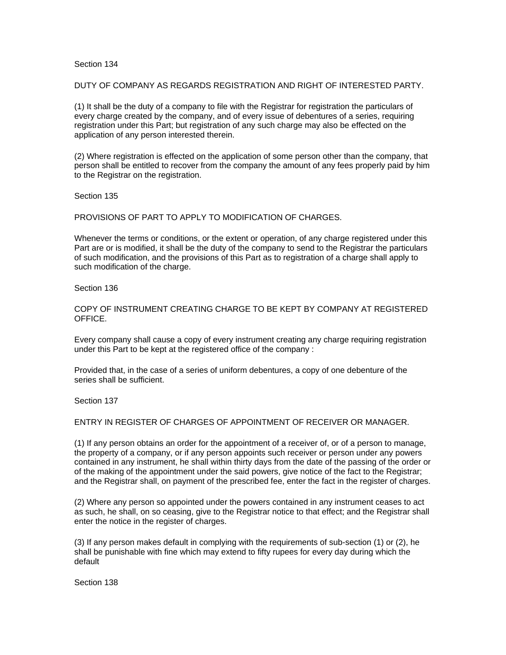## Section 134

#### DUTY OF COMPANY AS REGARDS REGISTRATION AND RIGHT OF INTERESTED PARTY.

(1) It shall be the duty of a company to file with the Registrar for registration the particulars of every charge created by the company, and of every issue of debentures of a series, requiring registration under this Part; but registration of any such charge may also be effected on the application of any person interested therein.

(2) Where registration is effected on the application of some person other than the company, that person shall be entitled to recover from the company the amount of any fees properly paid by him to the Registrar on the registration.

Section 135

PROVISIONS OF PART TO APPLY TO MODIFICATION OF CHARGES.

Whenever the terms or conditions, or the extent or operation, of any charge registered under this Part are or is modified, it shall be the duty of the company to send to the Registrar the particulars of such modification, and the provisions of this Part as to registration of a charge shall apply to such modification of the charge.

Section 136

COPY OF INSTRUMENT CREATING CHARGE TO BE KEPT BY COMPANY AT REGISTERED OFFICE.

Every company shall cause a copy of every instrument creating any charge requiring registration under this Part to be kept at the registered office of the company :

Provided that, in the case of a series of uniform debentures, a copy of one debenture of the series shall be sufficient.

Section 137

ENTRY IN REGISTER OF CHARGES OF APPOINTMENT OF RECEIVER OR MANAGER.

(1) If any person obtains an order for the appointment of a receiver of, or of a person to manage, the property of a company, or if any person appoints such receiver or person under any powers contained in any instrument, he shall within thirty days from the date of the passing of the order or of the making of the appointment under the said powers, give notice of the fact to the Registrar; and the Registrar shall, on payment of the prescribed fee, enter the fact in the register of charges.

(2) Where any person so appointed under the powers contained in any instrument ceases to act as such, he shall, on so ceasing, give to the Registrar notice to that effect; and the Registrar shall enter the notice in the register of charges.

(3) If any person makes default in complying with the requirements of sub-section (1) or (2), he shall be punishable with fine which may extend to fifty rupees for every day during which the default

Section 138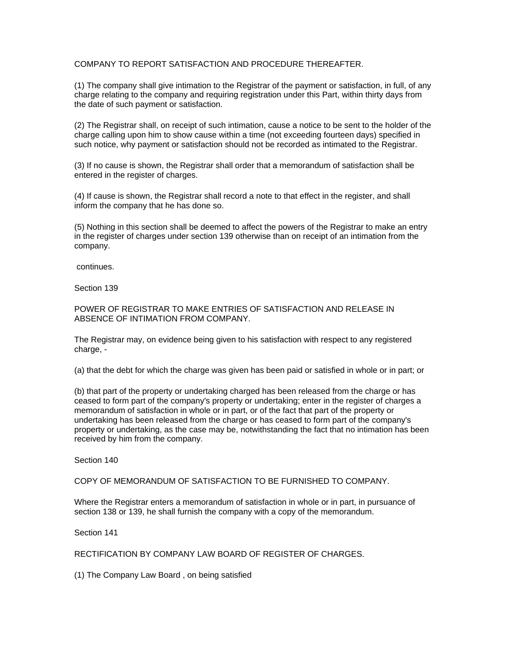# COMPANY TO REPORT SATISFACTION AND PROCEDURE THEREAFTER.

(1) The company shall give intimation to the Registrar of the payment or satisfaction, in full, of any charge relating to the company and requiring registration under this Part, within thirty days from the date of such payment or satisfaction.

(2) The Registrar shall, on receipt of such intimation, cause a notice to be sent to the holder of the charge calling upon him to show cause within a time (not exceeding fourteen days) specified in such notice, why payment or satisfaction should not be recorded as intimated to the Registrar.

(3) If no cause is shown, the Registrar shall order that a memorandum of satisfaction shall be entered in the register of charges.

(4) If cause is shown, the Registrar shall record a note to that effect in the register, and shall inform the company that he has done so.

(5) Nothing in this section shall be deemed to affect the powers of the Registrar to make an entry in the register of charges under section 139 otherwise than on receipt of an intimation from the company.

continues.

Section 139

POWER OF REGISTRAR TO MAKE ENTRIES OF SATISFACTION AND RELEASE IN ABSENCE OF INTIMATION FROM COMPANY.

The Registrar may, on evidence being given to his satisfaction with respect to any registered charge, -

(a) that the debt for which the charge was given has been paid or satisfied in whole or in part; or

(b) that part of the property or undertaking charged has been released from the charge or has ceased to form part of the company's property or undertaking; enter in the register of charges a memorandum of satisfaction in whole or in part, or of the fact that part of the property or undertaking has been released from the charge or has ceased to form part of the company's property or undertaking, as the case may be, notwithstanding the fact that no intimation has been received by him from the company.

Section 140

COPY OF MEMORANDUM OF SATISFACTION TO BE FURNISHED TO COMPANY.

Where the Registrar enters a memorandum of satisfaction in whole or in part, in pursuance of section 138 or 139, he shall furnish the company with a copy of the memorandum.

Section 141

RECTIFICATION BY COMPANY LAW BOARD OF REGISTER OF CHARGES.

(1) The Company Law Board , on being satisfied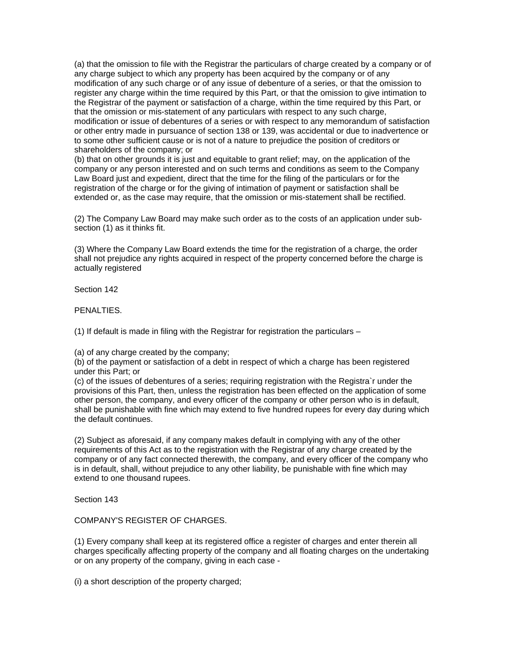(a) that the omission to file with the Registrar the particulars of charge created by a company or of any charge subject to which any property has been acquired by the company or of any modification of any such charge or of any issue of debenture of a series, or that the omission to register any charge within the time required by this Part, or that the omission to give intimation to the Registrar of the payment or satisfaction of a charge, within the time required by this Part, or that the omission or mis-statement of any particulars with respect to any such charge, modification or issue of debentures of a series or with respect to any memorandum of satisfaction or other entry made in pursuance of section 138 or 139, was accidental or due to inadvertence or to some other sufficient cause or is not of a nature to prejudice the position of creditors or shareholders of the company; or

(b) that on other grounds it is just and equitable to grant relief; may, on the application of the company or any person interested and on such terms and conditions as seem to the Company Law Board just and expedient, direct that the time for the filing of the particulars or for the registration of the charge or for the giving of intimation of payment or satisfaction shall be extended or, as the case may require, that the omission or mis-statement shall be rectified.

(2) The Company Law Board may make such order as to the costs of an application under subsection (1) as it thinks fit.

(3) Where the Company Law Board extends the time for the registration of a charge, the order shall not prejudice any rights acquired in respect of the property concerned before the charge is actually registered

Section 142

PENALTIES.

(1) If default is made in filing with the Registrar for registration the particulars –

(a) of any charge created by the company;

(b) of the payment or satisfaction of a debt in respect of which a charge has been registered under this Part; or

(c) of the issues of debentures of a series; requiring registration with the Registra`r under the provisions of this Part, then, unless the registration has been effected on the application of some other person, the company, and every officer of the company or other person who is in default, shall be punishable with fine which may extend to five hundred rupees for every day during which the default continues.

(2) Subject as aforesaid, if any company makes default in complying with any of the other requirements of this Act as to the registration with the Registrar of any charge created by the company or of any fact connected therewith, the company, and every officer of the company who is in default, shall, without prejudice to any other liability, be punishable with fine which may extend to one thousand rupees.

Section 143

COMPANY'S REGISTER OF CHARGES.

(1) Every company shall keep at its registered office a register of charges and enter therein all charges specifically affecting property of the company and all floating charges on the undertaking or on any property of the company, giving in each case -

(i) a short description of the property charged;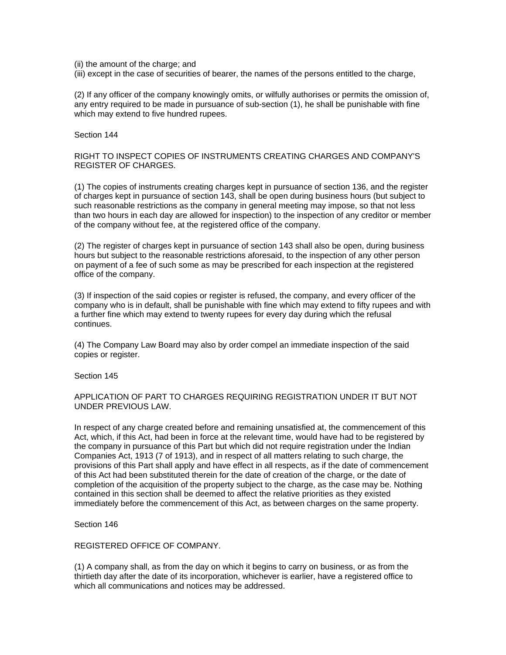(ii) the amount of the charge; and

(iii) except in the case of securities of bearer, the names of the persons entitled to the charge,

(2) If any officer of the company knowingly omits, or wilfully authorises or permits the omission of, any entry required to be made in pursuance of sub-section (1), he shall be punishable with fine which may extend to five hundred rupees.

Section 144

RIGHT TO INSPECT COPIES OF INSTRUMENTS CREATING CHARGES AND COMPANY'S REGISTER OF CHARGES.

(1) The copies of instruments creating charges kept in pursuance of section 136, and the register of charges kept in pursuance of section 143, shall be open during business hours (but subject to such reasonable restrictions as the company in general meeting may impose, so that not less than two hours in each day are allowed for inspection) to the inspection of any creditor or member of the company without fee, at the registered office of the company.

(2) The register of charges kept in pursuance of section 143 shall also be open, during business hours but subject to the reasonable restrictions aforesaid, to the inspection of any other person on payment of a fee of such some as may be prescribed for each inspection at the registered office of the company.

(3) If inspection of the said copies or register is refused, the company, and every officer of the company who is in default, shall be punishable with fine which may extend to fifty rupees and with a further fine which may extend to twenty rupees for every day during which the refusal continues.

(4) The Company Law Board may also by order compel an immediate inspection of the said copies or register.

Section 145

APPLICATION OF PART TO CHARGES REQUIRING REGISTRATION UNDER IT BUT NOT UNDER PREVIOUS LAW.

In respect of any charge created before and remaining unsatisfied at, the commencement of this Act, which, if this Act, had been in force at the relevant time, would have had to be registered by the company in pursuance of this Part but which did not require registration under the Indian Companies Act, 1913 (7 of 1913), and in respect of all matters relating to such charge, the provisions of this Part shall apply and have effect in all respects, as if the date of commencement of this Act had been substituted therein for the date of creation of the charge, or the date of completion of the acquisition of the property subject to the charge, as the case may be. Nothing contained in this section shall be deemed to affect the relative priorities as they existed immediately before the commencement of this Act, as between charges on the same property.

Section 146

## REGISTERED OFFICE OF COMPANY.

(1) A company shall, as from the day on which it begins to carry on business, or as from the thirtieth day after the date of its incorporation, whichever is earlier, have a registered office to which all communications and notices may be addressed.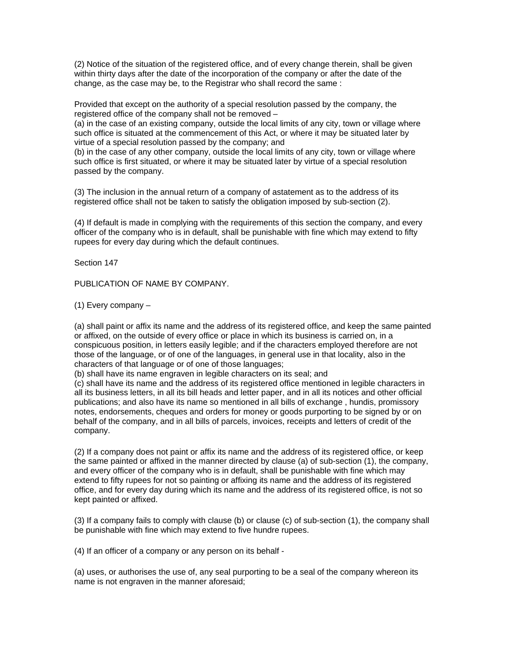(2) Notice of the situation of the registered office, and of every change therein, shall be given within thirty days after the date of the incorporation of the company or after the date of the change, as the case may be, to the Registrar who shall record the same :

Provided that except on the authority of a special resolution passed by the company, the registered office of the company shall not be removed –

(a) in the case of an existing company, outside the local limits of any city, town or village where such office is situated at the commencement of this Act, or where it may be situated later by virtue of a special resolution passed by the company; and

(b) in the case of any other company, outside the local limits of any city, town or village where such office is first situated, or where it may be situated later by virtue of a special resolution passed by the company.

(3) The inclusion in the annual return of a company of astatement as to the address of its registered office shall not be taken to satisfy the obligation imposed by sub-section (2).

(4) If default is made in complying with the requirements of this section the company, and every officer of the company who is in default, shall be punishable with fine which may extend to fifty rupees for every day during which the default continues.

Section 147

PUBLICATION OF NAME BY COMPANY.

(1) Every company –

(a) shall paint or affix its name and the address of its registered office, and keep the same painted or affixed, on the outside of every office or place in which its business is carried on, in a conspicuous position, in letters easily legible; and if the characters employed therefore are not those of the language, or of one of the languages, in general use in that locality, also in the characters of that language or of one of those languages;

(b) shall have its name engraven in legible characters on its seal; and

(c) shall have its name and the address of its registered office mentioned in legible characters in all its business letters, in all its bill heads and letter paper, and in all its notices and other official publications; and also have its name so mentioned in all bills of exchange , hundis, promissory notes, endorsements, cheques and orders for money or goods purporting to be signed by or on behalf of the company, and in all bills of parcels, invoices, receipts and letters of credit of the company.

(2) If a company does not paint or affix its name and the address of its registered office, or keep the same painted or affixed in the manner directed by clause (a) of sub-section (1), the company, and every officer of the company who is in default, shall be punishable with fine which may extend to fifty rupees for not so painting or affixing its name and the address of its registered office, and for every day during which its name and the address of its registered office, is not so kept painted or affixed.

(3) If a company fails to comply with clause (b) or clause (c) of sub-section (1), the company shall be punishable with fine which may extend to five hundre rupees.

(4) If an officer of a company or any person on its behalf -

(a) uses, or authorises the use of, any seal purporting to be a seal of the company whereon its name is not engraven in the manner aforesaid;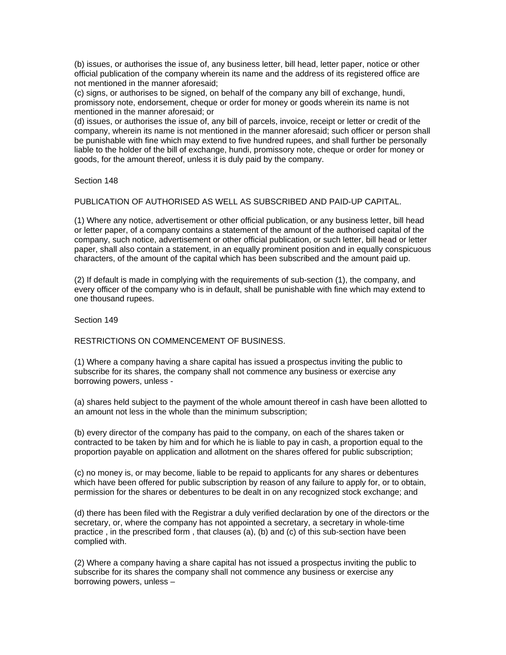(b) issues, or authorises the issue of, any business letter, bill head, letter paper, notice or other official publication of the company wherein its name and the address of its registered office are not mentioned in the manner aforesaid;

(c) signs, or authorises to be signed, on behalf of the company any bill of exchange, hundi, promissory note, endorsement, cheque or order for money or goods wherein its name is not mentioned in the manner aforesaid; or

(d) issues, or authorises the issue of, any bill of parcels, invoice, receipt or letter or credit of the company, wherein its name is not mentioned in the manner aforesaid; such officer or person shall be punishable with fine which may extend to five hundred rupees, and shall further be personally liable to the holder of the bill of exchange, hundi, promissory note, cheque or order for money or goods, for the amount thereof, unless it is duly paid by the company.

Section 148

PUBLICATION OF AUTHORISED AS WELL AS SUBSCRIBED AND PAID-UP CAPITAL.

(1) Where any notice, advertisement or other official publication, or any business letter, bill head or letter paper, of a company contains a statement of the amount of the authorised capital of the company, such notice, advertisement or other official publication, or such letter, bill head or letter paper, shall also contain a statement, in an equally prominent position and in equally conspicuous characters, of the amount of the capital which has been subscribed and the amount paid up.

(2) If default is made in complying with the requirements of sub-section (1), the company, and every officer of the company who is in default, shall be punishable with fine which may extend to one thousand rupees.

Section 149

## RESTRICTIONS ON COMMENCEMENT OF BUSINESS.

(1) Where a company having a share capital has issued a prospectus inviting the public to subscribe for its shares, the company shall not commence any business or exercise any borrowing powers, unless -

(a) shares held subject to the payment of the whole amount thereof in cash have been allotted to an amount not less in the whole than the minimum subscription;

(b) every director of the company has paid to the company, on each of the shares taken or contracted to be taken by him and for which he is liable to pay in cash, a proportion equal to the proportion payable on application and allotment on the shares offered for public subscription;

(c) no money is, or may become, liable to be repaid to applicants for any shares or debentures which have been offered for public subscription by reason of any failure to apply for, or to obtain, permission for the shares or debentures to be dealt in on any recognized stock exchange; and

(d) there has been filed with the Registrar a duly verified declaration by one of the directors or the secretary, or, where the company has not appointed a secretary, a secretary in whole-time practice , in the prescribed form , that clauses (a), (b) and (c) of this sub-section have been complied with.

(2) Where a company having a share capital has not issued a prospectus inviting the public to subscribe for its shares the company shall not commence any business or exercise any borrowing powers, unless –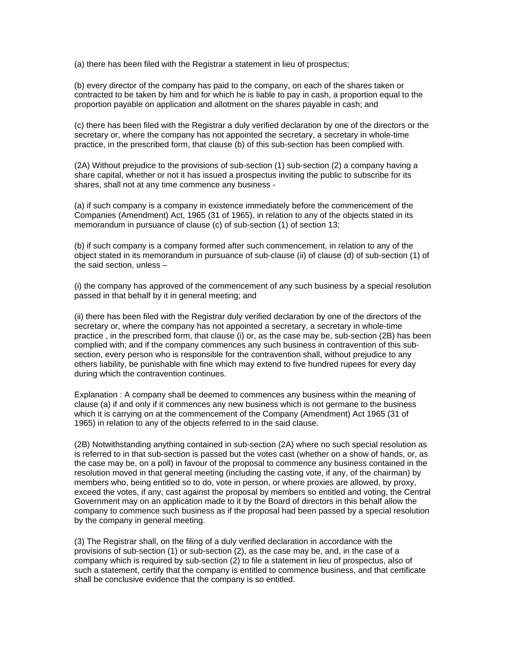(a) there has been filed with the Registrar a statement in lieu of prospectus;

(b) every director of the company has paid to the company, on each of the shares taken or contracted to be taken by him and for which he is liable to pay in cash, a proportion equal to the proportion payable on application and allotment on the shares payable in cash; and

(c) there has been filed with the Registrar a duly verified declaration by one of the directors or the secretary or, where the company has not appointed the secretary, a secretary in whole-time practice, in the prescribed form, that clause (b) of this sub-section has been complied with.

(2A) Without prejudice to the provisions of sub-section (1) sub-section (2) a company having a share capital, whether or not it has issued a prospectus inviting the public to subscribe for its shares, shall not at any time commence any business -

(a) if such company is a company in existence immediately before the commencement of the Companies (Amendment) Act, 1965 (31 of 1965), in relation to any of the objects stated in its memorandum in pursuance of clause (c) of sub-section (1) of section 13;

(b) if such company is a company formed after such commencement, in relation to any of the object stated in its memorandum in pursuance of sub-clause (ii) of clause (d) of sub-section (1) of the said section, unless –

(i) the company has approved of the commencement of any such business by a special resolution passed in that behalf by it in general meeting; and

(ii) there has been filed with the Registrar duly verified declaration by one of the directors of the secretary or, where the company has not appointed a secretary, a secretary in whole-time practice , in the prescribed form, that clause (i) or, as the case may be, sub-section (2B) has been complied with; and if the company commences any such business in contravention of this subsection, every person who is responsible for the contravention shall, without prejudice to any others liability, be punishable with fine which may extend to five hundred rupees for every day during which the contravention continues.

Explanation : A company shall be deemed to commences any business within the meaning of clause (a) if and only if it commences any new business which is not germane to the business which it is carrying on at the commencement of the Company (Amendment) Act 1965 (31 of 1965) in relation to any of the objects referred to in the said clause.

(2B) Notwithstanding anything contained in sub-section (2A) where no such special resolution as is referred to in that sub-section is passed but the votes cast (whether on a show of hands, or, as the case may be, on a poll) in favour of the proposal to commence any business contained in the resolution moved in that general meeting (including the casting vote, if any, of the chairman) by members who, being entitled so to do, vote in person, or where proxies are allowed, by proxy, exceed the votes, if any, cast against the proposal by members so entitled and voting, the Central Government may on an application made to it by the Board of directors in this behalf allow the company to commence such business as if the proposal had been passed by a special resolution by the company in general meeting.

(3) The Registrar shall, on the filing of a duly verified declaration in accordance with the provisions of sub-section (1) or sub-section (2), as the case may be, and, in the case of a company which is required by sub-section (2) to file a statement in lieu of prospectus, also of such a statement, certify that the company is entitled to commence business, and that certificate shall be conclusive evidence that the company is so entitled.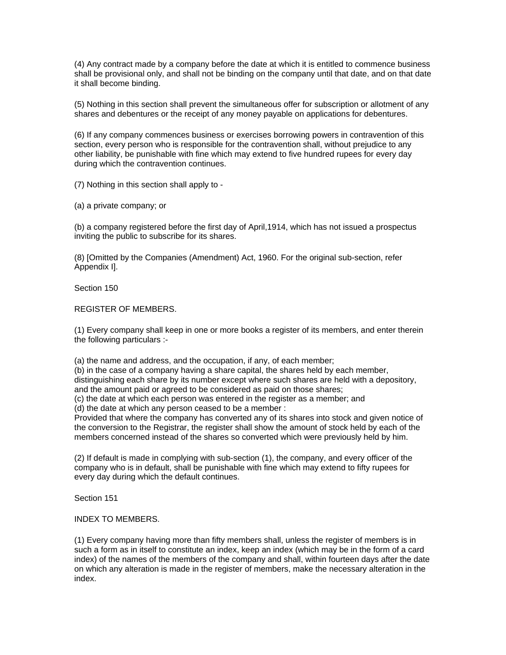(4) Any contract made by a company before the date at which it is entitled to commence business shall be provisional only, and shall not be binding on the company until that date, and on that date it shall become binding.

(5) Nothing in this section shall prevent the simultaneous offer for subscription or allotment of any shares and debentures or the receipt of any money payable on applications for debentures.

(6) If any company commences business or exercises borrowing powers in contravention of this section, every person who is responsible for the contravention shall, without prejudice to any other liability, be punishable with fine which may extend to five hundred rupees for every day during which the contravention continues.

(7) Nothing in this section shall apply to -

(a) a private company; or

(b) a company registered before the first day of April,1914, which has not issued a prospectus inviting the public to subscribe for its shares.

(8) [Omitted by the Companies (Amendment) Act, 1960. For the original sub-section, refer Appendix I].

Section 150

REGISTER OF MEMBERS.

(1) Every company shall keep in one or more books a register of its members, and enter therein the following particulars :-

(a) the name and address, and the occupation, if any, of each member;

(b) in the case of a company having a share capital, the shares held by each member, distinguishing each share by its number except where such shares are held with a depository, and the amount paid or agreed to be considered as paid on those shares;

(c) the date at which each person was entered in the register as a member; and

(d) the date at which any person ceased to be a member :

Provided that where the company has converted any of its shares into stock and given notice of the conversion to the Registrar, the register shall show the amount of stock held by each of the members concerned instead of the shares so converted which were previously held by him.

(2) If default is made in complying with sub-section (1), the company, and every officer of the company who is in default, shall be punishable with fine which may extend to fifty rupees for every day during which the default continues.

Section 151

INDEX TO MEMBERS.

(1) Every company having more than fifty members shall, unless the register of members is in such a form as in itself to constitute an index, keep an index (which may be in the form of a card index) of the names of the members of the company and shall, within fourteen days after the date on which any alteration is made in the register of members, make the necessary alteration in the index.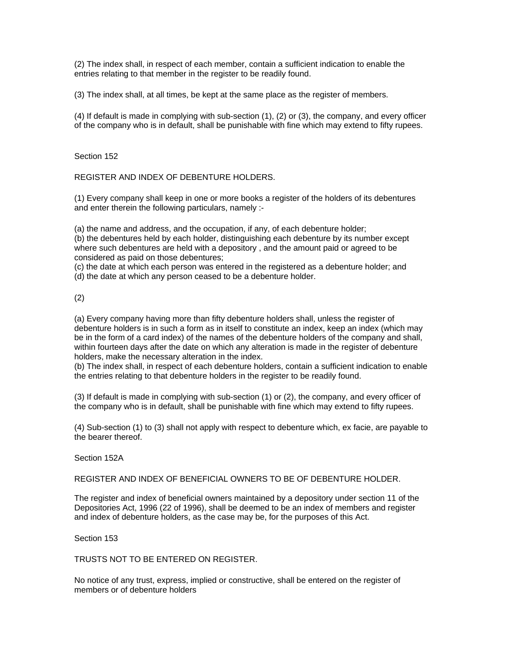(2) The index shall, in respect of each member, contain a sufficient indication to enable the entries relating to that member in the register to be readily found.

(3) The index shall, at all times, be kept at the same place as the register of members.

(4) If default is made in complying with sub-section (1), (2) or (3), the company, and every officer of the company who is in default, shall be punishable with fine which may extend to fifty rupees.

Section 152

REGISTER AND INDEX OF DEBENTURE HOLDERS.

(1) Every company shall keep in one or more books a register of the holders of its debentures and enter therein the following particulars, namely :-

(a) the name and address, and the occupation, if any, of each debenture holder;

(b) the debentures held by each holder, distinguishing each debenture by its number except where such debentures are held with a depository , and the amount paid or agreed to be considered as paid on those debentures;

(c) the date at which each person was entered in the registered as a debenture holder; and

(d) the date at which any person ceased to be a debenture holder.

(2)

(a) Every company having more than fifty debenture holders shall, unless the register of debenture holders is in such a form as in itself to constitute an index, keep an index (which may be in the form of a card index) of the names of the debenture holders of the company and shall, within fourteen days after the date on which any alteration is made in the register of debenture holders, make the necessary alteration in the index.

(b) The index shall, in respect of each debenture holders, contain a sufficient indication to enable the entries relating to that debenture holders in the register to be readily found.

(3) If default is made in complying with sub-section (1) or (2), the company, and every officer of the company who is in default, shall be punishable with fine which may extend to fifty rupees.

(4) Sub-section (1) to (3) shall not apply with respect to debenture which, ex facie, are payable to the bearer thereof.

Section 152A

REGISTER AND INDEX OF BENEFICIAL OWNERS TO BE OF DEBENTURE HOLDER.

The register and index of beneficial owners maintained by a depository under section 11 of the Depositories Act, 1996 (22 of 1996), shall be deemed to be an index of members and register and index of debenture holders, as the case may be, for the purposes of this Act.

Section 153

TRUSTS NOT TO BE ENTERED ON REGISTER.

No notice of any trust, express, implied or constructive, shall be entered on the register of members or of debenture holders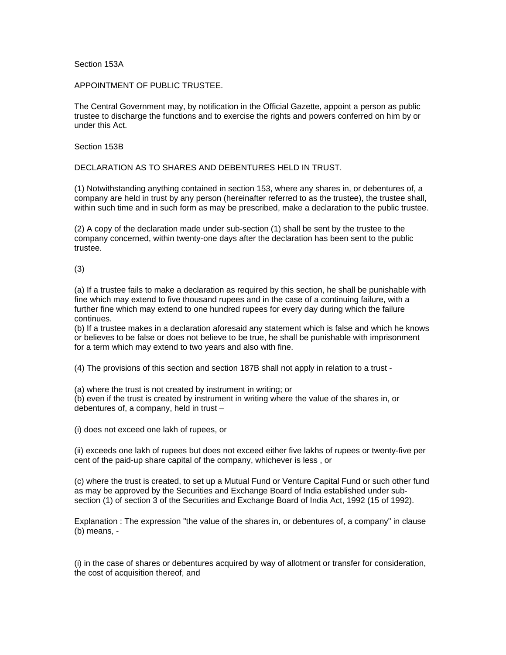Section 153A

APPOINTMENT OF PUBLIC TRUSTEE.

The Central Government may, by notification in the Official Gazette, appoint a person as public trustee to discharge the functions and to exercise the rights and powers conferred on him by or under this Act.

Section 153B

DECLARATION AS TO SHARES AND DEBENTURES HELD IN TRUST.

(1) Notwithstanding anything contained in section 153, where any shares in, or debentures of, a company are held in trust by any person (hereinafter referred to as the trustee), the trustee shall, within such time and in such form as may be prescribed, make a declaration to the public trustee.

(2) A copy of the declaration made under sub-section (1) shall be sent by the trustee to the company concerned, within twenty-one days after the declaration has been sent to the public trustee.

(3)

(a) If a trustee fails to make a declaration as required by this section, he shall be punishable with fine which may extend to five thousand rupees and in the case of a continuing failure, with a further fine which may extend to one hundred rupees for every day during which the failure continues.

(b) If a trustee makes in a declaration aforesaid any statement which is false and which he knows or believes to be false or does not believe to be true, he shall be punishable with imprisonment for a term which may extend to two years and also with fine.

(4) The provisions of this section and section 187B shall not apply in relation to a trust -

(a) where the trust is not created by instrument in writing; or

(b) even if the trust is created by instrument in writing where the value of the shares in, or debentures of, a company, held in trust –

(i) does not exceed one lakh of rupees, or

(ii) exceeds one lakh of rupees but does not exceed either five lakhs of rupees or twenty-five per cent of the paid-up share capital of the company, whichever is less , or

(c) where the trust is created, to set up a Mutual Fund or Venture Capital Fund or such other fund as may be approved by the Securities and Exchange Board of India established under subsection (1) of section 3 of the Securities and Exchange Board of India Act, 1992 (15 of 1992).

Explanation : The expression "the value of the shares in, or debentures of, a company" in clause (b) means, -

(i) in the case of shares or debentures acquired by way of allotment or transfer for consideration, the cost of acquisition thereof, and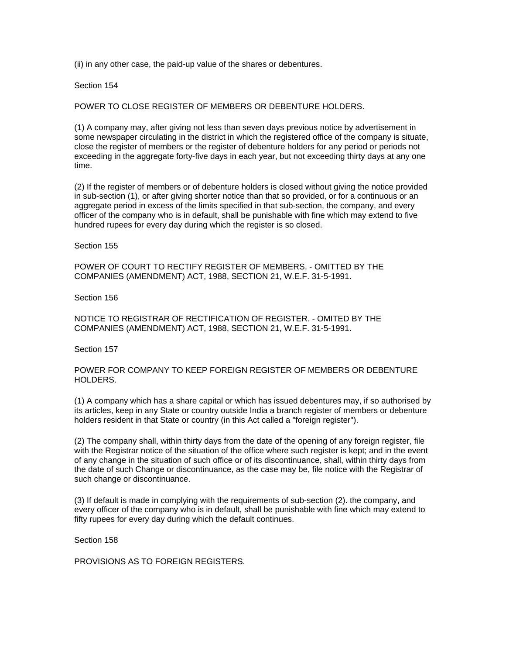(ii) in any other case, the paid-up value of the shares or debentures.

Section 154

POWER TO CLOSE REGISTER OF MEMBERS OR DEBENTURE HOLDERS.

(1) A company may, after giving not less than seven days previous notice by advertisement in some newspaper circulating in the district in which the registered office of the company is situate, close the register of members or the register of debenture holders for any period or periods not exceeding in the aggregate forty-five days in each year, but not exceeding thirty days at any one time.

(2) If the register of members or of debenture holders is closed without giving the notice provided in sub-section (1), or after giving shorter notice than that so provided, or for a continuous or an aggregate period in excess of the limits specified in that sub-section, the company, and every officer of the company who is in default, shall be punishable with fine which may extend to five hundred rupees for every day during which the register is so closed.

Section 155

POWER OF COURT TO RECTIFY REGISTER OF MEMBERS. - OMITTED BY THE COMPANIES (AMENDMENT) ACT, 1988, SECTION 21, W.E.F. 31-5-1991.

Section 156

NOTICE TO REGISTRAR OF RECTIFICATION OF REGISTER. - OMITED BY THE COMPANIES (AMENDMENT) ACT, 1988, SECTION 21, W.E.F. 31-5-1991.

Section 157

# POWER FOR COMPANY TO KEEP FOREIGN REGISTER OF MEMBERS OR DEBENTURE HOLDERS.

(1) A company which has a share capital or which has issued debentures may, if so authorised by its articles, keep in any State or country outside India a branch register of members or debenture holders resident in that State or country (in this Act called a "foreign register").

(2) The company shall, within thirty days from the date of the opening of any foreign register, file with the Registrar notice of the situation of the office where such register is kept; and in the event of any change in the situation of such office or of its discontinuance, shall, within thirty days from the date of such Change or discontinuance, as the case may be, file notice with the Registrar of such change or discontinuance.

(3) If default is made in complying with the requirements of sub-section (2). the company, and every officer of the company who is in default, shall be punishable with fine which may extend to fifty rupees for every day during which the default continues.

Section 158

PROVISIONS AS TO FOREIGN REGISTERS.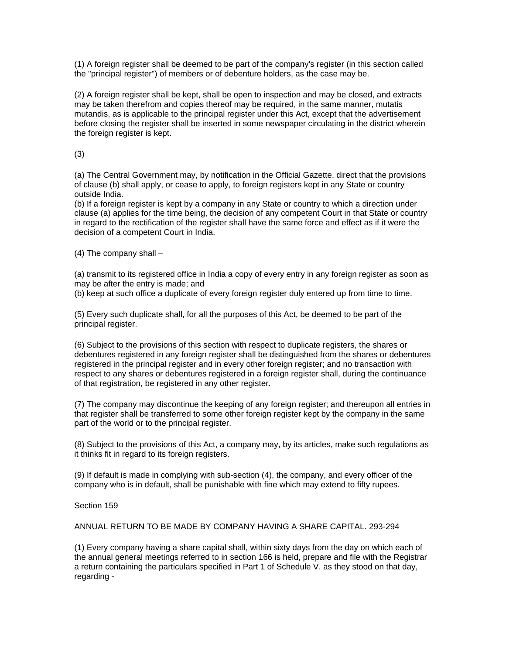(1) A foreign register shall be deemed to be part of the company's register (in this section called the "principal register") of members or of debenture holders, as the case may be.

(2) A foreign register shall be kept, shall be open to inspection and may be closed, and extracts may be taken therefrom and copies thereof may be required, in the same manner, mutatis mutandis, as is applicable to the principal register under this Act, except that the advertisement before closing the register shall be inserted in some newspaper circulating in the district wherein the foreign register is kept.

(3)

(a) The Central Government may, by notification in the Official Gazette, direct that the provisions of clause (b) shall apply, or cease to apply, to foreign registers kept in any State or country outside India.

(b) If a foreign register is kept by a company in any State or country to which a direction under clause (a) applies for the time being, the decision of any competent Court in that State or country in regard to the rectification of the register shall have the same force and effect as if it were the decision of a competent Court in India.

 $(4)$  The company shall  $-$ 

(a) transmit to its registered office in India a copy of every entry in any foreign register as soon as may be after the entry is made; and

(b) keep at such office a duplicate of every foreign register duly entered up from time to time.

(5) Every such duplicate shall, for all the purposes of this Act, be deemed to be part of the principal register.

(6) Subject to the provisions of this section with respect to duplicate registers, the shares or debentures registered in any foreign register shall be distinguished from the shares or debentures registered in the principal register and in every other foreign register; and no transaction with respect to any shares or debentures registered in a foreign register shall, during the continuance of that registration, be registered in any other register.

(7) The company may discontinue the keeping of any foreign register; and thereupon all entries in that register shall be transferred to some other foreign register kept by the company in the same part of the world or to the principal register.

(8) Subject to the provisions of this Act, a company may, by its articles, make such regulations as it thinks fit in regard to its foreign registers.

(9) If default is made in complying with sub-section (4), the company, and every officer of the company who is in default, shall be punishable with fine which may extend to fifty rupees.

Section 159

ANNUAL RETURN TO BE MADE BY COMPANY HAVING A SHARE CAPITAL. 293-294

(1) Every company having a share capital shall, within sixty days from the day on which each of the annual general meetings referred to in section 166 is held, prepare and file with the Registrar a return containing the particulars specified in Part 1 of Schedule V. as they stood on that day, regarding -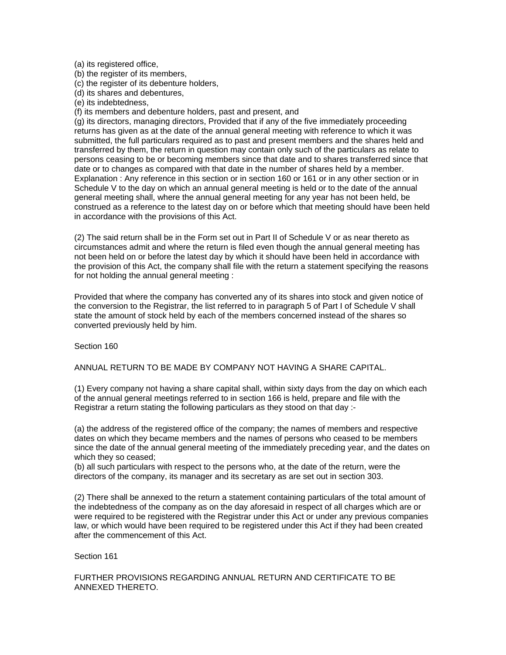(a) its registered office,

(b) the register of its members,

(c) the register of its debenture holders,

(d) its shares and debentures,

(e) its indebtedness,

(f) its members and debenture holders, past and present, and

(g) its directors, managing directors, Provided that if any of the five immediately proceeding returns has given as at the date of the annual general meeting with reference to which it was submitted, the full particulars required as to past and present members and the shares held and transferred by them, the return in question may contain only such of the particulars as relate to persons ceasing to be or becoming members since that date and to shares transferred since that date or to changes as compared with that date in the number of shares held by a member. Explanation : Any reference in this section or in section 160 or 161 or in any other section or in Schedule V to the day on which an annual general meeting is held or to the date of the annual general meeting shall, where the annual general meeting for any year has not been held, be construed as a reference to the latest day on or before which that meeting should have been held in accordance with the provisions of this Act.

(2) The said return shall be in the Form set out in Part II of Schedule V or as near thereto as circumstances admit and where the return is filed even though the annual general meeting has not been held on or before the latest day by which it should have been held in accordance with the provision of this Act, the company shall file with the return a statement specifying the reasons for not holding the annual general meeting :

Provided that where the company has converted any of its shares into stock and given notice of the conversion to the Registrar, the list referred to in paragraph 5 of Part I of Schedule V shall state the amount of stock held by each of the members concerned instead of the shares so converted previously held by him.

Section 160

ANNUAL RETURN TO BE MADE BY COMPANY NOT HAVING A SHARE CAPITAL.

(1) Every company not having a share capital shall, within sixty days from the day on which each of the annual general meetings referred to in section 166 is held, prepare and file with the Registrar a return stating the following particulars as they stood on that day :-

(a) the address of the registered office of the company; the names of members and respective dates on which they became members and the names of persons who ceased to be members since the date of the annual general meeting of the immediately preceding year, and the dates on which they so ceased;

(b) all such particulars with respect to the persons who, at the date of the return, were the directors of the company, its manager and its secretary as are set out in section 303.

(2) There shall be annexed to the return a statement containing particulars of the total amount of the indebtedness of the company as on the day aforesaid in respect of all charges which are or were required to be registered with the Registrar under this Act or under any previous companies law, or which would have been required to be registered under this Act if they had been created after the commencement of this Act.

Section 161

# FURTHER PROVISIONS REGARDING ANNUAL RETURN AND CERTIFICATE TO BE ANNEXED THERETO.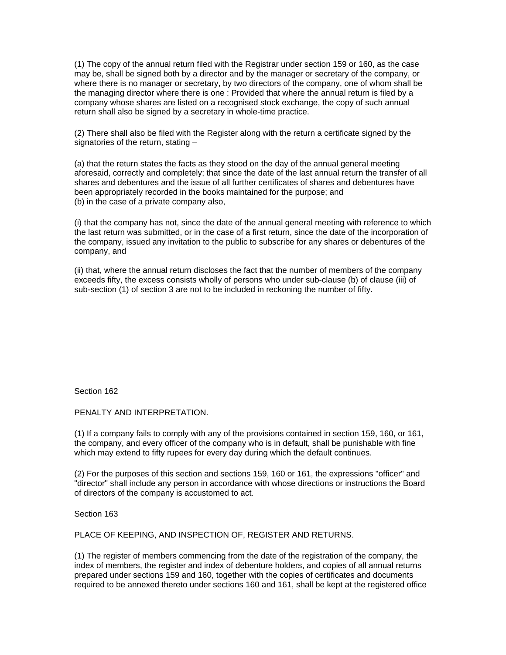(1) The copy of the annual return filed with the Registrar under section 159 or 160, as the case may be, shall be signed both by a director and by the manager or secretary of the company, or where there is no manager or secretary, by two directors of the company, one of whom shall be the managing director where there is one : Provided that where the annual return is filed by a company whose shares are listed on a recognised stock exchange, the copy of such annual return shall also be signed by a secretary in whole-time practice.

(2) There shall also be filed with the Register along with the return a certificate signed by the signatories of the return, stating –

(a) that the return states the facts as they stood on the day of the annual general meeting aforesaid, correctly and completely; that since the date of the last annual return the transfer of all shares and debentures and the issue of all further certificates of shares and debentures have been appropriately recorded in the books maintained for the purpose; and (b) in the case of a private company also,

(i) that the company has not, since the date of the annual general meeting with reference to which the last return was submitted, or in the case of a first return, since the date of the incorporation of the company, issued any invitation to the public to subscribe for any shares or debentures of the company, and

(ii) that, where the annual return discloses the fact that the number of members of the company exceeds fifty, the excess consists wholly of persons who under sub-clause (b) of clause (iii) of sub-section (1) of section 3 are not to be included in reckoning the number of fifty.

Section 162

PENALTY AND INTERPRETATION.

(1) If a company fails to comply with any of the provisions contained in section 159, 160, or 161, the company, and every officer of the company who is in default, shall be punishable with fine which may extend to fifty rupees for every day during which the default continues.

(2) For the purposes of this section and sections 159, 160 or 161, the expressions "officer" and "director" shall include any person in accordance with whose directions or instructions the Board of directors of the company is accustomed to act.

Section 163

PLACE OF KEEPING, AND INSPECTION OF, REGISTER AND RETURNS.

(1) The register of members commencing from the date of the registration of the company, the index of members, the register and index of debenture holders, and copies of all annual returns prepared under sections 159 and 160, together with the copies of certificates and documents required to be annexed thereto under sections 160 and 161, shall be kept at the registered office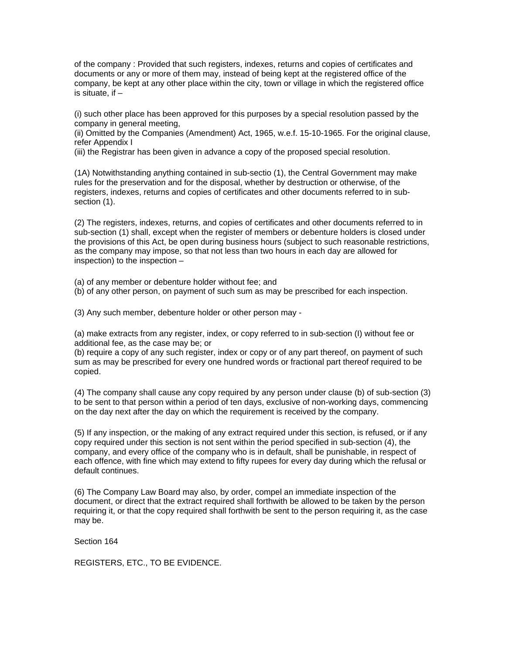of the company : Provided that such registers, indexes, returns and copies of certificates and documents or any or more of them may, instead of being kept at the registered office of the company, be kept at any other place within the city, town or village in which the registered office is situate, if  $-$ 

(i) such other place has been approved for this purposes by a special resolution passed by the company in general meeting,

(ii) Omitted by the Companies (Amendment) Act, 1965, w.e.f. 15-10-1965. For the original clause, refer Appendix I

(iii) the Registrar has been given in advance a copy of the proposed special resolution.

(1A) Notwithstanding anything contained in sub-sectio (1), the Central Government may make rules for the preservation and for the disposal, whether by destruction or otherwise, of the registers, indexes, returns and copies of certificates and other documents referred to in subsection (1).

(2) The registers, indexes, returns, and copies of certificates and other documents referred to in sub-section (1) shall, except when the register of members or debenture holders is closed under the provisions of this Act, be open during business hours (subject to such reasonable restrictions, as the company may impose, so that not less than two hours in each day are allowed for inspection) to the inspection –

(a) of any member or debenture holder without fee; and

(b) of any other person, on payment of such sum as may be prescribed for each inspection.

(3) Any such member, debenture holder or other person may -

(a) make extracts from any register, index, or copy referred to in sub-section (I) without fee or additional fee, as the case may be; or

(b) require a copy of any such register, index or copy or of any part thereof, on payment of such sum as may be prescribed for every one hundred words or fractional part thereof required to be copied.

(4) The company shall cause any copy required by any person under clause (b) of sub-section (3) to be sent to that person within a period of ten days, exclusive of non-working days, commencing on the day next after the day on which the requirement is received by the company.

(5) If any inspection, or the making of any extract required under this section, is refused, or if any copy required under this section is not sent within the period specified in sub-section (4), the company, and every office of the company who is in default, shall be punishable, in respect of each offence, with fine which may extend to fifty rupees for every day during which the refusal or default continues.

(6) The Company Law Board may also, by order, compel an immediate inspection of the document, or direct that the extract required shall forthwith be allowed to be taken by the person requiring it, or that the copy required shall forthwith be sent to the person requiring it, as the case may be.

Section 164

REGISTERS, ETC., TO BE EVIDENCE.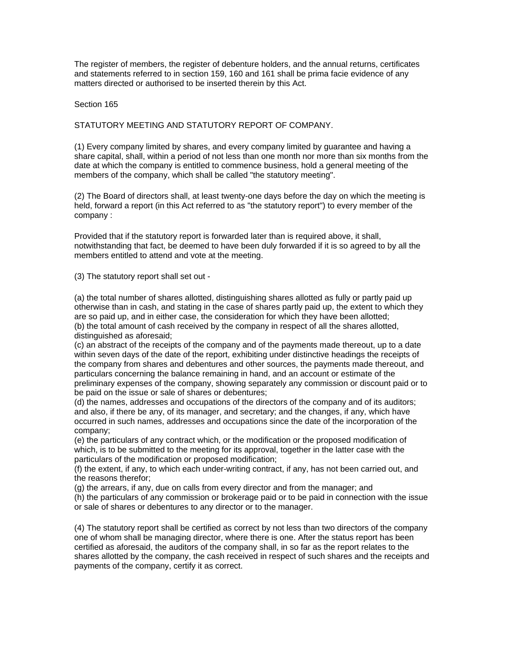The register of members, the register of debenture holders, and the annual returns, certificates and statements referred to in section 159, 160 and 161 shall be prima facie evidence of any matters directed or authorised to be inserted therein by this Act.

#### Section 165

## STATUTORY MEETING AND STATUTORY REPORT OF COMPANY.

(1) Every company limited by shares, and every company limited by guarantee and having a share capital, shall, within a period of not less than one month nor more than six months from the date at which the company is entitled to commence business, hold a general meeting of the members of the company, which shall be called "the statutory meeting".

(2) The Board of directors shall, at least twenty-one days before the day on which the meeting is held, forward a report (in this Act referred to as "the statutory report") to every member of the company :

Provided that if the statutory report is forwarded later than is required above, it shall, notwithstanding that fact, be deemed to have been duly forwarded if it is so agreed to by all the members entitled to attend and vote at the meeting.

(3) The statutory report shall set out -

(a) the total number of shares allotted, distinguishing shares allotted as fully or partly paid up otherwise than in cash, and stating in the case of shares partly paid up, the extent to which they are so paid up, and in either case, the consideration for which they have been allotted; (b) the total amount of cash received by the company in respect of all the shares allotted, distinguished as aforesaid;

(c) an abstract of the receipts of the company and of the payments made thereout, up to a date within seven days of the date of the report, exhibiting under distinctive headings the receipts of the company from shares and debentures and other sources, the payments made thereout, and particulars concerning the balance remaining in hand, and an account or estimate of the preliminary expenses of the company, showing separately any commission or discount paid or to be paid on the issue or sale of shares or debentures;

(d) the names, addresses and occupations of the directors of the company and of its auditors; and also, if there be any, of its manager, and secretary; and the changes, if any, which have occurred in such names, addresses and occupations since the date of the incorporation of the company;

(e) the particulars of any contract which, or the modification or the proposed modification of which, is to be submitted to the meeting for its approval, together in the latter case with the particulars of the modification or proposed modification;

(f) the extent, if any, to which each under-writing contract, if any, has not been carried out, and the reasons therefor;

(g) the arrears, if any, due on calls from every director and from the manager; and

(h) the particulars of any commission or brokerage paid or to be paid in connection with the issue or sale of shares or debentures to any director or to the manager.

(4) The statutory report shall be certified as correct by not less than two directors of the company one of whom shall be managing director, where there is one. After the status report has been certified as aforesaid, the auditors of the company shall, in so far as the report relates to the shares allotted by the company, the cash received in respect of such shares and the receipts and payments of the company, certify it as correct.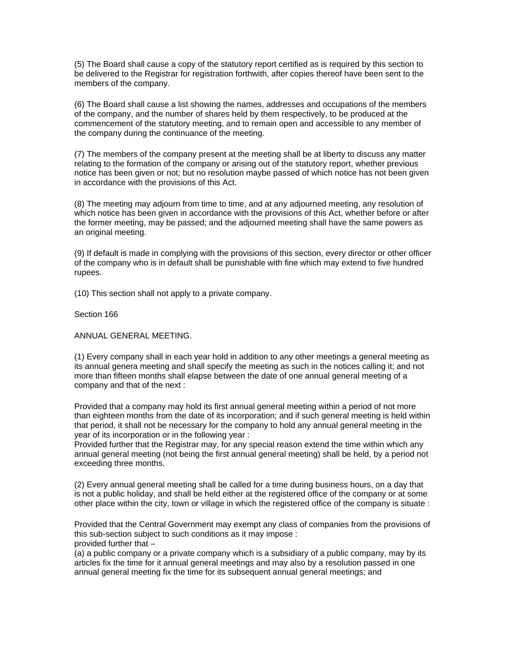(5) The Board shall cause a copy of the statutory report certified as is required by this section to be delivered to the Registrar for registration forthwith, after copies thereof have been sent to the members of the company.

(6) The Board shall cause a list showing the names, addresses and occupations of the members of the company, and the number of shares held by them respectively, to be produced at the commencement of the statutory meeting, and to remain open and accessible to any member of the company during the continuance of the meeting.

(7) The members of the company present at the meeting shall be at liberty to discuss any matter relating to the formation of the company or arising out of the statutory report, whether previous notice has been given or not; but no resolution maybe passed of which notice has not been given in accordance with the provisions of this Act.

(8) The meeting may adjourn from time to time, and at any adjourned meeting, any resolution of which notice has been given in accordance with the provisions of this Act, whether before or after the former meeting, may be passed; and the adjourned meeting shall have the same powers as an original meeting.

(9) If default is made in complying with the provisions of this section, every director or other officer of the company who is in default shall be punishable with fine which may extend to five hundred rupees.

(10) This section shall not apply to a private company.

Section 166

ANNUAL GENERAL MEETING.

(1) Every company shall in each year hold in addition to any other meetings a general meeting as its annual genera meeting and shall specify the meeting as such in the notices calling it; and not more than fifteen months shall elapse between the date of one annual general meeting of a company and that of the next :

Provided that a company may hold its first annual general meeting within a period of not more than eighteen months from the date of its incorporation; and if such general meeting is held within that period, it shall not be necessary for the company to hold any annual general meeting in the year of its incorporation or in the following year :

Provided further that the Registrar may, for any special reason extend the time within which any annual general meeting (not being the first annual general meeting) shall be held, by a period not exceeding three months.

(2) Every annual general meeting shall be called for a time during business hours, on a day that is not a public holiday, and shall be held either at the registered office of the company or at some other place within the city, town or village in which the registered office of the company is situate :

Provided that the Central Government may exempt any class of companies from the provisions of this sub-section subject to such conditions as it may impose : provided further that –

(a) a public company or a private company which is a subsidiary of a public company, may by its articles fix the time for it annual general meetings and may also by a resolution passed in one annual general meeting fix the time for its subsequent annual general meetings; and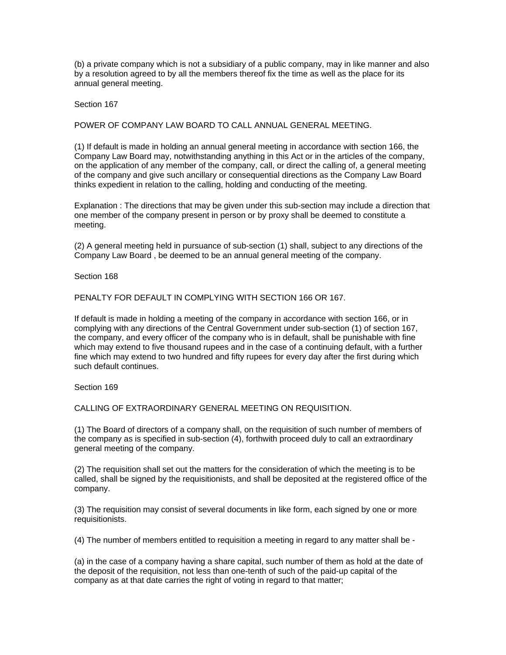(b) a private company which is not a subsidiary of a public company, may in like manner and also by a resolution agreed to by all the members thereof fix the time as well as the place for its annual general meeting.

Section 167

POWER OF COMPANY LAW BOARD TO CALL ANNUAL GENERAL MEETING.

(1) If default is made in holding an annual general meeting in accordance with section 166, the Company Law Board may, notwithstanding anything in this Act or in the articles of the company, on the application of any member of the company, call, or direct the calling of, a general meeting of the company and give such ancillary or consequential directions as the Company Law Board thinks expedient in relation to the calling, holding and conducting of the meeting.

Explanation : The directions that may be given under this sub-section may include a direction that one member of the company present in person or by proxy shall be deemed to constitute a meeting.

(2) A general meeting held in pursuance of sub-section (1) shall, subject to any directions of the Company Law Board , be deemed to be an annual general meeting of the company.

Section 168

PENALTY FOR DEFAULT IN COMPLYING WITH SECTION 166 OR 167.

If default is made in holding a meeting of the company in accordance with section 166, or in complying with any directions of the Central Government under sub-section (1) of section 167, the company, and every officer of the company who is in default, shall be punishable with fine which may extend to five thousand rupees and in the case of a continuing default, with a further fine which may extend to two hundred and fifty rupees for every day after the first during which such default continues.

Section 169

CALLING OF EXTRAORDINARY GENERAL MEETING ON REQUISITION.

(1) The Board of directors of a company shall, on the requisition of such number of members of the company as is specified in sub-section (4), forthwith proceed duly to call an extraordinary general meeting of the company.

(2) The requisition shall set out the matters for the consideration of which the meeting is to be called, shall be signed by the requisitionists, and shall be deposited at the registered office of the company.

(3) The requisition may consist of several documents in like form, each signed by one or more requisitionists.

(4) The number of members entitled to requisition a meeting in regard to any matter shall be -

(a) in the case of a company having a share capital, such number of them as hold at the date of the deposit of the requisition, not less than one-tenth of such of the paid-up capital of the company as at that date carries the right of voting in regard to that matter;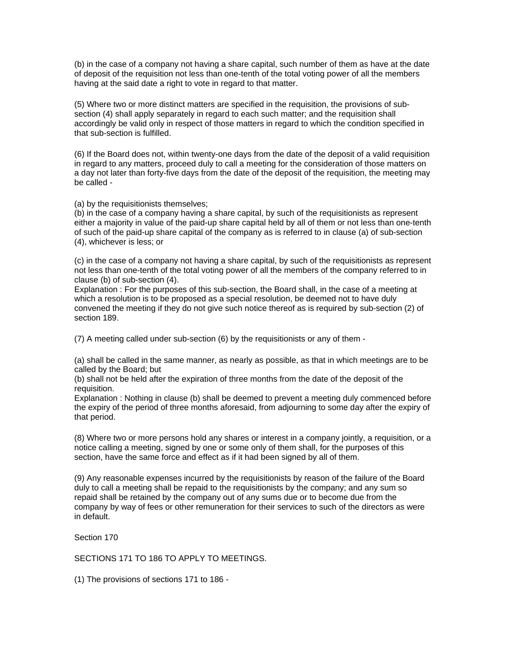(b) in the case of a company not having a share capital, such number of them as have at the date of deposit of the requisition not less than one-tenth of the total voting power of all the members having at the said date a right to vote in regard to that matter.

(5) Where two or more distinct matters are specified in the requisition, the provisions of subsection (4) shall apply separately in regard to each such matter; and the requisition shall accordingly be valid only in respect of those matters in regard to which the condition specified in that sub-section is fulfilled.

(6) If the Board does not, within twenty-one days from the date of the deposit of a valid requisition in regard to any matters, proceed duly to call a meeting for the consideration of those matters on a day not later than forty-five days from the date of the deposit of the requisition, the meeting may be called -

(a) by the requisitionists themselves;

(b) in the case of a company having a share capital, by such of the requisitionists as represent either a majority in value of the paid-up share capital held by all of them or not less than one-tenth of such of the paid-up share capital of the company as is referred to in clause (a) of sub-section (4), whichever is less; or

(c) in the case of a company not having a share capital, by such of the requisitionists as represent not less than one-tenth of the total voting power of all the members of the company referred to in clause (b) of sub-section (4).

Explanation : For the purposes of this sub-section, the Board shall, in the case of a meeting at which a resolution is to be proposed as a special resolution, be deemed not to have duly convened the meeting if they do not give such notice thereof as is required by sub-section (2) of section 189.

(7) A meeting called under sub-section (6) by the requisitionists or any of them -

(a) shall be called in the same manner, as nearly as possible, as that in which meetings are to be called by the Board; but

(b) shall not be held after the expiration of three months from the date of the deposit of the requisition.

Explanation : Nothing in clause (b) shall be deemed to prevent a meeting duly commenced before the expiry of the period of three months aforesaid, from adjourning to some day after the expiry of that period.

(8) Where two or more persons hold any shares or interest in a company jointly, a requisition, or a notice calling a meeting, signed by one or some only of them shall, for the purposes of this section, have the same force and effect as if it had been signed by all of them.

(9) Any reasonable expenses incurred by the requisitionists by reason of the failure of the Board duly to call a meeting shall be repaid to the requisitionists by the company; and any sum so repaid shall be retained by the company out of any sums due or to become due from the company by way of fees or other remuneration for their services to such of the directors as were in default.

Section 170

SECTIONS 171 TO 186 TO APPLY TO MEETINGS.

(1) The provisions of sections 171 to 186 -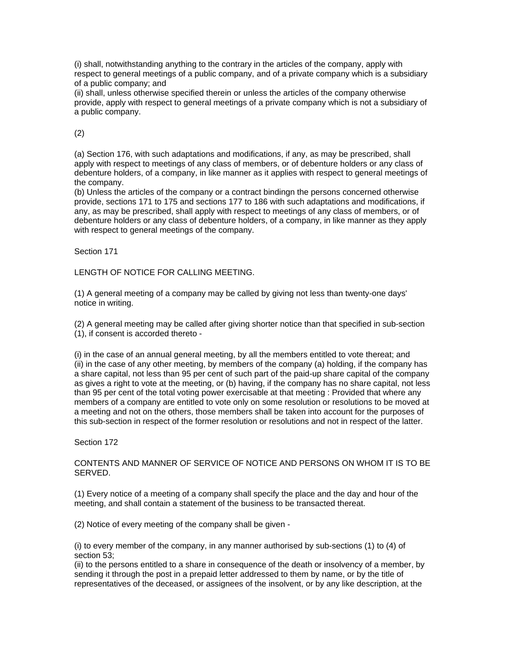(i) shall, notwithstanding anything to the contrary in the articles of the company, apply with respect to general meetings of a public company, and of a private company which is a subsidiary of a public company; and

(ii) shall, unless otherwise specified therein or unless the articles of the company otherwise provide, apply with respect to general meetings of a private company which is not a subsidiary of a public company.

# (2)

(a) Section 176, with such adaptations and modifications, if any, as may be prescribed, shall apply with respect to meetings of any class of members, or of debenture holders or any class of debenture holders, of a company, in like manner as it applies with respect to general meetings of the company.

(b) Unless the articles of the company or a contract bindingn the persons concerned otherwise provide, sections 171 to 175 and sections 177 to 186 with such adaptations and modifications, if any, as may be prescribed, shall apply with respect to meetings of any class of members, or of debenture holders or any class of debenture holders, of a company, in like manner as they apply with respect to general meetings of the company.

# Section 171

LENGTH OF NOTICE FOR CALLING MEETING.

(1) A general meeting of a company may be called by giving not less than twenty-one days' notice in writing.

(2) A general meeting may be called after giving shorter notice than that specified in sub-section (1), if consent is accorded thereto -

(i) in the case of an annual general meeting, by all the members entitled to vote thereat; and (ii) in the case of any other meeting, by members of the company (a) holding, if the company has a share capital, not less than 95 per cent of such part of the paid-up share capital of the company as gives a right to vote at the meeting, or (b) having, if the company has no share capital, not less than 95 per cent of the total voting power exercisable at that meeting : Provided that where any members of a company are entitled to vote only on some resolution or resolutions to be moved at a meeting and not on the others, those members shall be taken into account for the purposes of this sub-section in respect of the former resolution or resolutions and not in respect of the latter.

Section 172

# CONTENTS AND MANNER OF SERVICE OF NOTICE AND PERSONS ON WHOM IT IS TO BE SERVED.

(1) Every notice of a meeting of a company shall specify the place and the day and hour of the meeting, and shall contain a statement of the business to be transacted thereat.

(2) Notice of every meeting of the company shall be given -

(i) to every member of the company, in any manner authorised by sub-sections (1) to (4) of section 53;

(ii) to the persons entitled to a share in consequence of the death or insolvency of a member, by sending it through the post in a prepaid letter addressed to them by name, or by the title of representatives of the deceased, or assignees of the insolvent, or by any like description, at the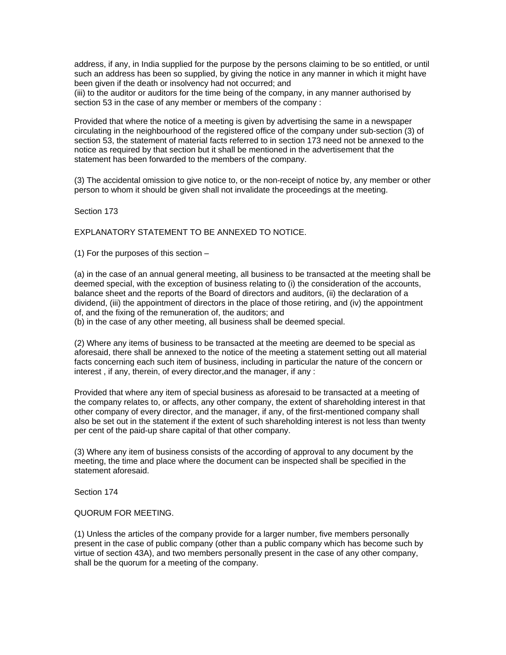address, if any, in India supplied for the purpose by the persons claiming to be so entitled, or until such an address has been so supplied, by giving the notice in any manner in which it might have been given if the death or insolvency had not occurred; and

(iii) to the auditor or auditors for the time being of the company, in any manner authorised by section 53 in the case of any member or members of the company :

Provided that where the notice of a meeting is given by advertising the same in a newspaper circulating in the neighbourhood of the registered office of the company under sub-section (3) of section 53, the statement of material facts referred to in section 173 need not be annexed to the notice as required by that section but it shall be mentioned in the advertisement that the statement has been forwarded to the members of the company.

(3) The accidental omission to give notice to, or the non-receipt of notice by, any member or other person to whom it should be given shall not invalidate the proceedings at the meeting.

Section 173

EXPLANATORY STATEMENT TO BE ANNEXED TO NOTICE.

(1) For the purposes of this section –

(a) in the case of an annual general meeting, all business to be transacted at the meeting shall be deemed special, with the exception of business relating to (i) the consideration of the accounts, balance sheet and the reports of the Board of directors and auditors, (ii) the declaration of a dividend, (iii) the appointment of directors in the place of those retiring, and (iv) the appointment of, and the fixing of the remuneration of, the auditors; and

(b) in the case of any other meeting, all business shall be deemed special.

(2) Where any items of business to be transacted at the meeting are deemed to be special as aforesaid, there shall be annexed to the notice of the meeting a statement setting out all material facts concerning each such item of business, including in particular the nature of the concern or interest , if any, therein, of every director,and the manager, if any :

Provided that where any item of special business as aforesaid to be transacted at a meeting of the company relates to, or affects, any other company, the extent of shareholding interest in that other company of every director, and the manager, if any, of the first-mentioned company shall also be set out in the statement if the extent of such shareholding interest is not less than twenty per cent of the paid-up share capital of that other company.

(3) Where any item of business consists of the according of approval to any document by the meeting, the time and place where the document can be inspected shall be specified in the statement aforesaid.

Section 174

QUORUM FOR MEETING.

(1) Unless the articles of the company provide for a larger number, five members personally present in the case of public company (other than a public company which has become such by virtue of section 43A), and two members personally present in the case of any other company, shall be the quorum for a meeting of the company.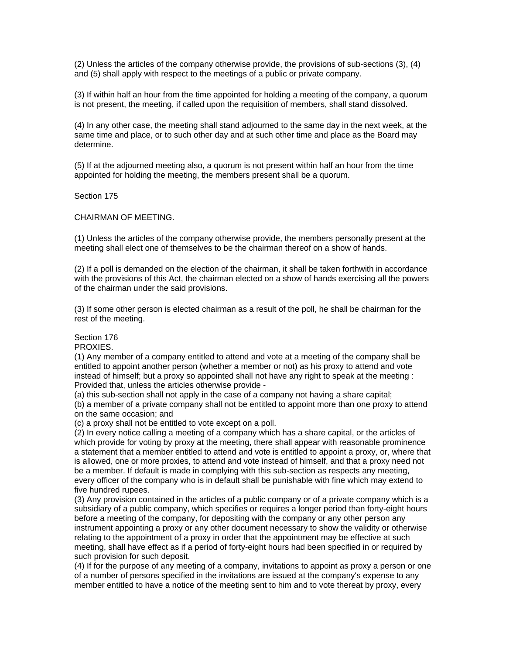(2) Unless the articles of the company otherwise provide, the provisions of sub-sections (3), (4) and (5) shall apply with respect to the meetings of a public or private company.

(3) If within half an hour from the time appointed for holding a meeting of the company, a quorum is not present, the meeting, if called upon the requisition of members, shall stand dissolved.

(4) In any other case, the meeting shall stand adjourned to the same day in the next week, at the same time and place, or to such other day and at such other time and place as the Board may determine.

(5) If at the adjourned meeting also, a quorum is not present within half an hour from the time appointed for holding the meeting, the members present shall be a quorum.

Section 175

CHAIRMAN OF MEETING.

(1) Unless the articles of the company otherwise provide, the members personally present at the meeting shall elect one of themselves to be the chairman thereof on a show of hands.

(2) If a poll is demanded on the election of the chairman, it shall be taken forthwith in accordance with the provisions of this Act, the chairman elected on a show of hands exercising all the powers of the chairman under the said provisions.

(3) If some other person is elected chairman as a result of the poll, he shall be chairman for the rest of the meeting.

# Section 176

PROXIES.

(1) Any member of a company entitled to attend and vote at a meeting of the company shall be entitled to appoint another person (whether a member or not) as his proxy to attend and vote instead of himself; but a proxy so appointed shall not have any right to speak at the meeting : Provided that, unless the articles otherwise provide -

(a) this sub-section shall not apply in the case of a company not having a share capital;

(b) a member of a private company shall not be entitled to appoint more than one proxy to attend on the same occasion; and

(c) a proxy shall not be entitled to vote except on a poll.

(2) In every notice calling a meeting of a company which has a share capital, or the articles of which provide for voting by proxy at the meeting, there shall appear with reasonable prominence a statement that a member entitled to attend and vote is entitled to appoint a proxy, or, where that is allowed, one or more proxies, to attend and vote instead of himself, and that a proxy need not be a member. If default is made in complying with this sub-section as respects any meeting, every officer of the company who is in default shall be punishable with fine which may extend to five hundred rupees.

(3) Any provision contained in the articles of a public company or of a private company which is a subsidiary of a public company, which specifies or requires a longer period than forty-eight hours before a meeting of the company, for depositing with the company or any other person any instrument appointing a proxy or any other document necessary to show the validity or otherwise relating to the appointment of a proxy in order that the appointment may be effective at such meeting, shall have effect as if a period of forty-eight hours had been specified in or required by such provision for such deposit.

(4) If for the purpose of any meeting of a company, invitations to appoint as proxy a person or one of a number of persons specified in the invitations are issued at the company's expense to any member entitled to have a notice of the meeting sent to him and to vote thereat by proxy, every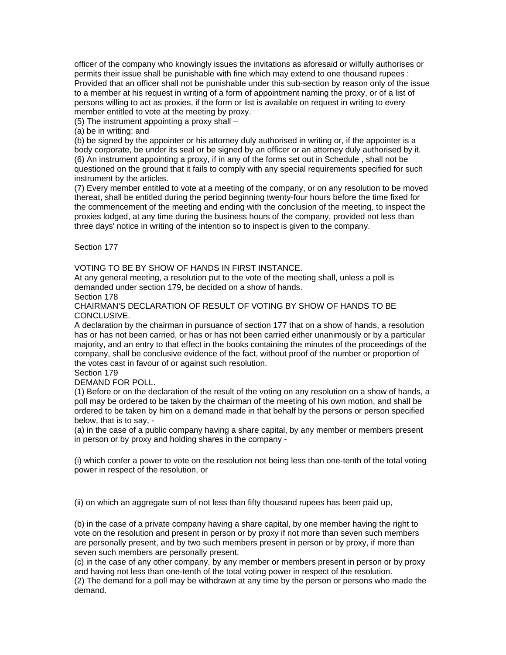officer of the company who knowingly issues the invitations as aforesaid or wilfully authorises or permits their issue shall be punishable with fine which may extend to one thousand rupees : Provided that an officer shall not be punishable under this sub-section by reason only of the issue to a member at his request in writing of a form of appointment naming the proxy, or of a list of persons willing to act as proxies, if the form or list is available on request in writing to every member entitled to vote at the meeting by proxy.

(5) The instrument appointing a proxy shall –

(a) be in writing; and

(b) be signed by the appointer or his attorney duly authorised in writing or, if the appointer is a body corporate, be under its seal or be signed by an officer or an attorney duly authorised by it. (6) An instrument appointing a proxy, if in any of the forms set out in Schedule , shall not be questioned on the ground that it fails to comply with any special requirements specified for such instrument by the articles.

(7) Every member entitled to vote at a meeting of the company, or on any resolution to be moved thereat, shall be entitled during the period beginning twenty-four hours before the time fixed for the commencement of the meeting and ending with the conclusion of the meeting, to inspect the proxies lodged, at any time during the business hours of the company, provided not less than three days' notice in writing of the intention so to inspect is given to the company.

Section 177

VOTING TO BE BY SHOW OF HANDS IN FIRST INSTANCE.

At any general meeting, a resolution put to the vote of the meeting shall, unless a poll is demanded under section 179, be decided on a show of hands.

Section 178

CHAIRMAN'S DECLARATION OF RESULT OF VOTING BY SHOW OF HANDS TO BE CONCLUSIVE.

A declaration by the chairman in pursuance of section 177 that on a show of hands, a resolution has or has not been carried, or has or has not been carried either unanimously or by a particular majority, and an entry to that effect in the books containing the minutes of the proceedings of the company, shall be conclusive evidence of the fact, without proof of the number or proportion of the votes cast in favour of or against such resolution.

Section 179

DEMAND FOR POLL.

(1) Before or on the declaration of the result of the voting on any resolution on a show of hands, a poll may be ordered to be taken by the chairman of the meeting of his own motion, and shall be ordered to be taken by him on a demand made in that behalf by the persons or person specified below, that is to say, -

(a) in the case of a public company having a share capital, by any member or members present in person or by proxy and holding shares in the company -

(i) which confer a power to vote on the resolution not being less than one-tenth of the total voting power in respect of the resolution, or

(ii) on which an aggregate sum of not less than fifty thousand rupees has been paid up,

(b) in the case of a private company having a share capital, by one member having the right to vote on the resolution and present in person or by proxy if not more than seven such members are personally present, and by two such members present in person or by proxy, if more than seven such members are personally present,

(c) in the case of any other company, by any member or members present in person or by proxy and having not less than one-tenth of the total voting power in respect of the resolution.

(2) The demand for a poll may be withdrawn at any time by the person or persons who made the demand.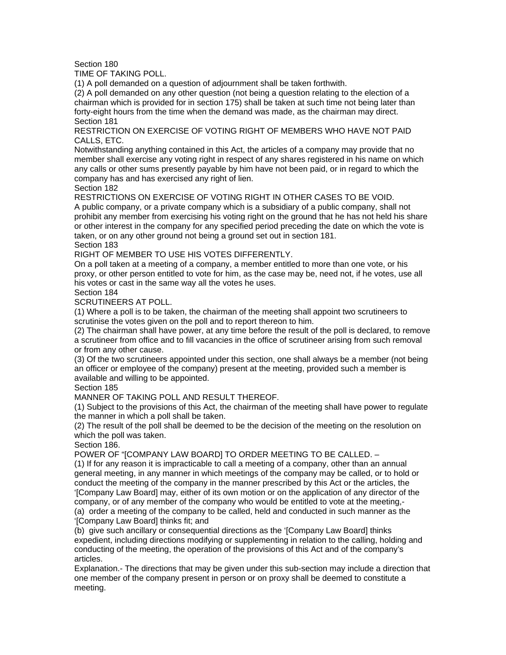Section 180

TIME OF TAKING POLL.

(1) A poll demanded on a question of adjournment shall be taken forthwith.

(2) A poll demanded on any other question (not being a question relating to the election of a chairman which is provided for in section 175) shall be taken at such time not being later than forty-eight hours from the time when the demand was made, as the chairman may direct. Section 181

RESTRICTION ON EXERCISE OF VOTING RIGHT OF MEMBERS WHO HAVE NOT PAID CALLS, ETC.

Notwithstanding anything contained in this Act, the articles of a company may provide that no member shall exercise any voting right in respect of any shares registered in his name on which any calls or other sums presently payable by him have not been paid, or in regard to which the company has and has exercised any right of lien.

Section 182

RESTRICTIONS ON EXERCISE OF VOTING RIGHT IN OTHER CASES TO BE VOID.

A public company, or a private company which is a subsidiary of a public company, shall not prohibit any member from exercising his voting right on the ground that he has not held his share or other interest in the company for any specified period preceding the date on which the vote is taken, or on any other ground not being a ground set out in section 181.

Section 183

RIGHT OF MEMBER TO USE HIS VOTES DIFFERENTLY.

On a poll taken at a meeting of a company, a member entitled to more than one vote, or his proxy, or other person entitled to vote for him, as the case may be, need not, if he votes, use all his votes or cast in the same way all the votes he uses.

Section 184

SCRUTINEERS AT POLL.

(1) Where a poll is to be taken, the chairman of the meeting shall appoint two scrutineers to scrutinise the votes given on the poll and to report thereon to him.

(2) The chairman shall have power, at any time before the result of the poll is declared, to remove a scrutineer from office and to fill vacancies in the office of scrutineer arising from such removal or from any other cause.

(3) Of the two scrutineers appointed under this section, one shall always be a member (not being an officer or employee of the company) present at the meeting, provided such a member is available and willing to be appointed.

Section 185

MANNER OF TAKING POLL AND RESULT THEREOF.

(1) Subject to the provisions of this Act, the chairman of the meeting shall have power to regulate the manner in which a poll shall be taken.

(2) The result of the poll shall be deemed to be the decision of the meeting on the resolution on which the poll was taken.

Section 186.

POWER OF "[COMPANY LAW BOARD] TO ORDER MEETING TO BE CALLED. –

(1) If for any reason it is impracticable to call a meeting of a company, other than an annual general meeting, in any manner in which meetings of the company may be called, or to hold or conduct the meeting of the company in the manner prescribed by this Act or the articles, the '[Company Law Board] may, either of its own motion or on the application of any director of the company, or of any member of the company who would be entitled to vote at the meeting,- (a) order a meeting of the company to be called, held and conducted in such manner as the '[Company Law Board] thinks fit; and

(b) give such ancillary or consequential directions as the '[Company Law Board] thinks expedient, including directions modifying or supplementing in relation to the calling, holding and conducting of the meeting, the operation of the provisions of this Act and of the company's articles.

Explanation.- The directions that may be given under this sub-section may include a direction that one member of the company present in person or on proxy shall be deemed to constitute a meeting.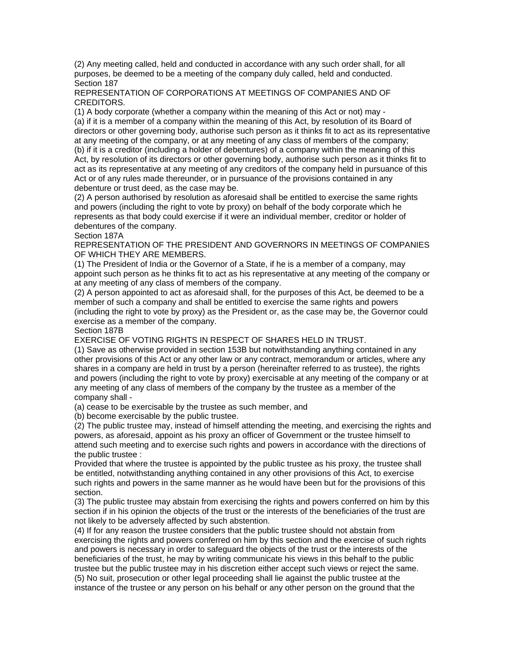(2) Any meeting called, held and conducted in accordance with any such order shall, for all purposes, be deemed to be a meeting of the company duly called, held and conducted. Section 187

REPRESENTATION OF CORPORATIONS AT MEETINGS OF COMPANIES AND OF CREDITORS.

(1) A body corporate (whether a company within the meaning of this Act or not) may - (a) if it is a member of a company within the meaning of this Act, by resolution of its Board of directors or other governing body, authorise such person as it thinks fit to act as its representative at any meeting of the company, or at any meeting of any class of members of the company; (b) if it is a creditor (including a holder of debentures) of a company within the meaning of this Act, by resolution of its directors or other governing body, authorise such person as it thinks fit to act as its representative at any meeting of any creditors of the company held in pursuance of this Act or of any rules made thereunder, or in pursuance of the provisions contained in any debenture or trust deed, as the case may be.

(2) A person authorised by resolution as aforesaid shall be entitled to exercise the same rights and powers (including the right to vote by proxy) on behalf of the body corporate which he represents as that body could exercise if it were an individual member, creditor or holder of debentures of the company.

# Section 187A

REPRESENTATION OF THE PRESIDENT AND GOVERNORS IN MEETINGS OF COMPANIES OF WHICH THEY ARE MEMBERS.

(1) The President of India or the Governor of a State, if he is a member of a company, may appoint such person as he thinks fit to act as his representative at any meeting of the company or at any meeting of any class of members of the company.

(2) A person appointed to act as aforesaid shall, for the purposes of this Act, be deemed to be a member of such a company and shall be entitled to exercise the same rights and powers (including the right to vote by proxy) as the President or, as the case may be, the Governor could exercise as a member of the company.

# Section 187B

EXERCISE OF VOTING RIGHTS IN RESPECT OF SHARES HELD IN TRUST.

(1) Save as otherwise provided in section 153B but notwithstanding anything contained in any other provisions of this Act or any other law or any contract, memorandum or articles, where any shares in a company are held in trust by a person (hereinafter referred to as trustee), the rights and powers (including the right to vote by proxy) exercisable at any meeting of the company or at any meeting of any class of members of the company by the trustee as a member of the company shall -

(a) cease to be exercisable by the trustee as such member, and

(b) become exercisable by the public trustee.

(2) The public trustee may, instead of himself attending the meeting, and exercising the rights and powers, as aforesaid, appoint as his proxy an officer of Government or the trustee himself to attend such meeting and to exercise such rights and powers in accordance with the directions of the public trustee :

Provided that where the trustee is appointed by the public trustee as his proxy, the trustee shall be entitled, notwithstanding anything contained in any other provisions of this Act, to exercise such rights and powers in the same manner as he would have been but for the provisions of this section.

(3) The public trustee may abstain from exercising the rights and powers conferred on him by this section if in his opinion the objects of the trust or the interests of the beneficiaries of the trust are not likely to be adversely affected by such abstention.

(4) If for any reason the trustee considers that the public trustee should not abstain from exercising the rights and powers conferred on him by this section and the exercise of such rights and powers is necessary in order to safeguard the objects of the trust or the interests of the beneficiaries of the trust, he may by writing communicate his views in this behalf to the public trustee but the public trustee may in his discretion either accept such views or reject the same. (5) No suit, prosecution or other legal proceeding shall lie against the public trustee at the instance of the trustee or any person on his behalf or any other person on the ground that the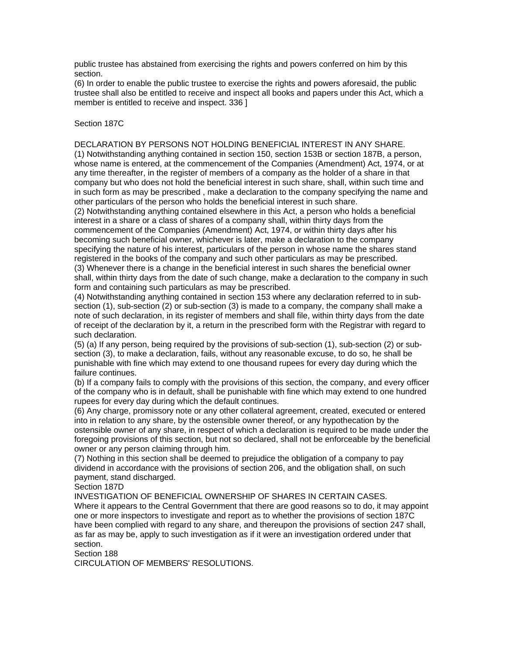public trustee has abstained from exercising the rights and powers conferred on him by this section.

(6) In order to enable the public trustee to exercise the rights and powers aforesaid, the public trustee shall also be entitled to receive and inspect all books and papers under this Act, which a member is entitled to receive and inspect. 336 ]

#### Section 187C

DECLARATION BY PERSONS NOT HOLDING BENEFICIAL INTEREST IN ANY SHARE.

(1) Notwithstanding anything contained in section 150, section 153B or section 187B, a person, whose name is entered, at the commencement of the Companies (Amendment) Act, 1974, or at any time thereafter, in the register of members of a company as the holder of a share in that company but who does not hold the beneficial interest in such share, shall, within such time and in such form as may be prescribed , make a declaration to the company specifying the name and other particulars of the person who holds the beneficial interest in such share.

(2) Notwithstanding anything contained elsewhere in this Act, a person who holds a beneficial interest in a share or a class of shares of a company shall, within thirty days from the commencement of the Companies (Amendment) Act, 1974, or within thirty days after his becoming such beneficial owner, whichever is later, make a declaration to the company specifying the nature of his interest, particulars of the person in whose name the shares stand registered in the books of the company and such other particulars as may be prescribed. (3) Whenever there is a change in the beneficial interest in such shares the beneficial owner shall, within thirty days from the date of such change, make a declaration to the company in such form and containing such particulars as may be prescribed.

(4) Notwithstanding anything contained in section 153 where any declaration referred to in subsection (1), sub-section (2) or sub-section (3) is made to a company, the company shall make a note of such declaration, in its register of members and shall file, within thirty days from the date of receipt of the declaration by it, a return in the prescribed form with the Registrar with regard to such declaration.

(5) (a) If any person, being required by the provisions of sub-section (1), sub-section (2) or subsection (3), to make a declaration, fails, without any reasonable excuse, to do so, he shall be punishable with fine which may extend to one thousand rupees for every day during which the failure continues.

(b) If a company fails to comply with the provisions of this section, the company, and every officer of the company who is in default, shall be punishable with fine which may extend to one hundred rupees for every day during which the default continues.

(6) Any charge, promissory note or any other collateral agreement, created, executed or entered into in relation to any share, by the ostensible owner thereof, or any hypothecation by the ostensible owner of any share, in respect of which a declaration is required to be made under the foregoing provisions of this section, but not so declared, shall not be enforceable by the beneficial owner or any person claiming through him.

(7) Nothing in this section shall be deemed to prejudice the obligation of a company to pay dividend in accordance with the provisions of section 206, and the obligation shall, on such payment, stand discharged.

Section 187D

INVESTIGATION OF BENEFICIAL OWNERSHIP OF SHARES IN CERTAIN CASES.

Where it appears to the Central Government that there are good reasons so to do, it may appoint one or more inspectors to investigate and report as to whether the provisions of section 187C have been complied with regard to any share, and thereupon the provisions of section 247 shall, as far as may be, apply to such investigation as if it were an investigation ordered under that section.

Section 188

CIRCULATION OF MEMBERS' RESOLUTIONS.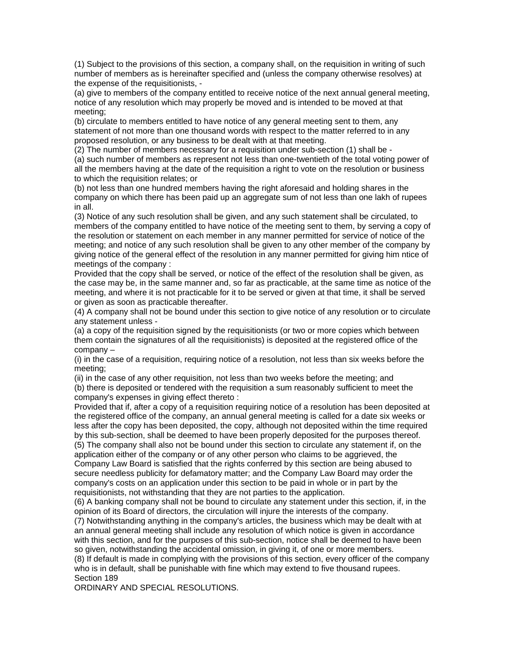(1) Subject to the provisions of this section, a company shall, on the requisition in writing of such number of members as is hereinafter specified and (unless the company otherwise resolves) at the expense of the requisitionists, -

(a) give to members of the company entitled to receive notice of the next annual general meeting, notice of any resolution which may properly be moved and is intended to be moved at that meeting;

(b) circulate to members entitled to have notice of any general meeting sent to them, any statement of not more than one thousand words with respect to the matter referred to in any proposed resolution, or any business to be dealt with at that meeting.

(2) The number of members necessary for a requisition under sub-section (1) shall be - (a) such number of members as represent not less than one-twentieth of the total voting power of all the members having at the date of the requisition a right to vote on the resolution or business

to which the requisition relates; or (b) not less than one hundred members having the right aforesaid and holding shares in the company on which there has been paid up an aggregate sum of not less than one lakh of rupees in all.

(3) Notice of any such resolution shall be given, and any such statement shall be circulated, to members of the company entitled to have notice of the meeting sent to them, by serving a copy of the resolution or statement on each member in any manner permitted for service of notice of the meeting; and notice of any such resolution shall be given to any other member of the company by giving notice of the general effect of the resolution in any manner permitted for giving him ntice of meetings of the company :

Provided that the copy shall be served, or notice of the effect of the resolution shall be given, as the case may be, in the same manner and, so far as practicable, at the same time as notice of the meeting, and where it is not practicable for it to be served or given at that time, it shall be served or given as soon as practicable thereafter.

(4) A company shall not be bound under this section to give notice of any resolution or to circulate any statement unless -

(a) a copy of the requisition signed by the requisitionists (or two or more copies which between them contain the signatures of all the requisitionists) is deposited at the registered office of the company –

(i) in the case of a requisition, requiring notice of a resolution, not less than six weeks before the meeting;

(ii) in the case of any other requisition, not less than two weeks before the meeting; and (b) there is deposited or tendered with the requisition a sum reasonably sufficient to meet the company's expenses in giving effect thereto :

Provided that if, after a copy of a requisition requiring notice of a resolution has been deposited at the registered office of the company, an annual general meeting is called for a date six weeks or less after the copy has been deposited, the copy, although not deposited within the time required by this sub-section, shall be deemed to have been properly deposited for the purposes thereof. (5) The company shall also not be bound under this section to circulate any statement if, on the application either of the company or of any other person who claims to be aggrieved, the Company Law Board is satisfied that the rights conferred by this section are being abused to secure needless publicity for defamatory matter; and the Company Law Board may order the company's costs on an application under this section to be paid in whole or in part by the requisitionists, not withstanding that they are not parties to the application.

(6) A banking company shall not be bound to circulate any statement under this section, if, in the opinion of its Board of directors, the circulation will injure the interests of the company.

(7) Notwithstanding anything in the company's articles, the business which may be dealt with at an annual general meeting shall include any resolution of which notice is given in accordance with this section, and for the purposes of this sub-section, notice shall be deemed to have been so given, notwithstanding the accidental omission, in giving it, of one or more members.

(8) If default is made in complying with the provisions of this section, every officer of the company who is in default, shall be punishable with fine which may extend to five thousand rupees. Section 189

ORDINARY AND SPECIAL RESOLUTIONS.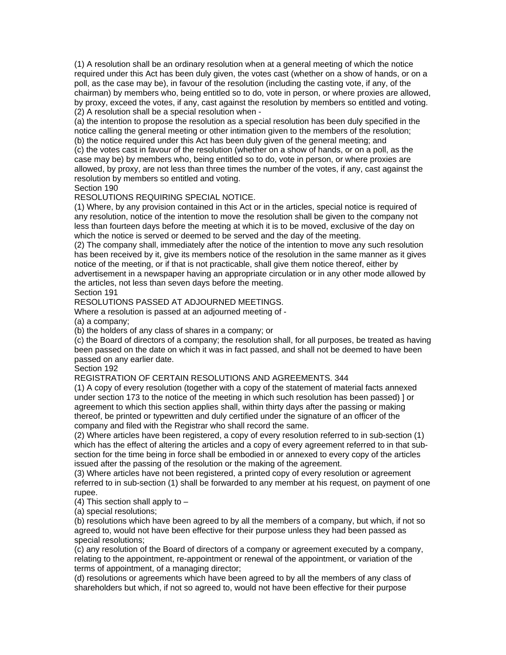(1) A resolution shall be an ordinary resolution when at a general meeting of which the notice required under this Act has been duly given, the votes cast (whether on a show of hands, or on a poll, as the case may be), in favour of the resolution (including the casting vote, if any, of the chairman) by members who, being entitled so to do, vote in person, or where proxies are allowed, by proxy, exceed the votes, if any, cast against the resolution by members so entitled and voting. (2) A resolution shall be a special resolution when -

(a) the intention to propose the resolution as a special resolution has been duly specified in the notice calling the general meeting or other intimation given to the members of the resolution;

(b) the notice required under this Act has been duly given of the general meeting; and (c) the votes cast in favour of the resolution (whether on a show of hands, or on a poll, as the case may be) by members who, being entitled so to do, vote in person, or where proxies are allowed, by proxy, are not less than three times the number of the votes, if any, cast against the resolution by members so entitled and voting.

# Section 190

# RESOLUTIONS REQUIRING SPECIAL NOTICE.

(1) Where, by any provision contained in this Act or in the articles, special notice is required of any resolution, notice of the intention to move the resolution shall be given to the company not less than fourteen days before the meeting at which it is to be moved, exclusive of the day on which the notice is served or deemed to be served and the day of the meeting.

(2) The company shall, immediately after the notice of the intention to move any such resolution has been received by it, give its members notice of the resolution in the same manner as it gives notice of the meeting, or if that is not practicable, shall give them notice thereof, either by advertisement in a newspaper having an appropriate circulation or in any other mode allowed by the articles, not less than seven days before the meeting. Section 191

RESOLUTIONS PASSED AT ADJOURNED MEETINGS.

Where a resolution is passed at an adjourned meeting of -

(a) a company;

(b) the holders of any class of shares in a company; or

(c) the Board of directors of a company; the resolution shall, for all purposes, be treated as having been passed on the date on which it was in fact passed, and shall not be deemed to have been passed on any earlier date.

# Section 192

# REGISTRATION OF CERTAIN RESOLUTIONS AND AGREEMENTS. 344

(1) A copy of every resolution (together with a copy of the statement of material facts annexed under section 173 to the notice of the meeting in which such resolution has been passed) ] or agreement to which this section applies shall, within thirty days after the passing or making thereof, be printed or typewritten and duly certified under the signature of an officer of the company and filed with the Registrar who shall record the same.

(2) Where articles have been registered, a copy of every resolution referred to in sub-section (1) which has the effect of altering the articles and a copy of every agreement referred to in that subsection for the time being in force shall be embodied in or annexed to every copy of the articles issued after the passing of the resolution or the making of the agreement.

(3) Where articles have not been registered, a printed copy of every resolution or agreement referred to in sub-section (1) shall be forwarded to any member at his request, on payment of one rupee.

(4) This section shall apply to  $-$ 

(a) special resolutions;

(b) resolutions which have been agreed to by all the members of a company, but which, if not so agreed to, would not have been effective for their purpose unless they had been passed as special resolutions;

(c) any resolution of the Board of directors of a company or agreement executed by a company, relating to the appointment, re-appointment or renewal of the appointment, or variation of the terms of appointment, of a managing director;

(d) resolutions or agreements which have been agreed to by all the members of any class of shareholders but which, if not so agreed to, would not have been effective for their purpose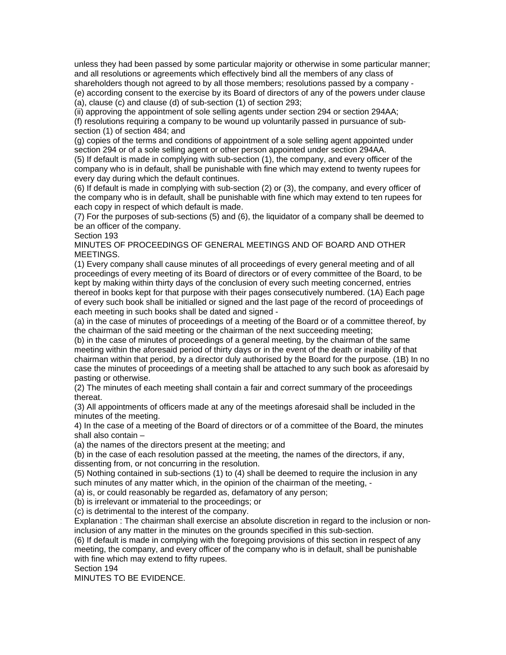unless they had been passed by some particular majority or otherwise in some particular manner; and all resolutions or agreements which effectively bind all the members of any class of shareholders though not agreed to by all those members; resolutions passed by a company - (e) according consent to the exercise by its Board of directors of any of the powers under clause (a), clause (c) and clause (d) of sub-section (1) of section 293;

(ii) approving the appointment of sole selling agents under section 294 or section 294AA;

(f) resolutions requiring a company to be wound up voluntarily passed in pursuance of subsection (1) of section 484; and

(g) copies of the terms and conditions of appointment of a sole selling agent appointed under section 294 or of a sole selling agent or other person appointed under section 294AA.

(5) If default is made in complying with sub-section (1), the company, and every officer of the company who is in default, shall be punishable with fine which may extend to twenty rupees for every day during which the default continues.

(6) If default is made in complying with sub-section (2) or (3), the company, and every officer of the company who is in default, shall be punishable with fine which may extend to ten rupees for each copy in respect of which default is made.

(7) For the purposes of sub-sections (5) and (6), the liquidator of a company shall be deemed to be an officer of the company.

Section 193

MINUTES OF PROCEEDINGS OF GENERAL MEETINGS AND OF BOARD AND OTHER MEETINGS.

(1) Every company shall cause minutes of all proceedings of every general meeting and of all proceedings of every meeting of its Board of directors or of every committee of the Board, to be kept by making within thirty days of the conclusion of every such meeting concerned, entries thereof in books kept for that purpose with their pages consecutively numbered. (1A) Each page of every such book shall be initialled or signed and the last page of the record of proceedings of each meeting in such books shall be dated and signed -

(a) in the case of minutes of proceedings of a meeting of the Board or of a committee thereof, by the chairman of the said meeting or the chairman of the next succeeding meeting;

(b) in the case of minutes of proceedings of a general meeting, by the chairman of the same meeting within the aforesaid period of thirty days or in the event of the death or inability of that chairman within that period, by a director duly authorised by the Board for the purpose. (1B) In no case the minutes of proceedings of a meeting shall be attached to any such book as aforesaid by pasting or otherwise.

(2) The minutes of each meeting shall contain a fair and correct summary of the proceedings thereat.

(3) All appointments of officers made at any of the meetings aforesaid shall be included in the minutes of the meeting.

4) In the case of a meeting of the Board of directors or of a committee of the Board, the minutes shall also contain –

(a) the names of the directors present at the meeting; and

(b) in the case of each resolution passed at the meeting, the names of the directors, if any, dissenting from, or not concurring in the resolution.

(5) Nothing contained in sub-sections (1) to (4) shall be deemed to require the inclusion in any such minutes of any matter which, in the opinion of the chairman of the meeting, -

(a) is, or could reasonably be regarded as, defamatory of any person;

(b) is irrelevant or immaterial to the proceedings; or

(c) is detrimental to the interest of the company.

Explanation : The chairman shall exercise an absolute discretion in regard to the inclusion or noninclusion of any matter in the minutes on the grounds specified in this sub-section.

(6) If default is made in complying with the foregoing provisions of this section in respect of any meeting, the company, and every officer of the company who is in default, shall be punishable with fine which may extend to fifty rupees.

Section 194

MINUTES TO BE EVIDENCE.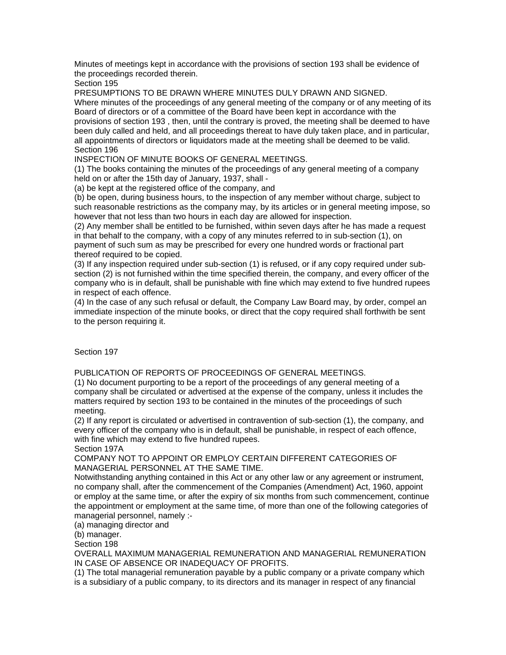Minutes of meetings kept in accordance with the provisions of section 193 shall be evidence of the proceedings recorded therein.

Section 195

PRESUMPTIONS TO BE DRAWN WHERE MINUTES DULY DRAWN AND SIGNED.

Where minutes of the proceedings of any general meeting of the company or of any meeting of its Board of directors or of a committee of the Board have been kept in accordance with the provisions of section 193 , then, until the contrary is proved, the meeting shall be deemed to have been duly called and held, and all proceedings thereat to have duly taken place, and in particular, all appointments of directors or liquidators made at the meeting shall be deemed to be valid. Section 196

INSPECTION OF MINUTE BOOKS OF GENERAL MEETINGS.

(1) The books containing the minutes of the proceedings of any general meeting of a company held on or after the 15th day of January, 1937, shall -

(a) be kept at the registered office of the company, and

(b) be open, during business hours, to the inspection of any member without charge, subject to such reasonable restrictions as the company may, by its articles or in general meeting impose, so however that not less than two hours in each day are allowed for inspection.

(2) Any member shall be entitled to be furnished, within seven days after he has made a request in that behalf to the company, with a copy of any minutes referred to in sub-section (1), on payment of such sum as may be prescribed for every one hundred words or fractional part thereof required to be copied.

(3) If any inspection required under sub-section (1) is refused, or if any copy required under subsection (2) is not furnished within the time specified therein, the company, and every officer of the company who is in default, shall be punishable with fine which may extend to five hundred rupees in respect of each offence.

(4) In the case of any such refusal or default, the Company Law Board may, by order, compel an immediate inspection of the minute books, or direct that the copy required shall forthwith be sent to the person requiring it.

Section 197

PUBLICATION OF REPORTS OF PROCEEDINGS OF GENERAL MEETINGS.

(1) No document purporting to be a report of the proceedings of any general meeting of a company shall be circulated or advertised at the expense of the company, unless it includes the matters required by section 193 to be contained in the minutes of the proceedings of such meeting.

(2) If any report is circulated or advertised in contravention of sub-section (1), the company, and every officer of the company who is in default, shall be punishable, in respect of each offence, with fine which may extend to five hundred rupees.

Section 197A

COMPANY NOT TO APPOINT OR EMPLOY CERTAIN DIFFERENT CATEGORIES OF MANAGERIAL PERSONNEL AT THE SAME TIME.

Notwithstanding anything contained in this Act or any other law or any agreement or instrument, no company shall, after the commencement of the Companies (Amendment) Act, 1960, appoint or employ at the same time, or after the expiry of six months from such commencement, continue the appointment or employment at the same time, of more than one of the following categories of managerial personnel, namely :-

(a) managing director and

(b) manager.

Section 198

OVERALL MAXIMUM MANAGERIAL REMUNERATION AND MANAGERIAL REMUNERATION IN CASE OF ABSENCE OR INADEQUACY OF PROFITS.

(1) The total managerial remuneration payable by a public company or a private company which is a subsidiary of a public company, to its directors and its manager in respect of any financial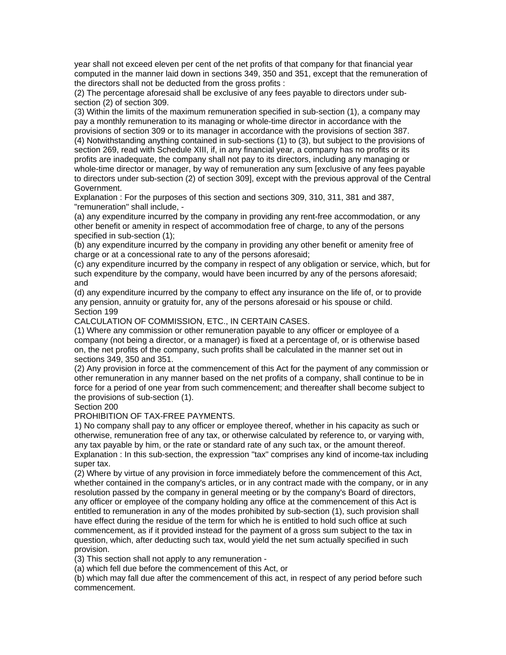year shall not exceed eleven per cent of the net profits of that company for that financial year computed in the manner laid down in sections 349, 350 and 351, except that the remuneration of the directors shall not be deducted from the gross profits :

(2) The percentage aforesaid shall be exclusive of any fees payable to directors under subsection (2) of section 309.

(3) Within the limits of the maximum remuneration specified in sub-section (1), a company may pay a monthly remuneration to its managing or whole-time director in accordance with the provisions of section 309 or to its manager in accordance with the provisions of section 387. (4) Notwithstanding anything contained in sub-sections (1) to (3), but subject to the provisions of section 269, read with Schedule XIII, if, in any financial year, a company has no profits or its profits are inadequate, the company shall not pay to its directors, including any managing or whole-time director or manager, by way of remuneration any sum [exclusive of any fees payable to directors under sub-section (2) of section 309], except with the previous approval of the Central Government.

Explanation : For the purposes of this section and sections 309, 310, 311, 381 and 387, "remuneration" shall include, -

(a) any expenditure incurred by the company in providing any rent-free accommodation, or any other benefit or amenity in respect of accommodation free of charge, to any of the persons specified in sub-section (1);

(b) any expenditure incurred by the company in providing any other benefit or amenity free of charge or at a concessional rate to any of the persons aforesaid;

(c) any expenditure incurred by the company in respect of any obligation or service, which, but for such expenditure by the company, would have been incurred by any of the persons aforesaid; and

(d) any expenditure incurred by the company to effect any insurance on the life of, or to provide any pension, annuity or gratuity for, any of the persons aforesaid or his spouse or child. Section 199

CALCULATION OF COMMISSION, ETC., IN CERTAIN CASES.

(1) Where any commission or other remuneration payable to any officer or employee of a company (not being a director, or a manager) is fixed at a percentage of, or is otherwise based on, the net profits of the company, such profits shall be calculated in the manner set out in sections 349, 350 and 351.

(2) Any provision in force at the commencement of this Act for the payment of any commission or other remuneration in any manner based on the net profits of a company, shall continue to be in force for a period of one year from such commencement; and thereafter shall become subject to the provisions of sub-section (1).

Section 200

PROHIBITION OF TAX-FREE PAYMENTS.

1) No company shall pay to any officer or employee thereof, whether in his capacity as such or otherwise, remuneration free of any tax, or otherwise calculated by reference to, or varying with, any tax payable by him, or the rate or standard rate of any such tax, or the amount thereof. Explanation : In this sub-section, the expression "tax" comprises any kind of income-tax including super tax.

(2) Where by virtue of any provision in force immediately before the commencement of this Act, whether contained in the company's articles, or in any contract made with the company, or in any resolution passed by the company in general meeting or by the company's Board of directors, any officer or employee of the company holding any office at the commencement of this Act is entitled to remuneration in any of the modes prohibited by sub-section (1), such provision shall have effect during the residue of the term for which he is entitled to hold such office at such commencement, as if it provided instead for the payment of a gross sum subject to the tax in question, which, after deducting such tax, would yield the net sum actually specified in such provision.

(3) This section shall not apply to any remuneration -

(a) which fell due before the commencement of this Act, or

(b) which may fall due after the commencement of this act, in respect of any period before such commencement.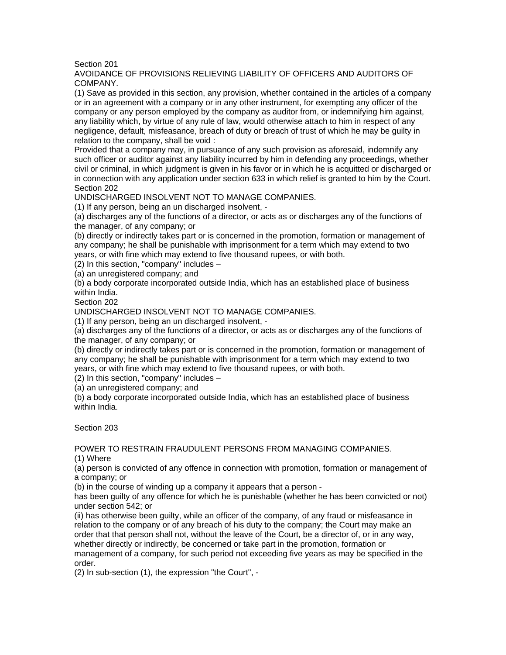# Section 201

AVOIDANCE OF PROVISIONS RELIEVING LIABILITY OF OFFICERS AND AUDITORS OF COMPANY.

(1) Save as provided in this section, any provision, whether contained in the articles of a company or in an agreement with a company or in any other instrument, for exempting any officer of the company or any person employed by the company as auditor from, or indemnifying him against, any liability which, by virtue of any rule of law, would otherwise attach to him in respect of any negligence, default, misfeasance, breach of duty or breach of trust of which he may be guilty in relation to the company, shall be void :

Provided that a company may, in pursuance of any such provision as aforesaid, indemnify any such officer or auditor against any liability incurred by him in defending any proceedings, whether civil or criminal, in which judgment is given in his favor or in which he is acquitted or discharged or in connection with any application under section 633 in which relief is granted to him by the Court. Section 202

UNDISCHARGED INSOLVENT NOT TO MANAGE COMPANIES.

(1) If any person, being an un discharged insolvent, -

(a) discharges any of the functions of a director, or acts as or discharges any of the functions of the manager, of any company; or

(b) directly or indirectly takes part or is concerned in the promotion, formation or management of any company; he shall be punishable with imprisonment for a term which may extend to two years, or with fine which may extend to five thousand rupees, or with both.

(2) In this section, "company" includes –

(a) an unregistered company; and

(b) a body corporate incorporated outside India, which has an established place of business within India.

Section 202

UNDISCHARGED INSOLVENT NOT TO MANAGE COMPANIES.

(1) If any person, being an un discharged insolvent, -

(a) discharges any of the functions of a director, or acts as or discharges any of the functions of the manager, of any company; or

(b) directly or indirectly takes part or is concerned in the promotion, formation or management of any company; he shall be punishable with imprisonment for a term which may extend to two years, or with fine which may extend to five thousand rupees, or with both.

(2) In this section, "company" includes –

(a) an unregistered company; and

(b) a body corporate incorporated outside India, which has an established place of business within India.

Section 203

POWER TO RESTRAIN FRAUDULENT PERSONS FROM MANAGING COMPANIES.

(1) Where

(a) person is convicted of any offence in connection with promotion, formation or management of a company; or

(b) in the course of winding up a company it appears that a person -

has been guilty of any offence for which he is punishable (whether he has been convicted or not) under section 542; or

(ii) has otherwise been guilty, while an officer of the company, of any fraud or misfeasance in relation to the company or of any breach of his duty to the company; the Court may make an order that that person shall not, without the leave of the Court, be a director of, or in any way, whether directly or indirectly, be concerned or take part in the promotion, formation or management of a company, for such period not exceeding five years as may be specified in the order.

(2) In sub-section (1), the expression "the Court", -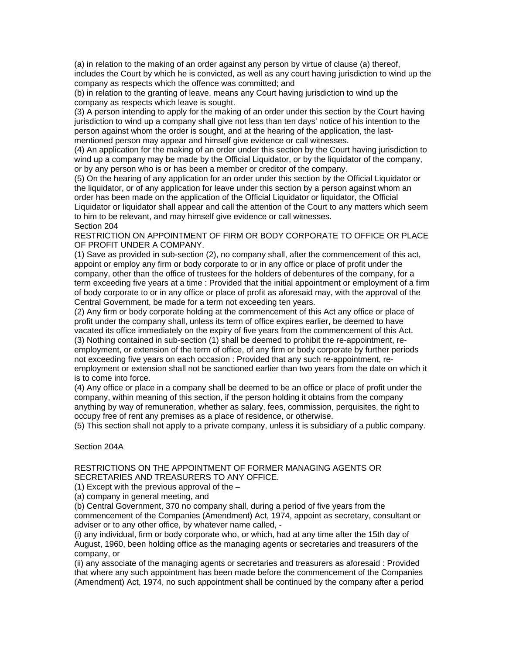(a) in relation to the making of an order against any person by virtue of clause (a) thereof, includes the Court by which he is convicted, as well as any court having jurisdiction to wind up the company as respects which the offence was committed; and

(b) in relation to the granting of leave, means any Court having jurisdiction to wind up the company as respects which leave is sought.

(3) A person intending to apply for the making of an order under this section by the Court having jurisdiction to wind up a company shall give not less than ten days' notice of his intention to the person against whom the order is sought, and at the hearing of the application, the lastmentioned person may appear and himself give evidence or call witnesses.

(4) An application for the making of an order under this section by the Court having jurisdiction to wind up a company may be made by the Official Liquidator, or by the liquidator of the company, or by any person who is or has been a member or creditor of the company.

(5) On the hearing of any application for an order under this section by the Official Liquidator or the liquidator, or of any application for leave under this section by a person against whom an order has been made on the application of the Official Liquidator or liquidator, the Official Liquidator or liquidator shall appear and call the attention of the Court to any matters which seem to him to be relevant, and may himself give evidence or call witnesses. Section 204

RESTRICTION ON APPOINTMENT OF FIRM OR BODY CORPORATE TO OFFICE OR PLACE OF PROFIT UNDER A COMPANY.

(1) Save as provided in sub-section (2), no company shall, after the commencement of this act, appoint or employ any firm or body corporate to or in any office or place of profit under the company, other than the office of trustees for the holders of debentures of the company, for a term exceeding five years at a time : Provided that the initial appointment or employment of a firm of body corporate to or in any office or place of profit as aforesaid may, with the approval of the Central Government, be made for a term not exceeding ten years.

(2) Any firm or body corporate holding at the commencement of this Act any office or place of profit under the company shall, unless its term of office expires earlier, be deemed to have vacated its office immediately on the expiry of five years from the commencement of this Act. (3) Nothing contained in sub-section (1) shall be deemed to prohibit the re-appointment, reemployment, or extension of the term of office, of any firm or body corporate by further periods not exceeding five years on each occasion : Provided that any such re-appointment, reemployment or extension shall not be sanctioned earlier than two years from the date on which it is to come into force.

(4) Any office or place in a company shall be deemed to be an office or place of profit under the company, within meaning of this section, if the person holding it obtains from the company anything by way of remuneration, whether as salary, fees, commission, perquisites, the right to occupy free of rent any premises as a place of residence, or otherwise.

(5) This section shall not apply to a private company, unless it is subsidiary of a public company.

Section 204A

RESTRICTIONS ON THE APPOINTMENT OF FORMER MANAGING AGENTS OR SECRETARIES AND TREASURERS TO ANY OFFICE.

(1) Except with the previous approval of the  $-$ 

(a) company in general meeting, and

(b) Central Government, 370 no company shall, during a period of five years from the commencement of the Companies (Amendment) Act, 1974, appoint as secretary, consultant or adviser or to any other office, by whatever name called, -

(i) any individual, firm or body corporate who, or which, had at any time after the 15th day of August, 1960, been holding office as the managing agents or secretaries and treasurers of the company, or

(ii) any associate of the managing agents or secretaries and treasurers as aforesaid : Provided that where any such appointment has been made before the commencement of the Companies (Amendment) Act, 1974, no such appointment shall be continued by the company after a period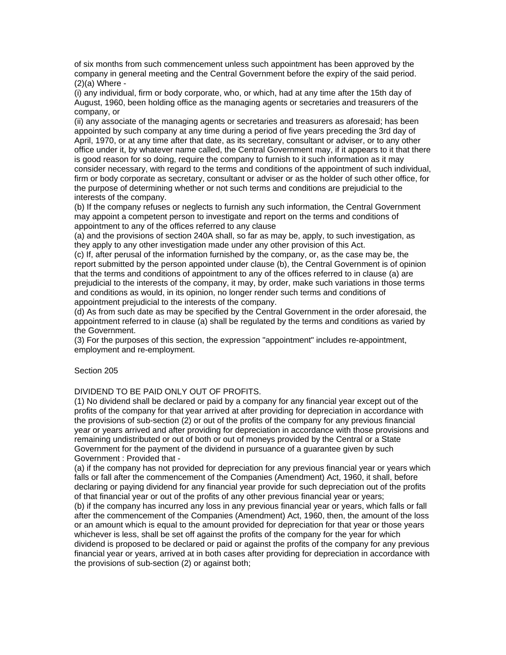of six months from such commencement unless such appointment has been approved by the company in general meeting and the Central Government before the expiry of the said period.  $(2)(a)$  Where -

(i) any individual, firm or body corporate, who, or which, had at any time after the 15th day of August, 1960, been holding office as the managing agents or secretaries and treasurers of the company, or

(ii) any associate of the managing agents or secretaries and treasurers as aforesaid; has been appointed by such company at any time during a period of five years preceding the 3rd day of April, 1970, or at any time after that date, as its secretary, consultant or adviser, or to any other office under it, by whatever name called, the Central Government may, if it appears to it that there is good reason for so doing, require the company to furnish to it such information as it may consider necessary, with regard to the terms and conditions of the appointment of such individual, firm or body corporate as secretary, consultant or adviser or as the holder of such other office, for the purpose of determining whether or not such terms and conditions are prejudicial to the interests of the company.

(b) If the company refuses or neglects to furnish any such information, the Central Government may appoint a competent person to investigate and report on the terms and conditions of appointment to any of the offices referred to any clause

(a) and the provisions of section 240A shall, so far as may be, apply, to such investigation, as they apply to any other investigation made under any other provision of this Act.

(c) If, after perusal of the information furnished by the company, or, as the case may be, the report submitted by the person appointed under clause (b), the Central Government is of opinion that the terms and conditions of appointment to any of the offices referred to in clause (a) are prejudicial to the interests of the company, it may, by order, make such variations in those terms and conditions as would, in its opinion, no longer render such terms and conditions of appointment prejudicial to the interests of the company.

(d) As from such date as may be specified by the Central Government in the order aforesaid, the appointment referred to in clause (a) shall be regulated by the terms and conditions as varied by the Government.

(3) For the purposes of this section, the expression "appointment" includes re-appointment, employment and re-employment.

Section 205

DIVIDEND TO BE PAID ONLY OUT OF PROFITS.

(1) No dividend shall be declared or paid by a company for any financial year except out of the profits of the company for that year arrived at after providing for depreciation in accordance with the provisions of sub-section (2) or out of the profits of the company for any previous financial year or years arrived and after providing for depreciation in accordance with those provisions and remaining undistributed or out of both or out of moneys provided by the Central or a State Government for the payment of the dividend in pursuance of a guarantee given by such Government : Provided that -

(a) if the company has not provided for depreciation for any previous financial year or years which falls or fall after the commencement of the Companies (Amendment) Act, 1960, it shall, before declaring or paying dividend for any financial year provide for such depreciation out of the profits of that financial year or out of the profits of any other previous financial year or years;

(b) if the company has incurred any loss in any previous financial year or years, which falls or fall after the commencement of the Companies (Amendment) Act, 1960, then, the amount of the loss or an amount which is equal to the amount provided for depreciation for that year or those years whichever is less, shall be set off against the profits of the company for the year for which dividend is proposed to be declared or paid or against the profits of the company for any previous financial year or years, arrived at in both cases after providing for depreciation in accordance with the provisions of sub-section (2) or against both;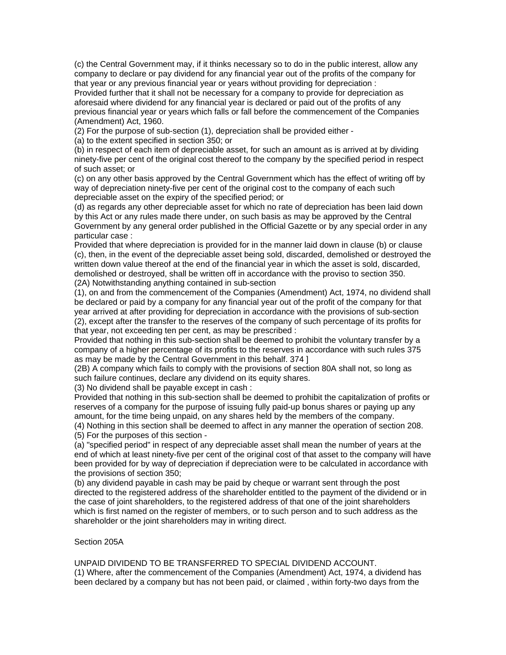(c) the Central Government may, if it thinks necessary so to do in the public interest, allow any company to declare or pay dividend for any financial year out of the profits of the company for that year or any previous financial year or years without providing for depreciation :

Provided further that it shall not be necessary for a company to provide for depreciation as aforesaid where dividend for any financial year is declared or paid out of the profits of any previous financial year or years which falls or fall before the commencement of the Companies (Amendment) Act, 1960.

(2) For the purpose of sub-section (1), depreciation shall be provided either -

(a) to the extent specified in section 350; or

(b) in respect of each item of depreciable asset, for such an amount as is arrived at by dividing ninety-five per cent of the original cost thereof to the company by the specified period in respect of such asset; or

(c) on any other basis approved by the Central Government which has the effect of writing off by way of depreciation ninety-five per cent of the original cost to the company of each such depreciable asset on the expiry of the specified period; or

(d) as regards any other depreciable asset for which no rate of depreciation has been laid down by this Act or any rules made there under, on such basis as may be approved by the Central Government by any general order published in the Official Gazette or by any special order in any particular case :

Provided that where depreciation is provided for in the manner laid down in clause (b) or clause (c), then, in the event of the depreciable asset being sold, discarded, demolished or destroyed the written down value thereof at the end of the financial year in which the asset is sold, discarded, demolished or destroyed, shall be written off in accordance with the proviso to section 350. (2A) Notwithstanding anything contained in sub-section

(1), on and from the commencement of the Companies (Amendment) Act, 1974, no dividend shall be declared or paid by a company for any financial year out of the profit of the company for that year arrived at after providing for depreciation in accordance with the provisions of sub-section (2), except after the transfer to the reserves of the company of such percentage of its profits for that year, not exceeding ten per cent, as may be prescribed :

Provided that nothing in this sub-section shall be deemed to prohibit the voluntary transfer by a company of a higher percentage of its profits to the reserves in accordance with such rules 375 as may be made by the Central Government in this behalf. 374 ]

(2B) A company which fails to comply with the provisions of section 80A shall not, so long as such failure continues, declare any dividend on its equity shares.

(3) No dividend shall be payable except in cash :

Provided that nothing in this sub-section shall be deemed to prohibit the capitalization of profits or reserves of a company for the purpose of issuing fully paid-up bonus shares or paying up any amount, for the time being unpaid, on any shares held by the members of the company.

(4) Nothing in this section shall be deemed to affect in any manner the operation of section 208. (5) For the purposes of this section -

(a) "specified period" in respect of any depreciable asset shall mean the number of years at the end of which at least ninety-five per cent of the original cost of that asset to the company will have been provided for by way of depreciation if depreciation were to be calculated in accordance with the provisions of section 350;

(b) any dividend payable in cash may be paid by cheque or warrant sent through the post directed to the registered address of the shareholder entitled to the payment of the dividend or in the case of joint shareholders, to the registered address of that one of the joint shareholders which is first named on the register of members, or to such person and to such address as the shareholder or the joint shareholders may in writing direct.

# Section 205A

# UNPAID DIVIDEND TO BE TRANSFERRED TO SPECIAL DIVIDEND ACCOUNT.

(1) Where, after the commencement of the Companies (Amendment) Act, 1974, a dividend has been declared by a company but has not been paid, or claimed , within forty-two days from the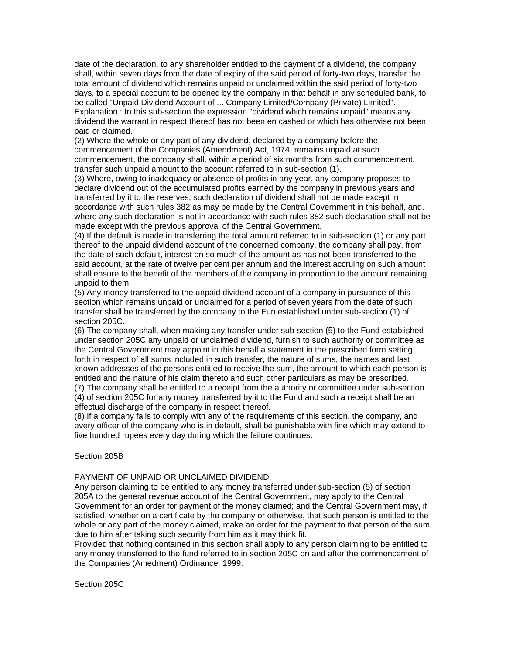date of the declaration, to any shareholder entitled to the payment of a dividend, the company shall, within seven days from the date of expiry of the said period of forty-two days, transfer the total amount of dividend which remains unpaid or unclaimed within the said period of forty-two days, to a special account to be opened by the company in that behalf in any scheduled bank, to be called "Unpaid Dividend Account of ... Company Limited/Company (Private) Limited". Explanation : In this sub-section the expression "dividend which remains unpaid" means any dividend the warrant in respect thereof has not been en cashed or which has otherwise not been paid or claimed.

(2) Where the whole or any part of any dividend, declared by a company before the commencement of the Companies (Amendment) Act, 1974, remains unpaid at such commencement, the company shall, within a period of six months from such commencement, transfer such unpaid amount to the account referred to in sub-section (1).

(3) Where, owing to inadequacy or absence of profits in any year, any company proposes to declare dividend out of the accumulated profits earned by the company in previous years and transferred by it to the reserves, such declaration of dividend shall not be made except in accordance with such rules 382 as may be made by the Central Government in this behalf, and, where any such declaration is not in accordance with such rules 382 such declaration shall not be made except with the previous approval of the Central Government.

(4) If the default is made in transferring the total amount referred to in sub-section (1) or any part thereof to the unpaid dividend account of the concerned company, the company shall pay, from the date of such default, interest on so much of the amount as has not been transferred to the said account, at the rate of twelve per cent per annum and the interest accruing on such amount shall ensure to the benefit of the members of the company in proportion to the amount remaining unpaid to them.

(5) Any money transferred to the unpaid dividend account of a company in pursuance of this section which remains unpaid or unclaimed for a period of seven years from the date of such transfer shall be transferred by the company to the Fun established under sub-section (1) of section 205C.

(6) The company shall, when making any transfer under sub-section (5) to the Fund established under section 205C any unpaid or unclaimed dividend, furnish to such authority or committee as the Central Government may appoint in this behalf a statement in the prescribed form setting forth in respect of all sums included in such transfer, the nature of sums, the names and last known addresses of the persons entitled to receive the sum, the amount to which each person is entitled and the nature of his claim thereto and such other particulars as may be prescribed.

(7) The company shall be entitled to a receipt from the authority or committee under sub-section (4) of section 205C for any money transferred by it to the Fund and such a receipt shall be an effectual discharge of the company in respect thereof.

(8) If a company fails to comply with any of the requirements of this section, the company, and every officer of the company who is in default, shall be punishable with fine which may extend to five hundred rupees every day during which the failure continues.

# Section 205B

# PAYMENT OF UNPAID OR UNCLAIMED DIVIDEND.

Any person claiming to be entitled to any money transferred under sub-section (5) of section 205A to the general revenue account of the Central Government, may apply to the Central Government for an order for payment of the money claimed; and the Central Government may, if satisfied, whether on a certificate by the company or otherwise, that such person is entitled to the whole or any part of the money claimed, make an order for the payment to that person of the sum due to him after taking such security from him as it may think fit.

Provided that nothing contained in this section shall apply to any person claiming to be entitled to any money transferred to the fund referred to in section 205C on and after the commencement of the Companies (Amedment) Ordinance, 1999.

Section 205C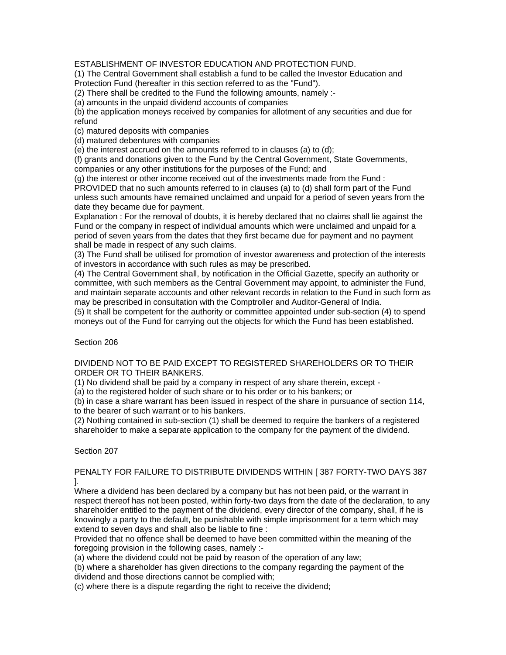# ESTABLISHMENT OF INVESTOR EDUCATION AND PROTECTION FUND.

(1) The Central Government shall establish a fund to be called the Investor Education and Protection Fund (hereafter in this section referred to as the "Fund").

(2) There shall be credited to the Fund the following amounts, namely :-

(a) amounts in the unpaid dividend accounts of companies

(b) the application moneys received by companies for allotment of any securities and due for refund

(c) matured deposits with companies

(d) matured debentures with companies

(e) the interest accrued on the amounts referred to in clauses (a) to (d);

(f) grants and donations given to the Fund by the Central Government, State Governments, companies or any other institutions for the purposes of the Fund; and

(g) the interest or other income received out of the investments made from the Fund :

PROVIDED that no such amounts referred to in clauses (a) to (d) shall form part of the Fund unless such amounts have remained unclaimed and unpaid for a period of seven years from the date they became due for payment.

Explanation : For the removal of doubts, it is hereby declared that no claims shall lie against the Fund or the company in respect of individual amounts which were unclaimed and unpaid for a period of seven years from the dates that they first became due for payment and no payment shall be made in respect of any such claims.

(3) The Fund shall be utilised for promotion of investor awareness and protection of the interests of investors in accordance with such rules as may be prescribed.

(4) The Central Government shall, by notification in the Official Gazette, specify an authority or committee, with such members as the Central Government may appoint, to administer the Fund, and maintain separate accounts and other relevant records in relation to the Fund in such form as may be prescribed in consultation with the Comptroller and Auditor-General of India.

(5) It shall be competent for the authority or committee appointed under sub-section (4) to spend moneys out of the Fund for carrying out the objects for which the Fund has been established.

Section 206

# DIVIDEND NOT TO BE PAID EXCEPT TO REGISTERED SHAREHOLDERS OR TO THEIR ORDER OR TO THEIR BANKERS.

(1) No dividend shall be paid by a company in respect of any share therein, except -

(a) to the registered holder of such share or to his order or to his bankers; or

(b) in case a share warrant has been issued in respect of the share in pursuance of section 114, to the bearer of such warrant or to his bankers.

(2) Nothing contained in sub-section (1) shall be deemed to require the bankers of a registered shareholder to make a separate application to the company for the payment of the dividend.

Section 207

#### PENALTY FOR FAILURE TO DISTRIBUTE DIVIDENDS WITHIN [ 387 FORTY-TWO DAYS 387 ].

Where a dividend has been declared by a company but has not been paid, or the warrant in respect thereof has not been posted, within forty-two days from the date of the declaration, to any shareholder entitled to the payment of the dividend, every director of the company, shall, if he is knowingly a party to the default, be punishable with simple imprisonment for a term which may extend to seven days and shall also be liable to fine :

Provided that no offence shall be deemed to have been committed within the meaning of the foregoing provision in the following cases, namely :-

(a) where the dividend could not be paid by reason of the operation of any law;

(b) where a shareholder has given directions to the company regarding the payment of the dividend and those directions cannot be complied with;

(c) where there is a dispute regarding the right to receive the dividend;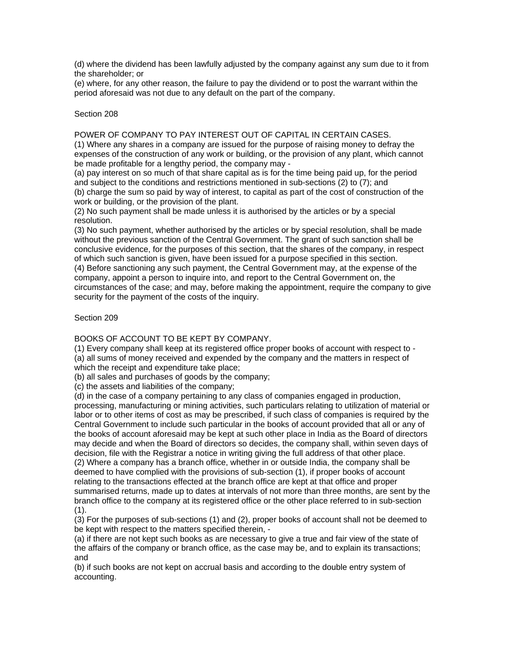(d) where the dividend has been lawfully adjusted by the company against any sum due to it from the shareholder; or

(e) where, for any other reason, the failure to pay the dividend or to post the warrant within the period aforesaid was not due to any default on the part of the company.

# Section 208

# POWER OF COMPANY TO PAY INTEREST OUT OF CAPITAL IN CERTAIN CASES.

(1) Where any shares in a company are issued for the purpose of raising money to defray the expenses of the construction of any work or building, or the provision of any plant, which cannot be made profitable for a lengthy period, the company may -

(a) pay interest on so much of that share capital as is for the time being paid up, for the period and subject to the conditions and restrictions mentioned in sub-sections (2) to (7); and (b) charge the sum so paid by way of interest, to capital as part of the cost of construction of the work or building, or the provision of the plant.

(2) No such payment shall be made unless it is authorised by the articles or by a special resolution.

(3) No such payment, whether authorised by the articles or by special resolution, shall be made without the previous sanction of the Central Government. The grant of such sanction shall be conclusive evidence, for the purposes of this section, that the shares of the company, in respect of which such sanction is given, have been issued for a purpose specified in this section. (4) Before sanctioning any such payment, the Central Government may, at the expense of the company, appoint a person to inquire into, and report to the Central Government on, the circumstances of the case; and may, before making the appointment, require the company to give security for the payment of the costs of the inquiry.

# Section 209

# BOOKS OF ACCOUNT TO BE KEPT BY COMPANY.

(1) Every company shall keep at its registered office proper books of account with respect to - (a) all sums of money received and expended by the company and the matters in respect of which the receipt and expenditure take place;

(b) all sales and purchases of goods by the company;

(c) the assets and liabilities of the company;

(d) in the case of a company pertaining to any class of companies engaged in production, processing, manufacturing or mining activities, such particulars relating to utilization of material or labor or to other items of cost as may be prescribed, if such class of companies is required by the Central Government to include such particular in the books of account provided that all or any of the books of account aforesaid may be kept at such other place in India as the Board of directors may decide and when the Board of directors so decides, the company shall, within seven days of decision, file with the Registrar a notice in writing giving the full address of that other place. (2) Where a company has a branch office, whether in or outside India, the company shall be deemed to have complied with the provisions of sub-section (1), if proper books of account relating to the transactions effected at the branch office are kept at that office and proper summarised returns, made up to dates at intervals of not more than three months, are sent by the branch office to the company at its registered office or the other place referred to in sub-section (1).

(3) For the purposes of sub-sections (1) and (2), proper books of account shall not be deemed to be kept with respect to the matters specified therein, -

(a) if there are not kept such books as are necessary to give a true and fair view of the state of the affairs of the company or branch office, as the case may be, and to explain its transactions; and

(b) if such books are not kept on accrual basis and according to the double entry system of accounting.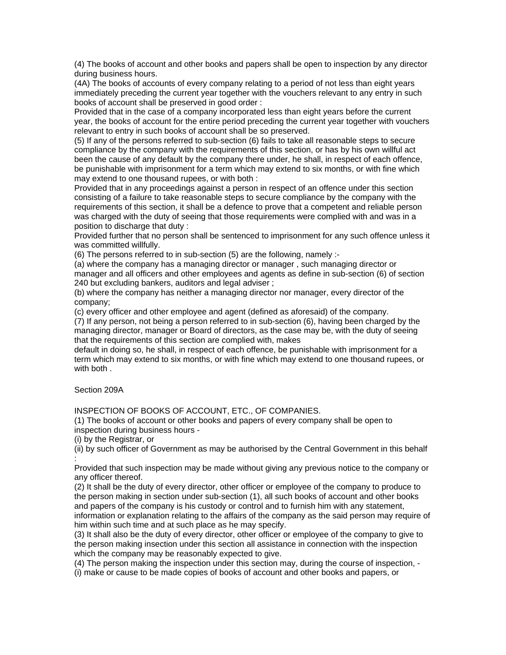(4) The books of account and other books and papers shall be open to inspection by any director during business hours.

(4A) The books of accounts of every company relating to a period of not less than eight years immediately preceding the current year together with the vouchers relevant to any entry in such books of account shall be preserved in good order :

Provided that in the case of a company incorporated less than eight years before the current year, the books of account for the entire period preceding the current year together with vouchers relevant to entry in such books of account shall be so preserved.

(5) If any of the persons referred to sub-section (6) fails to take all reasonable steps to secure compliance by the company with the requirements of this section, or has by his own willful act been the cause of any default by the company there under, he shall, in respect of each offence, be punishable with imprisonment for a term which may extend to six months, or with fine which may extend to one thousand rupees, or with both :

Provided that in any proceedings against a person in respect of an offence under this section consisting of a failure to take reasonable steps to secure compliance by the company with the requirements of this section, it shall be a defence to prove that a competent and reliable person was charged with the duty of seeing that those requirements were complied with and was in a position to discharge that duty :

Provided further that no person shall be sentenced to imprisonment for any such offence unless it was committed willfully.

(6) The persons referred to in sub-section (5) are the following, namely :-

(a) where the company has a managing director or manager , such managing director or manager and all officers and other employees and agents as define in sub-section (6) of section 240 but excluding bankers, auditors and legal adviser ;

(b) where the company has neither a managing director nor manager, every director of the company;

(c) every officer and other employee and agent (defined as aforesaid) of the company.

(7) If any person, not being a person referred to in sub-section (6), having been charged by the managing director, manager or Board of directors, as the case may be, with the duty of seeing that the requirements of this section are complied with, makes

default in doing so, he shall, in respect of each offence, be punishable with imprisonment for a term which may extend to six months, or with fine which may extend to one thousand rupees, or with both .

Section 209A

INSPECTION OF BOOKS OF ACCOUNT, ETC., OF COMPANIES.

(1) The books of account or other books and papers of every company shall be open to inspection during business hours -

(i) by the Registrar, or

(ii) by such officer of Government as may be authorised by the Central Government in this behalf :

Provided that such inspection may be made without giving any previous notice to the company or any officer thereof.

(2) It shall be the duty of every director, other officer or employee of the company to produce to the person making in section under sub-section (1), all such books of account and other books and papers of the company is his custody or control and to furnish him with any statement, information or explanation relating to the affairs of the company as the said person may require of him within such time and at such place as he may specify.

(3) It shall also be the duty of every director, other officer or employee of the company to give to the person making insection under this section all assistance in connection with the inspection which the company may be reasonably expected to give.

(4) The person making the inspection under this section may, during the course of inspection, -

(i) make or cause to be made copies of books of account and other books and papers, or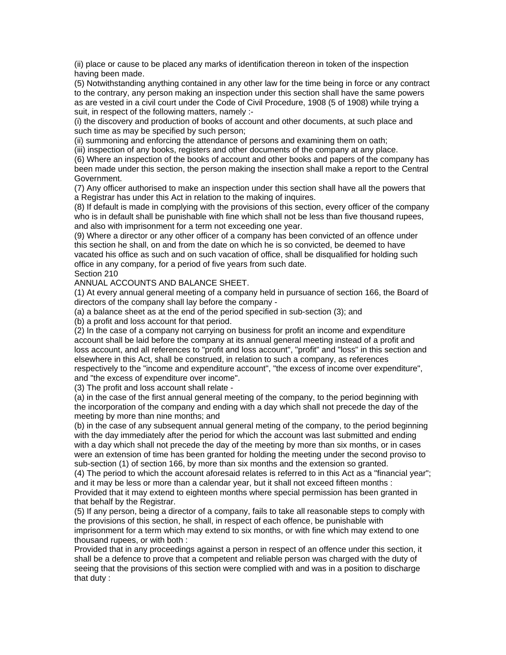(ii) place or cause to be placed any marks of identification thereon in token of the inspection having been made.

(5) Notwithstanding anything contained in any other law for the time being in force or any contract to the contrary, any person making an inspection under this section shall have the same powers as are vested in a civil court under the Code of Civil Procedure, 1908 (5 of 1908) while trying a suit, in respect of the following matters, namely :-

(i) the discovery and production of books of account and other documents, at such place and such time as may be specified by such person;

(ii) summoning and enforcing the attendance of persons and examining them on oath;

(iii) inspection of any books, registers and other documents of the company at any place.

(6) Where an inspection of the books of account and other books and papers of the company has been made under this section, the person making the insection shall make a report to the Central Government.

(7) Any officer authorised to make an inspection under this section shall have all the powers that a Registrar has under this Act in relation to the making of inquires.

(8) If default is made in complying with the provisions of this section, every officer of the company who is in default shall be punishable with fine which shall not be less than five thousand rupees, and also with imprisonment for a term not exceeding one year.

(9) Where a director or any other officer of a company has been convicted of an offence under this section he shall, on and from the date on which he is so convicted, be deemed to have vacated his office as such and on such vacation of office, shall be disqualified for holding such office in any company, for a period of five years from such date. Section 210

ANNUAL ACCOUNTS AND BALANCE SHEET.

(1) At every annual general meeting of a company held in pursuance of section 166, the Board of directors of the company shall lay before the company -

(a) a balance sheet as at the end of the period specified in sub-section (3); and

(b) a profit and loss account for that period.

(2) In the case of a company not carrying on business for profit an income and expenditure account shall be laid before the company at its annual general meeting instead of a profit and loss account, and all references to "profit and loss account", "profit" and "loss" in this section and elsewhere in this Act, shall be construed, in relation to such a company, as references respectively to the "income and expenditure account", "the excess of income over expenditure", and "the excess of expenditure over income".

(3) The profit and loss account shall relate -

(a) in the case of the first annual general meeting of the company, to the period beginning with the incorporation of the company and ending with a day which shall not precede the day of the meeting by more than nine months; and

(b) in the case of any subsequent annual general meting of the company, to the period beginning with the day immediately after the period for which the account was last submitted and ending with a day which shall not precede the day of the meeting by more than six months, or in cases were an extension of time has been granted for holding the meeting under the second proviso to sub-section (1) of section 166, by more than six months and the extension so granted.

(4) The period to which the account aforesaid relates is referred to in this Act as a "financial year"; and it may be less or more than a calendar year, but it shall not exceed fifteen months : Provided that it may extend to eighteen months where special permission has been granted in that behalf by the Registrar.

(5) If any person, being a director of a company, fails to take all reasonable steps to comply with the provisions of this section, he shall, in respect of each offence, be punishable with imprisonment for a term which may extend to six months, or with fine which may extend to one thousand rupees, or with both :

Provided that in any proceedings against a person in respect of an offence under this section, it shall be a defence to prove that a competent and reliable person was charged with the duty of seeing that the provisions of this section were complied with and was in a position to discharge that duty :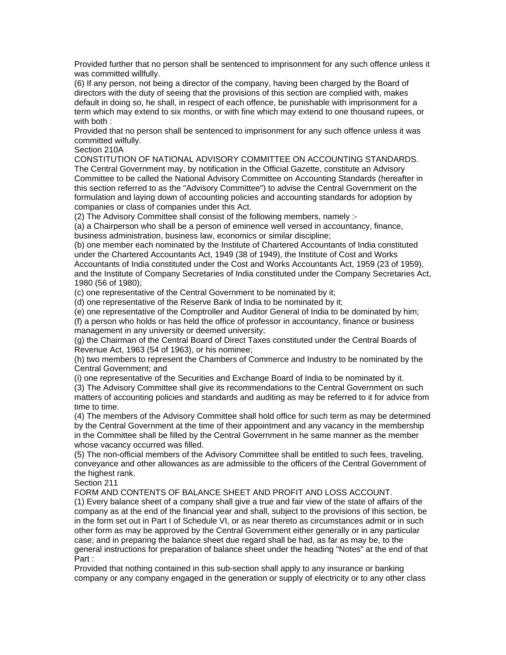Provided further that no person shall be sentenced to imprisonment for any such offence unless it was committed willfully.

(6) If any person, not being a director of the company, having been charged by the Board of directors with the duty of seeing that the provisions of this section are complied with, makes default in doing so, he shall, in respect of each offence, be punishable with imprisonment for a term which may extend to six months, or with fine which may extend to one thousand rupees, or with both :

Provided that no person shall be sentenced to imprisonment for any such offence unless it was committed wilfully.

Section 210A

CONSTITUTION OF NATIONAL ADVISORY COMMITTEE ON ACCOUNTING STANDARDS. The Central Government may, by notification in the Official Gazette, constitute an Advisory Committee to be called the National Advisory Committee on Accounting Standards (hereafter in this section referred to as the "Advisory Committee") to advise the Central Government on the formulation and laying down of accounting policies and accounting standards for adoption by companies or class of companies under this Act.

(2) The Advisory Committee shall consist of the following members, namely :-

(a) a Chairperson who shall be a person of eminence well versed in accountancy, finance, business administration, business law, economics or similar discipline;

(b) one member each nominated by the Institute of Chartered Accountants of India constituted under the Chartered Accountants Act, 1949 (38 of 1949), the Institute of Cost and Works Accountants of India constituted under the Cost and Works Accountants Act, 1959 (23 of 1959), and the Institute of Company Secretaries of India constituted under the Company Secretaries Act, 1980 (56 of 1980);

(c) one representative of the Central Government to be nominated by it;

(d) one representative of the Reserve Bank of India to be nominated by it;

(e) one representative of the Comptroller and Auditor General of India to be dominated by him; (f) a person who holds or has held the office of professor in accountancy, finance or business management in any university or deemed university;

(g) the Chairman of the Central Board of Direct Taxes constituted under the Central Boards of Revenue Act, 1963 (54 of 1963), or his nominee;

(h) two members to represent the Chambers of Commerce and Industry to be nominated by the Central Government; and

(i) one representative of the Securities and Exchange Board of India to be nominated by it.

(3) The Advisory Committee shall give its recommendations to the Central Government on such matters of accounting policies and standards and auditing as may be referred to it for advice from time to time.

(4) The members of the Advisory Committee shall hold office for such term as may be determined by the Central Government at the time of their appointment and any vacancy in the membership in the Committee shall be filled by the Central Government in he same manner as the member whose vacancy occurred was filled.

(5) The non-official members of the Advisory Committee shall be entitled to such fees, traveling, conveyance and other allowances as are admissible to the officers of the Central Government of the highest rank.

Section 211

FORM AND CONTENTS OF BALANCE SHEET AND PROFIT AND LOSS ACCOUNT.

(1) Every balance sheet of a company shall give a true and fair view of the state of affairs of the company as at the end of the financial year and shall, subject to the provisions of this section, be in the form set out in Part I of Schedule VI, or as near thereto as circumstances admit or in such other form as may be approved by the Central Government either generally or in any particular case; and in preparing the balance sheet due regard shall be had, as far as may be, to the general instructions for preparation of balance sheet under the heading "Notes" at the end of that Part :

Provided that nothing contained in this sub-section shall apply to any insurance or banking company or any company engaged in the generation or supply of electricity or to any other class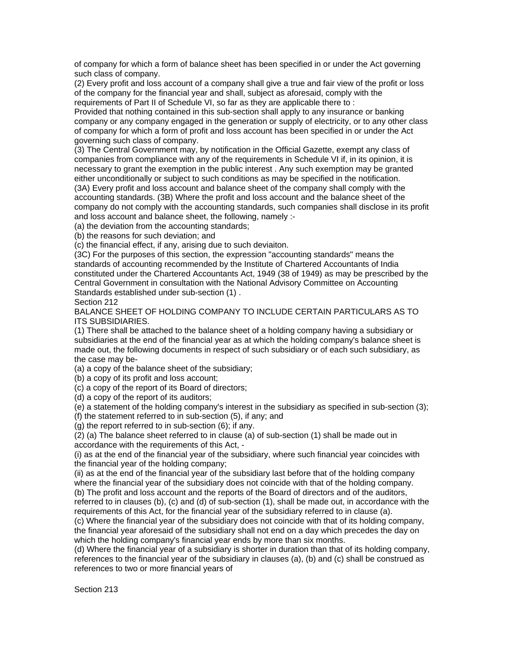of company for which a form of balance sheet has been specified in or under the Act governing such class of company.

(2) Every profit and loss account of a company shall give a true and fair view of the profit or loss of the company for the financial year and shall, subject as aforesaid, comply with the requirements of Part II of Schedule VI, so far as they are applicable there to :

Provided that nothing contained in this sub-section shall apply to any insurance or banking company or any company engaged in the generation or supply of electricity, or to any other class of company for which a form of profit and loss account has been specified in or under the Act governing such class of company.

(3) The Central Government may, by notification in the Official Gazette, exempt any class of companies from compliance with any of the requirements in Schedule VI if, in its opinion, it is necessary to grant the exemption in the public interest . Any such exemption may be granted either unconditionally or subject to such conditions as may be specified in the notification. (3A) Every profit and loss account and balance sheet of the company shall comply with the accounting standards. (3B) Where the profit and loss account and the balance sheet of the company do not comply with the accounting standards, such companies shall disclose in its profit

and loss account and balance sheet, the following, namely :-

(a) the deviation from the accounting standards;

(b) the reasons for such deviation; and

(c) the financial effect, if any, arising due to such deviaiton.

(3C) For the purposes of this section, the expression "accounting standards" means the standards of accounting recommended by the Institute of Chartered Accountants of India constituted under the Chartered Accountants Act, 1949 (38 of 1949) as may be prescribed by the Central Government in consultation with the National Advisory Committee on Accounting Standards established under sub-section (1) .

Section 212

BALANCE SHEET OF HOLDING COMPANY TO INCLUDE CERTAIN PARTICULARS AS TO ITS SUBSIDIARIES.

(1) There shall be attached to the balance sheet of a holding company having a subsidiary or subsidiaries at the end of the financial year as at which the holding company's balance sheet is made out, the following documents in respect of such subsidiary or of each such subsidiary, as the case may be-

(a) a copy of the balance sheet of the subsidiary;

(b) a copy of its profit and loss account;

(c) a copy of the report of its Board of directors;

(d) a copy of the report of its auditors;

(e) a statement of the holding company's interest in the subsidiary as specified in sub-section (3);

(f) the statement referred to in sub-section (5), if any; and

(g) the report referred to in sub-section (6); if any.

(2) (a) The balance sheet referred to in clause (a) of sub-section (1) shall be made out in accordance with the requirements of this Act, -

(i) as at the end of the financial year of the subsidiary, where such financial year coincides with the financial year of the holding company;

(ii) as at the end of the financial year of the subsidiary last before that of the holding company where the financial year of the subsidiary does not coincide with that of the holding company. (b) The profit and loss account and the reports of the Board of directors and of the auditors,

referred to in clauses (b), (c) and (d) of sub-section (1), shall be made out, in accordance with the requirements of this Act, for the financial year of the subsidiary referred to in clause (a).

(c) Where the financial year of the subsidiary does not coincide with that of its holding company, the financial year aforesaid of the subsidiary shall not end on a day which precedes the day on which the holding company's financial year ends by more than six months.

(d) Where the financial year of a subsidiary is shorter in duration than that of its holding company, references to the financial year of the subsidiary in clauses (a), (b) and (c) shall be construed as references to two or more financial years of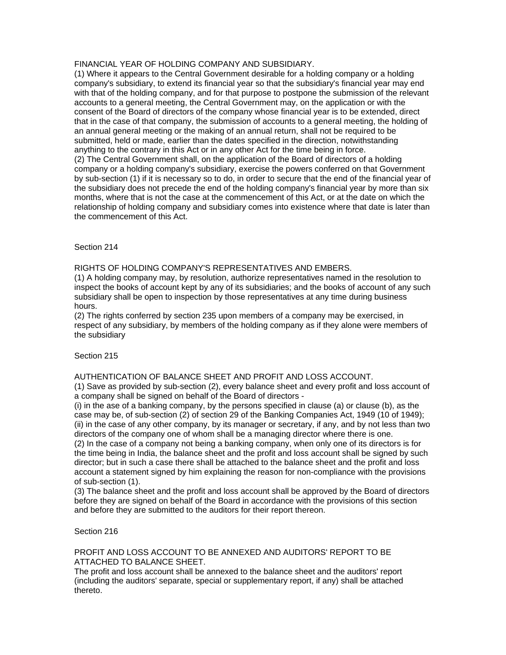# FINANCIAL YEAR OF HOLDING COMPANY AND SUBSIDIARY.

(1) Where it appears to the Central Government desirable for a holding company or a holding company's subsidiary, to extend its financial year so that the subsidiary's financial year may end with that of the holding company, and for that purpose to postpone the submission of the relevant accounts to a general meeting, the Central Government may, on the application or with the consent of the Board of directors of the company whose financial year is to be extended, direct that in the case of that company, the submission of accounts to a general meeting, the holding of an annual general meeting or the making of an annual return, shall not be required to be submitted, held or made, earlier than the dates specified in the direction, notwithstanding anything to the contrary in this Act or in any other Act for the time being in force. (2) The Central Government shall, on the application of the Board of directors of a holding company or a holding company's subsidiary, exercise the powers conferred on that Government by sub-section (1) if it is necessary so to do, in order to secure that the end of the financial year of the subsidiary does not precede the end of the holding company's financial year by more than six months, where that is not the case at the commencement of this Act, or at the date on which the relationship of holding company and subsidiary comes into existence where that date is later than the commencement of this Act.

#### Section 214

# RIGHTS OF HOLDING COMPANY'S REPRESENTATIVES AND EMBERS.

(1) A holding company may, by resolution, authorize representatives named in the resolution to inspect the books of account kept by any of its subsidiaries; and the books of account of any such subsidiary shall be open to inspection by those representatives at any time during business hours.

(2) The rights conferred by section 235 upon members of a company may be exercised, in respect of any subsidiary, by members of the holding company as if they alone were members of the subsidiary

# Section 215

#### AUTHENTICATION OF BALANCE SHEET AND PROFIT AND LOSS ACCOUNT.

(1) Save as provided by sub-section (2), every balance sheet and every profit and loss account of a company shall be signed on behalf of the Board of directors -

(i) in the ase of a banking company, by the persons specified in clause (a) or clause (b), as the case may be, of sub-section (2) of section 29 of the Banking Companies Act, 1949 (10 of 1949); (ii) in the case of any other company, by its manager or secretary, if any, and by not less than two directors of the company one of whom shall be a managing director where there is one.

(2) In the case of a company not being a banking company, when only one of its directors is for the time being in India, the balance sheet and the profit and loss account shall be signed by such director; but in such a case there shall be attached to the balance sheet and the profit and loss account a statement signed by him explaining the reason for non-compliance with the provisions of sub-section (1).

(3) The balance sheet and the profit and loss account shall be approved by the Board of directors before they are signed on behalf of the Board in accordance with the provisions of this section and before they are submitted to the auditors for their report thereon.

Section 216

# PROFIT AND LOSS ACCOUNT TO BE ANNEXED AND AUDITORS' REPORT TO BE ATTACHED TO BALANCE SHEET.

The profit and loss account shall be annexed to the balance sheet and the auditors' report (including the auditors' separate, special or supplementary report, if any) shall be attached thereto.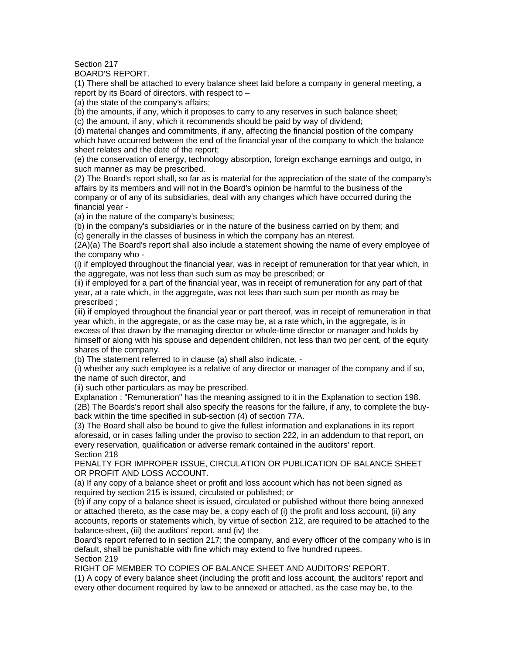Section 217

BOARD'S REPORT.

(1) There shall be attached to every balance sheet laid before a company in general meeting, a report by its Board of directors, with respect to –

(a) the state of the company's affairs;

(b) the amounts, if any, which it proposes to carry to any reserves in such balance sheet;

(c) the amount, if any, which it recommends should be paid by way of dividend;

(d) material changes and commitments, if any, affecting the financial position of the company which have occurred between the end of the financial year of the company to which the balance sheet relates and the date of the report;

(e) the conservation of energy, technology absorption, foreign exchange earnings and outgo, in such manner as may be prescribed.

(2) The Board's report shall, so far as is material for the appreciation of the state of the company's affairs by its members and will not in the Board's opinion be harmful to the business of the company or of any of its subsidiaries, deal with any changes which have occurred during the financial year -

(a) in the nature of the company's business;

(b) in the company's subsidiaries or in the nature of the business carried on by them; and (c) generally in the classes of business in which the company has an nterest.

(2A)(a) The Board's report shall also include a statement showing the name of every employee of the company who -

(i) if employed throughout the financial year, was in receipt of remuneration for that year which, in the aggregate, was not less than such sum as may be prescribed; or

(ii) if employed for a part of the financial year, was in receipt of remuneration for any part of that year, at a rate which, in the aggregate, was not less than such sum per month as may be prescribed ;

(iii) if employed throughout the financial year or part thereof, was in receipt of remuneration in that year which, in the aggregate, or as the case may be, at a rate which, in the aggregate, is in excess of that drawn by the managing director or whole-time director or manager and holds by himself or along with his spouse and dependent children, not less than two per cent, of the equity shares of the company.

(b) The statement referred to in clause (a) shall also indicate, -

(i) whether any such employee is a relative of any director or manager of the company and if so, the name of such director, and

(ii) such other particulars as may be prescribed.

Explanation : "Remuneration" has the meaning assigned to it in the Explanation to section 198. (2B) The Boards's report shall also specify the reasons for the failure, if any, to complete the buyback within the time specified in sub-section (4) of section 77A.

(3) The Board shall also be bound to give the fullest information and explanations in its report aforesaid, or in cases falling under the proviso to section 222, in an addendum to that report, on every reservation, qualification or adverse remark contained in the auditors' report. Section 218

PENALTY FOR IMPROPER ISSUE, CIRCULATION OR PUBLICATION OF BALANCE SHEET OR PROFIT AND LOSS ACCOUNT.

(a) If any copy of a balance sheet or profit and loss account which has not been signed as required by section 215 is issued, circulated or published; or

(b) if any copy of a balance sheet is issued, circulated or published without there being annexed or attached thereto, as the case may be, a copy each of (i) the profit and loss account, (ii) any accounts, reports or statements which, by virtue of section 212, are required to be attached to the balance-sheet, (iii) the auditors' report, and (iv) the

Board's report referred to in section 217; the company, and every officer of the company who is in default, shall be punishable with fine which may extend to five hundred rupees. Section 219

RIGHT OF MEMBER TO COPIES OF BALANCE SHEET AND AUDITORS' REPORT.

(1) A copy of every balance sheet (including the profit and loss account, the auditors' report and every other document required by law to be annexed or attached, as the case may be, to the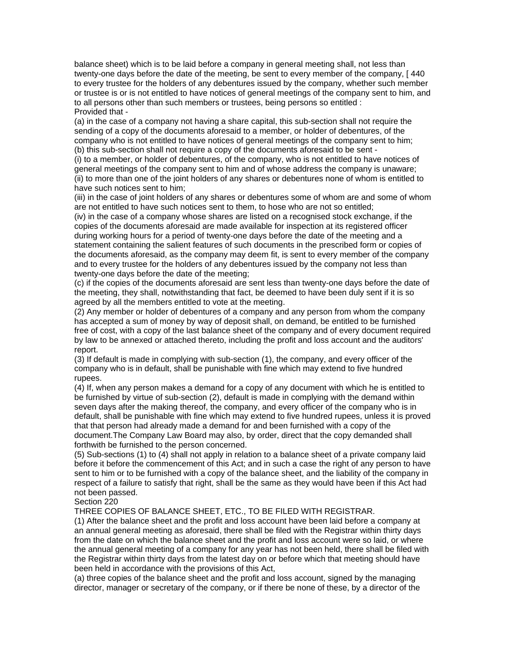balance sheet) which is to be laid before a company in general meeting shall, not less than twenty-one days before the date of the meeting, be sent to every member of the company, [ 440 to every trustee for the holders of any debentures issued by the company, whether such member or trustee is or is not entitled to have notices of general meetings of the company sent to him, and to all persons other than such members or trustees, being persons so entitled : Provided that -

(a) in the case of a company not having a share capital, this sub-section shall not require the sending of a copy of the documents aforesaid to a member, or holder of debentures, of the company who is not entitled to have notices of general meetings of the company sent to him; (b) this sub-section shall not require a copy of the documents aforesaid to be sent -

(i) to a member, or holder of debentures, of the company, who is not entitled to have notices of general meetings of the company sent to him and of whose address the company is unaware; (ii) to more than one of the joint holders of any shares or debentures none of whom is entitled to have such notices sent to him;

(iii) in the case of joint holders of any shares or debentures some of whom are and some of whom are not entitled to have such notices sent to them, to hose who are not so entitled;

(iv) in the case of a company whose shares are listed on a recognised stock exchange, if the copies of the documents aforesaid are made available for inspection at its registered officer during working hours for a period of twenty-one days before the date of the meeting and a statement containing the salient features of such documents in the prescribed form or copies of the documents aforesaid, as the company may deem fit, is sent to every member of the company and to every trustee for the holders of any debentures issued by the company not less than twenty-one days before the date of the meeting;

(c) if the copies of the documents aforesaid are sent less than twenty-one days before the date of the meeting, they shall, notwithstanding that fact, be deemed to have been duly sent if it is so agreed by all the members entitled to vote at the meeting.

(2) Any member or holder of debentures of a company and any person from whom the company has accepted a sum of money by way of deposit shall, on demand, be entitled to be furnished free of cost, with a copy of the last balance sheet of the company and of every document required by law to be annexed or attached thereto, including the profit and loss account and the auditors' report.

(3) If default is made in complying with sub-section (1), the company, and every officer of the company who is in default, shall be punishable with fine which may extend to five hundred rupees.

(4) If, when any person makes a demand for a copy of any document with which he is entitled to be furnished by virtue of sub-section (2), default is made in complying with the demand within seven days after the making thereof, the company, and every officer of the company who is in default, shall be punishable with fine which may extend to five hundred rupees, unless it is proved that that person had already made a demand for and been furnished with a copy of the document.The Company Law Board may also, by order, direct that the copy demanded shall forthwith be furnished to the person concerned.

(5) Sub-sections (1) to (4) shall not apply in relation to a balance sheet of a private company laid before it before the commencement of this Act; and in such a case the right of any person to have sent to him or to be furnished with a copy of the balance sheet, and the liability of the company in respect of a failure to satisfy that right, shall be the same as they would have been if this Act had not been passed.

Section 220

THREE COPIES OF BALANCE SHEET, ETC., TO BE FILED WITH REGISTRAR.

(1) After the balance sheet and the profit and loss account have been laid before a company at an annual general meeting as aforesaid, there shall be filed with the Registrar within thirty days from the date on which the balance sheet and the profit and loss account were so laid, or where the annual general meeting of a company for any year has not been held, there shall be filed with the Registrar within thirty days from the latest day on or before which that meeting should have been held in accordance with the provisions of this Act,

(a) three copies of the balance sheet and the profit and loss account, signed by the managing director, manager or secretary of the company, or if there be none of these, by a director of the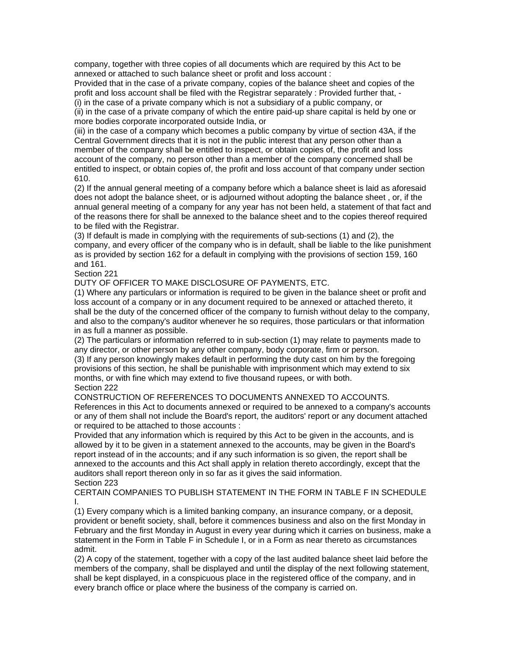company, together with three copies of all documents which are required by this Act to be annexed or attached to such balance sheet or profit and loss account :

Provided that in the case of a private company, copies of the balance sheet and copies of the profit and loss account shall be filed with the Registrar separately : Provided further that, - (i) in the case of a private company which is not a subsidiary of a public company, or

(ii) in the case of a private company of which the entire paid-up share capital is held by one or more bodies corporate incorporated outside India, or

(iii) in the case of a company which becomes a public company by virtue of section 43A, if the Central Government directs that it is not in the public interest that any person other than a member of the company shall be entitled to inspect, or obtain copies of, the profit and loss account of the company, no person other than a member of the company concerned shall be entitled to inspect, or obtain copies of, the profit and loss account of that company under section 610.

(2) If the annual general meeting of a company before which a balance sheet is laid as aforesaid does not adopt the balance sheet, or is adjourned without adopting the balance sheet , or, if the annual general meeting of a company for any year has not been held, a statement of that fact and of the reasons there for shall be annexed to the balance sheet and to the copies thereof required to be filed with the Registrar.

(3) If default is made in complying with the requirements of sub-sections (1) and (2), the company, and every officer of the company who is in default, shall be liable to the like punishment as is provided by section 162 for a default in complying with the provisions of section 159, 160 and 161.

Section 221

DUTY OF OFFICER TO MAKE DISCLOSURE OF PAYMENTS, ETC.

(1) Where any particulars or information is required to be given in the balance sheet or profit and loss account of a company or in any document required to be annexed or attached thereto, it shall be the duty of the concerned officer of the company to furnish without delay to the company, and also to the company's auditor whenever he so requires, those particulars or that information in as full a manner as possible.

(2) The particulars or information referred to in sub-section (1) may relate to payments made to any director, or other person by any other company, body corporate, firm or person.

(3) If any person knowingly makes default in performing the duty cast on him by the foregoing provisions of this section, he shall be punishable with imprisonment which may extend to six months, or with fine which may extend to five thousand rupees, or with both. Section 222

CONSTRUCTION OF REFERENCES TO DOCUMENTS ANNEXED TO ACCOUNTS. References in this Act to documents annexed or required to be annexed to a company's accounts or any of them shall not include the Board's report, the auditors' report or any document attached or required to be attached to those accounts :

Provided that any information which is required by this Act to be given in the accounts, and is allowed by it to be given in a statement annexed to the accounts, may be given in the Board's report instead of in the accounts; and if any such information is so given, the report shall be annexed to the accounts and this Act shall apply in relation thereto accordingly, except that the auditors shall report thereon only in so far as it gives the said information. Section 223

CERTAIN COMPANIES TO PUBLISH STATEMENT IN THE FORM IN TABLE F IN SCHEDULE I.

(1) Every company which is a limited banking company, an insurance company, or a deposit, provident or benefit society, shall, before it commences business and also on the first Monday in February and the first Monday in August in every year during which it carries on business, make a statement in the Form in Table F in Schedule I, or in a Form as near thereto as circumstances admit.

(2) A copy of the statement, together with a copy of the last audited balance sheet laid before the members of the company, shall be displayed and until the display of the next following statement, shall be kept displayed, in a conspicuous place in the registered office of the company, and in every branch office or place where the business of the company is carried on.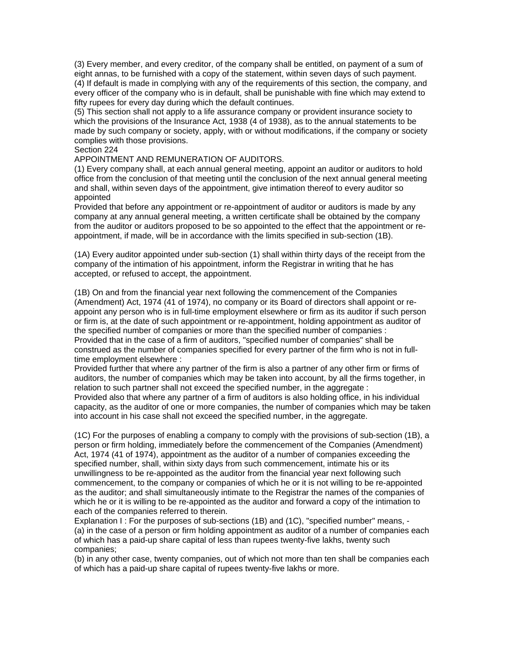(3) Every member, and every creditor, of the company shall be entitled, on payment of a sum of eight annas, to be furnished with a copy of the statement, within seven days of such payment. (4) If default is made in complying with any of the requirements of this section, the company, and every officer of the company who is in default, shall be punishable with fine which may extend to fifty rupees for every day during which the default continues.

(5) This section shall not apply to a life assurance company or provident insurance society to which the provisions of the Insurance Act, 1938 (4 of 1938), as to the annual statements to be made by such company or society, apply, with or without modifications, if the company or society complies with those provisions.

# Section 224

APPOINTMENT AND REMUNERATION OF AUDITORS.

(1) Every company shall, at each annual general meeting, appoint an auditor or auditors to hold office from the conclusion of that meeting until the conclusion of the next annual general meeting and shall, within seven days of the appointment, give intimation thereof to every auditor so appointed

Provided that before any appointment or re-appointment of auditor or auditors is made by any company at any annual general meeting, a written certificate shall be obtained by the company from the auditor or auditors proposed to be so appointed to the effect that the appointment or reappointment, if made, will be in accordance with the limits specified in sub-section (1B).

(1A) Every auditor appointed under sub-section (1) shall within thirty days of the receipt from the company of the intimation of his appointment, inform the Registrar in writing that he has accepted, or refused to accept, the appointment.

(1B) On and from the financial year next following the commencement of the Companies (Amendment) Act, 1974 (41 of 1974), no company or its Board of directors shall appoint or reappoint any person who is in full-time employment elsewhere or firm as its auditor if such person or firm is, at the date of such appointment or re-appointment, holding appointment as auditor of the specified number of companies or more than the specified number of companies : Provided that in the case of a firm of auditors, "specified number of companies" shall be construed as the number of companies specified for every partner of the firm who is not in fulltime employment elsewhere :

Provided further that where any partner of the firm is also a partner of any other firm or firms of auditors, the number of companies which may be taken into account, by all the firms together, in relation to such partner shall not exceed the specified number, in the aggregate : Provided also that where any partner of a firm of auditors is also holding office, in his individual capacity, as the auditor of one or more companies, the number of companies which may be taken into account in his case shall not exceed the specified number, in the aggregate.

(1C) For the purposes of enabling a company to comply with the provisions of sub-section (1B), a person or firm holding, immediately before the commencement of the Companies (Amendment) Act, 1974 (41 of 1974), appointment as the auditor of a number of companies exceeding the specified number, shall, within sixty days from such commencement, intimate his or its unwillingness to be re-appointed as the auditor from the financial year next following such commencement, to the company or companies of which he or it is not willing to be re-appointed as the auditor; and shall simultaneously intimate to the Registrar the names of the companies of which he or it is willing to be re-appointed as the auditor and forward a copy of the intimation to each of the companies referred to therein.

Explanation I : For the purposes of sub-sections (1B) and (1C), "specified number" means, - (a) in the case of a person or firm holding appointment as auditor of a number of companies each of which has a paid-up share capital of less than rupees twenty-five lakhs, twenty such companies;

(b) in any other case, twenty companies, out of which not more than ten shall be companies each of which has a paid-up share capital of rupees twenty-five lakhs or more.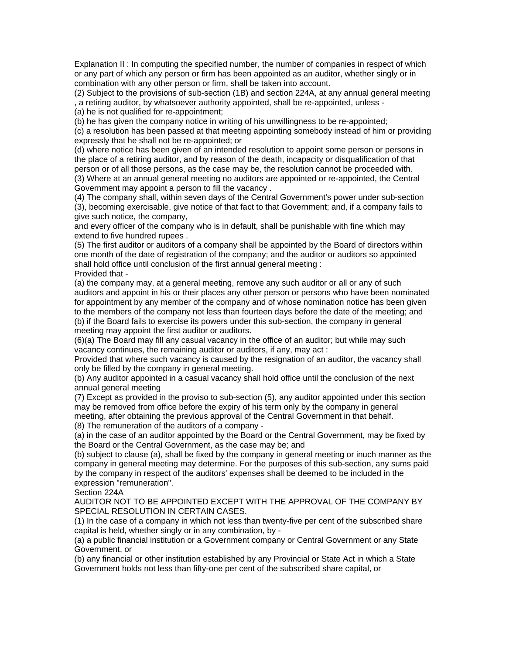Explanation II : In computing the specified number, the number of companies in respect of which or any part of which any person or firm has been appointed as an auditor, whether singly or in combination with any other person or firm, shall be taken into account.

(2) Subject to the provisions of sub-section (1B) and section 224A, at any annual general meeting , a retiring auditor, by whatsoever authority appointed, shall be re-appointed, unless -

(a) he is not qualified for re-appointment;

(b) he has given the company notice in writing of his unwillingness to be re-appointed;

(c) a resolution has been passed at that meeting appointing somebody instead of him or providing expressly that he shall not be re-appointed; or

(d) where notice has been given of an intended resolution to appoint some person or persons in the place of a retiring auditor, and by reason of the death, incapacity or disqualification of that person or of all those persons, as the case may be, the resolution cannot be proceeded with. (3) Where at an annual general meeting no auditors are appointed or re-appointed, the Central Government may appoint a person to fill the vacancy .

(4) The company shall, within seven days of the Central Government's power under sub-section (3), becoming exercisable, give notice of that fact to that Government; and, if a company fails to give such notice, the company,

and every officer of the company who is in default, shall be punishable with fine which may extend to five hundred rupees .

(5) The first auditor or auditors of a company shall be appointed by the Board of directors within one month of the date of registration of the company; and the auditor or auditors so appointed shall hold office until conclusion of the first annual general meeting : Provided that -

(a) the company may, at a general meeting, remove any such auditor or all or any of such auditors and appoint in his or their places any other person or persons who have been nominated for appointment by any member of the company and of whose nomination notice has been given to the members of the company not less than fourteen days before the date of the meeting; and (b) if the Board fails to exercise its powers under this sub-section, the company in general meeting may appoint the first auditor or auditors.

(6)(a) The Board may fill any casual vacancy in the office of an auditor; but while may such vacancy continues, the remaining auditor or auditors, if any, may act :

Provided that where such vacancy is caused by the resignation of an auditor, the vacancy shall only be filled by the company in general meeting.

(b) Any auditor appointed in a casual vacancy shall hold office until the conclusion of the next annual general meeting

(7) Except as provided in the proviso to sub-section (5), any auditor appointed under this section may be removed from office before the expiry of his term only by the company in general meeting, after obtaining the previous approval of the Central Government in that behalf.

(8) The remuneration of the auditors of a company -

(a) in the case of an auditor appointed by the Board or the Central Government, may be fixed by the Board or the Central Government, as the case may be; and

(b) subject to clause (a), shall be fixed by the company in general meeting or inuch manner as the company in general meeting may determine. For the purposes of this sub-section, any sums paid by the company in respect of the auditors' expenses shall be deemed to be included in the expression "remuneration".

Section 224A

AUDITOR NOT TO BE APPOINTED EXCEPT WITH THE APPROVAL OF THE COMPANY BY SPECIAL RESOLUTION IN CERTAIN CASES.

(1) In the case of a company in which not less than twenty-five per cent of the subscribed share capital is held, whether singly or in any combination, by -

(a) a public financial institution or a Government company or Central Government or any State Government, or

(b) any financial or other institution established by any Provincial or State Act in which a State Government holds not less than fifty-one per cent of the subscribed share capital, or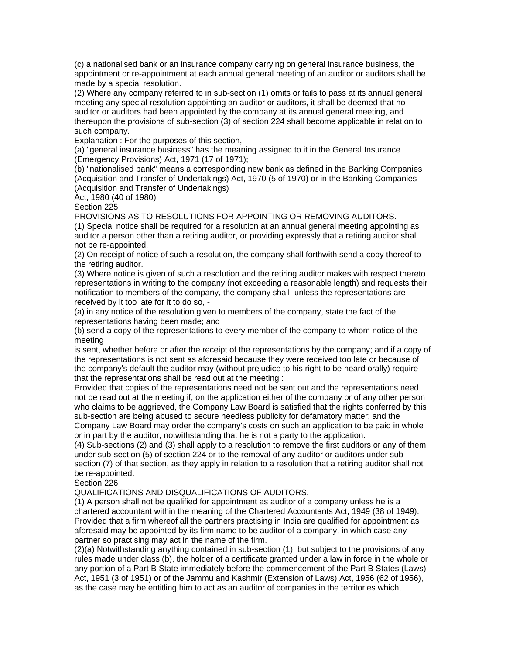(c) a nationalised bank or an insurance company carrying on general insurance business, the appointment or re-appointment at each annual general meeting of an auditor or auditors shall be made by a special resolution.

(2) Where any company referred to in sub-section (1) omits or fails to pass at its annual general meeting any special resolution appointing an auditor or auditors, it shall be deemed that no auditor or auditors had been appointed by the company at its annual general meeting, and thereupon the provisions of sub-section (3) of section 224 shall become applicable in relation to such company.

Explanation : For the purposes of this section, -

(a) "general insurance business" has the meaning assigned to it in the General Insurance (Emergency Provisions) Act, 1971 (17 of 1971);

(b) "nationalised bank" means a corresponding new bank as defined in the Banking Companies (Acquisition and Transfer of Undertakings) Act, 1970 (5 of 1970) or in the Banking Companies (Acquisition and Transfer of Undertakings)

Act, 1980 (40 of 1980)

Section 225

PROVISIONS AS TO RESOLUTIONS FOR APPOINTING OR REMOVING AUDITORS. (1) Special notice shall be required for a resolution at an annual general meeting appointing as auditor a person other than a retiring auditor, or providing expressly that a retiring auditor shall not be re-appointed.

(2) On receipt of notice of such a resolution, the company shall forthwith send a copy thereof to the retiring auditor.

(3) Where notice is given of such a resolution and the retiring auditor makes with respect thereto representations in writing to the company (not exceeding a reasonable length) and requests their notification to members of the company, the company shall, unless the representations are received by it too late for it to do so, -

(a) in any notice of the resolution given to members of the company, state the fact of the representations having been made; and

(b) send a copy of the representations to every member of the company to whom notice of the meeting

is sent, whether before or after the receipt of the representations by the company; and if a copy of the representations is not sent as aforesaid because they were received too late or because of the company's default the auditor may (without prejudice to his right to be heard orally) require that the representations shall be read out at the meeting :

Provided that copies of the representations need not be sent out and the representations need not be read out at the meeting if, on the application either of the company or of any other person who claims to be aggrieved, the Company Law Board is satisfied that the rights conferred by this sub-section are being abused to secure needless publicity for defamatory matter; and the Company Law Board may order the company's costs on such an application to be paid in whole or in part by the auditor, notwithstanding that he is not a party to the application.

(4) Sub-sections (2) and (3) shall apply to a resolution to remove the first auditors or any of them under sub-section (5) of section 224 or to the removal of any auditor or auditors under subsection (7) of that section, as they apply in relation to a resolution that a retiring auditor shall not be re-appointed.

Section 226

QUALIFICATIONS AND DISQUALIFICATIONS OF AUDITORS.

(1) A person shall not be qualified for appointment as auditor of a company unless he is a chartered accountant within the meaning of the Chartered Accountants Act, 1949 (38 of 1949): Provided that a firm whereof all the partners practising in India are qualified for appointment as aforesaid may be appointed by its firm name to be auditor of a company, in which case any partner so practising may act in the name of the firm.

(2)(a) Notwithstanding anything contained in sub-section (1), but subject to the provisions of any rules made under class (b), the holder of a certificate granted under a law in force in the whole or any portion of a Part B State immediately before the commencement of the Part B States (Laws) Act, 1951 (3 of 1951) or of the Jammu and Kashmir (Extension of Laws) Act, 1956 (62 of 1956), as the case may be entitling him to act as an auditor of companies in the territories which,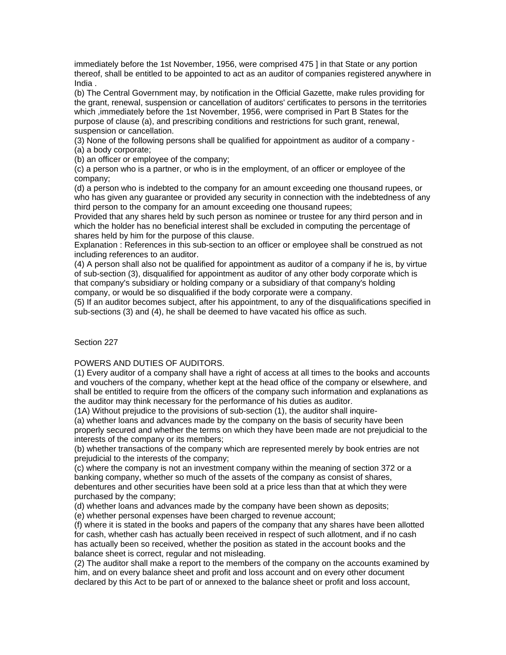immediately before the 1st November, 1956, were comprised 475 ] in that State or any portion thereof, shall be entitled to be appointed to act as an auditor of companies registered anywhere in India .

(b) The Central Government may, by notification in the Official Gazette, make rules providing for the grant, renewal, suspension or cancellation of auditors' certificates to persons in the territories which ,immediately before the 1st November, 1956, were comprised in Part B States for the purpose of clause (a), and prescribing conditions and restrictions for such grant, renewal, suspension or cancellation.

(3) None of the following persons shall be qualified for appointment as auditor of a company - (a) a body corporate;

(b) an officer or employee of the company;

(c) a person who is a partner, or who is in the employment, of an officer or employee of the company;

(d) a person who is indebted to the company for an amount exceeding one thousand rupees, or who has given any guarantee or provided any security in connection with the indebtedness of any third person to the company for an amount exceeding one thousand rupees;

Provided that any shares held by such person as nominee or trustee for any third person and in which the holder has no beneficial interest shall be excluded in computing the percentage of shares held by him for the purpose of this clause.

Explanation : References in this sub-section to an officer or employee shall be construed as not including references to an auditor.

(4) A person shall also not be qualified for appointment as auditor of a company if he is, by virtue of sub-section (3), disqualified for appointment as auditor of any other body corporate which is that company's subsidiary or holding company or a subsidiary of that company's holding company, or would be so disqualified if the body corporate were a company.

(5) If an auditor becomes subject, after his appointment, to any of the disqualifications specified in sub-sections (3) and (4), he shall be deemed to have vacated his office as such.

# Section 227

#### POWERS AND DUTIES OF AUDITORS.

(1) Every auditor of a company shall have a right of access at all times to the books and accounts and vouchers of the company, whether kept at the head office of the company or elsewhere, and shall be entitled to require from the officers of the company such information and explanations as the auditor may think necessary for the performance of his duties as auditor.

(1A) Without prejudice to the provisions of sub-section (1), the auditor shall inquire-

(a) whether loans and advances made by the company on the basis of security have been properly secured and whether the terms on which they have been made are not prejudicial to the interests of the company or its members;

(b) whether transactions of the company which are represented merely by book entries are not prejudicial to the interests of the company;

(c) where the company is not an investment company within the meaning of section 372 or a banking company, whether so much of the assets of the company as consist of shares, debentures and other securities have been sold at a price less than that at which they were purchased by the company;

(d) whether loans and advances made by the company have been shown as deposits;

(e) whether personal expenses have been charged to revenue account;

(f) where it is stated in the books and papers of the company that any shares have been allotted for cash, whether cash has actually been received in respect of such allotment, and if no cash has actually been so received, whether the position as stated in the account books and the balance sheet is correct, regular and not misleading.

(2) The auditor shall make a report to the members of the company on the accounts examined by him, and on every balance sheet and profit and loss account and on every other document declared by this Act to be part of or annexed to the balance sheet or profit and loss account,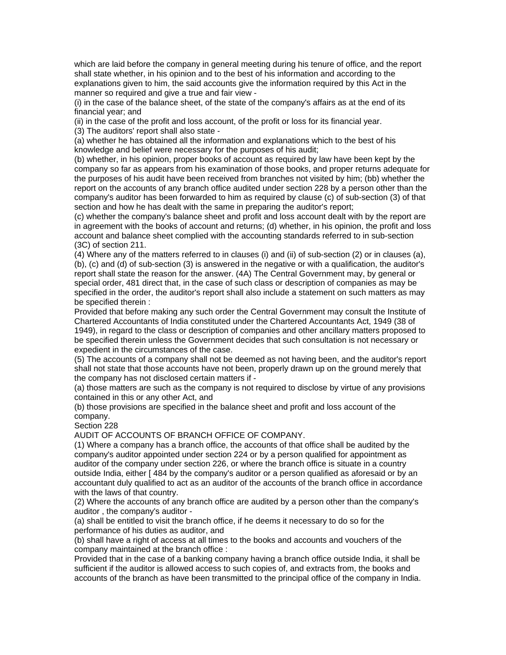which are laid before the company in general meeting during his tenure of office, and the report shall state whether, in his opinion and to the best of his information and according to the explanations given to him, the said accounts give the information required by this Act in the manner so required and give a true and fair view -

(i) in the case of the balance sheet, of the state of the company's affairs as at the end of its financial year; and

(ii) in the case of the profit and loss account, of the profit or loss for its financial year.

(3) The auditors' report shall also state -

(a) whether he has obtained all the information and explanations which to the best of his knowledge and belief were necessary for the purposes of his audit;

(b) whether, in his opinion, proper books of account as required by law have been kept by the company so far as appears from his examination of those books, and proper returns adequate for the purposes of his audit have been received from branches not visited by him; (bb) whether the report on the accounts of any branch office audited under section 228 by a person other than the company's auditor has been forwarded to him as required by clause (c) of sub-section (3) of that section and how he has dealt with the same in preparing the auditor's report;

(c) whether the company's balance sheet and profit and loss account dealt with by the report are in agreement with the books of account and returns; (d) whether, in his opinion, the profit and loss account and balance sheet complied with the accounting standards referred to in sub-section (3C) of section 211.

(4) Where any of the matters referred to in clauses (i) and (ii) of sub-section (2) or in clauses (a), (b), (c) and (d) of sub-section (3) is answered in the negative or with a qualification, the auditor's report shall state the reason for the answer. (4A) The Central Government may, by general or special order, 481 direct that, in the case of such class or description of companies as may be specified in the order, the auditor's report shall also include a statement on such matters as may be specified therein :

Provided that before making any such order the Central Government may consult the Institute of Chartered Accountants of India constituted under the Chartered Accountants Act, 1949 (38 of 1949), in regard to the class or description of companies and other ancillary matters proposed to be specified therein unless the Government decides that such consultation is not necessary or expedient in the circumstances of the case.

(5) The accounts of a company shall not be deemed as not having been, and the auditor's report shall not state that those accounts have not been, properly drawn up on the ground merely that the company has not disclosed certain matters if -

(a) those matters are such as the company is not required to disclose by virtue of any provisions contained in this or any other Act, and

(b) those provisions are specified in the balance sheet and profit and loss account of the company.

Section 228

AUDIT OF ACCOUNTS OF BRANCH OFFICE OF COMPANY.

(1) Where a company has a branch office, the accounts of that office shall be audited by the company's auditor appointed under section 224 or by a person qualified for appointment as auditor of the company under section 226, or where the branch office is situate in a country outside India, either [ 484 by the company's auditor or a person qualified as aforesaid or by an accountant duly qualified to act as an auditor of the accounts of the branch office in accordance with the laws of that country.

(2) Where the accounts of any branch office are audited by a person other than the company's auditor , the company's auditor -

(a) shall be entitled to visit the branch office, if he deems it necessary to do so for the performance of his duties as auditor, and

(b) shall have a right of access at all times to the books and accounts and vouchers of the company maintained at the branch office :

Provided that in the case of a banking company having a branch office outside India, it shall be sufficient if the auditor is allowed access to such copies of, and extracts from, the books and accounts of the branch as have been transmitted to the principal office of the company in India.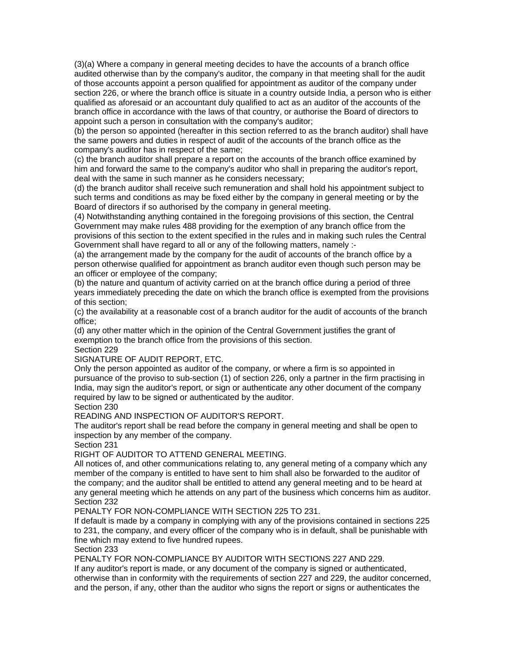(3)(a) Where a company in general meeting decides to have the accounts of a branch office audited otherwise than by the company's auditor, the company in that meeting shall for the audit of those accounts appoint a person qualified for appointment as auditor of the company under section 226, or where the branch office is situate in a country outside India, a person who is either qualified as aforesaid or an accountant duly qualified to act as an auditor of the accounts of the branch office in accordance with the laws of that country, or authorise the Board of directors to appoint such a person in consultation with the company's auditor;

(b) the person so appointed (hereafter in this section referred to as the branch auditor) shall have the same powers and duties in respect of audit of the accounts of the branch office as the company's auditor has in respect of the same;

(c) the branch auditor shall prepare a report on the accounts of the branch office examined by him and forward the same to the company's auditor who shall in preparing the auditor's report, deal with the same in such manner as he considers necessary;

(d) the branch auditor shall receive such remuneration and shall hold his appointment subject to such terms and conditions as may be fixed either by the company in general meeting or by the Board of directors if so authorised by the company in general meeting.

(4) Notwithstanding anything contained in the foregoing provisions of this section, the Central Government may make rules 488 providing for the exemption of any branch office from the provisions of this section to the extent specified in the rules and in making such rules the Central Government shall have regard to all or any of the following matters, namely :-

(a) the arrangement made by the company for the audit of accounts of the branch office by a person otherwise qualified for appointment as branch auditor even though such person may be an officer or employee of the company;

(b) the nature and quantum of activity carried on at the branch office during a period of three years immediately preceding the date on which the branch office is exempted from the provisions of this section;

(c) the availability at a reasonable cost of a branch auditor for the audit of accounts of the branch office;

(d) any other matter which in the opinion of the Central Government justifies the grant of exemption to the branch office from the provisions of this section.

# Section 229

SIGNATURE OF AUDIT REPORT, ETC.

Only the person appointed as auditor of the company, or where a firm is so appointed in pursuance of the proviso to sub-section (1) of section 226, only a partner in the firm practising in India, may sign the auditor's report, or sign or authenticate any other document of the company required by law to be signed or authenticated by the auditor.

Section 230

READING AND INSPECTION OF AUDITOR'S REPORT.

The auditor's report shall be read before the company in general meeting and shall be open to inspection by any member of the company.

Section 231

RIGHT OF AUDITOR TO ATTEND GENERAL MEETING.

All notices of, and other communications relating to, any general meting of a company which any member of the company is entitled to have sent to him shall also be forwarded to the auditor of the company; and the auditor shall be entitled to attend any general meeting and to be heard at any general meeting which he attends on any part of the business which concerns him as auditor. Section 232

PENALTY FOR NON-COMPLIANCE WITH SECTION 225 TO 231.

If default is made by a company in complying with any of the provisions contained in sections 225 to 231, the company, and every officer of the company who is in default, shall be punishable with fine which may extend to five hundred rupees.

Section 233

PENALTY FOR NON-COMPLIANCE BY AUDITOR WITH SECTIONS 227 AND 229.

If any auditor's report is made, or any document of the company is signed or authenticated, otherwise than in conformity with the requirements of section 227 and 229, the auditor concerned, and the person, if any, other than the auditor who signs the report or signs or authenticates the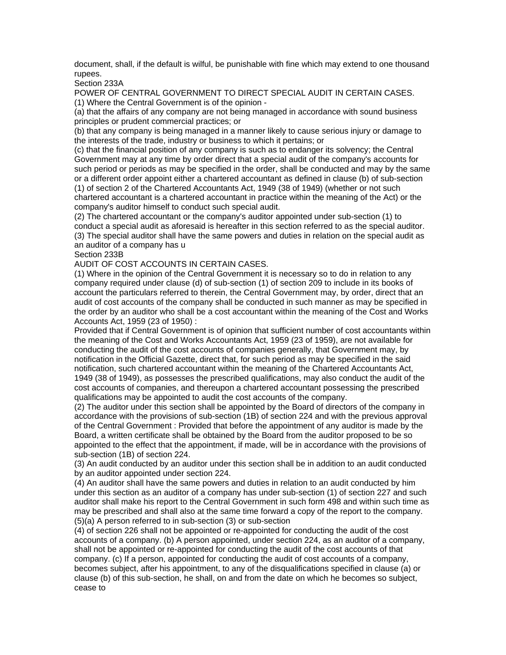document, shall, if the default is wilful, be punishable with fine which may extend to one thousand rupees.

Section 233A

POWER OF CENTRAL GOVERNMENT TO DIRECT SPECIAL AUDIT IN CERTAIN CASES. (1) Where the Central Government is of the opinion -

(a) that the affairs of any company are not being managed in accordance with sound business principles or prudent commercial practices; or

(b) that any company is being managed in a manner likely to cause serious injury or damage to the interests of the trade, industry or business to which it pertains; or

(c) that the financial position of any company is such as to endanger its solvency; the Central Government may at any time by order direct that a special audit of the company's accounts for such period or periods as may be specified in the order, shall be conducted and may by the same or a different order appoint either a chartered accountant as defined in clause (b) of sub-section (1) of section 2 of the Chartered Accountants Act, 1949 (38 of 1949) (whether or not such chartered accountant is a chartered accountant in practice within the meaning of the Act) or the

company's auditor himself to conduct such special audit.

(2) The chartered accountant or the company's auditor appointed under sub-section (1) to conduct a special audit as aforesaid is hereafter in this section referred to as the special auditor. (3) The special auditor shall have the same powers and duties in relation on the special audit as an auditor of a company has u

Section 233B

AUDIT OF COST ACCOUNTS IN CERTAIN CASES.

(1) Where in the opinion of the Central Government it is necessary so to do in relation to any company required under clause (d) of sub-section (1) of section 209 to include in its books of account the particulars referred to therein, the Central Government may, by order, direct that an audit of cost accounts of the company shall be conducted in such manner as may be specified in the order by an auditor who shall be a cost accountant within the meaning of the Cost and Works Accounts Act, 1959 (23 of 1950) :

Provided that if Central Government is of opinion that sufficient number of cost accountants within the meaning of the Cost and Works Accountants Act, 1959 (23 of 1959), are not available for conducting the audit of the cost accounts of companies generally, that Government may, by notification in the Official Gazette, direct that, for such period as may be specified in the said notification, such chartered accountant within the meaning of the Chartered Accountants Act, 1949 (38 of 1949), as possesses the prescribed qualifications, may also conduct the audit of the cost accounts of companies, and thereupon a chartered accountant possessing the prescribed qualifications may be appointed to audit the cost accounts of the company.

(2) The auditor under this section shall be appointed by the Board of directors of the company in accordance with the provisions of sub-section (1B) of section 224 and with the previous approval of the Central Government : Provided that before the appointment of any auditor is made by the Board, a written certificate shall be obtained by the Board from the auditor proposed to be so appointed to the effect that the appointment, if made, will be in accordance with the provisions of sub-section (1B) of section 224.

(3) An audit conducted by an auditor under this section shall be in addition to an audit conducted by an auditor appointed under section 224.

(4) An auditor shall have the same powers and duties in relation to an audit conducted by him under this section as an auditor of a company has under sub-section (1) of section 227 and such auditor shall make his report to the Central Government in such form 498 and within such time as may be prescribed and shall also at the same time forward a copy of the report to the company. (5)(a) A person referred to in sub-section (3) or sub-section

(4) of section 226 shall not be appointed or re-appointed for conducting the audit of the cost accounts of a company. (b) A person appointed, under section 224, as an auditor of a company, shall not be appointed or re-appointed for conducting the audit of the cost accounts of that company. (c) If a person, appointed for conducting the audit of cost accounts of a company, becomes subject, after his appointment, to any of the disqualifications specified in clause (a) or clause (b) of this sub-section, he shall, on and from the date on which he becomes so subject, cease to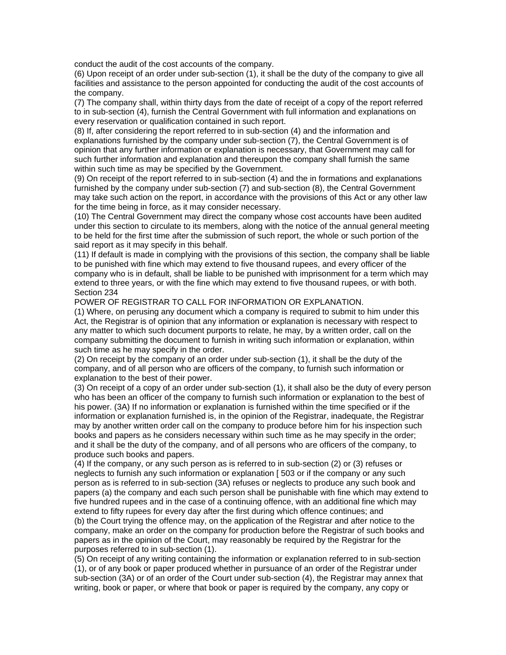conduct the audit of the cost accounts of the company.

(6) Upon receipt of an order under sub-section (1), it shall be the duty of the company to give all facilities and assistance to the person appointed for conducting the audit of the cost accounts of the company.

(7) The company shall, within thirty days from the date of receipt of a copy of the report referred to in sub-section (4), furnish the Central Government with full information and explanations on every reservation or qualification contained in such report.

(8) If, after considering the report referred to in sub-section (4) and the information and explanations furnished by the company under sub-section (7), the Central Government is of opinion that any further information or explanation is necessary, that Government may call for such further information and explanation and thereupon the company shall furnish the same within such time as may be specified by the Government.

(9) On receipt of the report referred to in sub-section (4) and the in formations and explanations furnished by the company under sub-section (7) and sub-section (8), the Central Government may take such action on the report, in accordance with the provisions of this Act or any other law for the time being in force, as it may consider necessary.

(10) The Central Government may direct the company whose cost accounts have been audited under this section to circulate to its members, along with the notice of the annual general meeting to be held for the first time after the submission of such report, the whole or such portion of the said report as it may specify in this behalf.

(11) If default is made in complying with the provisions of this section, the company shall be liable to be punished with fine which may extend to five thousand rupees, and every officer of the company who is in default, shall be liable to be punished with imprisonment for a term which may extend to three years, or with the fine which may extend to five thousand rupees, or with both. Section 234

POWER OF REGISTRAR TO CALL FOR INFORMATION OR EXPLANATION.

(1) Where, on perusing any document which a company is required to submit to him under this Act, the Registrar is of opinion that any information or explanation is necessary with respect to any matter to which such document purports to relate, he may, by a written order, call on the company submitting the document to furnish in writing such information or explanation, within such time as he may specify in the order.

(2) On receipt by the company of an order under sub-section (1), it shall be the duty of the company, and of all person who are officers of the company, to furnish such information or explanation to the best of their power.

(3) On receipt of a copy of an order under sub-section (1), it shall also be the duty of every person who has been an officer of the company to furnish such information or explanation to the best of his power. (3A) If no information or explanation is furnished within the time specified or if the information or explanation furnished is, in the opinion of the Registrar, inadequate, the Registrar may by another written order call on the company to produce before him for his inspection such books and papers as he considers necessary within such time as he may specify in the order; and it shall be the duty of the company, and of all persons who are officers of the company, to produce such books and papers.

(4) If the company, or any such person as is referred to in sub-section (2) or (3) refuses or neglects to furnish any such information or explanation [ 503 or if the company or any such person as is referred to in sub-section (3A) refuses or neglects to produce any such book and papers (a) the company and each such person shall be punishable with fine which may extend to five hundred rupees and in the case of a continuing offence, with an additional fine which may extend to fifty rupees for every day after the first during which offence continues; and (b) the Court trying the offence may, on the application of the Registrar and after notice to the company, make an order on the company for production before the Registrar of such books and papers as in the opinion of the Court, may reasonably be required by the Registrar for the purposes referred to in sub-section (1).

(5) On receipt of any writing containing the information or explanation referred to in sub-section (1), or of any book or paper produced whether in pursuance of an order of the Registrar under sub-section (3A) or of an order of the Court under sub-section (4), the Registrar may annex that writing, book or paper, or where that book or paper is required by the company, any copy or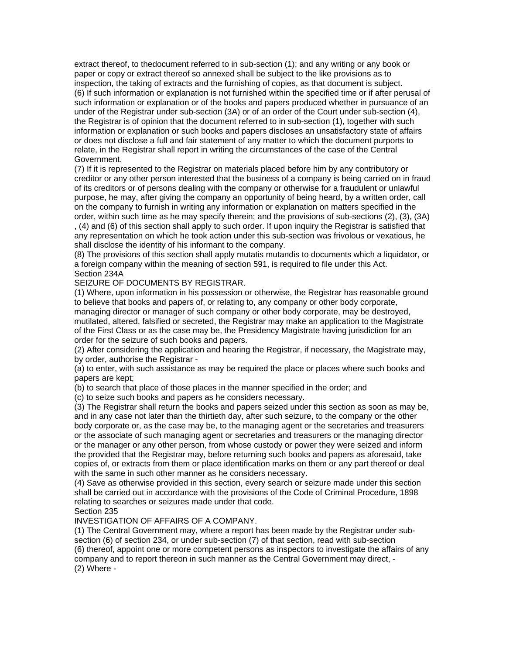extract thereof, to thedocument referred to in sub-section (1); and any writing or any book or paper or copy or extract thereof so annexed shall be subject to the like provisions as to inspection, the taking of extracts and the furnishing of copies, as that document is subject. (6) If such information or explanation is not furnished within the specified time or if after perusal of such information or explanation or of the books and papers produced whether in pursuance of an under of the Registrar under sub-section (3A) or of an order of the Court under sub-section (4), the Registrar is of opinion that the document referred to in sub-section (1), together with such information or explanation or such books and papers discloses an unsatisfactory state of affairs or does not disclose a full and fair statement of any matter to which the document purports to relate, in the Registrar shall report in writing the circumstances of the case of the Central Government.

(7) If it is represented to the Registrar on materials placed before him by any contributory or creditor or any other person interested that the business of a company is being carried on in fraud of its creditors or of persons dealing with the company or otherwise for a fraudulent or unlawful purpose, he may, after giving the company an opportunity of being heard, by a written order, call on the company to furnish in writing any information or explanation on matters specified in the order, within such time as he may specify therein; and the provisions of sub-sections (2), (3), (3A)

, (4) and (6) of this section shall apply to such order. If upon inquiry the Registrar is satisfied that any representation on which he took action under this sub-section was frivolous or vexatious, he shall disclose the identity of his informant to the company.

(8) The provisions of this section shall apply mutatis mutandis to documents which a liquidator, or a foreign company within the meaning of section 591, is required to file under this Act. Section 234A

SEIZURE OF DOCUMENTS BY REGISTRAR.

(1) Where, upon information in his possession or otherwise, the Registrar has reasonable ground to believe that books and papers of, or relating to, any company or other body corporate, managing director or manager of such company or other body corporate, may be destroyed, mutilated, altered, falsified or secreted, the Registrar may make an application to the Magistrate of the First Class or as the case may be, the Presidency Magistrate having jurisdiction for an order for the seizure of such books and papers.

(2) After considering the application and hearing the Registrar, if necessary, the Magistrate may, by order, authorise the Registrar -

(a) to enter, with such assistance as may be required the place or places where such books and papers are kept;

(b) to search that place of those places in the manner specified in the order; and

(c) to seize such books and papers as he considers necessary.

(3) The Registrar shall return the books and papers seized under this section as soon as may be, and in any case not later than the thirtieth day, after such seizure, to the company or the other body corporate or, as the case may be, to the managing agent or the secretaries and treasurers or the associate of such managing agent or secretaries and treasurers or the managing director or the manager or any other person, from whose custody or power they were seized and inform the provided that the Registrar may, before returning such books and papers as aforesaid, take copies of, or extracts from them or place identification marks on them or any part thereof or deal with the same in such other manner as he considers necessary.

(4) Save as otherwise provided in this section, every search or seizure made under this section shall be carried out in accordance with the provisions of the Code of Criminal Procedure, 1898 relating to searches or seizures made under that code.

Section 235

INVESTIGATION OF AFFAIRS OF A COMPANY.

(1) The Central Government may, where a report has been made by the Registrar under subsection (6) of section 234, or under sub-section (7) of that section, read with sub-section (6) thereof, appoint one or more competent persons as inspectors to investigate the affairs of any company and to report thereon in such manner as the Central Government may direct, - (2) Where -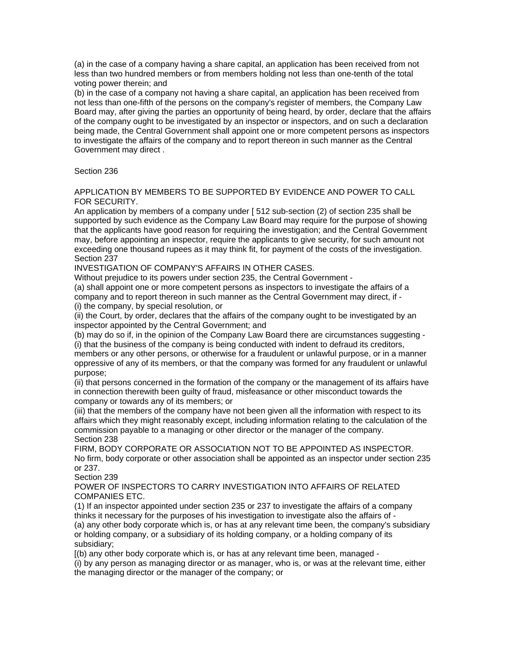(a) in the case of a company having a share capital, an application has been received from not less than two hundred members or from members holding not less than one-tenth of the total voting power therein; and

(b) in the case of a company not having a share capital, an application has been received from not less than one-fifth of the persons on the company's register of members, the Company Law Board may, after giving the parties an opportunity of being heard, by order, declare that the affairs of the company ought to be investigated by an inspector or inspectors, and on such a declaration being made, the Central Government shall appoint one or more competent persons as inspectors to investigate the affairs of the company and to report thereon in such manner as the Central Government may direct .

Section 236

APPLICATION BY MEMBERS TO BE SUPPORTED BY EVIDENCE AND POWER TO CALL FOR SECURITY.

An application by members of a company under [ 512 sub-section (2) of section 235 shall be supported by such evidence as the Company Law Board may require for the purpose of showing that the applicants have good reason for requiring the investigation; and the Central Government may, before appointing an inspector, require the applicants to give security, for such amount not exceeding one thousand rupees as it may think fit, for payment of the costs of the investigation. Section 237

INVESTIGATION OF COMPANY'S AFFAIRS IN OTHER CASES.

Without prejudice to its powers under section 235, the Central Government -

(a) shall appoint one or more competent persons as inspectors to investigate the affairs of a company and to report thereon in such manner as the Central Government may direct, if - (i) the company, by special resolution, or

(ii) the Court, by order, declares that the affairs of the company ought to be investigated by an inspector appointed by the Central Government; and

(b) may do so if, in the opinion of the Company Law Board there are circumstances suggesting - (i) that the business of the company is being conducted with indent to defraud its creditors,

members or any other persons, or otherwise for a fraudulent or unlawful purpose, or in a manner oppressive of any of its members, or that the company was formed for any fraudulent or unlawful purpose;

(ii) that persons concerned in the formation of the company or the management of its affairs have in connection therewith been guilty of fraud, misfeasance or other misconduct towards the company or towards any of its members; or

(iii) that the members of the company have not been given all the information with respect to its affairs which they might reasonably except, including information relating to the calculation of the commission payable to a managing or other director or the manager of the company. Section 238

FIRM, BODY CORPORATE OR ASSOCIATION NOT TO BE APPOINTED AS INSPECTOR. No firm, body corporate or other association shall be appointed as an inspector under section 235 or 237.

Section 239

POWER OF INSPECTORS TO CARRY INVESTIGATION INTO AFFAIRS OF RELATED COMPANIES ETC.

(1) If an inspector appointed under section 235 or 237 to investigate the affairs of a company thinks it necessary for the purposes of his investigation to investigate also the affairs of - (a) any other body corporate which is, or has at any relevant time been, the company's subsidiary or holding company, or a subsidiary of its holding company, or a holding company of its subsidiary;

[(b) any other body corporate which is, or has at any relevant time been, managed -

(i) by any person as managing director or as manager, who is, or was at the relevant time, either the managing director or the manager of the company; or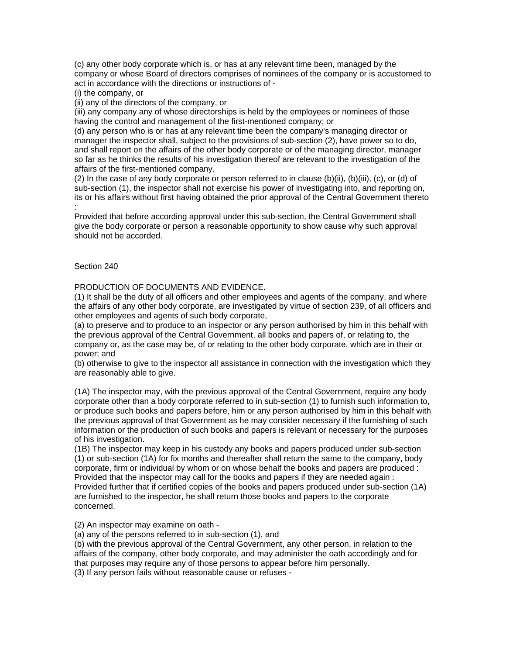(c) any other body corporate which is, or has at any relevant time been, managed by the company or whose Board of directors comprises of nominees of the company or is accustomed to act in accordance with the directions or instructions of -

(i) the company, or

(ii) any of the directors of the company, or

(iii) any company any of whose directorships is held by the employees or nominees of those having the control and management of the first-mentioned company; or

(d) any person who is or has at any relevant time been the company's managing director or manager the inspector shall, subject to the provisions of sub-section (2), have power so to do, and shall report on the affairs of the other body corporate or of the managing director, manager so far as he thinks the results of his investigation thereof are relevant to the investigation of the affairs of the first-mentioned company.

(2) In the case of any body corporate or person referred to in clause (b)(ii), (b)(iii), (c), or (d) of sub-section (1), the inspector shall not exercise his power of investigating into, and reporting on, its or his affairs without first having obtained the prior approval of the Central Government thereto :

Provided that before according approval under this sub-section, the Central Government shall give the body corporate or person a reasonable opportunity to show cause why such approval should not be accorded.

## Section 240

PRODUCTION OF DOCUMENTS AND EVIDENCE.

(1) It shall be the duty of all officers and other employees and agents of the company, and where the affairs of any other body corporate, are investigated by virtue of section 239, of all officers and other employees and agents of such body corporate,

(a) to preserve and to produce to an inspector or any person authorised by him in this behalf with the previous approval of the Central Government, all books and papers of, or relating to, the company or, as the case may be, of or relating to the other body corporate, which are in their or power; and

(b) otherwise to give to the inspector all assistance in connection with the investigation which they are reasonably able to give.

(1A) The inspector may, with the previous approval of the Central Government, require any body corporate other than a body corporate referred to in sub-section (1) to furnish such information to, or produce such books and papers before, him or any person authorised by him in this behalf with the previous approval of that Government as he may consider necessary if the furnishing of such information or the production of such books and papers is relevant or necessary for the purposes of his investigation.

(1B) The inspector may keep in his custody any books and papers produced under sub-section (1) or sub-section (1A) for fix months and thereafter shall return the same to the company, body corporate, firm or individual by whom or on whose behalf the books and papers are produced : Provided that the inspector may call for the books and papers if they are needed again : Provided further that if certified copies of the books and papers produced under sub-section (1A) are furnished to the inspector, he shall return those books and papers to the corporate

concerned.

(2) An inspector may examine on oath -

(a) any of the persons referred to in sub-section (1), and

(b) with the previous approval of the Central Government, any other person, in relation to the affairs of the company, other body corporate, and may administer the oath accordingly and for that purposes may require any of those persons to appear before him personally.

(3) If any person fails without reasonable cause or refuses -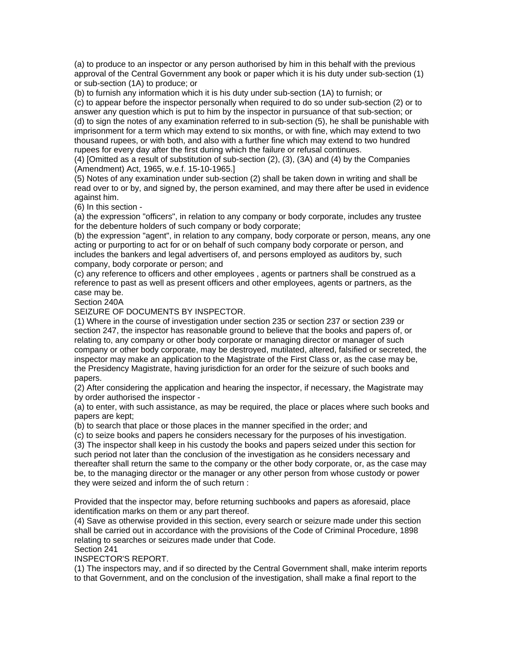(a) to produce to an inspector or any person authorised by him in this behalf with the previous approval of the Central Government any book or paper which it is his duty under sub-section (1) or sub-section (1A) to produce; or

(b) to furnish any information which it is his duty under sub-section (1A) to furnish; or (c) to appear before the inspector personally when required to do so under sub-section (2) or to answer any question which is put to him by the inspector in pursuance of that sub-section; or (d) to sign the notes of any examination referred to in sub-section (5), he shall be punishable with imprisonment for a term which may extend to six months, or with fine, which may extend to two thousand rupees, or with both, and also with a further fine which may extend to two hundred rupees for every day after the first during which the failure or refusal continues.

(4) [Omitted as a result of substitution of sub-section (2), (3), (3A) and (4) by the Companies (Amendment) Act, 1965, w.e.f. 15-10-1965.]

(5) Notes of any examination under sub-section (2) shall be taken down in writing and shall be read over to or by, and signed by, the person examined, and may there after be used in evidence against him.

(6) In this section -

(a) the expression "officers", in relation to any company or body corporate, includes any trustee for the debenture holders of such company or body corporate;

(b) the expression "agent", in relation to any company, body corporate or person, means, any one acting or purporting to act for or on behalf of such company body corporate or person, and includes the bankers and legal advertisers of, and persons employed as auditors by, such company, body corporate or person; and

(c) any reference to officers and other employees , agents or partners shall be construed as a reference to past as well as present officers and other employees, agents or partners, as the case may be.

Section 240A

SEIZURE OF DOCUMENTS BY INSPECTOR.

(1) Where in the course of investigation under section 235 or section 237 or section 239 or section 247, the inspector has reasonable ground to believe that the books and papers of, or relating to, any company or other body corporate or managing director or manager of such company or other body corporate, may be destroyed, mutilated, altered, falsified or secreted, the inspector may make an application to the Magistrate of the First Class or, as the case may be, the Presidency Magistrate, having jurisdiction for an order for the seizure of such books and papers.

(2) After considering the application and hearing the inspector, if necessary, the Magistrate may by order authorised the inspector -

(a) to enter, with such assistance, as may be required, the place or places where such books and papers are kept;

(b) to search that place or those places in the manner specified in the order; and

(c) to seize books and papers he considers necessary for the purposes of his investigation.

(3) The inspector shall keep in his custody the books and papers seized under this section for such period not later than the conclusion of the investigation as he considers necessary and thereafter shall return the same to the company or the other body corporate, or, as the case may be, to the managing director or the manager or any other person from whose custody or power they were seized and inform the of such return :

Provided that the inspector may, before returning suchbooks and papers as aforesaid, place identification marks on them or any part thereof.

(4) Save as otherwise provided in this section, every search or seizure made under this section shall be carried out in accordance with the provisions of the Code of Criminal Procedure, 1898 relating to searches or seizures made under that Code. Section 241

INSPECTOR'S REPORT.

(1) The inspectors may, and if so directed by the Central Government shall, make interim reports to that Government, and on the conclusion of the investigation, shall make a final report to the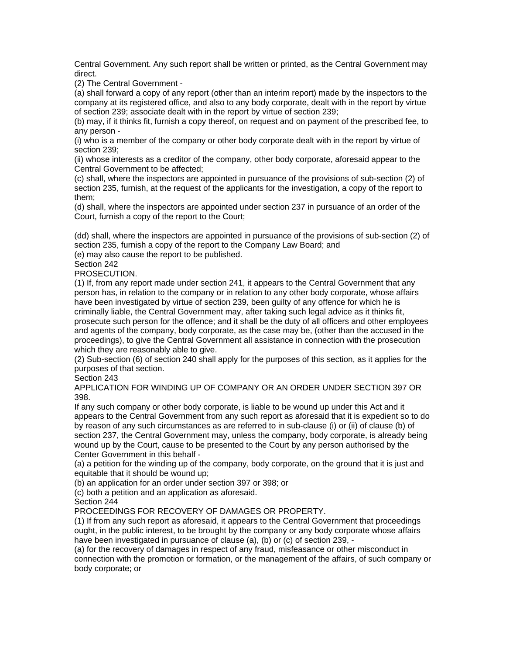Central Government. Any such report shall be written or printed, as the Central Government may direct.

(2) The Central Government -

(a) shall forward a copy of any report (other than an interim report) made by the inspectors to the company at its registered office, and also to any body corporate, dealt with in the report by virtue of section 239; associate dealt with in the report by virtue of section 239;

(b) may, if it thinks fit, furnish a copy thereof, on request and on payment of the prescribed fee, to any person -

(i) who is a member of the company or other body corporate dealt with in the report by virtue of section 239;

(ii) whose interests as a creditor of the company, other body corporate, aforesaid appear to the Central Government to be affected;

(c) shall, where the inspectors are appointed in pursuance of the provisions of sub-section (2) of section 235, furnish, at the request of the applicants for the investigation, a copy of the report to them;

(d) shall, where the inspectors are appointed under section 237 in pursuance of an order of the Court, furnish a copy of the report to the Court;

(dd) shall, where the inspectors are appointed in pursuance of the provisions of sub-section (2) of section 235, furnish a copy of the report to the Company Law Board; and

(e) may also cause the report to be published.

Section 242

PROSECUTION.

(1) If, from any report made under section 241, it appears to the Central Government that any person has, in relation to the company or in relation to any other body corporate, whose affairs have been investigated by virtue of section 239, been guilty of any offence for which he is criminally liable, the Central Government may, after taking such legal advice as it thinks fit, prosecute such person for the offence; and it shall be the duty of all officers and other employees and agents of the company, body corporate, as the case may be, (other than the accused in the proceedings), to give the Central Government all assistance in connection with the prosecution which they are reasonably able to give.

(2) Sub-section (6) of section 240 shall apply for the purposes of this section, as it applies for the purposes of that section.

Section 243

APPLICATION FOR WINDING UP OF COMPANY OR AN ORDER UNDER SECTION 397 OR 398.

If any such company or other body corporate, is liable to be wound up under this Act and it appears to the Central Government from any such report as aforesaid that it is expedient so to do by reason of any such circumstances as are referred to in sub-clause (i) or (ii) of clause (b) of section 237, the Central Government may, unless the company, body corporate, is already being wound up by the Court, cause to be presented to the Court by any person authorised by the Center Government in this behalf -

(a) a petition for the winding up of the company, body corporate, on the ground that it is just and equitable that it should be wound up;

(b) an application for an order under section 397 or 398; or

(c) both a petition and an application as aforesaid.

Section 244

PROCEEDINGS FOR RECOVERY OF DAMAGES OR PROPERTY.

(1) If from any such report as aforesaid, it appears to the Central Government that proceedings ought, in the public interest, to be brought by the company or any body corporate whose affairs have been investigated in pursuance of clause (a), (b) or (c) of section 239, -

(a) for the recovery of damages in respect of any fraud, misfeasance or other misconduct in connection with the promotion or formation, or the management of the affairs, of such company or body corporate; or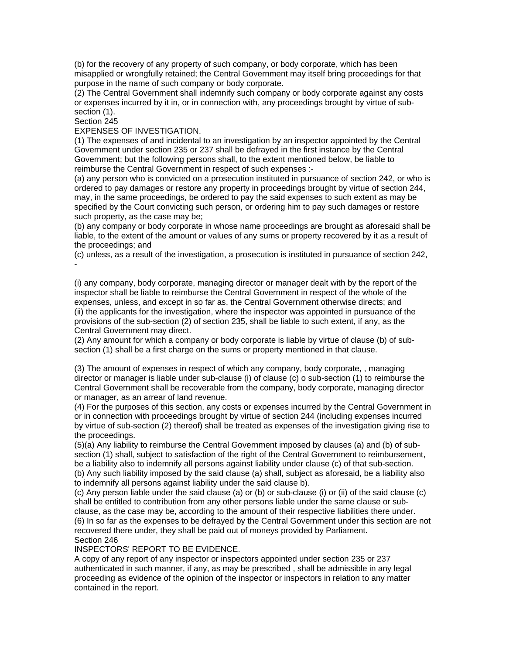(b) for the recovery of any property of such company, or body corporate, which has been misapplied or wrongfully retained; the Central Government may itself bring proceedings for that purpose in the name of such company or body corporate.

(2) The Central Government shall indemnify such company or body corporate against any costs or expenses incurred by it in, or in connection with, any proceedings brought by virtue of subsection (1).

Section 245

EXPENSES OF INVESTIGATION.

(1) The expenses of and incidental to an investigation by an inspector appointed by the Central Government under section 235 or 237 shall be defrayed in the first instance by the Central Government; but the following persons shall, to the extent mentioned below, be liable to reimburse the Central Government in respect of such expenses :-

(a) any person who is convicted on a prosecution instituted in pursuance of section 242, or who is ordered to pay damages or restore any property in proceedings brought by virtue of section 244, may, in the same proceedings, be ordered to pay the said expenses to such extent as may be specified by the Court convicting such person, or ordering him to pay such damages or restore such property, as the case may be;

(b) any company or body corporate in whose name proceedings are brought as aforesaid shall be liable, to the extent of the amount or values of any sums or property recovered by it as a result of the proceedings; and

(c) unless, as a result of the investigation, a prosecution is instituted in pursuance of section 242, -

(i) any company, body corporate, managing director or manager dealt with by the report of the inspector shall be liable to reimburse the Central Government in respect of the whole of the expenses, unless, and except in so far as, the Central Government otherwise directs; and (ii) the applicants for the investigation, where the inspector was appointed in pursuance of the provisions of the sub-section (2) of section 235, shall be liable to such extent, if any, as the Central Government may direct.

(2) Any amount for which a company or body corporate is liable by virtue of clause (b) of subsection (1) shall be a first charge on the sums or property mentioned in that clause.

(3) The amount of expenses in respect of which any company, body corporate, , managing director or manager is liable under sub-clause (i) of clause (c) o sub-section (1) to reimburse the Central Government shall be recoverable from the company, body corporate, managing director or manager, as an arrear of land revenue.

(4) For the purposes of this section, any costs or expenses incurred by the Central Government in or in connection with proceedings brought by virtue of section 244 (including expenses incurred by virtue of sub-section (2) thereof) shall be treated as expenses of the investigation giving rise to the proceedings.

(5)(a) Any liability to reimburse the Central Government imposed by clauses (a) and (b) of subsection (1) shall, subject to satisfaction of the right of the Central Government to reimbursement, be a liability also to indemnify all persons against liability under clause (c) of that sub-section. (b) Any such liability imposed by the said clause (a) shall, subject as aforesaid, be a liability also to indemnify all persons against liability under the said clause b).

(c) Any person liable under the said clause (a) or (b) or sub-clause (i) or (ii) of the said clause (c) shall be entitled to contribution from any other persons liable under the same clause or subclause, as the case may be, according to the amount of their respective liabilities there under. (6) In so far as the expenses to be defrayed by the Central Government under this section are not recovered there under, they shall be paid out of moneys provided by Parliament. Section 246

INSPECTORS' REPORT TO BE EVIDENCE.

A copy of any report of any inspector or inspectors appointed under section 235 or 237 authenticated in such manner, if any, as may be prescribed , shall be admissible in any legal proceeding as evidence of the opinion of the inspector or inspectors in relation to any matter contained in the report.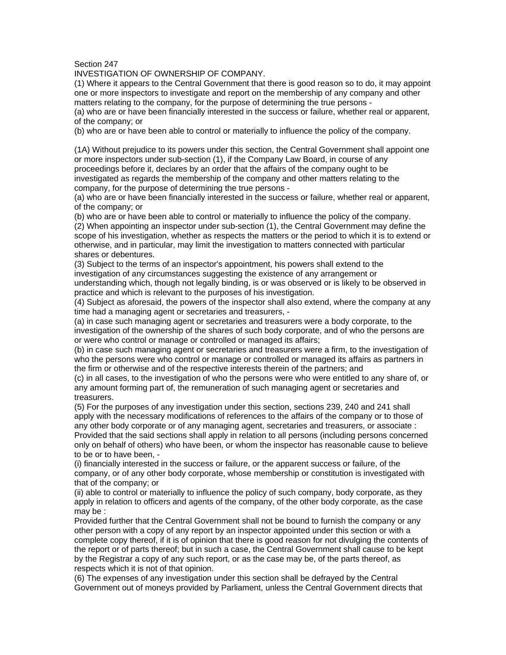Section 247

INVESTIGATION OF OWNERSHIP OF COMPANY.

(1) Where it appears to the Central Government that there is good reason so to do, it may appoint one or more inspectors to investigate and report on the membership of any company and other matters relating to the company, for the purpose of determining the true persons -

(a) who are or have been financially interested in the success or failure, whether real or apparent, of the company; or

(b) who are or have been able to control or materially to influence the policy of the company.

(1A) Without prejudice to its powers under this section, the Central Government shall appoint one or more inspectors under sub-section (1), if the Company Law Board, in course of any proceedings before it, declares by an order that the affairs of the company ought to be investigated as regards the membership of the company and other matters relating to the company, for the purpose of determining the true persons -

(a) who are or have been financially interested in the success or failure, whether real or apparent, of the company; or

(b) who are or have been able to control or materially to influence the policy of the company. (2) When appointing an inspector under sub-section (1), the Central Government may define the scope of his investigation, whether as respects the matters or the period to which it is to extend or otherwise, and in particular, may limit the investigation to matters connected with particular shares or debentures.

(3) Subject to the terms of an inspector's appointment, his powers shall extend to the investigation of any circumstances suggesting the existence of any arrangement or understanding which, though not legally binding, is or was observed or is likely to be observed in practice and which is relevant to the purposes of his investigation.

(4) Subject as aforesaid, the powers of the inspector shall also extend, where the company at any time had a managing agent or secretaries and treasurers, -

(a) in case such managing agent or secretaries and treasurers were a body corporate, to the investigation of the ownership of the shares of such body corporate, and of who the persons are or were who control or manage or controlled or managed its affairs;

(b) in case such managing agent or secretaries and treasurers were a firm, to the investigation of who the persons were who control or manage or controlled or managed its affairs as partners in the firm or otherwise and of the respective interests therein of the partners; and

(c) in all cases, to the investigation of who the persons were who were entitled to any share of, or any amount forming part of, the remuneration of such managing agent or secretaries and treasurers.

(5) For the purposes of any investigation under this section, sections 239, 240 and 241 shall apply with the necessary modifications of references to the affairs of the company or to those of any other body corporate or of any managing agent, secretaries and treasurers, or associate : Provided that the said sections shall apply in relation to all persons (including persons concerned only on behalf of others) who have been, or whom the inspector has reasonable cause to believe to be or to have been, -

(i) financially interested in the success or failure, or the apparent success or failure, of the company, or of any other body corporate, whose membership or constitution is investigated with that of the company; or

(ii) able to control or materially to influence the policy of such company, body corporate, as they apply in relation to officers and agents of the company, of the other body corporate, as the case may be :

Provided further that the Central Government shall not be bound to furnish the company or any other person with a copy of any report by an inspector appointed under this section or with a complete copy thereof, if it is of opinion that there is good reason for not divulging the contents of the report or of parts thereof; but in such a case, the Central Government shall cause to be kept by the Registrar a copy of any such report, or as the case may be, of the parts thereof, as respects which it is not of that opinion.

(6) The expenses of any investigation under this section shall be defrayed by the Central Government out of moneys provided by Parliament, unless the Central Government directs that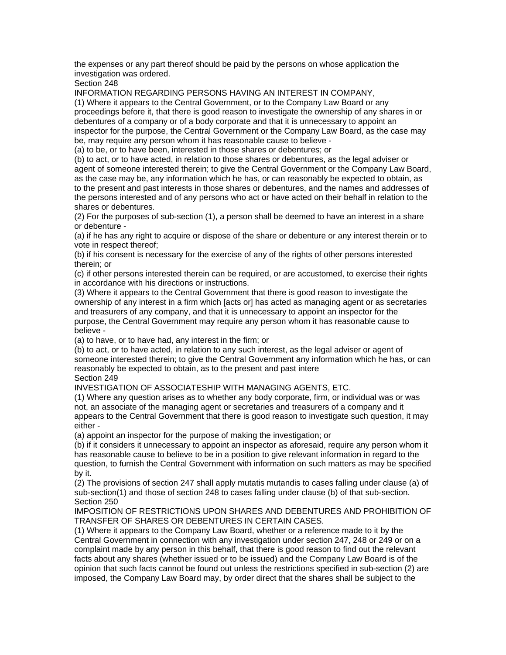the expenses or any part thereof should be paid by the persons on whose application the investigation was ordered.

Section 248

INFORMATION REGARDING PERSONS HAVING AN INTEREST IN COMPANY,

(1) Where it appears to the Central Government, or to the Company Law Board or any proceedings before it, that there is good reason to investigate the ownership of any shares in or debentures of a company or of a body corporate and that it is unnecessary to appoint an inspector for the purpose, the Central Government or the Company Law Board, as the case may be, may require any person whom it has reasonable cause to believe -

(a) to be, or to have been, interested in those shares or debentures; or

(b) to act, or to have acted, in relation to those shares or debentures, as the legal adviser or agent of someone interested therein; to give the Central Government or the Company Law Board, as the case may be, any information which he has, or can reasonably be expected to obtain, as to the present and past interests in those shares or debentures, and the names and addresses of the persons interested and of any persons who act or have acted on their behalf in relation to the shares or debentures.

(2) For the purposes of sub-section (1), a person shall be deemed to have an interest in a share or debenture -

(a) if he has any right to acquire or dispose of the share or debenture or any interest therein or to vote in respect thereof;

(b) if his consent is necessary for the exercise of any of the rights of other persons interested therein; or

(c) if other persons interested therein can be required, or are accustomed, to exercise their rights in accordance with his directions or instructions.

(3) Where it appears to the Central Government that there is good reason to investigate the ownership of any interest in a firm which [acts or] has acted as managing agent or as secretaries and treasurers of any company, and that it is unnecessary to appoint an inspector for the purpose, the Central Government may require any person whom it has reasonable cause to believe -

(a) to have, or to have had, any interest in the firm; or

(b) to act, or to have acted, in relation to any such interest, as the legal adviser or agent of someone interested therein; to give the Central Government any information which he has, or can reasonably be expected to obtain, as to the present and past intere Section 249

INVESTIGATION OF ASSOCIATESHIP WITH MANAGING AGENTS, ETC.

(1) Where any question arises as to whether any body corporate, firm, or individual was or was not, an associate of the managing agent or secretaries and treasurers of a company and it appears to the Central Government that there is good reason to investigate such question, it may either -

(a) appoint an inspector for the purpose of making the investigation; or

(b) if it considers it unnecessary to appoint an inspector as aforesaid, require any person whom it has reasonable cause to believe to be in a position to give relevant information in regard to the question, to furnish the Central Government with information on such matters as may be specified by it.

(2) The provisions of section 247 shall apply mutatis mutandis to cases falling under clause (a) of sub-section(1) and those of section 248 to cases falling under clause (b) of that sub-section. Section 250

IMPOSITION OF RESTRICTIONS UPON SHARES AND DEBENTURES AND PROHIBITION OF TRANSFER OF SHARES OR DEBENTURES IN CERTAIN CASES.

(1) Where it appears to the Company Law Board, whether or a reference made to it by the Central Government in connection with any investigation under section 247, 248 or 249 or on a complaint made by any person in this behalf, that there is good reason to find out the relevant facts about any shares (whether issued or to be issued) and the Company Law Board is of the opinion that such facts cannot be found out unless the restrictions specified in sub-section (2) are imposed, the Company Law Board may, by order direct that the shares shall be subject to the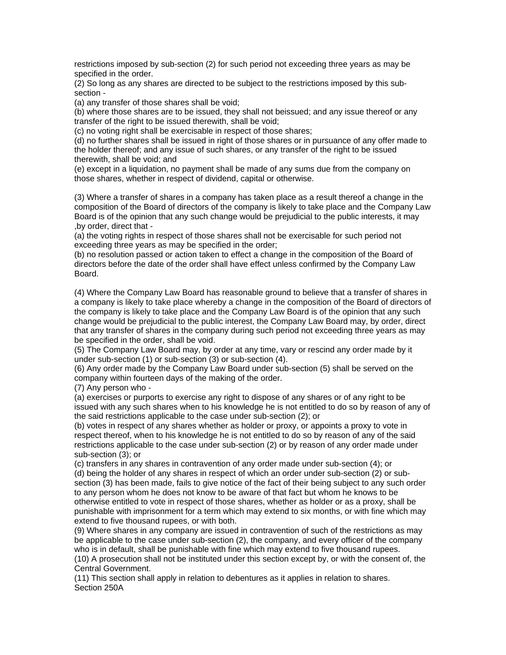restrictions imposed by sub-section (2) for such period not exceeding three years as may be specified in the order.

(2) So long as any shares are directed to be subject to the restrictions imposed by this subsection -

(a) any transfer of those shares shall be void;

(b) where those shares are to be issued, they shall not beissued; and any issue thereof or any transfer of the right to be issued therewith, shall be void;

(c) no voting right shall be exercisable in respect of those shares;

(d) no further shares shall be issued in right of those shares or in pursuance of any offer made to the holder thereof; and any issue of such shares, or any transfer of the right to be issued therewith, shall be void; and

(e) except in a liquidation, no payment shall be made of any sums due from the company on those shares, whether in respect of dividend, capital or otherwise.

(3) Where a transfer of shares in a company has taken place as a result thereof a change in the composition of the Board of directors of the company is likely to take place and the Company Law Board is of the opinion that any such change would be prejudicial to the public interests, it may ,by order, direct that -

(a) the voting rights in respect of those shares shall not be exercisable for such period not exceeding three years as may be specified in the order;

(b) no resolution passed or action taken to effect a change in the composition of the Board of directors before the date of the order shall have effect unless confirmed by the Company Law Board.

(4) Where the Company Law Board has reasonable ground to believe that a transfer of shares in a company is likely to take place whereby a change in the composition of the Board of directors of the company is likely to take place and the Company Law Board is of the opinion that any such change would be prejudicial to the public interest, the Company Law Board may, by order, direct that any transfer of shares in the company during such period not exceeding three years as may be specified in the order, shall be void.

(5) The Company Law Board may, by order at any time, vary or rescind any order made by it under sub-section (1) or sub-section (3) or sub-section (4).

(6) Any order made by the Company Law Board under sub-section (5) shall be served on the company within fourteen days of the making of the order.

(7) Any person who -

(a) exercises or purports to exercise any right to dispose of any shares or of any right to be issued with any such shares when to his knowledge he is not entitled to do so by reason of any of the said restrictions applicable to the case under sub-section (2); or

(b) votes in respect of any shares whether as holder or proxy, or appoints a proxy to vote in respect thereof, when to his knowledge he is not entitled to do so by reason of any of the said restrictions applicable to the case under sub-section (2) or by reason of any order made under sub-section (3); or

(c) transfers in any shares in contravention of any order made under sub-section (4); or

(d) being the holder of any shares in respect of which an order under sub-section (2) or subsection (3) has been made, fails to give notice of the fact of their being subject to any such order to any person whom he does not know to be aware of that fact but whom he knows to be otherwise entitled to vote in respect of those shares, whether as holder or as a proxy, shall be punishable with imprisonment for a term which may extend to six months, or with fine which may extend to five thousand rupees, or with both.

(9) Where shares in any company are issued in contravention of such of the restrictions as may be applicable to the case under sub-section (2), the company, and every officer of the company who is in default, shall be punishable with fine which may extend to five thousand rupees.

(10) A prosecution shall not be instituted under this section except by, or with the consent of, the Central Government.

(11) This section shall apply in relation to debentures as it applies in relation to shares. Section 250A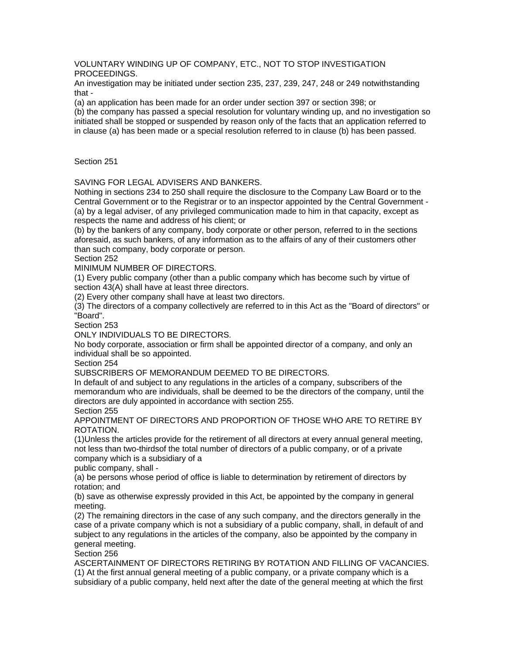VOLUNTARY WINDING UP OF COMPANY, ETC., NOT TO STOP INVESTIGATION PROCEEDINGS.

An investigation may be initiated under section 235, 237, 239, 247, 248 or 249 notwithstanding that -

(a) an application has been made for an order under section 397 or section 398; or

(b) the company has passed a special resolution for voluntary winding up, and no investigation so initiated shall be stopped or suspended by reason only of the facts that an application referred to in clause (a) has been made or a special resolution referred to in clause (b) has been passed.

Section 251

SAVING FOR LEGAL ADVISERS AND BANKERS.

Nothing in sections 234 to 250 shall require the disclosure to the Company Law Board or to the Central Government or to the Registrar or to an inspector appointed by the Central Government - (a) by a legal adviser, of any privileged communication made to him in that capacity, except as respects the name and address of his client; or

(b) by the bankers of any company, body corporate or other person, referred to in the sections aforesaid, as such bankers, of any information as to the affairs of any of their customers other than such company, body corporate or person.

Section 252

MINIMUM NUMBER OF DIRECTORS.

(1) Every public company (other than a public company which has become such by virtue of section 43(A) shall have at least three directors.

(2) Every other company shall have at least two directors.

(3) The directors of a company collectively are referred to in this Act as the "Board of directors" or "Board".

Section 253

ONLY INDIVIDUALS TO BE DIRECTORS.

No body corporate, association or firm shall be appointed director of a company, and only an individual shall be so appointed.

Section 254

SUBSCRIBERS OF MEMORANDUM DEEMED TO BE DIRECTORS.

In default of and subject to any regulations in the articles of a company, subscribers of the memorandum who are individuals, shall be deemed to be the directors of the company, until the directors are duly appointed in accordance with section 255. Section 255

APPOINTMENT OF DIRECTORS AND PROPORTION OF THOSE WHO ARE TO RETIRE BY ROTATION.

(1)Unless the articles provide for the retirement of all directors at every annual general meeting, not less than two-thirdsof the total number of directors of a public company, or of a private company which is a subsidiary of a

public company, shall -

(a) be persons whose period of office is liable to determination by retirement of directors by rotation; and

(b) save as otherwise expressly provided in this Act, be appointed by the company in general meeting.

(2) The remaining directors in the case of any such company, and the directors generally in the case of a private company which is not a subsidiary of a public company, shall, in default of and subject to any regulations in the articles of the company, also be appointed by the company in general meeting.

Section 256

ASCERTAINMENT OF DIRECTORS RETIRING BY ROTATION AND FILLING OF VACANCIES. (1) At the first annual general meeting of a public company, or a private company which is a subsidiary of a public company, held next after the date of the general meeting at which the first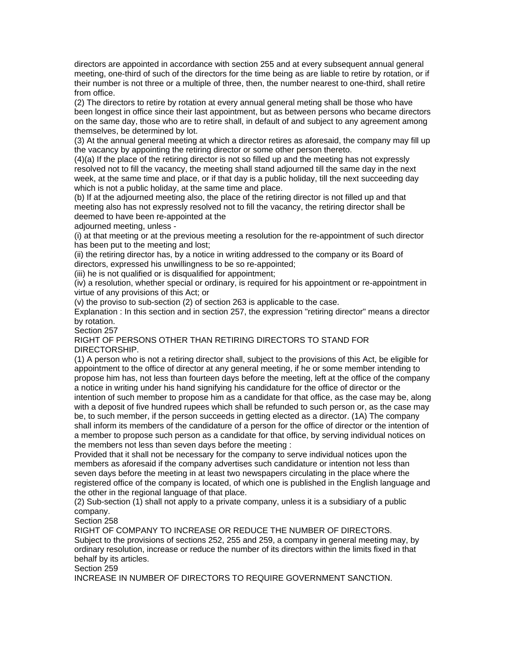directors are appointed in accordance with section 255 and at every subsequent annual general meeting, one-third of such of the directors for the time being as are liable to retire by rotation, or if their number is not three or a multiple of three, then, the number nearest to one-third, shall retire from office.

(2) The directors to retire by rotation at every annual general meting shall be those who have been longest in office since their last appointment, but as between persons who became directors on the same day, those who are to retire shall, in default of and subject to any agreement among themselves, be determined by lot.

(3) At the annual general meeting at which a director retires as aforesaid, the company may fill up the vacancy by appointing the retiring director or some other person thereto.

(4)(a) If the place of the retiring director is not so filled up and the meeting has not expressly resolved not to fill the vacancy, the meeting shall stand adjourned till the same day in the next week, at the same time and place, or if that day is a public holiday, till the next succeeding day which is not a public holiday, at the same time and place.

(b) If at the adjourned meeting also, the place of the retiring director is not filled up and that meeting also has not expressly resolved not to fill the vacancy, the retiring director shall be deemed to have been re-appointed at the

adjourned meeting, unless -

(i) at that meeting or at the previous meeting a resolution for the re-appointment of such director has been put to the meeting and lost;

(ii) the retiring director has, by a notice in writing addressed to the company or its Board of directors, expressed his unwillingness to be so re-appointed;

(iii) he is not qualified or is disqualified for appointment;

(iv) a resolution, whether special or ordinary, is required for his appointment or re-appointment in virtue of any provisions of this Act; or

(v) the proviso to sub-section (2) of section 263 is applicable to the case.

Explanation : In this section and in section 257, the expression "retiring director" means a director by rotation.

Section 257

RIGHT OF PERSONS OTHER THAN RETIRING DIRECTORS TO STAND FOR DIRECTORSHIP.

(1) A person who is not a retiring director shall, subject to the provisions of this Act, be eligible for appointment to the office of director at any general meeting, if he or some member intending to propose him has, not less than fourteen days before the meeting, left at the office of the company a notice in writing under his hand signifying his candidature for the office of director or the intention of such member to propose him as a candidate for that office, as the case may be, along with a deposit of five hundred rupees which shall be refunded to such person or, as the case may be, to such member, if the person succeeds in getting elected as a director. (1A) The company shall inform its members of the candidature of a person for the office of director or the intention of a member to propose such person as a candidate for that office, by serving individual notices on the members not less than seven days before the meeting :

Provided that it shall not be necessary for the company to serve individual notices upon the members as aforesaid if the company advertises such candidature or intention not less than seven days before the meeting in at least two newspapers circulating in the place where the registered office of the company is located, of which one is published in the English language and the other in the regional language of that place.

(2) Sub-section (1) shall not apply to a private company, unless it is a subsidiary of a public company.

Section 258

RIGHT OF COMPANY TO INCREASE OR REDUCE THE NUMBER OF DIRECTORS. Subject to the provisions of sections 252, 255 and 259, a company in general meeting may, by ordinary resolution, increase or reduce the number of its directors within the limits fixed in that behalf by its articles.

## Section 259

INCREASE IN NUMBER OF DIRECTORS TO REQUIRE GOVERNMENT SANCTION.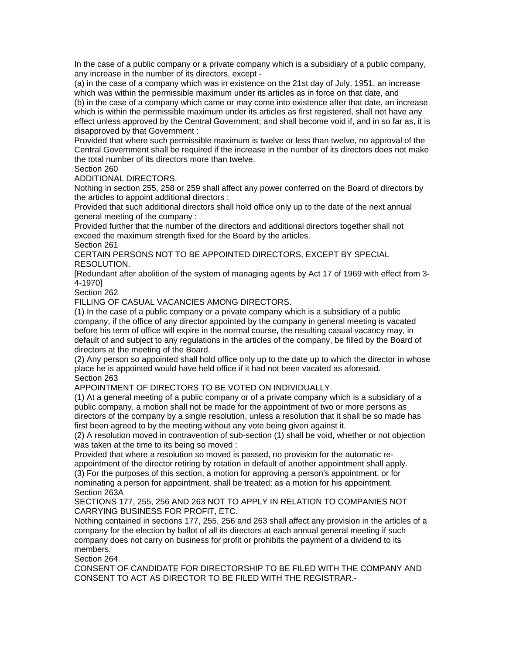In the case of a public company or a private company which is a subsidiary of a public company, any increase in the number of its directors, except -

(a) in the case of a company which was in existence on the 21st day of July, 1951, an increase which was within the permissible maximum under its articles as in force on that date, and

(b) in the case of a company which came or may come into existence after that date, an increase which is within the permissible maximum under its articles as first registered, shall not have any effect unless approved by the Central Government; and shall become void if, and in so far as, it is disapproved by that Government :

Provided that where such permissible maximum is twelve or less than twelve, no approval of the Central Government shall be required if the increase in the number of its directors does not make the total number of its directors more than twelve.

## Section 260

ADDITIONAL DIRECTORS.

Nothing in section 255, 258 or 259 shall affect any power conferred on the Board of directors by the articles to appoint additional directors :

Provided that such additional directors shall hold office only up to the date of the next annual general meeting of the company :

Provided further that the number of the directors and additional directors together shall not exceed the maximum strength fixed for the Board by the articles.

## Section 261

CERTAIN PERSONS NOT TO BE APPOINTED DIRECTORS, EXCEPT BY SPECIAL RESOLUTION.

[Redundant after abolition of the system of managing agents by Act 17 of 1969 with effect from 3- 4-1970]

Section 262

FILLING OF CASUAL VACANCIES AMONG DIRECTORS.

(1) In the case of a public company or a private company which is a subsidiary of a public company, if the office of any director appointed by the company in general meeting is vacated before his term of office will expire in the normal course, the resulting casual vacancy may, in default of and subject to any regulations in the articles of the company, be filled by the Board of directors at the meeting of the Board.

(2) Any person so appointed shall hold office only up to the date up to which the director in whose place he is appointed would have held office if it had not been vacated as aforesaid. Section 263

APPOINTMENT OF DIRECTORS TO BE VOTED ON INDIVIDUALLY.

(1) At a general meeting of a public company or of a private company which is a subsidiary of a public company, a motion shall not be made for the appointment of two or more persons as directors of the company by a single resolution, unless a resolution that it shall be so made has first been agreed to by the meeting without any vote being given against it.

(2) A resolution moved in contravention of sub-section (1) shall be void, whether or not objection was taken at the time to its being so moved :

Provided that where a resolution so moved is passed, no provision for the automatic reappointment of the director retiring by rotation in default of another appointment shall apply. (3) For the purposes of this section, a motion for approving a person's appointment, or for nominating a person for appointment, shall be treated; as a motion for his appointment. Section 263A

SECTIONS 177, 255, 256 AND 263 NOT TO APPLY IN RELATION TO COMPANIES NOT CARRYING BUSINESS FOR PROFIT, ETC.

Nothing contained in sections 177, 255, 256 and 263 shall affect any provision in the articles of a company for the election by ballot of all its directors at each annual general meeting if such company does not carry on business for profit or prohibits the payment of a dividend to its members.

## Section 264.

CONSENT OF CANDIDATE FOR DIRECTORSHIP TO BE FILED WITH THE COMPANY AND CONSENT TO ACT AS DIRECTOR TO BE FILED WITH THE REGISTRAR.-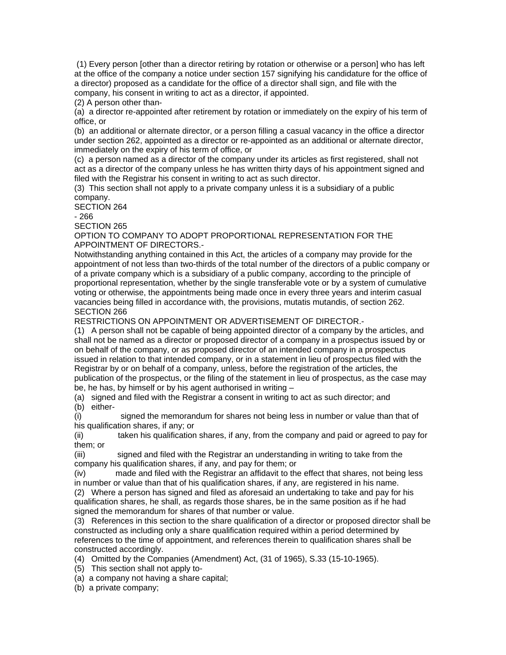(1) Every person [other than a director retiring by rotation or otherwise or a person] who has left at the office of the company a notice under section 157 signifying his candidature for the office of a director) proposed as a candidate for the office of a director shall sign, and file with the company, his consent in writing to act as a director, if appointed.

(2) A person other than-

(a) a director re-appointed after retirement by rotation or immediately on the expiry of his term of office, or

(b) an additional or alternate director, or a person filling a casual vacancy in the office a director under section 262, appointed as a director or re-appointed as an additional or alternate director, immediately on the expiry of his term of office, or

(c) a person named as a director of the company under its articles as first registered, shall not act as a director of the company unless he has written thirty days of his appointment signed and filed with the Registrar his consent in writing to act as such director.

(3) This section shall not apply to a private company unless it is a subsidiary of a public company.

SECTION 264

- 266

SECTION 265

OPTION TO COMPANY TO ADOPT PROPORTIONAL REPRESENTATION FOR THE APPOINTMENT OF DIRECTORS.-

Notwithstanding anything contained in this Act, the articles of a company may provide for the appointment of not less than two-thirds of the total number of the directors of a public company or of a private company which is a subsidiary of a public company, according to the principle of proportional representation, whether by the single transferable vote or by a system of cumulative voting or otherwise, the appointments being made once in every three years and interim casual vacancies being filled in accordance with, the provisions, mutatis mutandis, of section 262. SECTION 266

RESTRICTIONS ON APPOINTMENT OR ADVERTISEMENT OF DIRECTOR.-

(1) A person shall not be capable of being appointed director of a company by the articles, and shall not be named as a director or proposed director of a company in a prospectus issued by or on behalf of the company, or as proposed director of an intended company in a prospectus issued in relation to that intended company, or in a statement in lieu of prospectus filed with the Registrar by or on behalf of a company, unless, before the registration of the articles, the publication of the prospectus, or the filing of the statement in lieu of prospectus, as the case may be, he has, by himself or by his agent authorised in writing –

(a) signed and filed with the Registrar a consent in writing to act as such director; and (b) either-

(i) signed the memorandum for shares not being less in number or value than that of his qualification shares, if any; or

(ii) taken his qualification shares, if any, from the company and paid or agreed to pay for them; or

(iii) signed and filed with the Registrar an understanding in writing to take from the company his qualification shares, if any, and pay for them; or

(iv) made and filed with the Registrar an affidavit to the effect that shares, not being less in number or value than that of his qualification shares, if any, are registered in his name.

(2) Where a person has signed and filed as aforesaid an undertaking to take and pay for his qualification shares, he shall, as regards those shares, be in the same position as if he had signed the memorandum for shares of that number or value.

(3) References in this section to the share qualification of a director or proposed director shall be constructed as including only a share qualification required within a period determined by references to the time of appointment, and references therein to qualification shares shall be constructed accordingly.

(4) Omitted by the Companies (Amendment) Act, (31 of 1965), S.33 (15-10-1965).

(5) This section shall not apply to-

(a) a company not having a share capital;

(b) a private company;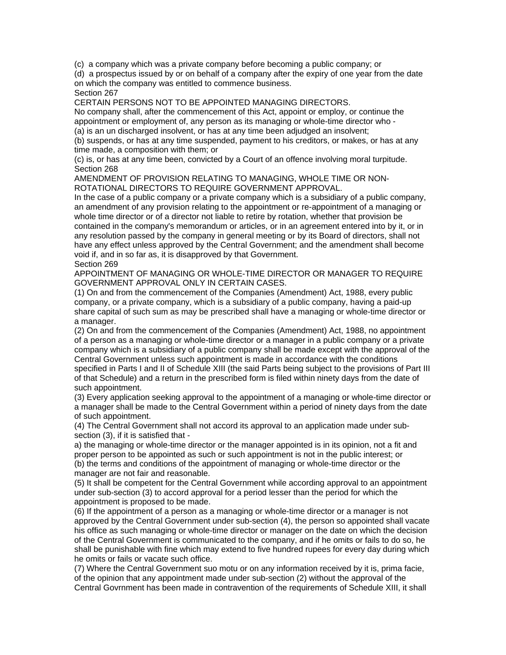(c) a company which was a private company before becoming a public company; or

(d) a prospectus issued by or on behalf of a company after the expiry of one year from the date on which the company was entitled to commence business.

Section 267

CERTAIN PERSONS NOT TO BE APPOINTED MANAGING DIRECTORS.

No company shall, after the commencement of this Act, appoint or employ, or continue the appointment or employment of, any person as its managing or whole-time director who -

(a) is an un discharged insolvent, or has at any time been adjudged an insolvent;

(b) suspends, or has at any time suspended, payment to his creditors, or makes, or has at any time made, a composition with them; or

(c) is, or has at any time been, convicted by a Court of an offence involving moral turpitude. Section 268

AMENDMENT OF PROVISION RELATING TO MANAGING, WHOLE TIME OR NON-ROTATIONAL DIRECTORS TO REQUIRE GOVERNMENT APPROVAL.

In the case of a public company or a private company which is a subsidiary of a public company, an amendment of any provision relating to the appointment or re-appointment of a managing or whole time director or of a director not liable to retire by rotation, whether that provision be contained in the company's memorandum or articles, or in an agreement entered into by it, or in any resolution passed by the company in general meeting or by its Board of directors, shall not have any effect unless approved by the Central Government; and the amendment shall become void if, and in so far as, it is disapproved by that Government. Section 269

APPOINTMENT OF MANAGING OR WHOLE-TIME DIRECTOR OR MANAGER TO REQUIRE GOVERNMENT APPROVAL ONLY IN CERTAIN CASES.

(1) On and from the commencement of the Companies (Amendment) Act, 1988, every public company, or a private company, which is a subsidiary of a public company, having a paid-up share capital of such sum as may be prescribed shall have a managing or whole-time director or a manager.

(2) On and from the commencement of the Companies (Amendment) Act, 1988, no appointment of a person as a managing or whole-time director or a manager in a public company or a private company which is a subsidiary of a public company shall be made except with the approval of the Central Government unless such appointment is made in accordance with the conditions specified in Parts I and II of Schedule XIII (the said Parts being subject to the provisions of Part III of that Schedule) and a return in the prescribed form is filed within ninety days from the date of such appointment.

(3) Every application seeking approval to the appointment of a managing or whole-time director or a manager shall be made to the Central Government within a period of ninety days from the date of such appointment.

(4) The Central Government shall not accord its approval to an application made under subsection (3), if it is satisfied that -

a) the managing or whole-time director or the manager appointed is in its opinion, not a fit and proper person to be appointed as such or such appointment is not in the public interest; or (b) the terms and conditions of the appointment of managing or whole-time director or the manager are not fair and reasonable.

(5) It shall be competent for the Central Government while according approval to an appointment under sub-section (3) to accord approval for a period lesser than the period for which the appointment is proposed to be made.

(6) If the appointment of a person as a managing or whole-time director or a manager is not approved by the Central Government under sub-section (4), the person so appointed shall vacate his office as such managing or whole-time director or manager on the date on which the decision of the Central Government is communicated to the company, and if he omits or fails to do so, he shall be punishable with fine which may extend to five hundred rupees for every day during which he omits or fails or vacate such office.

(7) Where the Central Government suo motu or on any information received by it is, prima facie, of the opinion that any appointment made under sub-section (2) without the approval of the Central Govrnment has been made in contravention of the requirements of Schedule XIII, it shall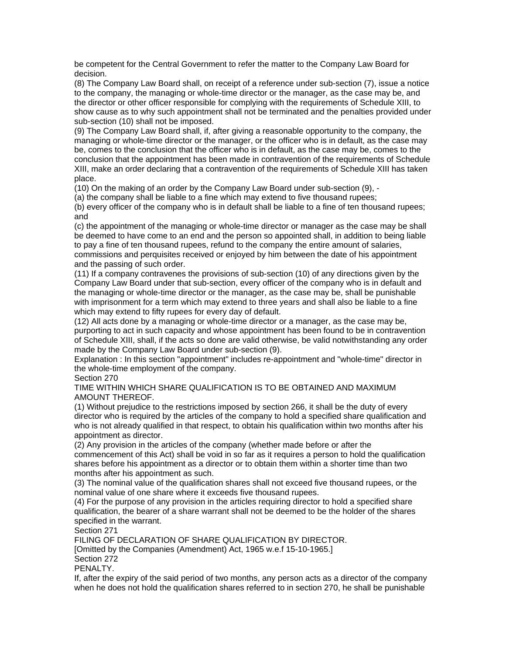be competent for the Central Government to refer the matter to the Company Law Board for decision.

(8) The Company Law Board shall, on receipt of a reference under sub-section (7), issue a notice to the company, the managing or whole-time director or the manager, as the case may be, and the director or other officer responsible for complying with the requirements of Schedule XIII, to show cause as to why such appointment shall not be terminated and the penalties provided under sub-section (10) shall not be imposed.

(9) The Company Law Board shall, if, after giving a reasonable opportunity to the company, the managing or whole-time director or the manager, or the officer who is in default, as the case may be, comes to the conclusion that the officer who is in default, as the case may be, comes to the conclusion that the appointment has been made in contravention of the requirements of Schedule XIII, make an order declaring that a contravention of the requirements of Schedule XIII has taken place.

(10) On the making of an order by the Company Law Board under sub-section (9), -

(a) the company shall be liable to a fine which may extend to five thousand rupees;

(b) every officer of the company who is in default shall be liable to a fine of ten thousand rupees; and

(c) the appointment of the managing or whole-time director or manager as the case may be shall be deemed to have come to an end and the person so appointed shall, in addition to being liable to pay a fine of ten thousand rupees, refund to the company the entire amount of salaries, commissions and perquisites received or enjoyed by him between the date of his appointment and the passing of such order.

(11) If a company contravenes the provisions of sub-section (10) of any directions given by the Company Law Board under that sub-section, every officer of the company who is in default and the managing or whole-time director or the manager, as the case may be, shall be punishable with imprisonment for a term which may extend to three years and shall also be liable to a fine which may extend to fifty rupees for every day of default.

(12) All acts done by a managing or whole-time director or a manager, as the case may be, purporting to act in such capacity and whose appointment has been found to be in contravention of Schedule XIII, shall, if the acts so done are valid otherwise, be valid notwithstanding any order made by the Company Law Board under sub-section (9).

Explanation : In this section "appointment" includes re-appointment and "whole-time" director in the whole-time employment of the company.

Section 270

TIME WITHIN WHICH SHARE QUALIFICATION IS TO BE OBTAINED AND MAXIMUM AMOUNT THEREOF.

(1) Without prejudice to the restrictions imposed by section 266, it shall be the duty of every director who is required by the articles of the company to hold a specified share qualification and who is not already qualified in that respect, to obtain his qualification within two months after his appointment as director.

(2) Any provision in the articles of the company (whether made before or after the commencement of this Act) shall be void in so far as it requires a person to hold the qualification shares before his appointment as a director or to obtain them within a shorter time than two months after his appointment as such.

(3) The nominal value of the qualification shares shall not exceed five thousand rupees, or the nominal value of one share where it exceeds five thousand rupees.

(4) For the purpose of any provision in the articles requiring director to hold a specified share qualification, the bearer of a share warrant shall not be deemed to be the holder of the shares specified in the warrant.

Section 271

FILING OF DECLARATION OF SHARE QUALIFICATION BY DIRECTOR. [Omitted by the Companies (Amendment) Act, 1965 w.e.f 15-10-1965.] Section 272

PENALTY.

If, after the expiry of the said period of two months, any person acts as a director of the company when he does not hold the qualification shares referred to in section 270, he shall be punishable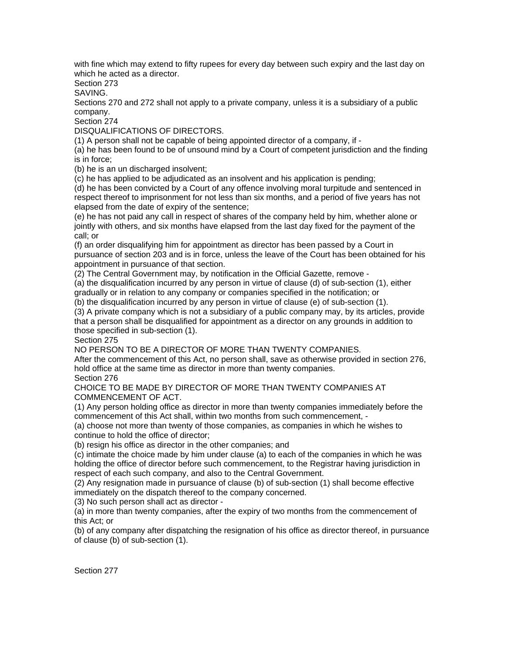with fine which may extend to fifty rupees for every day between such expiry and the last day on which he acted as a director.

Section 273

SAVING.

Sections 270 and 272 shall not apply to a private company, unless it is a subsidiary of a public company.

Section 274

DISQUALIFICATIONS OF DIRECTORS.

(1) A person shall not be capable of being appointed director of a company, if -

(a) he has been found to be of unsound mind by a Court of competent jurisdiction and the finding is in force;

(b) he is an un discharged insolvent;

(c) he has applied to be adjudicated as an insolvent and his application is pending;

(d) he has been convicted by a Court of any offence involving moral turpitude and sentenced in respect thereof to imprisonment for not less than six months, and a period of five years has not elapsed from the date of expiry of the sentence;

(e) he has not paid any call in respect of shares of the company held by him, whether alone or jointly with others, and six months have elapsed from the last day fixed for the payment of the call; or

(f) an order disqualifying him for appointment as director has been passed by a Court in pursuance of section 203 and is in force, unless the leave of the Court has been obtained for his appointment in pursuance of that section.

(2) The Central Government may, by notification in the Official Gazette, remove -

(a) the disqualification incurred by any person in virtue of clause (d) of sub-section (1), either gradually or in relation to any company or companies specified in the notification; or

(b) the disqualification incurred by any person in virtue of clause (e) of sub-section (1).

(3) A private company which is not a subsidiary of a public company may, by its articles, provide that a person shall be disqualified for appointment as a director on any grounds in addition to those specified in sub-section (1).

Section 275

NO PERSON TO BE A DIRECTOR OF MORE THAN TWENTY COMPANIES.

After the commencement of this Act, no person shall, save as otherwise provided in section 276, hold office at the same time as director in more than twenty companies.

Section 276

CHOICE TO BE MADE BY DIRECTOR OF MORE THAN TWENTY COMPANIES AT COMMENCEMENT OF ACT.

(1) Any person holding office as director in more than twenty companies immediately before the commencement of this Act shall, within two months from such commencement, -

(a) choose not more than twenty of those companies, as companies in which he wishes to continue to hold the office of director;

(b) resign his office as director in the other companies; and

(c) intimate the choice made by him under clause (a) to each of the companies in which he was holding the office of director before such commencement, to the Registrar having jurisdiction in respect of each such company, and also to the Central Government.

(2) Any resignation made in pursuance of clause (b) of sub-section (1) shall become effective immediately on the dispatch thereof to the company concerned.

(3) No such person shall act as director -

(a) in more than twenty companies, after the expiry of two months from the commencement of this Act; or

(b) of any company after dispatching the resignation of his office as director thereof, in pursuance of clause (b) of sub-section (1).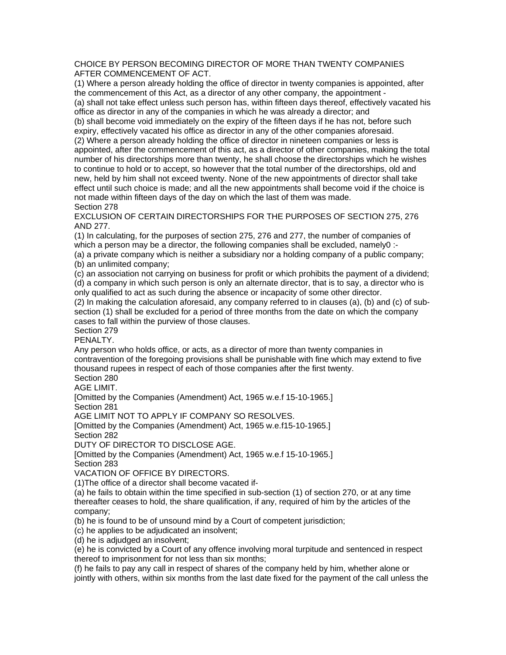## CHOICE BY PERSON BECOMING DIRECTOR OF MORE THAN TWENTY COMPANIES AFTER COMMENCEMENT OF ACT.

(1) Where a person already holding the office of director in twenty companies is appointed, after the commencement of this Act, as a director of any other company, the appointment -

(a) shall not take effect unless such person has, within fifteen days thereof, effectively vacated his office as director in any of the companies in which he was already a director; and

(b) shall become void immediately on the expiry of the fifteen days if he has not, before such expiry, effectively vacated his office as director in any of the other companies aforesaid. (2) Where a person already holding the office of director in nineteen companies or less is appointed, after the commencement of this act, as a director of other companies, making the total number of his directorships more than twenty, he shall choose the directorships which he wishes to continue to hold or to accept, so however that the total number of the directorships, old and new, held by him shall not exceed twenty. None of the new appointments of director shall take effect until such choice is made; and all the new appointments shall become void if the choice is not made within fifteen days of the day on which the last of them was made. Section 278

EXCLUSION OF CERTAIN DIRECTORSHIPS FOR THE PURPOSES OF SECTION 275, 276 AND 277.

(1) In calculating, for the purposes of section 275, 276 and 277, the number of companies of which a person may be a director, the following companies shall be excluded, namely0 :-

(a) a private company which is neither a subsidiary nor a holding company of a public company; (b) an unlimited company;

(c) an association not carrying on business for profit or which prohibits the payment of a dividend; (d) a company in which such person is only an alternate director, that is to say, a director who is only qualified to act as such during the absence or incapacity of some other director.

(2) In making the calculation aforesaid, any company referred to in clauses (a), (b) and (c) of subsection (1) shall be excluded for a period of three months from the date on which the company cases to fall within the purview of those clauses.

Section 279

PENALTY.

Any person who holds office, or acts, as a director of more than twenty companies in contravention of the foregoing provisions shall be punishable with fine which may extend to five thousand rupees in respect of each of those companies after the first twenty.

Section 280

AGE LIMIT.

[Omitted by the Companies (Amendment) Act, 1965 w.e.f 15-10-1965.]

Section 281

AGE LIMIT NOT TO APPLY IF COMPANY SO RESOLVES.

[Omitted by the Companies (Amendment) Act, 1965 w.e.f15-10-1965.] Section 282

DUTY OF DIRECTOR TO DISCLOSE AGE.

[Omitted by the Companies (Amendment) Act, 1965 w.e.f 15-10-1965.] Section 283

VACATION OF OFFICE BY DIRECTORS.

(1)The office of a director shall become vacated if-

(a) he fails to obtain within the time specified in sub-section (1) of section 270, or at any time thereafter ceases to hold, the share qualification, if any, required of him by the articles of the company;

(b) he is found to be of unsound mind by a Court of competent jurisdiction;

(c) he applies to be adjudicated an insolvent;

(d) he is adjudged an insolvent;

(e) he is convicted by a Court of any offence involving moral turpitude and sentenced in respect thereof to imprisonment for not less than six months;

(f) he fails to pay any call in respect of shares of the company held by him, whether alone or jointly with others, within six months from the last date fixed for the payment of the call unless the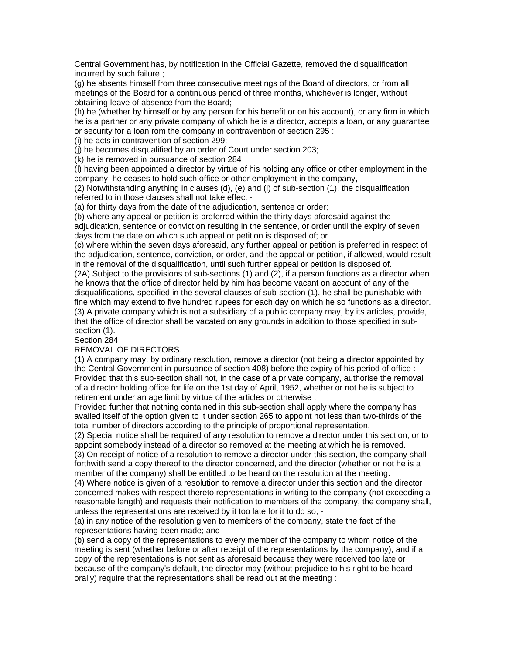Central Government has, by notification in the Official Gazette, removed the disqualification incurred by such failure ;

(g) he absents himself from three consecutive meetings of the Board of directors, or from all meetings of the Board for a continuous period of three months, whichever is longer, without obtaining leave of absence from the Board;

(h) he (whether by himself or by any person for his benefit or on his account), or any firm in which he is a partner or any private company of which he is a director, accepts a loan, or any guarantee or security for a loan rom the company in contravention of section 295 :

(i) he acts in contravention of section 299;

(j) he becomes disqualified by an order of Court under section 203;

(k) he is removed in pursuance of section 284

(l) having been appointed a director by virtue of his holding any office or other employment in the company, he ceases to hold such office or other employment in the company,

(2) Notwithstanding anything in clauses (d), (e) and (i) of sub-section (1), the disqualification referred to in those clauses shall not take effect -

(a) for thirty days from the date of the adjudication, sentence or order;

(b) where any appeal or petition is preferred within the thirty days aforesaid against the

adjudication, sentence or conviction resulting in the sentence, or order until the expiry of seven days from the date on which such appeal or petition is disposed of; or

(c) where within the seven days aforesaid, any further appeal or petition is preferred in respect of the adjudication, sentence, conviction, or order, and the appeal or petition, if allowed, would result in the removal of the disqualification, until such further appeal or petition is disposed of.

(2A) Subject to the provisions of sub-sections (1) and (2), if a person functions as a director when he knows that the office of director held by him has become vacant on account of any of the disqualifications, specified in the several clauses of sub-section (1), he shall be punishable with fine which may extend to five hundred rupees for each day on which he so functions as a director. (3) A private company which is not a subsidiary of a public company may, by its articles, provide, that the office of director shall be vacated on any grounds in addition to those specified in sub-

section (1).

Section 284

## REMOVAL OF DIRECTORS.

(1) A company may, by ordinary resolution, remove a director (not being a director appointed by the Central Government in pursuance of section 408) before the expiry of his period of office : Provided that this sub-section shall not, in the case of a private company, authorise the removal of a director holding office for life on the 1st day of April, 1952, whether or not he is subject to retirement under an age limit by virtue of the articles or otherwise :

Provided further that nothing contained in this sub-section shall apply where the company has availed itself of the option given to it under section 265 to appoint not less than two-thirds of the total number of directors according to the principle of proportional representation.

(2) Special notice shall be required of any resolution to remove a director under this section, or to appoint somebody instead of a director so removed at the meeting at which he is removed.

(3) On receipt of notice of a resolution to remove a director under this section, the company shall forthwith send a copy thereof to the director concerned, and the director (whether or not he is a member of the company) shall be entitled to be heard on the resolution at the meeting.

(4) Where notice is given of a resolution to remove a director under this section and the director concerned makes with respect thereto representations in writing to the company (not exceeding a reasonable length) and requests their notification to members of the company, the company shall, unless the representations are received by it too late for it to do so, -

(a) in any notice of the resolution given to members of the company, state the fact of the representations having been made; and

(b) send a copy of the representations to every member of the company to whom notice of the meeting is sent (whether before or after receipt of the representations by the company); and if a copy of the representations is not sent as aforesaid because they were received too late or because of the company's default, the director may (without prejudice to his right to be heard orally) require that the representations shall be read out at the meeting :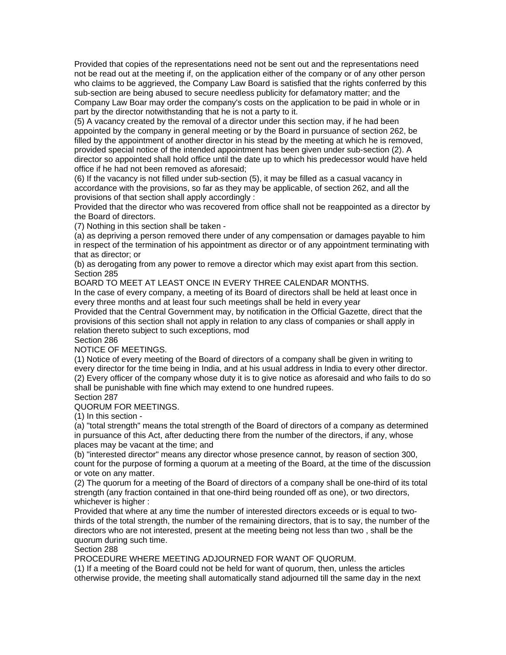Provided that copies of the representations need not be sent out and the representations need not be read out at the meeting if, on the application either of the company or of any other person who claims to be aggrieved, the Company Law Board is satisfied that the rights conferred by this sub-section are being abused to secure needless publicity for defamatory matter; and the Company Law Boar may order the company's costs on the application to be paid in whole or in part by the director notwithstanding that he is not a party to it.

(5) A vacancy created by the removal of a director under this section may, if he had been appointed by the company in general meeting or by the Board in pursuance of section 262, be filled by the appointment of another director in his stead by the meeting at which he is removed, provided special notice of the intended appointment has been given under sub-section (2). A director so appointed shall hold office until the date up to which his predecessor would have held office if he had not been removed as aforesaid;

(6) If the vacancy is not filled under sub-section (5), it may be filled as a casual vacancy in accordance with the provisions, so far as they may be applicable, of section 262, and all the provisions of that section shall apply accordingly :

Provided that the director who was recovered from office shall not be reappointed as a director by the Board of directors.

(7) Nothing in this section shall be taken -

(a) as depriving a person removed there under of any compensation or damages payable to him in respect of the termination of his appointment as director or of any appointment terminating with that as director; or

(b) as derogating from any power to remove a director which may exist apart from this section. Section 285

BOARD TO MEET AT LEAST ONCE IN EVERY THREE CALENDAR MONTHS.

In the case of every company, a meeting of its Board of directors shall be held at least once in every three months and at least four such meetings shall be held in every year

Provided that the Central Government may, by notification in the Official Gazette, direct that the provisions of this section shall not apply in relation to any class of companies or shall apply in relation thereto subject to such exceptions, mod

Section 286

NOTICE OF MEETINGS.

(1) Notice of every meeting of the Board of directors of a company shall be given in writing to every director for the time being in India, and at his usual address in India to every other director. (2) Every officer of the company whose duty it is to give notice as aforesaid and who fails to do so shall be punishable with fine which may extend to one hundred rupees.

#### Section 287 QUORUM FOR MEETINGS.

(1) In this section -

(a) "total strength" means the total strength of the Board of directors of a company as determined in pursuance of this Act, after deducting there from the number of the directors, if any, whose places may be vacant at the time; and

(b) "interested director" means any director whose presence cannot, by reason of section 300, count for the purpose of forming a quorum at a meeting of the Board, at the time of the discussion or vote on any matter.

(2) The quorum for a meeting of the Board of directors of a company shall be one-third of its total strength (any fraction contained in that one-third being rounded off as one), or two directors, whichever is higher :

Provided that where at any time the number of interested directors exceeds or is equal to twothirds of the total strength, the number of the remaining directors, that is to say, the number of the directors who are not interested, present at the meeting being not less than two , shall be the quorum during such time.

Section 288

PROCEDURE WHERE MEETING ADJOURNED FOR WANT OF QUORUM.

(1) If a meeting of the Board could not be held for want of quorum, then, unless the articles otherwise provide, the meeting shall automatically stand adjourned till the same day in the next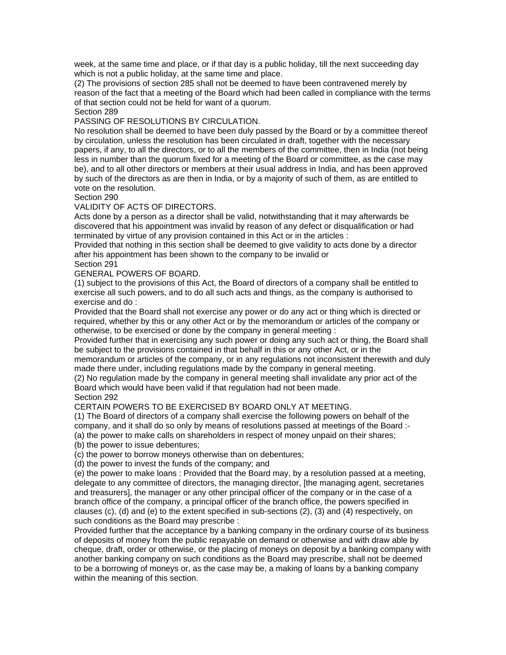week, at the same time and place, or if that day is a public holiday, till the next succeeding day which is not a public holiday, at the same time and place.

(2) The provisions of section 285 shall not be deemed to have been contravened merely by reason of the fact that a meeting of the Board which had been called in compliance with the terms of that section could not be held for want of a quorum.

#### Section 289

PASSING OF RESOLUTIONS BY CIRCULATION.

No resolution shall be deemed to have been duly passed by the Board or by a committee thereof by circulation, unless the resolution has been circulated in draft, together with the necessary papers, if any, to all the directors, or to all the members of the committee, then in India (not being less in number than the quorum fixed for a meeting of the Board or committee, as the case may be), and to all other directors or members at their usual address in India, and has been approved by such of the directors as are then in India, or by a majority of such of them, as are entitled to vote on the resolution.

Section 290

VALIDITY OF ACTS OF DIRECTORS.

Acts done by a person as a director shall be valid, notwithstanding that it may afterwards be discovered that his appointment was invalid by reason of any defect or disqualification or had terminated by virtue of any provision contained in this Act or in the articles :

Provided that nothing in this section shall be deemed to give validity to acts done by a director after his appointment has been shown to the company to be invalid or

# Section 291

GENERAL POWERS OF BOARD.

(1) subject to the provisions of this Act, the Board of directors of a company shall be entitled to exercise all such powers, and to do all such acts and things, as the company is authorised to exercise and do :

Provided that the Board shall not exercise any power or do any act or thing which is directed or required, whether by this or any other Act or by the memorandum or articles of the company or otherwise, to be exercised or done by the company in general meeting :

Provided further that in exercising any such power or doing any such act or thing, the Board shall be subject to the provisions contained in that behalf in this or any other Act, or in the

memorandum or articles of the company, or in any regulations not inconsistent therewith and duly made there under, including regulations made by the company in general meeting.

(2) No regulation made by the company in general meeting shall invalidate any prior act of the Board which would have been valid if that regulation had not been made. Section 292

CERTAIN POWERS TO BE EXERCISED BY BOARD ONLY AT MEETING.

(1) The Board of directors of a company shall exercise the following powers on behalf of the company, and it shall do so only by means of resolutions passed at meetings of the Board :- (a) the power to make calls on shareholders in respect of money unpaid on their shares;

(b) the power to issue debentures;

(c) the power to borrow moneys otherwise than on debentures;

(d) the power to invest the funds of the company; and

(e) the power to make loans : Provided that the Board may, by a resolution passed at a meeting, delegate to any committee of directors, the managing director, [the managing agent, secretaries and treasurers], the manager or any other principal officer of the company or in the case of a branch office of the company, a principal officer of the branch office, the powers specified in clauses (c), (d) and (e) to the extent specified in sub-sections (2), (3) and (4) respectively, on such conditions as the Board may prescribe :

Provided further that the acceptance by a banking company in the ordinary course of its business of deposits of money from the public repayable on demand or otherwise and with draw able by cheque, draft, order or otherwise, or the placing of moneys on deposit by a banking company with another banking company on such conditions as the Board may prescribe, shall not be deemed to be a borrowing of moneys or, as the case may be, a making of loans by a banking company within the meaning of this section.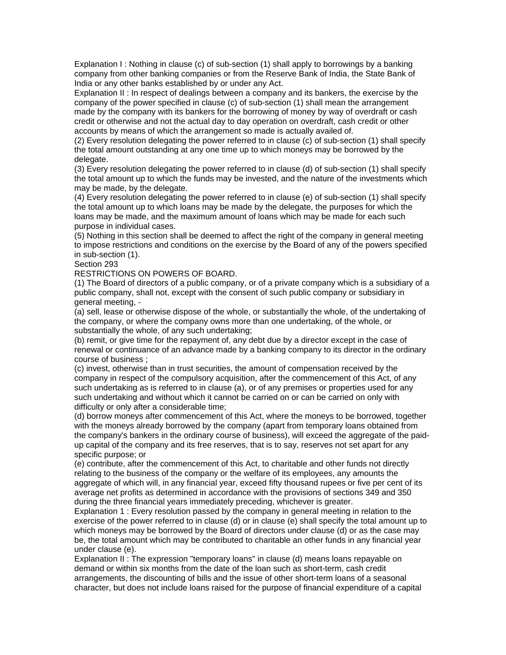Explanation I: Nothing in clause (c) of sub-section (1) shall apply to borrowings by a banking company from other banking companies or from the Reserve Bank of India, the State Bank of India or any other banks established by or under any Act.

Explanation II : In respect of dealings between a company and its bankers, the exercise by the company of the power specified in clause (c) of sub-section (1) shall mean the arrangement made by the company with its bankers for the borrowing of money by way of overdraft or cash credit or otherwise and not the actual day to day operation on overdraft, cash credit or other accounts by means of which the arrangement so made is actually availed of.

(2) Every resolution delegating the power referred to in clause (c) of sub-section (1) shall specify the total amount outstanding at any one time up to which moneys may be borrowed by the delegate.

(3) Every resolution delegating the power referred to in clause (d) of sub-section (1) shall specify the total amount up to which the funds may be invested, and the nature of the investments which may be made, by the delegate.

(4) Every resolution delegating the power referred to in clause (e) of sub-section (1) shall specify the total amount up to which loans may be made by the delegate, the purposes for which the loans may be made, and the maximum amount of loans which may be made for each such purpose in individual cases.

(5) Nothing in this section shall be deemed to affect the right of the company in general meeting to impose restrictions and conditions on the exercise by the Board of any of the powers specified in sub-section (1).

Section 293

RESTRICTIONS ON POWERS OF BOARD.

(1) The Board of directors of a public company, or of a private company which is a subsidiary of a public company, shall not, except with the consent of such public company or subsidiary in general meeting, -

(a) sell, lease or otherwise dispose of the whole, or substantially the whole, of the undertaking of the company, or where the company owns more than one undertaking, of the whole, or substantially the whole, of any such undertaking;

(b) remit, or give time for the repayment of, any debt due by a director except in the case of renewal or continuance of an advance made by a banking company to its director in the ordinary course of business ;

(c) invest, otherwise than in trust securities, the amount of compensation received by the company in respect of the compulsory acquisition, after the commencement of this Act, of any such undertaking as is referred to in clause (a), or of any premises or properties used for any such undertaking and without which it cannot be carried on or can be carried on only with difficulty or only after a considerable time;

(d) borrow moneys after commencement of this Act, where the moneys to be borrowed, together with the moneys already borrowed by the company (apart from temporary loans obtained from the company's bankers in the ordinary course of business), will exceed the aggregate of the paidup capital of the company and its free reserves, that is to say, reserves not set apart for any specific purpose; or

(e) contribute, after the commencement of this Act, to charitable and other funds not directly relating to the business of the company or the welfare of its employees, any amounts the aggregate of which will, in any financial year, exceed fifty thousand rupees or five per cent of its average net profits as determined in accordance with the provisions of sections 349 and 350 during the three financial years immediately preceding, whichever is greater.

Explanation 1 : Every resolution passed by the company in general meeting in relation to the exercise of the power referred to in clause (d) or in clause (e) shall specify the total amount up to which moneys may be borrowed by the Board of directors under clause (d) or as the case may be, the total amount which may be contributed to charitable an other funds in any financial year under clause (e).

Explanation II : The expression "temporary loans" in clause (d) means loans repayable on demand or within six months from the date of the loan such as short-term, cash credit arrangements, the discounting of bills and the issue of other short-term loans of a seasonal character, but does not include loans raised for the purpose of financial expenditure of a capital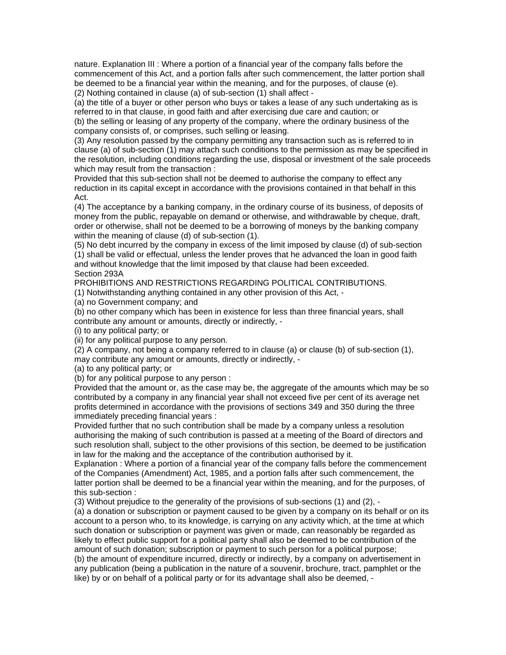nature. Explanation III : Where a portion of a financial year of the company falls before the commencement of this Act, and a portion falls after such commencement, the latter portion shall be deemed to be a financial year within the meaning, and for the purposes, of clause (e). (2) Nothing contained in clause (a) of sub-section (1) shall affect -

(a) the title of a buyer or other person who buys or takes a lease of any such undertaking as is referred to in that clause, in good faith and after exercising due care and caution; or (b) the selling or leasing of any property of the company, where the ordinary business of the

company consists of, or comprises, such selling or leasing. (3) Any resolution passed by the company permitting any transaction such as is referred to in clause (a) of sub-section (1) may attach such conditions to the permission as may be specified in

the resolution, including conditions regarding the use, disposal or investment of the sale proceeds which may result from the transaction :

Provided that this sub-section shall not be deemed to authorise the company to effect any reduction in its capital except in accordance with the provisions contained in that behalf in this Act.

(4) The acceptance by a banking company, in the ordinary course of its business, of deposits of money from the public, repayable on demand or otherwise, and withdrawable by cheque, draft, order or otherwise, shall not be deemed to be a borrowing of moneys by the banking company within the meaning of clause (d) of sub-section (1).

(5) No debt incurred by the company in excess of the limit imposed by clause (d) of sub-section (1) shall be valid or effectual, unless the lender proves that he advanced the loan in good faith and without knowledge that the limit imposed by that clause had been exceeded. Section 293A

PROHIBITIONS AND RESTRICTIONS REGARDING POLITICAL CONTRIBUTIONS.

(1) Notwithstanding anything contained in any other provision of this Act, -

(a) no Government company; and

(b) no other company which has been in existence for less than three financial years, shall contribute any amount or amounts, directly or indirectly, -

(i) to any political party; or

(ii) for any political purpose to any person.

(2) A company, not being a company referred to in clause (a) or clause (b) of sub-section (1), may contribute any amount or amounts, directly or indirectly, -

(a) to any political party; or

(b) for any political purpose to any person :

Provided that the amount or, as the case may be, the aggregate of the amounts which may be so contributed by a company in any financial year shall not exceed five per cent of its average net profits determined in accordance with the provisions of sections 349 and 350 during the three immediately preceding financial years :

Provided further that no such contribution shall be made by a company unless a resolution authorising the making of such contribution is passed at a meeting of the Board of directors and such resolution shall, subject to the other provisions of this section, be deemed to be justification in law for the making and the acceptance of the contribution authorised by it.

Explanation : Where a portion of a financial year of the company falls before the commencement of the Companies (Amendment) Act, 1985, and a portion falls after such commencement, the latter portion shall be deemed to be a financial year within the meaning, and for the purposes, of this sub-section :

(3) Without prejudice to the generality of the provisions of sub-sections (1) and (2), -

(a) a donation or subscription or payment caused to be given by a company on its behalf or on its account to a person who, to its knowledge, is carrying on any activity which, at the time at which such donation or subscription or payment was given or made, can reasonably be regarded as likely to effect public support for a political party shall also be deemed to be contribution of the amount of such donation; subscription or payment to such person for a political purpose;

(b) the amount of expenditure incurred, directly or indirectly, by a company on advertisement in any publication (being a publication in the nature of a souvenir, brochure, tract, pamphlet or the like) by or on behalf of a political party or for its advantage shall also be deemed, -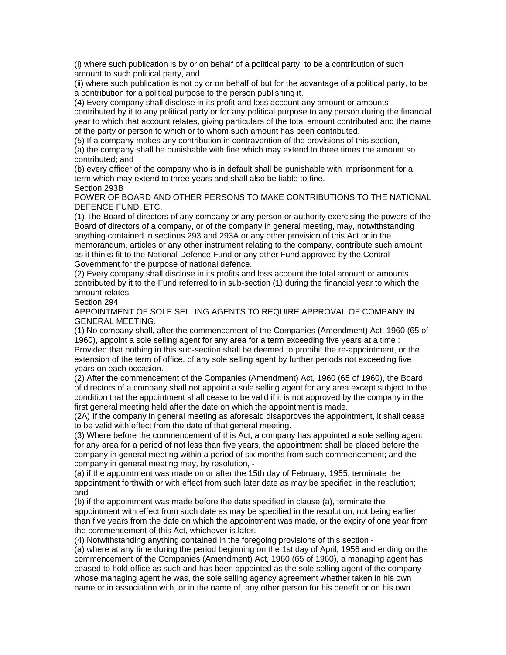(i) where such publication is by or on behalf of a political party, to be a contribution of such amount to such political party, and

(ii) where such publication is not by or on behalf of but for the advantage of a political party, to be a contribution for a political purpose to the person publishing it.

(4) Every company shall disclose in its profit and loss account any amount or amounts

contributed by it to any political party or for any political purpose to any person during the financial year to which that account relates, giving particulars of the total amount contributed and the name of the party or person to which or to whom such amount has been contributed.

(5) If a company makes any contribution in contravention of the provisions of this section, -

(a) the company shall be punishable with fine which may extend to three times the amount so contributed; and

(b) every officer of the company who is in default shall be punishable with imprisonment for a term which may extend to three years and shall also be liable to fine.

Section 293B

POWER OF BOARD AND OTHER PERSONS TO MAKE CONTRIBUTIONS TO THE NATIONAL DEFENCE FUND, ETC.

(1) The Board of directors of any company or any person or authority exercising the powers of the Board of directors of a company, or of the company in general meeting, may, notwithstanding anything contained in sections 293 and 293A or any other provision of this Act or in the memorandum, articles or any other instrument relating to the company, contribute such amount as it thinks fit to the National Defence Fund or any other Fund approved by the Central Government for the purpose of national defence.

(2) Every company shall disclose in its profits and loss account the total amount or amounts contributed by it to the Fund referred to in sub-section (1) during the financial year to which the amount relates.

Section 294

APPOINTMENT OF SOLE SELLING AGENTS TO REQUIRE APPROVAL OF COMPANY IN GENERAL MEETING.

(1) No company shall, after the commencement of the Companies (Amendment) Act, 1960 (65 of 1960), appoint a sole selling agent for any area for a term exceeding five years at a time : Provided that nothing in this sub-section shall be deemed to prohibit the re-appointment, or the extension of the term of office, of any sole selling agent by further periods not exceeding five years on each occasion.

(2) After the commencement of the Companies (Amendment) Act, 1960 (65 of 1960), the Board of directors of a company shall not appoint a sole selling agent for any area except subject to the condition that the appointment shall cease to be valid if it is not approved by the company in the first general meeting held after the date on which the appointment is made.

(2A) If the company in general meeting as aforesaid disapproves the appointment, it shall cease to be valid with effect from the date of that general meeting.

(3) Where before the commencement of this Act, a company has appointed a sole selling agent for any area for a period of not less than five years, the appointment shall be placed before the company in general meeting within a period of six months from such commencement; and the company in general meeting may, by resolution, -

(a) if the appointment was made on or after the 15th day of February, 1955, terminate the appointment forthwith or with effect from such later date as may be specified in the resolution; and

(b) if the appointment was made before the date specified in clause (a), terminate the appointment with effect from such date as may be specified in the resolution, not being earlier than five years from the date on which the appointment was made, or the expiry of one year from the commencement of this Act, whichever is later.

(4) Notwithstanding anything contained in the foregoing provisions of this section -

(a) where at any time during the period beginning on the 1st day of April, 1956 and ending on the commencement of the Companies (Amendment) Act, 1960 (65 of 1960), a managing agent has ceased to hold office as such and has been appointed as the sole selling agent of the company whose managing agent he was, the sole selling agency agreement whether taken in his own name or in association with, or in the name of, any other person for his benefit or on his own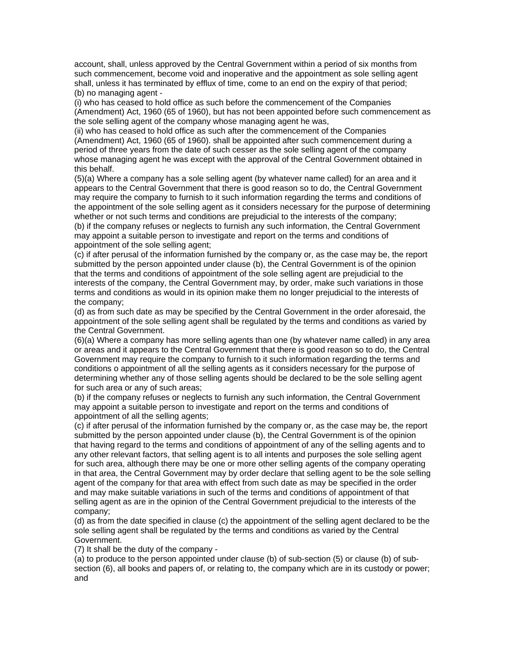account, shall, unless approved by the Central Government within a period of six months from such commencement, become void and inoperative and the appointment as sole selling agent shall, unless it has terminated by efflux of time, come to an end on the expiry of that period; (b) no managing agent -

(i) who has ceased to hold office as such before the commencement of the Companies (Amendment) Act, 1960 (65 of 1960), but has not been appointed before such commencement as the sole selling agent of the company whose managing agent he was,

(ii) who has ceased to hold office as such after the commencement of the Companies (Amendment) Act, 1960 (65 of 1960). shall be appointed after such commencement during a period of three years from the date of such cesser as the sole selling agent of the company whose managing agent he was except with the approval of the Central Government obtained in this behalf.

(5)(a) Where a company has a sole selling agent (by whatever name called) for an area and it appears to the Central Government that there is good reason so to do, the Central Government may require the company to furnish to it such information regarding the terms and conditions of the appointment of the sole selling agent as it considers necessary for the purpose of determining whether or not such terms and conditions are prejudicial to the interests of the company; (b) if the company refuses or neglects to furnish any such information, the Central Government may appoint a suitable person to investigate and report on the terms and conditions of appointment of the sole selling agent;

(c) if after perusal of the information furnished by the company or, as the case may be, the report submitted by the person appointed under clause (b), the Central Government is of the opinion that the terms and conditions of appointment of the sole selling agent are prejudicial to the interests of the company, the Central Government may, by order, make such variations in those terms and conditions as would in its opinion make them no longer prejudicial to the interests of the company;

(d) as from such date as may be specified by the Central Government in the order aforesaid, the appointment of the sole selling agent shall be regulated by the terms and conditions as varied by the Central Government.

(6)(a) Where a company has more selling agents than one (by whatever name called) in any area or areas and it appears to the Central Government that there is good reason so to do, the Central Government may require the company to furnish to it such information regarding the terms and conditions o appointment of all the selling agents as it considers necessary for the purpose of determining whether any of those selling agents should be declared to be the sole selling agent for such area or any of such areas;

(b) if the company refuses or neglects to furnish any such information, the Central Government may appoint a suitable person to investigate and report on the terms and conditions of appointment of all the selling agents;

(c) if after perusal of the information furnished by the company or, as the case may be, the report submitted by the person appointed under clause (b), the Central Government is of the opinion that having regard to the terms and conditions of appointment of any of the selling agents and to any other relevant factors, that selling agent is to all intents and purposes the sole selling agent for such area, although there may be one or more other selling agents of the company operating in that area, the Central Government may by order declare that selling agent to be the sole selling agent of the company for that area with effect from such date as may be specified in the order and may make suitable variations in such of the terms and conditions of appointment of that selling agent as are in the opinion of the Central Government prejudicial to the interests of the company;

(d) as from the date specified in clause (c) the appointment of the selling agent declared to be the sole selling agent shall be regulated by the terms and conditions as varied by the Central Government.

(7) It shall be the duty of the company -

(a) to produce to the person appointed under clause (b) of sub-section (5) or clause (b) of subsection (6), all books and papers of, or relating to, the company which are in its custody or power; and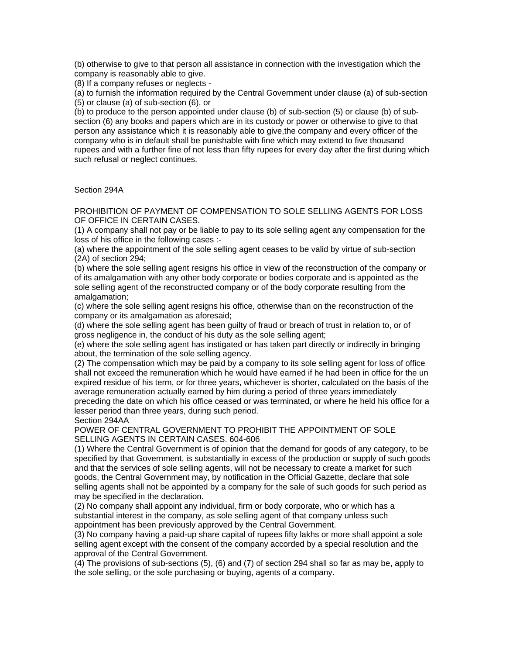(b) otherwise to give to that person all assistance in connection with the investigation which the company is reasonably able to give.

(8) If a company refuses or neglects -

(a) to furnish the information required by the Central Government under clause (a) of sub-section (5) or clause (a) of sub-section (6), or

(b) to produce to the person appointed under clause (b) of sub-section (5) or clause (b) of subsection (6) any books and papers which are in its custody or power or otherwise to give to that person any assistance which it is reasonably able to give,the company and every officer of the company who is in default shall be punishable with fine which may extend to five thousand rupees and with a further fine of not less than fifty rupees for every day after the first during which such refusal or neglect continues.

#### Section 294A

PROHIBITION OF PAYMENT OF COMPENSATION TO SOLE SELLING AGENTS FOR LOSS OF OFFICE IN CERTAIN CASES.

(1) A company shall not pay or be liable to pay to its sole selling agent any compensation for the loss of his office in the following cases :-

(a) where the appointment of the sole selling agent ceases to be valid by virtue of sub-section (2A) of section 294;

(b) where the sole selling agent resigns his office in view of the reconstruction of the company or of its amalgamation with any other body corporate or bodies corporate and is appointed as the sole selling agent of the reconstructed company or of the body corporate resulting from the amalgamation;

(c) where the sole selling agent resigns his office, otherwise than on the reconstruction of the company or its amalgamation as aforesaid;

(d) where the sole selling agent has been guilty of fraud or breach of trust in relation to, or of gross negligence in, the conduct of his duty as the sole selling agent;

(e) where the sole selling agent has instigated or has taken part directly or indirectly in bringing about, the termination of the sole selling agency.

(2) The compensation which may be paid by a company to its sole selling agent for loss of office shall not exceed the remuneration which he would have earned if he had been in office for the un expired residue of his term, or for three years, whichever is shorter, calculated on the basis of the average remuneration actually earned by him during a period of three years immediately

preceding the date on which his office ceased or was terminated, or where he held his office for a lesser period than three years, during such period.

Section 294AA

POWER OF CENTRAL GOVERNMENT TO PROHIBIT THE APPOINTMENT OF SOLE SELLING AGENTS IN CERTAIN CASES. 604-606

(1) Where the Central Government is of opinion that the demand for goods of any category, to be specified by that Government, is substantially in excess of the production or supply of such goods and that the services of sole selling agents, will not be necessary to create a market for such goods, the Central Government may, by notification in the Official Gazette, declare that sole selling agents shall not be appointed by a company for the sale of such goods for such period as may be specified in the declaration.

(2) No company shall appoint any individual, firm or body corporate, who or which has a substantial interest in the company, as sole selling agent of that company unless such appointment has been previously approved by the Central Government.

(3) No company having a paid-up share capital of rupees fifty lakhs or more shall appoint a sole selling agent except with the consent of the company accorded by a special resolution and the approval of the Central Government.

(4) The provisions of sub-sections (5), (6) and (7) of section 294 shall so far as may be, apply to the sole selling, or the sole purchasing or buying, agents of a company.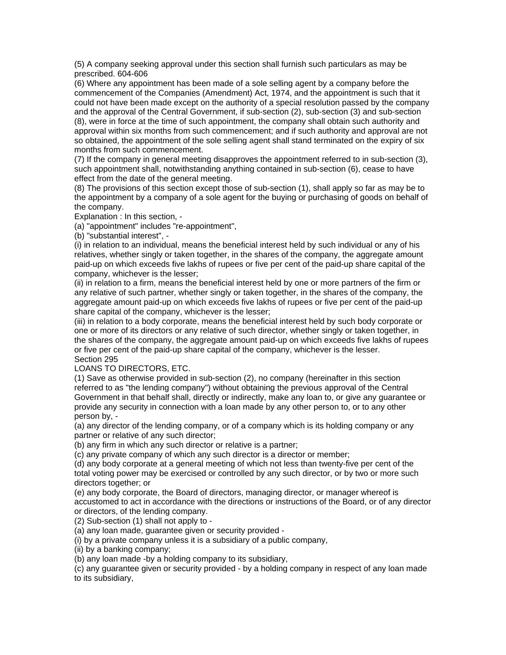(5) A company seeking approval under this section shall furnish such particulars as may be prescribed. 604-606

(6) Where any appointment has been made of a sole selling agent by a company before the commencement of the Companies (Amendment) Act, 1974, and the appointment is such that it could not have been made except on the authority of a special resolution passed by the company and the approval of the Central Government, if sub-section (2), sub-section (3) and sub-section (8), were in force at the time of such appointment, the company shall obtain such authority and approval within six months from such commencement; and if such authority and approval are not so obtained, the appointment of the sole selling agent shall stand terminated on the expiry of six months from such commencement.

(7) If the company in general meeting disapproves the appointment referred to in sub-section (3), such appointment shall, notwithstanding anything contained in sub-section (6), cease to have effect from the date of the general meeting.

(8) The provisions of this section except those of sub-section (1), shall apply so far as may be to the appointment by a company of a sole agent for the buying or purchasing of goods on behalf of the company.

Explanation : In this section, -

(a) "appointment" includes "re-appointment",

(b) "substantial interest", -

(i) in relation to an individual, means the beneficial interest held by such individual or any of his relatives, whether singly or taken together, in the shares of the company, the aggregate amount paid-up on which exceeds five lakhs of rupees or five per cent of the paid-up share capital of the company, whichever is the lesser;

(ii) in relation to a firm, means the beneficial interest held by one or more partners of the firm or any relative of such partner, whether singly or taken together, in the shares of the company, the aggregate amount paid-up on which exceeds five lakhs of rupees or five per cent of the paid-up share capital of the company, whichever is the lesser;

(iii) in relation to a body corporate, means the beneficial interest held by such body corporate or one or more of its directors or any relative of such director, whether singly or taken together, in the shares of the company, the aggregate amount paid-up on which exceeds five lakhs of rupees or five per cent of the paid-up share capital of the company, whichever is the lesser. Section 295

LOANS TO DIRECTORS, ETC.

(1) Save as otherwise provided in sub-section (2), no company (hereinafter in this section referred to as "the lending company") without obtaining the previous approval of the Central Government in that behalf shall, directly or indirectly, make any loan to, or give any guarantee or provide any security in connection with a loan made by any other person to, or to any other person by, -

(a) any director of the lending company, or of a company which is its holding company or any partner or relative of any such director;

(b) any firm in which any such director or relative is a partner;

(c) any private company of which any such director is a director or member;

(d) any body corporate at a general meeting of which not less than twenty-five per cent of the total voting power may be exercised or controlled by any such director, or by two or more such directors together; or

(e) any body corporate, the Board of directors, managing director, or manager whereof is accustomed to act in accordance with the directions or instructions of the Board, or of any director or directors, of the lending company.

(2) Sub-section (1) shall not apply to -

(a) any loan made, guarantee given or security provided -

(i) by a private company unless it is a subsidiary of a public company,

(ii) by a banking company;

(b) any loan made -by a holding company to its subsidiary,

(c) any guarantee given or security provided - by a holding company in respect of any loan made to its subsidiary,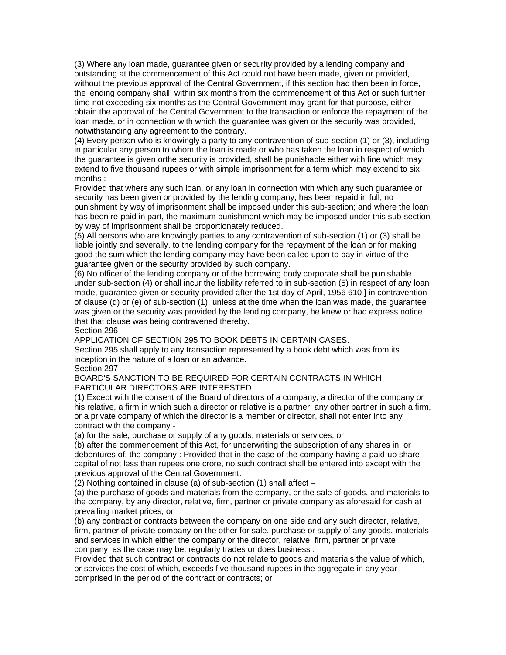(3) Where any loan made, guarantee given or security provided by a lending company and outstanding at the commencement of this Act could not have been made, given or provided, without the previous approval of the Central Government, if this section had then been in force, the lending company shall, within six months from the commencement of this Act or such further time not exceeding six months as the Central Government may grant for that purpose, either obtain the approval of the Central Government to the transaction or enforce the repayment of the loan made, or in connection with which the guarantee was given or the security was provided, notwithstanding any agreement to the contrary.

(4) Every person who is knowingly a party to any contravention of sub-section (1) or (3), including in particular any person to whom the loan is made or who has taken the loan in respect of which the guarantee is given orthe security is provided, shall be punishable either with fine which may extend to five thousand rupees or with simple imprisonment for a term which may extend to six months :

Provided that where any such loan, or any loan in connection with which any such guarantee or security has been given or provided by the lending company, has been repaid in full, no punishment by way of imprisonment shall be imposed under this sub-section; and where the loan has been re-paid in part, the maximum punishment which may be imposed under this sub-section by way of imprisonment shall be proportionately reduced.

(5) All persons who are knowingly parties to any contravention of sub-section (1) or (3) shall be liable jointly and severally, to the lending company for the repayment of the loan or for making good the sum which the lending company may have been called upon to pay in virtue of the guarantee given or the security provided by such company.

(6) No officer of the lending company or of the borrowing body corporate shall be punishable under sub-section (4) or shall incur the liability referred to in sub-section (5) in respect of any loan made, guarantee given or security provided after the 1st day of April, 1956 610 l in contravention of clause (d) or (e) of sub-section (1), unless at the time when the loan was made, the guarantee was given or the security was provided by the lending company, he knew or had express notice that that clause was being contravened thereby.

Section 296

APPLICATION OF SECTION 295 TO BOOK DEBTS IN CERTAIN CASES.

Section 295 shall apply to any transaction represented by a book debt which was from its inception in the nature of a loan or an advance.

Section 297

## BOARD'S SANCTION TO BE REQUIRED FOR CERTAIN CONTRACTS IN WHICH PARTICULAR DIRECTORS ARE INTERESTED.

(1) Except with the consent of the Board of directors of a company, a director of the company or his relative, a firm in which such a director or relative is a partner, any other partner in such a firm, or a private company of which the director is a member or director, shall not enter into any contract with the company -

(a) for the sale, purchase or supply of any goods, materials or services; or

(b) after the commencement of this Act, for underwriting the subscription of any shares in, or debentures of, the company : Provided that in the case of the company having a paid-up share capital of not less than rupees one crore, no such contract shall be entered into except with the previous approval of the Central Government.

(2) Nothing contained in clause (a) of sub-section (1) shall affect –

(a) the purchase of goods and materials from the company, or the sale of goods, and materials to the company, by any director, relative, firm, partner or private company as aforesaid for cash at prevailing market prices; or

(b) any contract or contracts between the company on one side and any such director, relative, firm, partner of private company on the other for sale, purchase or supply of any goods, materials and services in which either the company or the director, relative, firm, partner or private company, as the case may be, regularly trades or does business :

Provided that such contract or contracts do not relate to goods and materials the value of which, or services the cost of which, exceeds five thousand rupees in the aggregate in any year comprised in the period of the contract or contracts; or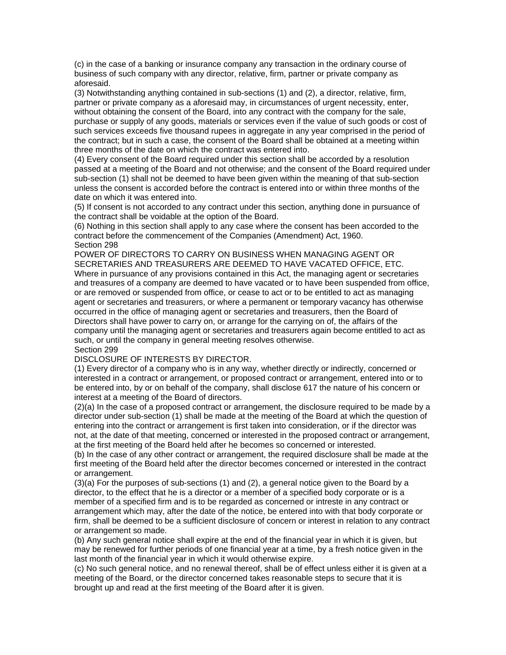(c) in the case of a banking or insurance company any transaction in the ordinary course of business of such company with any director, relative, firm, partner or private company as aforesaid.

(3) Notwithstanding anything contained in sub-sections (1) and (2), a director, relative, firm, partner or private company as a aforesaid may, in circumstances of urgent necessity, enter, without obtaining the consent of the Board, into any contract with the company for the sale, purchase or supply of any goods, materials or services even if the value of such goods or cost of such services exceeds five thousand rupees in aggregate in any year comprised in the period of the contract; but in such a case, the consent of the Board shall be obtained at a meeting within three months of the date on which the contract was entered into.

(4) Every consent of the Board required under this section shall be accorded by a resolution passed at a meeting of the Board and not otherwise; and the consent of the Board required under sub-section (1) shall not be deemed to have been given within the meaning of that sub-section unless the consent is accorded before the contract is entered into or within three months of the date on which it was entered into.

(5) If consent is not accorded to any contract under this section, anything done in pursuance of the contract shall be voidable at the option of the Board.

(6) Nothing in this section shall apply to any case where the consent has been accorded to the contract before the commencement of the Companies (Amendment) Act, 1960. Section 298

POWER OF DIRECTORS TO CARRY ON BUSINESS WHEN MANAGING AGENT OR SECRETARIES AND TREASURERS ARE DEEMED TO HAVE VACATED OFFICE, ETC. Where in pursuance of any provisions contained in this Act, the managing agent or secretaries and treasures of a company are deemed to have vacated or to have been suspended from office, or are removed or suspended from office, or cease to act or to be entitled to act as managing agent or secretaries and treasurers, or where a permanent or temporary vacancy has otherwise occurred in the office of managing agent or secretaries and treasurers, then the Board of Directors shall have power to carry on, or arrange for the carrying on of, the affairs of the company until the managing agent or secretaries and treasurers again become entitled to act as such, or until the company in general meeting resolves otherwise. Section 299

DISCLOSURE OF INTERESTS BY DIRECTOR.

(1) Every director of a company who is in any way, whether directly or indirectly, concerned or interested in a contract or arrangement, or proposed contract or arrangement, entered into or to be entered into, by or on behalf of the company, shall disclose 617 the nature of his concern or interest at a meeting of the Board of directors.

(2)(a) In the case of a proposed contract or arrangement, the disclosure required to be made by a director under sub-section (1) shall be made at the meeting of the Board at which the question of entering into the contract or arrangement is first taken into consideration, or if the director was not, at the date of that meeting, concerned or interested in the proposed contract or arrangement, at the first meeting of the Board held after he becomes so concerned or interested.

(b) In the case of any other contract or arrangement, the required disclosure shall be made at the first meeting of the Board held after the director becomes concerned or interested in the contract or arrangement.

(3)(a) For the purposes of sub-sections (1) and (2), a general notice given to the Board by a director, to the effect that he is a director or a member of a specified body corporate or is a member of a specified firm and is to be regarded as concerned or intreste in any contract or arrangement which may, after the date of the notice, be entered into with that body corporate or firm, shall be deemed to be a sufficient disclosure of concern or interest in relation to any contract or arrangement so made.

(b) Any such general notice shall expire at the end of the financial year in which it is given, but may be renewed for further periods of one financial year at a time, by a fresh notice given in the last month of the financial year in which it would otherwise expire.

(c) No such general notice, and no renewal thereof, shall be of effect unless either it is given at a meeting of the Board, or the director concerned takes reasonable steps to secure that it is brought up and read at the first meeting of the Board after it is given.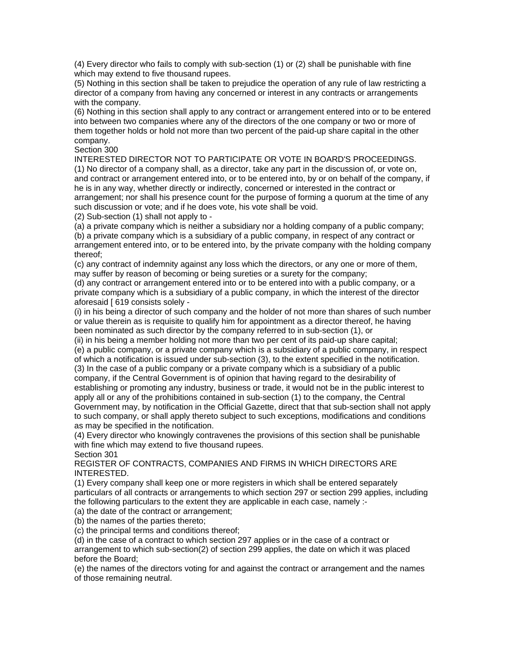(4) Every director who fails to comply with sub-section (1) or (2) shall be punishable with fine which may extend to five thousand rupees.

(5) Nothing in this section shall be taken to prejudice the operation of any rule of law restricting a director of a company from having any concerned or interest in any contracts or arrangements with the company.

(6) Nothing in this section shall apply to any contract or arrangement entered into or to be entered into between two companies where any of the directors of the one company or two or more of them together holds or hold not more than two percent of the paid-up share capital in the other company.

## Section 300

INTERESTED DIRECTOR NOT TO PARTICIPATE OR VOTE IN BOARD'S PROCEEDINGS. (1) No director of a company shall, as a director, take any part in the discussion of, or vote on, and contract or arrangement entered into, or to be entered into, by or on behalf of the company, if he is in any way, whether directly or indirectly, concerned or interested in the contract or arrangement; nor shall his presence count for the purpose of forming a quorum at the time of any such discussion or vote; and if he does vote, his vote shall be void.

(2) Sub-section (1) shall not apply to -

(a) a private company which is neither a subsidiary nor a holding company of a public company; (b) a private company which is a subsidiary of a public company, in respect of any contract or arrangement entered into, or to be entered into, by the private company with the holding company thereof;

(c) any contract of indemnity against any loss which the directors, or any one or more of them, may suffer by reason of becoming or being sureties or a surety for the company;

(d) any contract or arrangement entered into or to be entered into with a public company, or a private company which is a subsidiary of a public company, in which the interest of the director aforesaid [ 619 consists solely -

(i) in his being a director of such company and the holder of not more than shares of such number or value therein as is requisite to qualify him for appointment as a director thereof, he having been nominated as such director by the company referred to in sub-section (1), or

(ii) in his being a member holding not more than two per cent of its paid-up share capital; (e) a public company, or a private company which is a subsidiary of a public company, in respect of which a notification is issued under sub-section (3), to the extent specified in the notification. (3) In the case of a public company or a private company which is a subsidiary of a public company, if the Central Government is of opinion that having regard to the desirability of establishing or promoting any industry, business or trade, it would not be in the public interest to

apply all or any of the prohibitions contained in sub-section (1) to the company, the Central Government may, by notification in the Official Gazette, direct that that sub-section shall not apply to such company, or shall apply thereto subject to such exceptions, modifications and conditions as may be specified in the notification.

(4) Every director who knowingly contravenes the provisions of this section shall be punishable with fine which may extend to five thousand rupees.

Section 301

REGISTER OF CONTRACTS, COMPANIES AND FIRMS IN WHICH DIRECTORS ARE INTERESTED.

(1) Every company shall keep one or more registers in which shall be entered separately particulars of all contracts or arrangements to which section 297 or section 299 applies, including the following particulars to the extent they are applicable in each case, namely :-

(a) the date of the contract or arrangement;

(b) the names of the parties thereto;

(c) the principal terms and conditions thereof;

(d) in the case of a contract to which section 297 applies or in the case of a contract or arrangement to which sub-section(2) of section 299 applies, the date on which it was placed before the Board;

(e) the names of the directors voting for and against the contract or arrangement and the names of those remaining neutral.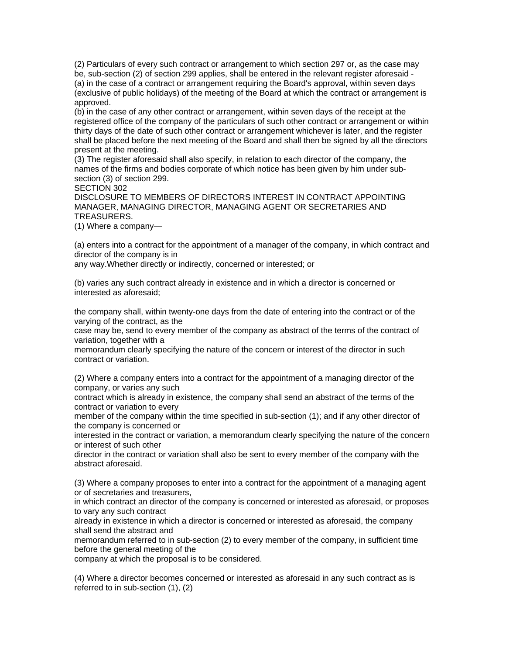(2) Particulars of every such contract or arrangement to which section 297 or, as the case may be, sub-section (2) of section 299 applies, shall be entered in the relevant register aforesaid - (a) in the case of a contract or arrangement requiring the Board's approval, within seven days (exclusive of public holidays) of the meeting of the Board at which the contract or arrangement is approved.

(b) in the case of any other contract or arrangement, within seven days of the receipt at the registered office of the company of the particulars of such other contract or arrangement or within thirty days of the date of such other contract or arrangement whichever is later, and the register shall be placed before the next meeting of the Board and shall then be signed by all the directors present at the meeting.

(3) The register aforesaid shall also specify, in relation to each director of the company, the names of the firms and bodies corporate of which notice has been given by him under subsection (3) of section 299.

SECTION 302

DISCLOSURE TO MEMBERS OF DIRECTORS INTEREST IN CONTRACT APPOINTING MANAGER, MANAGING DIRECTOR, MANAGING AGENT OR SECRETARIES AND TREASURERS.

(1) Where a company—

(a) enters into a contract for the appointment of a manager of the company, in which contract and director of the company is in

any way.Whether directly or indirectly, concerned or interested; or

(b) varies any such contract already in existence and in which a director is concerned or interested as aforesaid;

the company shall, within twenty-one days from the date of entering into the contract or of the varying of the contract, as the

case may be, send to every member of the company as abstract of the terms of the contract of variation, together with a

memorandum clearly specifying the nature of the concern or interest of the director in such contract or variation.

(2) Where a company enters into a contract for the appointment of a managing director of the company, or varies any such

contract which is already in existence, the company shall send an abstract of the terms of the contract or variation to every

member of the company within the time specified in sub-section (1); and if any other director of the company is concerned or

interested in the contract or variation, a memorandum clearly specifying the nature of the concern or interest of such other

director in the contract or variation shall also be sent to every member of the company with the abstract aforesaid.

(3) Where a company proposes to enter into a contract for the appointment of a managing agent or of secretaries and treasurers,

in which contract an director of the company is concerned or interested as aforesaid, or proposes to vary any such contract

already in existence in which a director is concerned or interested as aforesaid, the company shall send the abstract and

memorandum referred to in sub-section (2) to every member of the company, in sufficient time before the general meeting of the

company at which the proposal is to be considered.

(4) Where a director becomes concerned or interested as aforesaid in any such contract as is referred to in sub-section (1), (2)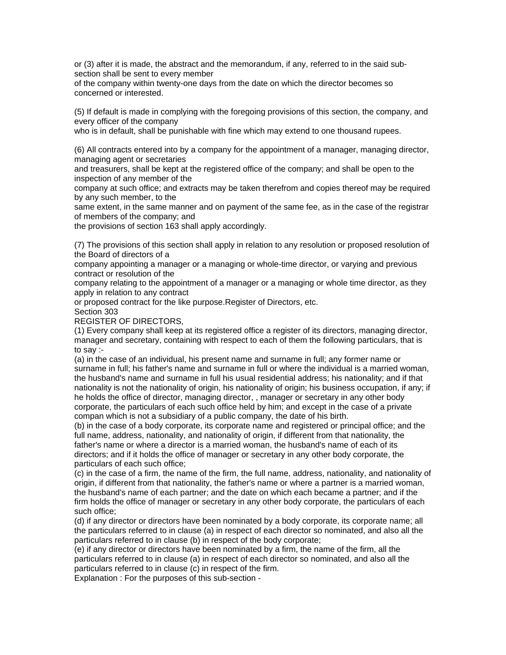or (3) after it is made, the abstract and the memorandum, if any, referred to in the said subsection shall be sent to every member

of the company within twenty-one days from the date on which the director becomes so concerned or interested.

(5) If default is made in complying with the foregoing provisions of this section, the company, and every officer of the company

who is in default, shall be punishable with fine which may extend to one thousand rupees.

(6) All contracts entered into by a company for the appointment of a manager, managing director, managing agent or secretaries

and treasurers, shall be kept at the registered office of the company; and shall be open to the inspection of any member of the

company at such office; and extracts may be taken therefrom and copies thereof may be required by any such member, to the

same extent, in the same manner and on payment of the same fee, as in the case of the registrar of members of the company; and

the provisions of section 163 shall apply accordingly.

(7) The provisions of this section shall apply in relation to any resolution or proposed resolution of the Board of directors of a

company appointing a manager or a managing or whole-time director, or varying and previous contract or resolution of the

company relating to the appointment of a manager or a managing or whole time director, as they apply in relation to any contract

or proposed contract for the like purpose.Register of Directors, etc.

Section 303

REGISTER OF DIRECTORS,

(1) Every company shall keep at its registered office a register of its directors, managing director, manager and secretary, containing with respect to each of them the following particulars, that is to say :-

(a) in the case of an individual, his present name and surname in full; any former name or surname in full; his father's name and surname in full or where the individual is a married woman, the husband's name and surname in full his usual residential address; his nationality; and if that nationality is not the nationality of origin, his nationality of origin; his business occupation, if any; if he holds the office of director, managing director, , manager or secretary in any other body corporate, the particulars of each such office held by him; and except in the case of a private compan which is not a subsidiary of a public company, the date of his birth.

(b) in the case of a body corporate, its corporate name and registered or principal office; and the full name, address, nationality, and nationality of origin, if different from that nationality, the father's name or where a director is a married woman, the husband's name of each of its directors; and if it holds the office of manager or secretary in any other body corporate, the particulars of each such office;

(c) in the case of a firm, the name of the firm, the full name, address, nationality, and nationality of origin, if different from that nationality, the father's name or where a partner is a married woman, the husband's name of each partner; and the date on which each became a partner; and if the firm holds the office of manager or secretary in any other body corporate, the particulars of each such office;

(d) if any director or directors have been nominated by a body corporate, its corporate name; all the particulars referred to in clause (a) in respect of each director so nominated, and also all the particulars referred to in clause (b) in respect of the body corporate;

(e) if any director or directors have been nominated by a firm, the name of the firm, all the particulars referred to in clause (a) in respect of each director so nominated, and also all the particulars referred to in clause (c) in respect of the firm.

Explanation : For the purposes of this sub-section -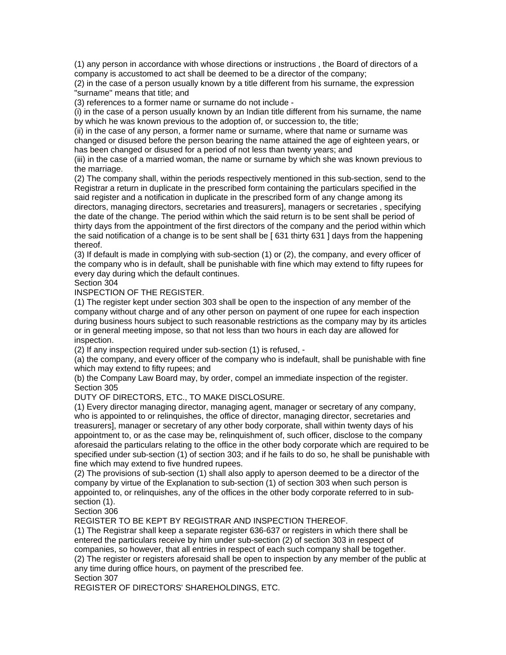(1) any person in accordance with whose directions or instructions , the Board of directors of a company is accustomed to act shall be deemed to be a director of the company;

(2) in the case of a person usually known by a title different from his surname, the expression "surname" means that title; and

(3) references to a former name or surname do not include -

(i) in the case of a person usually known by an Indian title different from his surname, the name by which he was known previous to the adoption of, or succession to, the title;

(ii) in the case of any person, a former name or surname, where that name or surname was changed or disused before the person bearing the name attained the age of eighteen years, or has been changed or disused for a period of not less than twenty years; and

(iii) in the case of a married woman, the name or surname by which she was known previous to the marriage.

(2) The company shall, within the periods respectively mentioned in this sub-section, send to the Registrar a return in duplicate in the prescribed form containing the particulars specified in the said register and a notification in duplicate in the prescribed form of any change among its directors, managing directors, secretaries and treasurers], managers or secretaries , specifying the date of the change. The period within which the said return is to be sent shall be period of thirty days from the appointment of the first directors of the company and the period within which the said notification of a change is to be sent shall be [ 631 thirty 631 ] days from the happening thereof.

(3) If default is made in complying with sub-section (1) or (2), the company, and every officer of the company who is in default, shall be punishable with fine which may extend to fifty rupees for every day during which the default continues.

## Section 304

INSPECTION OF THE REGISTER.

(1) The register kept under section 303 shall be open to the inspection of any member of the company without charge and of any other person on payment of one rupee for each inspection during business hours subject to such reasonable restrictions as the company may by its articles or in general meeting impose, so that not less than two hours in each day are allowed for inspection.

(2) If any inspection required under sub-section (1) is refused, -

(a) the company, and every officer of the company who is indefault, shall be punishable with fine which may extend to fifty rupees; and

(b) the Company Law Board may, by order, compel an immediate inspection of the register. Section 305

DUTY OF DIRECTORS, ETC., TO MAKE DISCLOSURE.

(1) Every director managing director, managing agent, manager or secretary of any company, who is appointed to or relinquishes, the office of director, managing director, secretaries and treasurers], manager or secretary of any other body corporate, shall within twenty days of his appointment to, or as the case may be, relinquishment of, such officer, disclose to the company aforesaid the particulars relating to the office in the other body corporate which are required to be specified under sub-section (1) of section 303; and if he fails to do so, he shall be punishable with fine which may extend to five hundred rupees.

(2) The provisions of sub-section (1) shall also apply to aperson deemed to be a director of the company by virtue of the Explanation to sub-section (1) of section 303 when such person is appointed to, or relinquishes, any of the offices in the other body corporate referred to in subsection (1).

Section 306

REGISTER TO BE KEPT BY REGISTRAR AND INSPECTION THEREOF.

(1) The Registrar shall keep a separate register 636-637 or registers in which there shall be entered the particulars receive by him under sub-section (2) of section 303 in respect of companies, so however, that all entries in respect of each such company shall be together. (2) The register or registers aforesaid shall be open to inspection by any member of the public at

any time during office hours, on payment of the prescribed fee. Section 307

REGISTER OF DIRECTORS' SHAREHOLDINGS, ETC.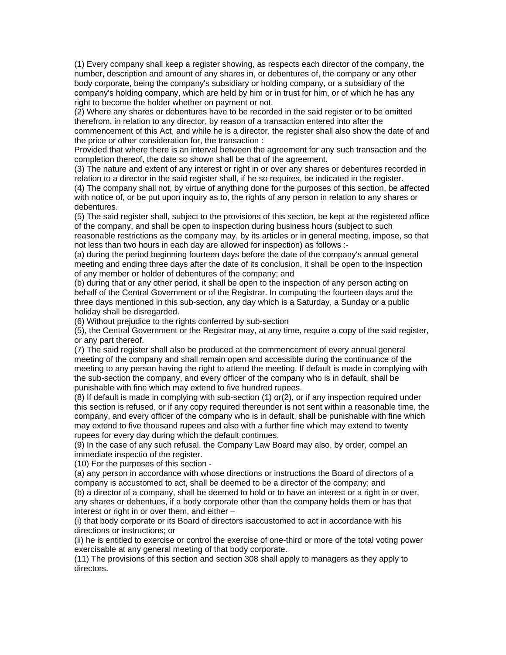(1) Every company shall keep a register showing, as respects each director of the company, the number, description and amount of any shares in, or debentures of, the company or any other body corporate, being the company's subsidiary or holding company, or a subsidiary of the company's holding company, which are held by him or in trust for him, or of which he has any right to become the holder whether on payment or not.

(2) Where any shares or debentures have to be recorded in the said register or to be omitted therefrom, in relation to any director, by reason of a transaction entered into after the commencement of this Act, and while he is a director, the register shall also show the date of and the price or other consideration for, the transaction :

Provided that where there is an interval between the agreement for any such transaction and the completion thereof, the date so shown shall be that of the agreement.

(3) The nature and extent of any interest or right in or over any shares or debentures recorded in relation to a director in the said register shall, if he so requires, be indicated in the register.

(4) The company shall not, by virtue of anything done for the purposes of this section, be affected with notice of, or be put upon inquiry as to, the rights of any person in relation to any shares or debentures.

(5) The said register shall, subject to the provisions of this section, be kept at the registered office of the company, and shall be open to inspection during business hours (subject to such reasonable restrictions as the company may, by its articles or in general meeting, impose, so that

not less than two hours in each day are allowed for inspection) as follows :-

(a) during the period beginning fourteen days before the date of the company's annual general meeting and ending three days after the date of its conclusion, it shall be open to the inspection of any member or holder of debentures of the company; and

(b) during that or any other period, it shall be open to the inspection of any person acting on behalf of the Central Government or of the Registrar. In computing the fourteen days and the three days mentioned in this sub-section, any day which is a Saturday, a Sunday or a public holiday shall be disregarded.

(6) Without prejudice to the rights conferred by sub-section

(5), the Central Government or the Registrar may, at any time, require a copy of the said register, or any part thereof.

(7) The said register shall also be produced at the commencement of every annual general meeting of the company and shall remain open and accessible during the continuance of the meeting to any person having the right to attend the meeting. If default is made in complying with the sub-section the company, and every officer of the company who is in default, shall be punishable with fine which may extend to five hundred rupees.

(8) If default is made in complying with sub-section (1) or(2), or if any inspection required under this section is refused, or if any copy required thereunder is not sent within a reasonable time, the company, and every officer of the company who is in default, shall be punishable with fine which may extend to five thousand rupees and also with a further fine which may extend to twenty rupees for every day during which the default continues.

(9) In the case of any such refusal, the Company Law Board may also, by order, compel an immediate inspectio of the register.

(10) For the purposes of this section -

(a) any person in accordance with whose directions or instructions the Board of directors of a company is accustomed to act, shall be deemed to be a director of the company; and (b) a director of a company, shall be deemed to hold or to have an interest or a right in or over, any shares or debentues, if a body corporate other than the company holds them or has that interest or right in or over them, and either  $-$ 

(i) that body corporate or its Board of directors isaccustomed to act in accordance with his directions or instructions; or

(ii) he is entitled to exercise or control the exercise of one-third or more of the total voting power exercisable at any general meeting of that body corporate.

(11) The provisions of this section and section 308 shall apply to managers as they apply to directors.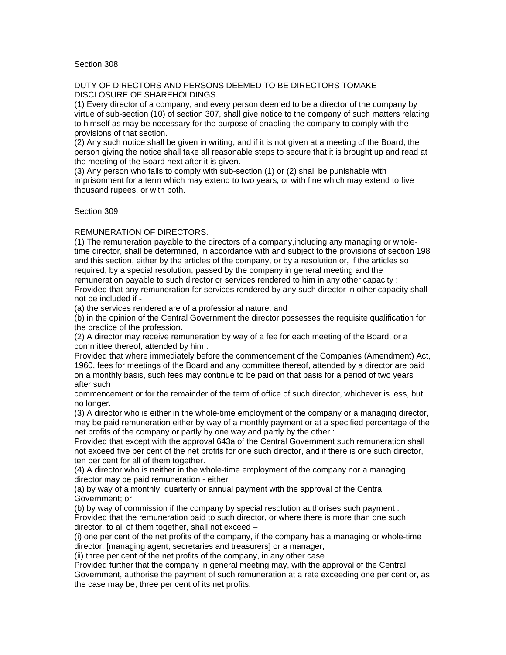## Section 308

## DUTY OF DIRECTORS AND PERSONS DEEMED TO BE DIRECTORS TOMAKE DISCLOSURE OF SHAREHOLDINGS.

(1) Every director of a company, and every person deemed to be a director of the company by virtue of sub-section (10) of section 307, shall give notice to the company of such matters relating to himself as may be necessary for the purpose of enabling the company to comply with the provisions of that section.

(2) Any such notice shall be given in writing, and if it is not given at a meeting of the Board, the person giving the notice shall take all reasonable steps to secure that it is brought up and read at the meeting of the Board next after it is given.

(3) Any person who fails to comply with sub-section (1) or (2) shall be punishable with imprisonment for a term which may extend to two years, or with fine which may extend to five thousand rupees, or with both.

## Section 309

## REMUNERATION OF DIRECTORS.

(1) The remuneration payable to the directors of a company,including any managing or wholetime director, shall be determined, in accordance with and subject to the provisions of section 198 and this section, either by the articles of the company, or by a resolution or, if the articles so required, by a special resolution, passed by the company in general meeting and the remuneration payable to such director or services rendered to him in any other capacity : Provided that any remuneration for services rendered by any such director in other capacity shall not be included if -

(a) the services rendered are of a professional nature, and

(b) in the opinion of the Central Government the director possesses the requisite qualification for the practice of the profession.

(2) A director may receive remuneration by way of a fee for each meeting of the Board, or a committee thereof, attended by him :

Provided that where immediately before the commencement of the Companies (Amendment) Act, 1960, fees for meetings of the Board and any committee thereof, attended by a director are paid on a monthly basis, such fees may continue to be paid on that basis for a period of two years after such

commencement or for the remainder of the term of office of such director, whichever is less, but no longer.

(3) A director who is either in the whole-time employment of the company or a managing director, may be paid remuneration either by way of a monthly payment or at a specified percentage of the net profits of the company or partly by one way and partly by the other :

Provided that except with the approval 643a of the Central Government such remuneration shall not exceed five per cent of the net profits for one such director, and if there is one such director, ten per cent for all of them together.

(4) A director who is neither in the whole-time employment of the company nor a managing director may be paid remuneration - either

(a) by way of a monthly, quarterly or annual payment with the approval of the Central Government; or

(b) by way of commission if the company by special resolution authorises such payment : Provided that the remuneration paid to such director, or where there is more than one such director, to all of them together, shall not exceed –

(i) one per cent of the net profits of the company, if the company has a managing or whole-time director, [managing agent, secretaries and treasurers] or a manager;

(ii) three per cent of the net profits of the company, in any other case :

Provided further that the company in general meeting may, with the approval of the Central Government, authorise the payment of such remuneration at a rate exceeding one per cent or, as the case may be, three per cent of its net profits.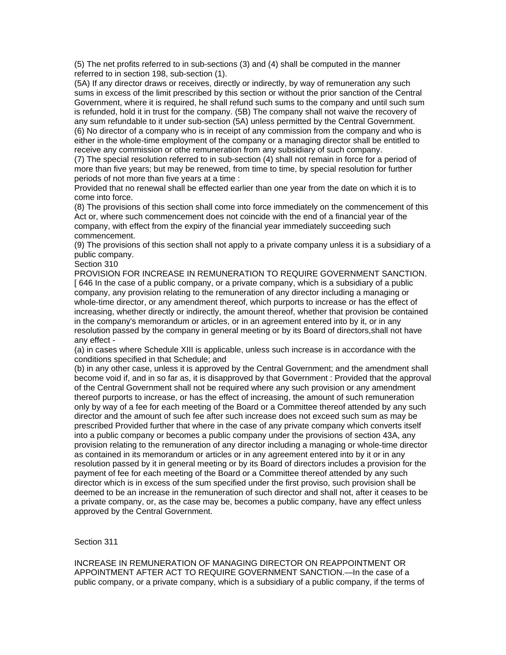(5) The net profits referred to in sub-sections (3) and (4) shall be computed in the manner referred to in section 198, sub-section (1).

(5A) If any director draws or receives, directly or indirectly, by way of remuneration any such sums in excess of the limit prescribed by this section or without the prior sanction of the Central Government, where it is required, he shall refund such sums to the company and until such sum is refunded, hold it in trust for the company. (5B) The company shall not waive the recovery of any sum refundable to it under sub-section (5A) unless permitted by the Central Government. (6) No director of a company who is in receipt of any commission from the company and who is either in the whole-time employment of the company or a managing director shall be entitled to receive any commission or othe remuneration from any subsidiary of such company.

(7) The special resolution referred to in sub-section (4) shall not remain in force for a period of more than five years; but may be renewed, from time to time, by special resolution for further periods of not more than five years at a time :

Provided that no renewal shall be effected earlier than one year from the date on which it is to come into force.

(8) The provisions of this section shall come into force immediately on the commencement of this Act or, where such commencement does not coincide with the end of a financial year of the company, with effect from the expiry of the financial year immediately succeeding such commencement.

(9) The provisions of this section shall not apply to a private company unless it is a subsidiary of a public company.

Section 310

PROVISION FOR INCREASE IN REMUNERATION TO REQUIRE GOVERNMENT SANCTION. [ 646 In the case of a public company, or a private company, which is a subsidiary of a public company, any provision relating to the remuneration of any director including a managing or whole-time director, or any amendment thereof, which purports to increase or has the effect of increasing, whether directly or indirectly, the amount thereof, whether that provision be contained in the company's memorandum or articles, or in an agreement entered into by it, or in any resolution passed by the company in general meeting or by its Board of directors,shall not have any effect -

(a) in cases where Schedule XIII is applicable, unless such increase is in accordance with the conditions specified in that Schedule; and

(b) in any other case, unless it is approved by the Central Government; and the amendment shall become void if, and in so far as, it is disapproved by that Government : Provided that the approval of the Central Government shall not be required where any such provision or any amendment thereof purports to increase, or has the effect of increasing, the amount of such remuneration only by way of a fee for each meeting of the Board or a Committee thereof attended by any such director and the amount of such fee after such increase does not exceed such sum as may be prescribed Provided further that where in the case of any private company which converts itself into a public company or becomes a public company under the provisions of section 43A, any provision relating to the remuneration of any director including a managing or whole-time director as contained in its memorandum or articles or in any agreement entered into by it or in any resolution passed by it in general meeting or by its Board of directors includes a provision for the payment of fee for each meeting of the Board or a Committee thereof attended by any such director which is in excess of the sum specified under the first proviso, such provision shall be deemed to be an increase in the remuneration of such director and shall not, after it ceases to be a private company, or, as the case may be, becomes a public company, have any effect unless approved by the Central Government.

Section 311

INCREASE IN REMUNERATION OF MANAGING DIRECTOR ON REAPPOINTMENT OR APPOINTMENT AFTER ACT TO REQUIRE GOVERNMENT SANCTION.—In the case of a public company, or a private company, which is a subsidiary of a public company, if the terms of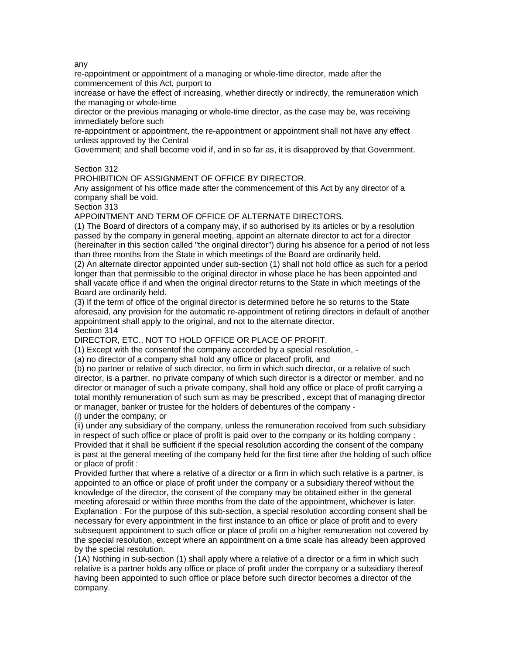any

re-appointment or appointment of a managing or whole-time director, made after the commencement of this Act, purport to

increase or have the effect of increasing, whether directly or indirectly, the remuneration which the managing or whole-time

director or the previous managing or whole-time director, as the case may be, was receiving immediately before such

re-appointment or appointment, the re-appointment or appointment shall not have any effect unless approved by the Central

Government; and shall become void if, and in so far as, it is disapproved by that Government.

Section 312

PROHIBITION OF ASSIGNMENT OF OFFICE BY DIRECTOR.

Any assignment of his office made after the commencement of this Act by any director of a company shall be void.

Section 313

APPOINTMENT AND TERM OF OFFICE OF ALTERNATE DIRECTORS.

(1) The Board of directors of a company may, if so authorised by its articles or by a resolution passed by the company in general meeting, appoint an alternate director to act for a director (hereinafter in this section called "the original director") during his absence for a period of not less than three months from the State in which meetings of the Board are ordinarily held.

(2) An alternate director appointed under sub-section (1) shall not hold office as such for a period longer than that permissible to the original director in whose place he has been appointed and shall vacate office if and when the original director returns to the State in which meetings of the Board are ordinarily held.

(3) If the term of office of the original director is determined before he so returns to the State aforesaid, any provision for the automatic re-appointment of retiring directors in default of another appointment shall apply to the original, and not to the alternate director. Section 314

DIRECTOR, ETC., NOT TO HOLD OFFICE OR PLACE OF PROFIT.

(1) Except with the consentof the company accorded by a special resolution, -

(a) no director of a company shall hold any office or placeof profit, and

(b) no partner or relative of such director, no firm in which such director, or a relative of such director, is a partner, no private company of which such director is a director or member, and no director or manager of such a private company, shall hold any office or place of profit carrying a total monthly remuneration of such sum as may be prescribed , except that of managing director or manager, banker or trustee for the holders of debentures of the company -

(i) under the company; or

(ii) under any subsidiary of the company, unless the remuneration received from such subsidiary in respect of such office or place of profit is paid over to the company or its holding company : Provided that it shall be sufficient if the special resolution according the consent of the company is past at the general meeting of the company held for the first time after the holding of such office or place of profit :

Provided further that where a relative of a director or a firm in which such relative is a partner, is appointed to an office or place of profit under the company or a subsidiary thereof without the knowledge of the director, the consent of the company may be obtained either in the general meeting aforesaid or within three months from the date of the appointment, whichever is later. Explanation : For the purpose of this sub-section, a special resolution according consent shall be necessary for every appointment in the first instance to an office or place of profit and to every subsequent appointment to such office or place of profit on a higher remuneration not covered by the special resolution, except where an appointment on a time scale has already been approved by the special resolution.

(1A) Nothing in sub-section (1) shall apply where a relative of a director or a firm in which such relative is a partner holds any office or place of profit under the company or a subsidiary thereof having been appointed to such office or place before such director becomes a director of the company.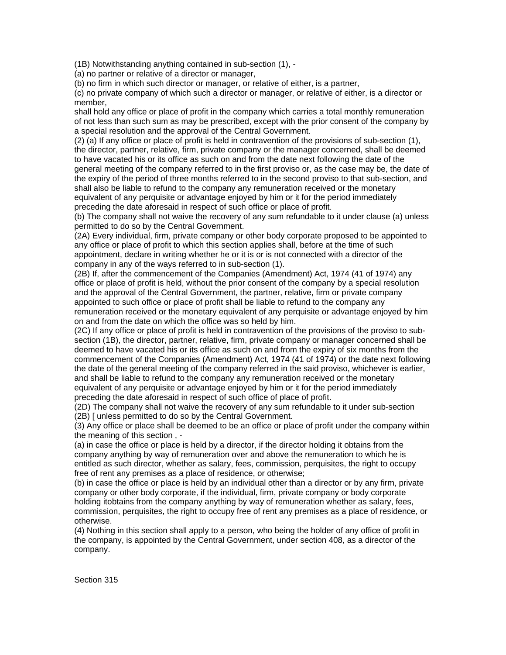(1B) Notwithstanding anything contained in sub-section (1), -

(a) no partner or relative of a director or manager,

(b) no firm in which such director or manager, or relative of either, is a partner,

(c) no private company of which such a director or manager, or relative of either, is a director or member,

shall hold any office or place of profit in the company which carries a total monthly remuneration of not less than such sum as may be prescribed, except with the prior consent of the company by a special resolution and the approval of the Central Government.

(2) (a) If any office or place of profit is held in contravention of the provisions of sub-section (1), the director, partner, relative, firm, private company or the manager concerned, shall be deemed to have vacated his or its office as such on and from the date next following the date of the general meeting of the company referred to in the first proviso or, as the case may be, the date of the expiry of the period of three months referred to in the second proviso to that sub-section, and shall also be liable to refund to the company any remuneration received or the monetary equivalent of any perquisite or advantage enjoyed by him or it for the period immediately preceding the date aforesaid in respect of such office or place of profit.

(b) The company shall not waive the recovery of any sum refundable to it under clause (a) unless permitted to do so by the Central Government.

(2A) Every individual, firm, private company or other body corporate proposed to be appointed to any office or place of profit to which this section applies shall, before at the time of such appointment, declare in writing whether he or it is or is not connected with a director of the company in any of the ways referred to in sub-section (1).

(2B) If, after the commencement of the Companies (Amendment) Act, 1974 (41 of 1974) any office or place of profit is held, without the prior consent of the company by a special resolution and the approval of the Central Government, the partner, relative, firm or private company appointed to such office or place of profit shall be liable to refund to the company any remuneration received or the monetary equivalent of any perquisite or advantage enjoyed by him on and from the date on which the office was so held by him.

(2C) If any office or place of profit is held in contravention of the provisions of the proviso to subsection (1B), the director, partner, relative, firm, private company or manager concerned shall be deemed to have vacated his or its office as such on and from the expiry of six months from the commencement of the Companies (Amendment) Act, 1974 (41 of 1974) or the date next following the date of the general meeting of the company referred in the said proviso, whichever is earlier, and shall be liable to refund to the company any remuneration received or the monetary equivalent of any perquisite or advantage enjoyed by him or it for the period immediately preceding the date aforesaid in respect of such office of place of profit.

(2D) The company shall not waive the recovery of any sum refundable to it under sub-section (2B) [ unless permitted to do so by the Central Government.

(3) Any office or place shall be deemed to be an office or place of profit under the company within the meaning of this section , -

(a) in case the office or place is held by a director, if the director holding it obtains from the company anything by way of remuneration over and above the remuneration to which he is entitled as such director, whether as salary, fees, commission, perquisites, the right to occupy free of rent any premises as a place of residence, or otherwise;

(b) in case the office or place is held by an individual other than a director or by any firm, private company or other body corporate, if the individual, firm, private company or body corporate holding itobtains from the company anything by way of remuneration whether as salary, fees, commission, perquisites, the right to occupy free of rent any premises as a place of residence, or otherwise.

(4) Nothing in this section shall apply to a person, who being the holder of any office of profit in the company, is appointed by the Central Government, under section 408, as a director of the company.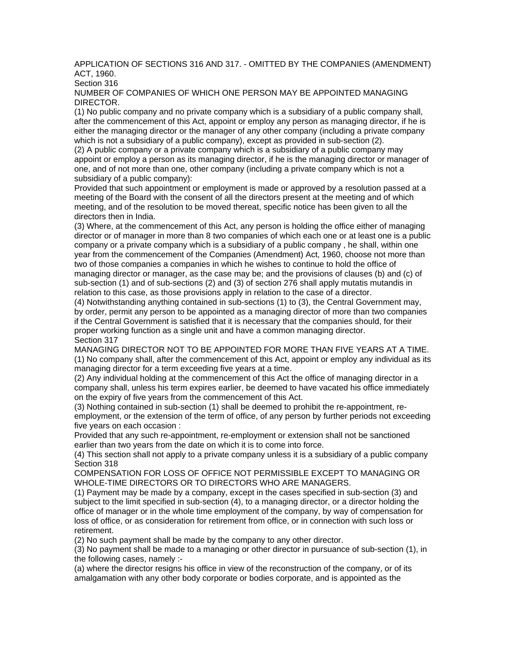## APPLICATION OF SECTIONS 316 AND 317. - OMITTED BY THE COMPANIES (AMENDMENT) ACT, 1960.

Section 316

NUMBER OF COMPANIES OF WHICH ONE PERSON MAY BE APPOINTED MANAGING DIRECTOR.

(1) No public company and no private company which is a subsidiary of a public company shall, after the commencement of this Act, appoint or employ any person as managing director, if he is either the managing director or the manager of any other company (including a private company which is not a subsidiary of a public company), except as provided in sub-section (2).

(2) A public company or a private company which is a subsidiary of a public company may appoint or employ a person as its managing director, if he is the managing director or manager of one, and of not more than one, other company (including a private company which is not a subsidiary of a public company):

Provided that such appointment or employment is made or approved by a resolution passed at a meeting of the Board with the consent of all the directors present at the meeting and of which meeting, and of the resolution to be moved thereat, specific notice has been given to all the directors then in India.

(3) Where, at the commencement of this Act, any person is holding the office either of managing director or of manager in more than 8 two companies of which each one or at least one is a public company or a private company which is a subsidiary of a public company , he shall, within one year from the commencement of the Companies (Amendment) Act, 1960, choose not more than two of those companies a companies in which he wishes to continue to hold the office of managing director or manager, as the case may be; and the provisions of clauses (b) and (c) of sub-section (1) and of sub-sections (2) and (3) of section 276 shall apply mutatis mutandis in relation to this case, as those provisions apply in relation to the case of a director.

(4) Notwithstanding anything contained in sub-sections (1) to (3), the Central Government may, by order, permit any person to be appointed as a managing director of more than two companies if the Central Government is satisfied that it is necessary that the companies should, for their proper working function as a single unit and have a common managing director. Section 317

MANAGING DIRECTOR NOT TO BE APPOINTED FOR MORE THAN FIVE YEARS AT A TIME. (1) No company shall, after the commencement of this Act, appoint or employ any individual as its managing director for a term exceeding five years at a time.

(2) Any individual holding at the commencement of this Act the office of managing director in a company shall, unless his term expires earlier, be deemed to have vacated his office immediately on the expiry of five years from the commencement of this Act.

(3) Nothing contained in sub-section (1) shall be deemed to prohibit the re-appointment, reemployment, or the extension of the term of office, of any person by further periods not exceeding five years on each occasion :

Provided that any such re-appointment, re-employment or extension shall not be sanctioned earlier than two years from the date on which it is to come into force.

(4) This section shall not apply to a private company unless it is a subsidiary of a public company Section 318

COMPENSATION FOR LOSS OF OFFICE NOT PERMISSIBLE EXCEPT TO MANAGING OR WHOLE-TIME DIRECTORS OR TO DIRECTORS WHO ARE MANAGERS.

(1) Payment may be made by a company, except in the cases specified in sub-section (3) and subject to the limit specified in sub-section (4), to a managing director, or a director holding the office of manager or in the whole time employment of the company, by way of compensation for loss of office, or as consideration for retirement from office, or in connection with such loss or retirement.

(2) No such payment shall be made by the company to any other director.

(3) No payment shall be made to a managing or other director in pursuance of sub-section (1), in the following cases, namely :-

(a) where the director resigns his office in view of the reconstruction of the company, or of its amalgamation with any other body corporate or bodies corporate, and is appointed as the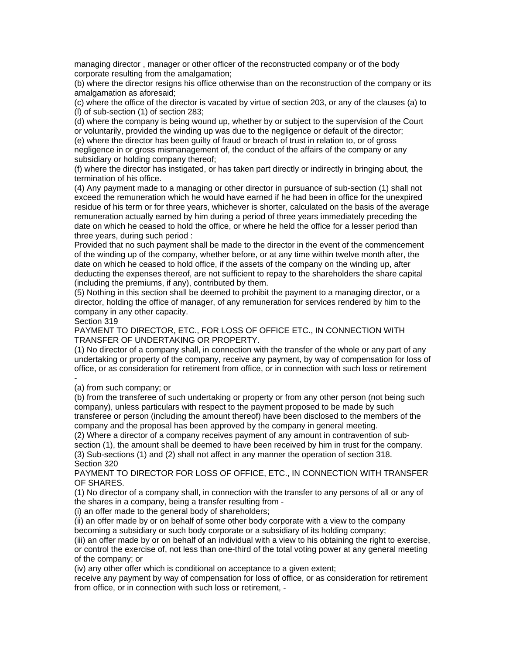managing director , manager or other officer of the reconstructed company or of the body corporate resulting from the amalgamation;

(b) where the director resigns his office otherwise than on the reconstruction of the company or its amalgamation as aforesaid;

(c) where the office of the director is vacated by virtue of section 203, or any of the clauses (a) to (l) of sub-section (1) of section 283;

(d) where the company is being wound up, whether by or subject to the supervision of the Court or voluntarily, provided the winding up was due to the negligence or default of the director; (e) where the director has been guilty of fraud or breach of trust in relation to, or of gross negligence in or gross mismanagement of, the conduct of the affairs of the company or any subsidiary or holding company thereof;

(f) where the director has instigated, or has taken part directly or indirectly in bringing about, the termination of his office.

(4) Any payment made to a managing or other director in pursuance of sub-section (1) shall not exceed the remuneration which he would have earned if he had been in office for the unexpired residue of his term or for three years, whichever is shorter, calculated on the basis of the average remuneration actually earned by him during a period of three years immediately preceding the date on which he ceased to hold the office, or where he held the office for a lesser period than three years, during such period :

Provided that no such payment shall be made to the director in the event of the commencement of the winding up of the company, whether before, or at any time within twelve month after, the date on which he ceased to hold office, if the assets of the company on the winding up, after deducting the expenses thereof, are not sufficient to repay to the shareholders the share capital (including the premiums, if any), contributed by them.

(5) Nothing in this section shall be deemed to prohibit the payment to a managing director, or a director, holding the office of manager, of any remuneration for services rendered by him to the company in any other capacity.

Section 319

PAYMENT TO DIRECTOR, ETC., FOR LOSS OF OFFICE ETC., IN CONNECTION WITH TRANSFER OF UNDERTAKING OR PROPERTY.

(1) No director of a company shall, in connection with the transfer of the whole or any part of any undertaking or property of the company, receive any payment, by way of compensation for loss of office, or as consideration for retirement from office, or in connection with such loss or retirement -

(a) from such company; or

(b) from the transferee of such undertaking or property or from any other person (not being such company), unless particulars with respect to the payment proposed to be made by such transferee or person (including the amount thereof) have been disclosed to the members of the company and the proposal has been approved by the company in general meeting.

(2) Where a director of a company receives payment of any amount in contravention of subsection (1), the amount shall be deemed to have been received by him in trust for the company. (3) Sub-sections (1) and (2) shall not affect in any manner the operation of section 318. Section 320

PAYMENT TO DIRECTOR FOR LOSS OF OFFICE, ETC., IN CONNECTION WITH TRANSFER OF SHARES.

(1) No director of a company shall, in connection with the transfer to any persons of all or any of the shares in a company, being a transfer resulting from -

(i) an offer made to the general body of shareholders;

(ii) an offer made by or on behalf of some other body corporate with a view to the company becoming a subsidiary or such body corporate or a subsidiary of its holding company;

(iii) an offer made by or on behalf of an individual with a view to his obtaining the right to exercise, or control the exercise of, not less than one-third of the total voting power at any general meeting of the company; or

(iv) any other offer which is conditional on acceptance to a given extent;

receive any payment by way of compensation for loss of office, or as consideration for retirement from office, or in connection with such loss or retirement, -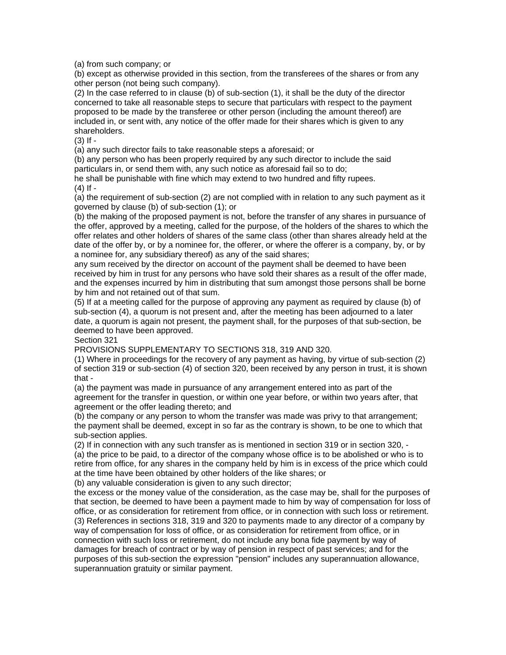(a) from such company; or

(b) except as otherwise provided in this section, from the transferees of the shares or from any other person (not being such company).

(2) In the case referred to in clause (b) of sub-section (1), it shall be the duty of the director concerned to take all reasonable steps to secure that particulars with respect to the payment proposed to be made by the transferee or other person (including the amount thereof) are included in, or sent with, any notice of the offer made for their shares which is given to any shareholders.

(3) If -

(a) any such director fails to take reasonable steps a aforesaid; or

(b) any person who has been properly required by any such director to include the said particulars in, or send them with, any such notice as aforesaid fail so to do;

he shall be punishable with fine which may extend to two hundred and fifty rupees.

(4) If -

(a) the requirement of sub-section (2) are not complied with in relation to any such payment as it governed by clause (b) of sub-section (1); or

(b) the making of the proposed payment is not, before the transfer of any shares in pursuance of the offer, approved by a meeting, called for the purpose, of the holders of the shares to which the offer relates and other holders of shares of the same class (other than shares already held at the date of the offer by, or by a nominee for, the offerer, or where the offerer is a company, by, or by a nominee for, any subsidiary thereof) as any of the said shares;

any sum received by the director on account of the payment shall be deemed to have been received by him in trust for any persons who have sold their shares as a result of the offer made, and the expenses incurred by him in distributing that sum amongst those persons shall be borne by him and not retained out of that sum.

(5) If at a meeting called for the purpose of approving any payment as required by clause (b) of sub-section (4), a quorum is not present and, after the meeting has been adjourned to a later date, a quorum is again not present, the payment shall, for the purposes of that sub-section, be deemed to have been approved.

Section 321

PROVISIONS SUPPLEMENTARY TO SECTIONS 318, 319 AND 320.

(1) Where in proceedings for the recovery of any payment as having, by virtue of sub-section (2) of section 319 or sub-section (4) of section 320, been received by any person in trust, it is shown that -

(a) the payment was made in pursuance of any arrangement entered into as part of the agreement for the transfer in question, or within one year before, or within two years after, that agreement or the offer leading thereto; and

(b) the company or any person to whom the transfer was made was privy to that arrangement; the payment shall be deemed, except in so far as the contrary is shown, to be one to which that sub-section applies.

(2) If in connection with any such transfer as is mentioned in section 319 or in section 320, -

(a) the price to be paid, to a director of the company whose office is to be abolished or who is to retire from office, for any shares in the company held by him is in excess of the price which could at the time have been obtained by other holders of the like shares; or

(b) any valuable consideration is given to any such director;

the excess or the money value of the consideration, as the case may be, shall for the purposes of that section, be deemed to have been a payment made to him by way of compensation for loss of office, or as consideration for retirement from office, or in connection with such loss or retirement. (3) References in sections 318, 319 and 320 to payments made to any director of a company by way of compensation for loss of office, or as consideration for retirement from office, or in connection with such loss or retirement, do not include any bona fide payment by way of damages for breach of contract or by way of pension in respect of past services; and for the purposes of this sub-section the expression "pension" includes any superannuation allowance, superannuation gratuity or similar payment.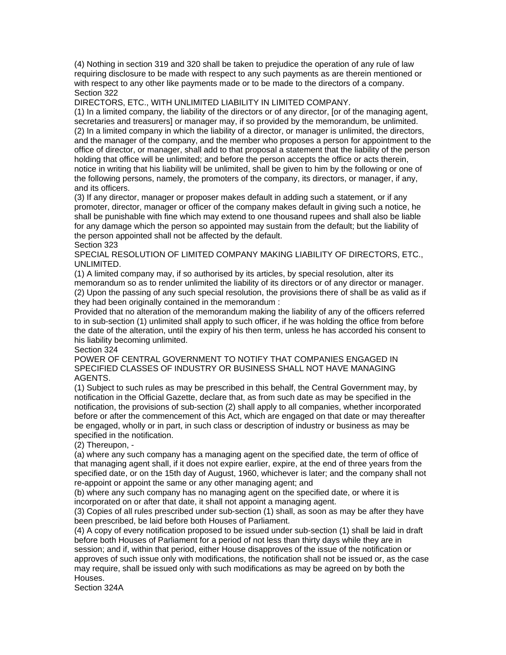(4) Nothing in section 319 and 320 shall be taken to prejudice the operation of any rule of law requiring disclosure to be made with respect to any such payments as are therein mentioned or with respect to any other like payments made or to be made to the directors of a company. Section 322

DIRECTORS, ETC., WITH UNLIMITED LIABILITY IN LIMITED COMPANY.

(1) In a limited company, the liability of the directors or of any director, [or of the managing agent, secretaries and treasurers] or manager may, if so provided by the memorandum, be unlimited. (2) In a limited company in which the liability of a director, or manager is unlimited, the directors, and the manager of the company, and the member who proposes a person for appointment to the office of director, or manager, shall add to that proposal a statement that the liability of the person holding that office will be unlimited; and before the person accepts the office or acts therein, notice in writing that his liability will be unlimited, shall be given to him by the following or one of the following persons, namely, the promoters of the company, its directors, or manager, if any, and its officers.

(3) If any director, manager or proposer makes default in adding such a statement, or if any promoter, director, manager or officer of the company makes default in giving such a notice, he shall be punishable with fine which may extend to one thousand rupees and shall also be liable for any damage which the person so appointed may sustain from the default; but the liability of the person appointed shall not be affected by the default. Section 323

SPECIAL RESOLUTION OF LIMITED COMPANY MAKING LIABILITY OF DIRECTORS, ETC., UNLIMITED.

(1) A limited company may, if so authorised by its articles, by special resolution, alter its memorandum so as to render unlimited the liability of its directors or of any director or manager. (2) Upon the passing of any such special resolution, the provisions there of shall be as valid as if they had been originally contained in the memorandum :

Provided that no alteration of the memorandum making the liability of any of the officers referred to in sub-section (1) unlimited shall apply to such officer, if he was holding the office from before the date of the alteration, until the expiry of his then term, unless he has accorded his consent to his liability becoming unlimited.

Section 324

POWER OF CENTRAL GOVERNMENT TO NOTIFY THAT COMPANIES ENGAGED IN SPECIFIED CLASSES OF INDUSTRY OR BUSINESS SHALL NOT HAVE MANAGING AGENTS.

(1) Subject to such rules as may be prescribed in this behalf, the Central Government may, by notification in the Official Gazette, declare that, as from such date as may be specified in the notification, the provisions of sub-section (2) shall apply to all companies, whether incorporated before or after the commencement of this Act, which are engaged on that date or may thereafter be engaged, wholly or in part, in such class or description of industry or business as may be specified in the notification.

(2) Thereupon, -

(a) where any such company has a managing agent on the specified date, the term of office of that managing agent shall, if it does not expire earlier, expire, at the end of three years from the specified date, or on the 15th day of August, 1960, whichever is later; and the company shall not re-appoint or appoint the same or any other managing agent; and

(b) where any such company has no managing agent on the specified date, or where it is incorporated on or after that date, it shall not appoint a managing agent.

(3) Copies of all rules prescribed under sub-section (1) shall, as soon as may be after they have been prescribed, be laid before both Houses of Parliament.

(4) A copy of every notification proposed to be issued under sub-section (1) shall be laid in draft before both Houses of Parliament for a period of not less than thirty days while they are in session; and if, within that period, either House disapproves of the issue of the notification or approves of such issue only with modifications, the notification shall not be issued or, as the case may require, shall be issued only with such modifications as may be agreed on by both the Houses.

Section 324A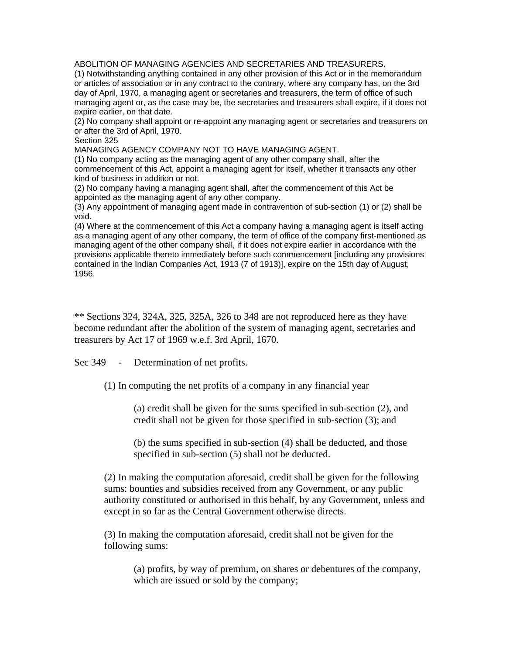ABOLITION OF MANAGING AGENCIES AND SECRETARIES AND TREASURERS.

(1) Notwithstanding anything contained in any other provision of this Act or in the memorandum or articles of association or in any contract to the contrary, where any company has, on the 3rd day of April, 1970, a managing agent or secretaries and treasurers, the term of office of such managing agent or, as the case may be, the secretaries and treasurers shall expire, if it does not expire earlier, on that date.

(2) No company shall appoint or re-appoint any managing agent or secretaries and treasurers on or after the 3rd of April, 1970.

Section 325

MANAGING AGENCY COMPANY NOT TO HAVE MANAGING AGENT.

(1) No company acting as the managing agent of any other company shall, after the commencement of this Act, appoint a managing agent for itself, whether it transacts any other kind of business in addition or not.

(2) No company having a managing agent shall, after the commencement of this Act be appointed as the managing agent of any other company.

(3) Any appointment of managing agent made in contravention of sub-section (1) or (2) shall be void.

(4) Where at the commencement of this Act a company having a managing agent is itself acting as a managing agent of any other company, the term of office of the company first-mentioned as managing agent of the other company shall, if it does not expire earlier in accordance with the provisions applicable thereto immediately before such commencement [including any provisions contained in the Indian Companies Act, 1913 (7 of 1913)], expire on the 15th day of August, 1956.

\*\* Sections 324, 324A, 325, 325A, 326 to 348 are not reproduced here as they have become redundant after the abolition of the system of managing agent, secretaries and treasurers by Act 17 of 1969 w.e.f. 3rd April, 1670.

Sec 349 - Determination of net profits.

(1) In computing the net profits of a company in any financial year

(a) credit shall be given for the sums specified in sub-section (2), and credit shall not be given for those specified in sub-section (3); and

(b) the sums specified in sub-section (4) shall be deducted, and those specified in sub-section (5) shall not be deducted.

(2) In making the computation aforesaid, credit shall be given for the following sums: bounties and subsidies received from any Government, or any public authority constituted or authorised in this behalf, by any Government, unless and except in so far as the Central Government otherwise directs.

(3) In making the computation aforesaid, credit shall not be given for the following sums:

(a) profits, by way of premium, on shares or debentures of the company, which are issued or sold by the company;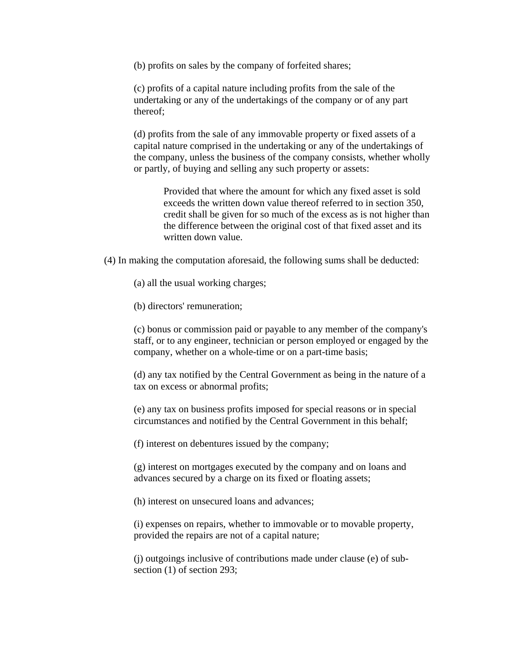(b) profits on sales by the company of forfeited shares;

(c) profits of a capital nature including profits from the sale of the undertaking or any of the undertakings of the company or of any part thereof;

(d) profits from the sale of any immovable property or fixed assets of a capital nature comprised in the undertaking or any of the undertakings of the company, unless the business of the company consists, whether wholly or partly, of buying and selling any such property or assets:

Provided that where the amount for which any fixed asset is sold exceeds the written down value thereof referred to in section 350, credit shall be given for so much of the excess as is not higher than the difference between the original cost of that fixed asset and its written down value.

(4) In making the computation aforesaid, the following sums shall be deducted:

(a) all the usual working charges;

(b) directors' remuneration;

(c) bonus or commission paid or payable to any member of the company's staff, or to any engineer, technician or person employed or engaged by the company, whether on a whole-time or on a part-time basis;

(d) any tax notified by the Central Government as being in the nature of a tax on excess or abnormal profits;

(e) any tax on business profits imposed for special reasons or in special circumstances and notified by the Central Government in this behalf;

(f) interest on debentures issued by the company;

(g) interest on mortgages executed by the company and on loans and advances secured by a charge on its fixed or floating assets;

(h) interest on unsecured loans and advances;

(i) expenses on repairs, whether to immovable or to movable property, provided the repairs are not of a capital nature;

(j) outgoings inclusive of contributions made under clause (e) of subsection (1) of section 293;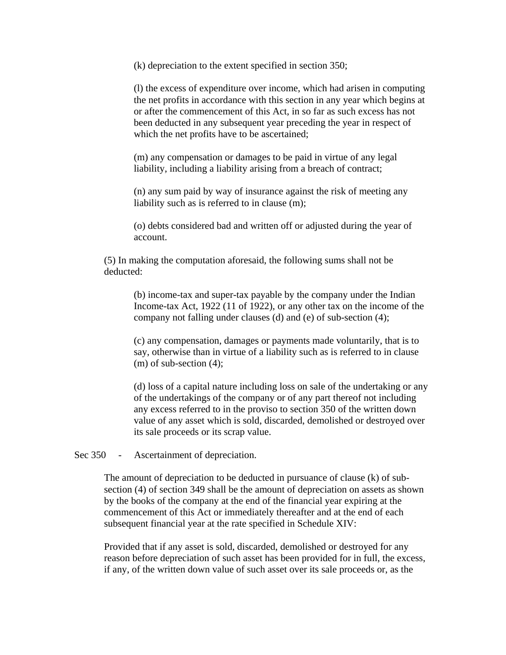(k) depreciation to the extent specified in section 350;

(l) the excess of expenditure over income, which had arisen in computing the net profits in accordance with this section in any year which begins at or after the commencement of this Act, in so far as such excess has not been deducted in any subsequent year preceding the year in respect of which the net profits have to be ascertained;

(m) any compensation or damages to be paid in virtue of any legal liability, including a liability arising from a breach of contract;

(n) any sum paid by way of insurance against the risk of meeting any liability such as is referred to in clause (m);

(o) debts considered bad and written off or adjusted during the year of account.

(5) In making the computation aforesaid, the following sums shall not be deducted:

(b) income-tax and super-tax payable by the company under the Indian Income-tax Act, 1922 (11 of 1922), or any other tax on the income of the company not falling under clauses (d) and (e) of sub-section (4);

(c) any compensation, damages or payments made voluntarily, that is to say, otherwise than in virtue of a liability such as is referred to in clause (m) of sub-section (4);

(d) loss of a capital nature including loss on sale of the undertaking or any of the undertakings of the company or of any part thereof not including any excess referred to in the proviso to section 350 of the written down value of any asset which is sold, discarded, demolished or destroyed over its sale proceeds or its scrap value.

Sec 350 - Ascertainment of depreciation.

The amount of depreciation to be deducted in pursuance of clause (k) of subsection (4) of section 349 shall be the amount of depreciation on assets as shown by the books of the company at the end of the financial year expiring at the commencement of this Act or immediately thereafter and at the end of each subsequent financial year at the rate specified in Schedule XIV:

Provided that if any asset is sold, discarded, demolished or destroyed for any reason before depreciation of such asset has been provided for in full, the excess, if any, of the written down value of such asset over its sale proceeds or, as the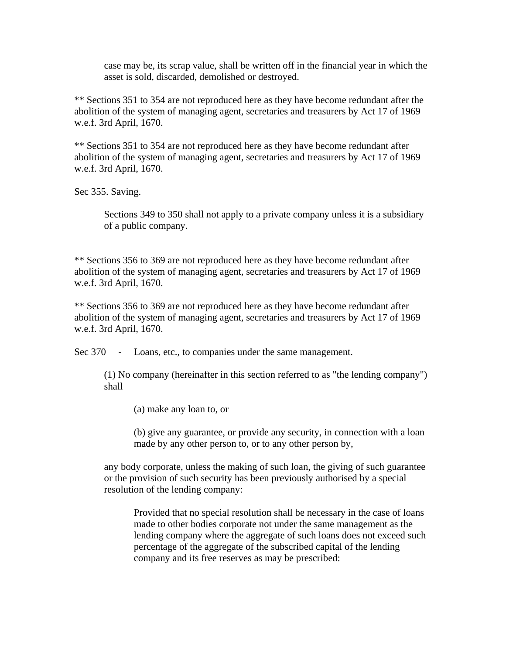case may be, its scrap value, shall be written off in the financial year in which the asset is sold, discarded, demolished or destroyed.

\*\* Sections 351 to 354 are not reproduced here as they have become redundant after the abolition of the system of managing agent, secretaries and treasurers by Act 17 of 1969 w.e.f. 3rd April, 1670.

\*\* Sections 351 to 354 are not reproduced here as they have become redundant after abolition of the system of managing agent, secretaries and treasurers by Act 17 of 1969 w.e.f. 3rd April, 1670.

Sec 355. Saving.

Sections 349 to 350 shall not apply to a private company unless it is a subsidiary of a public company.

\*\* Sections 356 to 369 are not reproduced here as they have become redundant after abolition of the system of managing agent, secretaries and treasurers by Act 17 of 1969 w.e.f. 3rd April, 1670.

\*\* Sections 356 to 369 are not reproduced here as they have become redundant after abolition of the system of managing agent, secretaries and treasurers by Act 17 of 1969 w.e.f. 3rd April, 1670.

Sec 370 - Loans, etc., to companies under the same management.

(1) No company (hereinafter in this section referred to as "the lending company") shall

(a) make any loan to, or

(b) give any guarantee, or provide any security, in connection with a loan made by any other person to, or to any other person by,

any body corporate, unless the making of such loan, the giving of such guarantee or the provision of such security has been previously authorised by a special resolution of the lending company:

Provided that no special resolution shall be necessary in the case of loans made to other bodies corporate not under the same management as the lending company where the aggregate of such loans does not exceed such percentage of the aggregate of the subscribed capital of the lending company and its free reserves as may be prescribed: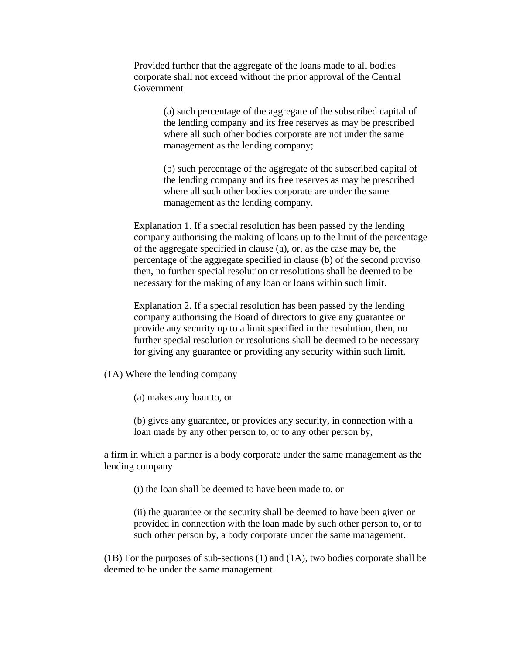Provided further that the aggregate of the loans made to all bodies corporate shall not exceed without the prior approval of the Central Government

> (a) such percentage of the aggregate of the subscribed capital of the lending company and its free reserves as may be prescribed where all such other bodies corporate are not under the same management as the lending company;

> (b) such percentage of the aggregate of the subscribed capital of the lending company and its free reserves as may be prescribed where all such other bodies corporate are under the same management as the lending company.

Explanation 1. If a special resolution has been passed by the lending company authorising the making of loans up to the limit of the percentage of the aggregate specified in clause (a), or, as the case may be, the percentage of the aggregate specified in clause (b) of the second proviso then, no further special resolution or resolutions shall be deemed to be necessary for the making of any loan or loans within such limit.

Explanation 2. If a special resolution has been passed by the lending company authorising the Board of directors to give any guarantee or provide any security up to a limit specified in the resolution, then, no further special resolution or resolutions shall be deemed to be necessary for giving any guarantee or providing any security within such limit.

(1A) Where the lending company

(a) makes any loan to, or

(b) gives any guarantee, or provides any security, in connection with a loan made by any other person to, or to any other person by,

a firm in which a partner is a body corporate under the same management as the lending company

(i) the loan shall be deemed to have been made to, or

(ii) the guarantee or the security shall be deemed to have been given or provided in connection with the loan made by such other person to, or to such other person by, a body corporate under the same management.

(1B) For the purposes of sub-sections (1) and (1A), two bodies corporate shall be deemed to be under the same management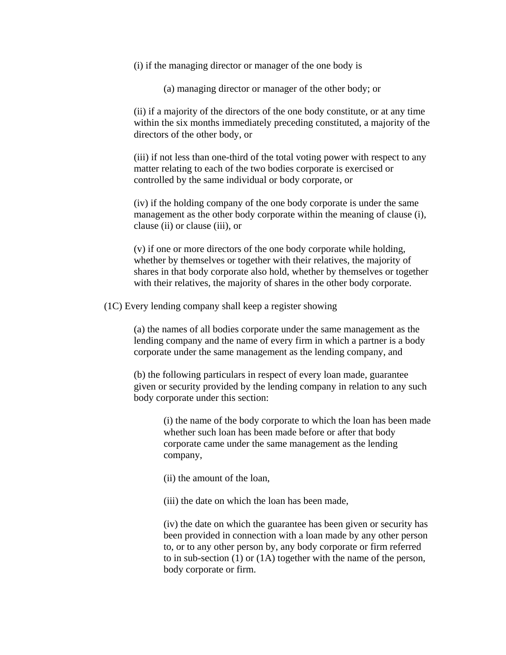(i) if the managing director or manager of the one body is

(a) managing director or manager of the other body; or

(ii) if a majority of the directors of the one body constitute, or at any time within the six months immediately preceding constituted, a majority of the directors of the other body, or

(iii) if not less than one-third of the total voting power with respect to any matter relating to each of the two bodies corporate is exercised or controlled by the same individual or body corporate, or

(iv) if the holding company of the one body corporate is under the same management as the other body corporate within the meaning of clause (i), clause (ii) or clause (iii), or

(v) if one or more directors of the one body corporate while holding, whether by themselves or together with their relatives, the majority of shares in that body corporate also hold, whether by themselves or together with their relatives, the majority of shares in the other body corporate.

(1C) Every lending company shall keep a register showing

(a) the names of all bodies corporate under the same management as the lending company and the name of every firm in which a partner is a body corporate under the same management as the lending company, and

(b) the following particulars in respect of every loan made, guarantee given or security provided by the lending company in relation to any such body corporate under this section:

> (i) the name of the body corporate to which the loan has been made whether such loan has been made before or after that body corporate came under the same management as the lending company,

(ii) the amount of the loan,

(iii) the date on which the loan has been made,

(iv) the date on which the guarantee has been given or security has been provided in connection with a loan made by any other person to, or to any other person by, any body corporate or firm referred to in sub-section (1) or (1A) together with the name of the person, body corporate or firm.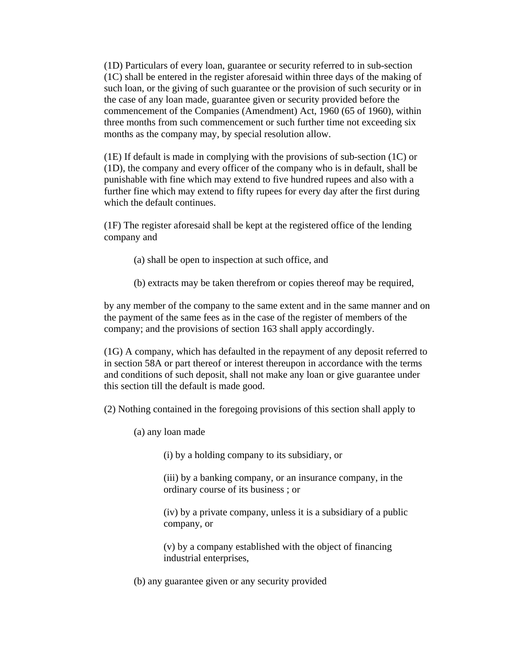(1D) Particulars of every loan, guarantee or security referred to in sub-section (1C) shall be entered in the register aforesaid within three days of the making of such loan, or the giving of such guarantee or the provision of such security or in the case of any loan made, guarantee given or security provided before the commencement of the Companies (Amendment) Act, 1960 (65 of 1960), within three months from such commencement or such further time not exceeding six months as the company may, by special resolution allow.

(1E) If default is made in complying with the provisions of sub-section (1C) or (1D), the company and every officer of the company who is in default, shall be punishable with fine which may extend to five hundred rupees and also with a further fine which may extend to fifty rupees for every day after the first during which the default continues.

(1F) The register aforesaid shall be kept at the registered office of the lending company and

- (a) shall be open to inspection at such office, and
- (b) extracts may be taken therefrom or copies thereof may be required,

by any member of the company to the same extent and in the same manner and on the payment of the same fees as in the case of the register of members of the company; and the provisions of section 163 shall apply accordingly.

(1G) A company, which has defaulted in the repayment of any deposit referred to in section 58A or part thereof or interest thereupon in accordance with the terms and conditions of such deposit, shall not make any loan or give guarantee under this section till the default is made good.

(2) Nothing contained in the foregoing provisions of this section shall apply to

(a) any loan made

(i) by a holding company to its subsidiary, or

(iii) by a banking company, or an insurance company, in the ordinary course of its business ; or

(iv) by a private company, unless it is a subsidiary of a public company, or

(v) by a company established with the object of financing industrial enterprises,

(b) any guarantee given or any security provided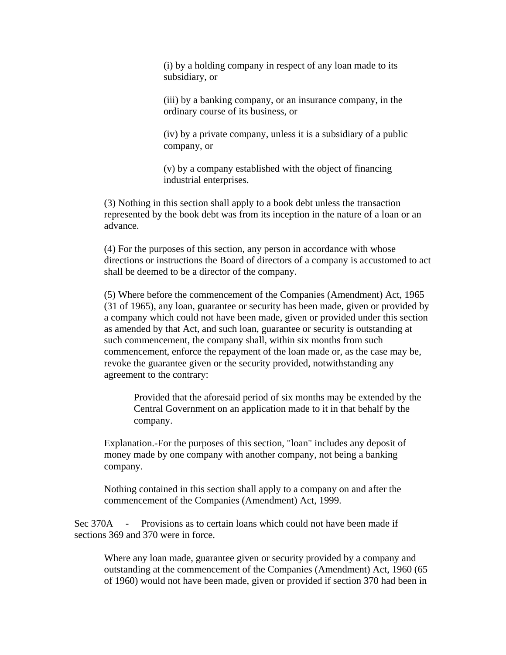(i) by a holding company in respect of any loan made to its subsidiary, or

(iii) by a banking company, or an insurance company, in the ordinary course of its business, or

(iv) by a private company, unless it is a subsidiary of a public company, or

(v) by a company established with the object of financing industrial enterprises.

(3) Nothing in this section shall apply to a book debt unless the transaction represented by the book debt was from its inception in the nature of a loan or an advance.

(4) For the purposes of this section, any person in accordance with whose directions or instructions the Board of directors of a company is accustomed to act shall be deemed to be a director of the company.

(5) Where before the commencement of the Companies (Amendment) Act, 1965 (31 of 1965), any loan, guarantee or security has been made, given or provided by a company which could not have been made, given or provided under this section as amended by that Act, and such loan, guarantee or security is outstanding at such commencement, the company shall, within six months from such commencement, enforce the repayment of the loan made or, as the case may be, revoke the guarantee given or the security provided, notwithstanding any agreement to the contrary:

Provided that the aforesaid period of six months may be extended by the Central Government on an application made to it in that behalf by the company.

Explanation.-For the purposes of this section, "loan" includes any deposit of money made by one company with another company, not being a banking company.

Nothing contained in this section shall apply to a company on and after the commencement of the Companies (Amendment) Act, 1999.

Sec 370A - Provisions as to certain loans which could not have been made if sections 369 and 370 were in force.

Where any loan made, guarantee given or security provided by a company and outstanding at the commencement of the Companies (Amendment) Act, 1960 (65 of 1960) would not have been made, given or provided if section 370 had been in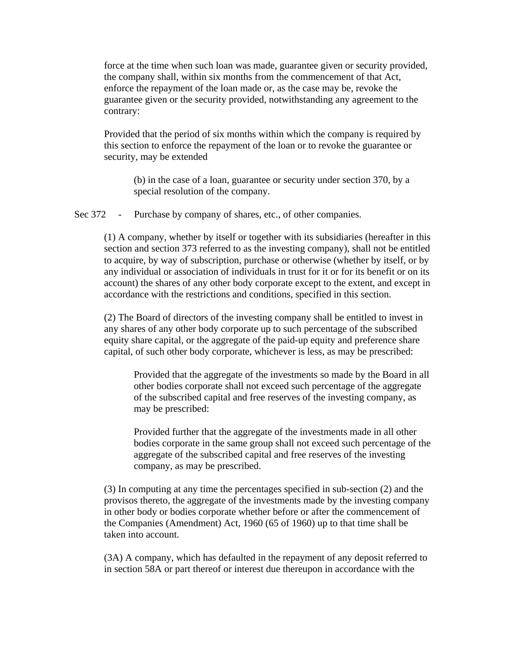force at the time when such loan was made, guarantee given or security provided, the company shall, within six months from the commencement of that Act, enforce the repayment of the loan made or, as the case may be, revoke the guarantee given or the security provided, notwithstanding any agreement to the contrary:

Provided that the period of six months within which the company is required by this section to enforce the repayment of the loan or to revoke the guarantee or security, may be extended

(b) in the case of a loan, guarantee or security under section 370, by a special resolution of the company.

Sec 372 - Purchase by company of shares, etc., of other companies.

(1) A company, whether by itself or together with its subsidiaries (hereafter in this section and section 373 referred to as the investing company), shall not be entitled to acquire, by way of subscription, purchase or otherwise (whether by itself, or by any individual or association of individuals in trust for it or for its benefit or on its account) the shares of any other body corporate except to the extent, and except in accordance with the restrictions and conditions, specified in this section.

(2) The Board of directors of the investing company shall be entitled to invest in any shares of any other body corporate up to such percentage of the subscribed equity share capital, or the aggregate of the paid-up equity and preference share capital, of such other body corporate, whichever is less, as may be prescribed:

Provided that the aggregate of the investments so made by the Board in all other bodies corporate shall not exceed such percentage of the aggregate of the subscribed capital and free reserves of the investing company, as may be prescribed:

Provided further that the aggregate of the investments made in all other bodies corporate in the same group shall not exceed such percentage of the aggregate of the subscribed capital and free reserves of the investing company, as may be prescribed.

(3) In computing at any time the percentages specified in sub-section (2) and the provisos thereto, the aggregate of the investments made by the investing company in other body or bodies corporate whether before or after the commencement of the Companies (Amendment) Act, 1960 (65 of 1960) up to that time shall be taken into account.

(3A) A company, which has defaulted in the repayment of any deposit referred to in section 58A or part thereof or interest due thereupon in accordance with the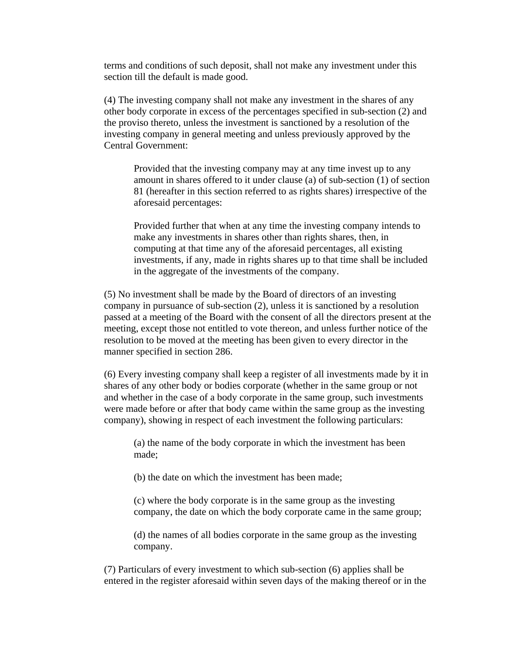terms and conditions of such deposit, shall not make any investment under this section till the default is made good.

(4) The investing company shall not make any investment in the shares of any other body corporate in excess of the percentages specified in sub-section (2) and the proviso thereto, unless the investment is sanctioned by a resolution of the investing company in general meeting and unless previously approved by the Central Government:

Provided that the investing company may at any time invest up to any amount in shares offered to it under clause (a) of sub-section (1) of section 81 (hereafter in this section referred to as rights shares) irrespective of the aforesaid percentages:

Provided further that when at any time the investing company intends to make any investments in shares other than rights shares, then, in computing at that time any of the aforesaid percentages, all existing investments, if any, made in rights shares up to that time shall be included in the aggregate of the investments of the company.

(5) No investment shall be made by the Board of directors of an investing company in pursuance of sub-section (2), unless it is sanctioned by a resolution passed at a meeting of the Board with the consent of all the directors present at the meeting, except those not entitled to vote thereon, and unless further notice of the resolution to be moved at the meeting has been given to every director in the manner specified in section 286.

(6) Every investing company shall keep a register of all investments made by it in shares of any other body or bodies corporate (whether in the same group or not and whether in the case of a body corporate in the same group, such investments were made before or after that body came within the same group as the investing company), showing in respect of each investment the following particulars:

(a) the name of the body corporate in which the investment has been made;

(b) the date on which the investment has been made;

(c) where the body corporate is in the same group as the investing company, the date on which the body corporate came in the same group;

(d) the names of all bodies corporate in the same group as the investing company.

(7) Particulars of every investment to which sub-section (6) applies shall be entered in the register aforesaid within seven days of the making thereof or in the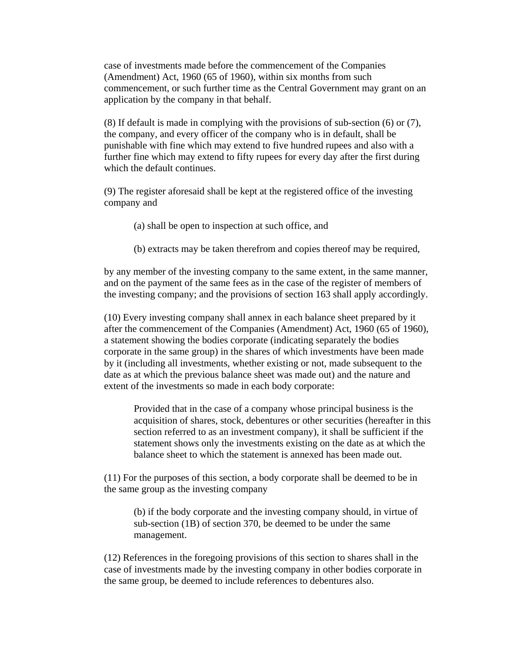case of investments made before the commencement of the Companies (Amendment) Act, 1960 (65 of 1960), within six months from such commencement, or such further time as the Central Government may grant on an application by the company in that behalf.

(8) If default is made in complying with the provisions of sub-section (6) or (7), the company, and every officer of the company who is in default, shall be punishable with fine which may extend to five hundred rupees and also with a further fine which may extend to fifty rupees for every day after the first during which the default continues.

(9) The register aforesaid shall be kept at the registered office of the investing company and

(a) shall be open to inspection at such office, and

(b) extracts may be taken therefrom and copies thereof may be required,

by any member of the investing company to the same extent, in the same manner, and on the payment of the same fees as in the case of the register of members of the investing company; and the provisions of section 163 shall apply accordingly.

(10) Every investing company shall annex in each balance sheet prepared by it after the commencement of the Companies (Amendment) Act, 1960 (65 of 1960), a statement showing the bodies corporate (indicating separately the bodies corporate in the same group) in the shares of which investments have been made by it (including all investments, whether existing or not, made subsequent to the date as at which the previous balance sheet was made out) and the nature and extent of the investments so made in each body corporate:

Provided that in the case of a company whose principal business is the acquisition of shares, stock, debentures or other securities (hereafter in this section referred to as an investment company), it shall be sufficient if the statement shows only the investments existing on the date as at which the balance sheet to which the statement is annexed has been made out.

(11) For the purposes of this section, a body corporate shall be deemed to be in the same group as the investing company

(b) if the body corporate and the investing company should, in virtue of sub-section (1B) of section 370, be deemed to be under the same management.

(12) References in the foregoing provisions of this section to shares shall in the case of investments made by the investing company in other bodies corporate in the same group, be deemed to include references to debentures also.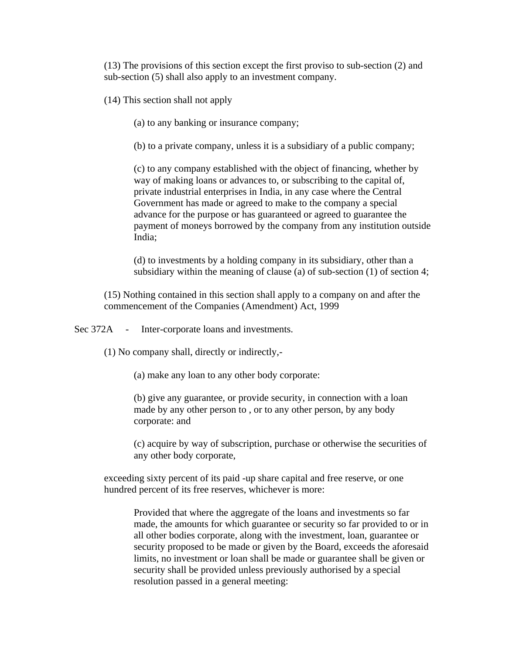(13) The provisions of this section except the first proviso to sub-section (2) and sub-section (5) shall also apply to an investment company.

(14) This section shall not apply

(a) to any banking or insurance company;

(b) to a private company, unless it is a subsidiary of a public company;

(c) to any company established with the object of financing, whether by way of making loans or advances to, or subscribing to the capital of, private industrial enterprises in India, in any case where the Central Government has made or agreed to make to the company a special advance for the purpose or has guaranteed or agreed to guarantee the payment of moneys borrowed by the company from any institution outside India;

(d) to investments by a holding company in its subsidiary, other than a subsidiary within the meaning of clause (a) of sub-section (1) of section 4;

(15) Nothing contained in this section shall apply to a company on and after the commencement of the Companies (Amendment) Act, 1999

Sec 372A - Inter-corporate loans and investments.

(1) No company shall, directly or indirectly,-

(a) make any loan to any other body corporate:

(b) give any guarantee, or provide security, in connection with a loan made by any other person to , or to any other person, by any body corporate: and

(c) acquire by way of subscription, purchase or otherwise the securities of any other body corporate,

exceeding sixty percent of its paid -up share capital and free reserve, or one hundred percent of its free reserves, whichever is more:

Provided that where the aggregate of the loans and investments so far made, the amounts for which guarantee or security so far provided to or in all other bodies corporate, along with the investment, loan, guarantee or security proposed to be made or given by the Board, exceeds the aforesaid limits, no investment or loan shall be made or guarantee shall be given or security shall be provided unless previously authorised by a special resolution passed in a general meeting: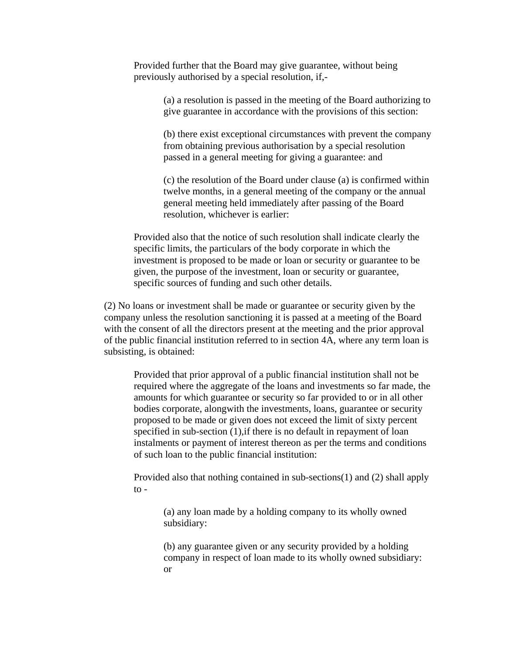Provided further that the Board may give guarantee, without being previously authorised by a special resolution, if,-

> (a) a resolution is passed in the meeting of the Board authorizing to give guarantee in accordance with the provisions of this section:

> (b) there exist exceptional circumstances with prevent the company from obtaining previous authorisation by a special resolution passed in a general meeting for giving a guarantee: and

> (c) the resolution of the Board under clause (a) is confirmed within twelve months, in a general meeting of the company or the annual general meeting held immediately after passing of the Board resolution, whichever is earlier:

Provided also that the notice of such resolution shall indicate clearly the specific limits, the particulars of the body corporate in which the investment is proposed to be made or loan or security or guarantee to be given, the purpose of the investment, loan or security or guarantee, specific sources of funding and such other details.

(2) No loans or investment shall be made or guarantee or security given by the company unless the resolution sanctioning it is passed at a meeting of the Board with the consent of all the directors present at the meeting and the prior approval of the public financial institution referred to in section 4A, where any term loan is subsisting, is obtained:

Provided that prior approval of a public financial institution shall not be required where the aggregate of the loans and investments so far made, the amounts for which guarantee or security so far provided to or in all other bodies corporate, alongwith the investments, loans, guarantee or security proposed to be made or given does not exceed the limit of sixty percent specified in sub-section (1), if there is no default in repayment of loan instalments or payment of interest thereon as per the terms and conditions of such loan to the public financial institution:

Provided also that nothing contained in sub-sections(1) and (2) shall apply  $\mathsf{to}$  -

> (a) any loan made by a holding company to its wholly owned subsidiary:

(b) any guarantee given or any security provided by a holding company in respect of loan made to its wholly owned subsidiary: or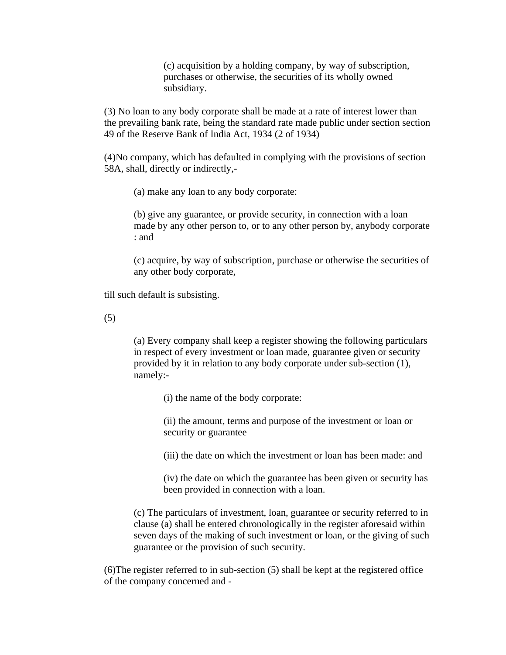(c) acquisition by a holding company, by way of subscription, purchases or otherwise, the securities of its wholly owned subsidiary.

(3) No loan to any body corporate shall be made at a rate of interest lower than the prevailing bank rate, being the standard rate made public under section section 49 of the Reserve Bank of India Act, 1934 (2 of 1934)

(4)No company, which has defaulted in complying with the provisions of section 58A, shall, directly or indirectly,-

(a) make any loan to any body corporate:

(b) give any guarantee, or provide security, in connection with a loan made by any other person to, or to any other person by, anybody corporate : and

(c) acquire, by way of subscription, purchase or otherwise the securities of any other body corporate,

till such default is subsisting.

(5)

(a) Every company shall keep a register showing the following particulars in respect of every investment or loan made, guarantee given or security provided by it in relation to any body corporate under sub-section (1), namely:-

(i) the name of the body corporate:

(ii) the amount, terms and purpose of the investment or loan or security or guarantee

(iii) the date on which the investment or loan has been made: and

(iv) the date on which the guarantee has been given or security has been provided in connection with a loan.

(c) The particulars of investment, loan, guarantee or security referred to in clause (a) shall be entered chronologically in the register aforesaid within seven days of the making of such investment or loan, or the giving of such guarantee or the provision of such security.

(6)The register referred to in sub-section (5) shall be kept at the registered office of the company concerned and -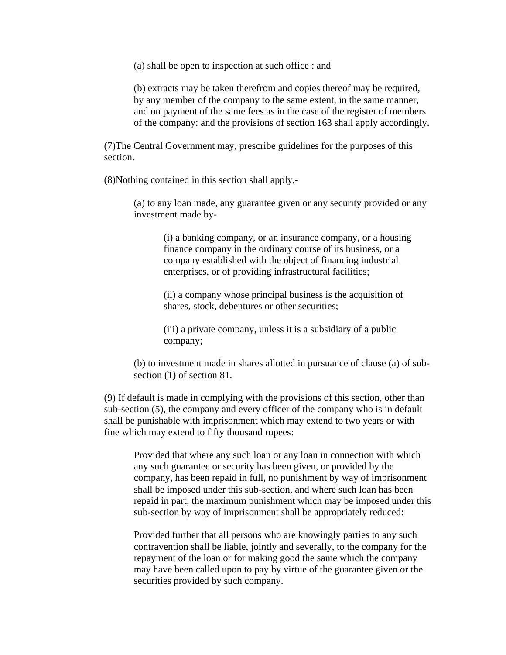(a) shall be open to inspection at such office : and

(b) extracts may be taken therefrom and copies thereof may be required, by any member of the company to the same extent, in the same manner, and on payment of the same fees as in the case of the register of members of the company: and the provisions of section 163 shall apply accordingly.

(7)The Central Government may, prescribe guidelines for the purposes of this section.

(8)Nothing contained in this section shall apply,-

(a) to any loan made, any guarantee given or any security provided or any investment made by-

> (i) a banking company, or an insurance company, or a housing finance company in the ordinary course of its business, or a company established with the object of financing industrial enterprises, or of providing infrastructural facilities;

(ii) a company whose principal business is the acquisition of shares, stock, debentures or other securities;

(iii) a private company, unless it is a subsidiary of a public company;

(b) to investment made in shares allotted in pursuance of clause (a) of subsection (1) of section 81.

(9) If default is made in complying with the provisions of this section, other than sub-section (5), the company and every officer of the company who is in default shall be punishable with imprisonment which may extend to two years or with fine which may extend to fifty thousand rupees:

Provided that where any such loan or any loan in connection with which any such guarantee or security has been given, or provided by the company, has been repaid in full, no punishment by way of imprisonment shall be imposed under this sub-section, and where such loan has been repaid in part, the maximum punishment which may be imposed under this sub-section by way of imprisonment shall be appropriately reduced:

Provided further that all persons who are knowingly parties to any such contravention shall be liable, jointly and severally, to the company for the repayment of the loan or for making good the same which the company may have been called upon to pay by virtue of the guarantee given or the securities provided by such company.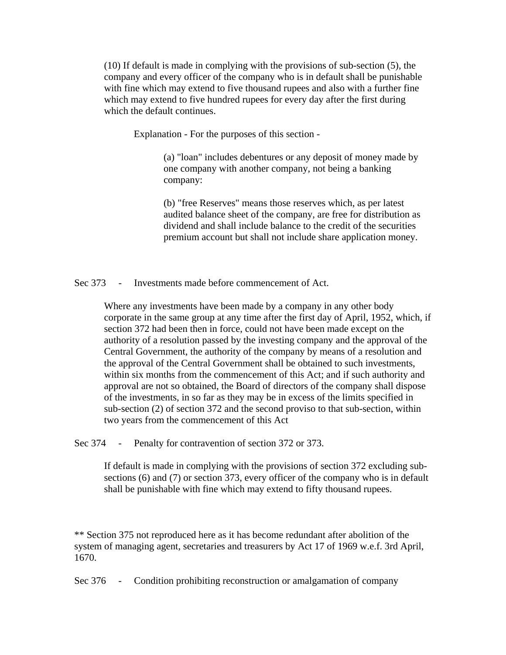(10) If default is made in complying with the provisions of sub-section (5), the company and every officer of the company who is in default shall be punishable with fine which may extend to five thousand rupees and also with a further fine which may extend to five hundred rupees for every day after the first during which the default continues.

Explanation - For the purposes of this section -

(a) "loan" includes debentures or any deposit of money made by one company with another company, not being a banking company:

(b) "free Reserves" means those reserves which, as per latest audited balance sheet of the company, are free for distribution as dividend and shall include balance to the credit of the securities premium account but shall not include share application money.

Sec 373 - Investments made before commencement of Act.

Where any investments have been made by a company in any other body corporate in the same group at any time after the first day of April, 1952, which, if section 372 had been then in force, could not have been made except on the authority of a resolution passed by the investing company and the approval of the Central Government, the authority of the company by means of a resolution and the approval of the Central Government shall be obtained to such investments, within six months from the commencement of this Act; and if such authority and approval are not so obtained, the Board of directors of the company shall dispose of the investments, in so far as they may be in excess of the limits specified in sub-section (2) of section 372 and the second proviso to that sub-section, within two years from the commencement of this Act

Sec 374 - Penalty for contravention of section 372 or 373.

If default is made in complying with the provisions of section 372 excluding subsections (6) and (7) or section 373, every officer of the company who is in default shall be punishable with fine which may extend to fifty thousand rupees.

\*\* Section 375 not reproduced here as it has become redundant after abolition of the system of managing agent, secretaries and treasurers by Act 17 of 1969 w.e.f. 3rd April, 1670.

Sec 376 - Condition prohibiting reconstruction or amalgamation of company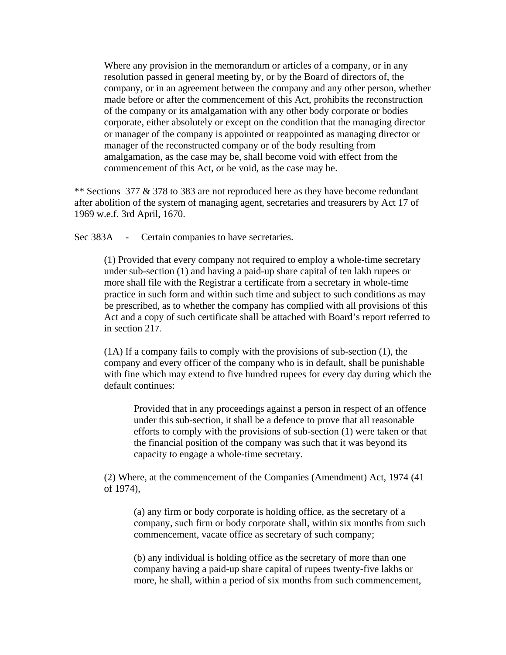Where any provision in the memorandum or articles of a company, or in any resolution passed in general meeting by, or by the Board of directors of, the company, or in an agreement between the company and any other person, whether made before or after the commencement of this Act, prohibits the reconstruction of the company or its amalgamation with any other body corporate or bodies corporate, either absolutely or except on the condition that the managing director or manager of the company is appointed or reappointed as managing director or manager of the reconstructed company or of the body resulting from amalgamation, as the case may be, shall become void with effect from the commencement of this Act, or be void, as the case may be.

\*\* Sections 377 & 378 to 383 are not reproduced here as they have become redundant after abolition of the system of managing agent, secretaries and treasurers by Act 17 of 1969 w.e.f. 3rd April, 1670.

Sec 383A - Certain companies to have secretaries.

(1) Provided that every company not required to employ a whole-time secretary under sub-section (1) and having a paid-up share capital of ten lakh rupees or more shall file with the Registrar a certificate from a secretary in whole-time practice in such form and within such time and subject to such conditions as may be prescribed, as to whether the company has complied with all provisions of this Act and a copy of such certificate shall be attached with Board's report referred to in section 217.

(1A) If a company fails to comply with the provisions of sub-section (1), the company and every officer of the company who is in default, shall be punishable with fine which may extend to five hundred rupees for every day during which the default continues:

Provided that in any proceedings against a person in respect of an offence under this sub-section, it shall be a defence to prove that all reasonable efforts to comply with the provisions of sub-section (1) were taken or that the financial position of the company was such that it was beyond its capacity to engage a whole-time secretary.

(2) Where, at the commencement of the Companies (Amendment) Act, 1974 (41 of 1974),

(a) any firm or body corporate is holding office, as the secretary of a company, such firm or body corporate shall, within six months from such commencement, vacate office as secretary of such company;

(b) any individual is holding office as the secretary of more than one company having a paid-up share capital of rupees twenty-five lakhs or more, he shall, within a period of six months from such commencement,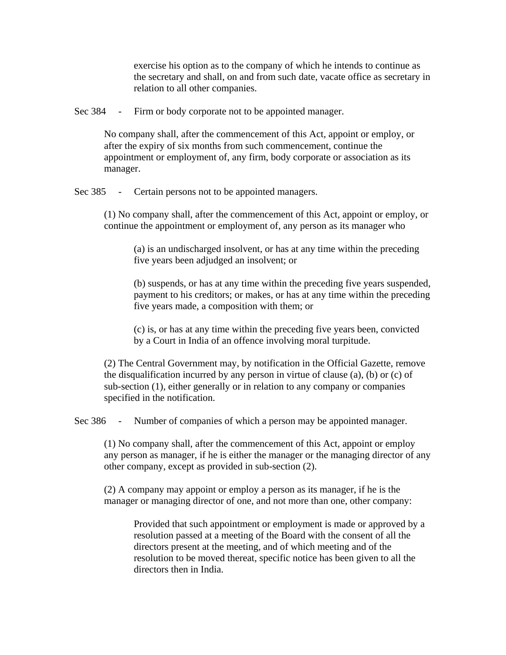exercise his option as to the company of which he intends to continue as the secretary and shall, on and from such date, vacate office as secretary in relation to all other companies.

Sec 384 - Firm or body corporate not to be appointed manager.

No company shall, after the commencement of this Act, appoint or employ, or after the expiry of six months from such commencement, continue the appointment or employment of, any firm, body corporate or association as its manager.

Sec 385 - Certain persons not to be appointed managers.

(1) No company shall, after the commencement of this Act, appoint or employ, or continue the appointment or employment of, any person as its manager who

(a) is an undischarged insolvent, or has at any time within the preceding five years been adjudged an insolvent; or

(b) suspends, or has at any time within the preceding five years suspended, payment to his creditors; or makes, or has at any time within the preceding five years made, a composition with them; or

(c) is, or has at any time within the preceding five years been, convicted by a Court in India of an offence involving moral turpitude.

(2) The Central Government may, by notification in the Official Gazette, remove the disqualification incurred by any person in virtue of clause (a), (b) or (c) of sub-section (1), either generally or in relation to any company or companies specified in the notification.

Sec 386 - Number of companies of which a person may be appointed manager.

(1) No company shall, after the commencement of this Act, appoint or employ any person as manager, if he is either the manager or the managing director of any other company, except as provided in sub-section (2).

(2) A company may appoint or employ a person as its manager, if he is the manager or managing director of one, and not more than one, other company:

Provided that such appointment or employment is made or approved by a resolution passed at a meeting of the Board with the consent of all the directors present at the meeting, and of which meeting and of the resolution to be moved thereat, specific notice has been given to all the directors then in India.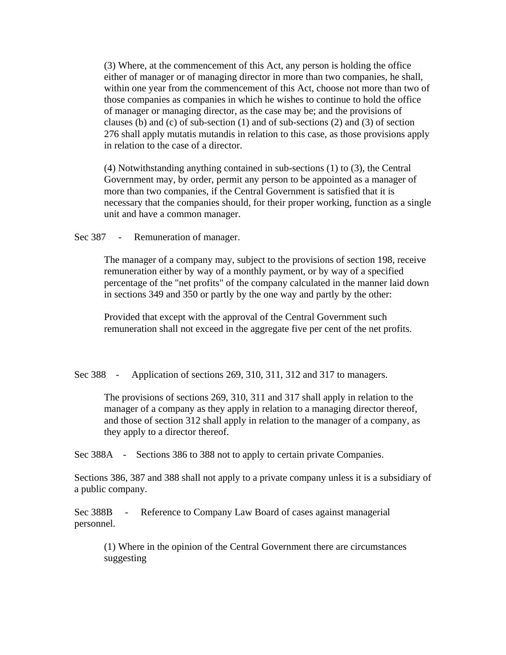(3) Where, at the commencement of this Act, any person is holding the office either of manager or of managing director in more than two companies, he shall, within one year from the commencement of this Act, choose not more than two of those companies as companies in which he wishes to continue to hold the office of manager or managing director, as the case may be; and the provisions of clauses (b) and (c) of sub-section (1) and of sub-sections (2) and (3) of section 276 shall apply mutatis mutandis in relation to this case, as those provisions apply in relation to the case of a director.

(4) Notwithstanding anything contained in sub-sections (1) to (3), the Central Government may, by order, permit any person to be appointed as a manager of more than two companies, if the Central Government is satisfied that it is necessary that the companies should, for their proper working, function as a single unit and have a common manager.

Sec 387 - Remuneration of manager.

The manager of a company may, subject to the provisions of section 198, receive remuneration either by way of a monthly payment, or by way of a specified percentage of the "net profits" of the company calculated in the manner laid down in sections 349 and 350 or partly by the one way and partly by the other:

Provided that except with the approval of the Central Government such remuneration shall not exceed in the aggregate five per cent of the net profits.

Sec 388 - Application of sections 269, 310, 311, 312 and 317 to managers.

The provisions of sections 269, 310, 311 and 317 shall apply in relation to the manager of a company as they apply in relation to a managing director thereof, and those of section 312 shall apply in relation to the manager of a company, as they apply to a director thereof.

Sec 388A - Sections 386 to 388 not to apply to certain private Companies.

Sections 386, 387 and 388 shall not apply to a private company unless it is a subsidiary of a public company.

Sec 388B - Reference to Company Law Board of cases against managerial personnel.

(1) Where in the opinion of the Central Government there are circumstances suggesting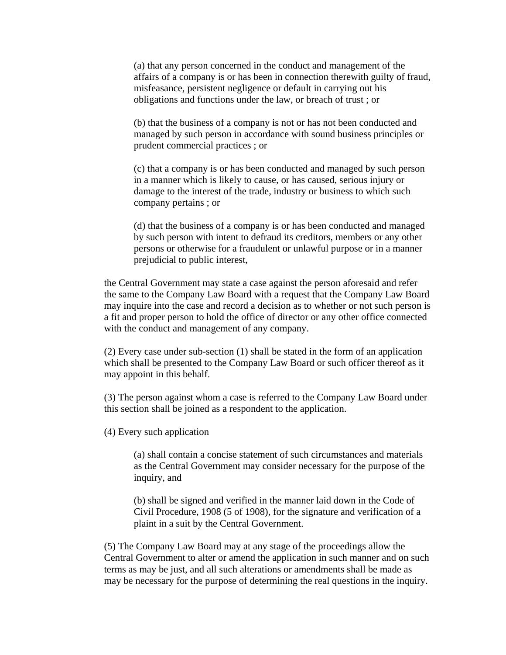(a) that any person concerned in the conduct and management of the affairs of a company is or has been in connection therewith guilty of fraud, misfeasance, persistent negligence or default in carrying out his obligations and functions under the law, or breach of trust ; or

(b) that the business of a company is not or has not been conducted and managed by such person in accordance with sound business principles or prudent commercial practices ; or

(c) that a company is or has been conducted and managed by such person in a manner which is likely to cause, or has caused, serious injury or damage to the interest of the trade, industry or business to which such company pertains ; or

(d) that the business of a company is or has been conducted and managed by such person with intent to defraud its creditors, members or any other persons or otherwise for a fraudulent or unlawful purpose or in a manner prejudicial to public interest,

the Central Government may state a case against the person aforesaid and refer the same to the Company Law Board with a request that the Company Law Board may inquire into the case and record a decision as to whether or not such person is a fit and proper person to hold the office of director or any other office connected with the conduct and management of any company.

(2) Every case under sub-section (1) shall be stated in the form of an application which shall be presented to the Company Law Board or such officer thereof as it may appoint in this behalf.

(3) The person against whom a case is referred to the Company Law Board under this section shall be joined as a respondent to the application.

(4) Every such application

(a) shall contain a concise statement of such circumstances and materials as the Central Government may consider necessary for the purpose of the inquiry, and

(b) shall be signed and verified in the manner laid down in the Code of Civil Procedure, 1908 (5 of 1908), for the signature and verification of a plaint in a suit by the Central Government.

(5) The Company Law Board may at any stage of the proceedings allow the Central Government to alter or amend the application in such manner and on such terms as may be just, and all such alterations or amendments shall be made as may be necessary for the purpose of determining the real questions in the inquiry.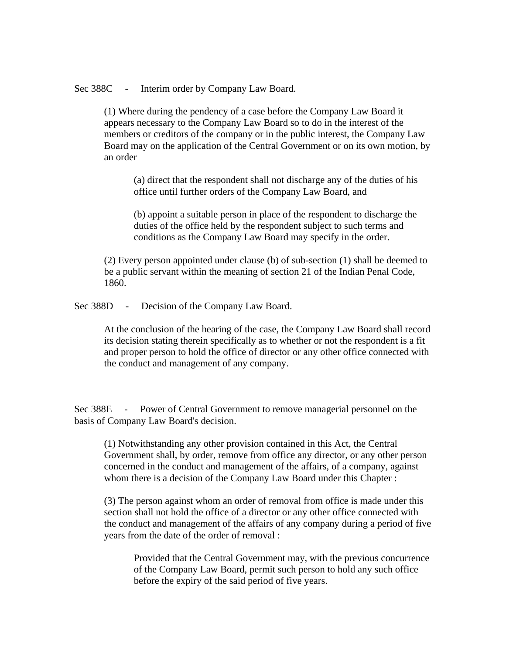Sec 388C - Interim order by Company Law Board.

(1) Where during the pendency of a case before the Company Law Board it appears necessary to the Company Law Board so to do in the interest of the members or creditors of the company or in the public interest, the Company Law Board may on the application of the Central Government or on its own motion, by an order

(a) direct that the respondent shall not discharge any of the duties of his office until further orders of the Company Law Board, and

(b) appoint a suitable person in place of the respondent to discharge the duties of the office held by the respondent subject to such terms and conditions as the Company Law Board may specify in the order.

(2) Every person appointed under clause (b) of sub-section (1) shall be deemed to be a public servant within the meaning of section 21 of the Indian Penal Code, 1860.

Sec 388D - Decision of the Company Law Board.

At the conclusion of the hearing of the case, the Company Law Board shall record its decision stating therein specifically as to whether or not the respondent is a fit and proper person to hold the office of director or any other office connected with the conduct and management of any company.

Sec 388E - Power of Central Government to remove managerial personnel on the basis of Company Law Board's decision.

(1) Notwithstanding any other provision contained in this Act, the Central Government shall, by order, remove from office any director, or any other person concerned in the conduct and management of the affairs, of a company, against whom there is a decision of the Company Law Board under this Chapter :

(3) The person against whom an order of removal from office is made under this section shall not hold the office of a director or any other office connected with the conduct and management of the affairs of any company during a period of five years from the date of the order of removal :

Provided that the Central Government may, with the previous concurrence of the Company Law Board, permit such person to hold any such office before the expiry of the said period of five years.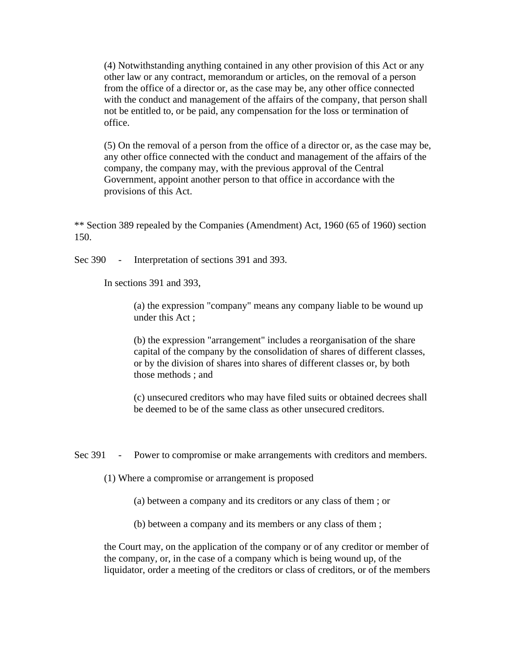(4) Notwithstanding anything contained in any other provision of this Act or any other law or any contract, memorandum or articles, on the removal of a person from the office of a director or, as the case may be, any other office connected with the conduct and management of the affairs of the company, that person shall not be entitled to, or be paid, any compensation for the loss or termination of office.

(5) On the removal of a person from the office of a director or, as the case may be, any other office connected with the conduct and management of the affairs of the company, the company may, with the previous approval of the Central Government, appoint another person to that office in accordance with the provisions of this Act.

\*\* Section 389 repealed by the Companies (Amendment) Act, 1960 (65 of 1960) section 150.

Sec 390 - Interpretation of sections 391 and 393.

In sections 391 and 393,

(a) the expression "company" means any company liable to be wound up under this Act ;

(b) the expression "arrangement" includes a reorganisation of the share capital of the company by the consolidation of shares of different classes, or by the division of shares into shares of different classes or, by both those methods ; and

(c) unsecured creditors who may have filed suits or obtained decrees shall be deemed to be of the same class as other unsecured creditors.

Sec 391 - Power to compromise or make arrangements with creditors and members.

(1) Where a compromise or arrangement is proposed

(a) between a company and its creditors or any class of them ; or

(b) between a company and its members or any class of them ;

the Court may, on the application of the company or of any creditor or member of the company, or, in the case of a company which is being wound up, of the liquidator, order a meeting of the creditors or class of creditors, or of the members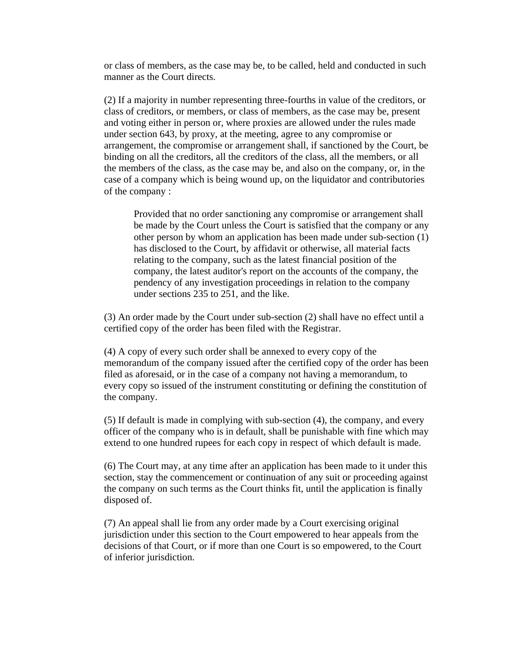or class of members, as the case may be, to be called, held and conducted in such manner as the Court directs.

(2) If a majority in number representing three-fourths in value of the creditors, or class of creditors, or members, or class of members, as the case may be, present and voting either in person or, where proxies are allowed under the rules made under section 643, by proxy, at the meeting, agree to any compromise or arrangement, the compromise or arrangement shall, if sanctioned by the Court, be binding on all the creditors, all the creditors of the class, all the members, or all the members of the class, as the case may be, and also on the company, or, in the case of a company which is being wound up, on the liquidator and contributories of the company :

Provided that no order sanctioning any compromise or arrangement shall be made by the Court unless the Court is satisfied that the company or any other person by whom an application has been made under sub-section (1) has disclosed to the Court, by affidavit or otherwise, all material facts relating to the company, such as the latest financial position of the company, the latest auditor's report on the accounts of the company, the pendency of any investigation proceedings in relation to the company under sections 235 to 251, and the like.

(3) An order made by the Court under sub-section (2) shall have no effect until a certified copy of the order has been filed with the Registrar.

(4) A copy of every such order shall be annexed to every copy of the memorandum of the company issued after the certified copy of the order has been filed as aforesaid, or in the case of a company not having a memorandum, to every copy so issued of the instrument constituting or defining the constitution of the company.

(5) If default is made in complying with sub-section (4), the company, and every officer of the company who is in default, shall be punishable with fine which may extend to one hundred rupees for each copy in respect of which default is made.

(6) The Court may, at any time after an application has been made to it under this section, stay the commencement or continuation of any suit or proceeding against the company on such terms as the Court thinks fit, until the application is finally disposed of.

(7) An appeal shall lie from any order made by a Court exercising original jurisdiction under this section to the Court empowered to hear appeals from the decisions of that Court, or if more than one Court is so empowered, to the Court of inferior jurisdiction.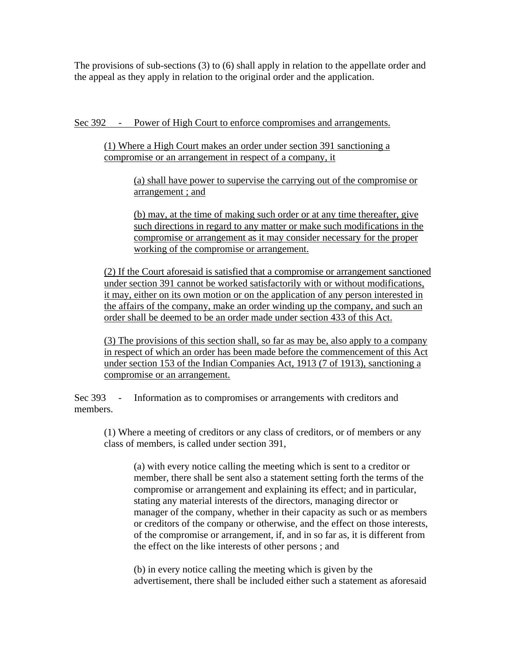The provisions of sub-sections (3) to (6) shall apply in relation to the appellate order and the appeal as they apply in relation to the original order and the application.

Sec 392 - Power of High Court to enforce compromises and arrangements.

(1) Where a High Court makes an order under section 391 sanctioning a compromise or an arrangement in respect of a company, it

> (a) shall have power to supervise the carrying out of the compromise or arrangement ; and

(b) may, at the time of making such order or at any time thereafter, give such directions in regard to any matter or make such modifications in the compromise or arrangement as it may consider necessary for the proper working of the compromise or arrangement.

(2) If the Court aforesaid is satisfied that a compromise or arrangement sanctioned under section 391 cannot be worked satisfactorily with or without modifications, it may, either on its own motion or on the application of any person interested in the affairs of the company, make an order winding up the company, and such an order shall be deemed to be an order made under section 433 of this Act.

(3) The provisions of this section shall, so far as may be, also apply to a company in respect of which an order has been made before the commencement of this Act under section 153 of the Indian Companies Act, 1913 (7 of 1913), sanctioning a compromise or an arrangement.

Sec 393 - Information as to compromises or arrangements with creditors and members.

(1) Where a meeting of creditors or any class of creditors, or of members or any class of members, is called under section 391,

(a) with every notice calling the meeting which is sent to a creditor or member, there shall be sent also a statement setting forth the terms of the compromise or arrangement and explaining its effect; and in particular, stating any material interests of the directors, managing director or manager of the company, whether in their capacity as such or as members or creditors of the company or otherwise, and the effect on those interests, of the compromise or arrangement, if, and in so far as, it is different from the effect on the like interests of other persons ; and

(b) in every notice calling the meeting which is given by the advertisement, there shall be included either such a statement as aforesaid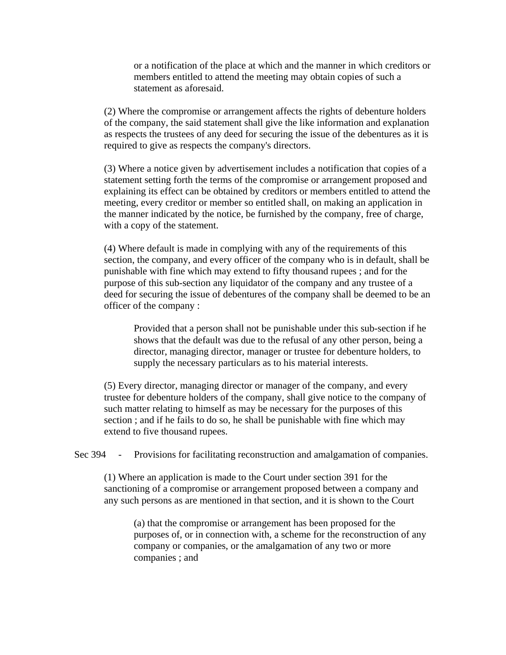or a notification of the place at which and the manner in which creditors or members entitled to attend the meeting may obtain copies of such a statement as aforesaid.

(2) Where the compromise or arrangement affects the rights of debenture holders of the company, the said statement shall give the like information and explanation as respects the trustees of any deed for securing the issue of the debentures as it is required to give as respects the company's directors.

(3) Where a notice given by advertisement includes a notification that copies of a statement setting forth the terms of the compromise or arrangement proposed and explaining its effect can be obtained by creditors or members entitled to attend the meeting, every creditor or member so entitled shall, on making an application in the manner indicated by the notice, be furnished by the company, free of charge, with a copy of the statement.

(4) Where default is made in complying with any of the requirements of this section, the company, and every officer of the company who is in default, shall be punishable with fine which may extend to fifty thousand rupees ; and for the purpose of this sub-section any liquidator of the company and any trustee of a deed for securing the issue of debentures of the company shall be deemed to be an officer of the company :

Provided that a person shall not be punishable under this sub-section if he shows that the default was due to the refusal of any other person, being a director, managing director, manager or trustee for debenture holders, to supply the necessary particulars as to his material interests.

(5) Every director, managing director or manager of the company, and every trustee for debenture holders of the company, shall give notice to the company of such matter relating to himself as may be necessary for the purposes of this section ; and if he fails to do so, he shall be punishable with fine which may extend to five thousand rupees.

Sec 394 - Provisions for facilitating reconstruction and amalgamation of companies.

(1) Where an application is made to the Court under section 391 for the sanctioning of a compromise or arrangement proposed between a company and any such persons as are mentioned in that section, and it is shown to the Court

(a) that the compromise or arrangement has been proposed for the purposes of, or in connection with, a scheme for the reconstruction of any company or companies, or the amalgamation of any two or more companies ; and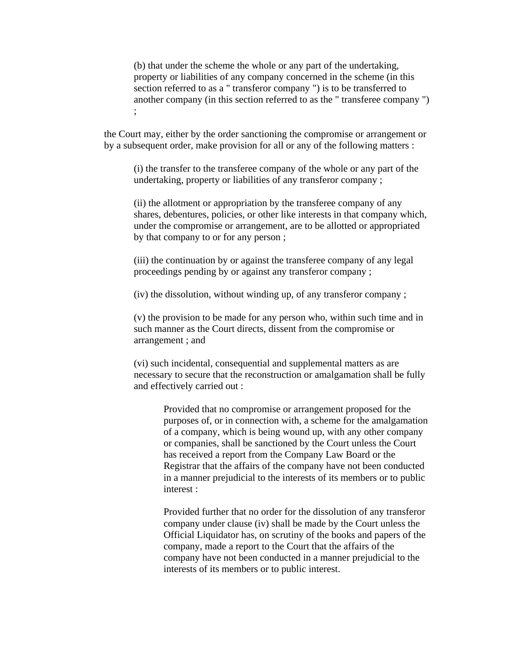(b) that under the scheme the whole or any part of the undertaking, property or liabilities of any company concerned in the scheme (in this section referred to as a " transferor company ") is to be transferred to another company (in this section referred to as the " transferee company ") ;

the Court may, either by the order sanctioning the compromise or arrangement or by a subsequent order, make provision for all or any of the following matters :

(i) the transfer to the transferee company of the whole or any part of the undertaking, property or liabilities of any transferor company ;

(ii) the allotment or appropriation by the transferee company of any shares, debentures, policies, or other like interests in that company which, under the compromise or arrangement, are to be allotted or appropriated by that company to or for any person ;

(iii) the continuation by or against the transferee company of any legal proceedings pending by or against any transferor company ;

(iv) the dissolution, without winding up, of any transferor company ;

(v) the provision to be made for any person who, within such time and in such manner as the Court directs, dissent from the compromise or arrangement ; and

(vi) such incidental, consequential and supplemental matters as are necessary to secure that the reconstruction or amalgamation shall be fully and effectively carried out :

> Provided that no compromise or arrangement proposed for the purposes of, or in connection with, a scheme for the amalgamation of a company, which is being wound up, with any other company or companies, shall be sanctioned by the Court unless the Court has received a report from the Company Law Board or the Registrar that the affairs of the company have not been conducted in a manner prejudicial to the interests of its members or to public interest :

Provided further that no order for the dissolution of any transferor company under clause (iv) shall be made by the Court unless the Official Liquidator has, on scrutiny of the books and papers of the company, made a report to the Court that the affairs of the company have not been conducted in a manner prejudicial to the interests of its members or to public interest.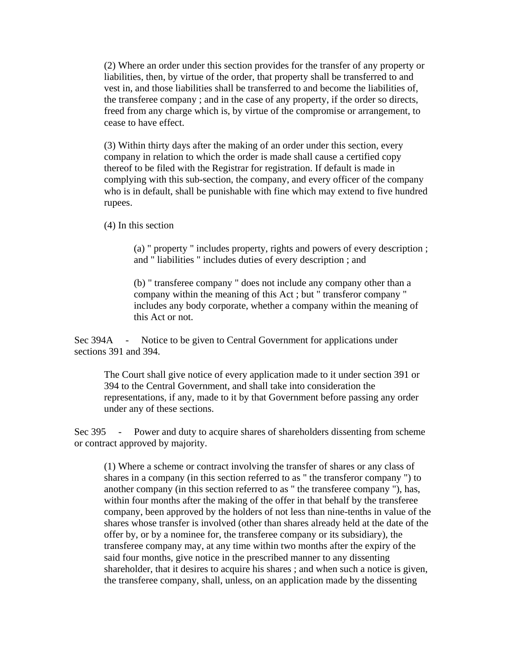(2) Where an order under this section provides for the transfer of any property or liabilities, then, by virtue of the order, that property shall be transferred to and vest in, and those liabilities shall be transferred to and become the liabilities of, the transferee company ; and in the case of any property, if the order so directs, freed from any charge which is, by virtue of the compromise or arrangement, to cease to have effect.

(3) Within thirty days after the making of an order under this section, every company in relation to which the order is made shall cause a certified copy thereof to be filed with the Registrar for registration. If default is made in complying with this sub-section, the company, and every officer of the company who is in default, shall be punishable with fine which may extend to five hundred rupees.

(4) In this section

(a) " property " includes property, rights and powers of every description ; and " liabilities " includes duties of every description ; and

(b) " transferee company " does not include any company other than a company within the meaning of this Act ; but " transferor company " includes any body corporate, whether a company within the meaning of this Act or not.

Sec 394A - Notice to be given to Central Government for applications under sections 391 and 394.

The Court shall give notice of every application made to it under section 391 or 394 to the Central Government, and shall take into consideration the representations, if any, made to it by that Government before passing any order under any of these sections.

Sec 395 - Power and duty to acquire shares of shareholders dissenting from scheme or contract approved by majority.

(1) Where a scheme or contract involving the transfer of shares or any class of shares in a company (in this section referred to as " the transferor company ") to another company (in this section referred to as " the transferee company "), has, within four months after the making of the offer in that behalf by the transferee company, been approved by the holders of not less than nine-tenths in value of the shares whose transfer is involved (other than shares already held at the date of the offer by, or by a nominee for, the transferee company or its subsidiary), the transferee company may, at any time within two months after the expiry of the said four months, give notice in the prescribed manner to any dissenting shareholder, that it desires to acquire his shares ; and when such a notice is given, the transferee company, shall, unless, on an application made by the dissenting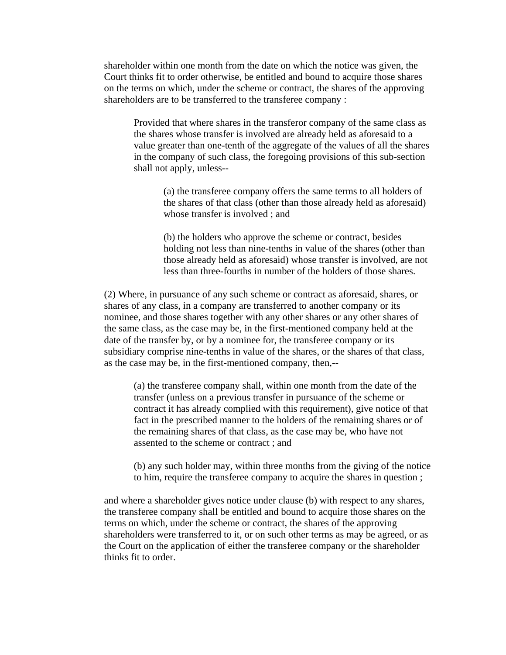shareholder within one month from the date on which the notice was given, the Court thinks fit to order otherwise, be entitled and bound to acquire those shares on the terms on which, under the scheme or contract, the shares of the approving shareholders are to be transferred to the transferee company :

Provided that where shares in the transferor company of the same class as the shares whose transfer is involved are already held as aforesaid to a value greater than one-tenth of the aggregate of the values of all the shares in the company of such class, the foregoing provisions of this sub-section shall not apply, unless--

(a) the transferee company offers the same terms to all holders of the shares of that class (other than those already held as aforesaid) whose transfer is involved ; and

(b) the holders who approve the scheme or contract, besides holding not less than nine-tenths in value of the shares (other than those already held as aforesaid) whose transfer is involved, are not less than three-fourths in number of the holders of those shares.

(2) Where, in pursuance of any such scheme or contract as aforesaid, shares, or shares of any class, in a company are transferred to another company or its nominee, and those shares together with any other shares or any other shares of the same class, as the case may be, in the first-mentioned company held at the date of the transfer by, or by a nominee for, the transferee company or its subsidiary comprise nine-tenths in value of the shares, or the shares of that class, as the case may be, in the first-mentioned company, then,--

(a) the transferee company shall, within one month from the date of the transfer (unless on a previous transfer in pursuance of the scheme or contract it has already complied with this requirement), give notice of that fact in the prescribed manner to the holders of the remaining shares or of the remaining shares of that class, as the case may be, who have not assented to the scheme or contract ; and

(b) any such holder may, within three months from the giving of the notice to him, require the transferee company to acquire the shares in question ;

and where a shareholder gives notice under clause (b) with respect to any shares, the transferee company shall be entitled and bound to acquire those shares on the terms on which, under the scheme or contract, the shares of the approving shareholders were transferred to it, or on such other terms as may be agreed, or as the Court on the application of either the transferee company or the shareholder thinks fit to order.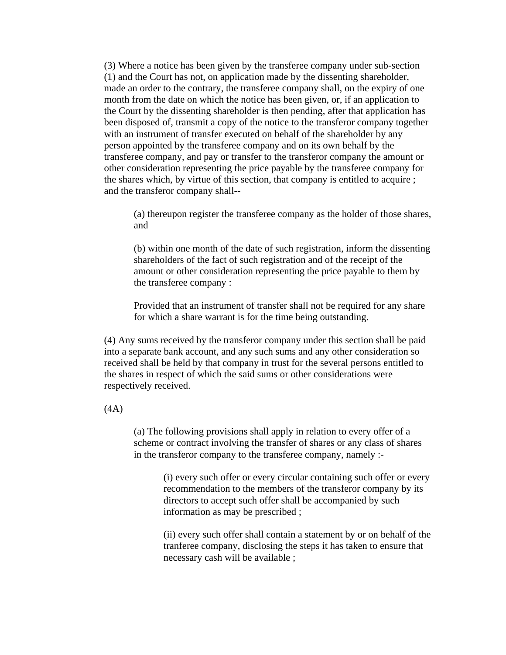(3) Where a notice has been given by the transferee company under sub-section (1) and the Court has not, on application made by the dissenting shareholder, made an order to the contrary, the transferee company shall, on the expiry of one month from the date on which the notice has been given, or, if an application to the Court by the dissenting shareholder is then pending, after that application has been disposed of, transmit a copy of the notice to the transferor company together with an instrument of transfer executed on behalf of the shareholder by any person appointed by the transferee company and on its own behalf by the transferee company, and pay or transfer to the transferor company the amount or other consideration representing the price payable by the transferee company for the shares which, by virtue of this section, that company is entitled to acquire ; and the transferor company shall--

(a) thereupon register the transferee company as the holder of those shares, and

(b) within one month of the date of such registration, inform the dissenting shareholders of the fact of such registration and of the receipt of the amount or other consideration representing the price payable to them by the transferee company :

Provided that an instrument of transfer shall not be required for any share for which a share warrant is for the time being outstanding.

(4) Any sums received by the transferor company under this section shall be paid into a separate bank account, and any such sums and any other consideration so received shall be held by that company in trust for the several persons entitled to the shares in respect of which the said sums or other considerations were respectively received.

(4A)

(a) The following provisions shall apply in relation to every offer of a scheme or contract involving the transfer of shares or any class of shares in the transferor company to the transferee company, namely :-

> (i) every such offer or every circular containing such offer or every recommendation to the members of the transferor company by its directors to accept such offer shall be accompanied by such information as may be prescribed ;

> (ii) every such offer shall contain a statement by or on behalf of the tranferee company, disclosing the steps it has taken to ensure that necessary cash will be available ;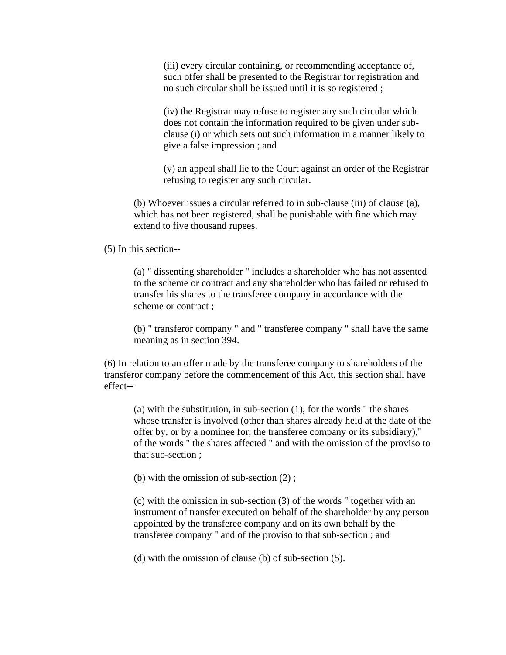(iii) every circular containing, or recommending acceptance of, such offer shall be presented to the Registrar for registration and no such circular shall be issued until it is so registered ;

(iv) the Registrar may refuse to register any such circular which does not contain the information required to be given under subclause (i) or which sets out such information in a manner likely to give a false impression ; and

(v) an appeal shall lie to the Court against an order of the Registrar refusing to register any such circular.

(b) Whoever issues a circular referred to in sub-clause (iii) of clause (a), which has not been registered, shall be punishable with fine which may extend to five thousand rupees.

(5) In this section--

(a) " dissenting shareholder " includes a shareholder who has not assented to the scheme or contract and any shareholder who has failed or refused to transfer his shares to the transferee company in accordance with the scheme or contract ;

(b) " transferor company " and " transferee company " shall have the same meaning as in section 394.

(6) In relation to an offer made by the transferee company to shareholders of the transferor company before the commencement of this Act, this section shall have effect--

(a) with the substitution, in sub-section  $(1)$ , for the words " the shares whose transfer is involved (other than shares already held at the date of the offer by, or by a nominee for, the transferee company or its subsidiary)," of the words " the shares affected " and with the omission of the proviso to that sub-section ;

(b) with the omission of sub-section (2) ;

(c) with the omission in sub-section (3) of the words " together with an instrument of transfer executed on behalf of the shareholder by any person appointed by the transferee company and on its own behalf by the transferee company " and of the proviso to that sub-section ; and

(d) with the omission of clause (b) of sub-section (5).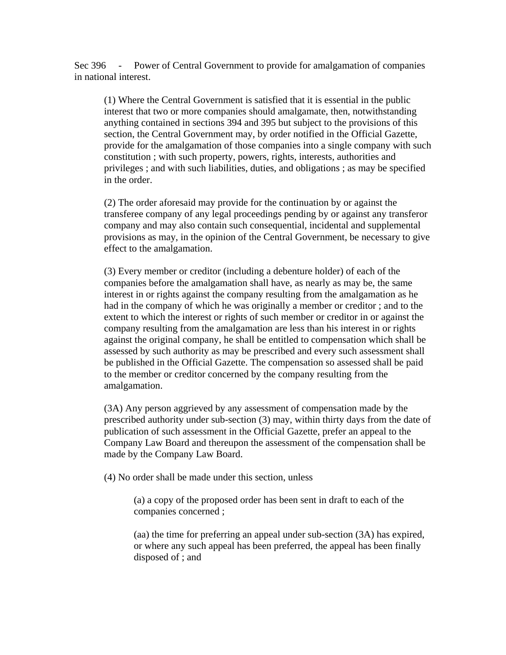Sec 396 - Power of Central Government to provide for amalgamation of companies in national interest.

(1) Where the Central Government is satisfied that it is essential in the public interest that two or more companies should amalgamate, then, notwithstanding anything contained in sections 394 and 395 but subject to the provisions of this section, the Central Government may, by order notified in the Official Gazette, provide for the amalgamation of those companies into a single company with such constitution ; with such property, powers, rights, interests, authorities and privileges ; and with such liabilities, duties, and obligations ; as may be specified in the order.

(2) The order aforesaid may provide for the continuation by or against the transferee company of any legal proceedings pending by or against any transferor company and may also contain such consequential, incidental and supplemental provisions as may, in the opinion of the Central Government, be necessary to give effect to the amalgamation.

(3) Every member or creditor (including a debenture holder) of each of the companies before the amalgamation shall have, as nearly as may be, the same interest in or rights against the company resulting from the amalgamation as he had in the company of which he was originally a member or creditor ; and to the extent to which the interest or rights of such member or creditor in or against the company resulting from the amalgamation are less than his interest in or rights against the original company, he shall be entitled to compensation which shall be assessed by such authority as may be prescribed and every such assessment shall be published in the Official Gazette. The compensation so assessed shall be paid to the member or creditor concerned by the company resulting from the amalgamation.

(3A) Any person aggrieved by any assessment of compensation made by the prescribed authority under sub-section (3) may, within thirty days from the date of publication of such assessment in the Official Gazette, prefer an appeal to the Company Law Board and thereupon the assessment of the compensation shall be made by the Company Law Board.

(4) No order shall be made under this section, unless

(a) a copy of the proposed order has been sent in draft to each of the companies concerned ;

(aa) the time for preferring an appeal under sub-section (3A) has expired, or where any such appeal has been preferred, the appeal has been finally disposed of ; and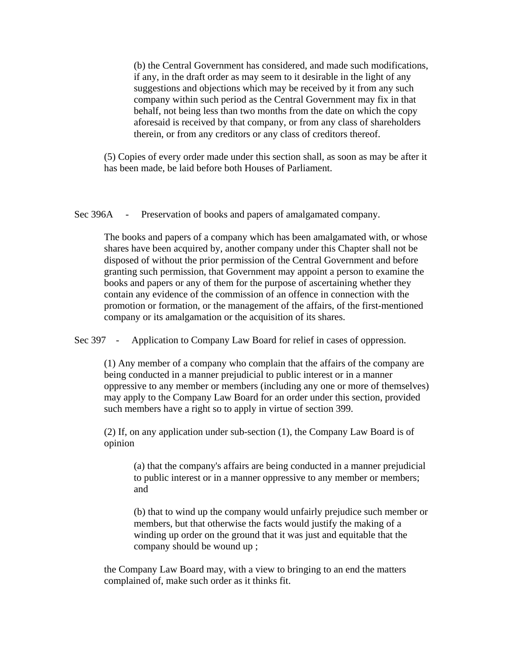(b) the Central Government has considered, and made such modifications, if any, in the draft order as may seem to it desirable in the light of any suggestions and objections which may be received by it from any such company within such period as the Central Government may fix in that behalf, not being less than two months from the date on which the copy aforesaid is received by that company, or from any class of shareholders therein, or from any creditors or any class of creditors thereof.

(5) Copies of every order made under this section shall, as soon as may be after it has been made, be laid before both Houses of Parliament.

Sec 396A - Preservation of books and papers of amalgamated company.

The books and papers of a company which has been amalgamated with, or whose shares have been acquired by, another company under this Chapter shall not be disposed of without the prior permission of the Central Government and before granting such permission, that Government may appoint a person to examine the books and papers or any of them for the purpose of ascertaining whether they contain any evidence of the commission of an offence in connection with the promotion or formation, or the management of the affairs, of the first-mentioned company or its amalgamation or the acquisition of its shares.

Sec 397 - Application to Company Law Board for relief in cases of oppression.

(1) Any member of a company who complain that the affairs of the company are being conducted in a manner prejudicial to public interest or in a manner oppressive to any member or members (including any one or more of themselves) may apply to the Company Law Board for an order under this section, provided such members have a right so to apply in virtue of section 399.

(2) If, on any application under sub-section (1), the Company Law Board is of opinion

(a) that the company's affairs are being conducted in a manner prejudicial to public interest or in a manner oppressive to any member or members; and

(b) that to wind up the company would unfairly prejudice such member or members, but that otherwise the facts would justify the making of a winding up order on the ground that it was just and equitable that the company should be wound up ;

the Company Law Board may, with a view to bringing to an end the matters complained of, make such order as it thinks fit.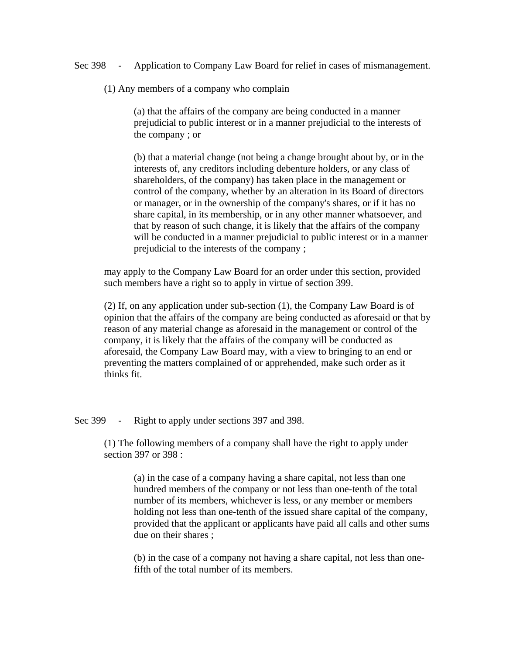# Sec 398 - Application to Company Law Board for relief in cases of mismanagement.

(1) Any members of a company who complain

(a) that the affairs of the company are being conducted in a manner prejudicial to public interest or in a manner prejudicial to the interests of the company ; or

(b) that a material change (not being a change brought about by, or in the interests of, any creditors including debenture holders, or any class of shareholders, of the company) has taken place in the management or control of the company, whether by an alteration in its Board of directors or manager, or in the ownership of the company's shares, or if it has no share capital, in its membership, or in any other manner whatsoever, and that by reason of such change, it is likely that the affairs of the company will be conducted in a manner prejudicial to public interest or in a manner prejudicial to the interests of the company ;

may apply to the Company Law Board for an order under this section, provided such members have a right so to apply in virtue of section 399.

(2) If, on any application under sub-section (1), the Company Law Board is of opinion that the affairs of the company are being conducted as aforesaid or that by reason of any material change as aforesaid in the management or control of the company, it is likely that the affairs of the company will be conducted as aforesaid, the Company Law Board may, with a view to bringing to an end or preventing the matters complained of or apprehended, make such order as it thinks fit.

Sec 399 - Right to apply under sections 397 and 398.

(1) The following members of a company shall have the right to apply under section 397 or 398 :

(a) in the case of a company having a share capital, not less than one hundred members of the company or not less than one-tenth of the total number of its members, whichever is less, or any member or members holding not less than one-tenth of the issued share capital of the company, provided that the applicant or applicants have paid all calls and other sums due on their shares ;

(b) in the case of a company not having a share capital, not less than onefifth of the total number of its members.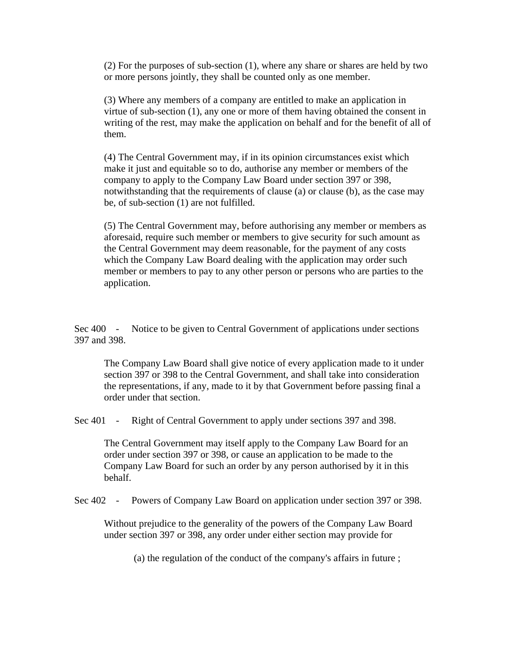(2) For the purposes of sub-section (1), where any share or shares are held by two or more persons jointly, they shall be counted only as one member.

(3) Where any members of a company are entitled to make an application in virtue of sub-section (1), any one or more of them having obtained the consent in writing of the rest, may make the application on behalf and for the benefit of all of them.

(4) The Central Government may, if in its opinion circumstances exist which make it just and equitable so to do, authorise any member or members of the company to apply to the Company Law Board under section 397 or 398, notwithstanding that the requirements of clause (a) or clause (b), as the case may be, of sub-section (1) are not fulfilled.

(5) The Central Government may, before authorising any member or members as aforesaid, require such member or members to give security for such amount as the Central Government may deem reasonable, for the payment of any costs which the Company Law Board dealing with the application may order such member or members to pay to any other person or persons who are parties to the application.

Sec 400 - Notice to be given to Central Government of applications under sections 397 and 398.

The Company Law Board shall give notice of every application made to it under section 397 or 398 to the Central Government, and shall take into consideration the representations, if any, made to it by that Government before passing final a order under that section.

Sec 401 - Right of Central Government to apply under sections 397 and 398.

The Central Government may itself apply to the Company Law Board for an order under section 397 or 398, or cause an application to be made to the Company Law Board for such an order by any person authorised by it in this behalf.

Sec 402 - Powers of Company Law Board on application under section 397 or 398.

Without prejudice to the generality of the powers of the Company Law Board under section 397 or 398, any order under either section may provide for

(a) the regulation of the conduct of the company's affairs in future ;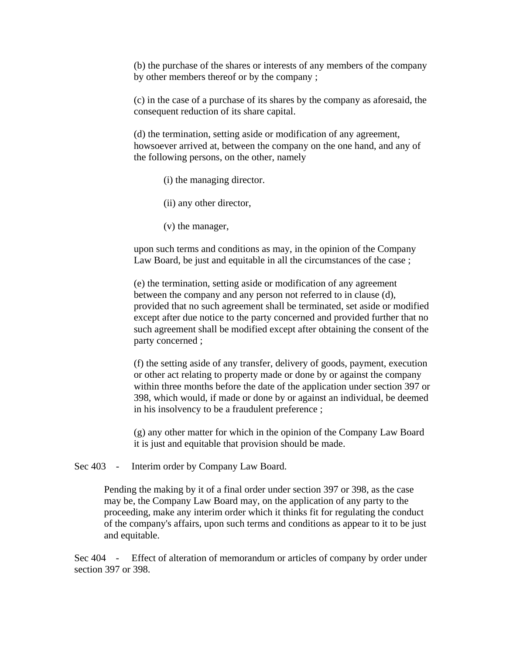(b) the purchase of the shares or interests of any members of the company by other members thereof or by the company ;

(c) in the case of a purchase of its shares by the company as aforesaid, the consequent reduction of its share capital.

(d) the termination, setting aside or modification of any agreement, howsoever arrived at, between the company on the one hand, and any of the following persons, on the other, namely

- (i) the managing director.
- (ii) any other director,
- (v) the manager,

upon such terms and conditions as may, in the opinion of the Company Law Board, be just and equitable in all the circumstances of the case ;

(e) the termination, setting aside or modification of any agreement between the company and any person not referred to in clause (d), provided that no such agreement shall be terminated, set aside or modified except after due notice to the party concerned and provided further that no such agreement shall be modified except after obtaining the consent of the party concerned ;

(f) the setting aside of any transfer, delivery of goods, payment, execution or other act relating to property made or done by or against the company within three months before the date of the application under section 397 or 398, which would, if made or done by or against an individual, be deemed in his insolvency to be a fraudulent preference ;

(g) any other matter for which in the opinion of the Company Law Board it is just and equitable that provision should be made.

Sec 403 - Interim order by Company Law Board.

Pending the making by it of a final order under section 397 or 398, as the case may be, the Company Law Board may, on the application of any party to the proceeding, make any interim order which it thinks fit for regulating the conduct of the company's affairs, upon such terms and conditions as appear to it to be just and equitable.

Sec 404 - Effect of alteration of memorandum or articles of company by order under section 397 or 398.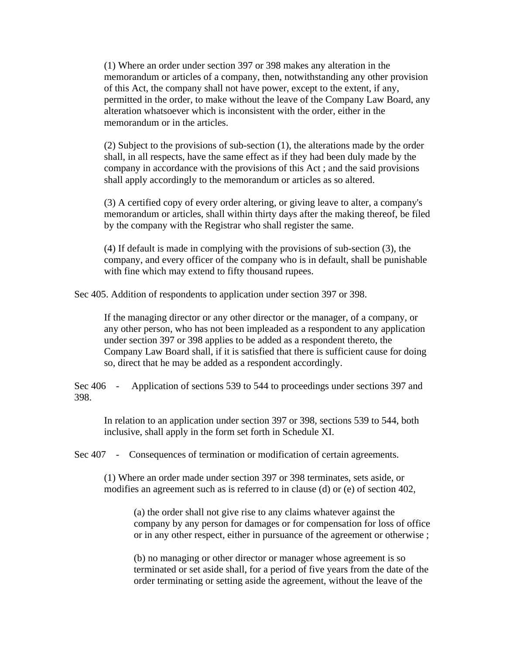(1) Where an order under section 397 or 398 makes any alteration in the memorandum or articles of a company, then, notwithstanding any other provision of this Act, the company shall not have power, except to the extent, if any, permitted in the order, to make without the leave of the Company Law Board, any alteration whatsoever which is inconsistent with the order, either in the memorandum or in the articles.

(2) Subject to the provisions of sub-section (1), the alterations made by the order shall, in all respects, have the same effect as if they had been duly made by the company in accordance with the provisions of this Act ; and the said provisions shall apply accordingly to the memorandum or articles as so altered.

(3) A certified copy of every order altering, or giving leave to alter, a company's memorandum or articles, shall within thirty days after the making thereof, be filed by the company with the Registrar who shall register the same.

(4) If default is made in complying with the provisions of sub-section (3), the company, and every officer of the company who is in default, shall be punishable with fine which may extend to fifty thousand rupees.

Sec 405. Addition of respondents to application under section 397 or 398.

If the managing director or any other director or the manager, of a company, or any other person, who has not been impleaded as a respondent to any application under section 397 or 398 applies to be added as a respondent thereto, the Company Law Board shall, if it is satisfied that there is sufficient cause for doing so, direct that he may be added as a respondent accordingly.

Sec 406 - Application of sections 539 to 544 to proceedings under sections 397 and 398.

In relation to an application under section 397 or 398, sections 539 to 544, both inclusive, shall apply in the form set forth in Schedule XI.

Sec 407 - Consequences of termination or modification of certain agreements.

(1) Where an order made under section 397 or 398 terminates, sets aside, or modifies an agreement such as is referred to in clause (d) or (e) of section 402,

(a) the order shall not give rise to any claims whatever against the company by any person for damages or for compensation for loss of office or in any other respect, either in pursuance of the agreement or otherwise ;

(b) no managing or other director or manager whose agreement is so terminated or set aside shall, for a period of five years from the date of the order terminating or setting aside the agreement, without the leave of the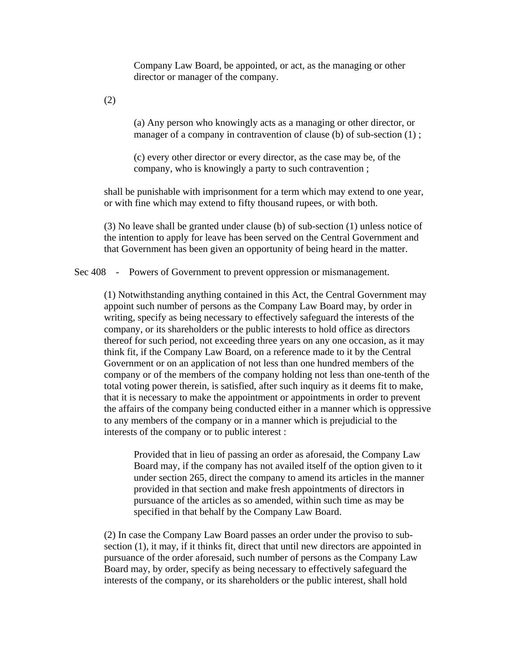Company Law Board, be appointed, or act, as the managing or other director or manager of the company.

(2)

(a) Any person who knowingly acts as a managing or other director, or manager of a company in contravention of clause (b) of sub-section (1);

(c) every other director or every director, as the case may be, of the company, who is knowingly a party to such contravention ;

shall be punishable with imprisonment for a term which may extend to one year, or with fine which may extend to fifty thousand rupees, or with both.

(3) No leave shall be granted under clause (b) of sub-section (1) unless notice of the intention to apply for leave has been served on the Central Government and that Government has been given an opportunity of being heard in the matter.

Sec 408 - Powers of Government to prevent oppression or mismanagement.

(1) Notwithstanding anything contained in this Act, the Central Government may appoint such number of persons as the Company Law Board may, by order in writing, specify as being necessary to effectively safeguard the interests of the company, or its shareholders or the public interests to hold office as directors thereof for such period, not exceeding three years on any one occasion, as it may think fit, if the Company Law Board, on a reference made to it by the Central Government or on an application of not less than one hundred members of the company or of the members of the company holding not less than one-tenth of the total voting power therein, is satisfied, after such inquiry as it deems fit to make, that it is necessary to make the appointment or appointments in order to prevent the affairs of the company being conducted either in a manner which is oppressive to any members of the company or in a manner which is prejudicial to the interests of the company or to public interest :

Provided that in lieu of passing an order as aforesaid, the Company Law Board may, if the company has not availed itself of the option given to it under section 265, direct the company to amend its articles in the manner provided in that section and make fresh appointments of directors in pursuance of the articles as so amended, within such time as may be specified in that behalf by the Company Law Board.

(2) In case the Company Law Board passes an order under the proviso to subsection (1), it may, if it thinks fit, direct that until new directors are appointed in pursuance of the order aforesaid, such number of persons as the Company Law Board may, by order, specify as being necessary to effectively safeguard the interests of the company, or its shareholders or the public interest, shall hold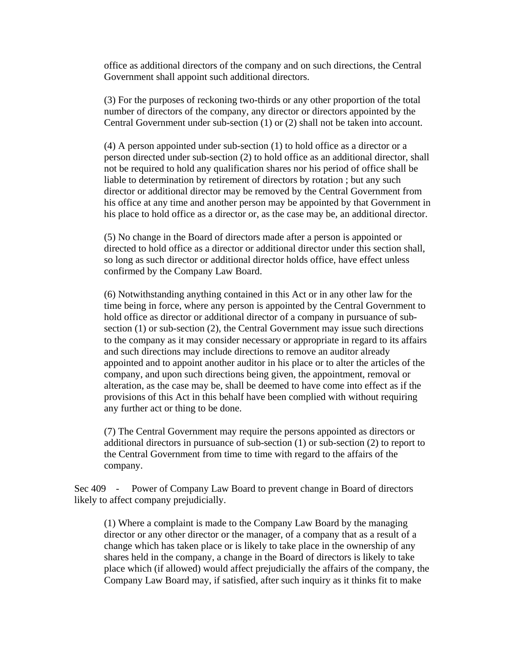office as additional directors of the company and on such directions, the Central Government shall appoint such additional directors.

(3) For the purposes of reckoning two-thirds or any other proportion of the total number of directors of the company, any director or directors appointed by the Central Government under sub-section (1) or (2) shall not be taken into account.

(4) A person appointed under sub-section (1) to hold office as a director or a person directed under sub-section (2) to hold office as an additional director, shall not be required to hold any qualification shares nor his period of office shall be liable to determination by retirement of directors by rotation ; but any such director or additional director may be removed by the Central Government from his office at any time and another person may be appointed by that Government in his place to hold office as a director or, as the case may be, an additional director.

(5) No change in the Board of directors made after a person is appointed or directed to hold office as a director or additional director under this section shall, so long as such director or additional director holds office, have effect unless confirmed by the Company Law Board.

(6) Notwithstanding anything contained in this Act or in any other law for the time being in force, where any person is appointed by the Central Government to hold office as director or additional director of a company in pursuance of subsection (1) or sub-section (2), the Central Government may issue such directions to the company as it may consider necessary or appropriate in regard to its affairs and such directions may include directions to remove an auditor already appointed and to appoint another auditor in his place or to alter the articles of the company, and upon such directions being given, the appointment, removal or alteration, as the case may be, shall be deemed to have come into effect as if the provisions of this Act in this behalf have been complied with without requiring any further act or thing to be done.

(7) The Central Government may require the persons appointed as directors or additional directors in pursuance of sub-section (1) or sub-section (2) to report to the Central Government from time to time with regard to the affairs of the company.

Sec 409 - Power of Company Law Board to prevent change in Board of directors likely to affect company prejudicially.

(1) Where a complaint is made to the Company Law Board by the managing director or any other director or the manager, of a company that as a result of a change which has taken place or is likely to take place in the ownership of any shares held in the company, a change in the Board of directors is likely to take place which (if allowed) would affect prejudicially the affairs of the company, the Company Law Board may, if satisfied, after such inquiry as it thinks fit to make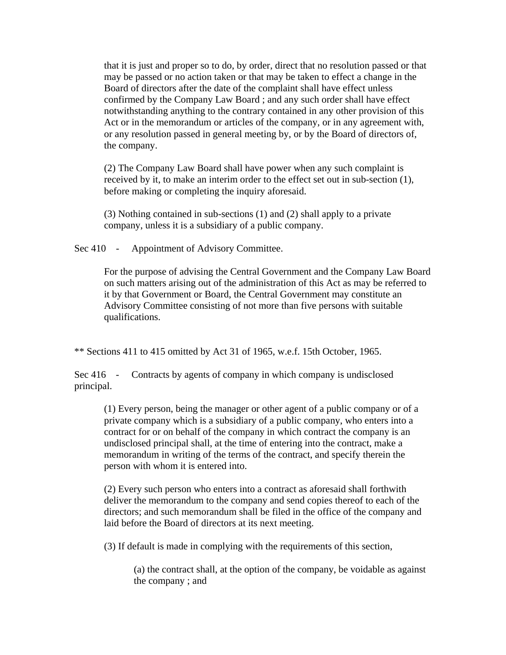that it is just and proper so to do, by order, direct that no resolution passed or that may be passed or no action taken or that may be taken to effect a change in the Board of directors after the date of the complaint shall have effect unless confirmed by the Company Law Board ; and any such order shall have effect notwithstanding anything to the contrary contained in any other provision of this Act or in the memorandum or articles of the company, or in any agreement with, or any resolution passed in general meeting by, or by the Board of directors of, the company.

(2) The Company Law Board shall have power when any such complaint is received by it, to make an interim order to the effect set out in sub-section (1), before making or completing the inquiry aforesaid.

(3) Nothing contained in sub-sections (1) and (2) shall apply to a private company, unless it is a subsidiary of a public company.

Sec 410 - Appointment of Advisory Committee.

For the purpose of advising the Central Government and the Company Law Board on such matters arising out of the administration of this Act as may be referred to it by that Government or Board, the Central Government may constitute an Advisory Committee consisting of not more than five persons with suitable qualifications.

\*\* Sections 411 to 415 omitted by Act 31 of 1965, w.e.f. 15th October, 1965.

Sec 416 - Contracts by agents of company in which company is undisclosed principal.

(1) Every person, being the manager or other agent of a public company or of a private company which is a subsidiary of a public company, who enters into a contract for or on behalf of the company in which contract the company is an undisclosed principal shall, at the time of entering into the contract, make a memorandum in writing of the terms of the contract, and specify therein the person with whom it is entered into.

(2) Every such person who enters into a contract as aforesaid shall forthwith deliver the memorandum to the company and send copies thereof to each of the directors; and such memorandum shall be filed in the office of the company and laid before the Board of directors at its next meeting.

(3) If default is made in complying with the requirements of this section,

(a) the contract shall, at the option of the company, be voidable as against the company ; and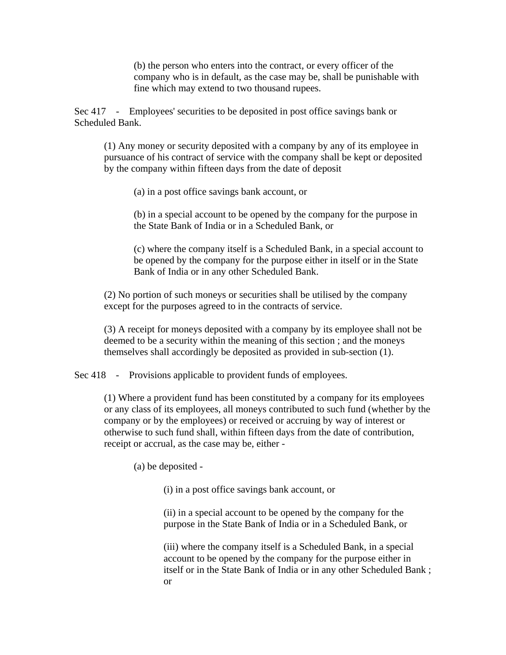(b) the person who enters into the contract, or every officer of the company who is in default, as the case may be, shall be punishable with fine which may extend to two thousand rupees.

Sec 417 - Employees' securities to be deposited in post office savings bank or Scheduled Bank.

(1) Any money or security deposited with a company by any of its employee in pursuance of his contract of service with the company shall be kept or deposited by the company within fifteen days from the date of deposit

(a) in a post office savings bank account, or

(b) in a special account to be opened by the company for the purpose in the State Bank of India or in a Scheduled Bank, or

(c) where the company itself is a Scheduled Bank, in a special account to be opened by the company for the purpose either in itself or in the State Bank of India or in any other Scheduled Bank.

(2) No portion of such moneys or securities shall be utilised by the company except for the purposes agreed to in the contracts of service.

(3) A receipt for moneys deposited with a company by its employee shall not be deemed to be a security within the meaning of this section ; and the moneys themselves shall accordingly be deposited as provided in sub-section (1).

Sec 418 - Provisions applicable to provident funds of employees.

(1) Where a provident fund has been constituted by a company for its employees or any class of its employees, all moneys contributed to such fund (whether by the company or by the employees) or received or accruing by way of interest or otherwise to such fund shall, within fifteen days from the date of contribution, receipt or accrual, as the case may be, either -

(a) be deposited -

(i) in a post office savings bank account, or

(ii) in a special account to be opened by the company for the purpose in the State Bank of India or in a Scheduled Bank, or

(iii) where the company itself is a Scheduled Bank, in a special account to be opened by the company for the purpose either in itself or in the State Bank of India or in any other Scheduled Bank ; or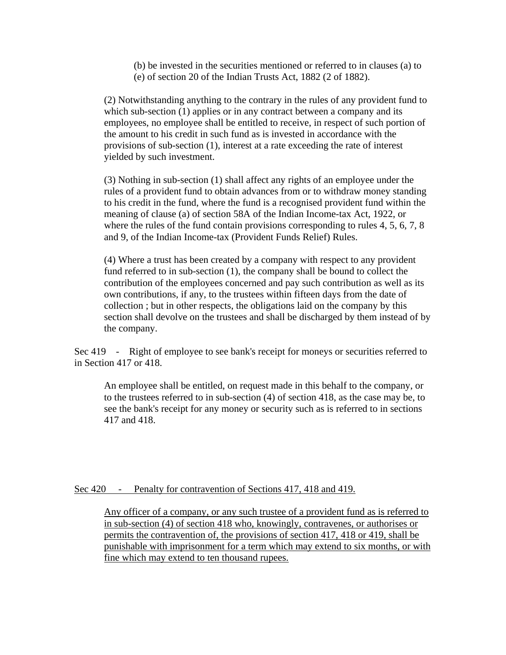(b) be invested in the securities mentioned or referred to in clauses (a) to (e) of section 20 of the Indian Trusts Act, 1882 (2 of 1882).

(2) Notwithstanding anything to the contrary in the rules of any provident fund to which sub-section (1) applies or in any contract between a company and its employees, no employee shall be entitled to receive, in respect of such portion of the amount to his credit in such fund as is invested in accordance with the provisions of sub-section (1), interest at a rate exceeding the rate of interest yielded by such investment.

(3) Nothing in sub-section (1) shall affect any rights of an employee under the rules of a provident fund to obtain advances from or to withdraw money standing to his credit in the fund, where the fund is a recognised provident fund within the meaning of clause (a) of section 58A of the Indian Income-tax Act, 1922, or where the rules of the fund contain provisions corresponding to rules 4, 5, 6, 7, 8 and 9, of the Indian Income-tax (Provident Funds Relief) Rules.

(4) Where a trust has been created by a company with respect to any provident fund referred to in sub-section (1), the company shall be bound to collect the contribution of the employees concerned and pay such contribution as well as its own contributions, if any, to the trustees within fifteen days from the date of collection ; but in other respects, the obligations laid on the company by this section shall devolve on the trustees and shall be discharged by them instead of by the company.

Sec 419 - Right of employee to see bank's receipt for moneys or securities referred to in Section 417 or 418.

An employee shall be entitled, on request made in this behalf to the company, or to the trustees referred to in sub-section (4) of section 418, as the case may be, to see the bank's receipt for any money or security such as is referred to in sections 417 and 418.

Sec 420 - Penalty for contravention of Sections 417, 418 and 419.

Any officer of a company, or any such trustee of a provident fund as is referred to in sub-section (4) of section 418 who, knowingly, contravenes, or authorises or permits the contravention of, the provisions of section 417, 418 or 419, shall be punishable with imprisonment for a term which may extend to six months, or with fine which may extend to ten thousand rupees.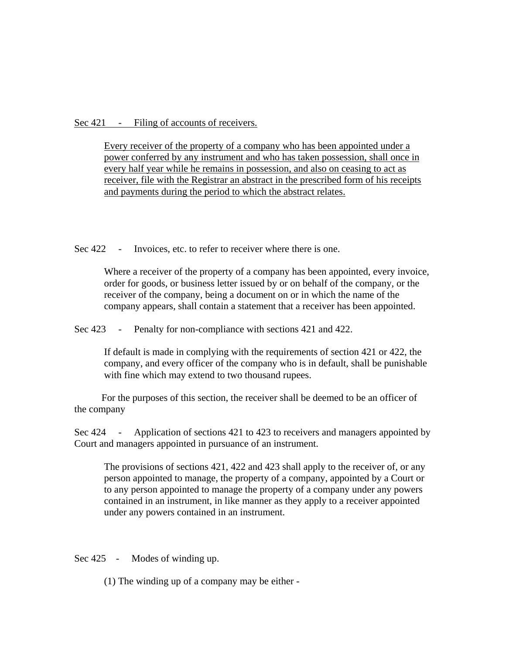# Sec 421 - Filing of accounts of receivers.

Every receiver of the property of a company who has been appointed under a power conferred by any instrument and who has taken possession, shall once in every half year while he remains in possession, and also on ceasing to act as receiver, file with the Registrar an abstract in the prescribed form of his receipts and payments during the period to which the abstract relates.

Sec 422 - Invoices, etc. to refer to receiver where there is one.

Where a receiver of the property of a company has been appointed, every invoice, order for goods, or business letter issued by or on behalf of the company, or the receiver of the company, being a document on or in which the name of the company appears, shall contain a statement that a receiver has been appointed.

Sec 423 - Penalty for non-compliance with sections 421 and 422.

If default is made in complying with the requirements of section 421 or 422, the company, and every officer of the company who is in default, shall be punishable with fine which may extend to two thousand rupees.

 For the purposes of this section, the receiver shall be deemed to be an officer of the company

Sec 424 - Application of sections 421 to 423 to receivers and managers appointed by Court and managers appointed in pursuance of an instrument.

The provisions of sections 421, 422 and 423 shall apply to the receiver of, or any person appointed to manage, the property of a company, appointed by a Court or to any person appointed to manage the property of a company under any powers contained in an instrument, in like manner as they apply to a receiver appointed under any powers contained in an instrument.

Sec 425 - Modes of winding up.

(1) The winding up of a company may be either -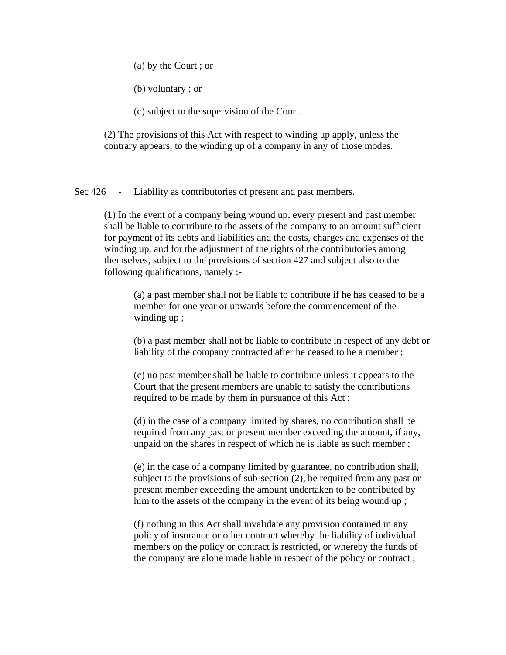(a) by the Court ; or

(b) voluntary ; or

(c) subject to the supervision of the Court.

(2) The provisions of this Act with respect to winding up apply, unless the contrary appears, to the winding up of a company in any of those modes.

Sec 426 - Liability as contributories of present and past members.

(1) In the event of a company being wound up, every present and past member shall be liable to contribute to the assets of the company to an amount sufficient for payment of its debts and liabilities and the costs, charges and expenses of the winding up, and for the adjustment of the rights of the contributories among themselves, subject to the provisions of section 427 and subject also to the following qualifications, namely :-

(a) a past member shall not be liable to contribute if he has ceased to be a member for one year or upwards before the commencement of the winding up ;

(b) a past member shall not be liable to contribute in respect of any debt or liability of the company contracted after he ceased to be a member ;

(c) no past member shall be liable to contribute unless it appears to the Court that the present members are unable to satisfy the contributions required to be made by them in pursuance of this Act ;

(d) in the case of a company limited by shares, no contribution shall be required from any past or present member exceeding the amount, if any, unpaid on the shares in respect of which he is liable as such member ;

(e) in the case of a company limited by guarantee, no contribution shall, subject to the provisions of sub-section (2), be required from any past or present member exceeding the amount undertaken to be contributed by him to the assets of the company in the event of its being wound up;

(f) nothing in this Act shall invalidate any provision contained in any policy of insurance or other contract whereby the liability of individual members on the policy or contract is restricted, or whereby the funds of the company are alone made liable in respect of the policy or contract ;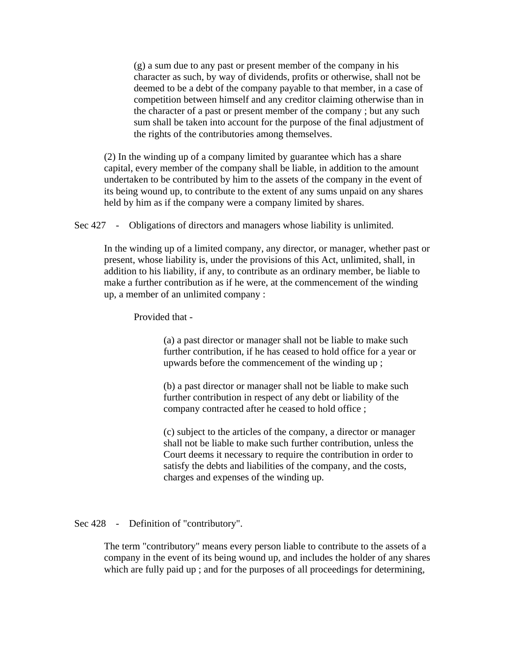(g) a sum due to any past or present member of the company in his character as such, by way of dividends, profits or otherwise, shall not be deemed to be a debt of the company payable to that member, in a case of competition between himself and any creditor claiming otherwise than in the character of a past or present member of the company ; but any such sum shall be taken into account for the purpose of the final adjustment of the rights of the contributories among themselves.

(2) In the winding up of a company limited by guarantee which has a share capital, every member of the company shall be liable, in addition to the amount undertaken to be contributed by him to the assets of the company in the event of its being wound up, to contribute to the extent of any sums unpaid on any shares held by him as if the company were a company limited by shares.

Sec 427 - Obligations of directors and managers whose liability is unlimited.

In the winding up of a limited company, any director, or manager, whether past or present, whose liability is, under the provisions of this Act, unlimited, shall, in addition to his liability, if any, to contribute as an ordinary member, be liable to make a further contribution as if he were, at the commencement of the winding up, a member of an unlimited company :

Provided that -

(a) a past director or manager shall not be liable to make such further contribution, if he has ceased to hold office for a year or upwards before the commencement of the winding up ;

(b) a past director or manager shall not be liable to make such further contribution in respect of any debt or liability of the company contracted after he ceased to hold office ;

(c) subject to the articles of the company, a director or manager shall not be liable to make such further contribution, unless the Court deems it necessary to require the contribution in order to satisfy the debts and liabilities of the company, and the costs, charges and expenses of the winding up.

Sec 428 - Definition of "contributory".

The term "contributory" means every person liable to contribute to the assets of a company in the event of its being wound up, and includes the holder of any shares which are fully paid up ; and for the purposes of all proceedings for determining,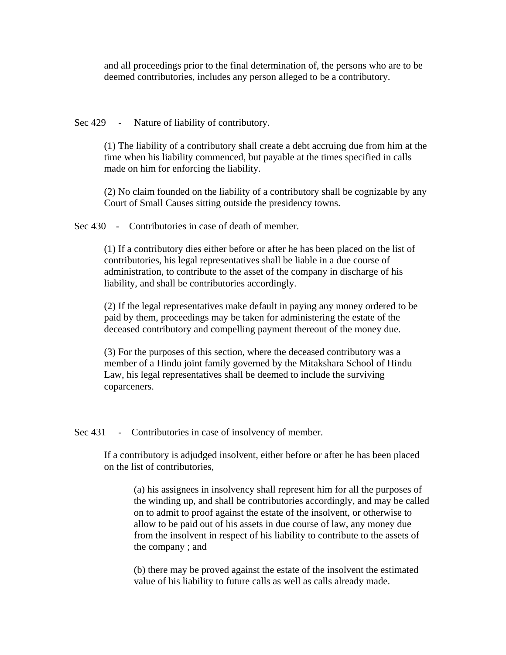and all proceedings prior to the final determination of, the persons who are to be deemed contributories, includes any person alleged to be a contributory.

Sec 429 - Nature of liability of contributory.

(1) The liability of a contributory shall create a debt accruing due from him at the time when his liability commenced, but payable at the times specified in calls made on him for enforcing the liability.

(2) No claim founded on the liability of a contributory shall be cognizable by any Court of Small Causes sitting outside the presidency towns.

Sec 430 - Contributories in case of death of member.

(1) If a contributory dies either before or after he has been placed on the list of contributories, his legal representatives shall be liable in a due course of administration, to contribute to the asset of the company in discharge of his liability, and shall be contributories accordingly.

(2) If the legal representatives make default in paying any money ordered to be paid by them, proceedings may be taken for administering the estate of the deceased contributory and compelling payment thereout of the money due.

(3) For the purposes of this section, where the deceased contributory was a member of a Hindu joint family governed by the Mitakshara School of Hindu Law, his legal representatives shall be deemed to include the surviving coparceners.

Sec 431 - Contributories in case of insolvency of member.

If a contributory is adjudged insolvent, either before or after he has been placed on the list of contributories,

(a) his assignees in insolvency shall represent him for all the purposes of the winding up, and shall be contributories accordingly, and may be called on to admit to proof against the estate of the insolvent, or otherwise to allow to be paid out of his assets in due course of law, any money due from the insolvent in respect of his liability to contribute to the assets of the company ; and

(b) there may be proved against the estate of the insolvent the estimated value of his liability to future calls as well as calls already made.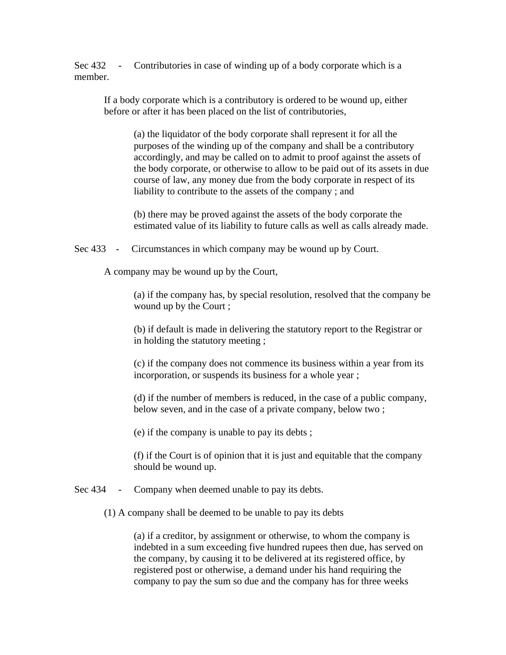Sec 432 - Contributories in case of winding up of a body corporate which is a member.

If a body corporate which is a contributory is ordered to be wound up, either before or after it has been placed on the list of contributories,

(a) the liquidator of the body corporate shall represent it for all the purposes of the winding up of the company and shall be a contributory accordingly, and may be called on to admit to proof against the assets of the body corporate, or otherwise to allow to be paid out of its assets in due course of law, any money due from the body corporate in respect of its liability to contribute to the assets of the company ; and

(b) there may be proved against the assets of the body corporate the estimated value of its liability to future calls as well as calls already made.

Sec 433 - Circumstances in which company may be wound up by Court.

A company may be wound up by the Court,

(a) if the company has, by special resolution, resolved that the company be wound up by the Court ;

(b) if default is made in delivering the statutory report to the Registrar or in holding the statutory meeting ;

(c) if the company does not commence its business within a year from its incorporation, or suspends its business for a whole year ;

(d) if the number of members is reduced, in the case of a public company, below seven, and in the case of a private company, below two ;

(e) if the company is unable to pay its debts ;

(f) if the Court is of opinion that it is just and equitable that the company should be wound up.

Sec 434 - Company when deemed unable to pay its debts.

(1) A company shall be deemed to be unable to pay its debts

(a) if a creditor, by assignment or otherwise, to whom the company is indebted in a sum exceeding five hundred rupees then due, has served on the company, by causing it to be delivered at its registered office, by registered post or otherwise, a demand under his hand requiring the company to pay the sum so due and the company has for three weeks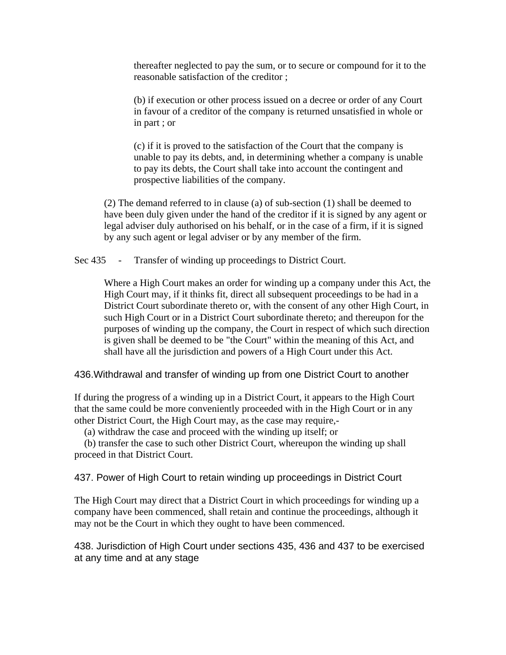thereafter neglected to pay the sum, or to secure or compound for it to the reasonable satisfaction of the creditor ;

(b) if execution or other process issued on a decree or order of any Court in favour of a creditor of the company is returned unsatisfied in whole or in part ; or

(c) if it is proved to the satisfaction of the Court that the company is unable to pay its debts, and, in determining whether a company is unable to pay its debts, the Court shall take into account the contingent and prospective liabilities of the company.

(2) The demand referred to in clause (a) of sub-section (1) shall be deemed to have been duly given under the hand of the creditor if it is signed by any agent or legal adviser duly authorised on his behalf, or in the case of a firm, if it is signed by any such agent or legal adviser or by any member of the firm.

Sec 435 - Transfer of winding up proceedings to District Court.

Where a High Court makes an order for winding up a company under this Act, the High Court may, if it thinks fit, direct all subsequent proceedings to be had in a District Court subordinate thereto or, with the consent of any other High Court, in such High Court or in a District Court subordinate thereto; and thereupon for the purposes of winding up the company, the Court in respect of which such direction is given shall be deemed to be "the Court" within the meaning of this Act, and shall have all the jurisdiction and powers of a High Court under this Act.

436.Withdrawal and transfer of winding up from one District Court to another

If during the progress of a winding up in a District Court, it appears to the High Court that the same could be more conveniently proceeded with in the High Court or in any other District Court, the High Court may, as the case may require,-

(a) withdraw the case and proceed with the winding up itself; or

 (b) transfer the case to such other District Court, whereupon the winding up shall proceed in that District Court.

437. Power of High Court to retain winding up proceedings in District Court

The High Court may direct that a District Court in which proceedings for winding up a company have been commenced, shall retain and continue the proceedings, although it may not be the Court in which they ought to have been commenced.

438. Jurisdiction of High Court under sections 435, 436 and 437 to be exercised at any time and at any stage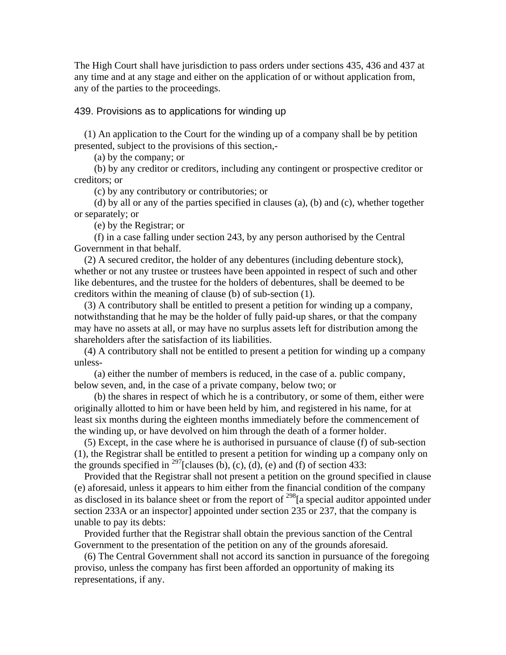The High Court shall have jurisdiction to pass orders under sections 435, 436 and 437 at any time and at any stage and either on the application of or without application from, any of the parties to the proceedings.

## 439. Provisions as to applications for winding up

 (1) An application to the Court for the winding up of a company shall be by petition presented, subject to the provisions of this section,-

(a) by the company; or

 (b) by any creditor or creditors, including any contingent or prospective creditor or creditors; or

(c) by any contributory or contributories; or

 (d) by all or any of the parties specified in clauses (a), (b) and (c), whether together or separately; or

(e) by the Registrar; or

 (f) in a case falling under section 243, by any person authorised by the Central Government in that behalf.

 (2) A secured creditor, the holder of any debentures (including debenture stock), whether or not any trustee or trustees have been appointed in respect of such and other like debentures, and the trustee for the holders of debentures, shall be deemed to be creditors within the meaning of clause (b) of sub-section (1).

 (3) A contributory shall be entitled to present a petition for winding up a company, notwithstanding that he may be the holder of fully paid-up shares, or that the company may have no assets at all, or may have no surplus assets left for distribution among the shareholders after the satisfaction of its liabilities.

 (4) A contributory shall not be entitled to present a petition for winding up a company unless-

 (a) either the number of members is reduced, in the case of a. public company, below seven, and, in the case of a private company, below two; or

 (b) the shares in respect of which he is a contributory, or some of them, either were originally allotted to him or have been held by him, and registered in his name, for at least six months during the eighteen months immediately before the commencement of the winding up, or have devolved on him through the death of a former holder.

 (5) Except, in the case where he is authorised in pursuance of clause (f) of sub-section (1), the Registrar shall be entitled to present a petition for winding up a company only on the grounds specified in <sup>297</sup>[clauses (b), (c), (d), (e) and (f) of section 433:

 Provided that the Registrar shall not present a petition on the ground specified in clause (e) aforesaid, unless it appears to him either from the financial condition of the company as disclosed in its balance sheet or from the report of  $^{298}$ [a special auditor appointed under section 233A or an inspector] appointed under section 235 or 237, that the company is unable to pay its debts:

 Provided further that the Registrar shall obtain the previous sanction of the Central Government to the presentation of the petition on any of the grounds aforesaid.

 (6) The Central Government shall not accord its sanction in pursuance of the foregoing proviso, unless the company has first been afforded an opportunity of making its representations, if any.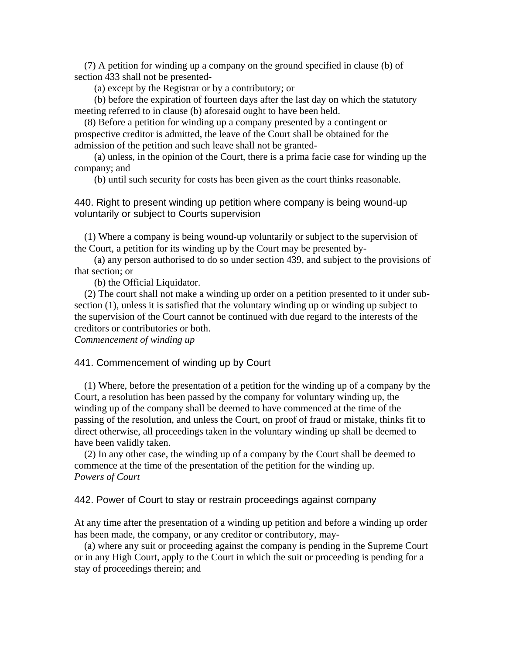(7) A petition for winding up a company on the ground specified in clause (b) of section 433 shall not be presented-

(a) except by the Registrar or by a contributory; or

 (b) before the expiration of fourteen days after the last day on which the statutory meeting referred to in clause (b) aforesaid ought to have been held.

 (8) Before a petition for winding up a company presented by a contingent or prospective creditor is admitted, the leave of the Court shall be obtained for the admission of the petition and such leave shall not be granted-

 (a) unless, in the opinion of the Court, there is a prima facie case for winding up the company; and

(b) until such security for costs has been given as the court thinks reasonable.

440. Right to present winding up petition where company is being wound-up voluntarily or subject to Courts supervision

 (1) Where a company is being wound-up voluntarily or subject to the supervision of the Court, a petition for its winding up by the Court may be presented by-

 (a) any person authorised to do so under section 439, and subject to the provisions of that section; or

(b) the Official Liquidator.

 (2) The court shall not make a winding up order on a petition presented to it under subsection (1), unless it is satisfied that the voluntary winding up or winding up subject to the supervision of the Court cannot be continued with due regard to the interests of the creditors or contributories or both.

*Commencement of winding up*

## 441. Commencement of winding up by Court

 (1) Where, before the presentation of a petition for the winding up of a company by the Court, a resolution has been passed by the company for voluntary winding up, the winding up of the company shall be deemed to have commenced at the time of the passing of the resolution, and unless the Court, on proof of fraud or mistake, thinks fit to direct otherwise, all proceedings taken in the voluntary winding up shall be deemed to have been validly taken.

 (2) In any other case, the winding up of a company by the Court shall be deemed to commence at the time of the presentation of the petition for the winding up. *Powers of Court*

442. Power of Court to stay or restrain proceedings against company

At any time after the presentation of a winding up petition and before a winding up order has been made, the company, or any creditor or contributory, may-

 (a) where any suit or proceeding against the company is pending in the Supreme Court or in any High Court, apply to the Court in which the suit or proceeding is pending for a stay of proceedings therein; and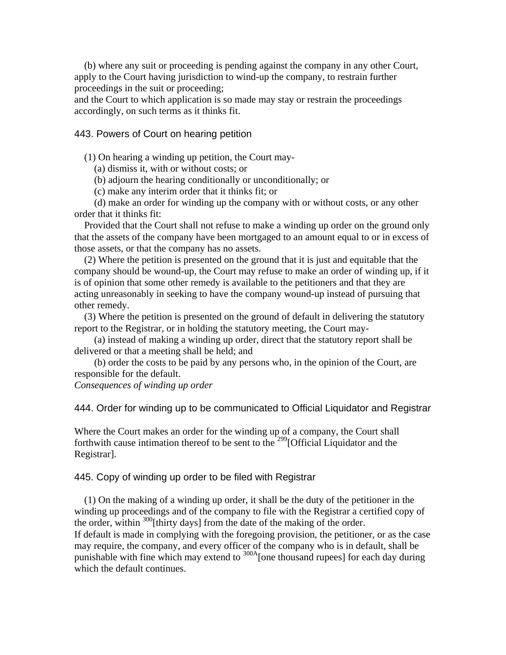(b) where any suit or proceeding is pending against the company in any other Court, apply to the Court having jurisdiction to wind-up the company, to restrain further proceedings in the suit or proceeding;

and the Court to which application is so made may stay or restrain the proceedings accordingly, on such terms as it thinks fit.

# 443. Powers of Court on hearing petition

(1) On hearing a winding up petition, the Court may-

(a) dismiss it, with or without costs; or

(b) adjourn the hearing conditionally or unconditionally; or

(c) make any interim order that it thinks fit; or

 (d) make an order for winding up the company with or without costs, or any other order that it thinks fit:

 Provided that the Court shall not refuse to make a winding up order on the ground only that the assets of the company have been mortgaged to an amount equal to or in excess of those assets, or that the company has no assets.

 (2) Where the petition is presented on the ground that it is just and equitable that the company should be wound-up, the Court may refuse to make an order of winding up, if it is of opinion that some other remedy is available to the petitioners and that they are acting unreasonably in seeking to have the company wound-up instead of pursuing that other remedy.

 (3) Where the petition is presented on the ground of default in delivering the statutory report to the Registrar, or in holding the statutory meeting, the Court may-

 (a) instead of making a winding up order, direct that the statutory report shall be delivered or that a meeting shall be held; and

 (b) order the costs to be paid by any persons who, in the opinion of the Court, are responsible for the default.

*Consequences of winding up order*

444. Order for winding up to be communicated to Official Liquidator and Registrar

Where the Court makes an order for the winding up of a company, the Court shall forthwith cause intimation thereof to be sent to the <sup>299</sup>[Official Liquidator and the Registrar].

445. Copy of winding up order to be filed with Registrar

 (1) On the making of a winding up order, it shall be the duty of the petitioner in the winding up proceedings and of the company to file with the Registrar a certified copy of the order, within <sup>300</sup>[thirty days] from the date of the making of the order. If default is made in complying with the foregoing provision, the petitioner, or as the case may require, the company, and every officer of the company who is in default, shall be punishable with fine which may extend to  $300A$  [one thousand rupees] for each day during which the default continues.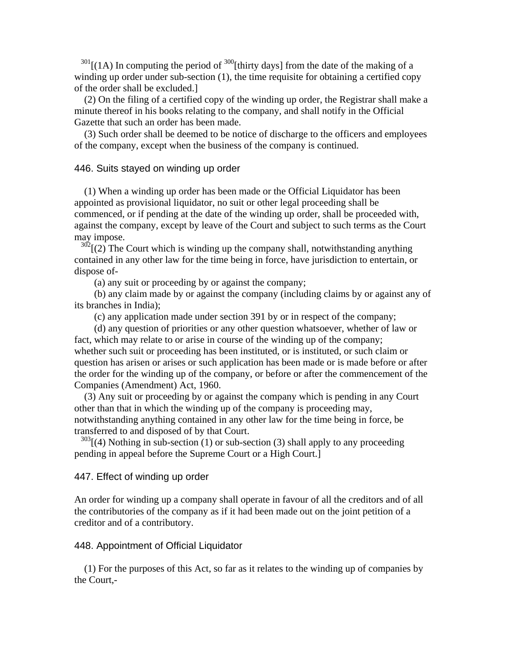$301$ [(1A) In computing the period of  $300$ [thirty days] from the date of the making of a winding up order under sub-section (1), the time requisite for obtaining a certified copy of the order shall be excluded.]

 (2) On the filing of a certified copy of the winding up order, the Registrar shall make a minute thereof in his books relating to the company, and shall notify in the Official Gazette that such an order has been made.

 (3) Such order shall be deemed to be notice of discharge to the officers and employees of the company, except when the business of the company is continued.

# 446. Suits stayed on winding up order

 (1) When a winding up order has been made or the Official Liquidator has been appointed as provisional liquidator, no suit or other legal proceeding shall be commenced, or if pending at the date of the winding up order, shall be proceeded with, against the company, except by leave of the Court and subject to such terms as the Court may impose.

 $302$ [(2) The Court which is winding up the company shall, notwithstanding anything contained in any other law for the time being in force, have jurisdiction to entertain, or dispose of-

(a) any suit or proceeding by or against the company;

 (b) any claim made by or against the company (including claims by or against any of its branches in India);

(c) any application made under section 391 by or in respect of the company;

 (d) any question of priorities or any other question whatsoever, whether of law or fact, which may relate to or arise in course of the winding up of the company; whether such suit or proceeding has been instituted, or is instituted, or such claim or question has arisen or arises or such application has been made or is made before or after the order for the winding up of the company, or before or after the commencement of the Companies (Amendment) Act, 1960.

 (3) Any suit or proceeding by or against the company which is pending in any Court other than that in which the winding up of the company is proceeding may, notwithstanding anything contained in any other law for the time being in force, be transferred to and disposed of by that Court.

 $303$ [(4) Nothing in sub-section (1) or sub-section (3) shall apply to any proceeding pending in appeal before the Supreme Court or a High Court.]

# 447. Effect of winding up order

An order for winding up a company shall operate in favour of all the creditors and of all the contributories of the company as if it had been made out on the joint petition of a creditor and of a contributory.

# 448. Appointment of Official Liquidator

 (1) For the purposes of this Act, so far as it relates to the winding up of companies by the Court,-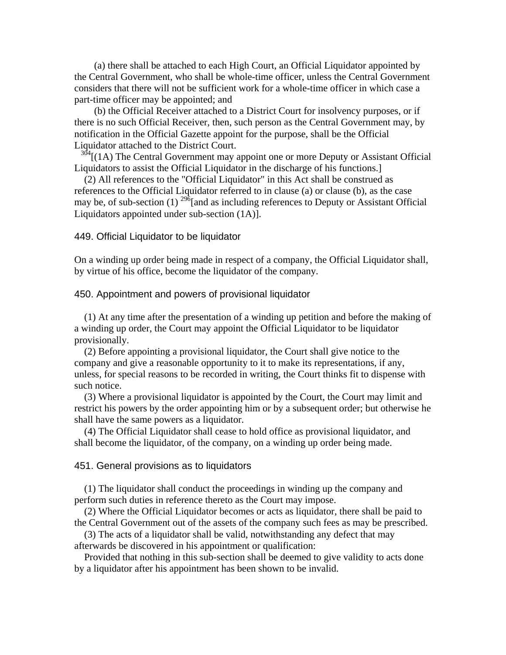(a) there shall be attached to each High Court, an Official Liquidator appointed by the Central Government, who shall be whole-time officer, unless the Central Government considers that there will not be sufficient work for a whole-time officer in which case a part-time officer may be appointed; and

 (b) the Official Receiver attached to a District Court for insolvency purposes, or if there is no such Official Receiver, then, such person as the Central Government may, by notification in the Official Gazette appoint for the purpose, shall be the Official Liquidator attached to the District Court.

 $304$ [(1A) The Central Government may appoint one or more Deputy or Assistant Official Liquidators to assist the Official Liquidator in the discharge of his functions.]

 (2) All references to the "Official Liquidator" in this Act shall be construed as references to the Official Liquidator referred to in clause (a) or clause (b), as the case may be, of sub-section  $(1)^{296}$ [and as including references to Deputy or Assistant Official Liquidators appointed under sub-section (1A)].

# 449. Official Liquidator to be liquidator

On a winding up order being made in respect of a company, the Official Liquidator shall, by virtue of his office, become the liquidator of the company.

# 450. Appointment and powers of provisional liquidator

 (1) At any time after the presentation of a winding up petition and before the making of a winding up order, the Court may appoint the Official Liquidator to be liquidator provisionally.

 (2) Before appointing a provisional liquidator, the Court shall give notice to the company and give a reasonable opportunity to it to make its representations, if any, unless, for special reasons to be recorded in writing, the Court thinks fit to dispense with such notice.

 (3) Where a provisional liquidator is appointed by the Court, the Court may limit and restrict his powers by the order appointing him or by a subsequent order; but otherwise he shall have the same powers as a liquidator.

 (4) The Official Liquidator shall cease to hold office as provisional liquidator, and shall become the liquidator, of the company, on a winding up order being made.

## 451. General provisions as to liquidators

 (1) The liquidator shall conduct the proceedings in winding up the company and perform such duties in reference thereto as the Court may impose.

 (2) Where the Official Liquidator becomes or acts as liquidator, there shall be paid to the Central Government out of the assets of the company such fees as may be prescribed.

 (3) The acts of a liquidator shall be valid, notwithstanding any defect that may afterwards be discovered in his appointment or qualification:

 Provided that nothing in this sub-section shall be deemed to give validity to acts done by a liquidator after his appointment has been shown to be invalid.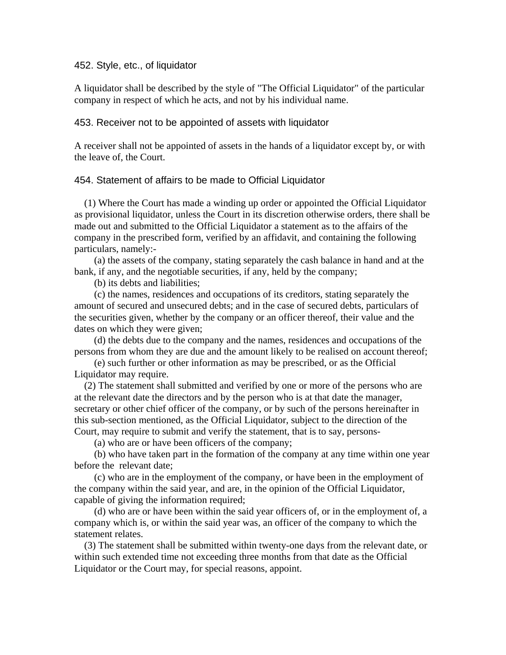# 452. Style, etc., of liquidator

A liquidator shall be described by the style of "The Official Liquidator" of the particular company in respect of which he acts, and not by his individual name.

## 453. Receiver not to be appointed of assets with liquidator

A receiver shall not be appointed of assets in the hands of a liquidator except by, or with the leave of, the Court.

## 454. Statement of affairs to be made to Official Liquidator

 (1) Where the Court has made a winding up order or appointed the Official Liquidator as provisional liquidator, unless the Court in its discretion otherwise orders, there shall be made out and submitted to the Official Liquidator a statement as to the affairs of the company in the prescribed form, verified by an affidavit, and containing the following particulars, namely:-

 (a) the assets of the company, stating separately the cash balance in hand and at the bank, if any, and the negotiable securities, if any, held by the company;

(b) its debts and liabilities;

 (c) the names, residences and occupations of its creditors, stating separately the amount of secured and unsecured debts; and in the case of secured debts, particulars of the securities given, whether by the company or an officer thereof, their value and the dates on which they were given;

 (d) the debts due to the company and the names, residences and occupations of the persons from whom they are due and the amount likely to be realised on account thereof;

 (e) such further or other information as may be prescribed, or as the Official Liquidator may require.

 (2) The statement shall submitted and verified by one or more of the persons who are at the relevant date the directors and by the person who is at that date the manager, secretary or other chief officer of the company, or by such of the persons hereinafter in this sub-section mentioned, as the Official Liquidator, subject to the direction of the Court, may require to submit and verify the statement, that is to say, persons-

(a) who are or have been officers of the company;

 (b) who have taken part in the formation of the company at any time within one year before the relevant date;

 (c) who are in the employment of the company, or have been in the employment of the company within the said year, and are, in the opinion of the Official Liquidator, capable of giving the information required;

 (d) who are or have been within the said year officers of, or in the employment of, a company which is, or within the said year was, an officer of the company to which the statement relates.

 (3) The statement shall be submitted within twenty-one days from the relevant date, or within such extended time not exceeding three months from that date as the Official Liquidator or the Court may, for special reasons, appoint.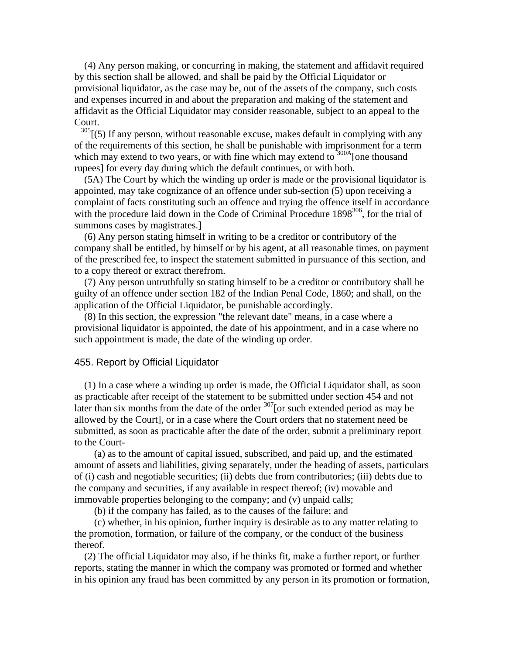(4) Any person making, or concurring in making, the statement and affidavit required by this section shall be allowed, and shall be paid by the Official Liquidator or provisional liquidator, as the case may be, out of the assets of the company, such costs and expenses incurred in and about the preparation and making of the statement and affidavit as the Official Liquidator may consider reasonable, subject to an appeal to the Court.

 $305$ [(5) If any person, without reasonable excuse, makes default in complying with any of the requirements of this section, he shall be punishable with imprisonment for a term which may extend to two years, or with fine which may extend to  $300A$  [one thousand rupees] for every day during which the default continues, or with both.

 (5A) The Court by which the winding up order is made or the provisional liquidator is appointed, may take cognizance of an offence under sub-section (5) upon receiving a complaint of facts constituting such an offence and trying the offence itself in accordance with the procedure laid down in the Code of Criminal Procedure  $1898^{306}$ , for the trial of summons cases by magistrates.]

 (6) Any person stating himself in writing to be a creditor or contributory of the company shall be entitled, by himself or by his agent, at all reasonable times, on payment of the prescribed fee, to inspect the statement submitted in pursuance of this section, and to a copy thereof or extract therefrom.

 (7) Any person untruthfully so stating himself to be a creditor or contributory shall be guilty of an offence under section 182 of the Indian Penal Code, 1860; and shall, on the application of the Official Liquidator, be punishable accordingly.

 (8) In this section, the expression "the relevant date" means, in a case where a provisional liquidator is appointed, the date of his appointment, and in a case where no such appointment is made, the date of the winding up order.

#### 455. Report by Official Liquidator

 (1) In a case where a winding up order is made, the Official Liquidator shall, as soon as practicable after receipt of the statement to be submitted under section 454 and not later than six months from the date of the order  $307$  [or such extended period as may be allowed by the Court], or in a case where the Court orders that no statement need be submitted, as soon as practicable after the date of the order, submit a preliminary report to the Court-

 (a) as to the amount of capital issued, subscribed, and paid up, and the estimated amount of assets and liabilities, giving separately, under the heading of assets, particulars of (i) cash and negotiable securities; (ii) debts due from contributories; (iii) debts due to the company and securities, if any available in respect thereof; (iv) movable and immovable properties belonging to the company; and (v) unpaid calls;

(b) if the company has failed, as to the causes of the failure; and

 (c) whether, in his opinion, further inquiry is desirable as to any matter relating to the promotion, formation, or failure of the company, or the conduct of the business thereof.

 (2) The official Liquidator may also, if he thinks fit, make a further report, or further reports, stating the manner in which the company was promoted or formed and whether in his opinion any fraud has been committed by any person in its promotion or formation,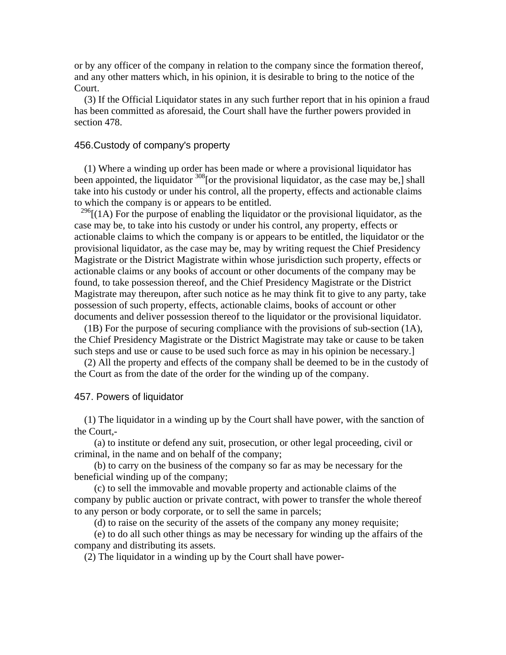or by any officer of the company in relation to the company since the formation thereof, and any other matters which, in his opinion, it is desirable to bring to the notice of the Court.

 (3) If the Official Liquidator states in any such further report that in his opinion a fraud has been committed as aforesaid, the Court shall have the further powers provided in section 478.

# 456.Custody of company's property

 (1) Where a winding up order has been made or where a provisional liquidator has been appointed, the liquidator  $308$  [or the provisional liquidator, as the case may be,] shall take into his custody or under his control, all the property, effects and actionable claims to which the company is or appears to be entitled.

 $^{296}$ [(1A) For the purpose of enabling the liquidator or the provisional liquidator, as the case may be, to take into his custody or under his control, any property, effects or actionable claims to which the company is or appears to be entitled, the liquidator or the provisional liquidator, as the case may be, may by writing request the Chief Presidency Magistrate or the District Magistrate within whose jurisdiction such property, effects or actionable claims or any books of account or other documents of the company may be found, to take possession thereof, and the Chief Presidency Magistrate or the District Magistrate may thereupon, after such notice as he may think fit to give to any party, take possession of such property, effects, actionable claims, books of account or other documents and deliver possession thereof to the liquidator or the provisional liquidator.

 (1B) For the purpose of securing compliance with the provisions of sub-section (1A), the Chief Presidency Magistrate or the District Magistrate may take or cause to be taken such steps and use or cause to be used such force as may in his opinion be necessary.]

 (2) All the property and effects of the company shall be deemed to be in the custody of the Court as from the date of the order for the winding up of the company.

#### 457. Powers of liquidator

 (1) The liquidator in a winding up by the Court shall have power, with the sanction of the Court,-

 (a) to institute or defend any suit, prosecution, or other legal proceeding, civil or criminal, in the name and on behalf of the company;

 (b) to carry on the business of the company so far as may be necessary for the beneficial winding up of the company;

 (c) to sell the immovable and movable property and actionable claims of the company by public auction or private contract, with power to transfer the whole thereof to any person or body corporate, or to sell the same in parcels;

(d) to raise on the security of the assets of the company any money requisite;

 (e) to do all such other things as may be necessary for winding up the affairs of the company and distributing its assets.

(2) The liquidator in a winding up by the Court shall have power-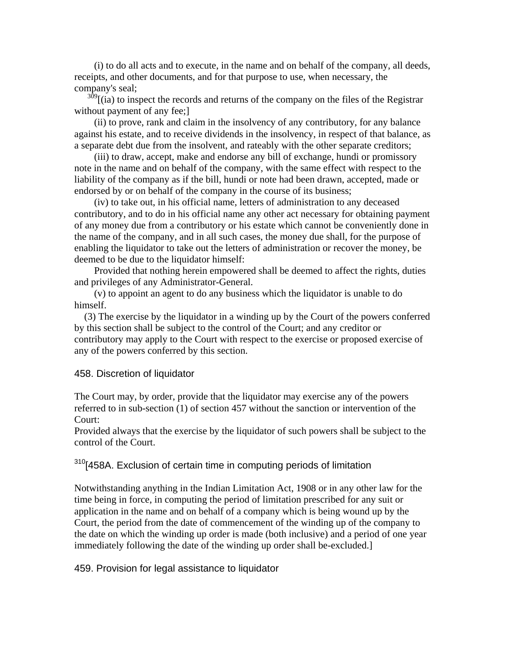(i) to do all acts and to execute, in the name and on behalf of the company, all deeds, receipts, and other documents, and for that purpose to use, when necessary, the company's seal;

 $309$ [(ia) to inspect the records and returns of the company on the files of the Registrar without payment of any fee;

 (ii) to prove, rank and claim in the insolvency of any contributory, for any balance against his estate, and to receive dividends in the insolvency, in respect of that balance, as a separate debt due from the insolvent, and rateably with the other separate creditors;

 (iii) to draw, accept, make and endorse any bill of exchange, hundi or promissory note in the name and on behalf of the company, with the same effect with respect to the liability of the company as if the bill, hundi or note had been drawn, accepted, made or endorsed by or on behalf of the company in the course of its business;

 (iv) to take out, in his official name, letters of administration to any deceased contributory, and to do in his official name any other act necessary for obtaining payment of any money due from a contributory or his estate which cannot be conveniently done in the name of the company, and in all such cases, the money due shall, for the purpose of enabling the liquidator to take out the letters of administration or recover the money, be deemed to be due to the liquidator himself:

 Provided that nothing herein empowered shall be deemed to affect the rights, duties and privileges of any Administrator-General.

 (v) to appoint an agent to do any business which the liquidator is unable to do himself.

 (3) The exercise by the liquidator in a winding up by the Court of the powers conferred by this section shall be subject to the control of the Court; and any creditor or contributory may apply to the Court with respect to the exercise or proposed exercise of any of the powers conferred by this section.

# 458. Discretion of liquidator

The Court may, by order, provide that the liquidator may exercise any of the powers referred to in sub-section (1) of section 457 without the sanction or intervention of the Court:

Provided always that the exercise by the liquidator of such powers shall be subject to the control of the Court.

<sup>310</sup>[458A. Exclusion of certain time in computing periods of limitation

Notwithstanding anything in the Indian Limitation Act, 1908 or in any other law for the time being in force, in computing the period of limitation prescribed for any suit or application in the name and on behalf of a company which is being wound up by the Court, the period from the date of commencement of the winding up of the company to the date on which the winding up order is made (both inclusive) and a period of one year immediately following the date of the winding up order shall be-excluded.]

459. Provision for legal assistance to liquidator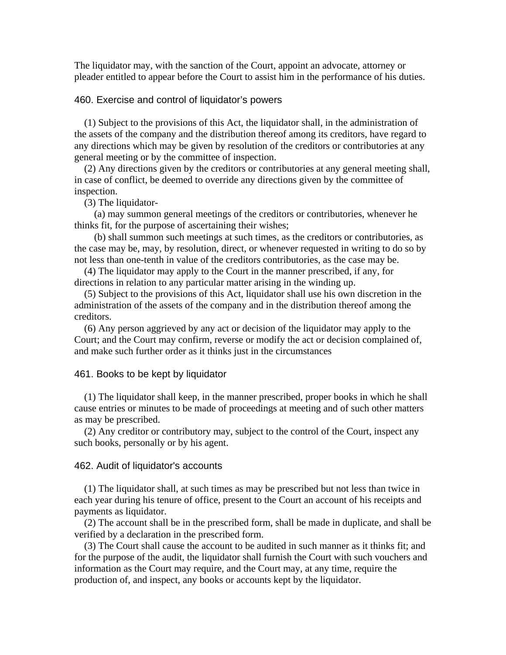The liquidator may, with the sanction of the Court, appoint an advocate, attorney or pleader entitled to appear before the Court to assist him in the performance of his duties.

## 460. Exercise and control of liquidator's powers

 (1) Subject to the provisions of this Act, the liquidator shall, in the administration of the assets of the company and the distribution thereof among its creditors, have regard to any directions which may be given by resolution of the creditors or contributories at any general meeting or by the committee of inspection.

 (2) Any directions given by the creditors or contributories at any general meeting shall, in case of conflict, be deemed to override any directions given by the committee of inspection.

(3) The liquidator-

 (a) may summon general meetings of the creditors or contributories, whenever he thinks fit, for the purpose of ascertaining their wishes;

 (b) shall summon such meetings at such times, as the creditors or contributories, as the case may be, may, by resolution, direct, or whenever requested in writing to do so by not less than one-tenth in value of the creditors contributories, as the case may be.

 (4) The liquidator may apply to the Court in the manner prescribed, if any, for directions in relation to any particular matter arising in the winding up.

 (5) Subject to the provisions of this Act, liquidator shall use his own discretion in the administration of the assets of the company and in the distribution thereof among the creditors.

 (6) Any person aggrieved by any act or decision of the liquidator may apply to the Court; and the Court may confirm, reverse or modify the act or decision complained of, and make such further order as it thinks just in the circumstances

#### 461. Books to be kept by liquidator

 (1) The liquidator shall keep, in the manner prescribed, proper books in which he shall cause entries or minutes to be made of proceedings at meeting and of such other matters as may be prescribed.

 (2) Any creditor or contributory may, subject to the control of the Court, inspect any such books, personally or by his agent.

## 462. Audit of liquidator's accounts

 (1) The liquidator shall, at such times as may be prescribed but not less than twice in each year during his tenure of office, present to the Court an account of his receipts and payments as liquidator.

 (2) The account shall be in the prescribed form, shall be made in duplicate, and shall be verified by a declaration in the prescribed form.

 (3) The Court shall cause the account to be audited in such manner as it thinks fit; and for the purpose of the audit, the liquidator shall furnish the Court with such vouchers and information as the Court may require, and the Court may, at any time, require the production of, and inspect, any books or accounts kept by the liquidator.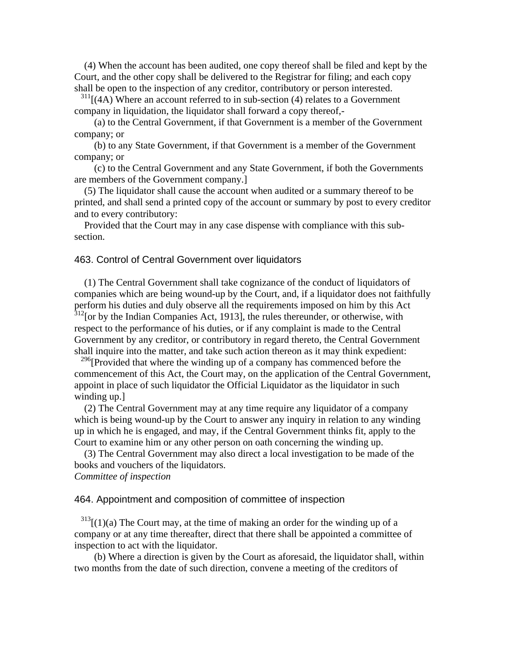(4) When the account has been audited, one copy thereof shall be filed and kept by the Court, and the other copy shall be delivered to the Registrar for filing; and each copy shall be open to the inspection of any creditor, contributory or person interested.

 $311$ [(4A) Where an account referred to in sub-section (4) relates to a Government company in liquidation, the liquidator shall forward a copy thereof,-

 (a) to the Central Government, if that Government is a member of the Government company; or

 (b) to any State Government, if that Government is a member of the Government company; or

 (c) to the Central Government and any State Government, if both the Governments are members of the Government company.]

 (5) The liquidator shall cause the account when audited or a summary thereof to be printed, and shall send a printed copy of the account or summary by post to every creditor and to every contributory:

 Provided that the Court may in any case dispense with compliance with this subsection.

# 463. Control of Central Government over liquidators

 (1) The Central Government shall take cognizance of the conduct of liquidators of companies which are being wound-up by the Court, and, if a liquidator does not faithfully perform his duties and duly observe all the requirements imposed on him by this Act  $312$ [or by the Indian Companies Act, 1913], the rules thereunder, or otherwise, with respect to the performance of his duties, or if any complaint is made to the Central Government by any creditor, or contributory in regard thereto, the Central Government shall inquire into the matter, and take such action thereon as it may think expedient:

 $296$ [Provided that where the winding up of a company has commenced before the commencement of this Act, the Court may, on the application of the Central Government, appoint in place of such liquidator the Official Liquidator as the liquidator in such winding up.]

 (2) The Central Government may at any time require any liquidator of a company which is being wound-up by the Court to answer any inquiry in relation to any winding up in which he is engaged, and may, if the Central Government thinks fit, apply to the Court to examine him or any other person on oath concerning the winding up.

 (3) The Central Government may also direct a local investigation to be made of the books and vouchers of the liquidators.

*Committee of inspection*

464. Appointment and composition of committee of inspection

 $313$ [(1)(a) The Court may, at the time of making an order for the winding up of a company or at any time thereafter, direct that there shall be appointed a committee of inspection to act with the liquidator.

 (b) Where a direction is given by the Court as aforesaid, the liquidator shall, within two months from the date of such direction, convene a meeting of the creditors of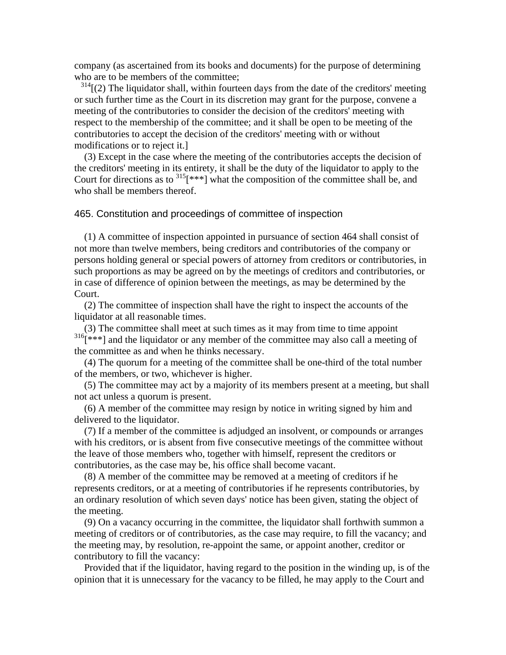company (as ascertained from its books and documents) for the purpose of determining who are to be members of the committee;

 $314$ [(2) The liquidator shall, within fourteen days from the date of the creditors' meeting or such further time as the Court in its discretion may grant for the purpose, convene a meeting of the contributories to consider the decision of the creditors' meeting with respect to the membership of the committee; and it shall be open to be meeting of the contributories to accept the decision of the creditors' meeting with or without modifications or to reject it.]

 (3) Except in the case where the meeting of the contributories accepts the decision of the creditors' meeting in its entirety, it shall be the duty of the liquidator to apply to the Court for directions as to  $^{315}$ [\*\*\*] what the composition of the committee shall be, and who shall be members thereof.

## 465. Constitution and proceedings of committee of inspection

 (1) A committee of inspection appointed in pursuance of section 464 shall consist of not more than twelve members, being creditors and contributories of the company or persons holding general or special powers of attorney from creditors or contributories, in such proportions as may be agreed on by the meetings of creditors and contributories, or in case of difference of opinion between the meetings, as may be determined by the Court.

 (2) The committee of inspection shall have the right to inspect the accounts of the liquidator at all reasonable times.

 (3) The committee shall meet at such times as it may from time to time appoint  $316$ [\*\*\*] and the liquidator or any member of the committee may also call a meeting of the committee as and when he thinks necessary.

 (4) The quorum for a meeting of the committee shall be one-third of the total number of the members, or two, whichever is higher.

 (5) The committee may act by a majority of its members present at a meeting, but shall not act unless a quorum is present.

 (6) A member of the committee may resign by notice in writing signed by him and delivered to the liquidator.

 (7) If a member of the committee is adjudged an insolvent, or compounds or arranges with his creditors, or is absent from five consecutive meetings of the committee without the leave of those members who, together with himself, represent the creditors or contributories, as the case may be, his office shall become vacant.

 (8) A member of the committee may be removed at a meeting of creditors if he represents creditors, or at a meeting of contributories if he represents contributories, by an ordinary resolution of which seven days' notice has been given, stating the object of the meeting.

 (9) On a vacancy occurring in the committee, the liquidator shall forthwith summon a meeting of creditors or of contributories, as the case may require, to fill the vacancy; and the meeting may, by resolution, re-appoint the same, or appoint another, creditor or contributory to fill the vacancy:

 Provided that if the liquidator, having regard to the position in the winding up, is of the opinion that it is unnecessary for the vacancy to be filled, he may apply to the Court and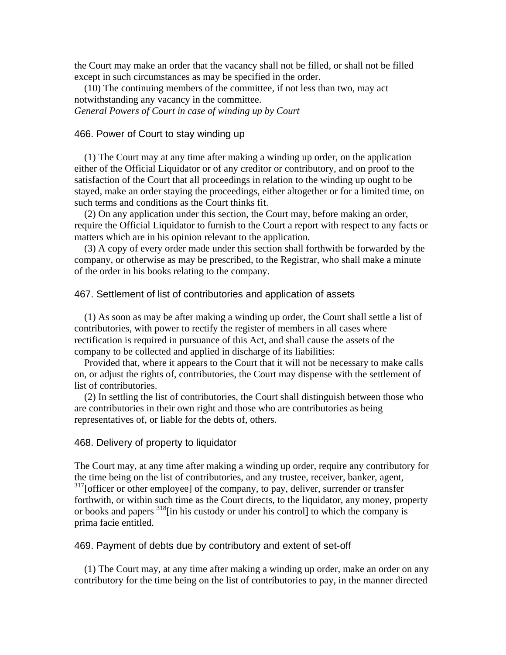the Court may make an order that the vacancy shall not be filled, or shall not be filled except in such circumstances as may be specified in the order.

 (10) The continuing members of the committee, if not less than two, may act notwithstanding any vacancy in the committee. *General Powers of Court in case of winding up by Court*

# 466. Power of Court to stay winding up

 (1) The Court may at any time after making a winding up order, on the application either of the Official Liquidator or of any creditor or contributory, and on proof to the satisfaction of the Court that all proceedings in relation to the winding up ought to be stayed, make an order staying the proceedings, either altogether or for a limited time, on such terms and conditions as the Court thinks fit.

 (2) On any application under this section, the Court may, before making an order, require the Official Liquidator to furnish to the Court a report with respect to any facts or matters which are in his opinion relevant to the application.

 (3) A copy of every order made under this section shall forthwith be forwarded by the company, or otherwise as may be prescribed, to the Registrar, who shall make a minute of the order in his books relating to the company.

#### 467. Settlement of list of contributories and application of assets

 (1) As soon as may be after making a winding up order, the Court shall settle a list of contributories, with power to rectify the register of members in all cases where rectification is required in pursuance of this Act, and shall cause the assets of the company to be collected and applied in discharge of its liabilities:

 Provided that, where it appears to the Court that it will not be necessary to make calls on, or adjust the rights of, contributories, the Court may dispense with the settlement of list of contributories.

 (2) In settling the list of contributories, the Court shall distinguish between those who are contributories in their own right and those who are contributories as being representatives of, or liable for the debts of, others.

#### 468. Delivery of property to liquidator

The Court may, at any time after making a winding up order, require any contributory for the time being on the list of contributories, and any trustee, receiver, banker, agent,  $317$ [officer or other employee] of the company, to pay, deliver, surrender or transfer forthwith, or within such time as the Court directs, to the liquidator, any money, property or books and papers 318[in his custody or under his control] to which the company is prima facie entitled.

# 469. Payment of debts due by contributory and extent of set-off

 (1) The Court may, at any time after making a winding up order, make an order on any contributory for the time being on the list of contributories to pay, in the manner directed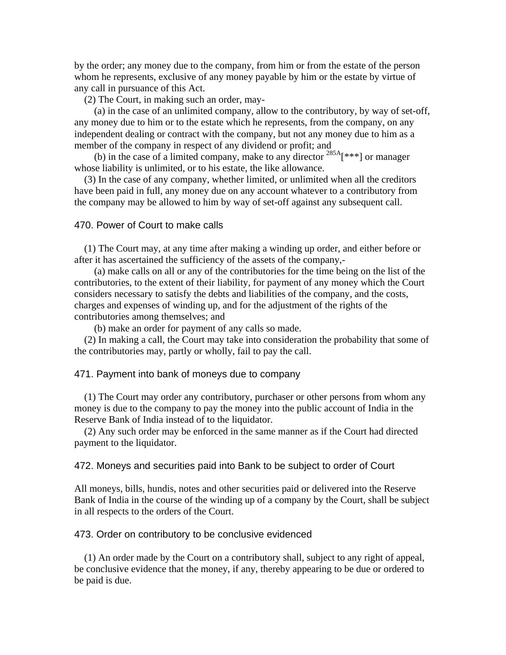by the order; any money due to the company, from him or from the estate of the person whom he represents, exclusive of any money payable by him or the estate by virtue of any call in pursuance of this Act.

(2) The Court, in making such an order, may-

 (a) in the case of an unlimited company, allow to the contributory, by way of set-off, any money due to him or to the estate which he represents, from the company, on any independent dealing or contract with the company, but not any money due to him as a member of the company in respect of any dividend or profit; and

(b) in the case of a limited company, make to any director  $285A$ [\*\*\*] or manager whose liability is unlimited, or to his estate, the like allowance.

 (3) In the case of any company, whether limited, or unlimited when all the creditors have been paid in full, any money due on any account whatever to a contributory from the company may be allowed to him by way of set-off against any subsequent call.

## 470. Power of Court to make calls

 (1) The Court may, at any time after making a winding up order, and either before or after it has ascertained the sufficiency of the assets of the company,-

 (a) make calls on all or any of the contributories for the time being on the list of the contributories, to the extent of their liability, for payment of any money which the Court considers necessary to satisfy the debts and liabilities of the company, and the costs, charges and expenses of winding up, and for the adjustment of the rights of the contributories among themselves; and

(b) make an order for payment of any calls so made.

 (2) In making a call, the Court may take into consideration the probability that some of the contributories may, partly or wholly, fail to pay the call.

## 471. Payment into bank of moneys due to company

 (1) The Court may order any contributory, purchaser or other persons from whom any money is due to the company to pay the money into the public account of India in the Reserve Bank of India instead of to the liquidator.

 (2) Any such order may be enforced in the same manner as if the Court had directed payment to the liquidator.

472. Moneys and securities paid into Bank to be subject to order of Court

All moneys, bills, hundis, notes and other securities paid or delivered into the Reserve Bank of India in the course of the winding up of a company by the Court, shall be subject in all respects to the orders of the Court.

## 473. Order on contributory to be conclusive evidenced

 (1) An order made by the Court on a contributory shall, subject to any right of appeal, be conclusive evidence that the money, if any, thereby appearing to be due or ordered to be paid is due.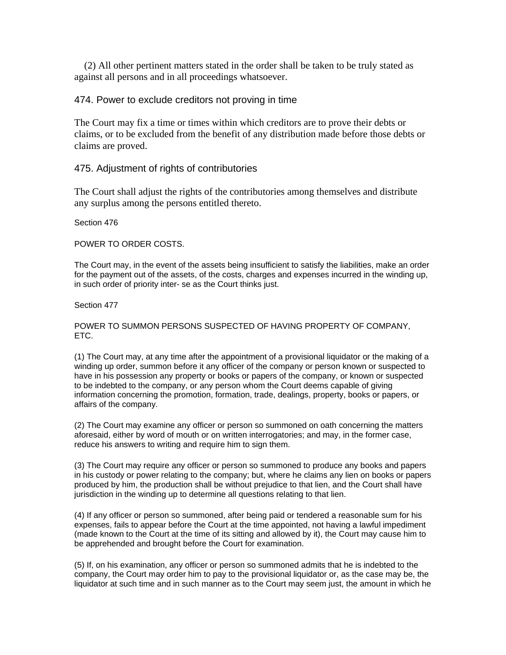(2) All other pertinent matters stated in the order shall be taken to be truly stated as against all persons and in all proceedings whatsoever.

## 474. Power to exclude creditors not proving in time

The Court may fix a time or times within which creditors are to prove their debts or claims, or to be excluded from the benefit of any distribution made before those debts or claims are proved.

# 475. Adjustment of rights of contributories

The Court shall adjust the rights of the contributories among themselves and distribute any surplus among the persons entitled thereto.

Section 476

POWER TO ORDER COSTS.

The Court may, in the event of the assets being insufficient to satisfy the liabilities, make an order for the payment out of the assets, of the costs, charges and expenses incurred in the winding up, in such order of priority inter- se as the Court thinks just.

Section 477

#### POWER TO SUMMON PERSONS SUSPECTED OF HAVING PROPERTY OF COMPANY, ETC.

(1) The Court may, at any time after the appointment of a provisional liquidator or the making of a winding up order, summon before it any officer of the company or person known or suspected to have in his possession any property or books or papers of the company, or known or suspected to be indebted to the company, or any person whom the Court deems capable of giving information concerning the promotion, formation, trade, dealings, property, books or papers, or affairs of the company.

(2) The Court may examine any officer or person so summoned on oath concerning the matters aforesaid, either by word of mouth or on written interrogatories; and may, in the former case, reduce his answers to writing and require him to sign them.

(3) The Court may require any officer or person so summoned to produce any books and papers in his custody or power relating to the company; but, where he claims any lien on books or papers produced by him, the production shall be without prejudice to that lien, and the Court shall have jurisdiction in the winding up to determine all questions relating to that lien.

(4) If any officer or person so summoned, after being paid or tendered a reasonable sum for his expenses, fails to appear before the Court at the time appointed, not having a lawful impediment (made known to the Court at the time of its sitting and allowed by it), the Court may cause him to be apprehended and brought before the Court for examination.

(5) If, on his examination, any officer or person so summoned admits that he is indebted to the company, the Court may order him to pay to the provisional liquidator or, as the case may be, the liquidator at such time and in such manner as to the Court may seem just, the amount in which he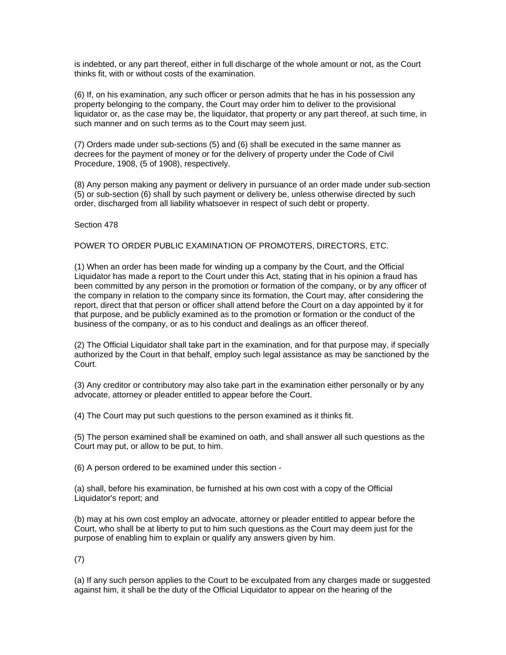is indebted, or any part thereof, either in full discharge of the whole amount or not, as the Court thinks fit, with or without costs of the examination.

(6) If, on his examination, any such officer or person admits that he has in his possession any property belonging to the company, the Court may order him to deliver to the provisional liquidator or, as the case may be, the liquidator, that property or any part thereof, at such time, in such manner and on such terms as to the Court may seem just.

(7) Orders made under sub-sections (5) and (6) shall be executed in the same manner as decrees for the payment of money or for the delivery of property under the Code of Civil Procedure, 1908, (5 of 1908), respectively.

(8) Any person making any payment or delivery in pursuance of an order made under sub-section (5) or sub-section (6) shall by such payment or delivery be, unless otherwise directed by such order, discharged from all liability whatsoever in respect of such debt or property.

Section 478

POWER TO ORDER PUBLIC EXAMINATION OF PROMOTERS, DIRECTORS, ETC.

(1) When an order has been made for winding up a company by the Court, and the Official Liquidator has made a report to the Court under this Act, stating that in his opinion a fraud has been committed by any person in the promotion or formation of the company, or by any officer of the company in relation to the company since its formation, the Court may, after considering the report, direct that that person or officer shall attend before the Court on a day appointed by it for that purpose, and be publicly examined as to the promotion or formation or the conduct of the business of the company, or as to his conduct and dealings as an officer thereof.

(2) The Official Liquidator shall take part in the examination, and for that purpose may, if specially authorized by the Court in that behalf, employ such legal assistance as may be sanctioned by the Court.

(3) Any creditor or contributory may also take part in the examination either personally or by any advocate, attorney or pleader entitled to appear before the Court.

(4) The Court may put such questions to the person examined as it thinks fit.

(5) The person examined shall be examined on oath, and shall answer all such questions as the Court may put, or allow to be put, to him.

(6) A person ordered to be examined under this section -

(a) shall, before his examination, be furnished at his own cost with a copy of the Official Liquidator's report; and

(b) may at his own cost employ an advocate, attorney or pleader entitled to appear before the Court, who shall be at liberty to put to him such questions as the Court may deem just for the purpose of enabling him to explain or qualify any answers given by him.

(7)

(a) If any such person applies to the Court to be exculpated from any charges made or suggested against him, it shall be the duty of the Official Liquidator to appear on the hearing of the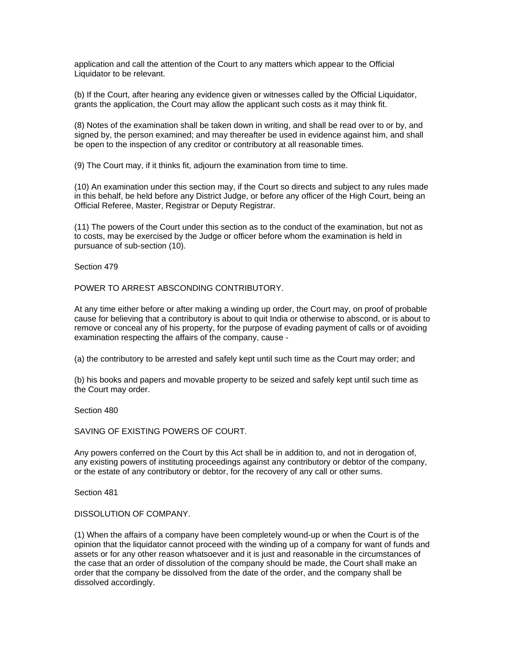application and call the attention of the Court to any matters which appear to the Official Liquidator to be relevant.

(b) If the Court, after hearing any evidence given or witnesses called by the Official Liquidator, grants the application, the Court may allow the applicant such costs as it may think fit.

(8) Notes of the examination shall be taken down in writing, and shall be read over to or by, and signed by, the person examined; and may thereafter be used in evidence against him, and shall be open to the inspection of any creditor or contributory at all reasonable times.

(9) The Court may, if it thinks fit, adjourn the examination from time to time.

(10) An examination under this section may, if the Court so directs and subject to any rules made in this behalf, be held before any District Judge, or before any officer of the High Court, being an Official Referee, Master, Registrar or Deputy Registrar.

(11) The powers of the Court under this section as to the conduct of the examination, but not as to costs, may be exercised by the Judge or officer before whom the examination is held in pursuance of sub-section (10).

Section 479

POWER TO ARREST ABSCONDING CONTRIBUTORY.

At any time either before or after making a winding up order, the Court may, on proof of probable cause for believing that a contributory is about to quit India or otherwise to abscond, or is about to remove or conceal any of his property, for the purpose of evading payment of calls or of avoiding examination respecting the affairs of the company, cause -

(a) the contributory to be arrested and safely kept until such time as the Court may order; and

(b) his books and papers and movable property to be seized and safely kept until such time as the Court may order.

Section 480

SAVING OF EXISTING POWERS OF COURT.

Any powers conferred on the Court by this Act shall be in addition to, and not in derogation of, any existing powers of instituting proceedings against any contributory or debtor of the company, or the estate of any contributory or debtor, for the recovery of any call or other sums.

Section 481

DISSOLUTION OF COMPANY.

(1) When the affairs of a company have been completely wound-up or when the Court is of the opinion that the liquidator cannot proceed with the winding up of a company for want of funds and assets or for any other reason whatsoever and it is just and reasonable in the circumstances of the case that an order of dissolution of the company should be made, the Court shall make an order that the company be dissolved from the date of the order, and the company shall be dissolved accordingly.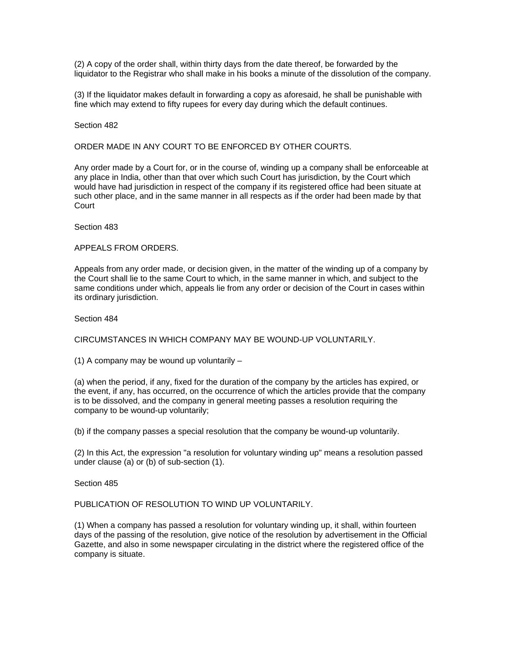(2) A copy of the order shall, within thirty days from the date thereof, be forwarded by the liquidator to the Registrar who shall make in his books a minute of the dissolution of the company.

(3) If the liquidator makes default in forwarding a copy as aforesaid, he shall be punishable with fine which may extend to fifty rupees for every day during which the default continues.

Section 482

ORDER MADE IN ANY COURT TO BE ENFORCED BY OTHER COURTS.

Any order made by a Court for, or in the course of, winding up a company shall be enforceable at any place in India, other than that over which such Court has jurisdiction, by the Court which would have had jurisdiction in respect of the company if its registered office had been situate at such other place, and in the same manner in all respects as if the order had been made by that **Court** 

Section 483

APPEALS FROM ORDERS.

Appeals from any order made, or decision given, in the matter of the winding up of a company by the Court shall lie to the same Court to which, in the same manner in which, and subject to the same conditions under which, appeals lie from any order or decision of the Court in cases within its ordinary jurisdiction.

Section 484

CIRCUMSTANCES IN WHICH COMPANY MAY BE WOUND-UP VOLUNTARILY.

(1) A company may be wound up voluntarily –

(a) when the period, if any, fixed for the duration of the company by the articles has expired, or the event, if any, has occurred, on the occurrence of which the articles provide that the company is to be dissolved, and the company in general meeting passes a resolution requiring the company to be wound-up voluntarily;

(b) if the company passes a special resolution that the company be wound-up voluntarily.

(2) In this Act, the expression "a resolution for voluntary winding up" means a resolution passed under clause (a) or (b) of sub-section (1).

Section 485

PUBLICATION OF RESOLUTION TO WIND UP VOLUNTARILY.

(1) When a company has passed a resolution for voluntary winding up, it shall, within fourteen days of the passing of the resolution, give notice of the resolution by advertisement in the Official Gazette, and also in some newspaper circulating in the district where the registered office of the company is situate.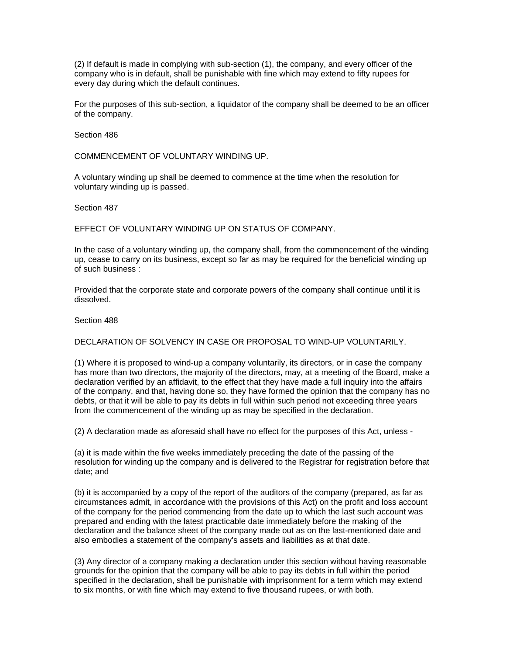(2) If default is made in complying with sub-section (1), the company, and every officer of the company who is in default, shall be punishable with fine which may extend to fifty rupees for every day during which the default continues.

For the purposes of this sub-section, a liquidator of the company shall be deemed to be an officer of the company.

Section 486

COMMENCEMENT OF VOLUNTARY WINDING UP.

A voluntary winding up shall be deemed to commence at the time when the resolution for voluntary winding up is passed.

Section 487

EFFECT OF VOLUNTARY WINDING UP ON STATUS OF COMPANY.

In the case of a voluntary winding up, the company shall, from the commencement of the winding up, cease to carry on its business, except so far as may be required for the beneficial winding up of such business :

Provided that the corporate state and corporate powers of the company shall continue until it is dissolved.

Section 488

#### DECLARATION OF SOLVENCY IN CASE OR PROPOSAL TO WIND-UP VOLUNTARILY.

(1) Where it is proposed to wind-up a company voluntarily, its directors, or in case the company has more than two directors, the majority of the directors, may, at a meeting of the Board, make a declaration verified by an affidavit, to the effect that they have made a full inquiry into the affairs of the company, and that, having done so, they have formed the opinion that the company has no debts, or that it will be able to pay its debts in full within such period not exceeding three years from the commencement of the winding up as may be specified in the declaration.

(2) A declaration made as aforesaid shall have no effect for the purposes of this Act, unless -

(a) it is made within the five weeks immediately preceding the date of the passing of the resolution for winding up the company and is delivered to the Registrar for registration before that date; and

(b) it is accompanied by a copy of the report of the auditors of the company (prepared, as far as circumstances admit, in accordance with the provisions of this Act) on the profit and loss account of the company for the period commencing from the date up to which the last such account was prepared and ending with the latest practicable date immediately before the making of the declaration and the balance sheet of the company made out as on the last-mentioned date and also embodies a statement of the company's assets and liabilities as at that date.

(3) Any director of a company making a declaration under this section without having reasonable grounds for the opinion that the company will be able to pay its debts in full within the period specified in the declaration, shall be punishable with imprisonment for a term which may extend to six months, or with fine which may extend to five thousand rupees, or with both.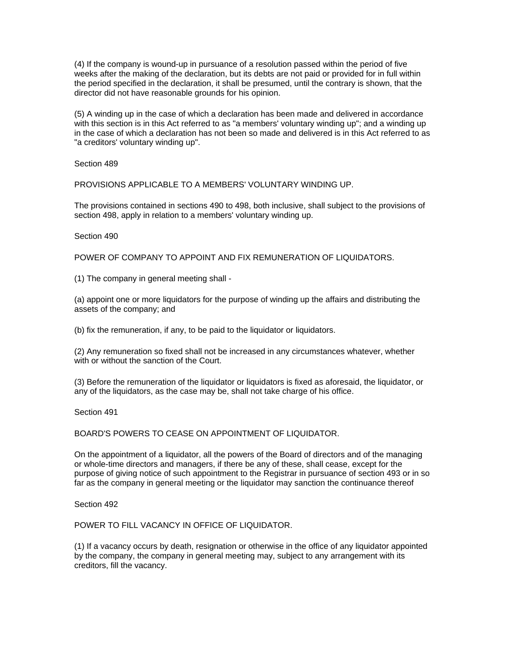(4) If the company is wound-up in pursuance of a resolution passed within the period of five weeks after the making of the declaration, but its debts are not paid or provided for in full within the period specified in the declaration, it shall be presumed, until the contrary is shown, that the director did not have reasonable grounds for his opinion.

(5) A winding up in the case of which a declaration has been made and delivered in accordance with this section is in this Act referred to as "a members' voluntary winding up"; and a winding up in the case of which a declaration has not been so made and delivered is in this Act referred to as "a creditors' voluntary winding up".

Section 489

PROVISIONS APPLICABLE TO A MEMBERS' VOLUNTARY WINDING UP.

The provisions contained in sections 490 to 498, both inclusive, shall subject to the provisions of section 498, apply in relation to a members' voluntary winding up.

Section 490

POWER OF COMPANY TO APPOINT AND FIX REMUNERATION OF LIQUIDATORS.

(1) The company in general meeting shall -

(a) appoint one or more liquidators for the purpose of winding up the affairs and distributing the assets of the company; and

(b) fix the remuneration, if any, to be paid to the liquidator or liquidators.

(2) Any remuneration so fixed shall not be increased in any circumstances whatever, whether with or without the sanction of the Court.

(3) Before the remuneration of the liquidator or liquidators is fixed as aforesaid, the liquidator, or any of the liquidators, as the case may be, shall not take charge of his office.

Section 491

BOARD'S POWERS TO CEASE ON APPOINTMENT OF LIQUIDATOR.

On the appointment of a liquidator, all the powers of the Board of directors and of the managing or whole-time directors and managers, if there be any of these, shall cease, except for the purpose of giving notice of such appointment to the Registrar in pursuance of section 493 or in so far as the company in general meeting or the liquidator may sanction the continuance thereof

Section 492

POWER TO FILL VACANCY IN OFFICE OF LIQUIDATOR.

(1) If a vacancy occurs by death, resignation or otherwise in the office of any liquidator appointed by the company, the company in general meeting may, subject to any arrangement with its creditors, fill the vacancy.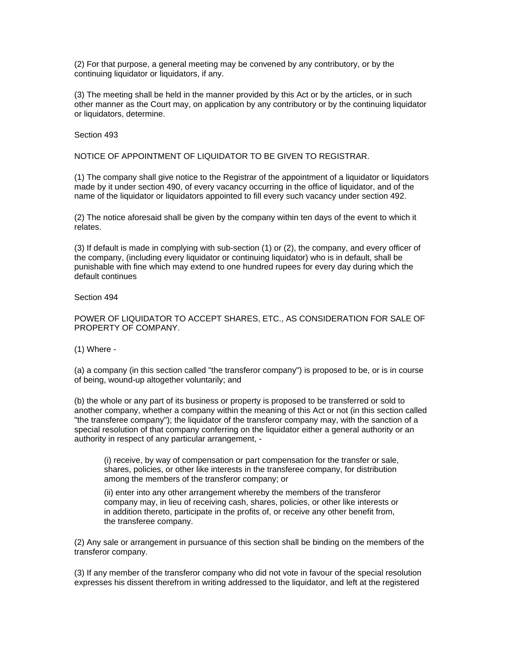(2) For that purpose, a general meeting may be convened by any contributory, or by the continuing liquidator or liquidators, if any.

(3) The meeting shall be held in the manner provided by this Act or by the articles, or in such other manner as the Court may, on application by any contributory or by the continuing liquidator or liquidators, determine.

#### Section 493

NOTICE OF APPOINTMENT OF LIQUIDATOR TO BE GIVEN TO REGISTRAR.

(1) The company shall give notice to the Registrar of the appointment of a liquidator or liquidators made by it under section 490, of every vacancy occurring in the office of liquidator, and of the name of the liquidator or liquidators appointed to fill every such vacancy under section 492.

(2) The notice aforesaid shall be given by the company within ten days of the event to which it relates.

(3) If default is made in complying with sub-section (1) or (2), the company, and every officer of the company, (including every liquidator or continuing liquidator) who is in default, shall be punishable with fine which may extend to one hundred rupees for every day during which the default continues

Section 494

POWER OF LIQUIDATOR TO ACCEPT SHARES, ETC., AS CONSIDERATION FOR SALE OF PROPERTY OF COMPANY.

(1) Where -

(a) a company (in this section called "the transferor company") is proposed to be, or is in course of being, wound-up altogether voluntarily; and

(b) the whole or any part of its business or property is proposed to be transferred or sold to another company, whether a company within the meaning of this Act or not (in this section called "the transferee company"); the liquidator of the transferor company may, with the sanction of a special resolution of that company conferring on the liquidator either a general authority or an authority in respect of any particular arrangement, -

(i) receive, by way of compensation or part compensation for the transfer or sale, shares, policies, or other like interests in the transferee company, for distribution among the members of the transferor company; or

(ii) enter into any other arrangement whereby the members of the transferor company may, in lieu of receiving cash, shares, policies, or other like interests or in addition thereto, participate in the profits of, or receive any other benefit from, the transferee company.

(2) Any sale or arrangement in pursuance of this section shall be binding on the members of the transferor company.

(3) If any member of the transferor company who did not vote in favour of the special resolution expresses his dissent therefrom in writing addressed to the liquidator, and left at the registered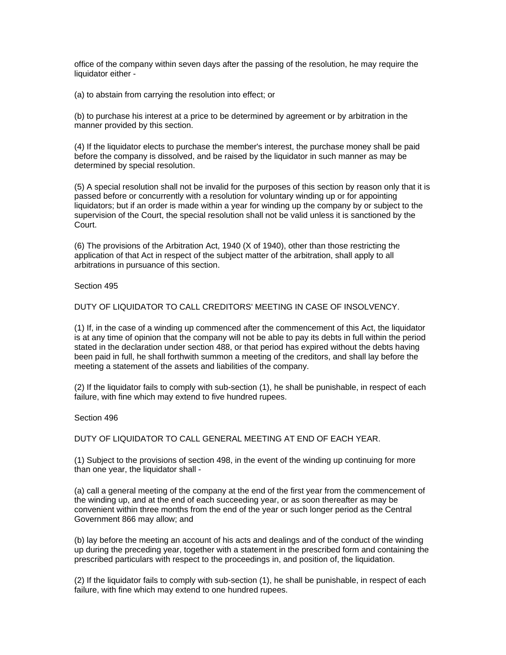office of the company within seven days after the passing of the resolution, he may require the liquidator either -

(a) to abstain from carrying the resolution into effect; or

(b) to purchase his interest at a price to be determined by agreement or by arbitration in the manner provided by this section.

(4) If the liquidator elects to purchase the member's interest, the purchase money shall be paid before the company is dissolved, and be raised by the liquidator in such manner as may be determined by special resolution.

(5) A special resolution shall not be invalid for the purposes of this section by reason only that it is passed before or concurrently with a resolution for voluntary winding up or for appointing liquidators; but if an order is made within a year for winding up the company by or subject to the supervision of the Court, the special resolution shall not be valid unless it is sanctioned by the Court.

(6) The provisions of the Arbitration Act, 1940 (X of 1940), other than those restricting the application of that Act in respect of the subject matter of the arbitration, shall apply to all arbitrations in pursuance of this section.

Section 495

DUTY OF LIQUIDATOR TO CALL CREDITORS' MEETING IN CASE OF INSOLVENCY.

(1) If, in the case of a winding up commenced after the commencement of this Act, the liquidator is at any time of opinion that the company will not be able to pay its debts in full within the period stated in the declaration under section 488, or that period has expired without the debts having been paid in full, he shall forthwith summon a meeting of the creditors, and shall lay before the meeting a statement of the assets and liabilities of the company.

(2) If the liquidator fails to comply with sub-section (1), he shall be punishable, in respect of each failure, with fine which may extend to five hundred rupees.

Section 496

DUTY OF LIQUIDATOR TO CALL GENERAL MEETING AT END OF EACH YEAR.

(1) Subject to the provisions of section 498, in the event of the winding up continuing for more than one year, the liquidator shall -

(a) call a general meeting of the company at the end of the first year from the commencement of the winding up, and at the end of each succeeding year, or as soon thereafter as may be convenient within three months from the end of the year or such longer period as the Central Government 866 may allow; and

(b) lay before the meeting an account of his acts and dealings and of the conduct of the winding up during the preceding year, together with a statement in the prescribed form and containing the prescribed particulars with respect to the proceedings in, and position of, the liquidation.

(2) If the liquidator fails to comply with sub-section (1), he shall be punishable, in respect of each failure, with fine which may extend to one hundred rupees.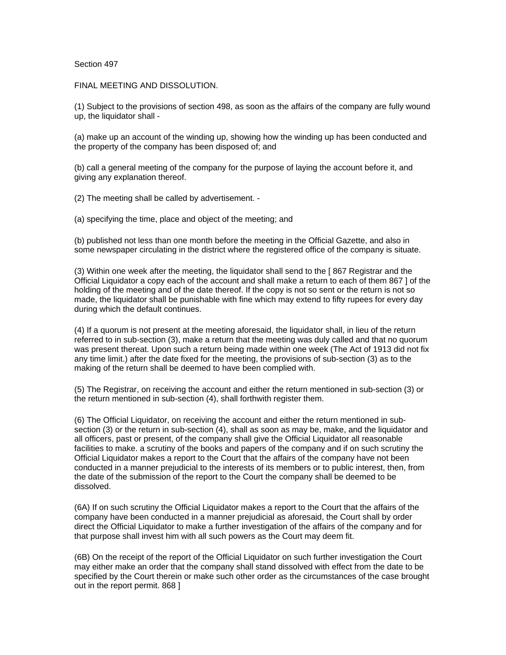### Section 497

FINAL MEETING AND DISSOLUTION.

(1) Subject to the provisions of section 498, as soon as the affairs of the company are fully wound up, the liquidator shall -

(a) make up an account of the winding up, showing how the winding up has been conducted and the property of the company has been disposed of; and

(b) call a general meeting of the company for the purpose of laying the account before it, and giving any explanation thereof.

(2) The meeting shall be called by advertisement. -

(a) specifying the time, place and object of the meeting; and

(b) published not less than one month before the meeting in the Official Gazette, and also in some newspaper circulating in the district where the registered office of the company is situate.

(3) Within one week after the meeting, the liquidator shall send to the [ 867 Registrar and the Official Liquidator a copy each of the account and shall make a return to each of them 867 ] of the holding of the meeting and of the date thereof. If the copy is not so sent or the return is not so made, the liquidator shall be punishable with fine which may extend to fifty rupees for every day during which the default continues.

(4) If a quorum is not present at the meeting aforesaid, the liquidator shall, in lieu of the return referred to in sub-section (3), make a return that the meeting was duly called and that no quorum was present thereat. Upon such a return being made within one week (The Act of 1913 did not fix any time limit.) after the date fixed for the meeting, the provisions of sub-section (3) as to the making of the return shall be deemed to have been complied with.

(5) The Registrar, on receiving the account and either the return mentioned in sub-section (3) or the return mentioned in sub-section (4), shall forthwith register them.

(6) The Official Liquidator, on receiving the account and either the return mentioned in subsection (3) or the return in sub-section (4), shall as soon as may be, make, and the liquidator and all officers, past or present, of the company shall give the Official Liquidator all reasonable facilities to make. a scrutiny of the books and papers of the company and if on such scrutiny the Official Liquidator makes a report to the Court that the affairs of the company have not been conducted in a manner prejudicial to the interests of its members or to public interest, then, from the date of the submission of the report to the Court the company shall be deemed to be dissolved.

(6A) If on such scrutiny the Official Liquidator makes a report to the Court that the affairs of the company have been conducted in a manner prejudicial as aforesaid, the Court shall by order direct the Official Liquidator to make a further investigation of the affairs of the company and for that purpose shall invest him with all such powers as the Court may deem fit.

(6B) On the receipt of the report of the Official Liquidator on such further investigation the Court may either make an order that the company shall stand dissolved with effect from the date to be specified by the Court therein or make such other order as the circumstances of the case brought out in the report permit. 868 ]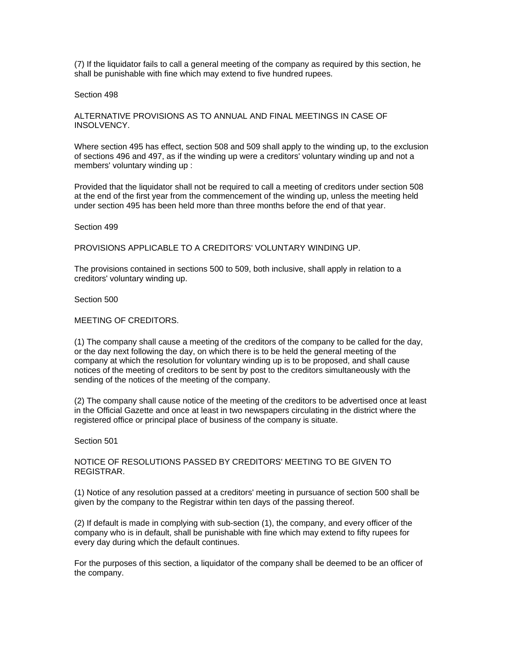(7) If the liquidator fails to call a general meeting of the company as required by this section, he shall be punishable with fine which may extend to five hundred rupees.

### Section 498

## ALTERNATIVE PROVISIONS AS TO ANNUAL AND FINAL MEETINGS IN CASE OF INSOLVENCY.

Where section 495 has effect, section 508 and 509 shall apply to the winding up, to the exclusion of sections 496 and 497, as if the winding up were a creditors' voluntary winding up and not a members' voluntary winding up :

Provided that the liquidator shall not be required to call a meeting of creditors under section 508 at the end of the first year from the commencement of the winding up, unless the meeting held under section 495 has been held more than three months before the end of that year.

Section 499

PROVISIONS APPLICABLE TO A CREDITORS' VOLUNTARY WINDING UP.

The provisions contained in sections 500 to 509, both inclusive, shall apply in relation to a creditors' voluntary winding up.

Section 500

MEETING OF CREDITORS.

(1) The company shall cause a meeting of the creditors of the company to be called for the day, or the day next following the day, on which there is to be held the general meeting of the company at which the resolution for voluntary winding up is to be proposed, and shall cause notices of the meeting of creditors to be sent by post to the creditors simultaneously with the sending of the notices of the meeting of the company.

(2) The company shall cause notice of the meeting of the creditors to be advertised once at least in the Official Gazette and once at least in two newspapers circulating in the district where the registered office or principal place of business of the company is situate.

Section 501

## NOTICE OF RESOLUTIONS PASSED BY CREDITORS' MEETING TO BE GIVEN TO REGISTRAR.

(1) Notice of any resolution passed at a creditors' meeting in pursuance of section 500 shall be given by the company to the Registrar within ten days of the passing thereof.

(2) If default is made in complying with sub-section (1), the company, and every officer of the company who is in default, shall be punishable with fine which may extend to fifty rupees for every day during which the default continues.

For the purposes of this section, a liquidator of the company shall be deemed to be an officer of the company.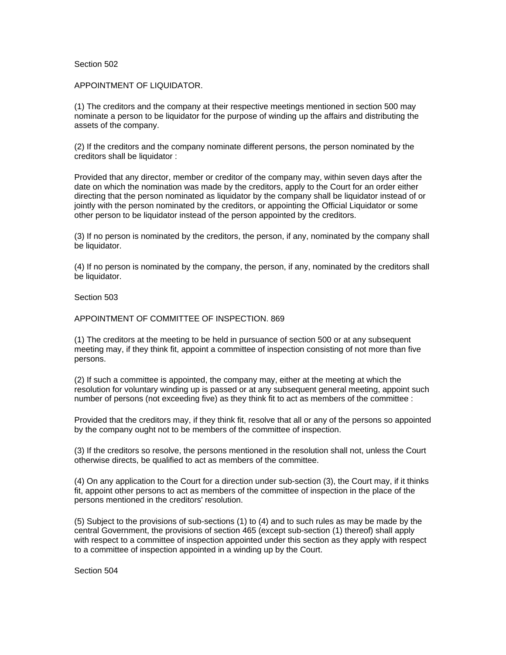## Section 502

APPOINTMENT OF LIQUIDATOR.

(1) The creditors and the company at their respective meetings mentioned in section 500 may nominate a person to be liquidator for the purpose of winding up the affairs and distributing the assets of the company.

(2) If the creditors and the company nominate different persons, the person nominated by the creditors shall be liquidator :

Provided that any director, member or creditor of the company may, within seven days after the date on which the nomination was made by the creditors, apply to the Court for an order either directing that the person nominated as liquidator by the company shall be liquidator instead of or jointly with the person nominated by the creditors, or appointing the Official Liquidator or some other person to be liquidator instead of the person appointed by the creditors.

(3) If no person is nominated by the creditors, the person, if any, nominated by the company shall be liquidator.

(4) If no person is nominated by the company, the person, if any, nominated by the creditors shall be liquidator.

Section 503

## APPOINTMENT OF COMMITTEE OF INSPECTION. 869

(1) The creditors at the meeting to be held in pursuance of section 500 or at any subsequent meeting may, if they think fit, appoint a committee of inspection consisting of not more than five persons.

(2) If such a committee is appointed, the company may, either at the meeting at which the resolution for voluntary winding up is passed or at any subsequent general meeting, appoint such number of persons (not exceeding five) as they think fit to act as members of the committee :

Provided that the creditors may, if they think fit, resolve that all or any of the persons so appointed by the company ought not to be members of the committee of inspection.

(3) If the creditors so resolve, the persons mentioned in the resolution shall not, unless the Court otherwise directs, be qualified to act as members of the committee.

(4) On any application to the Court for a direction under sub-section (3), the Court may, if it thinks fit, appoint other persons to act as members of the committee of inspection in the place of the persons mentioned in the creditors' resolution.

(5) Subject to the provisions of sub-sections (1) to (4) and to such rules as may be made by the central Government, the provisions of section 465 (except sub-section (1) thereof) shall apply with respect to a committee of inspection appointed under this section as they apply with respect to a committee of inspection appointed in a winding up by the Court.

Section 504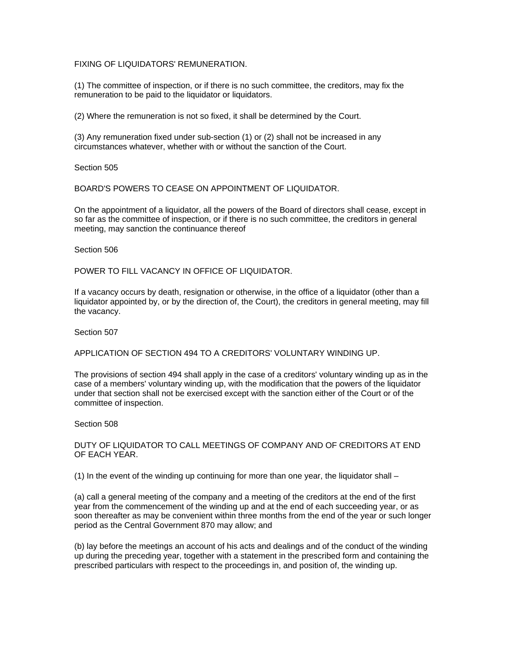# FIXING OF LIQUIDATORS' REMUNERATION.

(1) The committee of inspection, or if there is no such committee, the creditors, may fix the remuneration to be paid to the liquidator or liquidators.

(2) Where the remuneration is not so fixed, it shall be determined by the Court.

(3) Any remuneration fixed under sub-section (1) or (2) shall not be increased in any circumstances whatever, whether with or without the sanction of the Court.

Section 505

BOARD'S POWERS TO CEASE ON APPOINTMENT OF LIQUIDATOR.

On the appointment of a liquidator, all the powers of the Board of directors shall cease, except in so far as the committee of inspection, or if there is no such committee, the creditors in general meeting, may sanction the continuance thereof

Section 506

POWER TO FILL VACANCY IN OFFICE OF LIQUIDATOR.

If a vacancy occurs by death, resignation or otherwise, in the office of a liquidator (other than a liquidator appointed by, or by the direction of, the Court), the creditors in general meeting, may fill the vacancy.

Section 507

## APPLICATION OF SECTION 494 TO A CREDITORS' VOLUNTARY WINDING UP.

The provisions of section 494 shall apply in the case of a creditors' voluntary winding up as in the case of a members' voluntary winding up, with the modification that the powers of the liquidator under that section shall not be exercised except with the sanction either of the Court or of the committee of inspection.

Section 508

## DUTY OF LIQUIDATOR TO CALL MEETINGS OF COMPANY AND OF CREDITORS AT END OF EACH YEAR.

(1) In the event of the winding up continuing for more than one year, the liquidator shall  $-$ 

(a) call a general meeting of the company and a meeting of the creditors at the end of the first year from the commencement of the winding up and at the end of each succeeding year, or as soon thereafter as may be convenient within three months from the end of the year or such longer period as the Central Government 870 may allow; and

(b) lay before the meetings an account of his acts and dealings and of the conduct of the winding up during the preceding year, together with a statement in the prescribed form and containing the prescribed particulars with respect to the proceedings in, and position of, the winding up.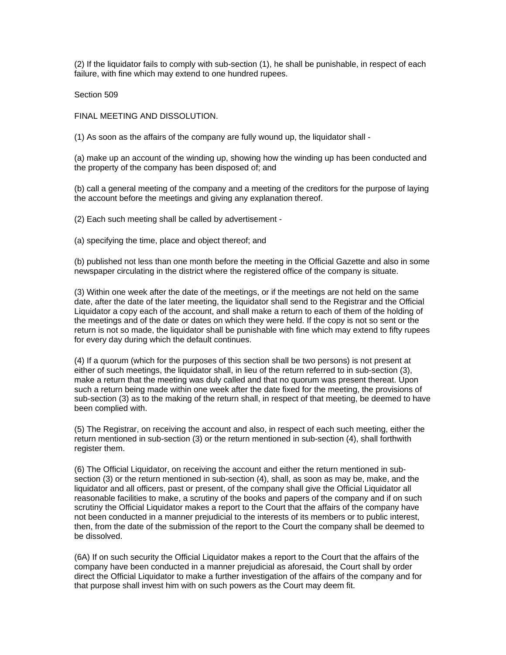(2) If the liquidator fails to comply with sub-section (1), he shall be punishable, in respect of each failure, with fine which may extend to one hundred rupees.

Section 509

FINAL MEETING AND DISSOLUTION.

(1) As soon as the affairs of the company are fully wound up, the liquidator shall -

(a) make up an account of the winding up, showing how the winding up has been conducted and the property of the company has been disposed of; and

(b) call a general meeting of the company and a meeting of the creditors for the purpose of laying the account before the meetings and giving any explanation thereof.

(2) Each such meeting shall be called by advertisement -

(a) specifying the time, place and object thereof; and

(b) published not less than one month before the meeting in the Official Gazette and also in some newspaper circulating in the district where the registered office of the company is situate.

(3) Within one week after the date of the meetings, or if the meetings are not held on the same date, after the date of the later meeting, the liquidator shall send to the Registrar and the Official Liquidator a copy each of the account, and shall make a return to each of them of the holding of the meetings and of the date or dates on which they were held. If the copy is not so sent or the return is not so made, the liquidator shall be punishable with fine which may extend to fifty rupees for every day during which the default continues.

(4) If a quorum (which for the purposes of this section shall be two persons) is not present at either of such meetings, the liquidator shall, in lieu of the return referred to in sub-section (3), make a return that the meeting was duly called and that no quorum was present thereat. Upon such a return being made within one week after the date fixed for the meeting, the provisions of sub-section (3) as to the making of the return shall, in respect of that meeting, be deemed to have been complied with.

(5) The Registrar, on receiving the account and also, in respect of each such meeting, either the return mentioned in sub-section (3) or the return mentioned in sub-section (4), shall forthwith register them.

(6) The Official Liquidator, on receiving the account and either the return mentioned in subsection (3) or the return mentioned in sub-section (4), shall, as soon as may be, make, and the liquidator and all officers, past or present, of the company shall give the Official Liquidator all reasonable facilities to make, a scrutiny of the books and papers of the company and if on such scrutiny the Official Liquidator makes a report to the Court that the affairs of the company have not been conducted in a manner prejudicial to the interests of its members or to public interest, then, from the date of the submission of the report to the Court the company shall be deemed to be dissolved.

(6A) If on such security the Official Liquidator makes a report to the Court that the affairs of the company have been conducted in a manner prejudicial as aforesaid, the Court shall by order direct the Official Liquidator to make a further investigation of the affairs of the company and for that purpose shall invest him with on such powers as the Court may deem fit.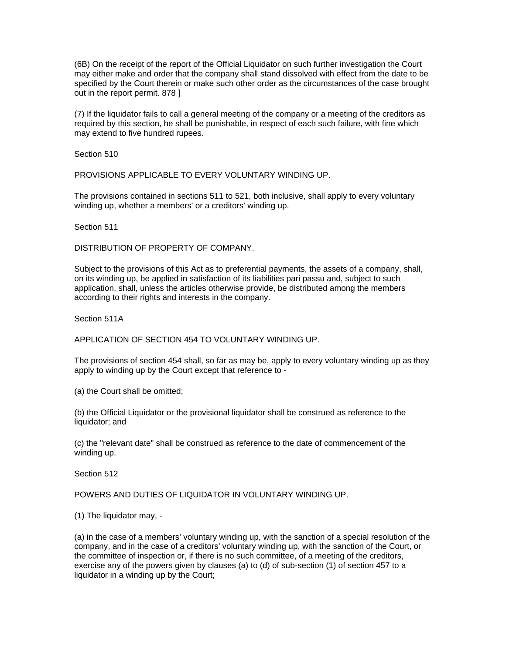(6B) On the receipt of the report of the Official Liquidator on such further investigation the Court may either make and order that the company shall stand dissolved with effect from the date to be specified by the Court therein or make such other order as the circumstances of the case brought out in the report permit. 878 ]

(7) If the liquidator fails to call a general meeting of the company or a meeting of the creditors as required by this section, he shall be punishable, in respect of each such failure, with fine which may extend to five hundred rupees.

Section 510

PROVISIONS APPLICABLE TO EVERY VOLUNTARY WINDING UP.

The provisions contained in sections 511 to 521, both inclusive, shall apply to every voluntary winding up, whether a members' or a creditors' winding up.

Section 511

DISTRIBUTION OF PROPERTY OF COMPANY.

Subject to the provisions of this Act as to preferential payments, the assets of a company, shall, on its winding up, be applied in satisfaction of its liabilities pari passu and, subject to such application, shall, unless the articles otherwise provide, be distributed among the members according to their rights and interests in the company.

Section 511A

APPLICATION OF SECTION 454 TO VOLUNTARY WINDING UP.

The provisions of section 454 shall, so far as may be, apply to every voluntary winding up as they apply to winding up by the Court except that reference to -

(a) the Court shall be omitted;

(b) the Official Liquidator or the provisional liquidator shall be construed as reference to the liquidator; and

(c) the "relevant date" shall be construed as reference to the date of commencement of the winding up.

Section 512

POWERS AND DUTIES OF LIQUIDATOR IN VOLUNTARY WINDING UP.

(1) The liquidator may, -

(a) in the case of a members' voluntary winding up, with the sanction of a special resolution of the company, and in the case of a creditors' voluntary winding up, with the sanction of the Court, or the committee of inspection or, if there is no such committee, of a meeting of the creditors, exercise any of the powers given by clauses (a) to (d) of sub-section (1) of section 457 to a liquidator in a winding up by the Court;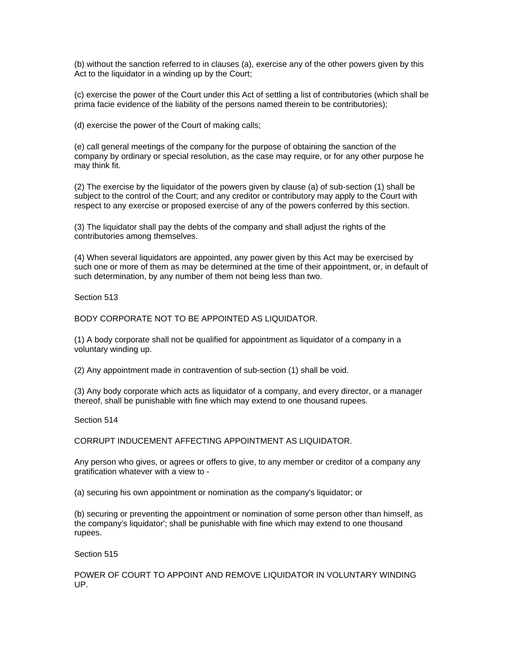(b) without the sanction referred to in clauses (a), exercise any of the other powers given by this Act to the liquidator in a winding up by the Court;

(c) exercise the power of the Court under this Act of settling a list of contributories (which shall be prima facie evidence of the liability of the persons named therein to be contributories);

(d) exercise the power of the Court of making calls;

(e) call general meetings of the company for the purpose of obtaining the sanction of the company by ordinary or special resolution, as the case may require, or for any other purpose he may think fit.

(2) The exercise by the liquidator of the powers given by clause (a) of sub-section (1) shall be subject to the control of the Court; and any creditor or contributory may apply to the Court with respect to any exercise or proposed exercise of any of the powers conferred by this section.

(3) The liquidator shall pay the debts of the company and shall adjust the rights of the contributories among themselves.

(4) When several liquidators are appointed, any power given by this Act may be exercised by such one or more of them as may be determined at the time of their appointment, or, in default of such determination, by any number of them not being less than two.

Section 513

BODY CORPORATE NOT TO BE APPOINTED AS LIQUIDATOR.

(1) A body corporate shall not be qualified for appointment as liquidator of a company in a voluntary winding up.

(2) Any appointment made in contravention of sub-section (1) shall be void.

(3) Any body corporate which acts as liquidator of a company, and every director, or a manager thereof, shall be punishable with fine which may extend to one thousand rupees.

Section 514

CORRUPT INDUCEMENT AFFECTING APPOINTMENT AS LIQUIDATOR.

Any person who gives, or agrees or offers to give, to any member or creditor of a company any gratification whatever with a view to -

(a) securing his own appointment or nomination as the company's liquidator; or

(b) securing or preventing the appointment or nomination of some person other than himself, as the company's liquidator'; shall be punishable with fine which may extend to one thousand rupees.

Section 515

POWER OF COURT TO APPOINT AND REMOVE LIQUIDATOR IN VOLUNTARY WINDING UP.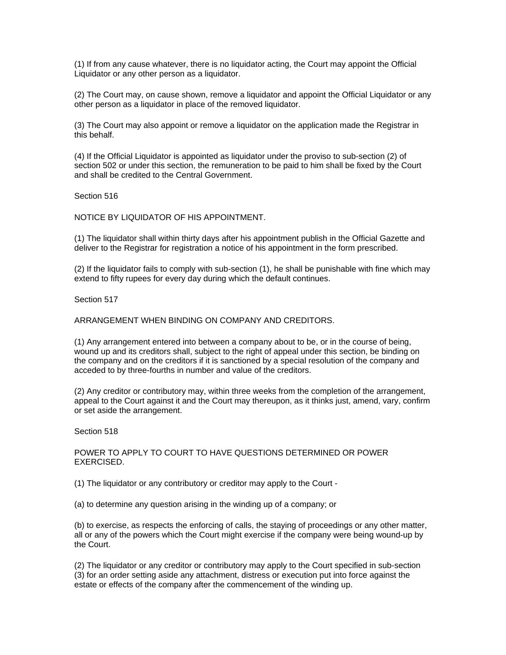(1) If from any cause whatever, there is no liquidator acting, the Court may appoint the Official Liquidator or any other person as a liquidator.

(2) The Court may, on cause shown, remove a liquidator and appoint the Official Liquidator or any other person as a liquidator in place of the removed liquidator.

(3) The Court may also appoint or remove a liquidator on the application made the Registrar in this behalf.

(4) If the Official Liquidator is appointed as liquidator under the proviso to sub-section (2) of section 502 or under this section, the remuneration to be paid to him shall be fixed by the Court and shall be credited to the Central Government.

Section 516

NOTICE BY LIQUIDATOR OF HIS APPOINTMENT.

(1) The liquidator shall within thirty days after his appointment publish in the Official Gazette and deliver to the Registrar for registration a notice of his appointment in the form prescribed.

(2) If the liquidator fails to comply with sub-section (1), he shall be punishable with fine which may extend to fifty rupees for every day during which the default continues.

Section 517

ARRANGEMENT WHEN BINDING ON COMPANY AND CREDITORS.

(1) Any arrangement entered into between a company about to be, or in the course of being, wound up and its creditors shall, subject to the right of appeal under this section, be binding on the company and on the creditors if it is sanctioned by a special resolution of the company and acceded to by three-fourths in number and value of the creditors.

(2) Any creditor or contributory may, within three weeks from the completion of the arrangement, appeal to the Court against it and the Court may thereupon, as it thinks just, amend, vary, confirm or set aside the arrangement.

Section 518

POWER TO APPLY TO COURT TO HAVE QUESTIONS DETERMINED OR POWER EXERCISED.

(1) The liquidator or any contributory or creditor may apply to the Court -

(a) to determine any question arising in the winding up of a company; or

(b) to exercise, as respects the enforcing of calls, the staying of proceedings or any other matter, all or any of the powers which the Court might exercise if the company were being wound-up by the Court.

(2) The liquidator or any creditor or contributory may apply to the Court specified in sub-section (3) for an order setting aside any attachment, distress or execution put into force against the estate or effects of the company after the commencement of the winding up.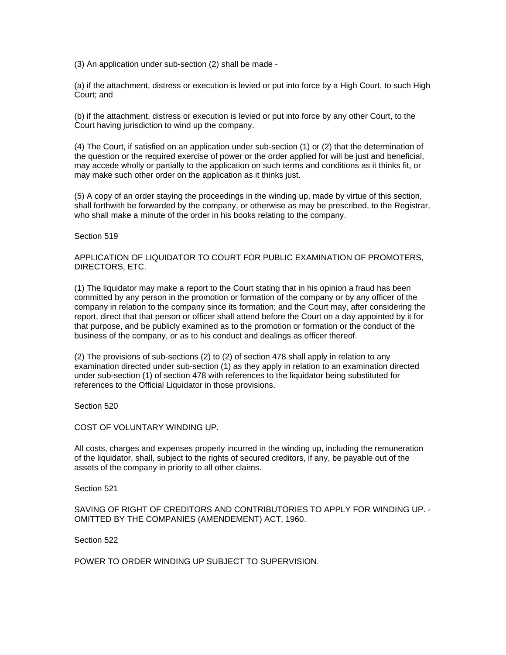(3) An application under sub-section (2) shall be made -

(a) if the attachment, distress or execution is levied or put into force by a High Court, to such High Court; and

(b) if the attachment, distress or execution is levied or put into force by any other Court, to the Court having jurisdiction to wind up the company.

(4) The Court, if satisfied on an application under sub-section (1) or (2) that the determination of the question or the required exercise of power or the order applied for will be just and beneficial, may accede wholly or partially to the application on such terms and conditions as it thinks fit, or may make such other order on the application as it thinks just.

(5) A copy of an order staying the proceedings in the winding up, made by virtue of this section, shall forthwith be forwarded by the company, or otherwise as may be prescribed, to the Registrar, who shall make a minute of the order in his books relating to the company.

Section 519

## APPLICATION OF LIQUIDATOR TO COURT FOR PUBLIC EXAMINATION OF PROMOTERS, DIRECTORS, ETC.

(1) The liquidator may make a report to the Court stating that in his opinion a fraud has been committed by any person in the promotion or formation of the company or by any officer of the company in relation to the company since its formation; and the Court may, after considering the report, direct that that person or officer shall attend before the Court on a day appointed by it for that purpose, and be publicly examined as to the promotion or formation or the conduct of the business of the company, or as to his conduct and dealings as officer thereof.

(2) The provisions of sub-sections (2) to (2) of section 478 shall apply in relation to any examination directed under sub-section (1) as they apply in relation to an examination directed under sub-section (1) of section 478 with references to the liquidator being substituted for references to the Official Liquidator in those provisions.

Section 520

COST OF VOLUNTARY WINDING UP.

All costs, charges and expenses properly incurred in the winding up, including the remuneration of the liquidator, shall, subject to the rights of secured creditors, if any, be payable out of the assets of the company in priority to all other claims.

Section 521

# SAVING OF RIGHT OF CREDITORS AND CONTRIBUTORIES TO APPLY FOR WINDING UP. - OMITTED BY THE COMPANIES (AMENDEMENT) ACT, 1960.

Section 522

POWER TO ORDER WINDING UP SUBJECT TO SUPERVISION.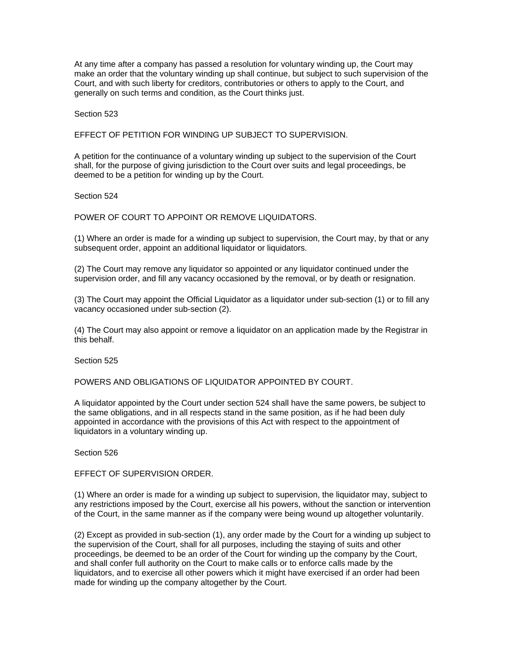At any time after a company has passed a resolution for voluntary winding up, the Court may make an order that the voluntary winding up shall continue, but subject to such supervision of the Court, and with such liberty for creditors, contributories or others to apply to the Court, and generally on such terms and condition, as the Court thinks just.

Section 523

EFFECT OF PETITION FOR WINDING UP SUBJECT TO SUPERVISION.

A petition for the continuance of a voluntary winding up subject to the supervision of the Court shall, for the purpose of giving jurisdiction to the Court over suits and legal proceedings, be deemed to be a petition for winding up by the Court.

Section 524

POWER OF COURT TO APPOINT OR REMOVE LIQUIDATORS.

(1) Where an order is made for a winding up subject to supervision, the Court may, by that or any subsequent order, appoint an additional liquidator or liquidators.

(2) The Court may remove any liquidator so appointed or any liquidator continued under the supervision order, and fill any vacancy occasioned by the removal, or by death or resignation.

(3) The Court may appoint the Official Liquidator as a liquidator under sub-section (1) or to fill any vacancy occasioned under sub-section (2).

(4) The Court may also appoint or remove a liquidator on an application made by the Registrar in this behalf.

Section 525

POWERS AND OBLIGATIONS OF LIQUIDATOR APPOINTED BY COURT.

A liquidator appointed by the Court under section 524 shall have the same powers, be subject to the same obligations, and in all respects stand in the same position, as if he had been duly appointed in accordance with the provisions of this Act with respect to the appointment of liquidators in a voluntary winding up.

Section 526

EFFECT OF SUPERVISION ORDER.

(1) Where an order is made for a winding up subject to supervision, the liquidator may, subject to any restrictions imposed by the Court, exercise all his powers, without the sanction or intervention of the Court, in the same manner as if the company were being wound up altogether voluntarily.

(2) Except as provided in sub-section (1), any order made by the Court for a winding up subject to the supervision of the Court, shall for all purposes, including the staying of suits and other proceedings, be deemed to be an order of the Court for winding up the company by the Court, and shall confer full authority on the Court to make calls or to enforce calls made by the liquidators, and to exercise all other powers which it might have exercised if an order had been made for winding up the company altogether by the Court.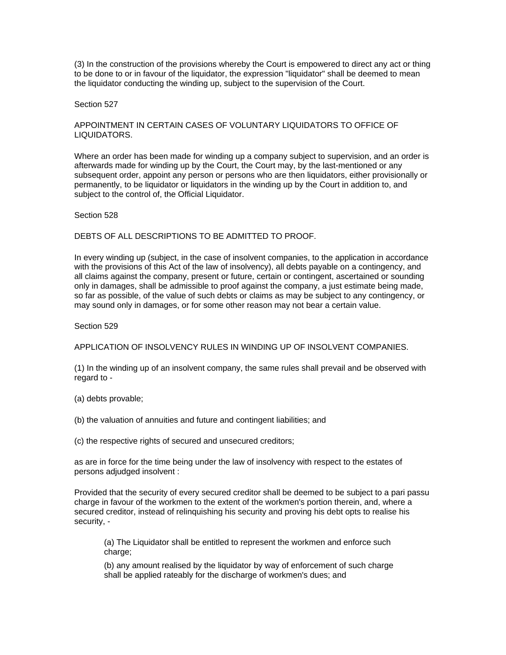(3) In the construction of the provisions whereby the Court is empowered to direct any act or thing to be done to or in favour of the liquidator, the expression "liquidator" shall be deemed to mean the liquidator conducting the winding up, subject to the supervision of the Court.

### Section 527

## APPOINTMENT IN CERTAIN CASES OF VOLUNTARY LIQUIDATORS TO OFFICE OF LIQUIDATORS.

Where an order has been made for winding up a company subject to supervision, and an order is afterwards made for winding up by the Court, the Court may, by the last-mentioned or any subsequent order, appoint any person or persons who are then liquidators, either provisionally or permanently, to be liquidator or liquidators in the winding up by the Court in addition to, and subject to the control of, the Official Liquidator.

### Section 528

## DEBTS OF ALL DESCRIPTIONS TO BE ADMITTED TO PROOF.

In every winding up (subject, in the case of insolvent companies, to the application in accordance with the provisions of this Act of the law of insolvency), all debts payable on a contingency, and all claims against the company, present or future, certain or contingent, ascertained or sounding only in damages, shall be admissible to proof against the company, a just estimate being made, so far as possible, of the value of such debts or claims as may be subject to any contingency, or may sound only in damages, or for some other reason may not bear a certain value.

Section 529

# APPLICATION OF INSOLVENCY RULES IN WINDING UP OF INSOLVENT COMPANIES.

(1) In the winding up of an insolvent company, the same rules shall prevail and be observed with regard to -

- (a) debts provable;
- (b) the valuation of annuities and future and contingent liabilities; and
- (c) the respective rights of secured and unsecured creditors;

as are in force for the time being under the law of insolvency with respect to the estates of persons adjudged insolvent :

Provided that the security of every secured creditor shall be deemed to be subject to a pari passu charge in favour of the workmen to the extent of the workmen's portion therein, and, where a secured creditor, instead of relinquishing his security and proving his debt opts to realise his security, -

(a) The Liquidator shall be entitled to represent the workmen and enforce such charge;

(b) any amount realised by the liquidator by way of enforcement of such charge shall be applied rateably for the discharge of workmen's dues; and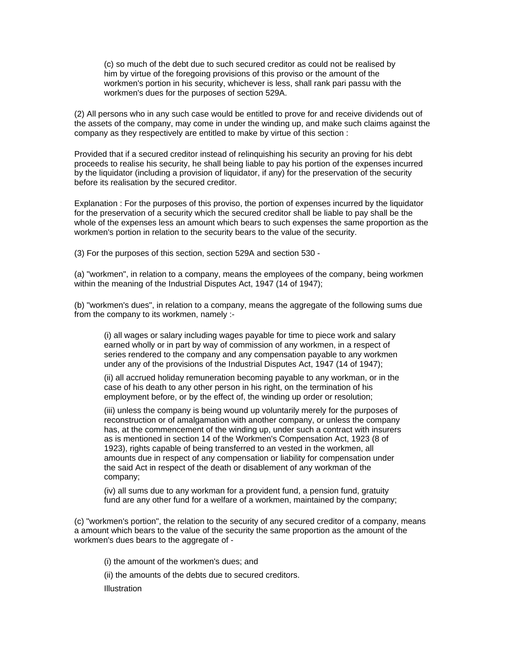(c) so much of the debt due to such secured creditor as could not be realised by him by virtue of the foregoing provisions of this proviso or the amount of the workmen's portion in his security, whichever is less, shall rank pari passu with the workmen's dues for the purposes of section 529A.

(2) All persons who in any such case would be entitled to prove for and receive dividends out of the assets of the company, may come in under the winding up, and make such claims against the company as they respectively are entitled to make by virtue of this section :

Provided that if a secured creditor instead of relinquishing his security an proving for his debt proceeds to realise his security, he shall being liable to pay his portion of the expenses incurred by the liquidator (including a provision of liquidator, if any) for the preservation of the security before its realisation by the secured creditor.

Explanation : For the purposes of this proviso, the portion of expenses incurred by the liquidator for the preservation of a security which the secured creditor shall be liable to pay shall be the whole of the expenses less an amount which bears to such expenses the same proportion as the workmen's portion in relation to the security bears to the value of the security.

(3) For the purposes of this section, section 529A and section 530 -

(a) "workmen", in relation to a company, means the employees of the company, being workmen within the meaning of the Industrial Disputes Act, 1947 (14 of 1947);

(b) "workmen's dues", in relation to a company, means the aggregate of the following sums due from the company to its workmen, namely :-

(i) all wages or salary including wages payable for time to piece work and salary earned wholly or in part by way of commission of any workmen, in a respect of series rendered to the company and any compensation payable to any workmen under any of the provisions of the Industrial Disputes Act, 1947 (14 of 1947);

(ii) all accrued holiday remuneration becoming payable to any workman, or in the case of his death to any other person in his right, on the termination of his employment before, or by the effect of, the winding up order or resolution;

(iii) unless the company is being wound up voluntarily merely for the purposes of reconstruction or of amalgamation with another company, or unless the company has, at the commencement of the winding up, under such a contract with insurers as is mentioned in section 14 of the Workmen's Compensation Act, 1923 (8 of 1923), rights capable of being transferred to an vested in the workmen, all amounts due in respect of any compensation or liability for compensation under the said Act in respect of the death or disablement of any workman of the company;

(iv) all sums due to any workman for a provident fund, a pension fund, gratuity fund are any other fund for a welfare of a workmen, maintained by the company;

(c) "workmen's portion", the relation to the security of any secured creditor of a company, means a amount which bears to the value of the security the same proportion as the amount of the workmen's dues bears to the aggregate of -

(i) the amount of the workmen's dues; and

(ii) the amounts of the debts due to secured creditors.

**Illustration**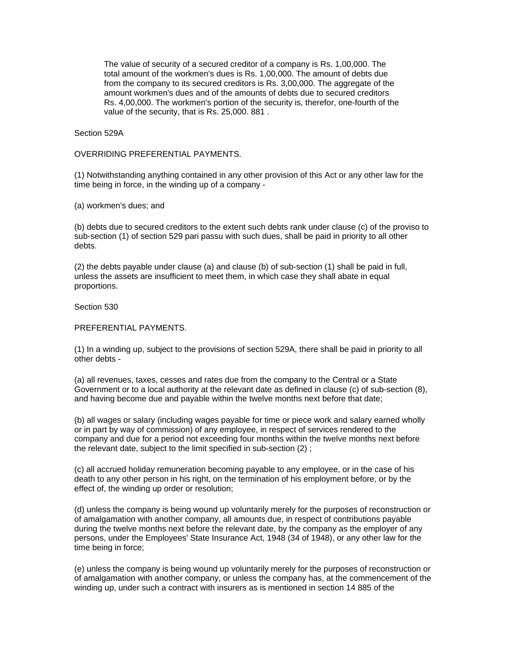The value of security of a secured creditor of a company is Rs. 1,00,000. The total amount of the workmen's dues is Rs. 1,00,000. The amount of debts due from the company to its secured creditors is Rs. 3,00,000. The aggregate of the amount workmen's dues and of the amounts of debts due to secured creditors Rs. 4,00,000. The workmen's portion of the security is, therefor, one-fourth of the value of the security, that is Rs. 25,000. 881 .

#### Section 529A

### OVERRIDING PREFERENTIAL PAYMENTS.

(1) Notwithstanding anything contained in any other provision of this Act or any other law for the time being in force, in the winding up of a company -

(a) workmen's dues; and

(b) debts due to secured creditors to the extent such debts rank under clause (c) of the proviso to sub-section (1) of section 529 pari passu with such dues, shall be paid in priority to all other debts.

(2) the debts payable under clause (a) and clause (b) of sub-section (1) shall be paid in full, unless the assets are insufficient to meet them, in which case they shall abate in equal proportions.

Section 530

PREFERENTIAL PAYMENTS.

(1) In a winding up, subject to the provisions of section 529A, there shall be paid in priority to all other debts -

(a) all revenues, taxes, cesses and rates due from the company to the Central or a State Government or to a local authority at the relevant date as defined in clause (c) of sub-section (8), and having become due and payable within the twelve months next before that date;

(b) all wages or salary (including wages payable for time or piece work and salary earned wholly or in part by way of commission) of any employee, in respect of services rendered to the company and due for a period not exceeding four months within the twelve months next before the relevant date, subject to the limit specified in sub-section (2) ;

(c) all accrued holiday remuneration becoming payable to any employee, or in the case of his death to any other person in his right, on the termination of his employment before, or by the effect of, the winding up order or resolution;

(d) unless the company is being wound up voluntarily merely for the purposes of reconstruction or of amalgamation with another company, all amounts due, in respect of contributions payable during the twelve months next before the relevant date, by the company as the employer of any persons, under the Employees' State Insurance Act, 1948 (34 of 1948), or any other law for the time being in force;

(e) unless the company is being wound up voluntarily merely for the purposes of reconstruction or of amalgamation with another company, or unless the company has, at the commencement of the winding up, under such a contract with insurers as is mentioned in section 14 885 of the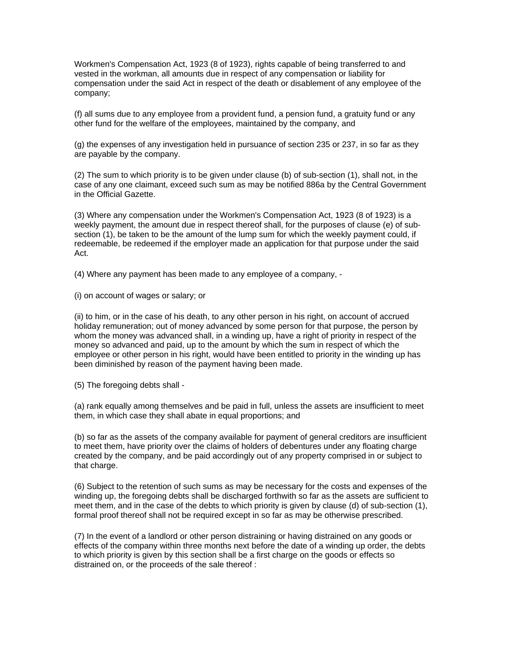Workmen's Compensation Act, 1923 (8 of 1923), rights capable of being transferred to and vested in the workman, all amounts due in respect of any compensation or liability for compensation under the said Act in respect of the death or disablement of any employee of the company;

(f) all sums due to any employee from a provident fund, a pension fund, a gratuity fund or any other fund for the welfare of the employees, maintained by the company, and

(g) the expenses of any investigation held in pursuance of section 235 or 237, in so far as they are payable by the company.

(2) The sum to which priority is to be given under clause (b) of sub-section (1), shall not, in the case of any one claimant, exceed such sum as may be notified 886a by the Central Government in the Official Gazette.

(3) Where any compensation under the Workmen's Compensation Act, 1923 (8 of 1923) is a weekly payment, the amount due in respect thereof shall, for the purposes of clause (e) of subsection (1), be taken to be the amount of the lump sum for which the weekly payment could, if redeemable, be redeemed if the employer made an application for that purpose under the said Act.

(4) Where any payment has been made to any employee of a company, -

(i) on account of wages or salary; or

(ii) to him, or in the case of his death, to any other person in his right, on account of accrued holiday remuneration; out of money advanced by some person for that purpose, the person by whom the money was advanced shall, in a winding up, have a right of priority in respect of the money so advanced and paid, up to the amount by which the sum in respect of which the employee or other person in his right, would have been entitled to priority in the winding up has been diminished by reason of the payment having been made.

(5) The foregoing debts shall -

(a) rank equally among themselves and be paid in full, unless the assets are insufficient to meet them, in which case they shall abate in equal proportions; and

(b) so far as the assets of the company available for payment of general creditors are insufficient to meet them, have priority over the claims of holders of debentures under any floating charge created by the company, and be paid accordingly out of any property comprised in or subject to that charge.

(6) Subject to the retention of such sums as may be necessary for the costs and expenses of the winding up, the foregoing debts shall be discharged forthwith so far as the assets are sufficient to meet them, and in the case of the debts to which priority is given by clause (d) of sub-section (1), formal proof thereof shall not be required except in so far as may be otherwise prescribed.

(7) In the event of a landlord or other person distraining or having distrained on any goods or effects of the company within three months next before the date of a winding up order, the debts to which priority is given by this section shall be a first charge on the goods or effects so distrained on, or the proceeds of the sale thereof :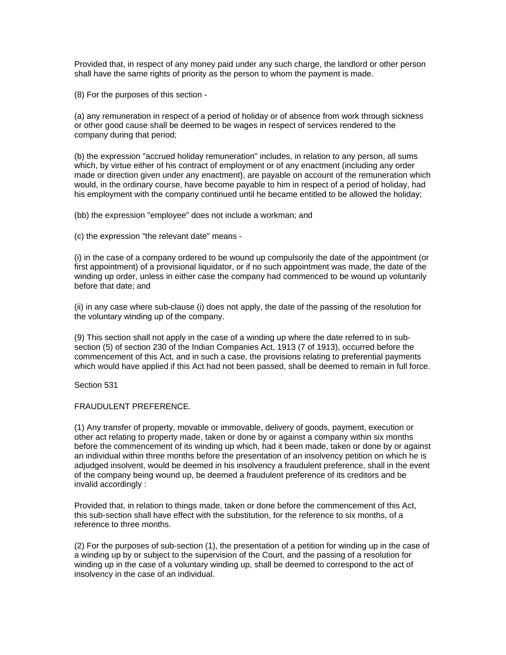Provided that, in respect of any money paid under any such charge, the landlord or other person shall have the same rights of priority as the person to whom the payment is made.

(8) For the purposes of this section -

(a) any remuneration in respect of a period of holiday or of absence from work through sickness or other good cause shall be deemed to be wages in respect of services rendered to the company during that period;

(b) the expression "accrued holiday remuneration" includes, in relation to any person, all sums which, by virtue either of his contract of employment or of any enactment (including any order made or direction given under any enactment), are payable on account of the remuneration which would, in the ordinary course, have become payable to him in respect of a period of holiday, had his employment with the company continued until he became entitled to be allowed the holiday;

(bb) the expression "employee" does not include a workman; and

(c) the expression "the relevant date" means -

(i) in the case of a company ordered to be wound up compulsorily the date of the appointment (or first appointment) of a provisional liquidator, or if no such appointment was made, the date of the winding up order, unless in either case the company had commenced to be wound up voluntarily before that date; and

(ii) in any case where sub-clause (i) does not apply, the date of the passing of the resolution for the voluntary winding up of the company.

(9) This section shall not apply in the case of a winding up where the date referred to in subsection (5) of section 230 of the Indian Companies Act, 1913 (7 of 1913), occurred before the commencement of this Act, and in such a case, the provisions relating to preferential payments which would have applied if this Act had not been passed, shall be deemed to remain in full force.

Section 531

FRAUDULENT PREFERENCE.

(1) Any transfer of property, movable or immovable, delivery of goods, payment, execution or other act relating to property made, taken or done by or against a company within six months before the commencement of its winding up which, had it been made, taken or done by or against an individual within three months before the presentation of an insolvency petition on which he is adjudged insolvent, would be deemed in his insolvency a fraudulent preference, shall in the event of the company being wound up, be deemed a fraudulent preference of its creditors and be invalid accordingly :

Provided that, in relation to things made, taken or done before the commencement of this Act, this sub-section shall have effect with the substitution, for the reference to six months, of a reference to three months.

(2) For the purposes of sub-section (1), the presentation of a petition for winding up in the case of a winding up by or subject to the supervision of the Court, and the passing of a resolution for winding up in the case of a voluntary winding up, shall be deemed to correspond to the act of insolvency in the case of an individual.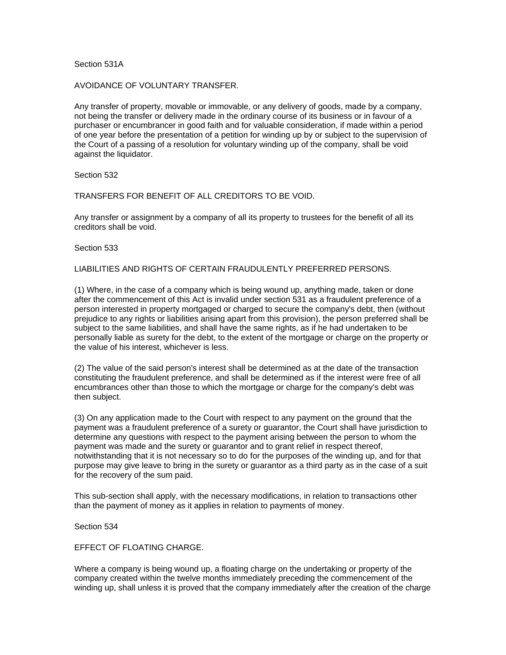Section 531A

### AVOIDANCE OF VOLUNTARY TRANSFER.

Any transfer of property, movable or immovable, or any delivery of goods, made by a company, not being the transfer or delivery made in the ordinary course of its business or in favour of a purchaser or encumbrancer in good faith and for valuable consideration, if made within a period of one year before the presentation of a petition for winding up by or subject to the supervision of the Court of a passing of a resolution for voluntary winding up of the company, shall be void against the liquidator.

Section 532

## TRANSFERS FOR BENEFIT OF ALL CREDITORS TO BE VOID.

Any transfer or assignment by a company of all its property to trustees for the benefit of all its creditors shall be void.

Section 533

LIABILITIES AND RIGHTS OF CERTAIN FRAUDULENTLY PREFERRED PERSONS.

(1) Where, in the case of a company which is being wound up, anything made, taken or done after the commencement of this Act is invalid under section 531 as a fraudulent preference of a person interested in property mortgaged or charged to secure the company's debt, then (without prejudice to any rights or liabilities arising apart from this provision), the person preferred shall be subject to the same liabilities, and shall have the same rights, as if he had undertaken to be personally liable as surety for the debt, to the extent of the mortgage or charge on the property or the value of his interest, whichever is less.

(2) The value of the said person's interest shall be determined as at the date of the transaction constituting the fraudulent preference, and shall be determined as if the interest were free of all encumbrances other than those to which the mortgage or charge for the company's debt was then subject.

(3) On any application made to the Court with respect to any payment on the ground that the payment was a fraudulent preference of a surety or guarantor, the Court shall have jurisdiction to determine any questions with respect to the payment arising between the person to whom the payment was made and the surety or guarantor and to grant relief in respect thereof, notwithstanding that it is not necessary so to do for the purposes of the winding up, and for that purpose may give leave to bring in the surety or guarantor as a third party as in the case of a suit for the recovery of the sum paid.

This sub-section shall apply, with the necessary modifications, in relation to transactions other than the payment of money as it applies in relation to payments of money.

Section 534

# EFFECT OF FLOATING CHARGE.

Where a company is being wound up, a floating charge on the undertaking or property of the company created within the twelve months immediately preceding the commencement of the winding up, shall unless it is proved that the company immediately after the creation of the charge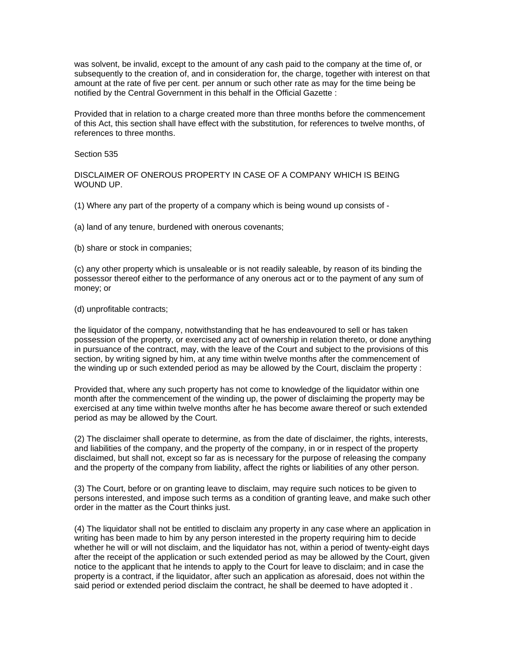was solvent, be invalid, except to the amount of any cash paid to the company at the time of, or subsequently to the creation of, and in consideration for, the charge, together with interest on that amount at the rate of five per cent. per annum or such other rate as may for the time being be notified by the Central Government in this behalf in the Official Gazette :

Provided that in relation to a charge created more than three months before the commencement of this Act, this section shall have effect with the substitution, for references to twelve months, of references to three months.

# Section 535

DISCLAIMER OF ONEROUS PROPERTY IN CASE OF A COMPANY WHICH IS BEING WOUND UP.

(1) Where any part of the property of a company which is being wound up consists of -

(a) land of any tenure, burdened with onerous covenants;

(b) share or stock in companies;

(c) any other property which is unsaleable or is not readily saleable, by reason of its binding the possessor thereof either to the performance of any onerous act or to the payment of any sum of money; or

(d) unprofitable contracts;

the liquidator of the company, notwithstanding that he has endeavoured to sell or has taken possession of the property, or exercised any act of ownership in relation thereto, or done anything in pursuance of the contract, may, with the leave of the Court and subject to the provisions of this section, by writing signed by him, at any time within twelve months after the commencement of the winding up or such extended period as may be allowed by the Court, disclaim the property :

Provided that, where any such property has not come to knowledge of the liquidator within one month after the commencement of the winding up, the power of disclaiming the property may be exercised at any time within twelve months after he has become aware thereof or such extended period as may be allowed by the Court.

(2) The disclaimer shall operate to determine, as from the date of disclaimer, the rights, interests, and liabilities of the company, and the property of the company, in or in respect of the property disclaimed, but shall not, except so far as is necessary for the purpose of releasing the company and the property of the company from liability, affect the rights or liabilities of any other person.

(3) The Court, before or on granting leave to disclaim, may require such notices to be given to persons interested, and impose such terms as a condition of granting leave, and make such other order in the matter as the Court thinks just.

(4) The liquidator shall not be entitled to disclaim any property in any case where an application in writing has been made to him by any person interested in the property requiring him to decide whether he will or will not disclaim, and the liquidator has not, within a period of twenty-eight days after the receipt of the application or such extended period as may be allowed by the Court, given notice to the applicant that he intends to apply to the Court for leave to disclaim; and in case the property is a contract, if the liquidator, after such an application as aforesaid, does not within the said period or extended period disclaim the contract, he shall be deemed to have adopted it.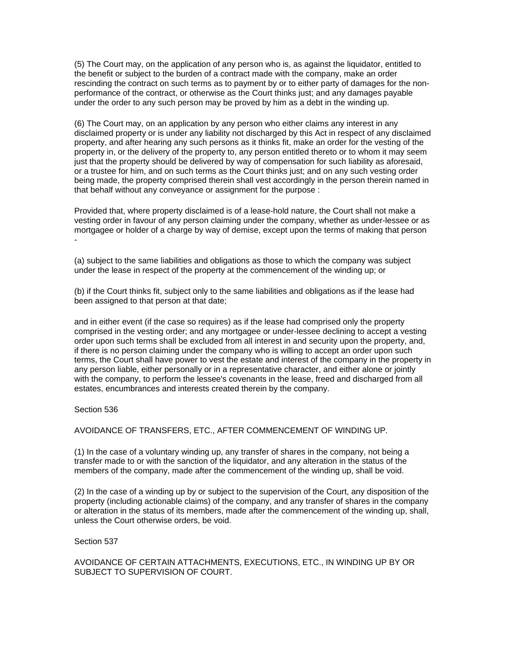(5) The Court may, on the application of any person who is, as against the liquidator, entitled to the benefit or subject to the burden of a contract made with the company, make an order rescinding the contract on such terms as to payment by or to either party of damages for the nonperformance of the contract, or otherwise as the Court thinks just; and any damages payable under the order to any such person may be proved by him as a debt in the winding up.

(6) The Court may, on an application by any person who either claims any interest in any disclaimed property or is under any liability not discharged by this Act in respect of any disclaimed property, and after hearing any such persons as it thinks fit, make an order for the vesting of the property in, or the delivery of the property to, any person entitled thereto or to whom it may seem just that the property should be delivered by way of compensation for such liability as aforesaid, or a trustee for him, and on such terms as the Court thinks just; and on any such vesting order being made, the property comprised therein shall vest accordingly in the person therein named in that behalf without any conveyance or assignment for the purpose :

Provided that, where property disclaimed is of a lease-hold nature, the Court shall not make a vesting order in favour of any person claiming under the company, whether as under-lessee or as mortgagee or holder of a charge by way of demise, except upon the terms of making that person -

(a) subject to the same liabilities and obligations as those to which the company was subject under the lease in respect of the property at the commencement of the winding up; or

(b) if the Court thinks fit, subject only to the same liabilities and obligations as if the lease had been assigned to that person at that date;

and in either event (if the case so requires) as if the lease had comprised only the property comprised in the vesting order; and any mortgagee or under-lessee declining to accept a vesting order upon such terms shall be excluded from all interest in and security upon the property, and, if there is no person claiming under the company who is willing to accept an order upon such terms, the Court shall have power to vest the estate and interest of the company in the property in any person liable, either personally or in a representative character, and either alone or jointly with the company, to perform the lessee's covenants in the lease, freed and discharged from all estates, encumbrances and interests created therein by the company.

Section 536

AVOIDANCE OF TRANSFERS, ETC., AFTER COMMENCEMENT OF WINDING UP.

(1) In the case of a voluntary winding up, any transfer of shares in the company, not being a transfer made to or with the sanction of the liquidator, and any alteration in the status of the members of the company, made after the commencement of the winding up, shall be void.

(2) In the case of a winding up by or subject to the supervision of the Court, any disposition of the property (including actionable claims) of the company, and any transfer of shares in the company or alteration in the status of its members, made after the commencement of the winding up, shall, unless the Court otherwise orders, be void.

Section 537

AVOIDANCE OF CERTAIN ATTACHMENTS, EXECUTIONS, ETC., IN WINDING UP BY OR SUBJECT TO SUPERVISION OF COURT.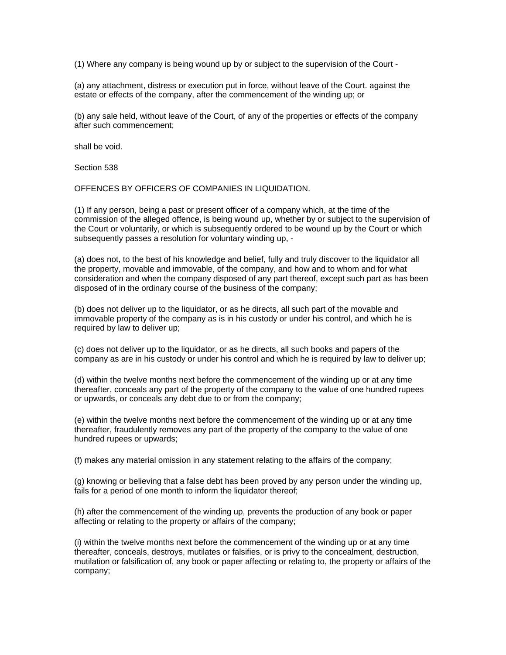(1) Where any company is being wound up by or subject to the supervision of the Court -

(a) any attachment, distress or execution put in force, without leave of the Court. against the estate or effects of the company, after the commencement of the winding up; or

(b) any sale held, without leave of the Court, of any of the properties or effects of the company after such commencement;

shall be void.

Section 538

OFFENCES BY OFFICERS OF COMPANIES IN LIQUIDATION.

(1) If any person, being a past or present officer of a company which, at the time of the commission of the alleged offence, is being wound up, whether by or subject to the supervision of the Court or voluntarily, or which is subsequently ordered to be wound up by the Court or which subsequently passes a resolution for voluntary winding up, -

(a) does not, to the best of his knowledge and belief, fully and truly discover to the liquidator all the property, movable and immovable, of the company, and how and to whom and for what consideration and when the company disposed of any part thereof, except such part as has been disposed of in the ordinary course of the business of the company;

(b) does not deliver up to the liquidator, or as he directs, all such part of the movable and immovable property of the company as is in his custody or under his control, and which he is required by law to deliver up;

(c) does not deliver up to the liquidator, or as he directs, all such books and papers of the company as are in his custody or under his control and which he is required by law to deliver up;

(d) within the twelve months next before the commencement of the winding up or at any time thereafter, conceals any part of the property of the company to the value of one hundred rupees or upwards, or conceals any debt due to or from the company;

(e) within the twelve months next before the commencement of the winding up or at any time thereafter, fraudulently removes any part of the property of the company to the value of one hundred rupees or upwards;

(f) makes any material omission in any statement relating to the affairs of the company;

(g) knowing or believing that a false debt has been proved by any person under the winding up, fails for a period of one month to inform the liquidator thereof;

(h) after the commencement of the winding up, prevents the production of any book or paper affecting or relating to the property or affairs of the company;

(i) within the twelve months next before the commencement of the winding up or at any time thereafter, conceals, destroys, mutilates or falsifies, or is privy to the concealment, destruction, mutilation or falsification of, any book or paper affecting or relating to, the property or affairs of the company;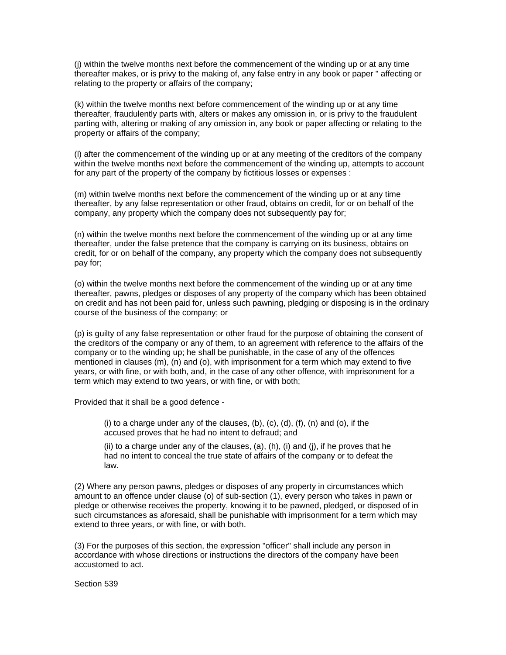(j) within the twelve months next before the commencement of the winding up or at any time thereafter makes, or is privy to the making of, any false entry in any book or paper " affecting or relating to the property or affairs of the company;

(k) within the twelve months next before commencement of the winding up or at any time thereafter, fraudulently parts with, alters or makes any omission in, or is privy to the fraudulent parting with, altering or making of any omission in, any book or paper affecting or relating to the property or affairs of the company;

(l) after the commencement of the winding up or at any meeting of the creditors of the company within the twelve months next before the commencement of the winding up, attempts to account for any part of the property of the company by fictitious losses or expenses :

(m) within twelve months next before the commencement of the winding up or at any time thereafter, by any false representation or other fraud, obtains on credit, for or on behalf of the company, any property which the company does not subsequently pay for;

(n) within the twelve months next before the commencement of the winding up or at any time thereafter, under the false pretence that the company is carrying on its business, obtains on credit, for or on behalf of the company, any property which the company does not subsequently pay for;

(o) within the twelve months next before the commencement of the winding up or at any time thereafter, pawns, pledges or disposes of any property of the company which has been obtained on credit and has not been paid for, unless such pawning, pledging or disposing is in the ordinary course of the business of the company; or

(p) is guilty of any false representation or other fraud for the purpose of obtaining the consent of the creditors of the company or any of them, to an agreement with reference to the affairs of the company or to the winding up; he shall be punishable, in the case of any of the offences mentioned in clauses (m), (n) and (o), with imprisonment for a term which may extend to five years, or with fine, or with both, and, in the case of any other offence, with imprisonment for a term which may extend to two years, or with fine, or with both;

Provided that it shall be a good defence -

 $(i)$  to a charge under any of the clauses,  $(b)$ ,  $(c)$ ,  $(d)$ ,  $(f)$ ,  $(n)$  and  $(o)$ , if the accused proves that he had no intent to defraud; and

(ii) to a charge under any of the clauses, (a), (h), (i) and (j), if he proves that he had no intent to conceal the true state of affairs of the company or to defeat the law.

(2) Where any person pawns, pledges or disposes of any property in circumstances which amount to an offence under clause (o) of sub-section (1), every person who takes in pawn or pledge or otherwise receives the property, knowing it to be pawned, pledged, or disposed of in such circumstances as aforesaid, shall be punishable with imprisonment for a term which may extend to three years, or with fine, or with both.

(3) For the purposes of this section, the expression "officer" shall include any person in accordance with whose directions or instructions the directors of the company have been accustomed to act.

Section 539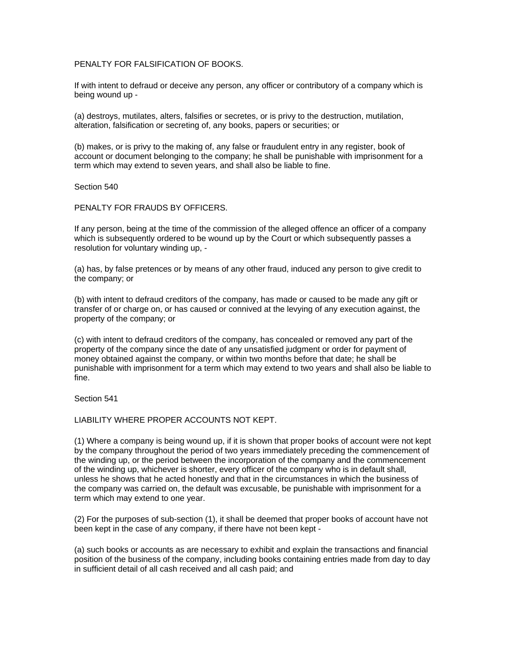# PENALTY FOR FALSIFICATION OF BOOKS.

If with intent to defraud or deceive any person, any officer or contributory of a company which is being wound up -

(a) destroys, mutilates, alters, falsifies or secretes, or is privy to the destruction, mutilation, alteration, falsification or secreting of, any books, papers or securities; or

(b) makes, or is privy to the making of, any false or fraudulent entry in any register, book of account or document belonging to the company; he shall be punishable with imprisonment for a term which may extend to seven years, and shall also be liable to fine.

Section 540

PENALTY FOR FRAUDS BY OFFICERS.

If any person, being at the time of the commission of the alleged offence an officer of a company which is subsequently ordered to be wound up by the Court or which subsequently passes a resolution for voluntary winding up, -

(a) has, by false pretences or by means of any other fraud, induced any person to give credit to the company; or

(b) with intent to defraud creditors of the company, has made or caused to be made any gift or transfer of or charge on, or has caused or connived at the levying of any execution against, the property of the company; or

(c) with intent to defraud creditors of the company, has concealed or removed any part of the property of the company since the date of any unsatisfied judgment or order for payment of money obtained against the company, or within two months before that date; he shall be punishable with imprisonment for a term which may extend to two years and shall also be liable to fine.

Section 541

LIABILITY WHERE PROPER ACCOUNTS NOT KEPT.

(1) Where a company is being wound up, if it is shown that proper books of account were not kept by the company throughout the period of two years immediately preceding the commencement of the winding up, or the period between the incorporation of the company and the commencement of the winding up, whichever is shorter, every officer of the company who is in default shall, unless he shows that he acted honestly and that in the circumstances in which the business of the company was carried on, the default was excusable, be punishable with imprisonment for a term which may extend to one year.

(2) For the purposes of sub-section (1), it shall be deemed that proper books of account have not been kept in the case of any company, if there have not been kept -

(a) such books or accounts as are necessary to exhibit and explain the transactions and financial position of the business of the company, including books containing entries made from day to day in sufficient detail of all cash received and all cash paid; and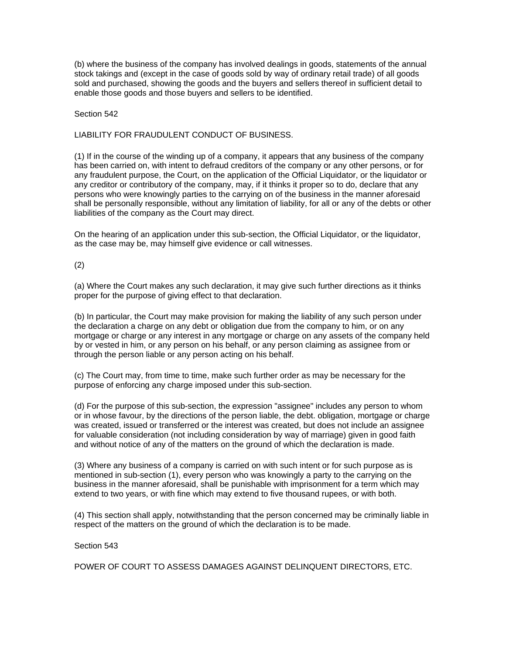(b) where the business of the company has involved dealings in goods, statements of the annual stock takings and (except in the case of goods sold by way of ordinary retail trade) of all goods sold and purchased, showing the goods and the buyers and sellers thereof in sufficient detail to enable those goods and those buyers and sellers to be identified.

Section 542

## LIABILITY FOR FRAUDULENT CONDUCT OF BUSINESS.

(1) If in the course of the winding up of a company, it appears that any business of the company has been carried on, with intent to defraud creditors of the company or any other persons, or for any fraudulent purpose, the Court, on the application of the Official Liquidator, or the liquidator or any creditor or contributory of the company, may, if it thinks it proper so to do, declare that any persons who were knowingly parties to the carrying on of the business in the manner aforesaid shall be personally responsible, without any limitation of liability, for all or any of the debts or other liabilities of the company as the Court may direct.

On the hearing of an application under this sub-section, the Official Liquidator, or the liquidator, as the case may be, may himself give evidence or call witnesses.

(2)

(a) Where the Court makes any such declaration, it may give such further directions as it thinks proper for the purpose of giving effect to that declaration.

(b) In particular, the Court may make provision for making the liability of any such person under the declaration a charge on any debt or obligation due from the company to him, or on any mortgage or charge or any interest in any mortgage or charge on any assets of the company held by or vested in him, or any person on his behalf, or any person claiming as assignee from or through the person liable or any person acting on his behalf.

(c) The Court may, from time to time, make such further order as may be necessary for the purpose of enforcing any charge imposed under this sub-section.

(d) For the purpose of this sub-section, the expression "assignee" includes any person to whom or in whose favour, by the directions of the person liable, the debt. obligation, mortgage or charge was created, issued or transferred or the interest was created, but does not include an assignee for valuable consideration (not including consideration by way of marriage) given in good faith and without notice of any of the matters on the ground of which the declaration is made.

(3) Where any business of a company is carried on with such intent or for such purpose as is mentioned in sub-section (1), every person who was knowingly a party to the carrying on the business in the manner aforesaid, shall be punishable with imprisonment for a term which may extend to two years, or with fine which may extend to five thousand rupees, or with both.

(4) This section shall apply, notwithstanding that the person concerned may be criminally liable in respect of the matters on the ground of which the declaration is to be made.

Section 543

POWER OF COURT TO ASSESS DAMAGES AGAINST DELINQUENT DIRECTORS, ETC.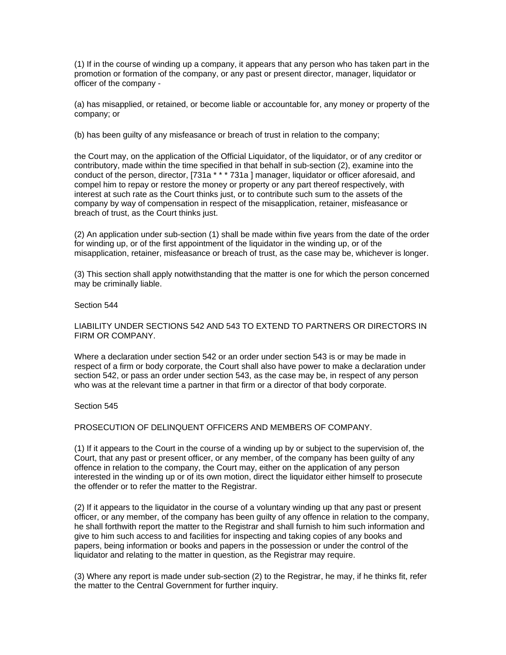(1) If in the course of winding up a company, it appears that any person who has taken part in the promotion or formation of the company, or any past or present director, manager, liquidator or officer of the company -

(a) has misapplied, or retained, or become liable or accountable for, any money or property of the company; or

(b) has been guilty of any misfeasance or breach of trust in relation to the company;

the Court may, on the application of the Official Liquidator, of the liquidator, or of any creditor or contributory, made within the time specified in that behalf in sub-section (2), examine into the conduct of the person, director, [731a \* \* \* 731a ] manager, liquidator or officer aforesaid, and compel him to repay or restore the money or property or any part thereof respectively, with interest at such rate as the Court thinks just, or to contribute such sum to the assets of the company by way of compensation in respect of the misapplication, retainer, misfeasance or breach of trust, as the Court thinks just.

(2) An application under sub-section (1) shall be made within five years from the date of the order for winding up, or of the first appointment of the liquidator in the winding up, or of the misapplication, retainer, misfeasance or breach of trust, as the case may be, whichever is longer.

(3) This section shall apply notwithstanding that the matter is one for which the person concerned may be criminally liable.

Section 544

## LIABILITY UNDER SECTIONS 542 AND 543 TO EXTEND TO PARTNERS OR DIRECTORS IN FIRM OR COMPANY.

Where a declaration under section 542 or an order under section 543 is or may be made in respect of a firm or body corporate, the Court shall also have power to make a declaration under section 542, or pass an order under section 543, as the case may be, in respect of any person who was at the relevant time a partner in that firm or a director of that body corporate.

Section 545

PROSECUTION OF DELINQUENT OFFICERS AND MEMBERS OF COMPANY.

(1) If it appears to the Court in the course of a winding up by or subject to the supervision of, the Court, that any past or present officer, or any member, of the company has been guilty of any offence in relation to the company, the Court may, either on the application of any person interested in the winding up or of its own motion, direct the liquidator either himself to prosecute the offender or to refer the matter to the Registrar.

(2) If it appears to the liquidator in the course of a voluntary winding up that any past or present officer, or any member, of the company has been guilty of any offence in relation to the company, he shall forthwith report the matter to the Registrar and shall furnish to him such information and give to him such access to and facilities for inspecting and taking copies of any books and papers, being information or books and papers in the possession or under the control of the liquidator and relating to the matter in question, as the Registrar may require.

(3) Where any report is made under sub-section (2) to the Registrar, he may, if he thinks fit, refer the matter to the Central Government for further inquiry.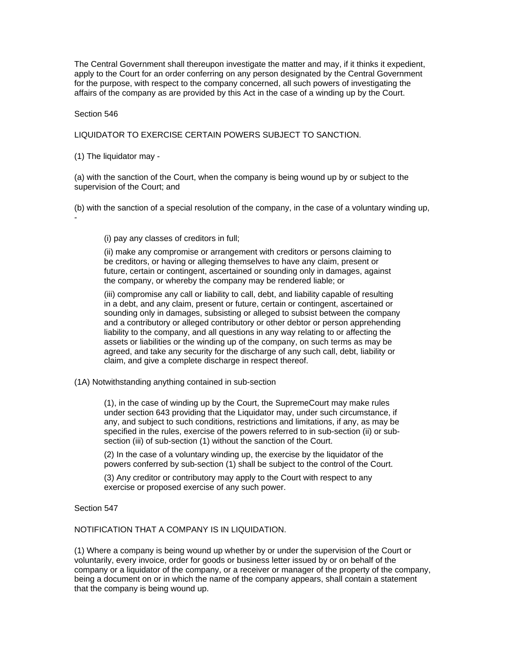The Central Government shall thereupon investigate the matter and may, if it thinks it expedient, apply to the Court for an order conferring on any person designated by the Central Government for the purpose, with respect to the company concerned, all such powers of investigating the affairs of the company as are provided by this Act in the case of a winding up by the Court.

## Section 546

-

LIQUIDATOR TO EXERCISE CERTAIN POWERS SUBJECT TO SANCTION.

(1) The liquidator may -

(a) with the sanction of the Court, when the company is being wound up by or subject to the supervision of the Court; and

(b) with the sanction of a special resolution of the company, in the case of a voluntary winding up,

(i) pay any classes of creditors in full;

(ii) make any compromise or arrangement with creditors or persons claiming to be creditors, or having or alleging themselves to have any claim, present or future, certain or contingent, ascertained or sounding only in damages, against the company, or whereby the company may be rendered liable; or

(iii) compromise any call or liability to call, debt, and liability capable of resulting in a debt, and any claim, present or future, certain or contingent, ascertained or sounding only in damages, subsisting or alleged to subsist between the company and a contributory or alleged contributory or other debtor or person apprehending liability to the company, and all questions in any way relating to or affecting the assets or liabilities or the winding up of the company, on such terms as may be agreed, and take any security for the discharge of any such call, debt, liability or claim, and give a complete discharge in respect thereof.

(1A) Notwithstanding anything contained in sub-section

(1), in the case of winding up by the Court, the SupremeCourt may make rules under section 643 providing that the Liquidator may, under such circumstance, if any, and subject to such conditions, restrictions and limitations, if any, as may be specified in the rules, exercise of the powers referred to in sub-section (ii) or subsection (iii) of sub-section (1) without the sanction of the Court.

(2) In the case of a voluntary winding up, the exercise by the liquidator of the powers conferred by sub-section (1) shall be subject to the control of the Court.

(3) Any creditor or contributory may apply to the Court with respect to any exercise or proposed exercise of any such power.

Section 547

NOTIFICATION THAT A COMPANY IS IN LIQUIDATION.

(1) Where a company is being wound up whether by or under the supervision of the Court or voluntarily, every invoice, order for goods or business letter issued by or on behalf of the company or a liquidator of the company, or a receiver or manager of the property of the company, being a document on or in which the name of the company appears, shall contain a statement that the company is being wound up.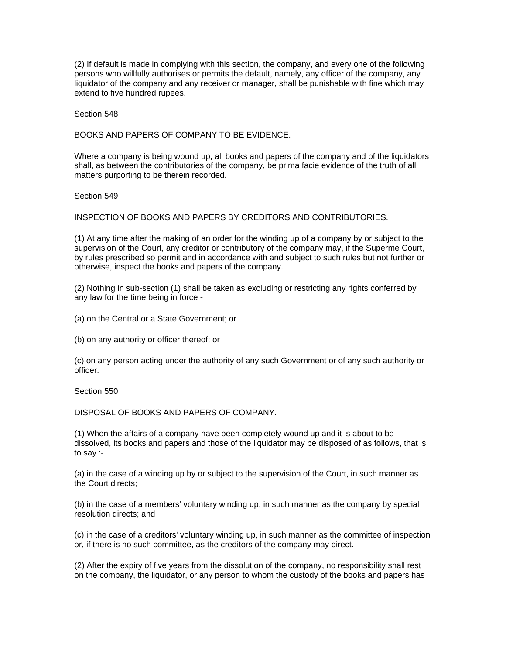(2) If default is made in complying with this section, the company, and every one of the following persons who willfully authorises or permits the default, namely, any officer of the company, any liquidator of the company and any receiver or manager, shall be punishable with fine which may extend to five hundred rupees.

Section 548

BOOKS AND PAPERS OF COMPANY TO BE EVIDENCE.

Where a company is being wound up, all books and papers of the company and of the liquidators shall, as between the contributories of the company, be prima facie evidence of the truth of all matters purporting to be therein recorded.

Section 549

INSPECTION OF BOOKS AND PAPERS BY CREDITORS AND CONTRIBUTORIES.

(1) At any time after the making of an order for the winding up of a company by or subject to the supervision of the Court, any creditor or contributory of the company may, if the Superme Court, by rules prescribed so permit and in accordance with and subject to such rules but not further or otherwise, inspect the books and papers of the company.

(2) Nothing in sub-section (1) shall be taken as excluding or restricting any rights conferred by any law for the time being in force -

- (a) on the Central or a State Government; or
- (b) on any authority or officer thereof; or

(c) on any person acting under the authority of any such Government or of any such authority or officer.

Section 550

DISPOSAL OF BOOKS AND PAPERS OF COMPANY.

(1) When the affairs of a company have been completely wound up and it is about to be dissolved, its books and papers and those of the liquidator may be disposed of as follows, that is to say :-

(a) in the case of a winding up by or subject to the supervision of the Court, in such manner as the Court directs;

(b) in the case of a members' voluntary winding up, in such manner as the company by special resolution directs; and

(c) in the case of a creditors' voluntary winding up, in such manner as the committee of inspection or, if there is no such committee, as the creditors of the company may direct.

(2) After the expiry of five years from the dissolution of the company, no responsibility shall rest on the company, the liquidator, or any person to whom the custody of the books and papers has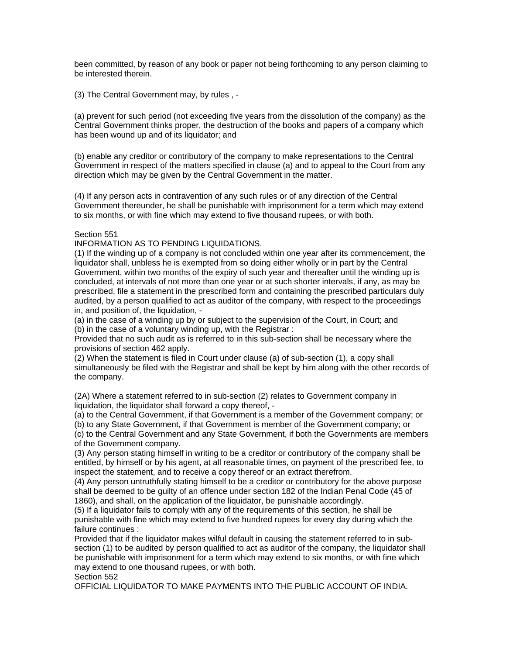been committed, by reason of any book or paper not being forthcoming to any person claiming to be interested therein.

(3) The Central Government may, by rules , -

(a) prevent for such period (not exceeding five years from the dissolution of the company) as the Central Government thinks proper, the destruction of the books and papers of a company which has been wound up and of its liquidator; and

(b) enable any creditor or contributory of the company to make representations to the Central Government in respect of the matters specified in clause (a) and to appeal to the Court from any direction which may be given by the Central Government in the matter.

(4) If any person acts in contravention of any such rules or of any direction of the Central Government thereunder, he shall be punishable with imprisonment for a term which may extend to six months, or with fine which may extend to five thousand rupees, or with both.

### Section 551

INFORMATION AS TO PENDING LIQUIDATIONS.

(1) If the winding up of a company is not concluded within one year after its commencement, the liquidator shall, unbless he is exempted from so doing either wholly or in part by the Central Government, within two months of the expiry of such year and thereafter until the winding up is concluded, at intervals of not more than one year or at such shorter intervals, if any, as may be prescribed, file a statement in the prescribed form and containing the prescribed particulars duly audited, by a person qualified to act as auditor of the company, with respect to the proceedings in, and position of, the liquidation, -

(a) in the case of a winding up by or subject to the supervision of the Court, in Court; and (b) in the case of a voluntary winding up, with the Registrar :

Provided that no such audit as is referred to in this sub-section shall be necessary where the provisions of section 462 apply.

(2) When the statement is filed in Court under clause (a) of sub-section (1), a copy shall simultaneously be filed with the Registrar and shall be kept by him along with the other records of the company.

(2A) Where a statement referred to in sub-section (2) relates to Government company in liquidation, the liquidator shall forward a copy thereof, -

(a) to the Central Government, if that Government is a member of the Government company; or

(b) to any State Government, if that Government is member of the Government company; or

(c) to the Central Government and any State Government, if both the Governments are members of the Government company.

(3) Any person stating himself in writing to be a creditor or contributory of the company shall be entitled, by himself or by his agent, at all reasonable times, on payment of the prescribed fee, to inspect the statement, and to receive a copy thereof or an extract therefrom.

(4) Any person untruthfully stating himself to be a creditor or contributory for the above purpose shall be deemed to be guilty of an offence under section 182 of the Indian Penal Code (45 of 1860), and shall, on the application of the liquidator, be punishable accordingly.

(5) If a liquidator fails to comply with any of the requirements of this section, he shall be punishable with fine which may extend to five hundred rupees for every day during which the failure continues :

Provided that if the liquidator makes wilful default in causing the statement referred to in subsection (1) to be audited by person qualified to act as auditor of the company, the liquidator shall be punishable with imprisonment for a term which may extend to six months, or with fine which may extend to one thousand rupees, or with both.

Section 552

OFFICIAL LIQUIDATOR TO MAKE PAYMENTS INTO THE PUBLIC ACCOUNT OF INDIA.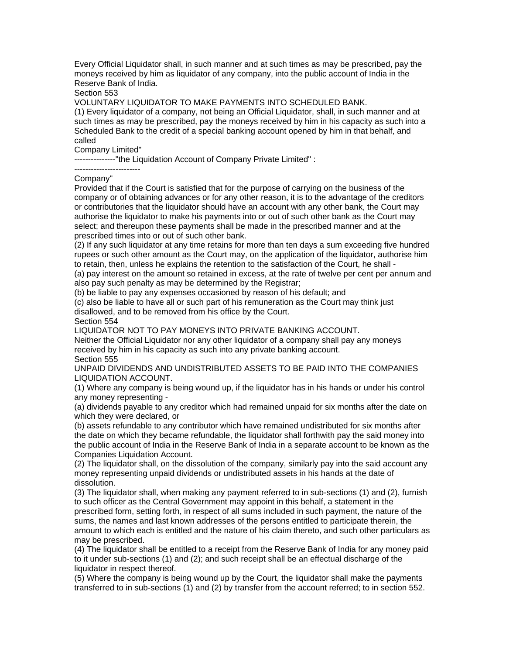Every Official Liquidator shall, in such manner and at such times as may be prescribed, pay the moneys received by him as liquidator of any company, into the public account of India in the Reserve Bank of India.

Section 553

VOLUNTARY LIQUIDATOR TO MAKE PAYMENTS INTO SCHEDULED BANK.

(1) Every liquidator of a company, not being an Official Liquidator, shall, in such manner and at such times as may be prescribed, pay the moneys received by him in his capacity as such into a Scheduled Bank to the credit of a special banking account opened by him in that behalf, and called

## Company Limited"

---------------"the Liquidation Account of Company Private Limited" :

------------------------

# Company"

Provided that if the Court is satisfied that for the purpose of carrying on the business of the company or of obtaining advances or for any other reason, it is to the advantage of the creditors or contributories that the liquidator should have an account with any other bank, the Court may authorise the liquidator to make his payments into or out of such other bank as the Court may select; and thereupon these payments shall be made in the prescribed manner and at the prescribed times into or out of such other bank.

(2) If any such liquidator at any time retains for more than ten days a sum exceeding five hundred rupees or such other amount as the Court may, on the application of the liquidator, authorise him to retain, then, unless he explains the retention to the satisfaction of the Court, he shall -

(a) pay interest on the amount so retained in excess, at the rate of twelve per cent per annum and also pay such penalty as may be determined by the Registrar;

(b) be liable to pay any expenses occasioned by reason of his default; and

(c) also be liable to have all or such part of his remuneration as the Court may think just disallowed, and to be removed from his office by the Court.

Section 554

LIQUIDATOR NOT TO PAY MONEYS INTO PRIVATE BANKING ACCOUNT. Neither the Official Liquidator nor any other liquidator of a company shall pay any moneys received by him in his capacity as such into any private banking account.

# Section 555

UNPAID DIVIDENDS AND UNDISTRIBUTED ASSETS TO BE PAID INTO THE COMPANIES LIQUIDATION ACCOUNT.

(1) Where any company is being wound up, if the liquidator has in his hands or under his control any money representing -

(a) dividends payable to any creditor which had remained unpaid for six months after the date on which they were declared, or

(b) assets refundable to any contributor which have remained undistributed for six months after the date on which they became refundable, the liquidator shall forthwith pay the said money into the public account of India in the Reserve Bank of India in a separate account to be known as the Companies Liquidation Account.

(2) The liquidator shall, on the dissolution of the company, similarly pay into the said account any money representing unpaid dividends or undistributed assets in his hands at the date of dissolution.

(3) The liquidator shall, when making any payment referred to in sub-sections (1) and (2), furnish to such officer as the Central Government may appoint in this behalf, a statement in the prescribed form, setting forth, in respect of all sums included in such payment, the nature of the sums, the names and last known addresses of the persons entitled to participate therein, the amount to which each is entitled and the nature of his claim thereto, and such other particulars as may be prescribed.

(4) The liquidator shall be entitled to a receipt from the Reserve Bank of India for any money paid to it under sub-sections (1) and (2); and such receipt shall be an effectual discharge of the liquidator in respect thereof.

(5) Where the company is being wound up by the Court, the liquidator shall make the payments transferred to in sub-sections (1) and (2) by transfer from the account referred; to in section 552.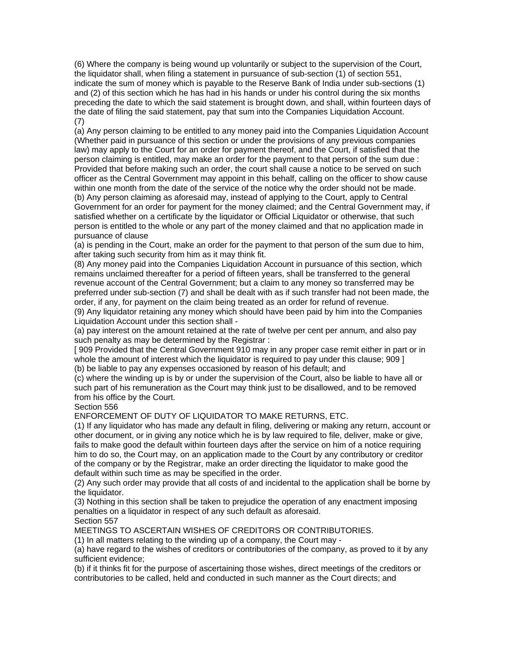(6) Where the company is being wound up voluntarily or subject to the supervision of the Court, the liquidator shall, when filing a statement in pursuance of sub-section (1) of section 551, indicate the sum of money which is payable to the Reserve Bank of India under sub-sections (1) and (2) of this section which he has had in his hands or under his control during the six months preceding the date to which the said statement is brought down, and shall, within fourteen days of the date of filing the said statement, pay that sum into the Companies Liquidation Account. (7)

(a) Any person claiming to be entitled to any money paid into the Companies Liquidation Account (Whether paid in pursuance of this section or under the provisions of any previous companies law) may apply to the Court for an order for payment thereof, and the Court, if satisfied that the person claiming is entitled, may make an order for the payment to that person of the sum due : Provided that before making such an order, the court shall cause a notice to be served on such officer as the Central Government may appoint in this behalf, calling on the officer to show cause within one month from the date of the service of the notice why the order should not be made. (b) Any person claiming as aforesaid may, instead of applying to the Court, apply to Central Government for an order for payment for the money claimed; and the Central Government may, if satisfied whether on a certificate by the liquidator or Official Liquidator or otherwise, that such person is entitled to the whole or any part of the money claimed and that no application made in pursuance of clause

(a) is pending in the Court, make an order for the payment to that person of the sum due to him, after taking such security from him as it may think fit.

(8) Any money paid into the Companies Liquidation Account in pursuance of this section, which remains unclaimed thereafter for a period of fifteen years, shall be transferred to the general revenue account of the Central Government; but a claim to any money so transferred may be preferred under sub-section (7) and shall be dealt with as if such transfer had not been made, the order, if any, for payment on the claim being treated as an order for refund of revenue.

(9) Any liquidator retaining any money which should have been paid by him into the Companies Liquidation Account under this section shall -

(a) pay interest on the amount retained at the rate of twelve per cent per annum, and also pay such penalty as may be determined by the Registrar :

[ 909 Provided that the Central Government 910 may in any proper case remit either in part or in whole the amount of interest which the liquidator is required to pay under this clause; 909 ] (b) be liable to pay any expenses occasioned by reason of his default; and

(c) where the winding up is by or under the supervision of the Court, also be liable to have all or such part of his remuneration as the Court may think just to be disallowed, and to be removed from his office by the Court.

Section 556

ENFORCEMENT OF DUTY OF LIQUIDATOR TO MAKE RETURNS, ETC.

(1) If any liquidator who has made any default in filing, delivering or making any return, account or other document, or in giving any notice which he is by law required to file, deliver, make or give, fails to make good the default within fourteen days after the service on him of a notice requiring him to do so, the Court may, on an application made to the Court by any contributory or creditor of the company or by the Registrar, make an order directing the liquidator to make good the default within such time as may be specified in the order.

(2) Any such order may provide that all costs of and incidental to the application shall be borne by the liquidator.

(3) Nothing in this section shall be taken to prejudice the operation of any enactment imposing penalties on a liquidator in respect of any such default as aforesaid. Section 557

MEETINGS TO ASCERTAIN WISHES OF CREDITORS OR CONTRIBUTORIES.

(1) In all matters relating to the winding up of a company, the Court may -

(a) have regard to the wishes of creditors or contributories of the company, as proved to it by any sufficient evidence;

(b) if it thinks fit for the purpose of ascertaining those wishes, direct meetings of the creditors or contributories to be called, held and conducted in such manner as the Court directs; and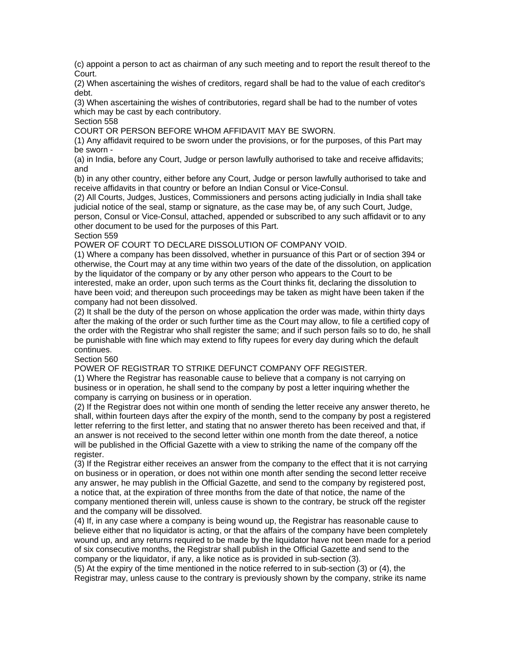(c) appoint a person to act as chairman of any such meeting and to report the result thereof to the Court.

(2) When ascertaining the wishes of creditors, regard shall be had to the value of each creditor's debt.

(3) When ascertaining the wishes of contributories, regard shall be had to the number of votes which may be cast by each contributory.

Section 558

COURT OR PERSON BEFORE WHOM AFFIDAVIT MAY BE SWORN.

(1) Any affidavit required to be sworn under the provisions, or for the purposes, of this Part may be sworn -

(a) in India, before any Court, Judge or person lawfully authorised to take and receive affidavits; and

(b) in any other country, either before any Court, Judge or person lawfully authorised to take and receive affidavits in that country or before an Indian Consul or Vice-Consul.

(2) All Courts, Judges, Justices, Commissioners and persons acting judicially in India shall take judicial notice of the seal, stamp or signature, as the case may be, of any such Court, Judge, person, Consul or Vice-Consul, attached, appended or subscribed to any such affidavit or to any other document to be used for the purposes of this Part.

Section 559

POWER OF COURT TO DECLARE DISSOLUTION OF COMPANY VOID.

(1) Where a company has been dissolved, whether in pursuance of this Part or of section 394 or otherwise, the Court may at any time within two years of the date of the dissolution, on application by the liquidator of the company or by any other person who appears to the Court to be interested, make an order, upon such terms as the Court thinks fit, declaring the dissolution to have been void; and thereupon such proceedings may be taken as might have been taken if the company had not been dissolved.

(2) It shall be the duty of the person on whose application the order was made, within thirty days after the making of the order or such further time as the Court may allow, to file a certified copy of the order with the Registrar who shall register the same; and if such person fails so to do, he shall be punishable with fine which may extend to fifty rupees for every day during which the default continues.

## Section 560

## POWER OF REGISTRAR TO STRIKE DEFUNCT COMPANY OFF REGISTER.

(1) Where the Registrar has reasonable cause to believe that a company is not carrying on business or in operation, he shall send to the company by post a letter inquiring whether the company is carrying on business or in operation.

(2) If the Registrar does not within one month of sending the letter receive any answer thereto, he shall, within fourteen days after the expiry of the month, send to the company by post a registered letter referring to the first letter, and stating that no answer thereto has been received and that, if an answer is not received to the second letter within one month from the date thereof, a notice will be published in the Official Gazette with a view to striking the name of the company off the register.

(3) If the Registrar either receives an answer from the company to the effect that it is not carrying on business or in operation, or does not within one month after sending the second letter receive any answer, he may publish in the Official Gazette, and send to the company by registered post, a notice that, at the expiration of three months from the date of that notice, the name of the company mentioned therein will, unless cause is shown to the contrary, be struck off the register and the company will be dissolved.

(4) If, in any case where a company is being wound up, the Registrar has reasonable cause to believe either that no liquidator is acting, or that the affairs of the company have been completely wound up, and any returns required to be made by the liquidator have not been made for a period of six consecutive months, the Registrar shall publish in the Official Gazette and send to the company or the liquidator, if any, a like notice as is provided in sub-section (3).

(5) At the expiry of the time mentioned in the notice referred to in sub-section (3) or (4), the Registrar may, unless cause to the contrary is previously shown by the company, strike its name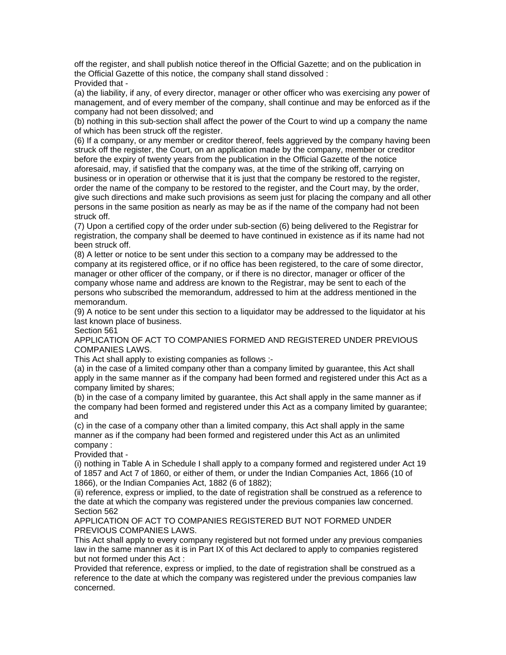off the register, and shall publish notice thereof in the Official Gazette; and on the publication in the Official Gazette of this notice, the company shall stand dissolved : Provided that -

(a) the liability, if any, of every director, manager or other officer who was exercising any power of management, and of every member of the company, shall continue and may be enforced as if the company had not been dissolved; and

(b) nothing in this sub-section shall affect the power of the Court to wind up a company the name of which has been struck off the register.

(6) If a company, or any member or creditor thereof, feels aggrieved by the company having been struck off the register, the Court, on an application made by the company, member or creditor before the expiry of twenty years from the publication in the Official Gazette of the notice aforesaid, may, if satisfied that the company was, at the time of the striking off, carrying on business or in operation or otherwise that it is just that the company be restored to the register, order the name of the company to be restored to the register, and the Court may, by the order, give such directions and make such provisions as seem just for placing the company and all other persons in the same position as nearly as may be as if the name of the company had not been struck off.

(7) Upon a certified copy of the order under sub-section (6) being delivered to the Registrar for registration, the company shall be deemed to have continued in existence as if its name had not been struck off.

(8) A letter or notice to be sent under this section to a company may be addressed to the company at its registered office, or if no office has been registered, to the care of some director, manager or other officer of the company, or if there is no director, manager or officer of the company whose name and address are known to the Registrar, may be sent to each of the persons who subscribed the memorandum, addressed to him at the address mentioned in the memorandum.

(9) A notice to be sent under this section to a liquidator may be addressed to the liquidator at his last known place of business.

Section 561

APPLICATION OF ACT TO COMPANIES FORMED AND REGISTERED UNDER PREVIOUS COMPANIES LAWS.

This Act shall apply to existing companies as follows :-

(a) in the case of a limited company other than a company limited by guarantee, this Act shall apply in the same manner as if the company had been formed and registered under this Act as a company limited by shares;

(b) in the case of a company limited by guarantee, this Act shall apply in the same manner as if the company had been formed and registered under this Act as a company limited by guarantee; and

(c) in the case of a company other than a limited company, this Act shall apply in the same manner as if the company had been formed and registered under this Act as an unlimited company :

Provided that -

(i) nothing in Table A in Schedule I shall apply to a company formed and registered under Act 19 of 1857 and Act 7 of 1860, or either of them, or under the Indian Companies Act, 1866 (10 of 1866), or the Indian Companies Act, 1882 (6 of 1882);

(ii) reference, express or implied, to the date of registration shall be construed as a reference to the date at which the company was registered under the previous companies law concerned. Section 562

APPLICATION OF ACT TO COMPANIES REGISTERED BUT NOT FORMED UNDER PREVIOUS COMPANIES LAWS.

This Act shall apply to every company registered but not formed under any previous companies law in the same manner as it is in Part IX of this Act declared to apply to companies registered but not formed under this Act :

Provided that reference, express or implied, to the date of registration shall be construed as a reference to the date at which the company was registered under the previous companies law concerned.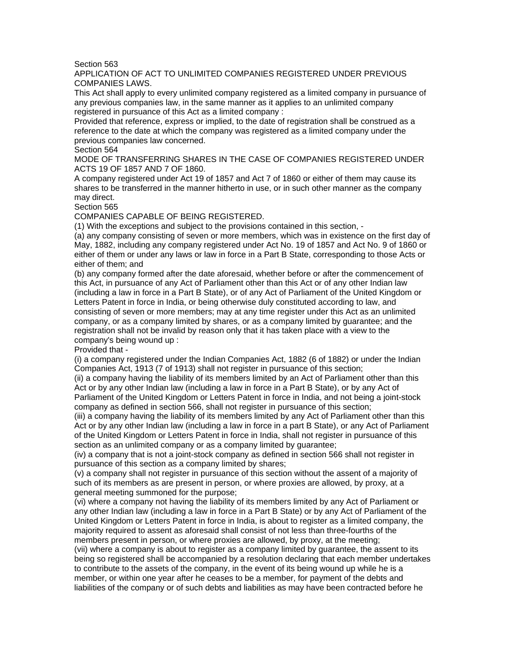### Section 563

APPLICATION OF ACT TO UNLIMITED COMPANIES REGISTERED UNDER PREVIOUS COMPANIES LAWS.

This Act shall apply to every unlimited company registered as a limited company in pursuance of any previous companies law, in the same manner as it applies to an unlimited company registered in pursuance of this Act as a limited company :

Provided that reference, express or implied, to the date of registration shall be construed as a reference to the date at which the company was registered as a limited company under the previous companies law concerned.

## Section 564

MODE OF TRANSFERRING SHARES IN THE CASE OF COMPANIES REGISTERED UNDER ACTS 19 OF 1857 AND 7 OF 1860.

A company registered under Act 19 of 1857 and Act 7 of 1860 or either of them may cause its shares to be transferred in the manner hitherto in use, or in such other manner as the company may direct.

Section 565

COMPANIES CAPABLE OF BEING REGISTERED.

(1) With the exceptions and subject to the provisions contained in this section, -

(a) any company consisting of seven or more members, which was in existence on the first day of May, 1882, including any company registered under Act No. 19 of 1857 and Act No. 9 of 1860 or either of them or under any laws or law in force in a Part B State, corresponding to those Acts or either of them; and

(b) any company formed after the date aforesaid, whether before or after the commencement of this Act, in pursuance of any Act of Parliament other than this Act or of any other Indian law (including a law in force in a Part B State), or of any Act of Parliament of the United Kingdom or Letters Patent in force in India, or being otherwise duly constituted according to law, and consisting of seven or more members; may at any time register under this Act as an unlimited company, or as a company limited by shares, or as a company limited by guarantee; and the registration shall not be invalid by reason only that it has taken place with a view to the company's being wound up :

Provided that -

(i) a company registered under the Indian Companies Act, 1882 (6 of 1882) or under the Indian Companies Act, 1913 (7 of 1913) shall not register in pursuance of this section;

(ii) a company having the liability of its members limited by an Act of Parliament other than this Act or by any other Indian law (including a law in force in a Part B State), or by any Act of Parliament of the United Kingdom or Letters Patent in force in India, and not being a joint-stock company as defined in section 566, shall not register in pursuance of this section;

(iii) a company having the liability of its members limited by any Act of Parliament other than this Act or by any other Indian law (including a law in force in a part B State), or any Act of Parliament of the United Kingdom or Letters Patent in force in India, shall not register in pursuance of this section as an unlimited company or as a company limited by guarantee;

(iv) a company that is not a joint-stock company as defined in section 566 shall not register in pursuance of this section as a company limited by shares;

(v) a company shall not register in pursuance of this section without the assent of a majority of such of its members as are present in person, or where proxies are allowed, by proxy, at a general meeting summoned for the purpose;

(vi) where a company not having the liability of its members limited by any Act of Parliament or any other Indian law (including a law in force in a Part B State) or by any Act of Parliament of the United Kingdom or Letters Patent in force in India, is about to register as a limited company, the majority required to assent as aforesaid shall consist of not less than three-fourths of the members present in person, or where proxies are allowed, by proxy, at the meeting; (vii) where a company is about to register as a company limited by guarantee, the assent to its being so registered shall be accompanied by a resolution declaring that each member undertakes to contribute to the assets of the company, in the event of its being wound up while he is a member, or within one year after he ceases to be a member, for payment of the debts and liabilities of the company or of such debts and liabilities as may have been contracted before he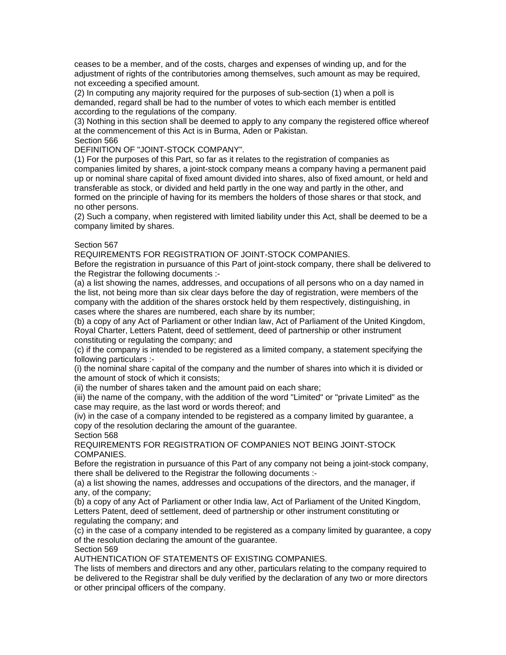ceases to be a member, and of the costs, charges and expenses of winding up, and for the adjustment of rights of the contributories among themselves, such amount as may be required, not exceeding a specified amount.

(2) In computing any majority required for the purposes of sub-section (1) when a poll is demanded, regard shall be had to the number of votes to which each member is entitled according to the regulations of the company.

(3) Nothing in this section shall be deemed to apply to any company the registered office whereof at the commencement of this Act is in Burma, Aden or Pakistan.

Section 566

DEFINITION OF "JOINT-STOCK COMPANY".

(1) For the purposes of this Part, so far as it relates to the registration of companies as companies limited by shares, a joint-stock company means a company having a permanent paid up or nominal share capital of fixed amount divided into shares, also of fixed amount, or held and transferable as stock, or divided and held partly in the one way and partly in the other, and formed on the principle of having for its members the holders of those shares or that stock, and no other persons.

(2) Such a company, when registered with limited liability under this Act, shall be deemed to be a company limited by shares.

### Section 567

REQUIREMENTS FOR REGISTRATION OF JOINT-STOCK COMPANIES.

Before the registration in pursuance of this Part of joint-stock company, there shall be delivered to the Registrar the following documents :-

(a) a list showing the names, addresses, and occupations of all persons who on a day named in the list, not being more than six clear days before the day of registration, were members of the company with the addition of the shares orstock held by them respectively, distinguishing, in cases where the shares are numbered, each share by its number;

(b) a copy of any Act of Parliament or other Indian law, Act of Parliament of the United Kingdom, Royal Charter, Letters Patent, deed of settlement, deed of partnership or other instrument constituting or regulating the company; and

(c) if the company is intended to be registered as a limited company, a statement specifying the following particulars :-

(i) the nominal share capital of the company and the number of shares into which it is divided or the amount of stock of which it consists;

(ii) the number of shares taken and the amount paid on each share;

(iii) the name of the company, with the addition of the word "Limited" or "private Limited" as the case may require, as the last word or words thereof; and

(iv) in the case of a company intended to be registered as a company limited by guarantee, a copy of the resolution declaring the amount of the guarantee.

Section 568

REQUIREMENTS FOR REGISTRATION OF COMPANIES NOT BEING JOINT-STOCK COMPANIES.

Before the registration in pursuance of this Part of any company not being a joint-stock company, there shall be delivered to the Registrar the following documents :-

(a) a list showing the names, addresses and occupations of the directors, and the manager, if any, of the company;

(b) a copy of any Act of Parliament or other India law, Act of Parliament of the United Kingdom, Letters Patent, deed of settlement, deed of partnership or other instrument constituting or regulating the company; and

(c) in the case of a company intended to be registered as a company limited by guarantee, a copy of the resolution declaring the amount of the guarantee.

Section 569

AUTHENTICATION OF STATEMENTS OF EXISTING COMPANIES.

The lists of members and directors and any other, particulars relating to the company required to be delivered to the Registrar shall be duly verified by the declaration of any two or more directors or other principal officers of the company.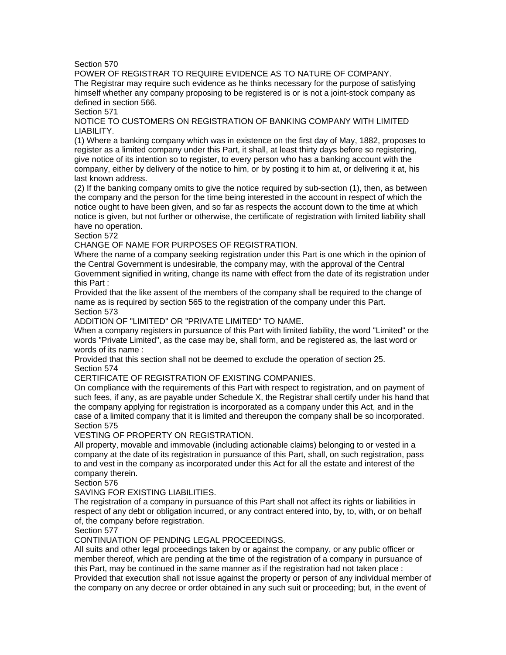Section 570

POWER OF REGISTRAR TO REQUIRE EVIDENCE AS TO NATURE OF COMPANY. The Registrar may require such evidence as he thinks necessary for the purpose of satisfying himself whether any company proposing to be registered is or is not a joint-stock company as defined in section 566.

Section 571

NOTICE TO CUSTOMERS ON REGISTRATION OF BANKING COMPANY WITH LIMITED LIABILITY.

(1) Where a banking company which was in existence on the first day of May, 1882, proposes to register as a limited company under this Part, it shall, at least thirty days before so registering, give notice of its intention so to register, to every person who has a banking account with the company, either by delivery of the notice to him, or by posting it to him at, or delivering it at, his last known address.

(2) If the banking company omits to give the notice required by sub-section (1), then, as between the company and the person for the time being interested in the account in respect of which the notice ought to have been given, and so far as respects the account down to the time at which notice is given, but not further or otherwise, the certificate of registration with limited liability shall have no operation.

Section 572

CHANGE OF NAME FOR PURPOSES OF REGISTRATION.

Where the name of a company seeking registration under this Part is one which in the opinion of the Central Government is undesirable, the company may, with the approval of the Central Government signified in writing, change its name with effect from the date of its registration under this Part :

Provided that the like assent of the members of the company shall be required to the change of name as is required by section 565 to the registration of the company under this Part. Section 573

ADDITION OF "LIMITED" OR "PRIVATE LIMITED" TO NAME.

When a company registers in pursuance of this Part with limited liability, the word "Limited" or the words "Private Limited", as the case may be, shall form, and be registered as, the last word or words of its name :

Provided that this section shall not be deemed to exclude the operation of section 25. Section 574

CERTIFICATE OF REGISTRATION OF EXISTING COMPANIES.

On compliance with the requirements of this Part with respect to registration, and on payment of such fees, if any, as are payable under Schedule X, the Registrar shall certify under his hand that the company applying for registration is incorporated as a company under this Act, and in the case of a limited company that it is limited and thereupon the company shall be so incorporated. Section 575

VESTING OF PROPERTY ON REGISTRATION.

All property, movable and immovable (including actionable claims) belonging to or vested in a company at the date of its registration in pursuance of this Part, shall, on such registration, pass to and vest in the company as incorporated under this Act for all the estate and interest of the company therein.

Section 576

SAVING FOR EXISTING LIABILITIES.

The registration of a company in pursuance of this Part shall not affect its rights or liabilities in respect of any debt or obligation incurred, or any contract entered into, by, to, with, or on behalf of, the company before registration.

Section 577

CONTINUATION OF PENDING LEGAL PROCEEDINGS.

All suits and other legal proceedings taken by or against the company, or any public officer or member thereof, which are pending at the time of the registration of a company in pursuance of this Part, may be continued in the same manner as if the registration had not taken place : Provided that execution shall not issue against the property or person of any individual member of the company on any decree or order obtained in any such suit or proceeding; but, in the event of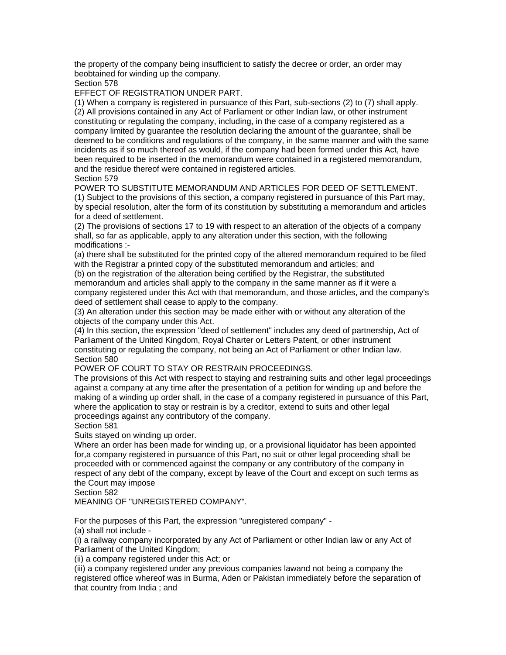the property of the company being insufficient to satisfy the decree or order, an order may beobtained for winding up the company.

Section 578

EFFECT OF REGISTRATION UNDER PART.

(1) When a company is registered in pursuance of this Part, sub-sections (2) to (7) shall apply. (2) All provisions contained in any Act of Parliament or other Indian law, or other instrument constituting or regulating the company, including, in the case of a company registered as a company limited by guarantee the resolution declaring the amount of the guarantee, shall be deemed to be conditions and regulations of the company, in the same manner and with the same incidents as if so much thereof as would, if the company had been formed under this Act, have been required to be inserted in the memorandum were contained in a registered memorandum, and the residue thereof were contained in registered articles.

Section 579

POWER TO SUBSTITUTE MEMORANDUM AND ARTICLES FOR DEED OF SETTLEMENT. (1) Subject to the provisions of this section, a company registered in pursuance of this Part may, by special resolution, alter the form of its constitution by substituting a memorandum and articles for a deed of settlement.

(2) The provisions of sections 17 to 19 with respect to an alteration of the objects of a company shall, so far as applicable, apply to any alteration under this section, with the following modifications :-

(a) there shall be substituted for the printed copy of the altered memorandum required to be filed with the Registrar a printed copy of the substituted memorandum and articles; and

(b) on the registration of the alteration being certified by the Registrar, the substituted memorandum and articles shall apply to the company in the same manner as if it were a company registered under this Act with that memorandum, and those articles, and the company's deed of settlement shall cease to apply to the company.

(3) An alteration under this section may be made either with or without any alteration of the objects of the company under this Act.

(4) In this section, the expression "deed of settlement" includes any deed of partnership, Act of Parliament of the United Kingdom, Royal Charter or Letters Patent, or other instrument constituting or regulating the company, not being an Act of Parliament or other Indian law. Section 580

## POWER OF COURT TO STAY OR RESTRAIN PROCEEDINGS.

The provisions of this Act with respect to staying and restraining suits and other legal proceedings against a company at any time after the presentation of a petition for winding up and before the making of a winding up order shall, in the case of a company registered in pursuance of this Part, where the application to stay or restrain is by a creditor, extend to suits and other legal proceedings against any contributory of the company.

Section 581

Suits stayed on winding up order.

Where an order has been made for winding up, or a provisional liquidator has been appointed for,a company registered in pursuance of this Part, no suit or other legal proceeding shall be proceeded with or commenced against the company or any contributory of the company in respect of any debt of the company, except by leave of the Court and except on such terms as the Court may impose

Section 582

MEANING OF "UNREGISTERED COMPANY".

For the purposes of this Part, the expression "unregistered company" -

(a) shall not include -

(i) a railway company incorporated by any Act of Parliament or other Indian law or any Act of Parliament of the United Kingdom;

(ii) a company registered under this Act; or

(iii) a company registered under any previous companies lawand not being a company the registered office whereof was in Burma, Aden or Pakistan immediately before the separation of that country from India ; and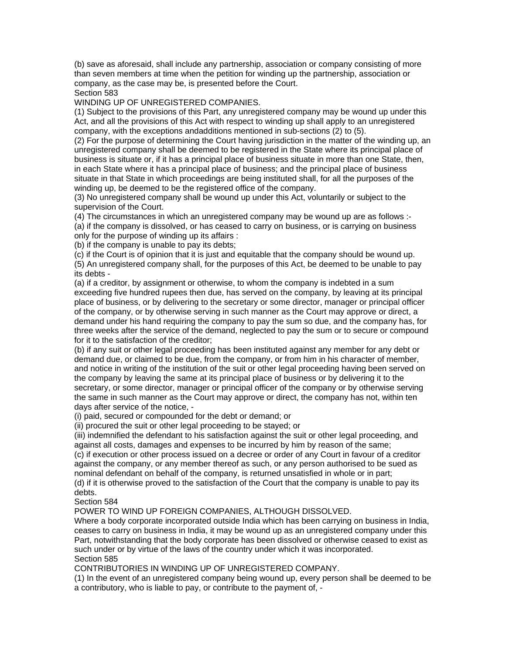(b) save as aforesaid, shall include any partnership, association or company consisting of more than seven members at time when the petition for winding up the partnership, association or company, as the case may be, is presented before the Court.

Section 583

WINDING UP OF UNREGISTERED COMPANIES.

(1) Subject to the provisions of this Part, any unregistered company may be wound up under this Act, and all the provisions of this Act with respect to winding up shall apply to an unregistered company, with the exceptions andadditions mentioned in sub-sections (2) to (5).

(2) For the purpose of determining the Court having jurisdiction in the matter of the winding up, an unregistered company shall be deemed to be registered in the State where its principal place of business is situate or, if it has a principal place of business situate in more than one State, then, in each State where it has a principal place of business; and the principal place of business situate in that State in which proceedings are being instituted shall, for all the purposes of the winding up, be deemed to be the registered office of the company.

(3) No unregistered company shall be wound up under this Act, voluntarily or subject to the supervision of the Court.

(4) The circumstances in which an unregistered company may be wound up are as follows :- (a) if the company is dissolved, or has ceased to carry on business, or is carrying on business only for the purpose of winding up its affairs :

(b) if the company is unable to pay its debts;

(c) if the Court is of opinion that it is just and equitable that the company should be wound up.

(5) An unregistered company shall, for the purposes of this Act, be deemed to be unable to pay its debts -

(a) if a creditor, by assignment or otherwise, to whom the company is indebted in a sum exceeding five hundred rupees then due, has served on the company, by leaving at its principal place of business, or by delivering to the secretary or some director, manager or principal officer of the company, or by otherwise serving in such manner as the Court may approve or direct, a demand under his hand requiring the company to pay the sum so due, and the company has, for three weeks after the service of the demand, neglected to pay the sum or to secure or compound for it to the satisfaction of the creditor;

(b) if any suit or other legal proceeding has been instituted against any member for any debt or demand due, or claimed to be due, from the company, or from him in his character of member, and notice in writing of the institution of the suit or other legal proceeding having been served on the company by leaving the same at its principal place of business or by delivering it to the secretary, or some director, manager or principal officer of the company or by otherwise serving the same in such manner as the Court may approve or direct, the company has not, within ten days after service of the notice, -

(i) paid, secured or compounded for the debt or demand; or

(ii) procured the suit or other legal proceeding to be stayed; or

(iii) indemnified the defendant to his satisfaction against the suit or other legal proceeding, and against all costs, damages and expenses to be incurred by him by reason of the same;

(c) if execution or other process issued on a decree or order of any Court in favour of a creditor against the company, or any member thereof as such, or any person authorised to be sued as nominal defendant on behalf of the company, is returned unsatisfied in whole or in part; (d) if it is otherwise proved to the satisfaction of the Court that the company is unable to pay its

debts.

# Section 584

POWER TO WIND UP FOREIGN COMPANIES, ALTHOUGH DISSOLVED.

Where a body corporate incorporated outside India which has been carrying on business in India, ceases to carry on business in India, it may be wound up as an unregistered company under this Part, notwithstanding that the body corporate has been dissolved or otherwise ceased to exist as such under or by virtue of the laws of the country under which it was incorporated. Section 585

CONTRIBUTORIES IN WINDING UP OF UNREGISTERED COMPANY.

(1) In the event of an unregistered company being wound up, every person shall be deemed to be a contributory, who is liable to pay, or contribute to the payment of, -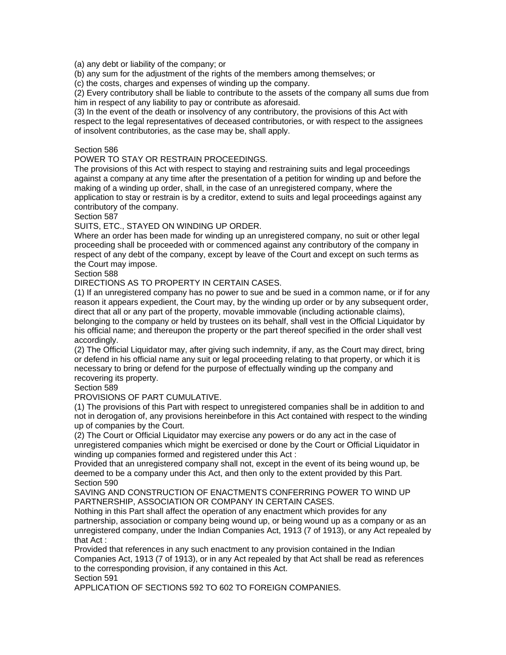(a) any debt or liability of the company; or

(b) any sum for the adjustment of the rights of the members among themselves; or

(c) the costs, charges and expenses of winding up the company.

(2) Every contributory shall be liable to contribute to the assets of the company all sums due from him in respect of any liability to pay or contribute as aforesaid.

(3) In the event of the death or insolvency of any contributory, the provisions of this Act with respect to the legal representatives of deceased contributories, or with respect to the assignees of insolvent contributories, as the case may be, shall apply.

### Section 586

POWER TO STAY OR RESTRAIN PROCEEDINGS.

The provisions of this Act with respect to staying and restraining suits and legal proceedings against a company at any time after the presentation of a petition for winding up and before the making of a winding up order, shall, in the case of an unregistered company, where the application to stay or restrain is by a creditor, extend to suits and legal proceedings against any contributory of the company.

Section 587

SUITS, ETC., STAYED ON WINDING UP ORDER.

Where an order has been made for winding up an unregistered company, no suit or other legal proceeding shall be proceeded with or commenced against any contributory of the company in respect of any debt of the company, except by leave of the Court and except on such terms as the Court may impose.

Section 588

DIRECTIONS AS TO PROPERTY IN CERTAIN CASES.

(1) If an unregistered company has no power to sue and be sued in a common name, or if for any reason it appears expedient, the Court may, by the winding up order or by any subsequent order, direct that all or any part of the property, movable immovable (including actionable claims), belonging to the company or held by trustees on its behalf, shall vest in the Official Liquidator by his official name; and thereupon the property or the part thereof specified in the order shall vest accordingly.

(2) The Official Liquidator may, after giving such indemnity, if any, as the Court may direct, bring or defend in his official name any suit or legal proceeding relating to that property, or which it is necessary to bring or defend for the purpose of effectually winding up the company and recovering its property.

Section 589

PROVISIONS OF PART CUMULATIVE.

(1) The provisions of this Part with respect to unregistered companies shall be in addition to and not in derogation of, any provisions hereinbefore in this Act contained with respect to the winding up of companies by the Court.

(2) The Court or Official Liquidator may exercise any powers or do any act in the case of unregistered companies which might be exercised or done by the Court or Official Liquidator in winding up companies formed and registered under this Act :

Provided that an unregistered company shall not, except in the event of its being wound up, be deemed to be a company under this Act, and then only to the extent provided by this Part. Section 590

SAVING AND CONSTRUCTION OF ENACTMENTS CONFERRING POWER TO WIND UP PARTNERSHIP, ASSOCIATION OR COMPANY IN CERTAIN CASES.

Nothing in this Part shall affect the operation of any enactment which provides for any partnership, association or company being wound up, or being wound up as a company or as an unregistered company, under the Indian Companies Act, 1913 (7 of 1913), or any Act repealed by that Act :

Provided that references in any such enactment to any provision contained in the Indian Companies Act, 1913 (7 of 1913), or in any Act repealed by that Act shall be read as references to the corresponding provision, if any contained in this Act. Section 591

APPLICATION OF SECTIONS 592 TO 602 TO FOREIGN COMPANIES.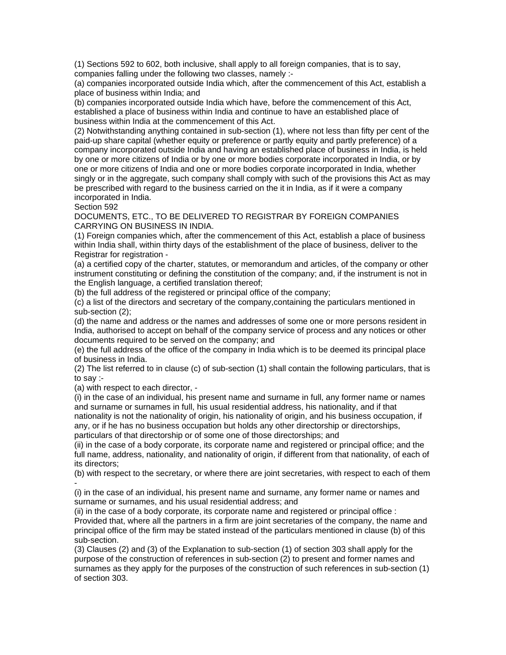(1) Sections 592 to 602, both inclusive, shall apply to all foreign companies, that is to say, companies falling under the following two classes, namely :-

(a) companies incorporated outside India which, after the commencement of this Act, establish a place of business within India; and

(b) companies incorporated outside India which have, before the commencement of this Act, established a place of business within India and continue to have an established place of business within India at the commencement of this Act.

(2) Notwithstanding anything contained in sub-section (1), where not less than fifty per cent of the paid-up share capital (whether equity or preference or partly equity and partly preference) of a company incorporated outside India and having an established place of business in India, is held by one or more citizens of India or by one or more bodies corporate incorporated in India, or by one or more citizens of India and one or more bodies corporate incorporated in India, whether singly or in the aggregate, such company shall comply with such of the provisions this Act as may be prescribed with regard to the business carried on the it in India, as if it were a company incorporated in India.

Section 592

DOCUMENTS, ETC., TO BE DELIVERED TO REGISTRAR BY FOREIGN COMPANIES CARRYING ON BUSINESS IN INDIA.

(1) Foreign companies which, after the commencement of this Act, establish a place of business within India shall, within thirty days of the establishment of the place of business, deliver to the Registrar for registration -

(a) a certified copy of the charter, statutes, or memorandum and articles, of the company or other instrument constituting or defining the constitution of the company; and, if the instrument is not in the English language, a certified translation thereof;

(b) the full address of the registered or principal office of the company;

(c) a list of the directors and secretary of the company,containing the particulars mentioned in sub-section (2);

(d) the name and address or the names and addresses of some one or more persons resident in India, authorised to accept on behalf of the company service of process and any notices or other documents required to be served on the company; and

(e) the full address of the office of the company in India which is to be deemed its principal place of business in India.

(2) The list referred to in clause (c) of sub-section (1) shall contain the following particulars, that is to say :-

(a) with respect to each director, -

(i) in the case of an individual, his present name and surname in full, any former name or names and surname or surnames in full, his usual residential address, his nationality, and if that

nationality is not the nationality of origin, his nationality of origin, and his business occupation, if any, or if he has no business occupation but holds any other directorship or directorships,

particulars of that directorship or of some one of those directorships; and

(ii) in the case of a body corporate, its corporate name and registered or principal office; and the full name, address, nationality, and nationality of origin, if different from that nationality, of each of its directors;

(b) with respect to the secretary, or where there are joint secretaries, with respect to each of them -

(i) in the case of an individual, his present name and surname, any former name or names and surname or surnames, and his usual residential address; and

(ii) in the case of a body corporate, its corporate name and registered or principal office :

Provided that, where all the partners in a firm are joint secretaries of the company, the name and principal office of the firm may be stated instead of the particulars mentioned in clause (b) of this sub-section.

(3) Clauses (2) and (3) of the Explanation to sub-section (1) of section 303 shall apply for the purpose of the construction of references in sub-section (2) to present and former names and surnames as they apply for the purposes of the construction of such references in sub-section (1) of section 303.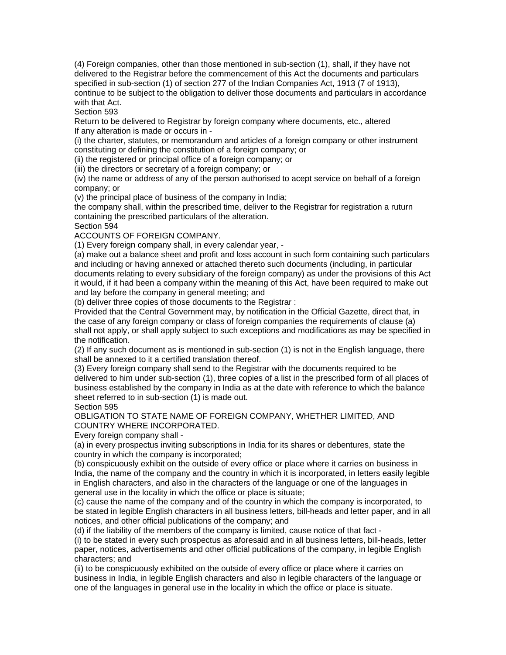(4) Foreign companies, other than those mentioned in sub-section (1), shall, if they have not delivered to the Registrar before the commencement of this Act the documents and particulars specified in sub-section (1) of section 277 of the Indian Companies Act, 1913 (7 of 1913), continue to be subject to the obligation to deliver those documents and particulars in accordance with that Act.

Section 593

Return to be delivered to Registrar by foreign company where documents, etc., altered If any alteration is made or occurs in -

(i) the charter, statutes, or memorandum and articles of a foreign company or other instrument constituting or defining the constitution of a foreign company; or

(ii) the registered or principal office of a foreign company; or

(iii) the directors or secretary of a foreign company; or

(iv) the name or address of any of the person authorised to acept service on behalf of a foreign company; or

(v) the principal place of business of the company in India;

the company shall, within the prescribed time, deliver to the Registrar for registration a ruturn containing the prescribed particulars of the alteration.

Section 594

ACCOUNTS OF FOREIGN COMPANY.

(1) Every foreign company shall, in every calendar year, -

(a) make out a balance sheet and profit and loss account in such form containing such particulars and including or having annexed or attached thereto such documents (including, in particular documents relating to every subsidiary of the foreign company) as under the provisions of this Act it would, if it had been a company within the meaning of this Act, have been required to make out and lay before the company in general meeting; and

(b) deliver three copies of those documents to the Registrar :

Provided that the Central Government may, by notification in the Official Gazette, direct that, in the case of any foreign company or class of foreign companies the requirements of clause (a) shall not apply, or shall apply subject to such exceptions and modifications as may be specified in the notification.

(2) If any such document as is mentioned in sub-section (1) is not in the English language, there shall be annexed to it a certified translation thereof.

(3) Every foreign company shall send to the Registrar with the documents required to be delivered to him under sub-section (1), three copies of a list in the prescribed form of all places of business established by the company in India as at the date with reference to which the balance sheet referred to in sub-section (1) is made out.

Section 595

OBLIGATION TO STATE NAME OF FOREIGN COMPANY, WHETHER LIMITED, AND COUNTRY WHERE INCORPORATED.

Every foreign company shall -

(a) in every prospectus inviting subscriptions in India for its shares or debentures, state the country in which the company is incorporated;

(b) conspicuously exhibit on the outside of every office or place where it carries on business in India, the name of the company and the country in which it is incorporated, in letters easily legible in English characters, and also in the characters of the language or one of the languages in general use in the locality in which the office or place is situate;

(c) cause the name of the company and of the country in which the company is incorporated, to be stated in legible English characters in all business letters, bill-heads and letter paper, and in all notices, and other official publications of the company; and

(d) if the liability of the members of the company is limited, cause notice of that fact -

(i) to be stated in every such prospectus as aforesaid and in all business letters, bill-heads, letter paper, notices, advertisements and other official publications of the company, in legible English characters; and

(ii) to be conspicuously exhibited on the outside of every office or place where it carries on business in India, in legible English characters and also in legible characters of the language or one of the languages in general use in the locality in which the office or place is situate.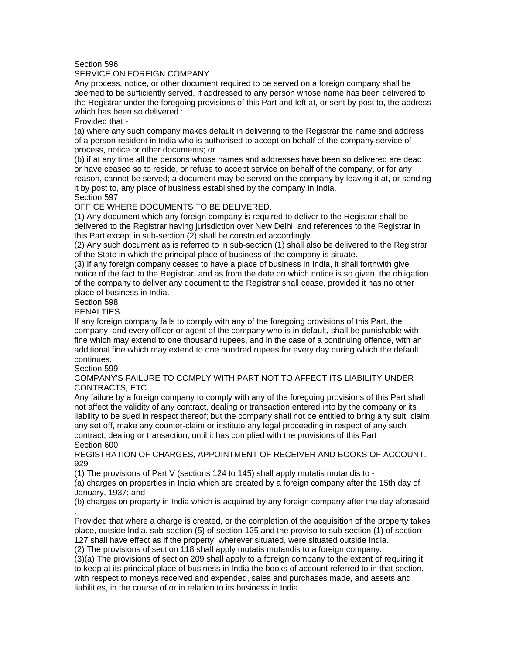## Section 596

SERVICE ON FOREIGN COMPANY.

Any process, notice, or other document required to be served on a foreign company shall be deemed to be sufficiently served, if addressed to any person whose name has been delivered to the Registrar under the foregoing provisions of this Part and left at, or sent by post to, the address which has been so delivered :

Provided that -

(a) where any such company makes default in delivering to the Registrar the name and address of a person resident in India who is authorised to accept on behalf of the company service of process, notice or other documents; or

(b) if at any time all the persons whose names and addresses have been so delivered are dead or have ceased so to reside, or refuse to accept service on behalf of the company, or for any reason, cannot be served; a document may be served on the company by leaving it at, or sending it by post to, any place of business established by the company in India.

Section 597

OFFICE WHERE DOCUMENTS TO BE DELIVERED.

(1) Any document which any foreign company is required to deliver to the Registrar shall be delivered to the Registrar having jurisdiction over New Delhi, and references to the Registrar in this Part except in sub-section (2) shall be construed accordingly.

(2) Any such document as is referred to in sub-section (1) shall also be delivered to the Registrar of the State in which the principal place of business of the company is situate.

(3) If any foreign company ceases to have a place of business in India, it shall forthwith give notice of the fact to the Registrar, and as from the date on which notice is so given, the obligation of the company to deliver any document to the Registrar shall cease, provided it has no other place of business in India.

Section 598

PENALTIES.

If any foreign company fails to comply with any of the foregoing provisions of this Part, the company, and every officer or agent of the company who is in default, shall be punishable with fine which may extend to one thousand rupees, and in the case of a continuing offence, with an additional fine which may extend to one hundred rupees for every day during which the default continues.

Section 599

### COMPANY'S FAILURE TO COMPLY WITH PART NOT TO AFFECT ITS LIABILITY UNDER CONTRACTS, ETC.

Any failure by a foreign company to comply with any of the foregoing provisions of this Part shall not affect the validity of any contract, dealing or transaction entered into by the company or its liability to be sued in respect thereof; but the company shall not be entitled to bring any suit, claim any set off, make any counter-claim or institute any legal proceeding in respect of any such contract, dealing or transaction, until it has complied with the provisions of this Part Section 600

REGISTRATION OF CHARGES, APPOINTMENT OF RECEIVER AND BOOKS OF ACCOUNT. 929

(1) The provisions of Part V (sections 124 to 145) shall apply mutatis mutandis to -

(a) charges on properties in India which are created by a foreign company after the 15th day of January, 1937; and

(b) charges on property in India which is acquired by any foreign company after the day aforesaid :

Provided that where a charge is created, or the completion of the acquisition of the property takes place, outside India, sub-section (5) of section 125 and the proviso to sub-section (1) of section 127 shall have effect as if the property, wherever situated, were situated outside India.

(2) The provisions of section 118 shall apply mutatis mutandis to a foreign company.

(3)(a) The provisions of section 209 shall apply to a foreign company to the extent of requiring it to keep at its principal place of business in India the books of account referred to in that section, with respect to moneys received and expended, sales and purchases made, and assets and liabilities, in the course of or in relation to its business in India.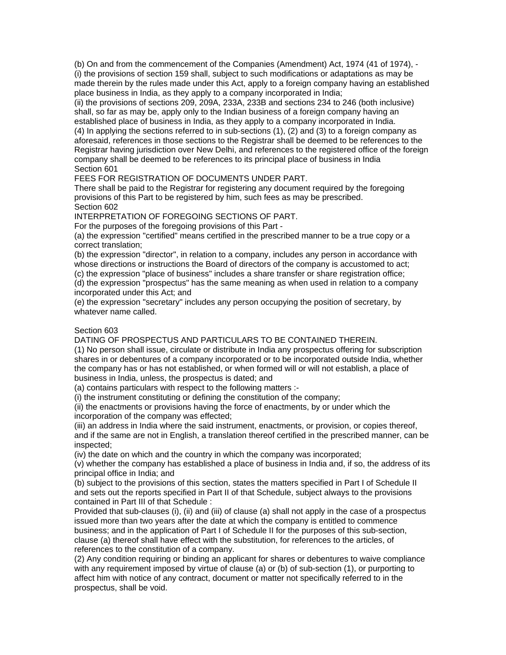(b) On and from the commencement of the Companies (Amendment) Act, 1974 (41 of 1974), - (i) the provisions of section 159 shall, subject to such modifications or adaptations as may be made therein by the rules made under this Act, apply to a foreign company having an established place business in India, as they apply to a company incorporated in India;

(ii) the provisions of sections 209, 209A, 233A, 233B and sections 234 to 246 (both inclusive) shall, so far as may be, apply only to the Indian business of a foreign company having an established place of business in India, as they apply to a company incorporated in India.

(4) In applying the sections referred to in sub-sections (1), (2) and (3) to a foreign company as aforesaid, references in those sections to the Registrar shall be deemed to be references to the Registrar having jurisdiction over New Delhi, and references to the registered office of the foreign company shall be deemed to be references to its principal place of business in India Section 601

# FEES FOR REGISTRATION OF DOCUMENTS UNDER PART.

There shall be paid to the Registrar for registering any document required by the foregoing provisions of this Part to be registered by him, such fees as may be prescribed. Section 602

INTERPRETATION OF FOREGOING SECTIONS OF PART.

For the purposes of the foregoing provisions of this Part -

(a) the expression "certified" means certified in the prescribed manner to be a true copy or a correct translation;

(b) the expression "director", in relation to a company, includes any person in accordance with whose directions or instructions the Board of directors of the company is accustomed to act;

(c) the expression "place of business" includes a share transfer or share registration office;

(d) the expression "prospectus" has the same meaning as when used in relation to a company incorporated under this Act; and

(e) the expression "secretary" includes any person occupying the position of secretary, by whatever name called.

## Section 603

DATING OF PROSPECTUS AND PARTICULARS TO BE CONTAINED THEREIN.

(1) No person shall issue, circulate or distribute in India any prospectus offering for subscription shares in or debentures of a company incorporated or to be incorporated outside India, whether the company has or has not established, or when formed will or will not establish, a place of business in India, unless, the prospectus is dated; and

(a) contains particulars with respect to the following matters :-

(i) the instrument constituting or defining the constitution of the company;

(ii) the enactments or provisions having the force of enactments, by or under which the incorporation of the company was effected;

(iii) an address in India where the said instrument, enactments, or provision, or copies thereof, and if the same are not in English, a translation thereof certified in the prescribed manner, can be inspected;

(iv) the date on which and the country in which the company was incorporated;

(v) whether the company has established a place of business in India and, if so, the address of its principal office in India; and

(b) subject to the provisions of this section, states the matters specified in Part I of Schedule II and sets out the reports specified in Part II of that Schedule, subject always to the provisions contained in Part III of that Schedule :

Provided that sub-clauses (i), (ii) and (iii) of clause (a) shall not apply in the case of a prospectus issued more than two years after the date at which the company is entitled to commence business; and in the application of Part I of Schedule II for the purposes of this sub-section, clause (a) thereof shall have effect with the substitution, for references to the articles, of references to the constitution of a company.

(2) Any condition requiring or binding an applicant for shares or debentures to waive compliance with any requirement imposed by virtue of clause (a) or (b) of sub-section (1), or purporting to affect him with notice of any contract, document or matter not specifically referred to in the prospectus, shall be void.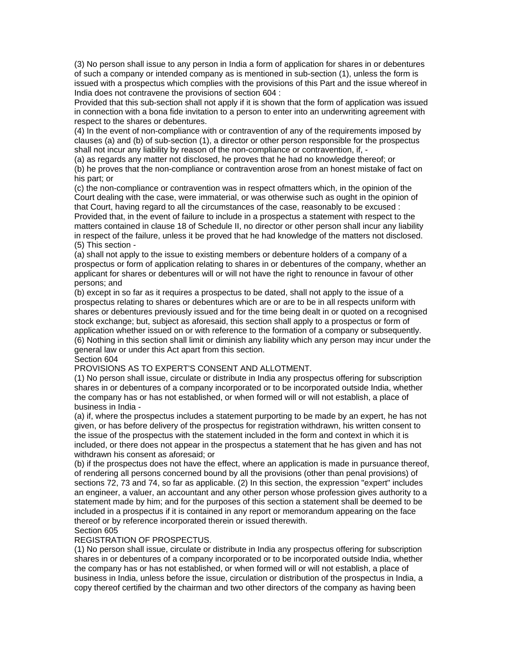(3) No person shall issue to any person in India a form of application for shares in or debentures of such a company or intended company as is mentioned in sub-section (1), unless the form is issued with a prospectus which complies with the provisions of this Part and the issue whereof in India does not contravene the provisions of section 604 :

Provided that this sub-section shall not apply if it is shown that the form of application was issued in connection with a bona fide invitation to a person to enter into an underwriting agreement with respect to the shares or debentures.

(4) In the event of non-compliance with or contravention of any of the requirements imposed by clauses (a) and (b) of sub-section (1), a director or other person responsible for the prospectus shall not incur any liability by reason of the non-compliance or contravention, if, -

(a) as regards any matter not disclosed, he proves that he had no knowledge thereof; or (b) he proves that the non-compliance or contravention arose from an honest mistake of fact on his part; or

(c) the non-compliance or contravention was in respect ofmatters which, in the opinion of the Court dealing with the case, were immaterial, or was otherwise such as ought in the opinion of that Court, having regard to all the circumstances of the case, reasonably to be excused : Provided that, in the event of failure to include in a prospectus a statement with respect to the matters contained in clause 18 of Schedule II, no director or other person shall incur any liability in respect of the failure, unless it be proved that he had knowledge of the matters not disclosed. (5) This section -

(a) shall not apply to the issue to existing members or debenture holders of a company of a prospectus or form of application relating to shares in or debentures of the company, whether an applicant for shares or debentures will or will not have the right to renounce in favour of other persons; and

(b) except in so far as it requires a prospectus to be dated, shall not apply to the issue of a prospectus relating to shares or debentures which are or are to be in all respects uniform with shares or debentures previously issued and for the time being dealt in or quoted on a recognised stock exchange; but, subject as aforesaid, this section shall apply to a prospectus or form of application whether issued on or with reference to the formation of a company or subsequently. (6) Nothing in this section shall limit or diminish any liability which any person may incur under the general law or under this Act apart from this section.

## Section 604

# PROVISIONS AS TO EXPERT'S CONSENT AND ALLOTMENT.

(1) No person shall issue, circulate or distribute in India any prospectus offering for subscription shares in or debentures of a company incorporated or to be incorporated outside India, whether the company has or has not established, or when formed will or will not establish, a place of business in India -

(a) if, where the prospectus includes a statement purporting to be made by an expert, he has not given, or has before delivery of the prospectus for registration withdrawn, his written consent to the issue of the prospectus with the statement included in the form and context in which it is included, or there does not appear in the prospectus a statement that he has given and has not withdrawn his consent as aforesaid; or

(b) if the prospectus does not have the effect, where an application is made in pursuance thereof, of rendering all persons concerned bound by all the provisions (other than penal provisions) of sections 72, 73 and 74, so far as applicable. (2) In this section, the expression "expert" includes an engineer, a valuer, an accountant and any other person whose profession gives authority to a statement made by him; and for the purposes of this section a statement shall be deemed to be included in a prospectus if it is contained in any report or memorandum appearing on the face thereof or by reference incorporated therein or issued therewith.

#### Section 605

#### REGISTRATION OF PROSPECTUS.

(1) No person shall issue, circulate or distribute in India any prospectus offering for subscription shares in or debentures of a company incorporated or to be incorporated outside India, whether the company has or has not established, or when formed will or will not establish, a place of business in India, unless before the issue, circulation or distribution of the prospectus in India, a copy thereof certified by the chairman and two other directors of the company as having been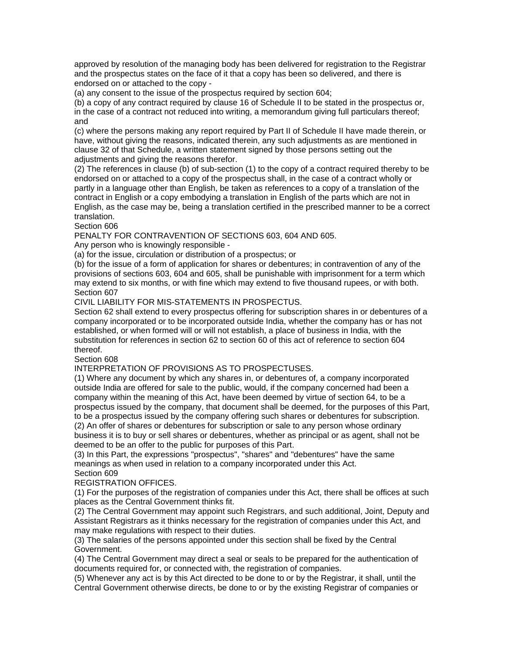approved by resolution of the managing body has been delivered for registration to the Registrar and the prospectus states on the face of it that a copy has been so delivered, and there is endorsed on or attached to the copy -

(a) any consent to the issue of the prospectus required by section 604;

(b) a copy of any contract required by clause 16 of Schedule II to be stated in the prospectus or, in the case of a contract not reduced into writing, a memorandum giving full particulars thereof; and

(c) where the persons making any report required by Part II of Schedule II have made therein, or have, without giving the reasons, indicated therein, any such adjustments as are mentioned in clause 32 of that Schedule, a written statement signed by those persons setting out the adjustments and giving the reasons therefor.

(2) The references in clause (b) of sub-section (1) to the copy of a contract required thereby to be endorsed on or attached to a copy of the prospectus shall, in the case of a contract wholly or partly in a language other than English, be taken as references to a copy of a translation of the contract in English or a copy embodying a translation in English of the parts which are not in English, as the case may be, being a translation certified in the prescribed manner to be a correct translation.

Section 606

PENALTY FOR CONTRAVENTION OF SECTIONS 603, 604 AND 605.

Any person who is knowingly responsible -

(a) for the issue, circulation or distribution of a prospectus; or

(b) for the issue of a form of application for shares or debentures; in contravention of any of the provisions of sections 603, 604 and 605, shall be punishable with imprisonment for a term which may extend to six months, or with fine which may extend to five thousand rupees, or with both. Section 607

CIVIL LIABILITY FOR MIS-STATEMENTS IN PROSPECTUS.

Section 62 shall extend to every prospectus offering for subscription shares in or debentures of a company incorporated or to be incorporated outside India, whether the company has or has not established, or when formed will or will not establish, a place of business in India, with the substitution for references in section 62 to section 60 of this act of reference to section 604 thereof.

Section 608

# INTERPRETATION OF PROVISIONS AS TO PROSPECTUSES.

(1) Where any document by which any shares in, or debentures of, a company incorporated outside India are offered for sale to the public, would, if the company concerned had been a company within the meaning of this Act, have been deemed by virtue of section 64, to be a prospectus issued by the company, that document shall be deemed, for the purposes of this Part, to be a prospectus issued by the company offering such shares or debentures for subscription. (2) An offer of shares or debentures for subscription or sale to any person whose ordinary business it is to buy or sell shares or debentures, whether as principal or as agent, shall not be deemed to be an offer to the public for purposes of this Part.

(3) In this Part, the expressions "prospectus", "shares" and "debentures" have the same meanings as when used in relation to a company incorporated under this Act. Section 609

REGISTRATION OFFICES.

(1) For the purposes of the registration of companies under this Act, there shall be offices at such places as the Central Government thinks fit.

(2) The Central Government may appoint such Registrars, and such additional, Joint, Deputy and Assistant Registrars as it thinks necessary for the registration of companies under this Act, and may make regulations with respect to their duties.

(3) The salaries of the persons appointed under this section shall be fixed by the Central Government.

(4) The Central Government may direct a seal or seals to be prepared for the authentication of documents required for, or connected with, the registration of companies.

(5) Whenever any act is by this Act directed to be done to or by the Registrar, it shall, until the Central Government otherwise directs, be done to or by the existing Registrar of companies or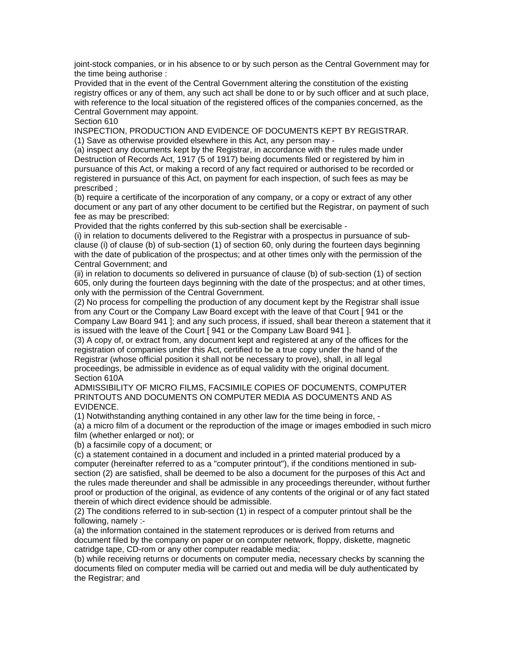joint-stock companies, or in his absence to or by such person as the Central Government may for the time being authorise :

Provided that in the event of the Central Government altering the constitution of the existing registry offices or any of them, any such act shall be done to or by such officer and at such place, with reference to the local situation of the registered offices of the companies concerned, as the Central Government may appoint.

Section 610

INSPECTION, PRODUCTION AND EVIDENCE OF DOCUMENTS KEPT BY REGISTRAR. (1) Save as otherwise provided elsewhere in this Act, any person may -

(a) inspect any documents kept by the Registrar, in accordance with the rules made under Destruction of Records Act, 1917 (5 of 1917) being documents filed or registered by him in pursuance of this Act, or making a record of any fact required or authorised to be recorded or registered in pursuance of this Act, on payment for each inspection, of such fees as may be prescribed ;

(b) require a certificate of the incorporation of any company, or a copy or extract of any other document or any part of any other document to be certified but the Registrar, on payment of such fee as may be prescribed:

Provided that the rights conferred by this sub-section shall be exercisable -

(i) in relation to documents delivered to the Registrar with a prospectus in pursuance of subclause (i) of clause (b) of sub-section (1) of section 60, only during the fourteen days beginning with the date of publication of the prospectus; and at other times only with the permission of the Central Government; and

(ii) in relation to documents so delivered in pursuance of clause (b) of sub-section (1) of section 605, only during the fourteen days beginning with the date of the prospectus; and at other times, only with the permission of the Central Government.

(2) No process for compelling the production of any document kept by the Registrar shall issue from any Court or the Company Law Board except with the leave of that Court [ 941 or the Company Law Board 941 ]; and any such process, if issued, shall bear thereon a statement that it is issued with the leave of the Court [ 941 or the Company Law Board 941 ].

(3) A copy of, or extract from, any document kept and registered at any of the offices for the registration of companies under this Act, certified to be a true copy under the hand of the Registrar (whose official position it shall not be necessary to prove), shall, in all legal proceedings, be admissible in evidence as of equal validity with the original document. Section 610A

ADMISSIBILITY OF MICRO FILMS, FACSIMILE COPIES OF DOCUMENTS, COMPUTER PRINTOUTS AND DOCUMENTS ON COMPUTER MEDIA AS DOCUMENTS AND AS EVIDENCE.

(1) Notwithstanding anything contained in any other law for the time being in force, -

(a) a micro film of a document or the reproduction of the image or images embodied in such micro film (whether enlarged or not); or

(b) a facsimile copy of a document; or

(c) a statement contained in a document and included in a printed material produced by a computer (hereinafter referred to as a "computer printout"), if the conditions mentioned in subsection (2) are satisfied, shall be deemed to be also a document for the purposes of this Act and the rules made thereunder and shall be admissible in any proceedings thereunder, without further proof or production of the original, as evidence of any contents of the original or of any fact stated therein of which direct evidence should be admissible.

(2) The conditions referred to in sub-section (1) in respect of a computer printout shall be the following, namely :-

(a) the information contained in the statement reproduces or is derived from returns and document filed by the company on paper or on computer network, floppy, diskette, magnetic catridge tape, CD-rom or any other computer readable media;

(b) while receiving returns or documents on computer media, necessary checks by scanning the documents filed on computer media will be carried out and media will be duly authenticated by the Registrar; and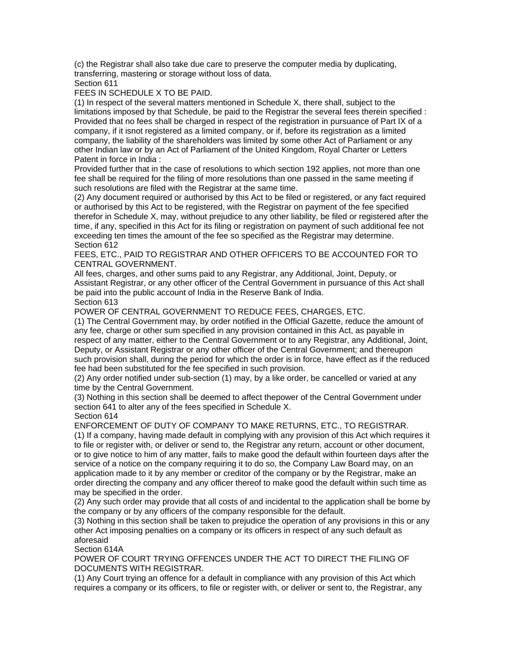(c) the Registrar shall also take due care to preserve the computer media by duplicating, transferring, mastering or storage without loss of data. Section 611

FEES IN SCHEDULE X TO BE PAID.

(1) In respect of the several matters mentioned in Schedule X, there shall, subject to the limitations imposed by that Schedule, be paid to the Registrar the several fees therein specified : Provided that no fees shall be charged in respect of the registration in pursuance of Part IX of a company, if it isnot registered as a limited company, or if, before its registration as a limited company, the liability of the shareholders was limited by some other Act of Parliament or any other Indian law or by an Act of Parliament of the United Kingdom, Royal Charter or Letters Patent in force in India :

Provided further that in the case of resolutions to which section 192 applies, not more than one fee shall be required for the filing of more resolutions than one passed in the same meeting if such resolutions are filed with the Registrar at the same time.

(2) Any document required or authorised by this Act to be filed or registered, or any fact required or authorised by this Act to be registered, with the Registrar on payment of the fee specified therefor in Schedule X, may, without prejudice to any other liability, be filed or registered after the time, if any, specified in this Act for its filing or registration on payment of such additional fee not exceeding ten times the amount of the fee so specified as the Registrar may determine. Section 612

FEES, ETC., PAID TO REGISTRAR AND OTHER OFFICERS TO BE ACCOUNTED FOR TO CENTRAL GOVERNMENT.

All fees, charges, and other sums paid to any Registrar, any Additional, Joint, Deputy, or Assistant Registrar, or any other officer of the Central Government in pursuance of this Act shall be paid into the public account of India in the Reserve Bank of India. Section 613

POWER OF CENTRAL GOVERNMENT TO REDUCE FEES, CHARGES, ETC.

(1) The Central Government may, by order notified in the Official Gazette, reduce the amount of any fee, charge or other sum specified in any provision contained in this Act, as payable in respect of any matter, either to the Central Government or to any Registrar, any Additional, Joint, Deputy, or Assistant Registrar or any other officer of the Central Government; and thereupon such provision shall, during the period for which the order is in force, have effect as if the reduced fee had been substituted for the fee specified in such provision.

(2) Any order notified under sub-section (1) may, by a like order, be cancelled or varied at any time by the Central Government.

(3) Nothing in this section shall be deemed to affect thepower of the Central Government under section 641 to alter any of the fees specified in Schedule X.

Section 614

ENFORCEMENT OF DUTY OF COMPANY TO MAKE RETURNS, ETC., TO REGISTRAR.

(1) If a company, having made default in complying with any provision of this Act which requires it to file or register with, or deliver or send to, the Registrar any return, account or other document, or to give notice to him of any matter, fails to make good the default within fourteen days after the service of a notice on the company requiring it to do so, the Company Law Board may, on an application made to it by any member or creditor of the company or by the Registrar, make an order directing the company and any officer thereof to make good the default within such time as may be specified in the order.

(2) Any such order may provide that all costs of and incidental to the application shall be borne by the company or by any officers of the company responsible for the default.

(3) Nothing in this section shall be taken to prejudice the operation of any provisions in this or any other Act imposing penalties on a company or its officers in respect of any such default as aforesaid

Section 614A

POWER OF COURT TRYING OFFENCES UNDER THE ACT TO DIRECT THE FILING OF DOCUMENTS WITH REGISTRAR.

(1) Any Court trying an offence for a default in compliance with any provision of this Act which requires a company or its officers, to file or register with, or deliver or sent to, the Registrar, any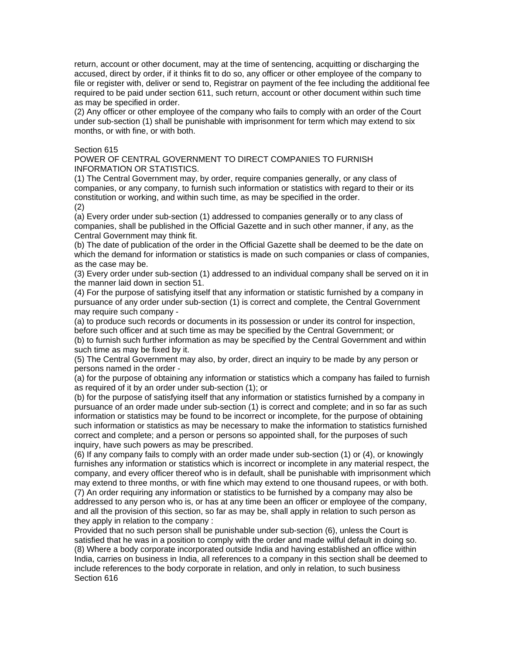return, account or other document, may at the time of sentencing, acquitting or discharging the accused, direct by order, if it thinks fit to do so, any officer or other employee of the company to file or register with, deliver or send to, Registrar on payment of the fee including the additional fee required to be paid under section 611, such return, account or other document within such time as may be specified in order.

(2) Any officer or other employee of the company who fails to comply with an order of the Court under sub-section (1) shall be punishable with imprisonment for term which may extend to six months, or with fine, or with both.

# Section 615

POWER OF CENTRAL GOVERNMENT TO DIRECT COMPANIES TO FURNISH INFORMATION OR STATISTICS.

(1) The Central Government may, by order, require companies generally, or any class of companies, or any company, to furnish such information or statistics with regard to their or its constitution or working, and within such time, as may be specified in the order. (2)

(a) Every order under sub-section (1) addressed to companies generally or to any class of companies, shall be published in the Official Gazette and in such other manner, if any, as the Central Government may think fit.

(b) The date of publication of the order in the Official Gazette shall be deemed to be the date on which the demand for information or statistics is made on such companies or class of companies, as the case may be.

(3) Every order under sub-section (1) addressed to an individual company shall be served on it in the manner laid down in section 51.

(4) For the purpose of satisfying itself that any information or statistic furnished by a company in pursuance of any order under sub-section (1) is correct and complete, the Central Government may require such company -

(a) to produce such records or documents in its possession or under its control for inspection, before such officer and at such time as may be specified by the Central Government; or (b) to furnish such further information as may be specified by the Central Government and within such time as may be fixed by it.

(5) The Central Government may also, by order, direct an inquiry to be made by any person or persons named in the order -

(a) for the purpose of obtaining any information or statistics which a company has failed to furnish as required of it by an order under sub-section (1); or

(b) for the purpose of satisfying itself that any information or statistics furnished by a company in pursuance of an order made under sub-section (1) is correct and complete; and in so far as such information or statistics may be found to be incorrect or incomplete, for the purpose of obtaining such information or statistics as may be necessary to make the information to statistics furnished correct and complete; and a person or persons so appointed shall, for the purposes of such inquiry, have such powers as may be prescribed.

(6) If any company fails to comply with an order made under sub-section (1) or (4), or knowingly furnishes any information or statistics which is incorrect or incomplete in any material respect, the company, and every officer thereof who is in default, shall be punishable with imprisonment which may extend to three months, or with fine which may extend to one thousand rupees, or with both. (7) An order requiring any information or statistics to be furnished by a company may also be addressed to any person who is, or has at any time been an officer or employee of the company, and all the provision of this section, so far as may be, shall apply in relation to such person as

they apply in relation to the company :

Provided that no such person shall be punishable under sub-section (6), unless the Court is satisfied that he was in a position to comply with the order and made wilful default in doing so. (8) Where a body corporate incorporated outside India and having established an office within India, carries on business in India, all references to a company in this section shall be deemed to include references to the body corporate in relation, and only in relation, to such business Section 616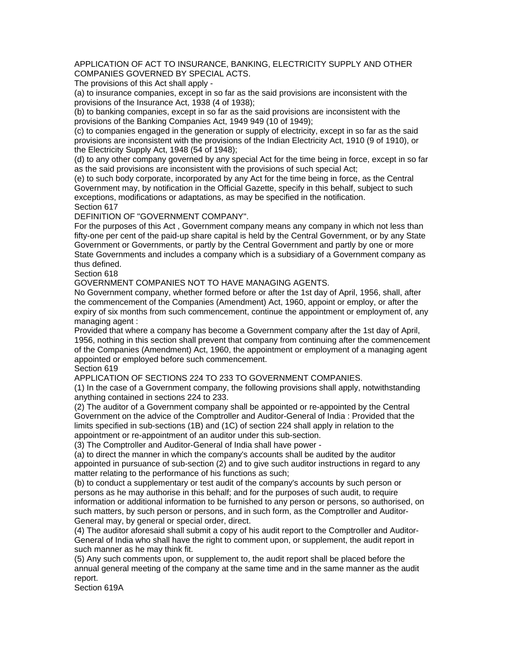## APPLICATION OF ACT TO INSURANCE, BANKING, ELECTRICITY SUPPLY AND OTHER COMPANIES GOVERNED BY SPECIAL ACTS.

The provisions of this Act shall apply -

(a) to insurance companies, except in so far as the said provisions are inconsistent with the provisions of the Insurance Act, 1938 (4 of 1938);

(b) to banking companies, except in so far as the said provisions are inconsistent with the provisions of the Banking Companies Act, 1949 949 (10 of 1949);

(c) to companies engaged in the generation or supply of electricity, except in so far as the said provisions are inconsistent with the provisions of the Indian Electricity Act, 1910 (9 of 1910), or the Electricity Supply Act, 1948 (54 of 1948);

(d) to any other company governed by any special Act for the time being in force, except in so far as the said provisions are inconsistent with the provisions of such special Act;

(e) to such body corporate, incorporated by any Act for the time being in force, as the Central Government may, by notification in the Official Gazette, specify in this behalf, subject to such exceptions, modifications or adaptations, as may be specified in the notification. Section 617

DEFINITION OF "GOVERNMENT COMPANY".

For the purposes of this Act , Government company means any company in which not less than fifty-one per cent of the paid-up share capital is held by the Central Government, or by any State Government or Governments, or partly by the Central Government and partly by one or more State Governments and includes a company which is a subsidiary of a Government company as thus defined.

Section 618

GOVERNMENT COMPANIES NOT TO HAVE MANAGING AGENTS.

No Government company, whether formed before or after the 1st day of April, 1956, shall, after the commencement of the Companies (Amendment) Act, 1960, appoint or employ, or after the expiry of six months from such commencement, continue the appointment or employment of, any managing agent :

Provided that where a company has become a Government company after the 1st day of April, 1956, nothing in this section shall prevent that company from continuing after the commencement of the Companies (Amendment) Act, 1960, the appointment or employment of a managing agent appointed or employed before such commencement.

Section 619

APPLICATION OF SECTIONS 224 TO 233 TO GOVERNMENT COMPANIES.

(1) In the case of a Government company, the following provisions shall apply, notwithstanding anything contained in sections 224 to 233.

(2) The auditor of a Government company shall be appointed or re-appointed by the Central Government on the advice of the Comptroller and Auditor-General of India : Provided that the limits specified in sub-sections (1B) and (1C) of section 224 shall apply in relation to the appointment or re-appointment of an auditor under this sub-section.

(3) The Comptroller and Auditor-General of India shall have power -

(a) to direct the manner in which the company's accounts shall be audited by the auditor appointed in pursuance of sub-section (2) and to give such auditor instructions in regard to any matter relating to the performance of his functions as such;

(b) to conduct a supplementary or test audit of the company's accounts by such person or persons as he may authorise in this behalf; and for the purposes of such audit, to require information or additional information to be furnished to any person or persons, so authorised, on such matters, by such person or persons, and in such form, as the Comptroller and Auditor-General may, by general or special order, direct.

(4) The auditor aforesaid shall submit a copy of his audit report to the Comptroller and Auditor-General of India who shall have the right to comment upon, or supplement, the audit report in such manner as he may think fit.

(5) Any such comments upon, or supplement to, the audit report shall be placed before the annual general meeting of the company at the same time and in the same manner as the audit report.

Section 619A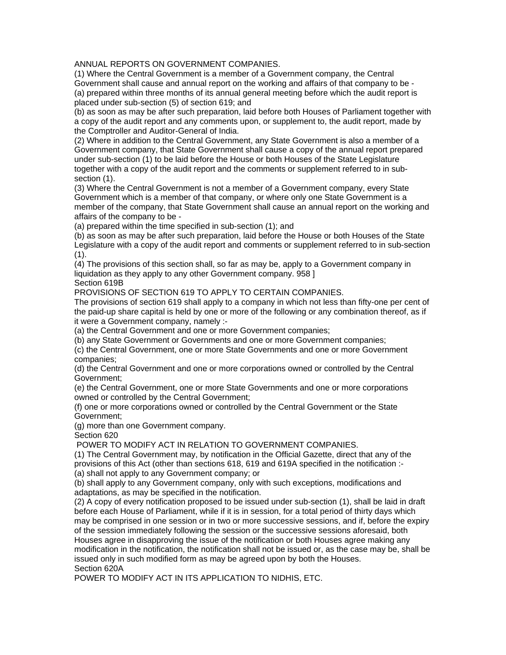# ANNUAL REPORTS ON GOVERNMENT COMPANIES.

(1) Where the Central Government is a member of a Government company, the Central Government shall cause and annual report on the working and affairs of that company to be - (a) prepared within three months of its annual general meeting before which the audit report is placed under sub-section (5) of section 619; and

(b) as soon as may be after such preparation, laid before both Houses of Parliament together with a copy of the audit report and any comments upon, or supplement to, the audit report, made by the Comptroller and Auditor-General of India.

(2) Where in addition to the Central Government, any State Government is also a member of a Government company, that State Government shall cause a copy of the annual report prepared under sub-section (1) to be laid before the House or both Houses of the State Legislature together with a copy of the audit report and the comments or supplement referred to in subsection (1).

(3) Where the Central Government is not a member of a Government company, every State Government which is a member of that company, or where only one State Government is a member of the company, that State Government shall cause an annual report on the working and affairs of the company to be -

(a) prepared within the time specified in sub-section (1); and

(b) as soon as may be after such preparation, laid before the House or both Houses of the State Legislature with a copy of the audit report and comments or supplement referred to in sub-section  $(1).$ 

(4) The provisions of this section shall, so far as may be, apply to a Government company in liquidation as they apply to any other Government company. 958 ]

Section 619B

PROVISIONS OF SECTION 619 TO APPLY TO CERTAIN COMPANIES.

The provisions of section 619 shall apply to a company in which not less than fifty-one per cent of the paid-up share capital is held by one or more of the following or any combination thereof, as if it were a Government company, namely :-

(a) the Central Government and one or more Government companies;

(b) any State Government or Governments and one or more Government companies;

(c) the Central Government, one or more State Governments and one or more Government companies;

(d) the Central Government and one or more corporations owned or controlled by the Central Government;

(e) the Central Government, one or more State Governments and one or more corporations owned or controlled by the Central Government;

(f) one or more corporations owned or controlled by the Central Government or the State Government;

(g) more than one Government company.

Section 620

POWER TO MODIFY ACT IN RELATION TO GOVERNMENT COMPANIES.

(1) The Central Government may, by notification in the Official Gazette, direct that any of the provisions of this Act (other than sections 618, 619 and 619A specified in the notification :- (a) shall not apply to any Government company; or

(b) shall apply to any Government company, only with such exceptions, modifications and adaptations, as may be specified in the notification.

(2) A copy of every notification proposed to be issued under sub-section (1), shall be laid in draft before each House of Parliament, while if it is in session, for a total period of thirty days which may be comprised in one session or in two or more successive sessions, and if, before the expiry of the session immediately following the session or the successive sessions aforesaid, both Houses agree in disapproving the issue of the notification or both Houses agree making any modification in the notification, the notification shall not be issued or, as the case may be, shall be issued only in such modified form as may be agreed upon by both the Houses. Section 620A

POWER TO MODIFY ACT IN ITS APPLICATION TO NIDHIS, ETC.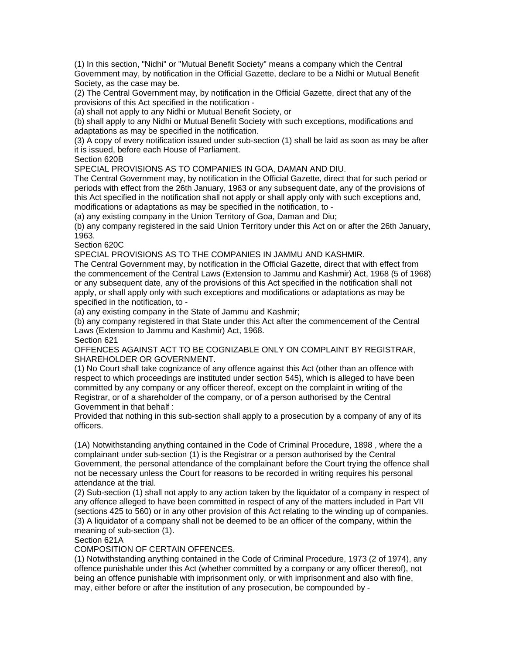(1) In this section, "Nidhi" or "Mutual Benefit Society" means a company which the Central Government may, by notification in the Official Gazette, declare to be a Nidhi or Mutual Benefit Society, as the case may be.

(2) The Central Government may, by notification in the Official Gazette, direct that any of the provisions of this Act specified in the notification -

(a) shall not apply to any Nidhi or Mutual Benefit Society, or

(b) shall apply to any Nidhi or Mutual Benefit Society with such exceptions, modifications and adaptations as may be specified in the notification.

(3) A copy of every notification issued under sub-section (1) shall be laid as soon as may be after it is issued, before each House of Parliament.

Section 620B

SPECIAL PROVISIONS AS TO COMPANIES IN GOA, DAMAN AND DIU.

The Central Government may, by notification in the Official Gazette, direct that for such period or periods with effect from the 26th January, 1963 or any subsequent date, any of the provisions of this Act specified in the notification shall not apply or shall apply only with such exceptions and, modifications or adaptations as may be specified in the notification, to -

(a) any existing company in the Union Territory of Goa, Daman and Diu;

(b) any company registered in the said Union Territory under this Act on or after the 26th January, 1963.

Section 620C

SPECIAL PROVISIONS AS TO THE COMPANIES IN JAMMU AND KASHMIR.

The Central Government may, by notification in the Official Gazette, direct that with effect from the commencement of the Central Laws (Extension to Jammu and Kashmir) Act, 1968 (5 of 1968) or any subsequent date, any of the provisions of this Act specified in the notification shall not apply, or shall apply only with such exceptions and modifications or adaptations as may be specified in the notification, to -

(a) any existing company in the State of Jammu and Kashmir;

(b) any company registered in that State under this Act after the commencement of the Central Laws (Extension to Jammu and Kashmir) Act, 1968.

Section 621

OFFENCES AGAINST ACT TO BE COGNIZABLE ONLY ON COMPLAINT BY REGISTRAR, SHAREHOLDER OR GOVERNMENT.

(1) No Court shall take cognizance of any offence against this Act (other than an offence with respect to which proceedings are instituted under section 545), which is alleged to have been committed by any company or any officer thereof, except on the complaint in writing of the Registrar, or of a shareholder of the company, or of a person authorised by the Central Government in that behalf :

Provided that nothing in this sub-section shall apply to a prosecution by a company of any of its officers.

(1A) Notwithstanding anything contained in the Code of Criminal Procedure, 1898 , where the a complainant under sub-section (1) is the Registrar or a person authorised by the Central Government, the personal attendance of the complainant before the Court trying the offence shall not be necessary unless the Court for reasons to be recorded in writing requires his personal attendance at the trial.

(2) Sub-section (1) shall not apply to any action taken by the liquidator of a company in respect of any offence alleged to have been committed in respect of any of the matters included in Part VII (sections 425 to 560) or in any other provision of this Act relating to the winding up of companies. (3) A liquidator of a company shall not be deemed to be an officer of the company, within the meaning of sub-section (1).

Section 621A

COMPOSITION OF CERTAIN OFFENCES.

(1) Notwithstanding anything contained in the Code of Criminal Procedure, 1973 (2 of 1974), any offence punishable under this Act (whether committed by a company or any officer thereof), not being an offence punishable with imprisonment only, or with imprisonment and also with fine, may, either before or after the institution of any prosecution, be compounded by -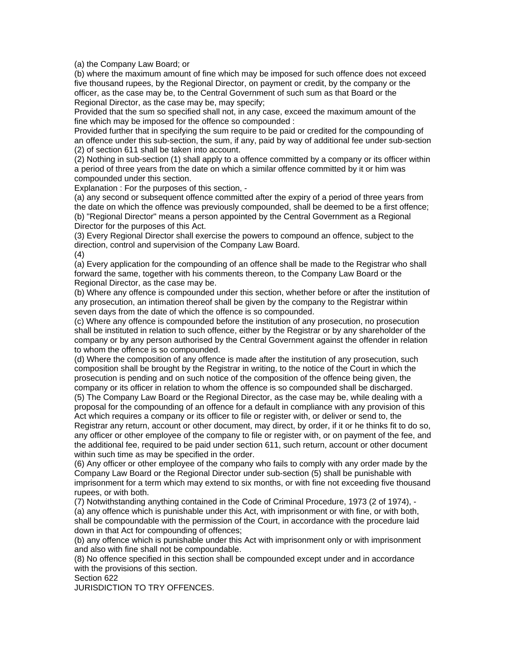(a) the Company Law Board; or

(b) where the maximum amount of fine which may be imposed for such offence does not exceed five thousand rupees, by the Regional Director, on payment or credit, by the company or the officer, as the case may be, to the Central Government of such sum as that Board or the Regional Director, as the case may be, may specify;

Provided that the sum so specified shall not, in any case, exceed the maximum amount of the fine which may be imposed for the offence so compounded :

Provided further that in specifying the sum require to be paid or credited for the compounding of an offence under this sub-section, the sum, if any, paid by way of additional fee under sub-section (2) of section 611 shall be taken into account.

(2) Nothing in sub-section (1) shall apply to a offence committed by a company or its officer within a period of three years from the date on which a similar offence committed by it or him was compounded under this section.

Explanation : For the purposes of this section, -

(a) any second or subsequent offence committed after the expiry of a period of three years from the date on which the offence was previously compounded, shall be deemed to be a first offence; (b) "Regional Director" means a person appointed by the Central Government as a Regional Director for the purposes of this Act.

(3) Every Regional Director shall exercise the powers to compound an offence, subject to the direction, control and supervision of the Company Law Board.

(4)

(a) Every application for the compounding of an offence shall be made to the Registrar who shall forward the same, together with his comments thereon, to the Company Law Board or the Regional Director, as the case may be.

(b) Where any offence is compounded under this section, whether before or after the institution of any prosecution, an intimation thereof shall be given by the company to the Registrar within seven days from the date of which the offence is so compounded.

(c) Where any offence is compounded before the institution of any prosecution, no prosecution shall be instituted in relation to such offence, either by the Registrar or by any shareholder of the company or by any person authorised by the Central Government against the offender in relation to whom the offence is so compounded.

(d) Where the composition of any offence is made after the institution of any prosecution, such composition shall be brought by the Registrar in writing, to the notice of the Court in which the prosecution is pending and on such notice of the composition of the offence being given, the company or its officer in relation to whom the offence is so compounded shall be discharged.

(5) The Company Law Board or the Regional Director, as the case may be, while dealing with a proposal for the compounding of an offence for a default in compliance with any provision of this Act which requires a company or its officer to file or register with, or deliver or send to, the Registrar any return, account or other document, may direct, by order, if it or he thinks fit to do so, any officer or other employee of the company to file or register with, or on payment of the fee, and the additional fee, required to be paid under section 611, such return, account or other document within such time as may be specified in the order.

(6) Any officer or other employee of the company who fails to comply with any order made by the Company Law Board or the Regional Director under sub-section (5) shall be punishable with imprisonment for a term which may extend to six months, or with fine not exceeding five thousand rupees, or with both.

(7) Notwithstanding anything contained in the Code of Criminal Procedure, 1973 (2 of 1974), - (a) any offence which is punishable under this Act, with imprisonment or with fine, or with both, shall be compoundable with the permission of the Court, in accordance with the procedure laid down in that Act for compounding of offences;

(b) any offence which is punishable under this Act with imprisonment only or with imprisonment and also with fine shall not be compoundable.

(8) No offence specified in this section shall be compounded except under and in accordance with the provisions of this section.

Section 622

JURISDICTION TO TRY OFFENCES.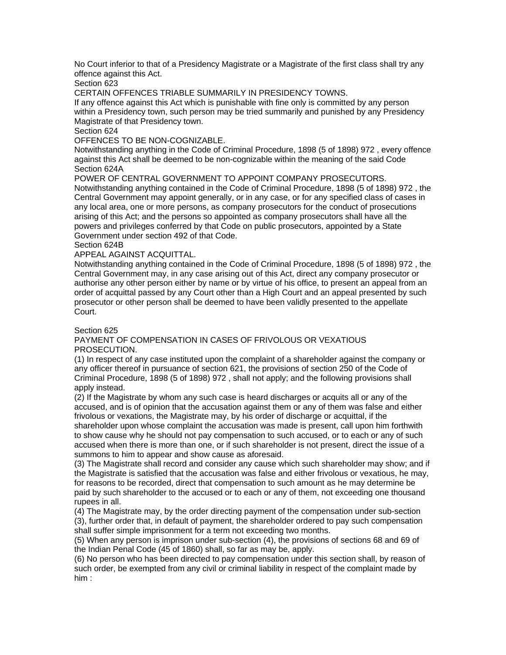No Court inferior to that of a Presidency Magistrate or a Magistrate of the first class shall try any offence against this Act.

Section 623

CERTAIN OFFENCES TRIABLE SUMMARILY IN PRESIDENCY TOWNS.

If any offence against this Act which is punishable with fine only is committed by any person within a Presidency town, such person may be tried summarily and punished by any Presidency Magistrate of that Presidency town.

Section 624

OFFENCES TO BE NON-COGNIZABLE.

Notwithstanding anything in the Code of Criminal Procedure, 1898 (5 of 1898) 972 , every offence against this Act shall be deemed to be non-cognizable within the meaning of the said Code Section 624A

POWER OF CENTRAL GOVERNMENT TO APPOINT COMPANY PROSECUTORS.

Notwithstanding anything contained in the Code of Criminal Procedure, 1898 (5 of 1898) 972 , the Central Government may appoint generally, or in any case, or for any specified class of cases in any local area, one or more persons, as company prosecutors for the conduct of prosecutions arising of this Act; and the persons so appointed as company prosecutors shall have all the powers and privileges conferred by that Code on public prosecutors, appointed by a State Government under section 492 of that Code.

## Section 624B

APPEAL AGAINST ACQUITTAL.

Notwithstanding anything contained in the Code of Criminal Procedure, 1898 (5 of 1898) 972 , the Central Government may, in any case arising out of this Act, direct any company prosecutor or authorise any other person either by name or by virtue of his office, to present an appeal from an order of acquittal passed by any Court other than a High Court and an appeal presented by such prosecutor or other person shall be deemed to have been validly presented to the appellate Court.

## Section 625

### PAYMENT OF COMPENSATION IN CASES OF FRIVOLOUS OR VEXATIOUS PROSECUTION.

(1) In respect of any case instituted upon the complaint of a shareholder against the company or any officer thereof in pursuance of section 621, the provisions of section 250 of the Code of Criminal Procedure, 1898 (5 of 1898) 972 , shall not apply; and the following provisions shall apply instead.

(2) If the Magistrate by whom any such case is heard discharges or acquits all or any of the accused, and is of opinion that the accusation against them or any of them was false and either frivolous or vexations, the Magistrate may, by his order of discharge or acquittal, if the shareholder upon whose complaint the accusation was made is present, call upon him forthwith to show cause why he should not pay compensation to such accused, or to each or any of such accused when there is more than one, or if such shareholder is not present, direct the issue of a summons to him to appear and show cause as aforesaid.

(3) The Magistrate shall record and consider any cause which such shareholder may show; and if the Magistrate is satisfied that the accusation was false and either frivolous or vexatious, he may, for reasons to be recorded, direct that compensation to such amount as he may determine be paid by such shareholder to the accused or to each or any of them, not exceeding one thousand rupees in all.

(4) The Magistrate may, by the order directing payment of the compensation under sub-section (3), further order that, in default of payment, the shareholder ordered to pay such compensation shall suffer simple imprisonment for a term not exceeding two months.

(5) When any person is imprison under sub-section (4), the provisions of sections 68 and 69 of the Indian Penal Code (45 of 1860) shall, so far as may be, apply.

(6) No person who has been directed to pay compensation under this section shall, by reason of such order, be exempted from any civil or criminal liability in respect of the complaint made by him :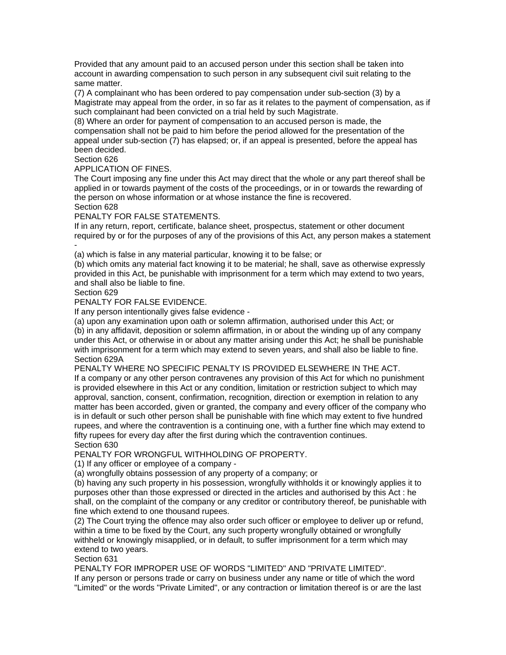Provided that any amount paid to an accused person under this section shall be taken into account in awarding compensation to such person in any subsequent civil suit relating to the same matter.

(7) A complainant who has been ordered to pay compensation under sub-section (3) by a Magistrate may appeal from the order, in so far as it relates to the payment of compensation, as if such complainant had been convicted on a trial held by such Magistrate.

(8) Where an order for payment of compensation to an accused person is made, the compensation shall not be paid to him before the period allowed for the presentation of the appeal under sub-section (7) has elapsed; or, if an appeal is presented, before the appeal has been decided.

### Section 626

APPLICATION OF FINES.

The Court imposing any fine under this Act may direct that the whole or any part thereof shall be applied in or towards payment of the costs of the proceedings, or in or towards the rewarding of the person on whose information or at whose instance the fine is recovered. Section 628

# PENALTY FOR FALSE STATEMENTS.

If in any return, report, certificate, balance sheet, prospectus, statement or other document required by or for the purposes of any of the provisions of this Act, any person makes a statement -

(a) which is false in any material particular, knowing it to be false; or

(b) which omits any material fact knowing it to be material; he shall, save as otherwise expressly provided in this Act, be punishable with imprisonment for a term which may extend to two years, and shall also be liable to fine.

# Section 629

PENALTY FOR FALSE EVIDENCE.

If any person intentionally gives false evidence -

(a) upon any examination upon oath or solemn affirmation, authorised under this Act; or (b) in any affidavit, deposition or solemn affirmation, in or about the winding up of any company under this Act, or otherwise in or about any matter arising under this Act; he shall be punishable with imprisonment for a term which may extend to seven years, and shall also be liable to fine. Section 629A

PENALTY WHERE NO SPECIFIC PENALTY IS PROVIDED ELSEWHERE IN THE ACT. If a company or any other person contravenes any provision of this Act for which no punishment is provided elsewhere in this Act or any condition, limitation or restriction subject to which may approval, sanction, consent, confirmation, recognition, direction or exemption in relation to any matter has been accorded, given or granted, the company and every officer of the company who is in default or such other person shall be punishable with fine which may extent to five hundred rupees, and where the contravention is a continuing one, with a further fine which may extend to fifty rupees for every day after the first during which the contravention continues. Section 630

PENALTY FOR WRONGFUL WITHHOLDING OF PROPERTY.

(1) If any officer or employee of a company -

(a) wrongfully obtains possession of any property of a company; or

(b) having any such property in his possession, wrongfully withholds it or knowingly applies it to purposes other than those expressed or directed in the articles and authorised by this Act : he shall, on the complaint of the company or any creditor or contributory thereof, be punishable with fine which extend to one thousand rupees.

(2) The Court trying the offence may also order such officer or employee to deliver up or refund, within a time to be fixed by the Court, any such property wrongfully obtained or wrongfully withheld or knowingly misapplied, or in default, to suffer imprisonment for a term which may extend to two years.

# Section 631

PENALTY FOR IMPROPER USE OF WORDS "LIMITED" AND "PRIVATE LIMITED". If any person or persons trade or carry on business under any name or title of which the word "Limited" or the words "Private Limited", or any contraction or limitation thereof is or are the last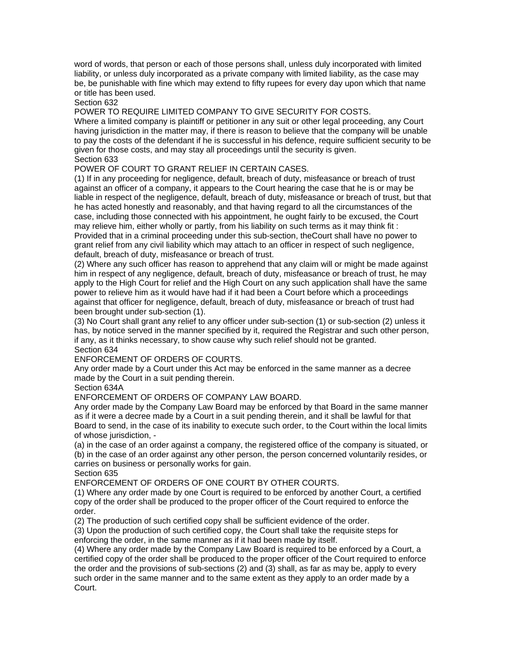word of words, that person or each of those persons shall, unless duly incorporated with limited liability, or unless duly incorporated as a private company with limited liability, as the case may be, be punishable with fine which may extend to fifty rupees for every day upon which that name or title has been used.

Section 632

POWER TO REQUIRE LIMITED COMPANY TO GIVE SECURITY FOR COSTS.

Where a limited company is plaintiff or petitioner in any suit or other legal proceeding, any Court having jurisdiction in the matter may, if there is reason to believe that the company will be unable to pay the costs of the defendant if he is successful in his defence, require sufficient security to be given for those costs, and may stay all proceedings until the security is given. Section 633

### POWER OF COURT TO GRANT RELIEF IN CERTAIN CASES.

(1) If in any proceeding for negligence, default, breach of duty, misfeasance or breach of trust against an officer of a company, it appears to the Court hearing the case that he is or may be liable in respect of the negligence, default, breach of duty, misfeasance or breach of trust, but that he has acted honestly and reasonably, and that having regard to all the circumstances of the case, including those connected with his appointment, he ought fairly to be excused, the Court may relieve him, either wholly or partly, from his liability on such terms as it may think fit : Provided that in a criminal proceeding under this sub-section, theCourt shall have no power to grant relief from any civil liability which may attach to an officer in respect of such negligence, default, breach of duty, misfeasance or breach of trust.

(2) Where any such officer has reason to apprehend that any claim will or might be made against him in respect of any negligence, default, breach of duty, misfeasance or breach of trust, he may apply to the High Court for relief and the High Court on any such application shall have the same power to relieve him as it would have had if it had been a Court before which a proceedings against that officer for negligence, default, breach of duty, misfeasance or breach of trust had been brought under sub-section (1).

(3) No Court shall grant any relief to any officer under sub-section (1) or sub-section (2) unless it has, by notice served in the manner specified by it, required the Registrar and such other person, if any, as it thinks necessary, to show cause why such relief should not be granted. Section 634

ENFORCEMENT OF ORDERS OF COURTS.

Any order made by a Court under this Act may be enforced in the same manner as a decree made by the Court in a suit pending therein.

Section 634A

ENFORCEMENT OF ORDERS OF COMPANY LAW BOARD.

Any order made by the Company Law Board may be enforced by that Board in the same manner as if it were a decree made by a Court in a suit pending therein, and it shall be lawful for that Board to send, in the case of its inability to execute such order, to the Court within the local limits of whose jurisdiction, -

(a) in the case of an order against a company, the registered office of the company is situated, or (b) in the case of an order against any other person, the person concerned voluntarily resides, or carries on business or personally works for gain.

Section 635

ENFORCEMENT OF ORDERS OF ONE COURT BY OTHER COURTS.

(1) Where any order made by one Court is required to be enforced by another Court, a certified copy of the order shall be produced to the proper officer of the Court required to enforce the order.

(2) The production of such certified copy shall be sufficient evidence of the order.

(3) Upon the production of such certified copy, the Court shall take the requisite steps for enforcing the order, in the same manner as if it had been made by itself.

(4) Where any order made by the Company Law Board is required to be enforced by a Court, a certified copy of the order shall be produced to the proper officer of the Court required to enforce the order and the provisions of sub-sections (2) and (3) shall, as far as may be, apply to every such order in the same manner and to the same extent as they apply to an order made by a Court.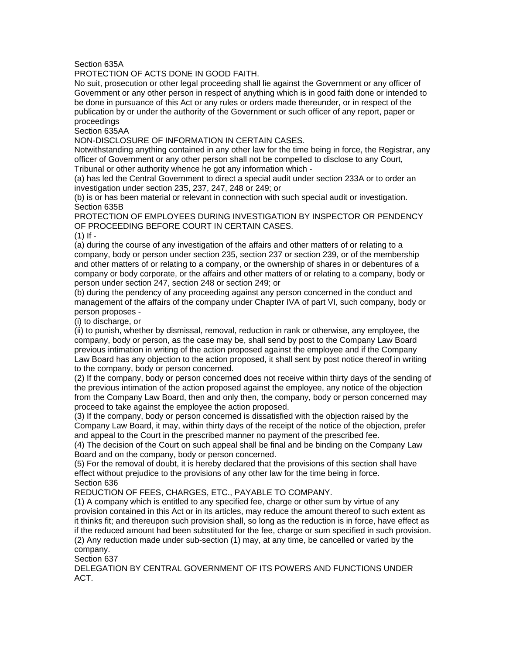Section 635A

PROTECTION OF ACTS DONE IN GOOD FAITH.

No suit, prosecution or other legal proceeding shall lie against the Government or any officer of Government or any other person in respect of anything which is in good faith done or intended to be done in pursuance of this Act or any rules or orders made thereunder, or in respect of the publication by or under the authority of the Government or such officer of any report, paper or proceedings

Section 635AA

NON-DISCLOSURE OF INFORMATION IN CERTAIN CASES.

Notwithstanding anything contained in any other law for the time being in force, the Registrar, any officer of Government or any other person shall not be compelled to disclose to any Court, Tribunal or other authority whence he got any information which -

(a) has led the Central Government to direct a special audit under section 233A or to order an investigation under section 235, 237, 247, 248 or 249; or

(b) is or has been material or relevant in connection with such special audit or investigation. Section 635B

PROTECTION OF EMPLOYEES DURING INVESTIGATION BY INSPECTOR OR PENDENCY OF PROCEEDING BEFORE COURT IN CERTAIN CASES.

 $(1)$  If  $-$ (a) during the course of any investigation of the affairs and other matters of or relating to a company, body or person under section 235, section 237 or section 239, or of the membership and other matters of or relating to a company, or the ownership of shares in or debentures of a company or body corporate, or the affairs and other matters of or relating to a company, body or person under section 247, section 248 or section 249; or

(b) during the pendency of any proceeding against any person concerned in the conduct and management of the affairs of the company under Chapter IVA of part VI, such company, body or person proposes -

(i) to discharge, or

(ii) to punish, whether by dismissal, removal, reduction in rank or otherwise, any employee, the company, body or person, as the case may be, shall send by post to the Company Law Board previous intimation in writing of the action proposed against the employee and if the Company Law Board has any objection to the action proposed, it shall sent by post notice thereof in writing to the company, body or person concerned.

(2) If the company, body or person concerned does not receive within thirty days of the sending of the previous intimation of the action proposed against the employee, any notice of the objection from the Company Law Board, then and only then, the company, body or person concerned may proceed to take against the employee the action proposed.

(3) If the company, body or person concerned is dissatisfied with the objection raised by the Company Law Board, it may, within thirty days of the receipt of the notice of the objection, prefer and appeal to the Court in the prescribed manner no payment of the prescribed fee.

(4) The decision of the Court on such appeal shall be final and be binding on the Company Law Board and on the company, body or person concerned.

(5) For the removal of doubt, it is hereby declared that the provisions of this section shall have effect without prejudice to the provisions of any other law for the time being in force. Section 636

REDUCTION OF FEES, CHARGES, ETC., PAYABLE TO COMPANY.

(1) A company which is entitled to any specified fee, charge or other sum by virtue of any provision contained in this Act or in its articles, may reduce the amount thereof to such extent as it thinks fit; and thereupon such provision shall, so long as the reduction is in force, have effect as if the reduced amount had been substituted for the fee, charge or sum specified in such provision. (2) Any reduction made under sub-section (1) may, at any time, be cancelled or varied by the company.

Section 637

DELEGATION BY CENTRAL GOVERNMENT OF ITS POWERS AND FUNCTIONS UNDER ACT.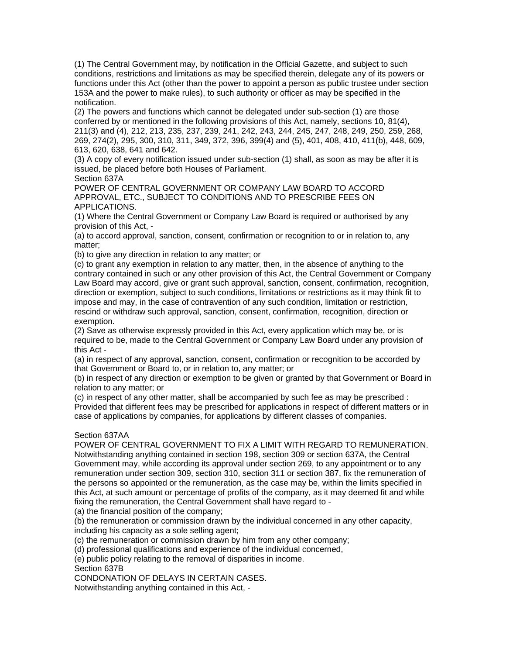(1) The Central Government may, by notification in the Official Gazette, and subject to such conditions, restrictions and limitations as may be specified therein, delegate any of its powers or functions under this Act (other than the power to appoint a person as public trustee under section 153A and the power to make rules), to such authority or officer as may be specified in the notification.

(2) The powers and functions which cannot be delegated under sub-section (1) are those conferred by or mentioned in the following provisions of this Act, namely, sections 10, 81(4), 211(3) and (4), 212, 213, 235, 237, 239, 241, 242, 243, 244, 245, 247, 248, 249, 250, 259, 268, 269, 274(2), 295, 300, 310, 311, 349, 372, 396, 399(4) and (5), 401, 408, 410, 411(b), 448, 609, 613, 620, 638, 641 and 642.

(3) A copy of every notification issued under sub-section (1) shall, as soon as may be after it is issued, be placed before both Houses of Parliament. Section 637A

POWER OF CENTRAL GOVERNMENT OR COMPANY LAW BOARD TO ACCORD APPROVAL, ETC., SUBJECT TO CONDITIONS AND TO PRESCRIBE FEES ON APPLICATIONS.

(1) Where the Central Government or Company Law Board is required or authorised by any provision of this Act, -

(a) to accord approval, sanction, consent, confirmation or recognition to or in relation to, any matter;

(b) to give any direction in relation to any matter; or

(c) to grant any exemption in relation to any matter, then, in the absence of anything to the contrary contained in such or any other provision of this Act, the Central Government or Company Law Board may accord, give or grant such approval, sanction, consent, confirmation, recognition, direction or exemption, subject to such conditions, limitations or restrictions as it may think fit to impose and may, in the case of contravention of any such condition, limitation or restriction, rescind or withdraw such approval, sanction, consent, confirmation, recognition, direction or exemption.

(2) Save as otherwise expressly provided in this Act, every application which may be, or is required to be, made to the Central Government or Company Law Board under any provision of this Act -

(a) in respect of any approval, sanction, consent, confirmation or recognition to be accorded by that Government or Board to, or in relation to, any matter; or

(b) in respect of any direction or exemption to be given or granted by that Government or Board in relation to any matter; or

(c) in respect of any other matter, shall be accompanied by such fee as may be prescribed : Provided that different fees may be prescribed for applications in respect of different matters or in case of applications by companies, for applications by different classes of companies.

## Section 637AA

POWER OF CENTRAL GOVERNMENT TO FIX A LIMIT WITH REGARD TO REMUNERATION. Notwithstanding anything contained in section 198, section 309 or section 637A, the Central Government may, while according its approval under section 269, to any appointment or to any remuneration under section 309, section 310, section 311 or section 387, fix the remuneration of the persons so appointed or the remuneration, as the case may be, within the limits specified in this Act, at such amount or percentage of profits of the company, as it may deemed fit and while fixing the remuneration, the Central Government shall have regard to -

(a) the financial position of the company;

(b) the remuneration or commission drawn by the individual concerned in any other capacity, including his capacity as a sole selling agent;

(c) the remuneration or commission drawn by him from any other company;

(d) professional qualifications and experience of the individual concerned,

(e) public policy relating to the removal of disparities in income.

Section 637B

CONDONATION OF DELAYS IN CERTAIN CASES.

Notwithstanding anything contained in this Act, -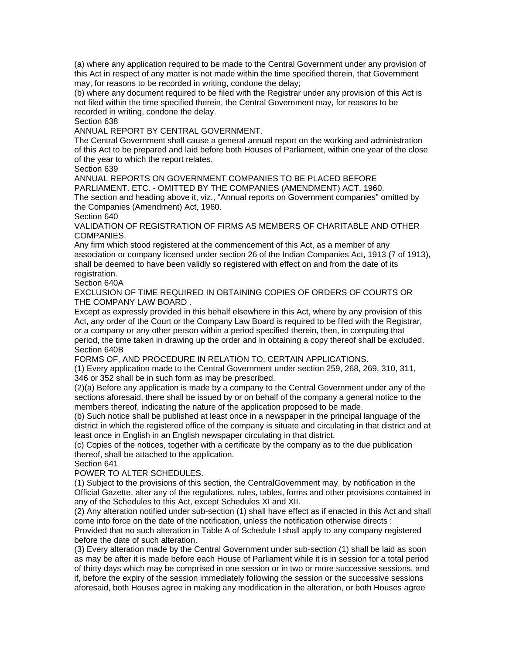(a) where any application required to be made to the Central Government under any provision of this Act in respect of any matter is not made within the time specified therein, that Government may, for reasons to be recorded in writing, condone the delay;

(b) where any document required to be filed with the Registrar under any provision of this Act is not filed within the time specified therein, the Central Government may, for reasons to be recorded in writing, condone the delay.

Section 638

ANNUAL REPORT BY CENTRAL GOVERNMENT.

The Central Government shall cause a general annual report on the working and administration of this Act to be prepared and laid before both Houses of Parliament, within one year of the close of the year to which the report relates.

Section 639

ANNUAL REPORTS ON GOVERNMENT COMPANIES TO BE PLACED BEFORE PARLIAMENT. ETC. - OMITTED BY THE COMPANIES (AMENDMENT) ACT, 1960. The section and heading above it, viz., "Annual reports on Government companies" omitted by the Companies (Amendment) Act, 1960.

Section 640

VALIDATION OF REGISTRATION OF FIRMS AS MEMBERS OF CHARITABLE AND OTHER COMPANIES.

Any firm which stood registered at the commencement of this Act, as a member of any association or company licensed under section 26 of the Indian Companies Act, 1913 (7 of 1913), shall be deemed to have been validly so registered with effect on and from the date of its registration.

Section 640A

EXCLUSION OF TIME REQUIRED IN OBTAINING COPIES OF ORDERS OF COURTS OR THE COMPANY LAW BOARD .

Except as expressly provided in this behalf elsewhere in this Act, where by any provision of this Act, any order of the Court or the Company Law Board is required to be filed with the Registrar, or a company or any other person within a period specified therein, then, in computing that period, the time taken in drawing up the order and in obtaining a copy thereof shall be excluded. Section 640B

FORMS OF, AND PROCEDURE IN RELATION TO, CERTAIN APPLICATIONS.

(1) Every application made to the Central Government under section 259, 268, 269, 310, 311, 346 or 352 shall be in such form as may be prescribed.

(2)(a) Before any application is made by a company to the Central Government under any of the sections aforesaid, there shall be issued by or on behalf of the company a general notice to the members thereof, indicating the nature of the application proposed to be made.

(b) Such notice shall be published at least once in a newspaper in the principal language of the district in which the registered office of the company is situate and circulating in that district and at least once in English in an English newspaper circulating in that district.

(c) Copies of the notices, together with a certificate by the company as to the due publication thereof, shall be attached to the application.

Section 641

POWER TO ALTER SCHEDULES.

(1) Subject to the provisions of this section, the CentralGovernment may, by notification in the Official Gazette, alter any of the regulations, rules, tables, forms and other provisions contained in any of the Schedules to this Act, except Schedules XI and XII.

(2) Any alteration notified under sub-section (1) shall have effect as if enacted in this Act and shall come into force on the date of the notification, unless the notification otherwise directs :

Provided that no such alteration in Table A of Schedule I shall apply to any company registered before the date of such alteration.

(3) Every alteration made by the Central Government under sub-section (1) shall be laid as soon as may be after it is made before each House of Parliament while it is in session for a total period of thirty days which may be comprised in one session or in two or more successive sessions, and

if, before the expiry of the session immediately following the session or the successive sessions aforesaid, both Houses agree in making any modification in the alteration, or both Houses agree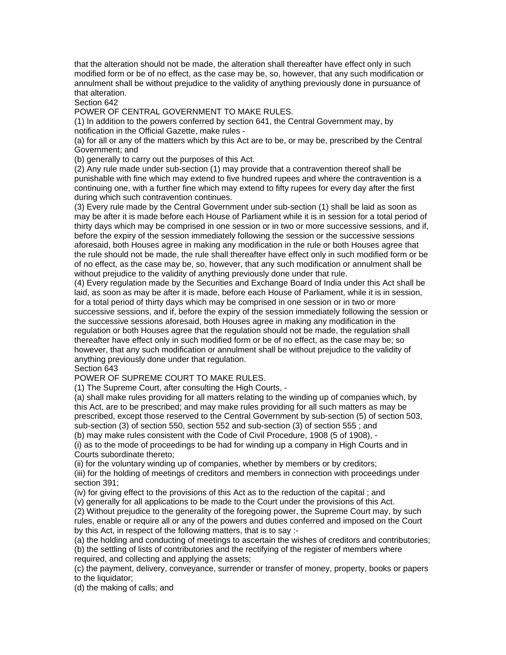that the alteration should not be made, the alteration shall thereafter have effect only in such modified form or be of no effect, as the case may be, so, however, that any such modification or annulment shall be without prejudice to the validity of anything previously done in pursuance of that alteration.

Section 642

POWER OF CENTRAL GOVERNMENT TO MAKE RULES.

(1) In addition to the powers conferred by section 641, the Central Government may, by notification in the Official Gazette, make rules -

(a) for all or any of the matters which by this Act are to be, or may be, prescribed by the Central Government; and

(b) generally to carry out the purposes of this Act.

(2) Any rule made under sub-section (1) may provide that a contravention thereof shall be punishable with fine which may extend to five hundred rupees and where the contravention is a continuing one, with a further fine which may extend to fifty rupees for every day after the first during which such contravention continues.

(3) Every rule made by the Central Government under sub-section (1) shall be laid as soon as may be after it is made before each House of Parliament while it is in session for a total period of thirty days which may be comprised in one session or in two or more successive sessions, and if, before the expiry of the session immediately following the session or the successive sessions aforesaid, both Houses agree in making any modification in the rule or both Houses agree that the rule should not be made, the rule shall thereafter have effect only in such modified form or be of no effect, as the case may be, so, however, that any such modification or annulment shall be without prejudice to the validity of anything previously done under that rule.

(4) Every regulation made by the Securities and Exchange Board of India under this Act shall be laid, as soon as may be after it is made, before each House of Parliament, while it is in session, for a total period of thirty days which may be comprised in one session or in two or more successive sessions, and if, before the expiry of the session immediately following the session or the successive sessions aforesaid, both Houses agree in making any modification in the regulation or both Houses agree that the regulation should not be made, the regulation shall thereafter have effect only in such modified form or be of no effect, as the case may be; so however, that any such modification or annulment shall be without prejudice to the validity of anything previously done under that regulation.

Section 643

POWER OF SUPREME COURT TO MAKE RULES.

(1) The Supreme Court, after consulting the High Courts, -

(a) shall make rules providing for all matters relating to the winding up of companies which, by this Act, are to be prescribed; and may make rules providing for all such matters as may be prescribed, except those reserved to the Central Government by sub-section (5) of section 503, sub-section (3) of section 550, section 552 and sub-section (3) of section 555 ; and (b) may make rules consistent with the Code of Civil Procedure, 1908 (5 of 1908), -

(i) as to the mode of proceedings to be had for winding up a company in High Courts and in Courts subordinate thereto;

(ii) for the voluntary winding up of companies, whether by members or by creditors;

(iii) for the holding of meetings of creditors and members in connection with proceedings under section 391;

(iv) for giving effect to the provisions of this Act as to the reduction of the capital ; and

(v) generally for all applications to be made to the Court under the provisions of this Act.

(2) Without prejudice to the generality of the foregoing power, the Supreme Court may, by such rules, enable or require all or any of the powers and duties conferred and imposed on the Court by this Act, in respect of the following matters, that is to say :-

(a) the holding and conducting of meetings to ascertain the wishes of creditors and contributories; (b) the settling of lists of contributories and the rectifying of the register of members where required, and collecting and applying the assets;

(c) the payment, delivery, conveyance, surrender or transfer of money, property, books or papers to the liquidator;

(d) the making of calls; and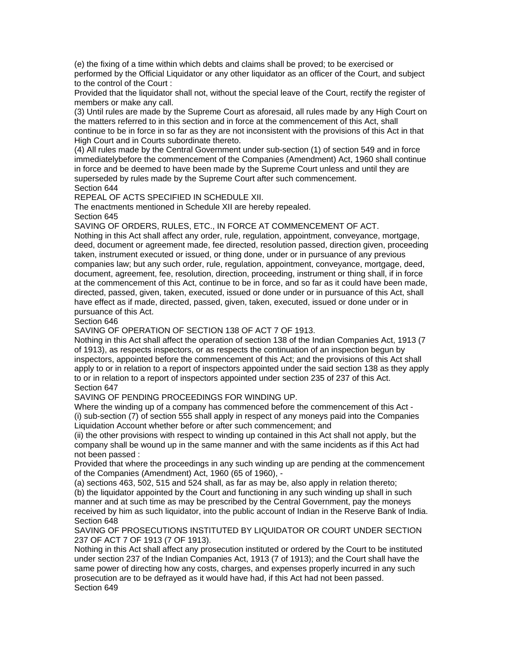(e) the fixing of a time within which debts and claims shall be proved; to be exercised or performed by the Official Liquidator or any other liquidator as an officer of the Court, and subject to the control of the Court :

Provided that the liquidator shall not, without the special leave of the Court, rectify the register of members or make any call.

(3) Until rules are made by the Supreme Court as aforesaid, all rules made by any High Court on the matters referred to in this section and in force at the commencement of this Act, shall continue to be in force in so far as they are not inconsistent with the provisions of this Act in that High Court and in Courts subordinate thereto.

(4) All rules made by the Central Government under sub-section (1) of section 549 and in force immediatelybefore the commencement of the Companies (Amendment) Act, 1960 shall continue in force and be deemed to have been made by the Supreme Court unless and until they are superseded by rules made by the Supreme Court after such commencement. Section 644

REPEAL OF ACTS SPECIFIED IN SCHEDULE XII.

The enactments mentioned in Schedule XII are hereby repealed.

Section 645

SAVING OF ORDERS, RULES, ETC., IN FORCE AT COMMENCEMENT OF ACT.

Nothing in this Act shall affect any order, rule, regulation, appointment, conveyance, mortgage, deed, document or agreement made, fee directed, resolution passed, direction given, proceeding taken, instrument executed or issued, or thing done, under or in pursuance of any previous companies law; but any such order, rule, regulation, appointment, conveyance, mortgage, deed, document, agreement, fee, resolution, direction, proceeding, instrument or thing shall, if in force at the commencement of this Act, continue to be in force, and so far as it could have been made, directed, passed, given, taken, executed, issued or done under or in pursuance of this Act, shall have effect as if made, directed, passed, given, taken, executed, issued or done under or in pursuance of this Act.

Section 646

SAVING OF OPERATION OF SECTION 138 OF ACT 7 OF 1913.

Nothing in this Act shall affect the operation of section 138 of the Indian Companies Act, 1913 (7 of 1913), as respects inspectors, or as respects the continuation of an inspection begun by inspectors, appointed before the commencement of this Act; and the provisions of this Act shall apply to or in relation to a report of inspectors appointed under the said section 138 as they apply to or in relation to a report of inspectors appointed under section 235 of 237 of this Act. Section 647

SAVING OF PENDING PROCEEDINGS FOR WINDING UP.

Where the winding up of a company has commenced before the commencement of this Act - (i) sub-section (7) of section 555 shall apply in respect of any moneys paid into the Companies Liquidation Account whether before or after such commencement; and

(ii) the other provisions with respect to winding up contained in this Act shall not apply, but the company shall be wound up in the same manner and with the same incidents as if this Act had not been passed :

Provided that where the proceedings in any such winding up are pending at the commencement of the Companies (Amendment) Act, 1960 (65 of 1960), -

(a) sections 463, 502, 515 and 524 shall, as far as may be, also apply in relation thereto;

(b) the liquidator appointed by the Court and functioning in any such winding up shall in such manner and at such time as may be prescribed by the Central Government, pay the moneys received by him as such liquidator, into the public account of Indian in the Reserve Bank of India. Section 648

SAVING OF PROSECUTIONS INSTITUTED BY LIQUIDATOR OR COURT UNDER SECTION 237 OF ACT 7 OF 1913 (7 OF 1913).

Nothing in this Act shall affect any prosecution instituted or ordered by the Court to be instituted under section 237 of the Indian Companies Act, 1913 (7 of 1913); and the Court shall have the same power of directing how any costs, charges, and expenses properly incurred in any such prosecution are to be defrayed as it would have had, if this Act had not been passed. Section 649